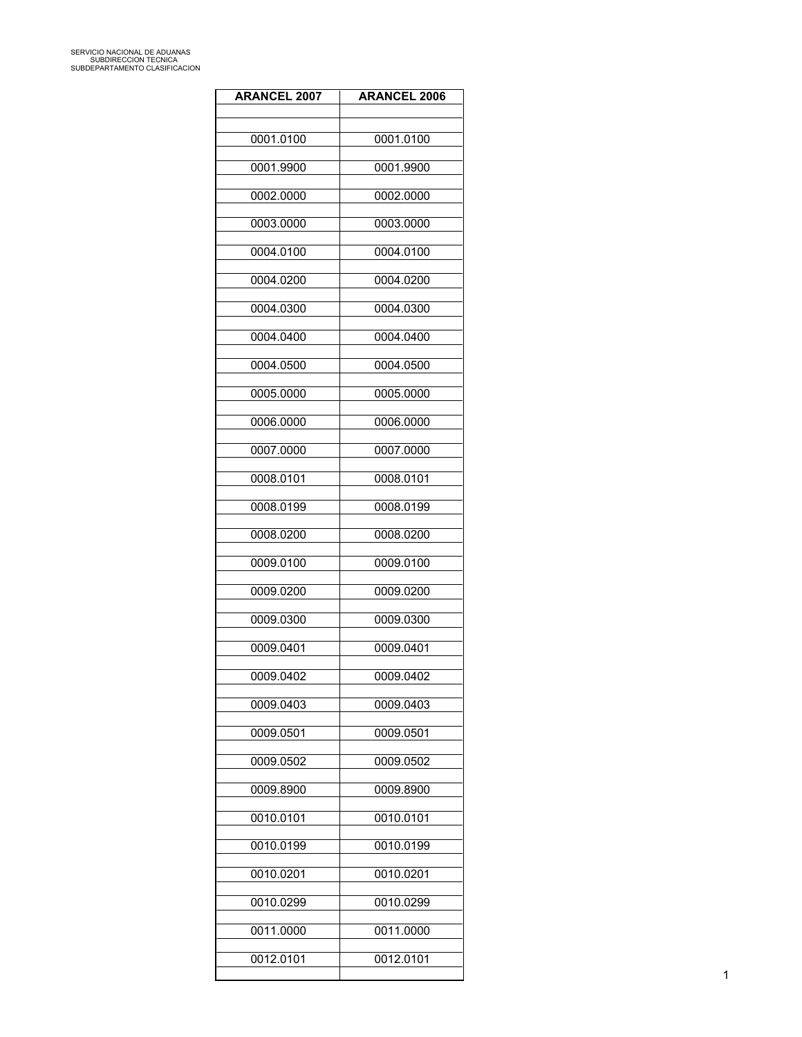| <b>ARANCEL 2007</b> | <b>ARANCEL 2006</b> |
|---------------------|---------------------|
|                     |                     |
| 0001.0100           | 0001.0100           |
| 0001.9900           | 0001.9900           |
| 0002.0000           | 0002.0000           |
| 0003.0000           | 0003.0000           |
| 0004.0100           | 0004.0100           |
| 0004.0200           | 0004.0200           |
| 0004.0300           | 0004.0300           |
| 0004.0400           | 0004.0400           |
| 0004.0500           | 0004.0500           |
| 0005.0000           | 0005.0000           |
| 0006.0000           | 0006.0000           |
| 0007.0000           | 0007.0000           |
| 0008.0101           | 0008.0101           |
| 0008.0199           | 0008.0199           |
| 0008.0200           | 0008.0200           |
| 0009.0100           | 0009.0100           |
| 0009.0200           | 0009.0200           |
| 0009.0300           | 0009.0300           |
| 0009.0401           | 0009.0401           |
| 0009.0402           | 0009.0402           |
| 0009.0403           | 0009.0403           |
| 0009.0501           | 0009.0501           |
| 0009.0502           | 0009.0502           |
| 0009.8900           | 0009.8900           |
| 0010.0101           | 0010.0101           |
| 0010.0199           | 0010.0199           |
| 0010.0201           | 0010.0201           |
| 0010.0299           | 0010.0299           |
| 0011.0000           | 0011.0000           |
| 0012.0101           | 0012.0101           |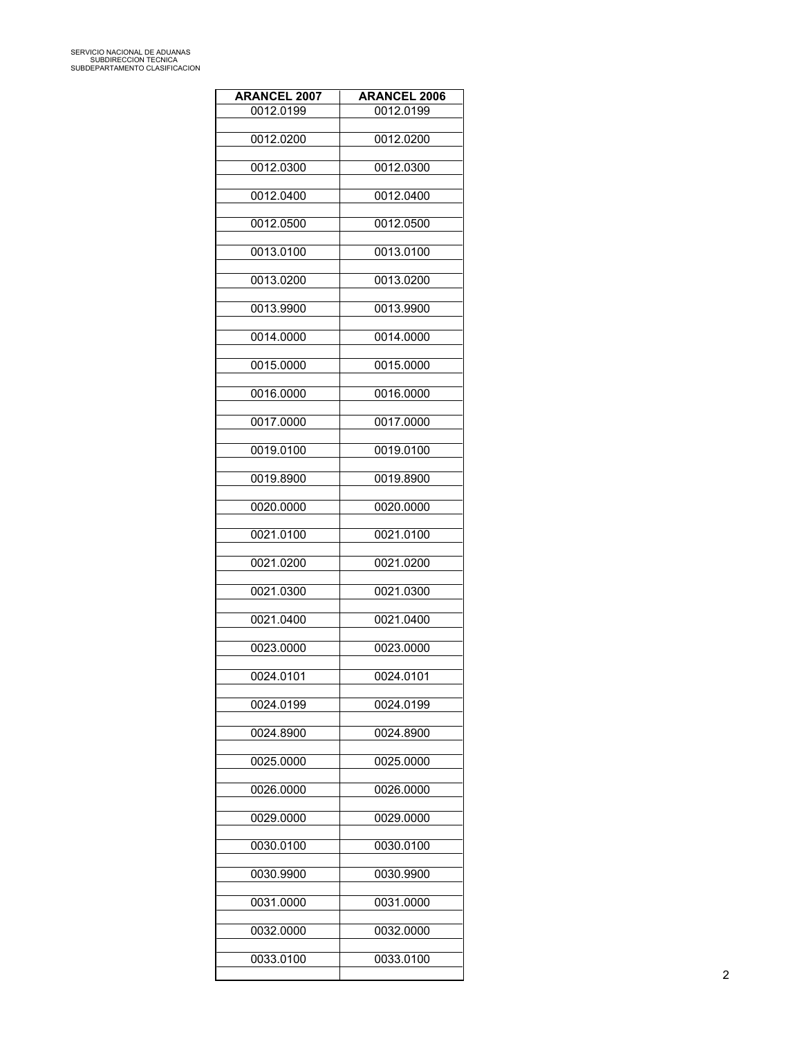| <b>ARANCEL 2007</b> | <b>ARANCEL 2006</b> |
|---------------------|---------------------|
| 0012.0199           | 0012.0199           |
| 0012.0200           | 0012.0200           |
| 0012.0300           | 0012.0300           |
| 0012.0400           | 0012.0400           |
| 0012.0500           | 0012.0500           |
| 0013.0100           | 0013.0100           |
| 0013.0200           | 0013.0200           |
| 0013.9900           | 0013.9900           |
| 0014.0000           | 0014.0000           |
| 0015.0000           | 0015.0000           |
| 0016.0000           | 0016.0000           |
| 0017.0000           | 0017.0000           |
| 0019.0100           | 0019.0100           |
| 0019.8900           | 0019.8900           |
| 0020.0000           | 0020.0000           |
| 0021.0100           | 0021.0100           |
| 0021.0200           | 0021.0200           |
| 0021.0300           | 0021.0300           |
| 0021.0400           | 0021.0400           |
| 0023.0000           | 0023.0000           |
| 0024.0101           | 0024.0101           |
| 0024.0199           | 0024.0199           |
| 0024.8900           | 0024.8900           |
| 0025.0000           | 0025.0000           |
| 0026.0000           | 0026.0000           |
| 0029.0000           | 0029.0000           |
| 0030.0100           | 0030.0100           |
| 0030.9900           | 0030.9900           |
| 0031.0000           | 0031.0000           |
| 0032.0000           | 0032.0000           |
| 0033.0100           | 0033.0100           |
|                     |                     |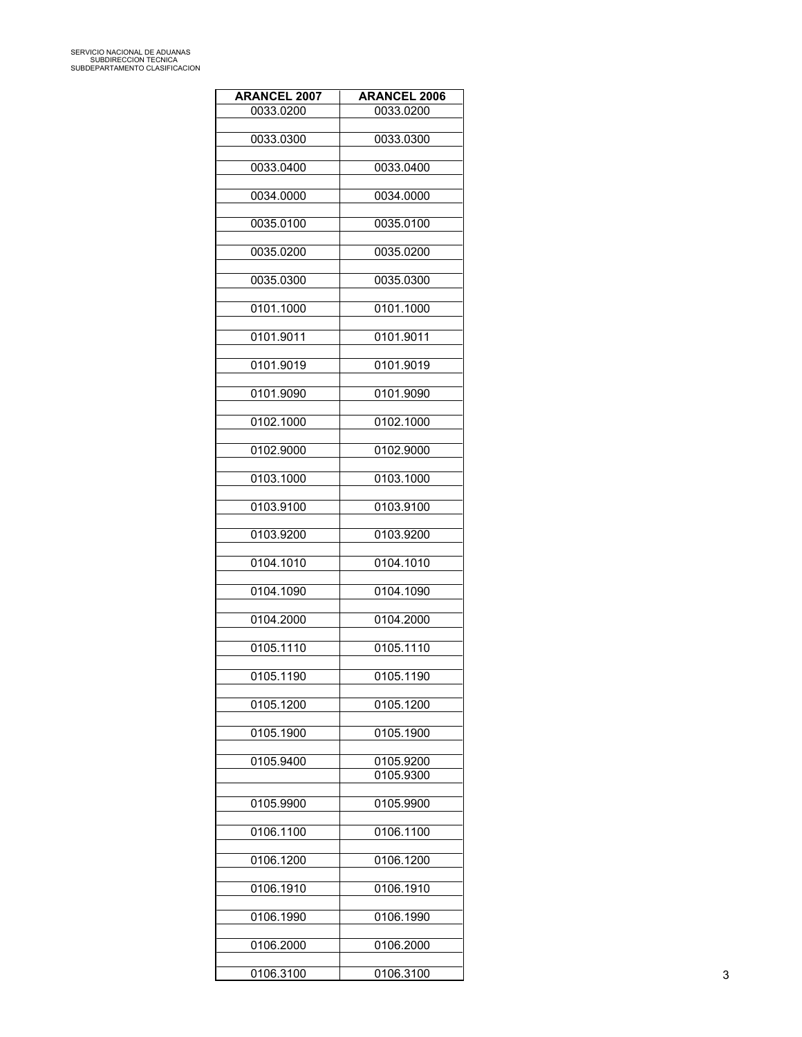| <b>ARANCEL 2007</b> | <b>ARANCEL 2006</b> |
|---------------------|---------------------|
| 0033.0200           | 0033.0200           |
| 0033.0300           | 0033.0300           |
| 0033.0400           | 0033.0400           |
| 0034.0000           | 0034.0000           |
|                     |                     |
| 0035.0100           | 0035.0100           |
| 0035.0200           | 0035.0200           |
| 0035.0300           | 0035.0300           |
| 0101.1000           | 0101.1000           |
| 0101.9011           | 0101.9011           |
|                     | 0101.9019           |
| 0101.9019           |                     |
| 0101.9090           | 0101.9090           |
| 0102.1000           | 0102.1000           |
| 0102.9000           | 0102.9000           |
| 0103.1000           | 0103.1000           |
| 0103.9100           | 0103.9100           |
|                     |                     |
| 0103.9200           | 0103.9200           |
| 0104.1010           | 0104.1010           |
| 0104.1090           | 0104.1090           |
| 0104.2000           | 0104.2000           |
| 0105.1110           | 0105.1110           |
| 0105.1190           | 0105.1190           |
|                     |                     |
| 0105.1200           | 0105.1200           |
| 0105.1900           | 0105.1900           |
| 0105.9400           | 0105.9200           |
|                     | 0105.9300           |
| 0105.9900           | 0105.9900           |
| 0106.1100           | 0106.1100           |
| 0106.1200           | 0106.1200           |
| 0106.1910           | 0106.1910           |
|                     |                     |
| 0106.1990           | 0106.1990           |
| 0106.2000           | 0106.2000           |
| 0106.3100           | 0106.3100           |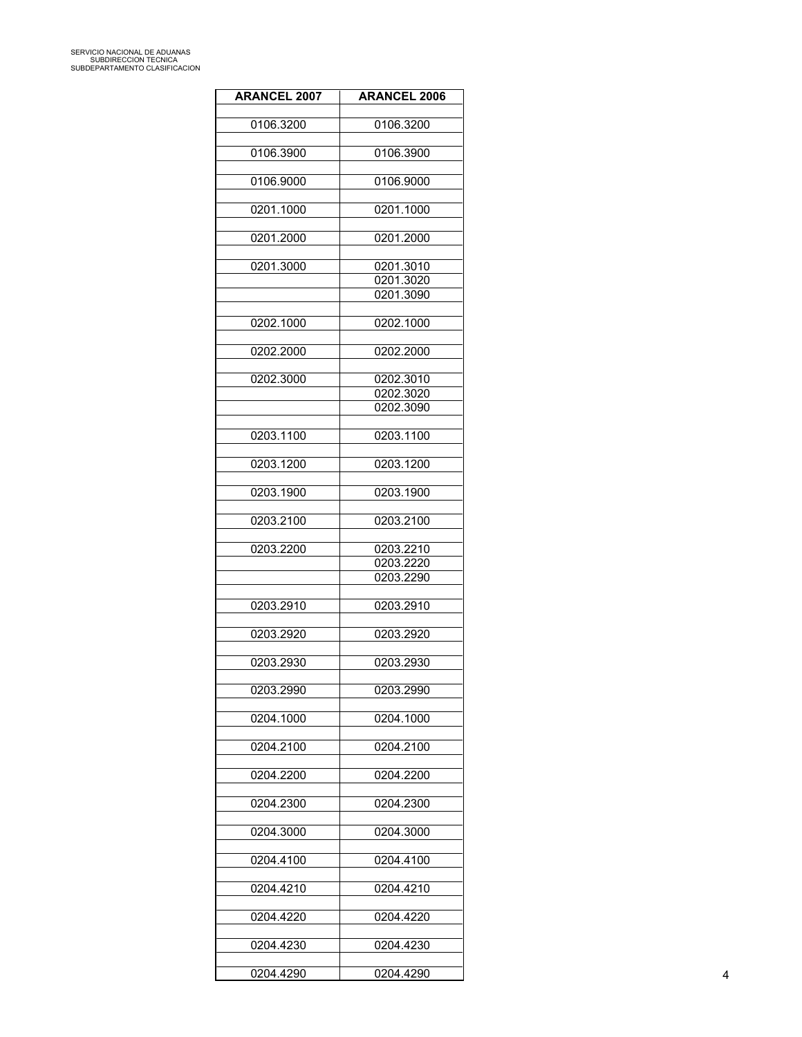| <b>ARANCEL 2007</b> | <b>ARANCEL 2006</b> |
|---------------------|---------------------|
|                     |                     |
| 0106.3200           | 0106.3200           |
|                     |                     |
| 0106.3900           | 0106.3900           |
|                     |                     |
| 0106.9000           | 0106.9000           |
|                     |                     |
| 0201.1000           | 0201.1000           |
|                     |                     |
| 0201.2000           | 0201.2000           |
|                     | 0201.3010           |
| 0201.3000           |                     |
|                     | 0201.3020           |
|                     | 0201.3090           |
|                     |                     |
| 0202.1000           | 0202.1000           |
|                     |                     |
| 0202.2000           | 0202.2000           |
|                     |                     |
| 0202.3000           | 0202.3010           |
|                     | 0202.3020           |
|                     | 0202.3090           |
|                     |                     |
| 0203.1100           | 0203.1100           |
|                     |                     |
| 0203.1200           | 0203.1200           |
|                     |                     |
| 0203.1900           | 0203.1900           |
|                     |                     |
| 0203.2100           | 0203.2100           |
|                     |                     |
|                     |                     |
| 0203.2200           | 0203.2210           |
|                     | 0203.2220           |
|                     | 0203.2290           |
|                     |                     |
| 0203.2910           | 0203.2910           |
|                     |                     |
| 0203.2920           | 0203.2920           |
|                     |                     |
| 0203.2930           | 0203.2930           |
|                     |                     |
| 0203.2990           | 0203.2990           |
|                     |                     |
| 0204.1000           | 0204.1000           |
|                     |                     |
|                     |                     |
| 0204.2100           | 0204.2100           |
|                     |                     |
| 0204.2200           | 0204.2200           |
|                     |                     |
| 0204.2300           | 0204.2300           |
|                     |                     |
| 0204.3000           | 0204.3000           |
|                     |                     |
| 0204.4100           | 0204.4100           |
|                     |                     |
| 0204.4210           | 0204.4210           |
|                     |                     |
| 0204.4220           | 0204.4220           |
|                     |                     |
| 0204.4230           | 0204.4230           |
|                     |                     |
| 0204.4290           | 0204.4290           |
|                     |                     |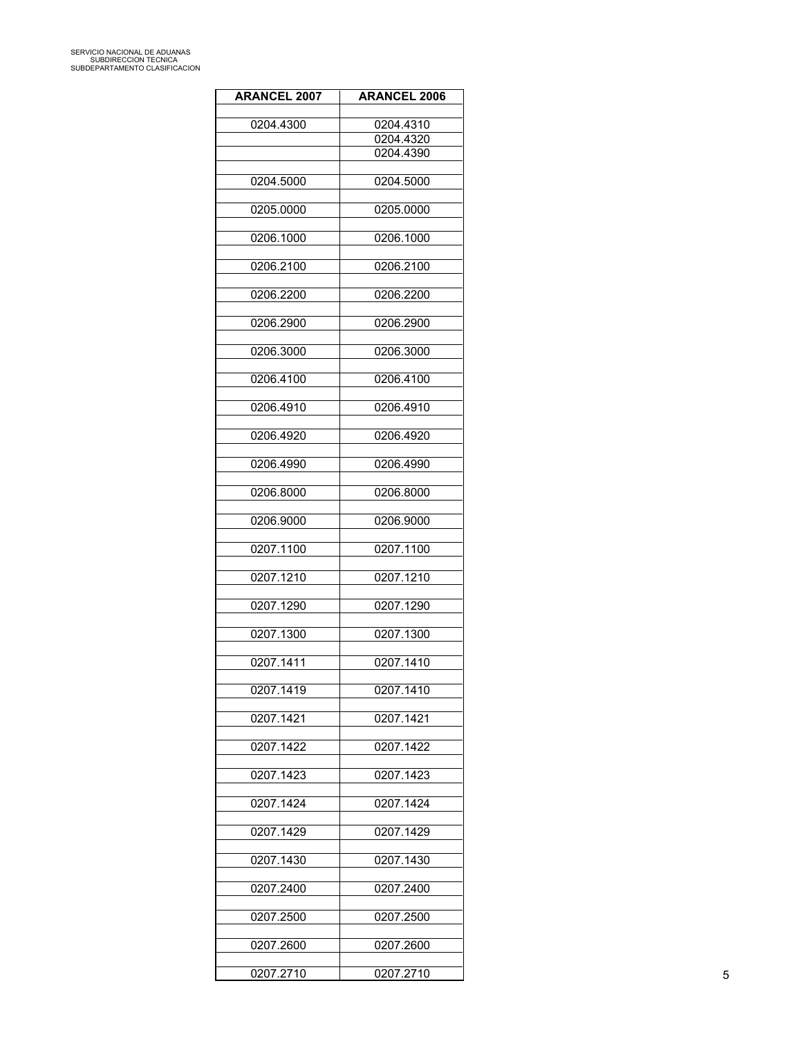| <b>ARANCEL 2006</b>    |
|------------------------|
|                        |
| 0204.4310<br>0204.4320 |
| 0204.4390              |
|                        |
| 0204.5000              |
| 0205.0000              |
|                        |
| 0206.1000              |
| 0206.2100              |
|                        |
| 0206.2200              |
|                        |
| 0206.2900              |
| 0206.3000              |
|                        |
| 0206.4100              |
| 0206.4910              |
|                        |
| 0206.4920              |
|                        |
| 0206.4990              |
| 0206.8000              |
|                        |
| 0206.9000              |
| 0207.1100              |
|                        |
| 0207.1210              |
|                        |
| 0207.1290              |
| 0207.1300              |
|                        |
| 0207.1410              |
| 0207.1410              |
|                        |
| 0207.1421              |
|                        |
| 0207.1422              |
| 0207.1423              |
|                        |
| 0207.1424              |
| 0207.1429              |
|                        |
| 0207.1430              |
| 0207.2400              |
|                        |
| 0207.2500              |
|                        |
| 0207.2600              |
| 0207.2710              |
|                        |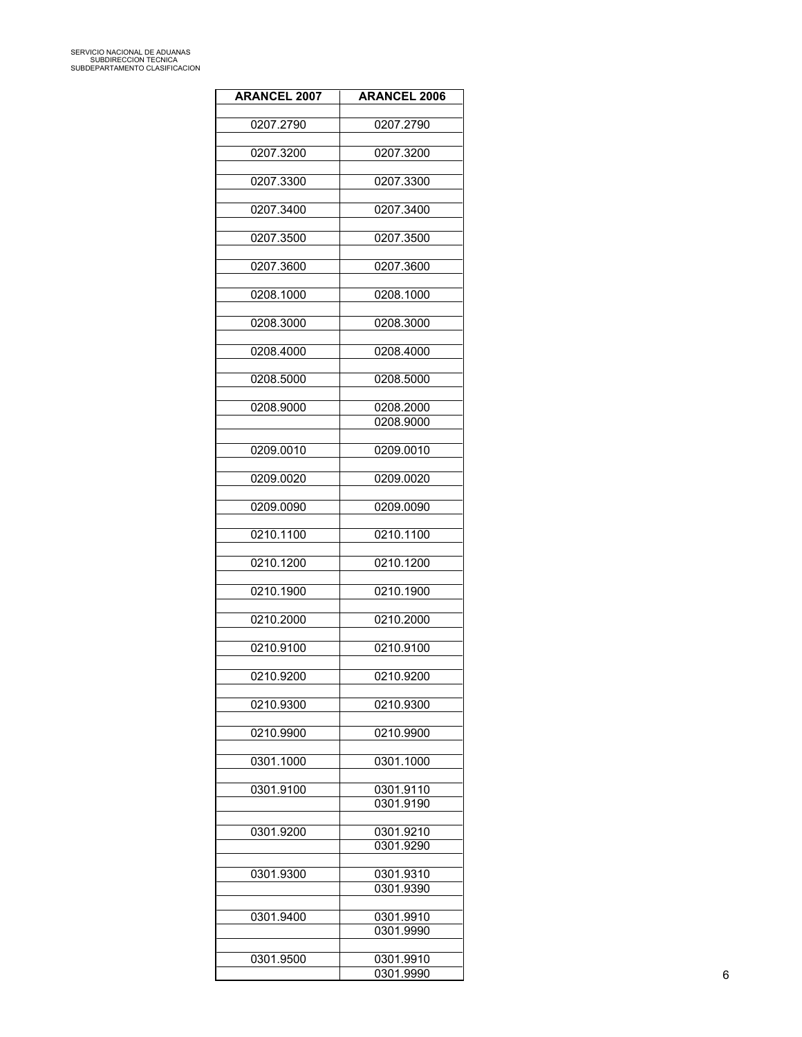| <b>ARANCEL 2007</b> | <b>ARANCEL 2006</b>    |
|---------------------|------------------------|
| 0207.2790           | 0207.2790              |
|                     |                        |
| 0207.3200           | 0207.3200              |
| 0207.3300           | 0207.3300              |
| 0207.3400           | 0207.3400              |
| 0207.3500           | 0207.3500              |
| 0207.3600           | 0207.3600              |
| 0208.1000           | 0208.1000              |
| 0208.3000           | 0208.3000              |
| 0208.4000           | 0208.4000              |
| 0208.5000           | 0208.5000              |
| 0208.9000           | 0208.2000              |
|                     | 0208.9000              |
| 0209.0010           | 0209.0010              |
|                     |                        |
| 0209.0020           | 0209.0020              |
| 0209.0090           | 0209.0090              |
| 0210.1100           | 0210.1100              |
| 0210.1200           | 0210.1200              |
| 0210.1900           | 0210.1900              |
|                     |                        |
| 0210.2000           | 0210.2000              |
| 0210.9100           | 0210.9100              |
| 0210.9200           | 0210.9200              |
| 0210.9300           | 0210.9300              |
| 0210.9900           | 0210.9900              |
| 0301.1000           | 0301.1000              |
| 0301.9100           | 0301.9110              |
|                     | 0301.9190              |
| 0301.9200           | 0301.9210              |
|                     | 0301.9290              |
|                     |                        |
| 0301.9300           | 0301.9310              |
|                     | 0301.9390              |
| 0301.9400           | 0301.9910              |
|                     | 0301.9990              |
|                     |                        |
| 0301.9500           | 0301.9910<br>0301.9990 |
|                     |                        |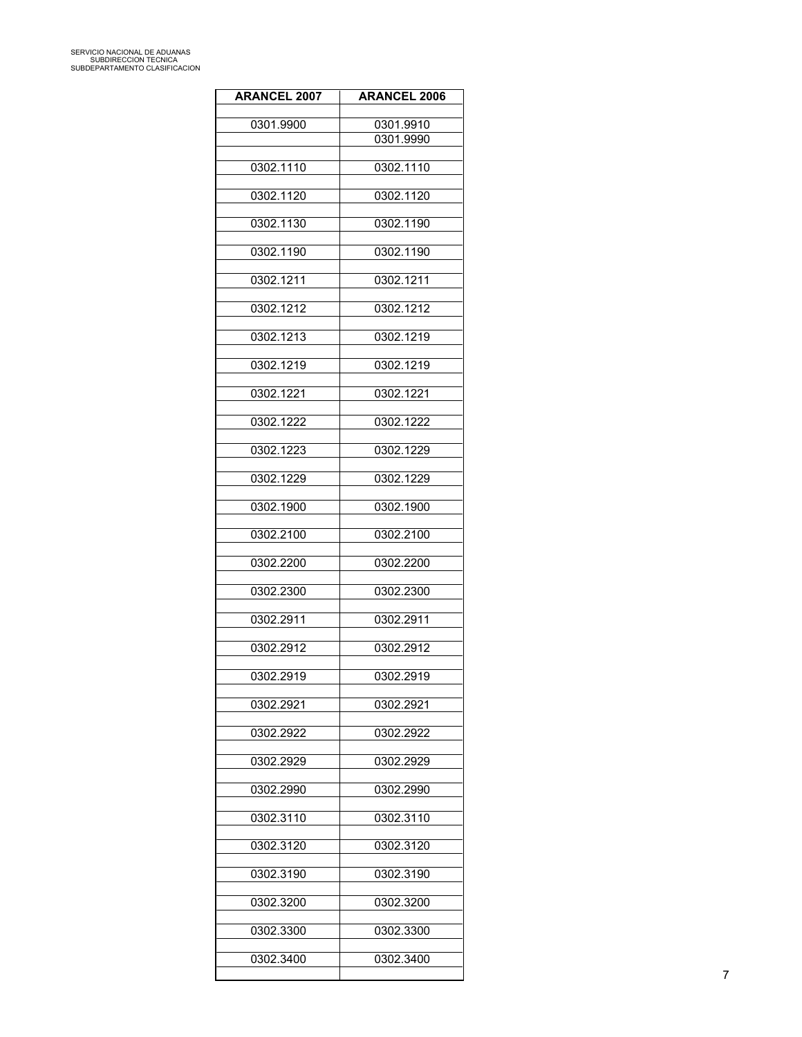| <b>ARANCEL 2007</b> | <b>ARANCEL 2006</b>    |
|---------------------|------------------------|
|                     |                        |
| 0301.9900           | 0301.9910<br>0301.9990 |
|                     |                        |
| 0302.1110           | 0302.1110              |
|                     |                        |
| 0302.1120           | 0302.1120              |
| 0302.1130           | 0302.1190              |
|                     |                        |
| 0302.1190           | 0302.1190              |
| 0302.1211           | 0302.1211              |
|                     |                        |
| 0302.1212           | 0302.1212              |
|                     |                        |
| 0302.1213           | 0302.1219              |
| 0302.1219           | 0302.1219              |
|                     |                        |
| 0302.1221           | 0302.1221              |
| 0302.1222           | 0302.1222              |
|                     |                        |
| 0302.1223           | 0302.1229              |
| 0302.1229           | 0302.1229              |
|                     |                        |
| 0302.1900           | 0302.1900              |
|                     |                        |
| 0302.2100           | 0302.2100              |
| 0302.2200           | 0302.2200              |
|                     |                        |
| 0302.2300           | 0302.2300              |
| 0302.2911           | 0302.2911              |
|                     |                        |
| 0302.2912           | 0302.2912              |
| 0302.2919           | 0302.2919              |
|                     |                        |
| 0302.2921           | 0302.2921              |
| 0302.2922           | 0302.2922              |
|                     |                        |
| 0302.2929           | 0302.2929              |
|                     |                        |
| 0302.2990           | 0302.2990              |
| 0302.3110           | 0302.3110              |
|                     |                        |
| 0302.3120           | 0302.3120              |
| 0302.3190           | 0302.3190              |
|                     |                        |
| 0302.3200           | 0302.3200              |
| 0302.3300           | 0302.3300              |
|                     |                        |
| 0302.3400           | 0302.3400              |
|                     |                        |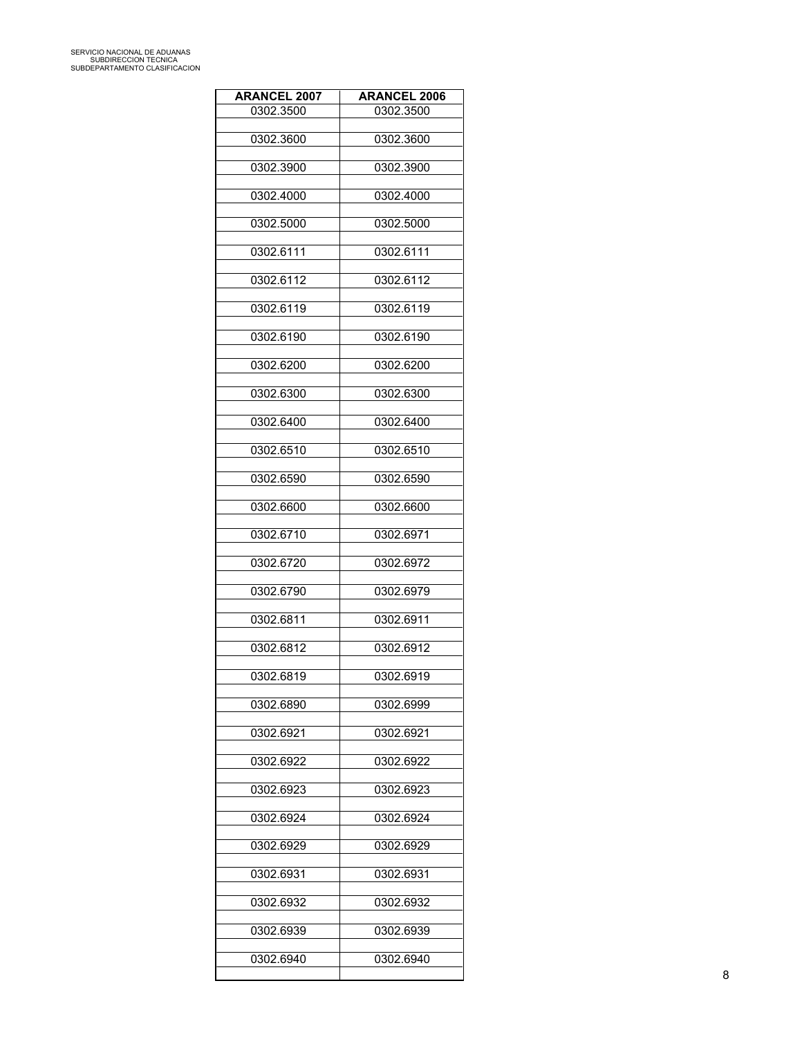| <b>ARANCEL 2007</b> | <b>ARANCEL 2006</b> |
|---------------------|---------------------|
| 0302.3500           | 0302.3500           |
| 0302.3600           | 0302.3600           |
| 0302.3900           | 0302.3900           |
| 0302.4000           | 0302.4000           |
| 0302.5000           | 0302.5000           |
| 0302.6111           | 0302.6111           |
| 0302.6112           | 0302.6112           |
| 0302.6119           | 0302.6119           |
| 0302.6190           | 0302.6190           |
| 0302.6200           | 0302.6200           |
| 0302.6300           | 0302.6300           |
| 0302.6400           | 0302.6400           |
| 0302.6510           | 0302.6510           |
| 0302.6590           | 0302.6590           |
| 0302.6600           | 0302.6600           |
| 0302.6710           | 0302.6971           |
| 0302.6720           | 0302.6972           |
| 0302.6790           | 0302.6979           |
| 0302.6811           | 0302.6911           |
| 0302.6812           | 0302.6912           |
| 0302.6819           | 0302.6919           |
| 0302.6890           | 0302.6999           |
| 0302.6921           | 0302.6921           |
| 0302.6922           | 0302.6922           |
| 0302.6923           | 0302.6923           |
| 0302.6924           | 0302.6924           |
| 0302.6929           | 0302.6929           |
| 0302.6931           | 0302.6931           |
| 0302.6932           | 0302.6932           |
| 0302.6939           | 0302.6939           |
| 0302.6940           | 0302.6940           |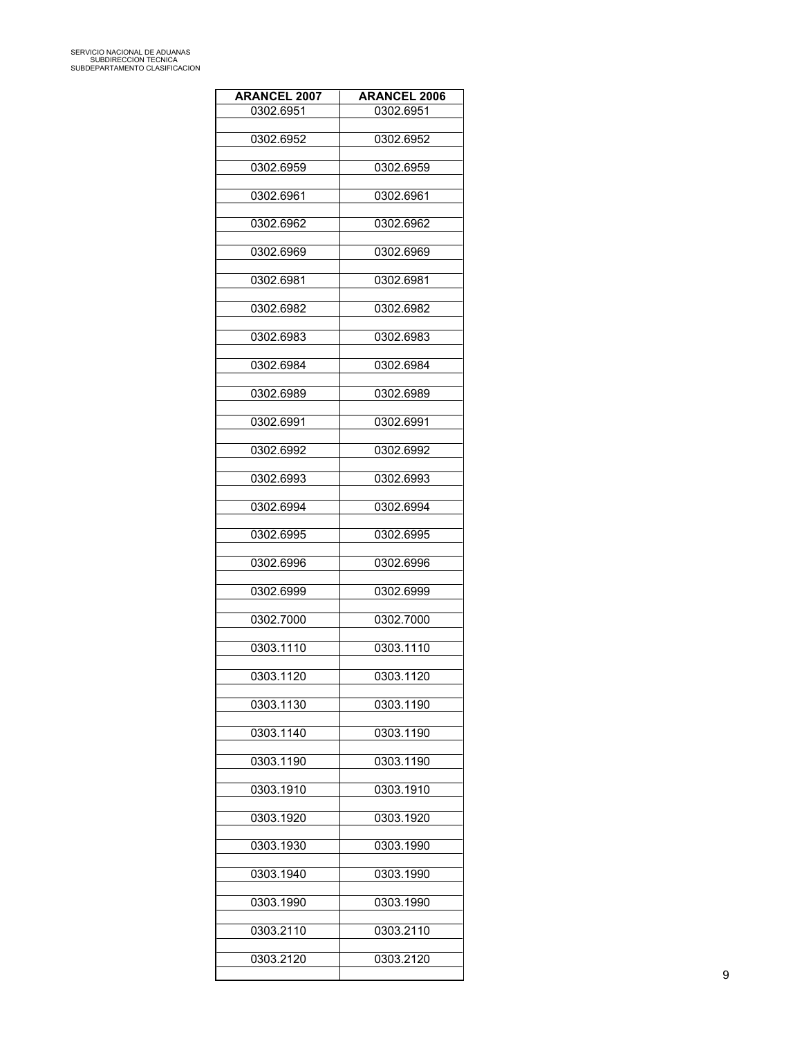| <b>ARANCEL 2007</b> | <b>ARANCEL 2006</b> |
|---------------------|---------------------|
| 0302.6951           | 0302.6951           |
| 0302.6952           | 0302.6952           |
| 0302.6959           | 0302.6959           |
| 0302.6961           | 0302.6961           |
| 0302.6962           | 0302.6962           |
| 0302.6969           | 0302.6969           |
| 0302.6981           | 0302.6981           |
| 0302.6982           | 0302.6982           |
| 0302.6983           | 0302.6983           |
| 0302.6984           | 0302.6984           |
| 0302.6989           | 0302.6989           |
| 0302.6991           | 0302.6991           |
| 0302.6992           | 0302.6992           |
| 0302.6993           | 0302.6993           |
| 0302.6994           | 0302.6994           |
| 0302.6995           | 0302.6995           |
| 0302.6996           | 0302.6996           |
| 0302.6999           | 0302.6999           |
| 0302.7000           | 0302.7000           |
| 0303.1110           | 0303.1110           |
| 0303.1120           | 0303.1120           |
| 0303.1130           | 0303.1190           |
| 0303.1140           | 0303.1190           |
| 0303.1190           | 0303.1190           |
| 0303.1910           | 0303.1910           |
| 0303.1920           | 0303.1920           |
| 0303.1930           | 0303.1990           |
| 0303.1940           | 0303.1990           |
| 0303.1990           | 0303.1990           |
| 0303.2110           | 0303.2110           |
| 0303.2120           | 0303.2120           |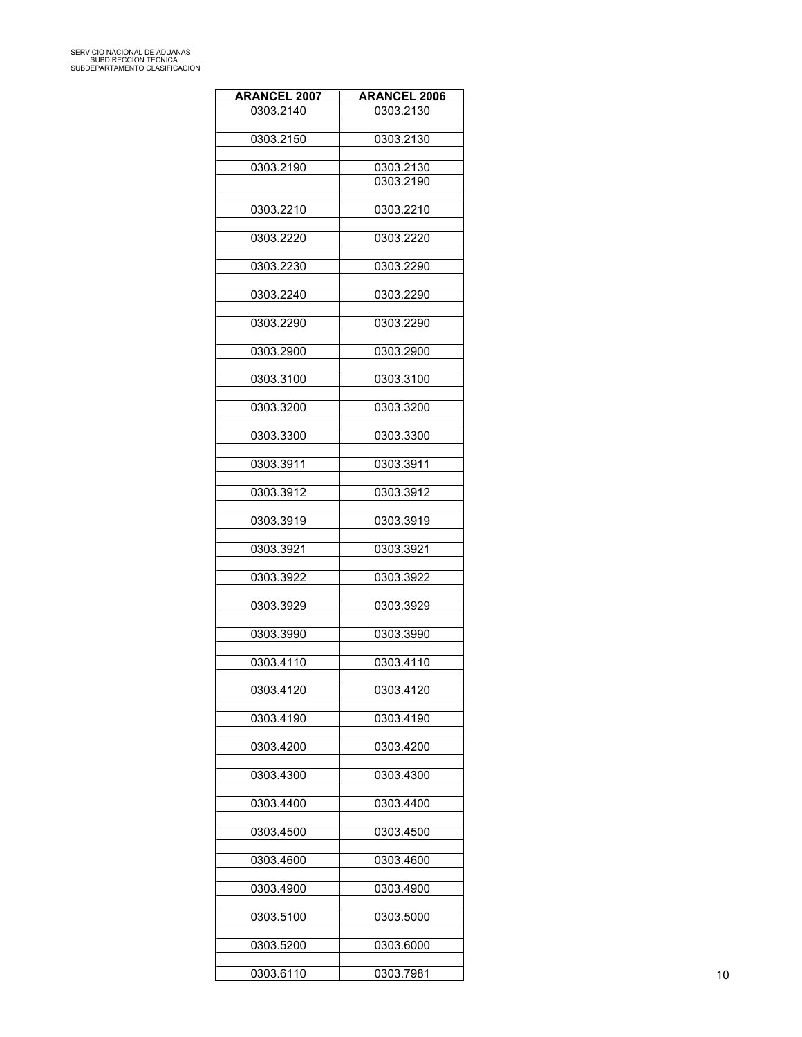| <b>ARANCEL 2007</b> | <b>ARANCEL 2006</b> |
|---------------------|---------------------|
| 0303.2140           | 0303.2130           |
| 0303.2150           | 0303.2130           |
| 0303.2190           | 0303.2130           |
|                     | 0303.2190           |
| 0303.2210           | 0303.2210           |
|                     |                     |
| 0303.2220           | 0303.2220           |
| 0303.2230           | 0303.2290           |
| 0303.2240           | 0303.2290           |
|                     |                     |
| 0303.2290           | 0303.2290           |
| 0303.2900           | 0303.2900           |
| 0303.3100           | 0303.3100           |
|                     |                     |
| 0303.3200           | 0303.3200           |
| 0303.3300           | 0303.3300           |
| 0303.3911           | 0303.3911           |
|                     |                     |
| 0303.3912           | 0303.3912           |
| 0303.3919           | 0303.3919           |
| 0303.3921           | 0303.3921           |
|                     |                     |
| 0303.3922           | 0303.3922           |
| 0303.3929           | 0303.3929           |
| 0303.3990           | 0303.3990           |
| 0303.4110           | 0303.4110           |
|                     |                     |
| 0303.4120           | 0303.4120           |
| 0303.4190           | 0303.4190           |
|                     |                     |
| 0303.4200           | 0303.4200           |
| 0303.4300           | 0303.4300           |
| 0303.4400           | 0303.4400           |
| 0303.4500           | 0303.4500           |
|                     |                     |
| 0303.4600           | 0303.4600           |
| 0303.4900           | 0303.4900           |
| 0303.5100           | 0303.5000           |
|                     |                     |
| 0303.5200           | 0303.6000           |
| 0303.6110           | 0303.7981           |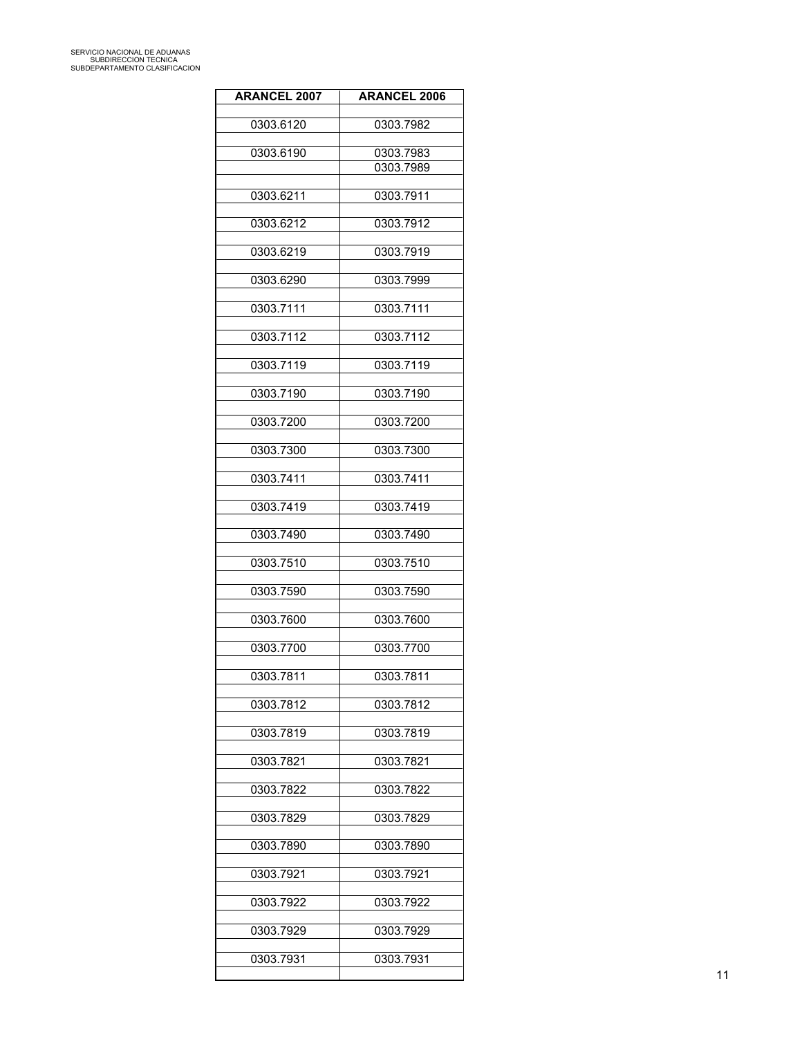| <b>ARANCEL 2007</b> | <b>ARANCEL 2006</b> |
|---------------------|---------------------|
|                     |                     |
| 0303.6120           | 0303.7982           |
| 0303.6190           | 0303.7983           |
|                     | 0303.7989           |
| 0303.6211           | 0303.7911           |
| 0303.6212           | 0303.7912           |
|                     |                     |
| 0303.6219           | 0303.7919           |
| 0303.6290           | 0303.7999           |
| 0303.7111           | 0303.7111           |
| 0303.7112           | 0303.7112           |
| 0303.7119           | 0303.7119           |
| 0303.7190           | 0303.7190           |
|                     |                     |
| 0303.7200           | 0303.7200           |
| 0303.7300           | 0303.7300           |
| 0303.7411           | 0303.7411           |
| 0303.7419           | 0303.7419           |
| 0303.7490           | 0303.7490           |
| 0303.7510           | 0303.7510           |
| 0303.7590           | 0303.7590           |
| 0303.7600           | 0303.7600           |
| 0303.7700           | 0303.7700           |
| 0303.7811           | 0303.7811           |
| 0303.7812           | 0303.7812           |
| 0303.7819           | 0303.7819           |
| 0303.7821           | 0303.7821           |
| 0303.7822           | 0303.7822           |
| 0303.7829           | 0303.7829           |
| 0303.7890           | 0303.7890           |
| 0303.7921           | 0303.7921           |
|                     |                     |
| 0303.7922           | 0303.7922           |
| 0303.7929           | 0303.7929           |
| 0303.7931           | 0303.7931           |
|                     |                     |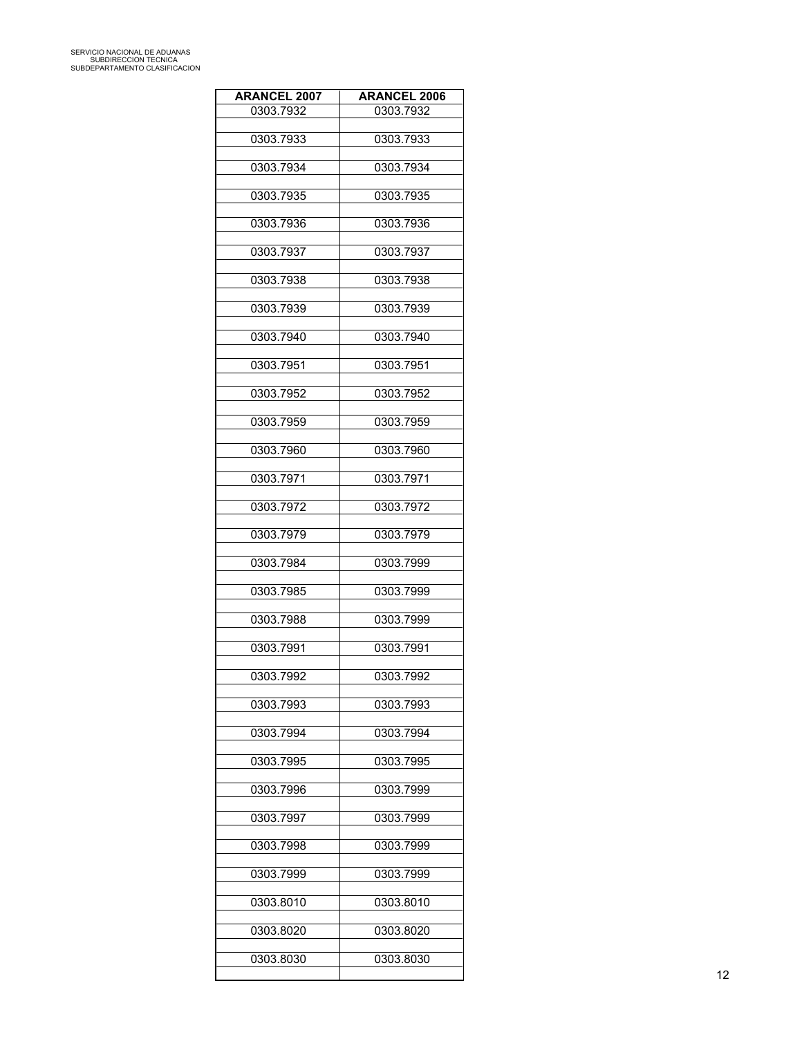| <b>ARANCEL 2007</b> | <b>ARANCEL 2006</b> |
|---------------------|---------------------|
| 0303.7932           | 0303.7932           |
| 0303.7933           | 0303.7933           |
| 0303.7934           | 0303.7934           |
| 0303.7935           | 0303.7935           |
| 0303.7936           | 0303.7936           |
| 0303.7937           | 0303.7937           |
| 0303.7938           | 0303.7938           |
| 0303.7939           | 0303.7939           |
| 0303.7940           | 0303.7940           |
|                     |                     |
| 0303.7951           | 0303.7951           |
| 0303.7952           | 0303.7952           |
| 0303.7959           | 0303.7959           |
| 0303.7960           | 0303.7960           |
| 0303.7971           | 0303.7971           |
| 0303.7972           | 0303.7972           |
| 0303.7979           | 0303.7979           |
| 0303.7984           | 0303.7999           |
| 0303.7985           | 0303.7999           |
| 0303.7988           | 0303.7999           |
| 0303.7991           | 0303.7991           |
| 0303.7992           | 0303.7992           |
| 0303.7993           | 0303.7993           |
| 0303.7994           | 0303.7994           |
| 0303.7995           | 0303.7995           |
| 0303.7996           | 0303.7999           |
| 0303.7997           | 0303.7999           |
| 0303.7998           | 0303.7999           |
| 0303.7999           | 0303.7999           |
| 0303.8010           | 0303.8010           |
| 0303.8020           | 0303.8020           |
| 0303.8030           | 0303.8030           |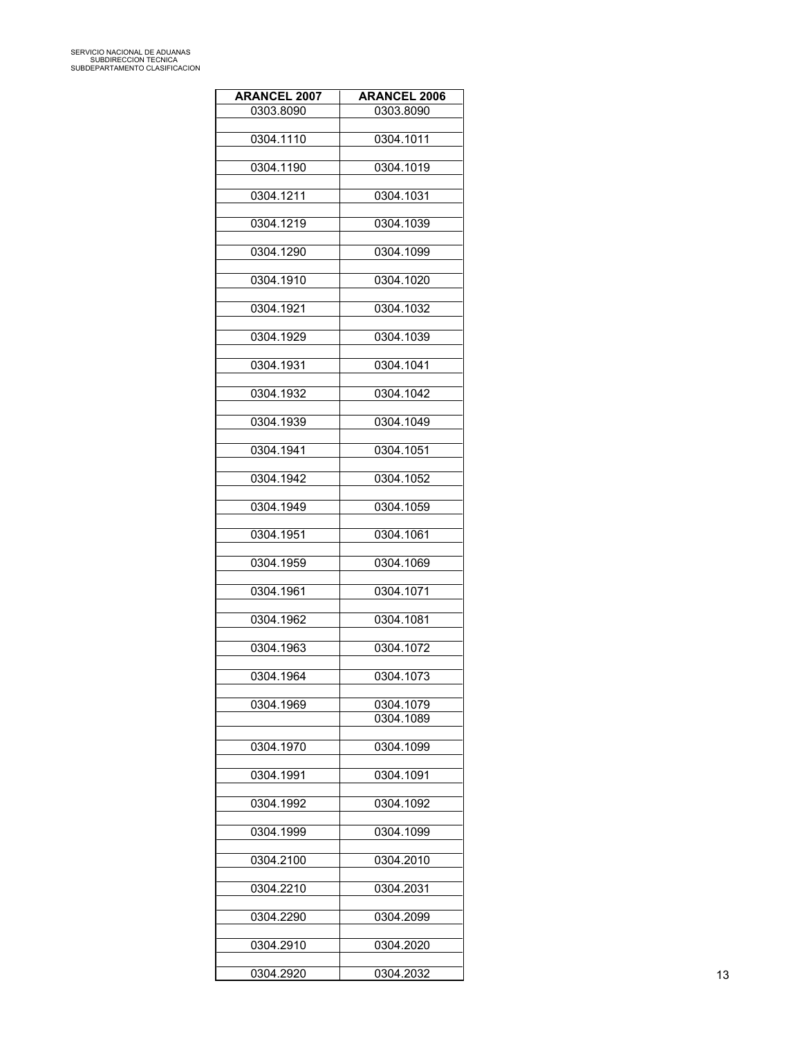| <b>ARANCEL 2007</b> | <b>ARANCEL 2006</b> |
|---------------------|---------------------|
| 0303.8090           | 0303.8090           |
| 0304.1110           | 0304.1011           |
| 0304.1190           | 0304.1019           |
|                     |                     |
| 0304.1211           | 0304.1031           |
| 0304.1219           | 0304.1039           |
| 0304.1290           | 0304.1099           |
| 0304.1910           | 0304.1020           |
| 0304.1921           | 0304.1032           |
| 0304.1929           | 0304.1039           |
| 0304.1931           | 0304.1041           |
|                     |                     |
| 0304.1932           | 0304.1042           |
| 0304.1939           | 0304.1049           |
| 0304.1941           | 0304.1051           |
| 0304.1942           | 0304.1052           |
| 0304.1949           | 0304.1059           |
| 0304.1951           | 0304.1061           |
| 0304.1959           | 0304.1069           |
|                     |                     |
| 0304.1961           | 0304.1071           |
| 0304.1962           | 0304.1081           |
| 0304.1963           | 0304.1072           |
| 0304.1964           | 0304.1073           |
| 0304.1969           | 0304.1079           |
|                     | 0304.1089           |
| 0304.1970           | 0304.1099           |
| 0304.1991           | 0304.1091           |
|                     |                     |
| 0304.1992           | 0304.1092           |
| 0304.1999           | 0304.1099           |
| 0304.2100           | 0304.2010           |
| 0304.2210           | 0304.2031           |
| 0304.2290           | 0304.2099           |
| 0304.2910           | 0304.2020           |
|                     |                     |
| 0304.2920           | 0304.2032           |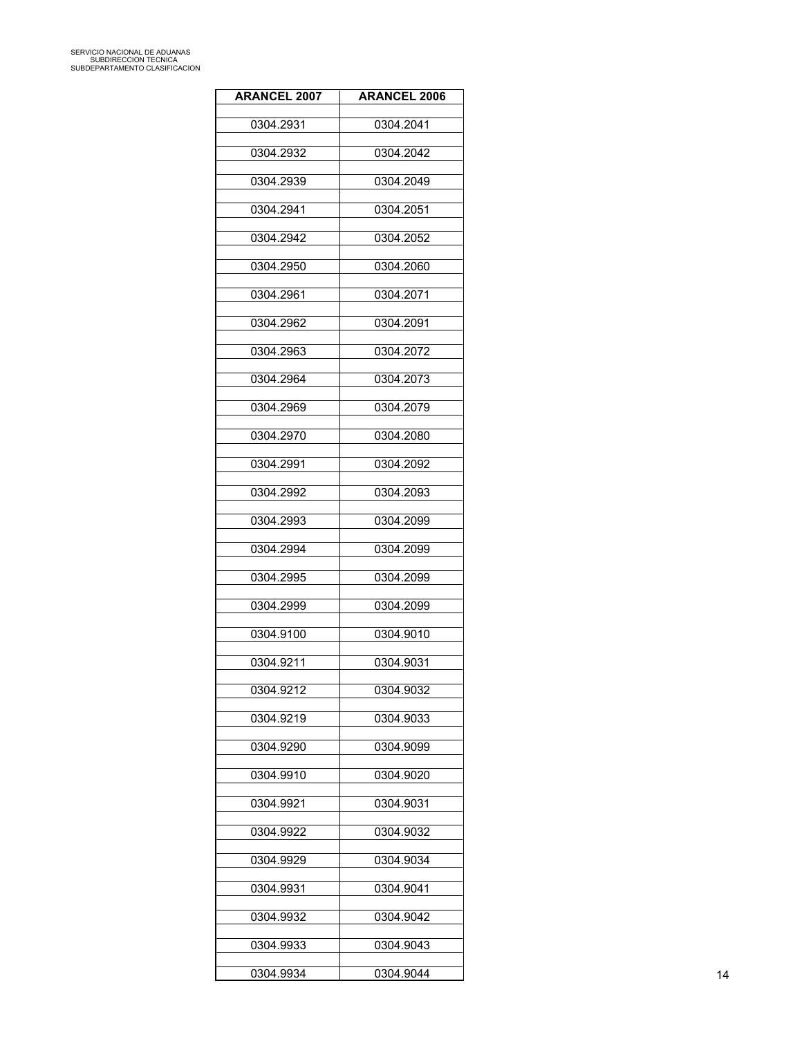| <b>ARANCEL 2007</b> | <b>ARANCEL 2006</b> |
|---------------------|---------------------|
| 0304.2931           | 0304.2041           |
| 0304.2932           | 0304.2042           |
| 0304.2939           | 0304.2049           |
|                     |                     |
| 0304.2941           | 0304.2051           |
| 0304.2942           | 0304.2052           |
| 0304.2950           | 0304.2060           |
| 0304.2961           | 0304.2071           |
| 0304.2962           | 0304.2091           |
| 0304.2963           | 0304.2072           |
| 0304.2964           | 0304.2073           |
| 0304.2969           | 0304.2079           |
| 0304.2970           | 0304.2080           |
| 0304.2991           | 0304.2092           |
| 0304.2992           | 0304.2093           |
| 0304.2993           | 0304.2099           |
| 0304.2994           | 0304.2099           |
| 0304.2995           | 0304.2099           |
|                     |                     |
| 0304.2999           | 0304.2099           |
| 0304.9100           | 0304.9010           |
| 0304.9211           | 0304.9031           |
| 0304.9212           | 0304.9032           |
| 0304.9219           | 0304.9033           |
| 0304.9290           | 0304.9099           |
| 0304.9910           | 0304.9020           |
| 0304.9921           | 0304.9031           |
| 0304.9922           | 0304.9032           |
| 0304.9929           | 0304.9034           |
| 0304.9931           | 0304.9041           |
| 0304.9932           | 0304.9042           |
| 0304.9933           | 0304.9043           |
| 0304.9934           | 0304.9044           |
|                     |                     |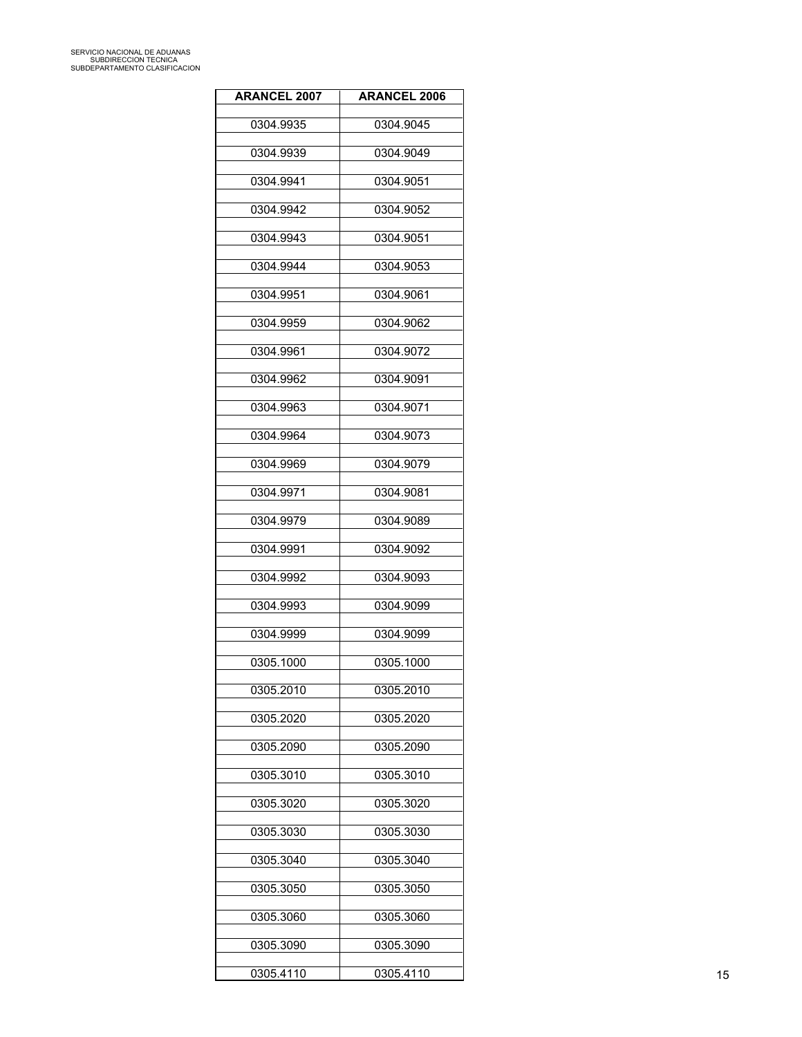| <b>ARANCEL 2007</b> | <b>ARANCEL 2006</b> |
|---------------------|---------------------|
| 0304.9935           | 0304.9045           |
| 0304.9939           | 0304.9049           |
| 0304.9941           | 0304.9051           |
|                     |                     |
| 0304.9942           | 0304.9052           |
| 0304.9943           | 0304.9051           |
| 0304.9944           | 0304.9053           |
| 0304.9951           | 0304.9061           |
| 0304.9959           | 0304.9062           |
| 0304.9961           | 0304.9072           |
| 0304.9962           | 0304.9091           |
| 0304.9963           | 0304.9071           |
| 0304.9964           | 0304.9073           |
| 0304.9969           | 0304.9079           |
| 0304.9971           | 0304.9081           |
| 0304.9979           | 0304.9089           |
|                     |                     |
| 0304.9991           | 0304.9092           |
| 0304.9992           | 0304.9093           |
| 0304.9993           | 0304.9099           |
| 0304.9999           | 0304.9099           |
| 0305.1000           | 0305.1000           |
| 0305.2010           | 0305.2010           |
| 0305.2020           | 0305.2020           |
| 0305.2090           | 0305.2090           |
| 0305.3010           | 0305.3010           |
| 0305.3020           | 0305.3020           |
|                     |                     |
| 0305.3030           | 0305.3030           |
| 0305.3040           | 0305.3040           |
| 0305.3050           | 0305.3050           |
| 0305.3060           | 0305.3060           |
| 0305.3090           | 0305.3090           |
| 0305.4110           | 0305.4110           |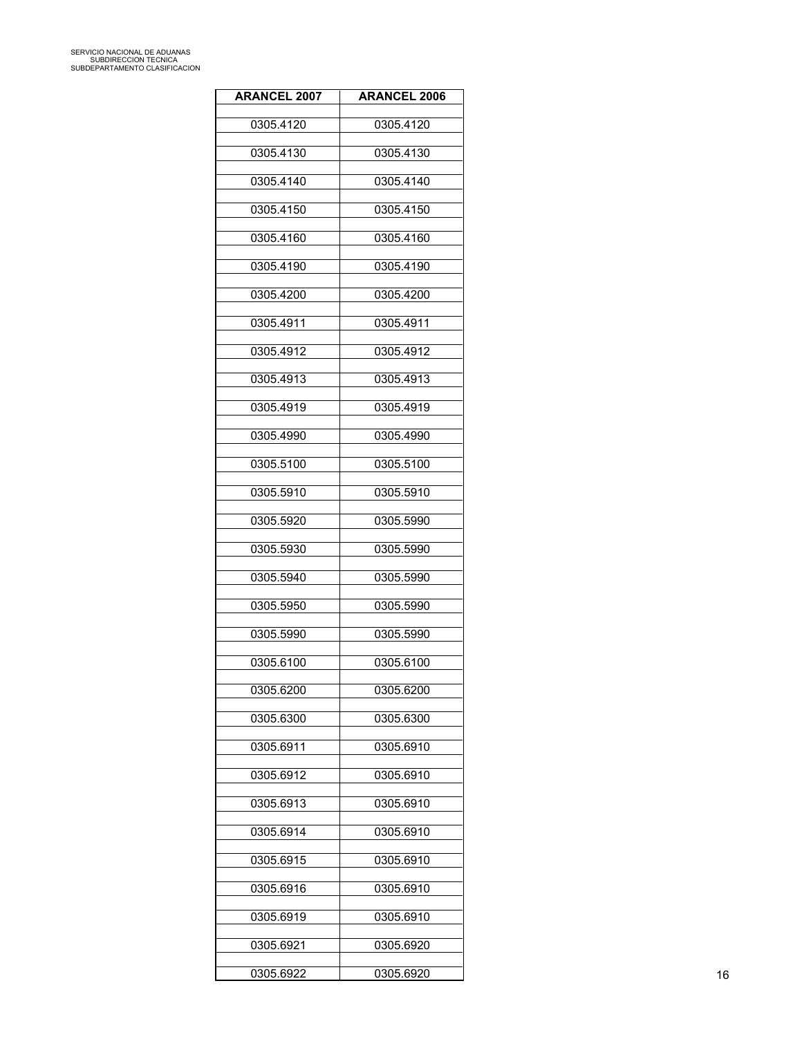| <b>ARANCEL 2007</b> | <b>ARANCEL 2006</b> |
|---------------------|---------------------|
| 0305.4120           | 0305.4120           |
| 0305.4130           |                     |
|                     | 0305.4130           |
| 0305.4140           | 0305.4140           |
| 0305.4150           | 0305.4150           |
| 0305.4160           | 0305.4160           |
| 0305.4190           | 0305.4190           |
| 0305.4200           | 0305.4200           |
| 0305.4911           | 0305.4911           |
| 0305.4912           | 0305.4912           |
| 0305.4913           | 0305.4913           |
| 0305.4919           | 0305.4919           |
| 0305.4990           | 0305.4990           |
| 0305.5100           | 0305.5100           |
| 0305.5910           | 0305.5910           |
| 0305.5920           | 0305.5990           |
| 0305.5930           | 0305.5990           |
|                     |                     |
| 0305.5940           | 0305.5990           |
| 0305.5950           | 0305.5990           |
| 0305.5990           | 0305.5990           |
| 0305.6100           | 0305.6100           |
| 0305.6200           | 0305.6200           |
| 0305.6300           | 0305.6300           |
| 0305.6911           | 0305.6910           |
| 0305.6912           | 0305.6910           |
| 0305.6913           | 0305.6910           |
| 0305.6914           | 0305.6910           |
| 0305.6915           | 0305.6910           |
| 0305.6916           | 0305.6910           |
| 0305.6919           | 0305.6910           |
| 0305.6921           | 0305.6920           |
| 0305.6922           | 0305.6920           |
|                     |                     |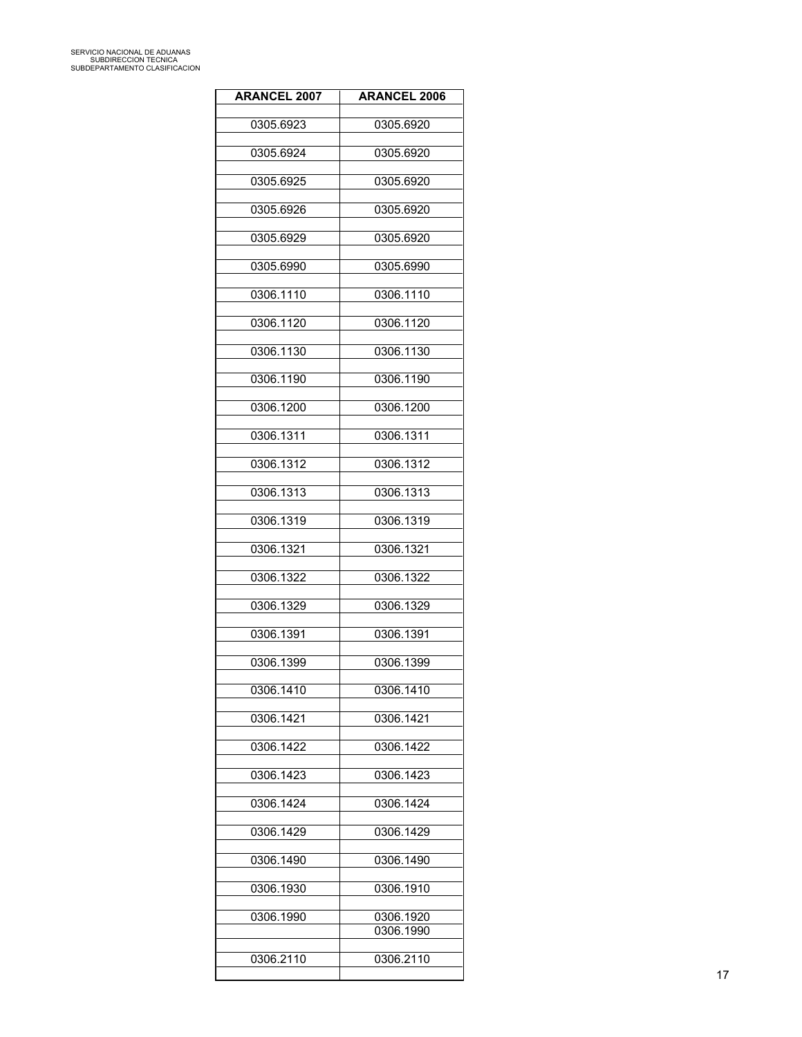| <b>ARANCEL 2007</b> | <b>ARANCEL 2006</b>    |
|---------------------|------------------------|
| 0305.6923           | 0305.6920              |
|                     |                        |
| 0305.6924           | 0305.6920              |
| 0305.6925           | 0305.6920              |
| 0305.6926           | 0305.6920              |
| 0305.6929           | 0305.6920              |
| 0305.6990           | 0305.6990              |
| 0306.1110           | 0306.1110              |
| 0306.1120           | 0306.1120              |
| 0306.1130           | 0306.1130              |
| 0306.1190           | 0306.1190              |
| 0306.1200           | 0306.1200              |
| 0306.1311           | 0306.1311              |
| 0306.1312           | 0306.1312              |
| 0306.1313           | 0306.1313              |
| 0306.1319           | 0306.1319              |
| 0306.1321           | 0306.1321              |
| 0306.1322           | 0306.1322              |
| 0306.1329           | 0306.1329              |
| 0306.1391           | 0306.1391              |
| 0306.1399           | 0306.1399              |
| 0306.1410           | 0306.1410              |
| 0306.1421           | 0306.1421              |
| 0306.1422           | 0306.1422              |
| 0306.1423           | 0306.1423              |
| 0306.1424           | 0306.1424              |
| 0306.1429           | 0306.1429              |
| 0306.1490           | 0306.1490              |
| 0306.1930           | 0306.1910              |
|                     |                        |
| 0306.1990           | 0306.1920<br>0306.1990 |
| 0306.2110           | 0306.2110              |
|                     |                        |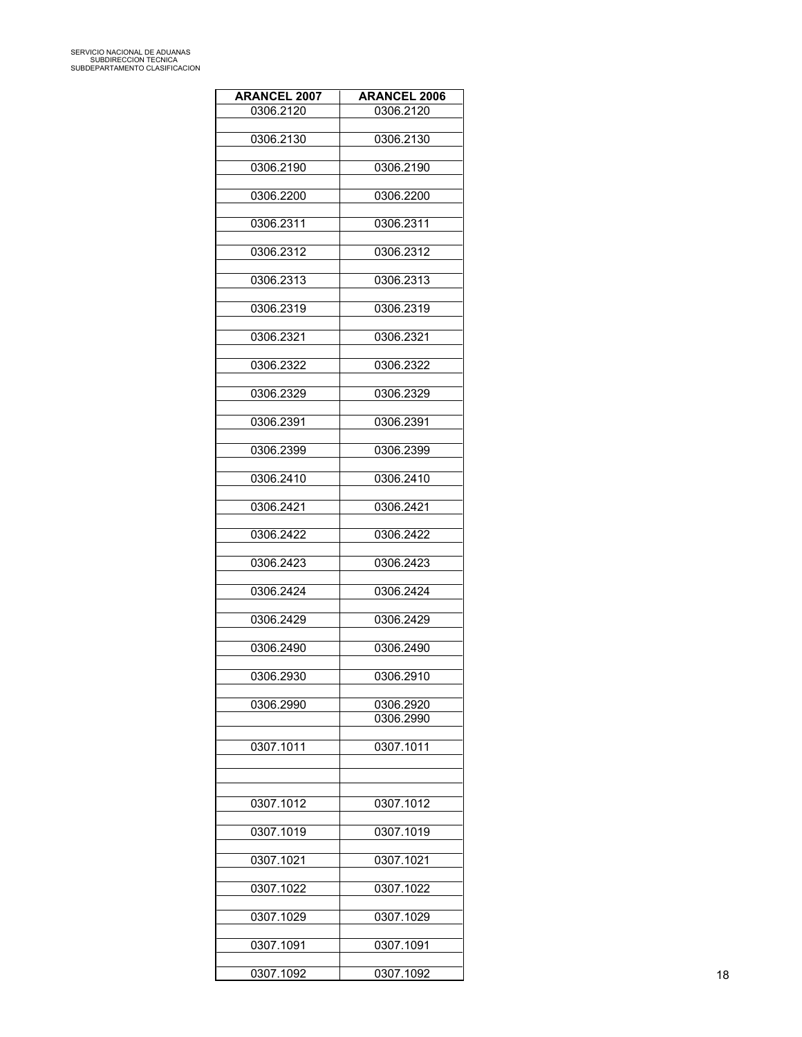| <b>ARANCEL 2007</b> | <b>ARANCEL 2006</b>    |
|---------------------|------------------------|
| 0306.2120           | 0306.2120              |
| 0306.2130           | 0306.2130              |
| 0306.2190           | 0306.2190              |
|                     |                        |
| 0306.2200           | 0306.2200              |
| 0306.2311           | 0306.2311              |
| 0306.2312           | 0306.2312              |
| 0306.2313           | 0306.2313              |
| 0306.2319           | 0306.2319              |
| 0306.2321           | 0306.2321              |
| 0306.2322           | 0306.2322              |
|                     |                        |
| 0306.2329           | 0306.2329              |
| 0306.2391           | 0306.2391              |
| 0306.2399           | 0306.2399              |
| 0306.2410           | 0306.2410              |
| 0306.2421           | 0306.2421              |
| 0306.2422           | 0306.2422              |
|                     |                        |
| 0306.2423           | 0306.2423              |
| 0306.2424           | 0306.2424              |
| 0306.2429           | 0306.2429              |
| 0306.2490           | 0306.2490              |
| 0306.2930           | 0306.2910              |
|                     |                        |
| 0306.2990           | 0306.2920<br>0306.2990 |
| 0307.1011           | 0307.1011              |
|                     |                        |
|                     |                        |
| 0307.1012           | 0307.1012              |
| 0307.1019           | 0307.1019              |
| 0307.1021           | 0307.1021              |
| 0307.1022           | 0307.1022              |
|                     |                        |
| 0307.1029           | 0307.1029              |
| 0307.1091           | 0307.1091              |
| 0307.1092           | 0307.1092              |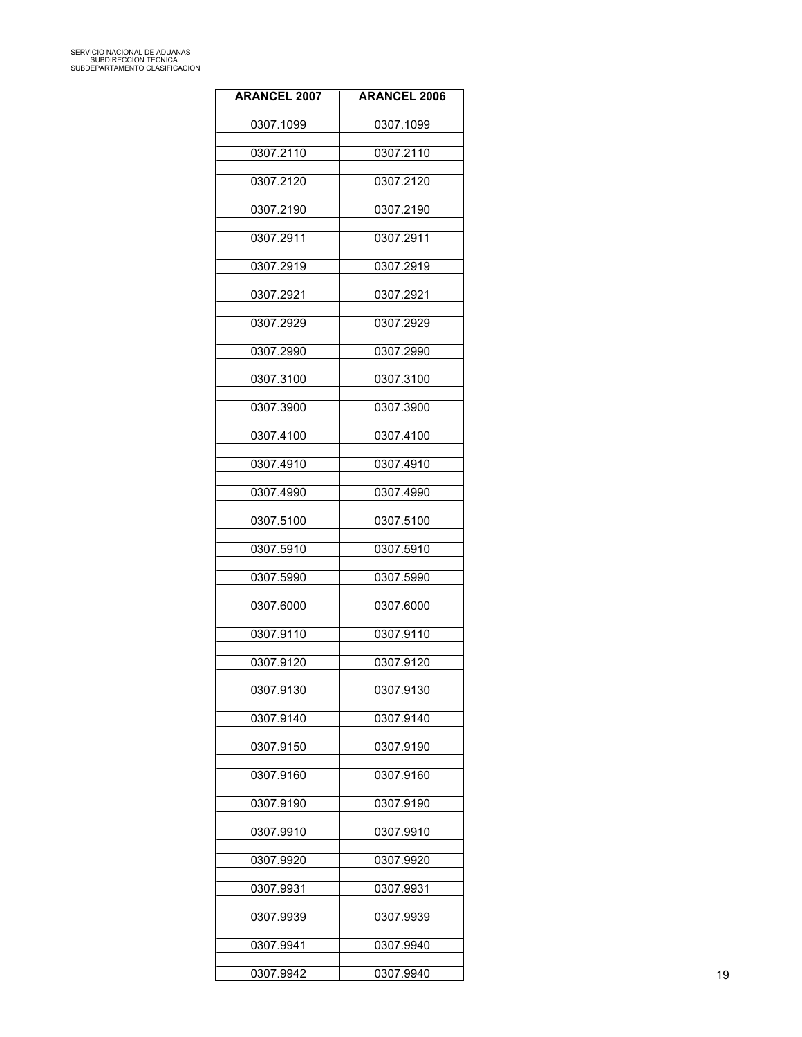| <b>ARANCEL 2007</b> | <b>ARANCEL 2006</b> |
|---------------------|---------------------|
| 0307.1099           | 0307.1099           |
| 0307.2110           | 0307.2110           |
|                     |                     |
| 0307.2120           | 0307.2120           |
| 0307.2190           | 0307.2190           |
| 0307.2911           | 0307.2911           |
| 0307.2919           | 0307.2919           |
| 0307.2921           | 0307.2921           |
| 0307.2929           | 0307.2929           |
| 0307.2990           | 0307.2990           |
| 0307.3100           | 0307.3100           |
| 0307.3900           | 0307.3900           |
| 0307.4100           | 0307.4100           |
| 0307.4910           | 0307.4910           |
| 0307.4990           | 0307.4990           |
| 0307.5100           | 0307.5100           |
| 0307.5910           | 0307.5910           |
|                     |                     |
| 0307.5990           | 0307.5990           |
| 0307.6000           | 0307.6000           |
| 0307.9110           | 0307.9110           |
| 0307.9120           | 0307.9120           |
| 0307.9130           | 0307.9130           |
| 0307.9140           | 0307.9140           |
| 0307.9150           | 0307.9190           |
| 0307.9160           | 0307.9160           |
| 0307.9190           | 0307.9190           |
| 0307.9910           | 0307.9910           |
| 0307.9920           | 0307.9920           |
| 0307.9931           | 0307.9931           |
| 0307.9939           | 0307.9939           |
|                     |                     |
| 0307.9941           | 0307.9940           |
| 0307.9942           | 0307.9940           |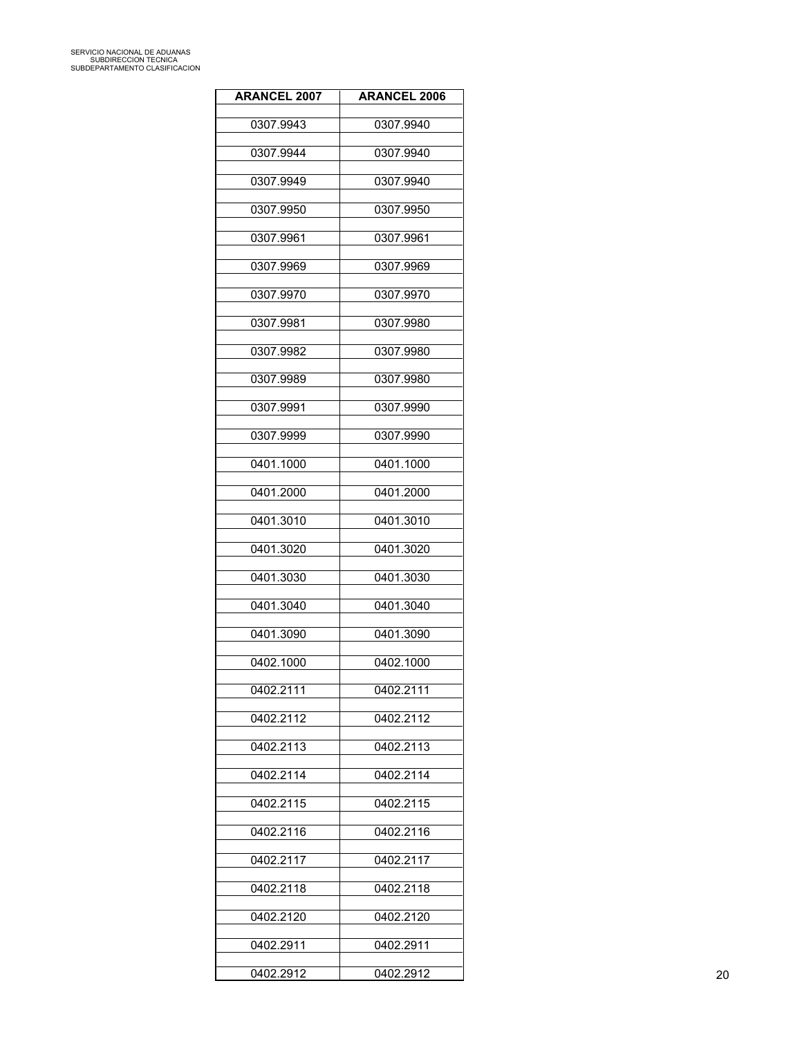| <b>ARANCEL 2007</b> | <b>ARANCEL 2006</b> |
|---------------------|---------------------|
| 0307.9943           | 0307.9940           |
| 0307.9944           | 0307.9940           |
| 0307.9949           | 0307.9940           |
|                     |                     |
| 0307.9950           | 0307.9950           |
| 0307.9961           | 0307.9961           |
| 0307.9969           | 0307.9969           |
| 0307.9970           | 0307.9970           |
| 0307.9981           | 0307.9980           |
| 0307.9982           | 0307.9980           |
| 0307.9989           | 0307.9980           |
| 0307.9991           | 0307.9990           |
| 0307.9999           | 0307.9990           |
| 0401.1000           | 0401.1000           |
| 0401.2000           | 0401.2000           |
|                     |                     |
| 0401.3010           | 0401.3010           |
| 0401.3020           | 0401.3020           |
| 0401.3030           | 0401.3030           |
| 0401.3040           | 0401.3040           |
| 0401.3090           | 0401.3090           |
| 0402.1000           | 0402.1000           |
| 0402.2111           | 0402.2111           |
| 0402.2112           | 0402.2112           |
| 0402.2113           | 0402.2113           |
| 0402.2114           | 0402.2114           |
|                     |                     |
| 0402.2115           | 0402.2115           |
| 0402.2116           | 0402.2116           |
| 0402.2117           | 0402.2117           |
| 0402.2118           | 0402.2118           |
| 0402.2120           | 0402.2120           |
| 0402.2911           | 0402.2911           |
| 0402.2912           | 0402.2912           |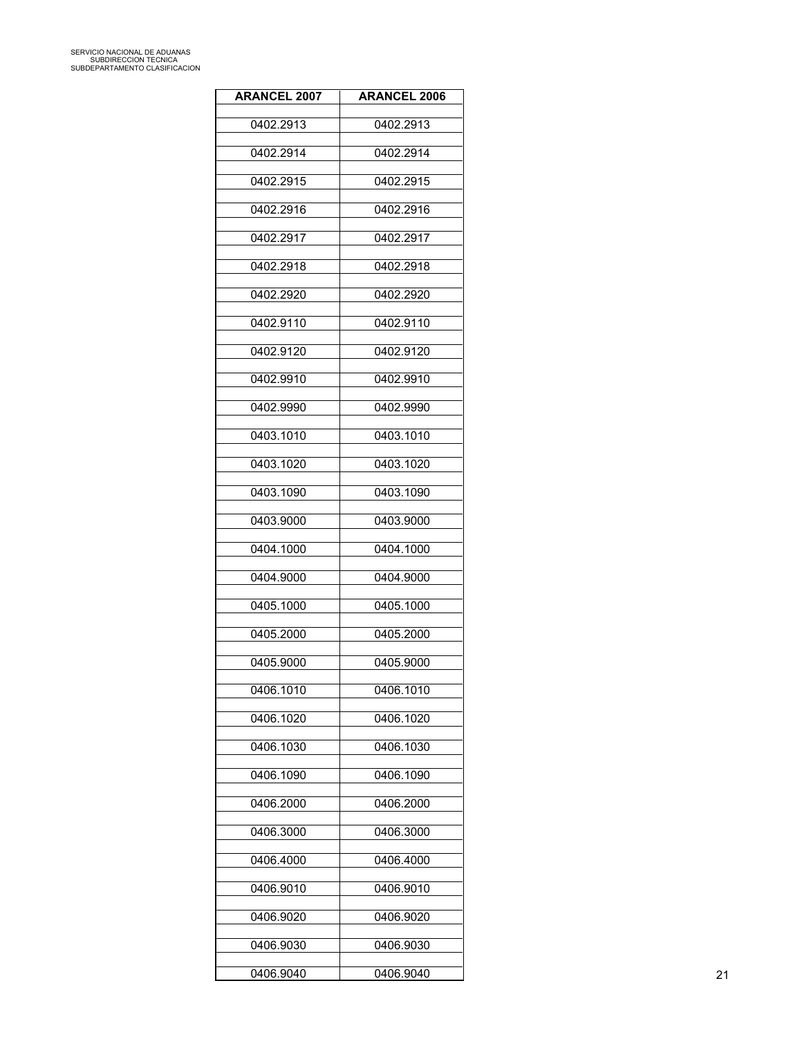| <b>ARANCEL 2007</b> | <b>ARANCEL 2006</b> |
|---------------------|---------------------|
| 0402.2913           | 0402.2913           |
| 0402.2914           | 0402.2914           |
|                     |                     |
| 0402.2915           | 0402.2915           |
| 0402.2916           | 0402.2916           |
| 0402.2917           | 0402.2917           |
| 0402.2918           | 0402.2918           |
| 0402.2920           | 0402.2920           |
| 0402.9110           | 0402.9110           |
| 0402.9120           | 0402.9120           |
| 0402.9910           | 0402.9910           |
| 0402.9990           | 0402.9990           |
| 0403.1010           | 0403.1010           |
| 0403.1020           | 0403.1020           |
|                     |                     |
| 0403.1090           | 0403.1090           |
| 0403.9000           | 0403.9000           |
| 0404.1000           | 0404.1000           |
| 0404.9000           | 0404.9000           |
| 0405.1000           | 0405.1000           |
| 0405.2000           | 0405.2000           |
| 0405.9000           | 0405.9000           |
| 0406.1010           | 0406.1010           |
| 0406.1020           | 0406.1020           |
| 0406.1030           | 0406.1030           |
| 0406.1090           | 0406.1090           |
| 0406.2000           | 0406.2000           |
|                     |                     |
| 0406.3000           | 0406.3000           |
| 0406.4000           | 0406.4000           |
| 0406.9010           | 0406.9010           |
| 0406.9020           | 0406.9020           |
| 0406.9030           | 0406.9030           |
| 0406.9040           | 0406.9040           |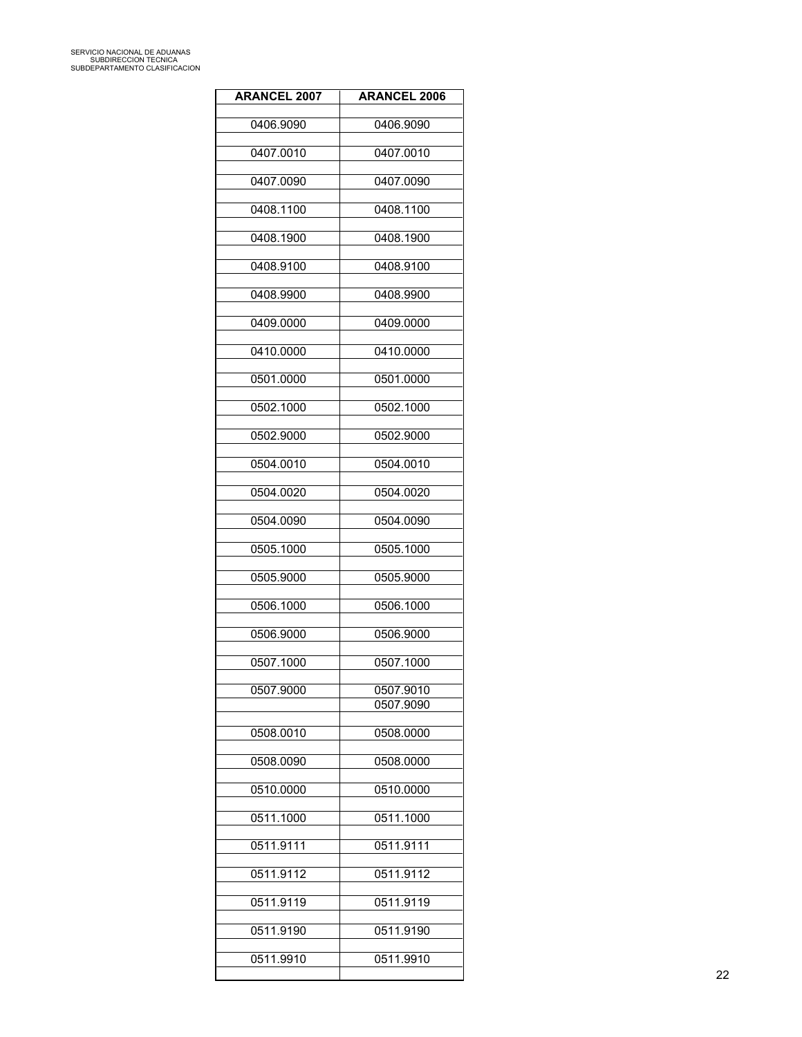| <b>ARANCEL 2007</b> | <b>ARANCEL 2006</b>    |
|---------------------|------------------------|
| 0406.9090           | 0406.9090              |
| 0407.0010           | 0407.0010              |
| 0407.0090           | 0407.0090              |
| 0408.1100           | 0408.1100              |
| 0408.1900           | 0408.1900              |
| 0408.9100           | 0408.9100              |
| 0408.9900           | 0408.9900              |
| 0409.0000           | 0409.0000              |
| 0410.0000           | 0410.0000              |
| 0501.0000           | 0501.0000              |
| 0502.1000           | 0502.1000              |
| 0502.9000           | 0502.9000              |
| 0504.0010           | 0504.0010              |
| 0504.0020           | 0504.0020              |
| 0504.0090           | 0504.0090              |
| 0505.1000           | 0505.1000              |
| 0505.9000           | 0505.9000              |
| 0506.1000           | 0506.1000              |
| 0506.9000           | 0506.9000              |
| 0507.1000           | 0507.1000              |
| 0507.9000           | 0507.9010<br>0507.9090 |
| 0508.0010           | 0508.0000              |
| 0508.0090           | 0508.0000              |
| 0510.0000           | 0510.0000              |
| 0511.1000           | 0511.1000              |
| 0511.9111           | 0511.9111              |
| 0511.9112           | 0511.9112              |
| 0511.9119           | 0511.9119              |
| 0511.9190           | 0511.9190              |
| 0511.9910           | 0511.9910              |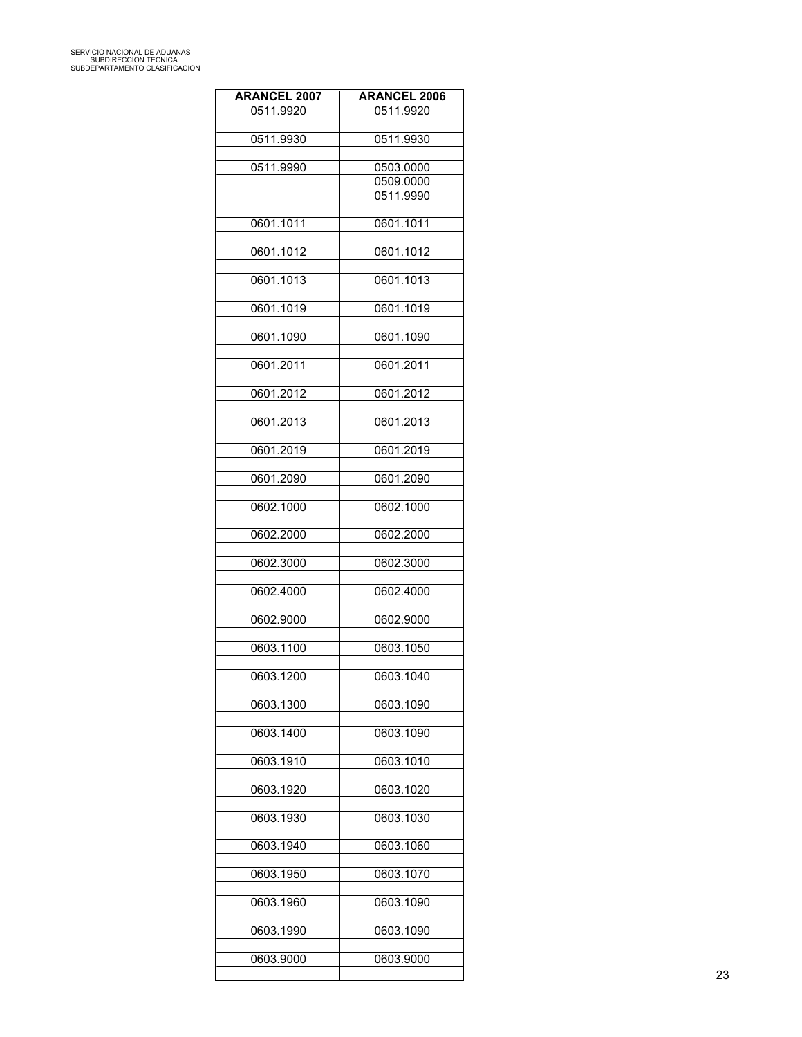| <b>ARANCEL 2007</b> | <b>ARANCEL 2006</b>    |
|---------------------|------------------------|
| 0511.9920           | 0511.9920              |
|                     |                        |
| 0511.9930           | 0511.9930              |
| 0511.9990           |                        |
|                     | 0503.0000<br>0509.0000 |
|                     | 0511.9990              |
|                     |                        |
| 0601.1011           | 0601.1011              |
|                     |                        |
| 0601.1012           | 0601.1012              |
|                     |                        |
| 0601.1013           | 0601.1013              |
| 0601.1019           | 0601.1019              |
|                     |                        |
| 0601.1090           | 0601.1090              |
|                     |                        |
| 0601.2011           | 0601.2011              |
|                     |                        |
| 0601.2012           | 0601.2012              |
|                     |                        |
| 0601.2013           | 0601.2013              |
| 0601.2019           | 0601.2019              |
|                     |                        |
| 0601.2090           | 0601.2090              |
|                     |                        |
| 0602.1000           | 0602.1000              |
|                     |                        |
| 0602.2000           | 0602.2000              |
|                     |                        |
| 0602.3000           | 0602.3000              |
| 0602.4000           | 0602.4000              |
|                     |                        |
| 0602.9000           | 0602.9000              |
|                     |                        |
| 0603.1100           | 0603.1050              |
|                     |                        |
| 0603.1200           | 0603.1040              |
|                     |                        |
| 0603.1300           | 0603.1090              |
| 0603.1400           | 0603.1090              |
|                     |                        |
| 0603.1910           | 0603.1010              |
|                     |                        |
| 0603.1920           | 0603.1020              |
|                     |                        |
| 0603.1930           | 0603.1030              |
|                     |                        |
| 0603.1940           | 0603.1060              |
| 0603.1950           | 0603.1070              |
|                     |                        |
| 0603.1960           | 0603.1090              |
|                     |                        |
| 0603.1990           | 0603.1090              |
|                     |                        |
| 0603.9000           | 0603.9000              |
|                     |                        |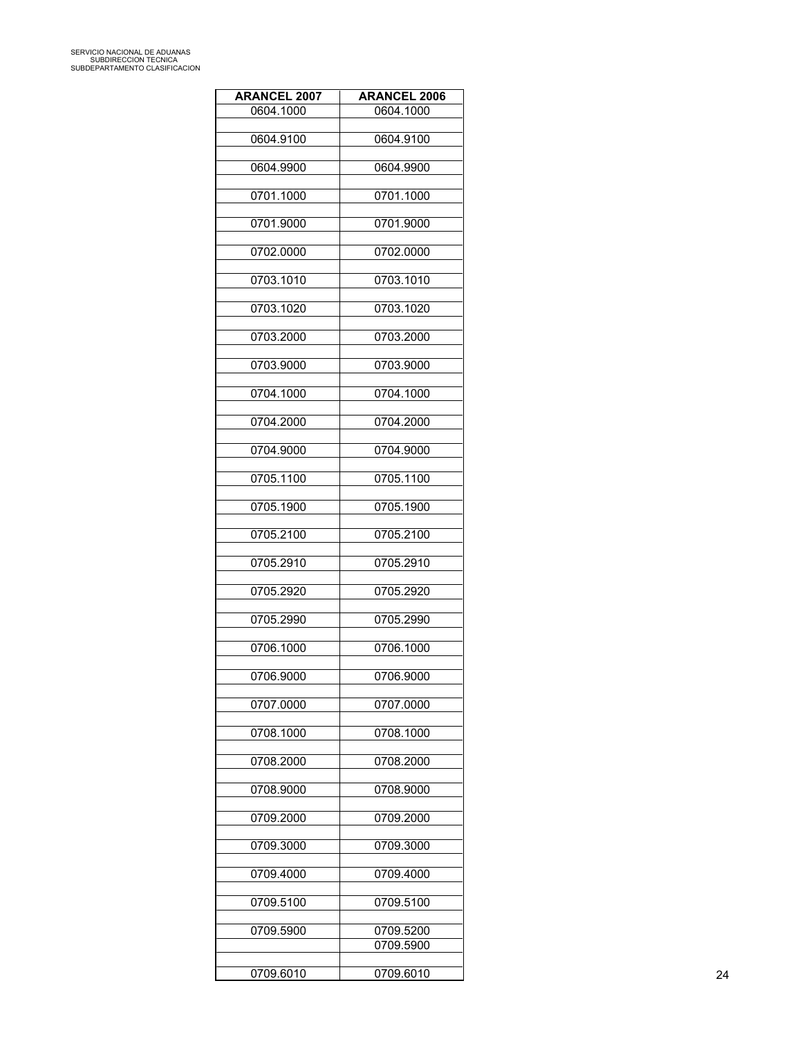| <b>ARANCEL 2007</b> | <b>ARANCEL 2006</b> |
|---------------------|---------------------|
| 0604.1000           | 0604.1000           |
| 0604.9100           | 0604.9100           |
| 0604.9900           | 0604.9900           |
| 0701.1000           | 0701.1000           |
| 0701.9000           | 0701.9000           |
| 0702.0000           | 0702.0000           |
| 0703.1010           | 0703.1010           |
| 0703.1020           | 0703.1020           |
| 0703.2000           | 0703.2000           |
| 0703.9000           | 0703.9000           |
| 0704.1000           | 0704.1000           |
| 0704.2000           | 0704.2000           |
| 0704.9000           | 0704.9000           |
| 0705.1100           | 0705.1100           |
| 0705.1900           | 0705.1900           |
| 0705.2100           | 0705.2100           |
|                     |                     |
| 0705.2910           | 0705.2910           |
| 0705.2920           | 0705.2920           |
| 0705.2990           | 0705.2990           |
| 0706.1000           | 0706.1000           |
| 0706.9000           | 0706.9000           |
| 0707.0000           | 0707.0000           |
| 0708.1000           | 0708.1000           |
| 0708.2000           | 0708.2000           |
| 0708.9000           | 0708.9000           |
| 0709.2000           | 0709.2000           |
| 0709.3000           | 0709.3000           |
| 0709.4000           | 0709.4000           |
| 0709.5100           | 0709.5100           |
| 0709.5900           | 0709.5200           |
|                     | 0709.5900           |
| 0709.6010           | 0709.6010           |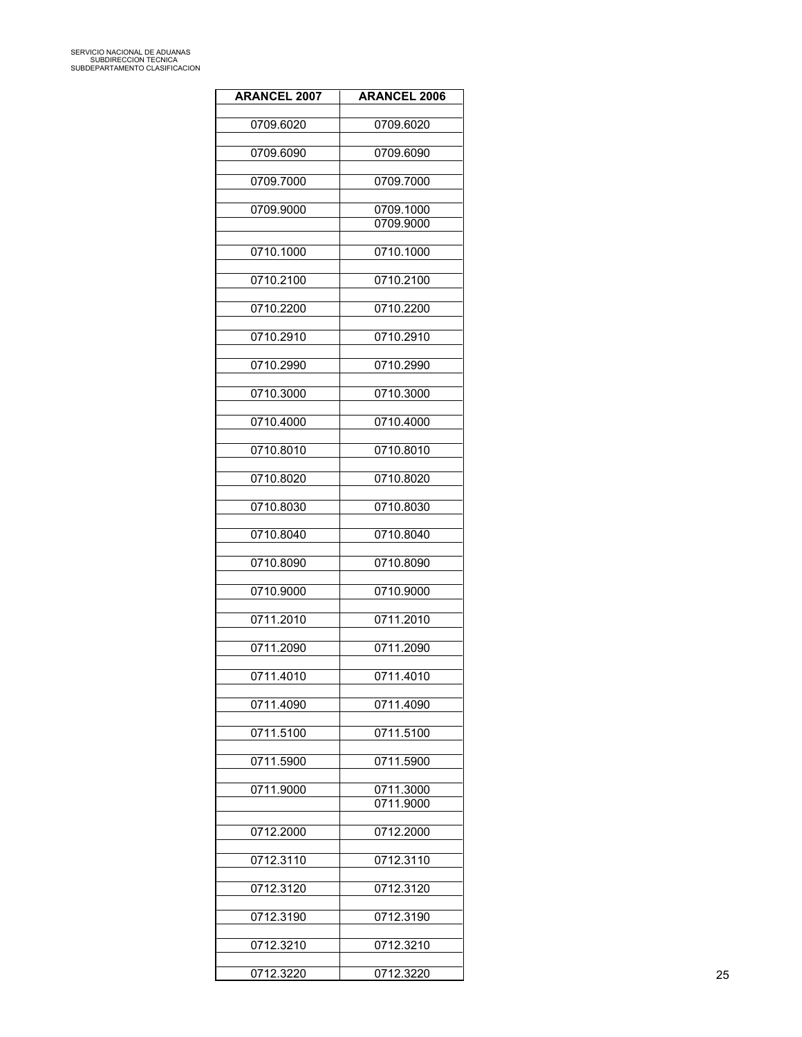| <b>ARANCEL 2007</b> | <b>ARANCEL 2006</b>    |
|---------------------|------------------------|
| 0709.6020           | 0709.6020              |
| 0709.6090           | 0709.6090              |
|                     |                        |
| 0709.7000           | 0709.7000              |
| 0709.9000           | 0709.1000<br>0709.9000 |
|                     |                        |
| 0710.1000           | 0710.1000              |
| 0710.2100           | 0710.2100              |
| 0710.2200           | 0710.2200              |
| 0710.2910           | 0710.2910              |
| 0710.2990           | 0710.2990              |
| 0710.3000           | 0710.3000              |
|                     |                        |
| 0710.4000           | 0710.4000              |
| 0710.8010           | 0710.8010              |
| 0710.8020           | 0710.8020              |
| 0710.8030           | 0710.8030              |
| 0710.8040           | 0710.8040              |
| 0710.8090           | 0710.8090              |
|                     |                        |
| 0710.9000           | 0710.9000              |
| 0711.2010           | 0711.2010              |
| 0711.2090           | 0711.2090              |
| 0711.4010           | 0711.4010              |
| 0711.4090           | 0711.4090              |
|                     |                        |
| 0711.5100           | 0711.5100              |
| 0711.5900           | 0711.5900              |
| 0711.9000           | 0711.3000              |
|                     | 0711.9000              |
| 0712.2000           | 0712.2000              |
| 0712.3110           | 0712.3110              |
| 0712.3120           | 0712.3120              |
| 0712.3190           | 0712.3190              |
|                     |                        |
| 0712.3210           | 0712.3210              |
| 0712.3220           | 0712.3220              |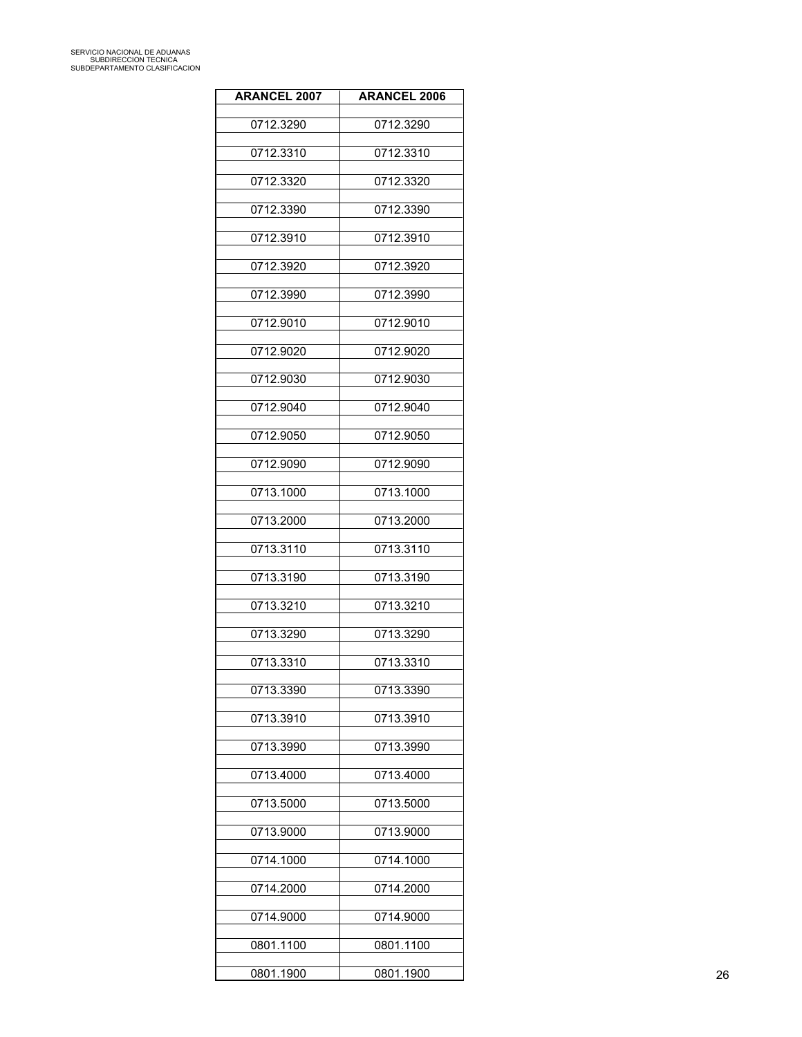| <b>ARANCEL 2007</b> | <b>ARANCEL 2006</b> |
|---------------------|---------------------|
| 0712.3290           | 0712.3290           |
|                     |                     |
| 0712.3310           | 0712.3310           |
| 0712.3320           | 0712.3320           |
| 0712.3390           | 0712.3390           |
| 0712.3910           | 0712.3910           |
| 0712.3920           | 0712.3920           |
| 0712.3990           | 0712.3990           |
| 0712.9010           | 0712.9010           |
| 0712.9020           | 0712.9020           |
| 0712.9030           | 0712.9030           |
| 0712.9040           | 0712.9040           |
| 0712.9050           | 0712.9050           |
| 0712.9090           | 0712.9090           |
| 0713.1000           | 0713.1000           |
| 0713.2000           | 0713.2000           |
| 0713.3110           | 0713.3110           |
| 0713.3190           | 0713.3190           |
| 0713.3210           | 0713.3210           |
| 0713.3290           | 0713.3290           |
| 0713.3310           | 0713.3310           |
| 0713.3390           | 0713.3390           |
| 0713.3910           | 0713.3910           |
| 0713.3990           | 0713.3990           |
| 0713.4000           | 0713.4000           |
| 0713.5000           | 0713.5000           |
| 0713.9000           | 0713.9000           |
| 0714.1000           | 0714.1000           |
| 0714.2000           | 0714.2000           |
| 0714.9000           | 0714.9000           |
| 0801.1100           | 0801.1100           |
| 0801.1900           | 0801.1900           |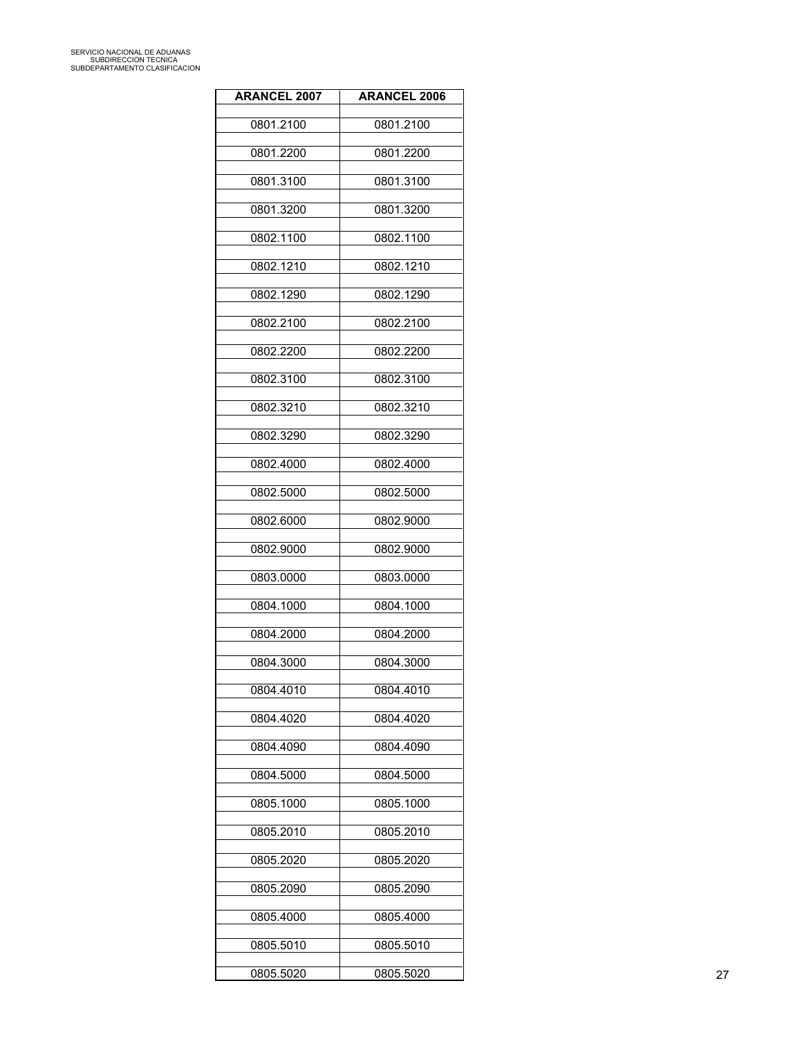| <b>ARANCEL 2007</b> | <b>ARANCEL 2006</b> |
|---------------------|---------------------|
| 0801.2100           | 0801.2100           |
| 0801.2200           | 0801.2200           |
| 0801.3100           | 0801.3100           |
|                     |                     |
| 0801.3200           | 0801.3200           |
| 0802.1100           | 0802.1100           |
| 0802.1210           | 0802.1210           |
| 0802.1290           | 0802.1290           |
| 0802.2100           | 0802.2100           |
| 0802.2200           | 0802.2200           |
| 0802.3100           | 0802.3100           |
| 0802.3210           | 0802.3210           |
| 0802.3290           | 0802.3290           |
| 0802.4000           | 0802.4000           |
| 0802.5000           | 0802.5000           |
|                     |                     |
| 0802.6000           | 0802.9000           |
| 0802.9000           | 0802.9000           |
| 0803.0000           | 0803.0000           |
| 0804.1000           | 0804.1000           |
| 0804.2000           | 0804.2000           |
| 0804.3000           | 0804.3000           |
| 0804.4010           | 0804.4010           |
| 0804.4020           | 0804.4020           |
| 0804.4090           | 0804.4090           |
| 0804.5000           | 0804.5000           |
|                     |                     |
| 0805.1000           | 0805.1000           |
| 0805.2010           | 0805.2010           |
| 0805.2020           | 0805.2020           |
| 0805.2090           | 0805.2090           |
| 0805.4000           | 0805.4000           |
| 0805.5010           | 0805.5010           |
| 0805.5020           | 0805.5020           |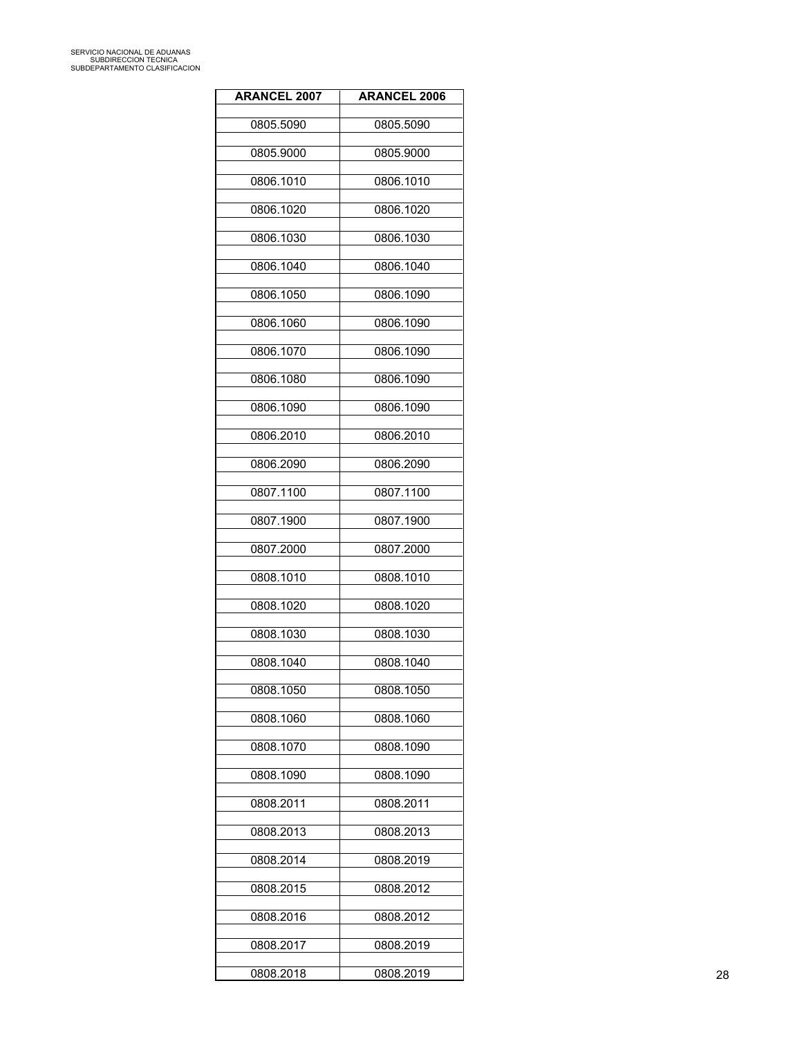| <b>ARANCEL 2007</b> | <b>ARANCEL 2006</b> |
|---------------------|---------------------|
| 0805.5090           | 0805.5090           |
| 0805.9000           | 0805.9000           |
| 0806.1010           | 0806.1010           |
|                     |                     |
| 0806.1020           | 0806.1020           |
| 0806.1030           | 0806.1030           |
| 0806.1040           | 0806.1040           |
| 0806.1050           | 0806.1090           |
| 0806.1060           | 0806.1090           |
| 0806.1070           | 0806.1090           |
| 0806.1080           | 0806.1090           |
| 0806.1090           | 0806.1090           |
| 0806.2010           | 0806.2010           |
| 0806.2090           | 0806.2090           |
| 0807.1100           | 0807.1100           |
| 0807.1900           | 0807.1900           |
|                     |                     |
| 0807.2000           | 0807.2000           |
| 0808.1010           | 0808.1010           |
| 0808.1020           | 0808.1020           |
| 0808.1030           | 0808.1030           |
| 0808.1040           | 0808.1040           |
| 0808.1050           | 0808.1050           |
| 0808.1060           | 0808.1060           |
| 0808.1070           | 0808.1090           |
| 0808.1090           | 0808.1090           |
| 0808.2011           | 0808.2011           |
| 0808.2013           | 0808.2013           |
|                     |                     |
| 0808.2014           | 0808.2019           |
| 0808.2015           | 0808.2012           |
| 0808.2016           | 0808.2012           |
| 0808.2017           | 0808.2019           |
| 0808.2018           | 0808.2019           |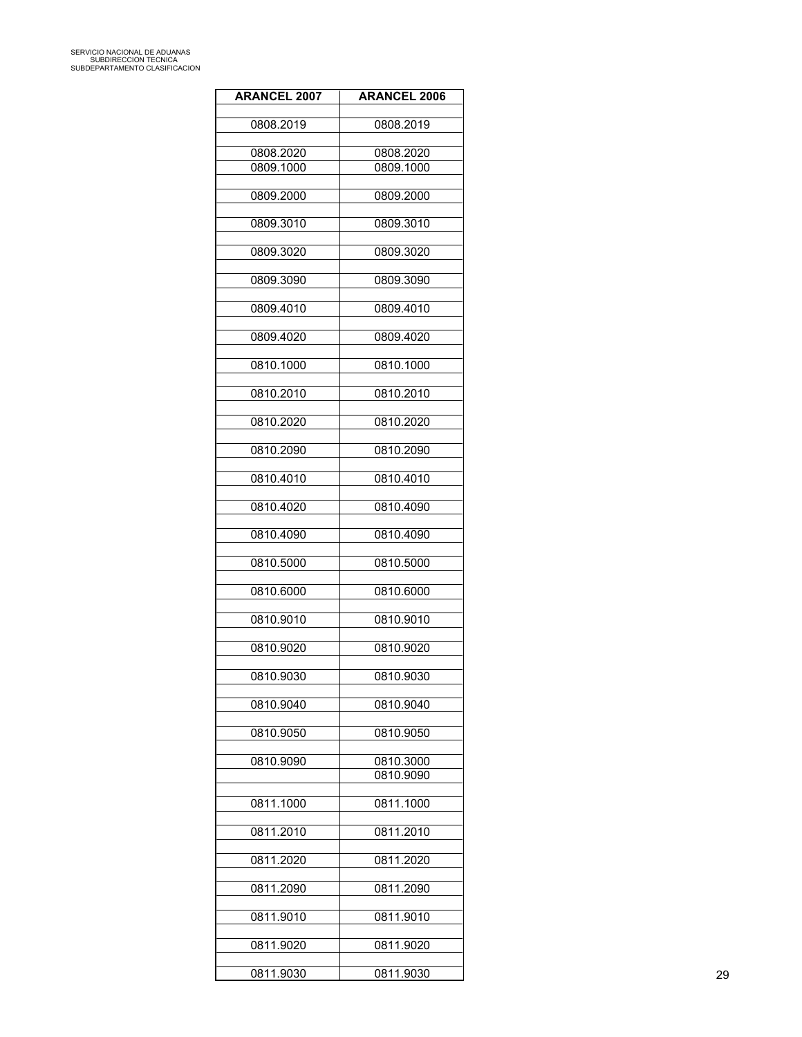| <b>ARANCEL 2007</b> | <b>ARANCEL 2006</b> |
|---------------------|---------------------|
| 0808.2019           | 0808.2019           |
| 0808.2020           | 0808.2020           |
| 0809.1000           | 0809.1000           |
| 0809.2000           | 0809.2000           |
| 0809.3010           | 0809.3010           |
| 0809.3020           | 0809.3020           |
|                     |                     |
| 0809.3090           | 0809.3090           |
| 0809.4010           | 0809.4010           |
| 0809.4020           | 0809.4020           |
| 0810.1000           | 0810.1000           |
| 0810.2010           | 0810.2010           |
| 0810.2020           | 0810.2020           |
| 0810.2090           | 0810.2090           |
|                     |                     |
| 0810.4010           | 0810.4010           |
| 0810.4020           | 0810.4090           |
| 0810.4090           | 0810.4090           |
| 0810.5000           | 0810.5000           |
| 0810.6000           | 0810.6000           |
| 0810.9010           | 0810.9010           |
|                     |                     |
| 0810.9020           | 0810.9020           |
| 0810.9030           | 0810.9030           |
| 0810.9040           | 0810.9040           |
| 0810.9050           | 0810.9050           |
| 0810.9090           | 0810.3000           |
|                     | 0810.9090           |
| 0811.1000           | 0811.1000           |
| 0811.2010           | 0811.2010           |
| 0811.2020           | 0811.2020           |
|                     |                     |
| 0811.2090           | 0811.2090           |
| 0811.9010           | 0811.9010           |
| 0811.9020           | 0811.9020           |
| 0811.9030           | 0811.9030           |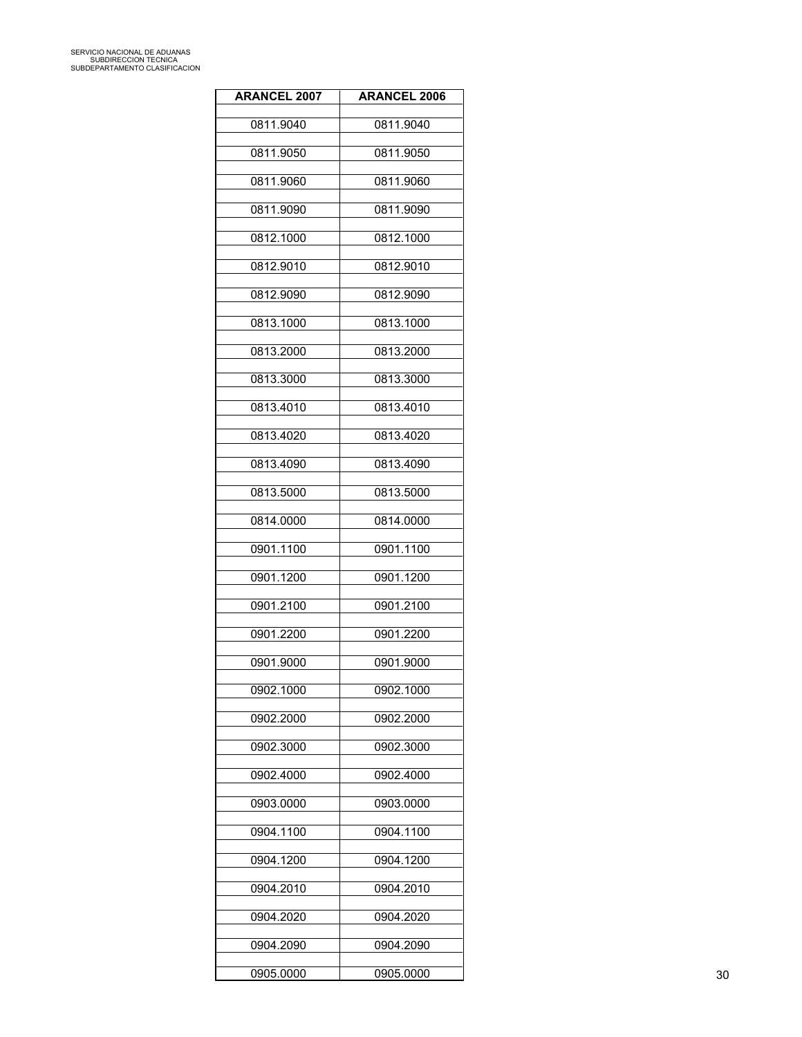| <b>ARANCEL 2006</b> |
|---------------------|
| 0811.9040           |
| 0811.9050           |
| 0811.9060           |
|                     |
| 0811.9090           |
| 0812.1000           |
| 0812.9010           |
| 0812.9090           |
| 0813.1000           |
| 0813.2000           |
| 0813.3000           |
| 0813.4010           |
| 0813.4020           |
| 0813.4090           |
|                     |
| 0813.5000           |
| 0814.0000           |
| 0901.1100           |
| 0901.1200           |
| 0901.2100           |
| 0901.2200           |
| 0901.9000           |
| 0902.1000           |
| 0902.2000           |
|                     |
| 0902.3000           |
| 0902.4000           |
| 0903.0000           |
| 0904.1100           |
| 0904.1200           |
| 0904.2010           |
| 0904.2020           |
| 0904.2090           |
| 0905.0000           |
|                     |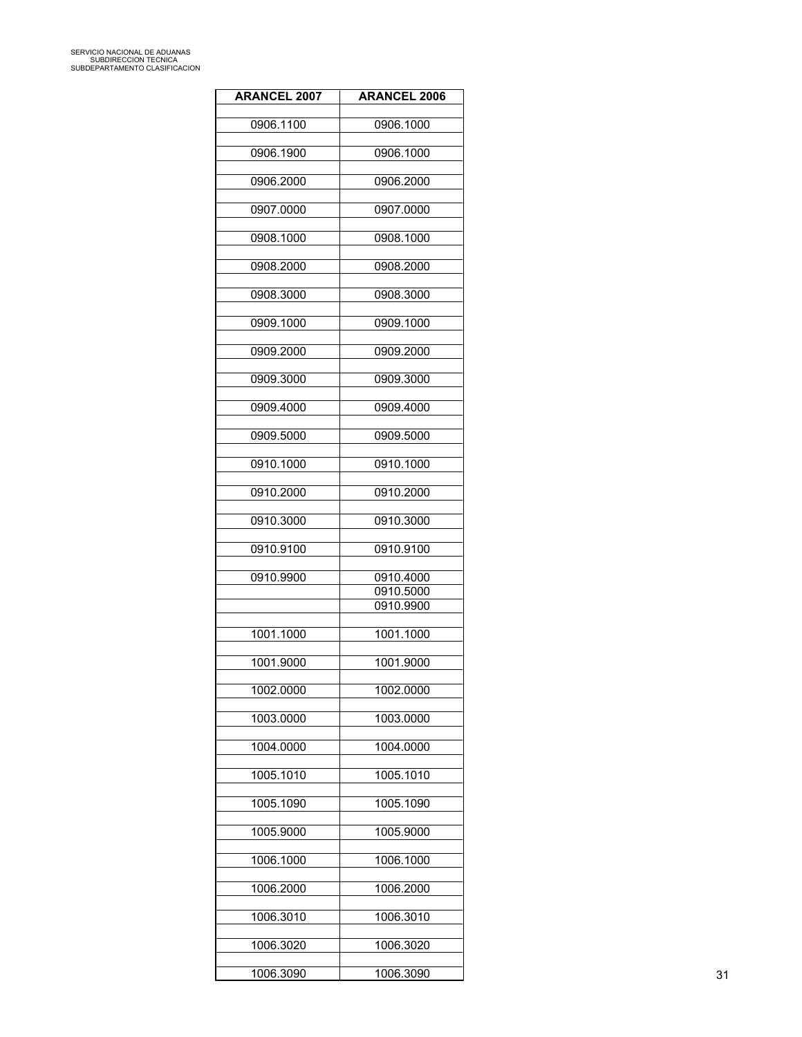| <b>ARANCEL 2007</b> | <b>ARANCEL 2006</b>    |
|---------------------|------------------------|
| 0906.1100           | 0906.1000              |
|                     | 0906.1000              |
| 0906.1900           |                        |
| 0906.2000           | 0906.2000              |
| 0907.0000           | 0907.0000              |
| 0908.1000           | 0908.1000              |
| 0908.2000           | 0908.2000              |
| 0908.3000           | 0908.3000              |
| 0909.1000           | 0909.1000              |
| 0909.2000           | 0909.2000              |
| 0909.3000           | 0909.3000              |
| 0909.4000           | 0909.4000              |
| 0909.5000           | 0909.5000              |
| 0910.1000           | 0910.1000              |
|                     |                        |
| 0910.2000           | 0910.2000              |
| 0910.3000           | 0910.3000              |
| 0910.9100           | 0910.9100              |
| 0910.9900           | 0910.4000              |
|                     | 0910.5000<br>0910.9900 |
| 1001.1000           | 1001.1000              |
| 1001.9000           | 1001.9000              |
| 1002.0000           | 1002.0000              |
| 1003.0000           | 1003.0000              |
| 1004.0000           | 1004.0000              |
|                     |                        |
| 1005.1010           | 1005.1010              |
| 1005.1090           | 1005.1090              |
| 1005.9000           | 1005.9000              |
| 1006.1000           | 1006.1000              |
| 1006.2000           | 1006.2000              |
| 1006.3010           | 1006.3010              |
| 1006.3020           | 1006.3020              |
| 1006.3090           | 1006.3090              |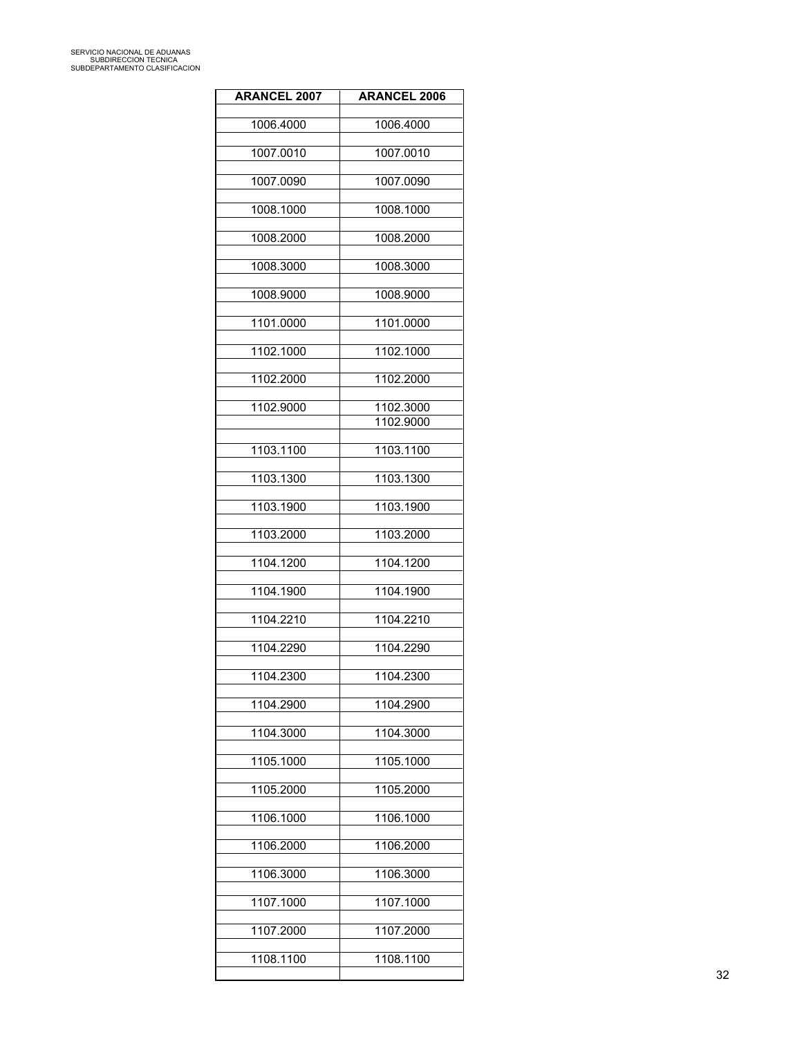| <b>ARANCEL 2007</b> | <b>ARANCEL 2006</b>    |
|---------------------|------------------------|
| 1006.4000           | 1006.4000              |
| 1007.0010           | 1007.0010              |
| 1007.0090           | 1007.0090              |
| 1008.1000           | 1008.1000              |
| 1008.2000           | 1008.2000              |
| 1008.3000           | 1008.3000              |
| 1008.9000           | 1008.9000              |
| 1101.0000           | 1101.0000              |
| 1102.1000           | 1102.1000              |
| 1102.2000           | 1102.2000              |
| 1102.9000           | 1102.3000<br>1102.9000 |
| 1103.1100           | 1103.1100              |
| 1103.1300           | 1103.1300              |
| 1103.1900           | 1103.1900              |
| 1103.2000           | 1103.2000              |
| 1104.1200           | 1104.1200              |
| 1104.1900           | 1104.1900              |
| 1104.2210           | 1104.2210              |
| 1104.2290           | 1104.2290              |
| 1104.2300           | 1104.2300              |
| 1104.2900           | 1104.2900              |
| 1104.3000           | 1104.3000              |
| 1105.1000           | 1105.1000              |
| 1105.2000           | 1105.2000              |
| 1106.1000           | 1106.1000              |
| 1106.2000           | 1106.2000              |
| 1106.3000           | 1106.3000              |
| 1107.1000           | 1107.1000              |
| 1107.2000           | 1107.2000              |
| 1108.1100           | 1108.1100              |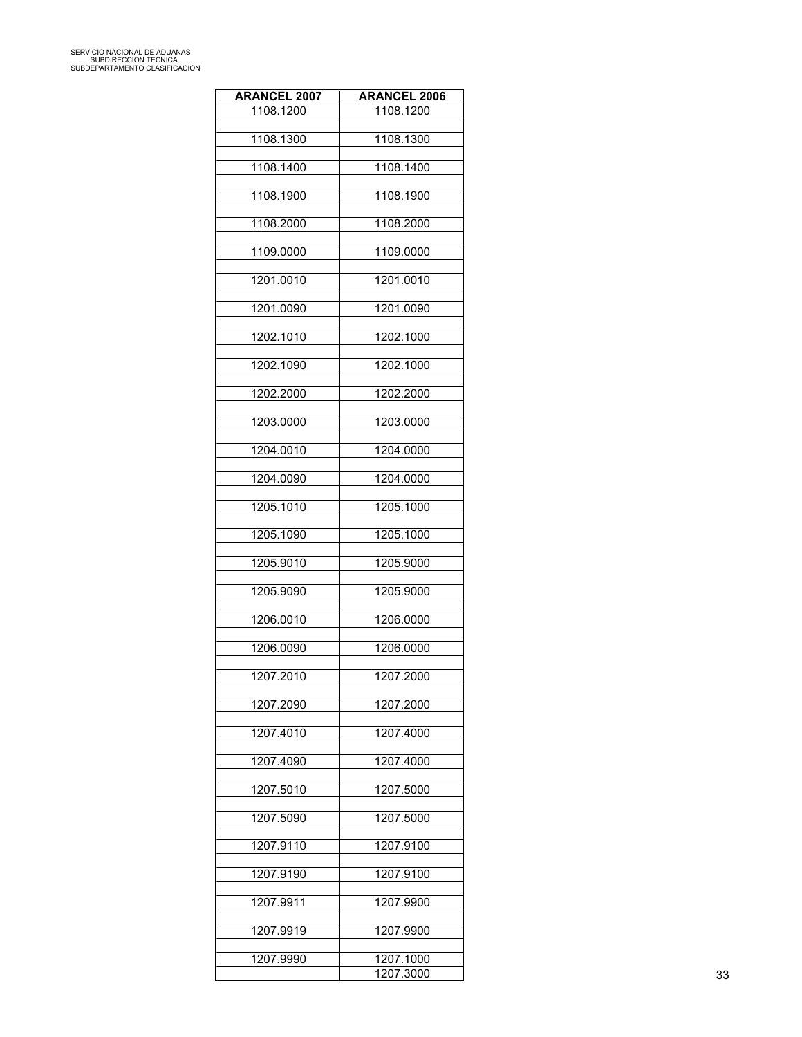| <b>ARANCEL 2007</b> | <b>ARANCEL 2006</b>    |
|---------------------|------------------------|
| 1108.1200           | 1108.1200              |
| 1108.1300           | 1108.1300              |
|                     |                        |
| 1108.1400           | 1108.1400              |
| 1108.1900           | 1108.1900              |
| 1108.2000           | 1108.2000              |
| 1109.0000           | 1109.0000              |
| 1201.0010           | 1201.0010              |
|                     |                        |
| 1201.0090           | 1201.0090              |
| 1202.1010           | 1202.1000              |
| 1202.1090           | 1202.1000              |
| 1202.2000           | 1202.2000              |
| 1203.0000           | 1203.0000              |
|                     |                        |
| 1204.0010           | 1204.0000              |
| 1204.0090           | 1204.0000              |
| 1205.1010           | 1205.1000              |
| 1205.1090           | 1205.1000              |
|                     |                        |
| 1205.9010           | 1205.9000              |
| 1205.9090           | 1205.9000              |
| 1206.0010           | 1206.0000              |
| 1206.0090           | 1206.0000              |
| 1207.2010           | 1207.2000              |
|                     |                        |
| 1207.2090           | 1207.2000              |
| 1207.4010           | 1207.4000              |
| 1207.4090           | 1207.4000              |
| 1207.5010           | 1207.5000              |
| 1207.5090           | 1207.5000              |
|                     |                        |
| 1207.9110           | 1207.9100              |
| 1207.9190           | 1207.9100              |
| 1207.9911           | 1207.9900              |
| 1207.9919           | 1207.9900              |
|                     |                        |
| 1207.9990           | 1207.1000<br>1207.3000 |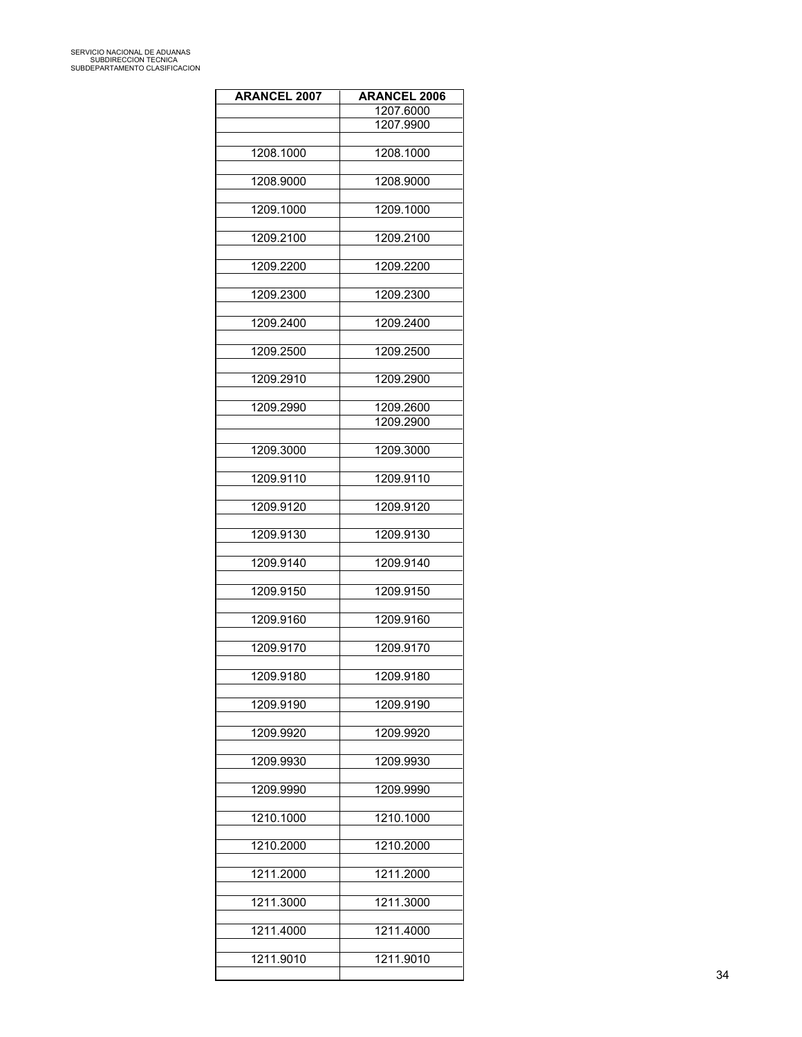| <b>ARANCEL 2007</b> | <b>ARANCEL 2006</b> |
|---------------------|---------------------|
|                     | 1207.6000           |
|                     | 1207.9900           |
|                     |                     |
| 1208.1000           | 1208.1000           |
| 1208.9000           | 1208.9000           |
| 1209.1000           | 1209.1000           |
| 1209.2100           | 1209.2100           |
| 1209.2200           | 1209.2200           |
| 1209.2300           | 1209.2300           |
| 1209.2400           | 1209.2400           |
| 1209.2500           | 1209.2500           |
| 1209.2910           | 1209.2900           |
|                     |                     |
| 1209.2990           | 1209.2600           |
|                     | 1209.2900           |
| 1209.3000           | 1209.3000           |
| 1209.9110           | 1209.9110           |
| 1209.9120           | 1209.9120           |
| 1209.9130           | 1209.9130           |
| 1209.9140           | 1209.9140           |
| 1209.9150           | 1209.9150           |
| 1209.9160           | 1209.9160           |
| 1209.9170           | 1209.9170           |
| 1209.9180           | 1209.9180           |
| 1209.9190           | 1209.9190           |
| 1209.9920           | 1209.9920           |
| 1209.9930           | 1209.9930           |
| 1209.9990           | 1209.9990           |
| 1210.1000           | 1210.1000           |
| 1210.2000           | 1210.2000           |
| 1211.2000           | 1211.2000           |
| 1211.3000           | 1211.3000           |
| 1211.4000           | 1211.4000           |
| 1211.9010           | 1211.9010           |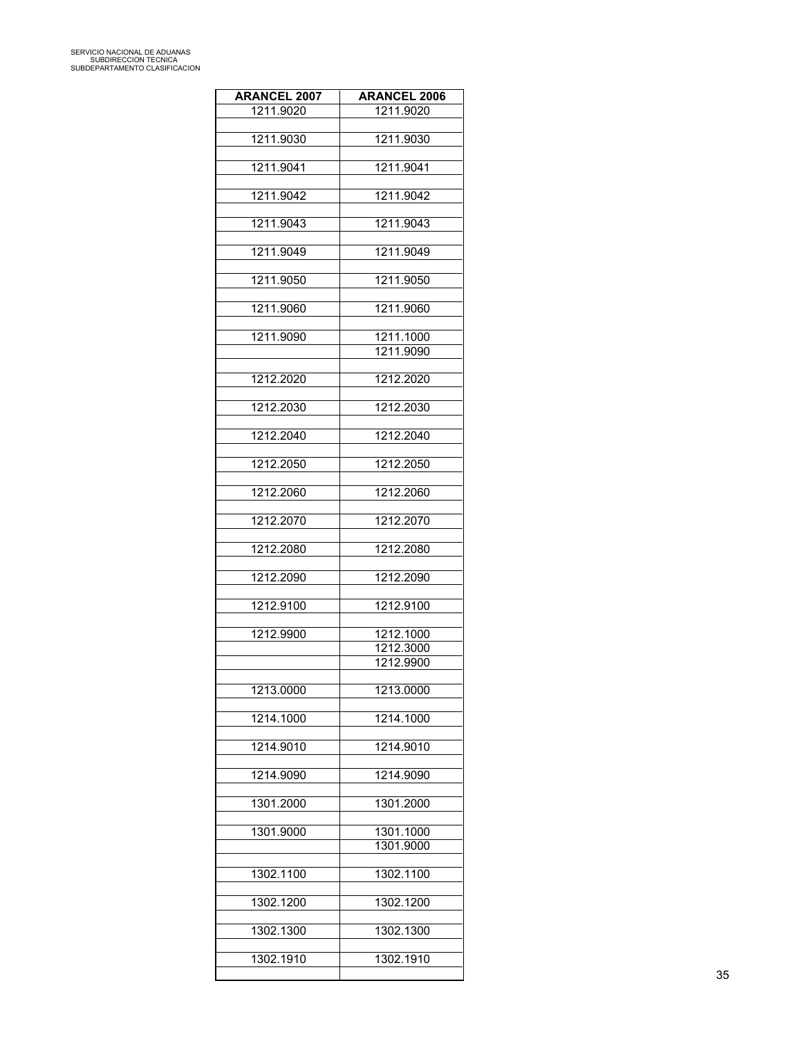| <b>ARANCEL 2007</b> | <b>ARANCEL 2006</b> |
|---------------------|---------------------|
| 1211.9020           | 1211.9020           |
| 1211.9030           | 1211.9030           |
| 1211.9041           | 1211.9041           |
| 1211.9042           | 1211.9042           |
| 1211.9043           | 1211.9043           |
| 1211.9049           | 1211.9049           |
| 1211.9050           | 1211.9050           |
| 1211.9060           | 1211.9060           |
|                     |                     |
| 1211.9090           | 1211.1000           |
|                     | 1211.9090           |
| 1212.2020           | 1212.2020           |
| 1212.2030           | 1212.2030           |
| 1212.2040           | 1212.2040           |
| 1212.2050           | 1212.2050           |
| 1212.2060           | 1212.2060           |
| 1212.2070           | 1212.2070           |
| 1212.2080           | 1212.2080           |
| 1212.2090           | 1212.2090           |
| 1212.9100           | 1212.9100           |
| 1212.9900           | 1212.1000           |
|                     | 1212.3000           |
|                     | 1212.9900           |
| 1213.0000           | 1213.0000           |
| 1214.1000           | 1214.1000           |
|                     |                     |
| 1214.9010           | 1214.9010           |
| 1214.9090           | 1214.9090           |
| 1301.2000           | 1301.2000           |
| 1301.9000           | 1301.1000           |
|                     | 1301.9000           |
| 1302.1100           | 1302.1100           |
| 1302.1200           | 1302.1200           |
| 1302.1300           | 1302.1300           |
| 1302.1910           | 1302.1910           |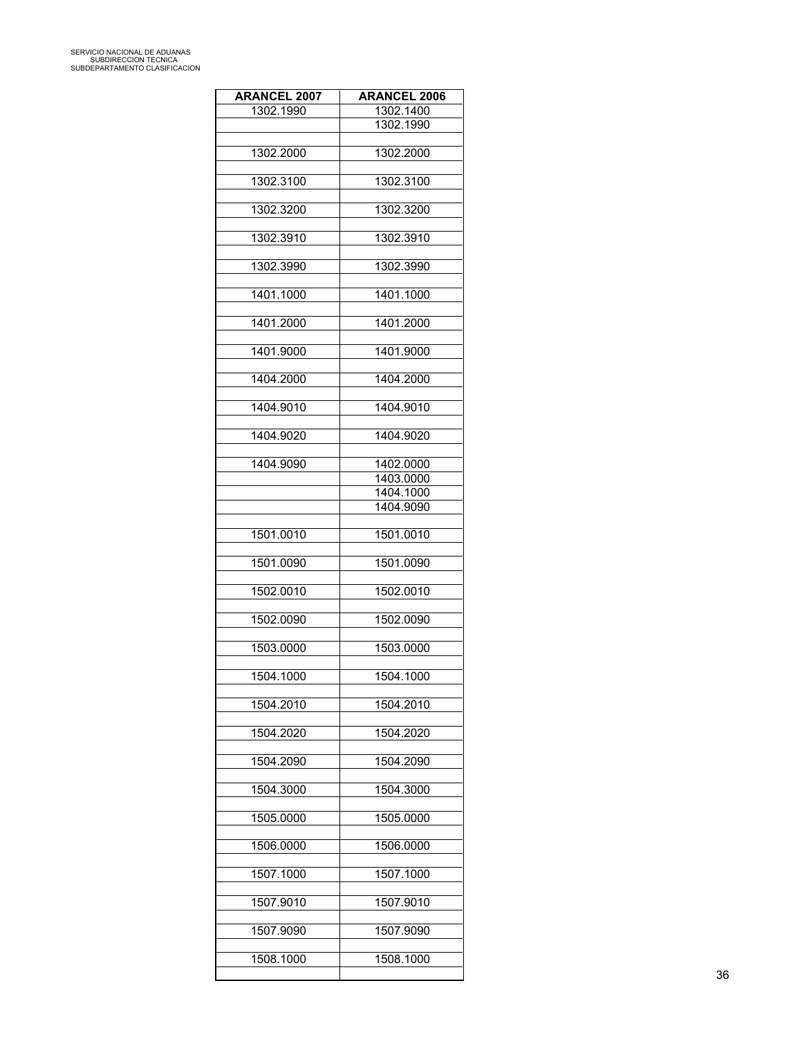| <b>ARANCEL 2007</b> | <b>ARANCEL 2006</b> |
|---------------------|---------------------|
| 1302.1990           | 1302.1400           |
|                     | 1302.1990           |
|                     |                     |
| 1302.2000           | 1302.2000           |
|                     |                     |
| 1302.3100           | 1302.3100           |
| 1302.3200           | 1302.3200           |
|                     |                     |
| 1302.3910           | 1302.3910           |
|                     |                     |
| 1302.3990           | 1302.3990           |
|                     |                     |
| 1401.1000           | 1401.1000           |
|                     |                     |
| 1401.2000           | 1401.2000           |
|                     | 1401.9000           |
| 1401.9000           |                     |
| 1404.2000           | 1404.2000           |
|                     |                     |
| 1404.9010           | 1404.9010           |
|                     |                     |
| 1404.9020           | 1404.9020           |
|                     |                     |
| 1404.9090           | 1402.0000           |
|                     | 1403.0000           |
|                     | 1404.1000           |
|                     | 1404.9090           |
| 1501.0010           |                     |
|                     | 1501.0010           |
| 1501.0090           | 1501.0090           |
|                     |                     |
| 1502.0010           | 1502.0010           |
|                     |                     |
| 1502.0090           | 1502.0090           |
|                     |                     |
| 1503.0000           | 1503.0000           |
|                     |                     |
| 1504.1000           | 1504.1000           |
| 1504.2010           | 1504.2010           |
|                     |                     |
| 1504.2020           | 1504.2020           |
|                     |                     |
| 1504.2090           | 1504.2090           |
|                     |                     |
| 1504.3000           | 1504.3000           |
|                     |                     |
| 1505.0000           | 1505.0000           |
| 1506.0000           | 1506.0000           |
|                     |                     |
| 1507.1000           | 1507.1000           |
|                     |                     |
| 1507.9010           | 1507.9010           |
|                     |                     |
| 1507.9090           | 1507.9090           |
|                     |                     |
| 1508.1000           | 1508.1000           |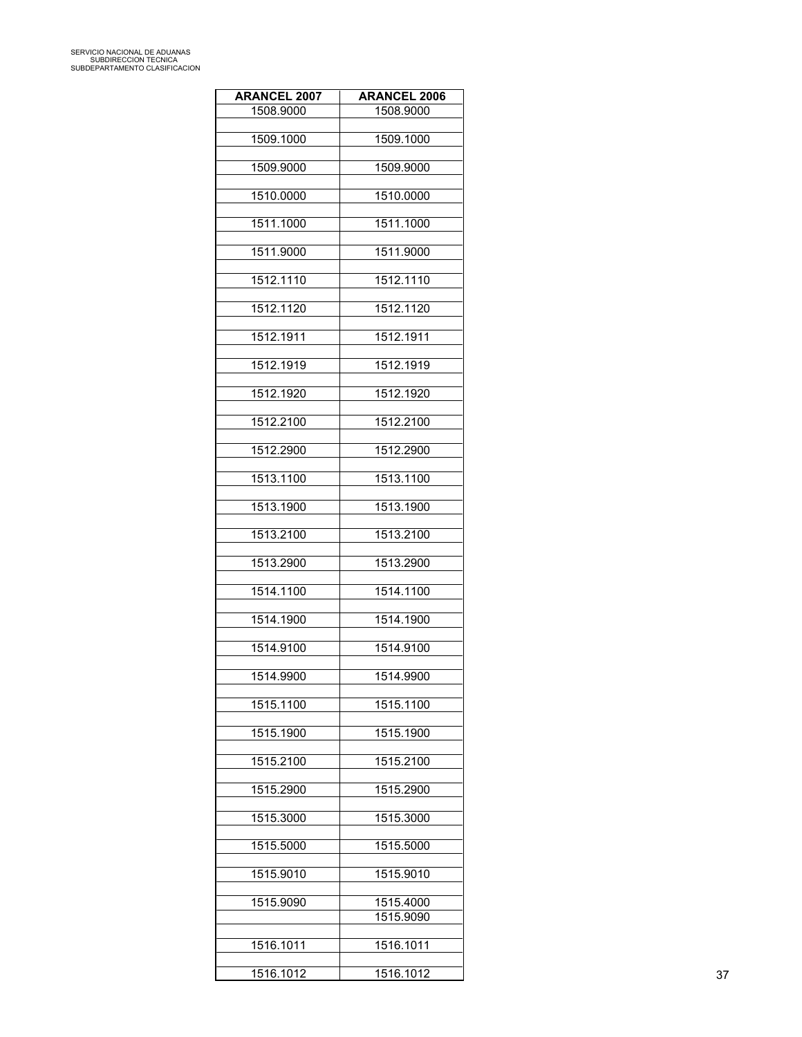| <b>ARANCEL 2007</b> | <b>ARANCEL 2006</b> |
|---------------------|---------------------|
| 1508.9000           | 1508.9000           |
| 1509.1000           | 1509.1000           |
| 1509.9000           | 1509.9000           |
| 1510.0000           | 1510.0000           |
| 1511.1000           | 1511.1000           |
| 1511.9000           | 1511.9000           |
|                     |                     |
| 1512.1110           | 1512.1110           |
| 1512.1120           | 1512.1120           |
| 1512.1911           | 1512.1911           |
| 1512.1919           | 1512.1919           |
| 1512.1920           | 1512.1920           |
| 1512.2100           | 1512.2100           |
|                     |                     |
| 1512.2900           | 1512.2900           |
| 1513.1100           | 1513.1100           |
| 1513.1900           | 1513.1900           |
| 1513.2100           | 1513.2100           |
| 1513.2900           | 1513.2900           |
| 1514.1100           | 1514.1100           |
| 1514.1900           | 1514.1900           |
|                     |                     |
| 1514.9100           | 1514.9100           |
| 1514.9900           | 1514.9900           |
| 1515.1100           | 1515.1100           |
| 1515.1900           | 1515.1900           |
| 1515.2100           | 1515.2100           |
| 1515.2900           | 1515.2900           |
| 1515.3000           | 1515.3000           |
|                     |                     |
| 1515.5000           | 1515.5000           |
| 1515.9010           | 1515.9010           |
| 1515.9090           | 1515.4000           |
|                     | 1515.9090           |
| 1516.1011           | 1516.1011           |
| 1516.1012           | 1516.1012           |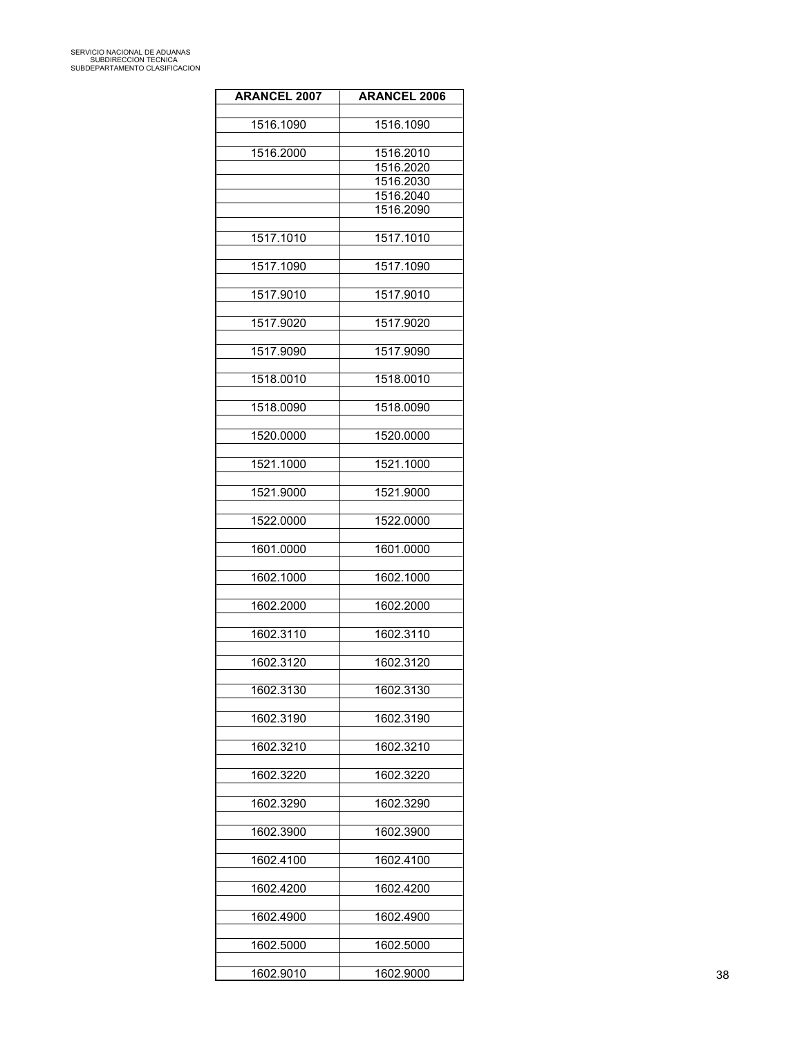| <b>ARANCEL 2007</b> | <b>ARANCEL 2006</b>    |
|---------------------|------------------------|
| 1516.1090           | 1516.1090              |
|                     |                        |
| 1516.2000           | 1516.2010              |
|                     | 1516.2020              |
|                     | 1516.2030<br>1516.2040 |
|                     | 1516.2090              |
|                     |                        |
| 1517.1010           | 1517.1010              |
|                     |                        |
| 1517.1090           | 1517.1090              |
| 1517.9010           | 1517.9010              |
|                     |                        |
| 1517.9020           | 1517.9020              |
|                     |                        |
| 1517.9090           | 1517.9090              |
|                     |                        |
| 1518.0010           | 1518.0010              |
| 1518.0090           | 1518.0090              |
|                     |                        |
| 1520.0000           | 1520.0000              |
|                     |                        |
| 1521.1000           | 1521.1000              |
|                     |                        |
| 1521.9000           | 1521.9000              |
|                     |                        |
| 1522.0000           | 1522.0000              |
| 1601.0000           | 1601.0000              |
|                     |                        |
| 1602.1000           | 1602.1000              |
|                     |                        |
| 1602.2000           | 1602.2000              |
|                     |                        |
| 1602.3110           | 1602.3110              |
| 1602.3120           | 1602.3120              |
|                     |                        |
| 1602.3130           | 1602.3130              |
|                     |                        |
| 1602.3190           | 1602.3190              |
|                     |                        |
| 1602.3210           | 1602.3210              |
| 1602.3220           | 1602.3220              |
|                     |                        |
| 1602.3290           | 1602.3290              |
|                     |                        |
| 1602.3900           | 1602.3900              |
|                     |                        |
| 1602.4100           | 1602.4100              |
|                     |                        |
| 1602.4200           | 1602.4200              |
| 1602.4900           | 1602.4900              |
|                     |                        |
| 1602.5000           | 1602.5000              |
|                     |                        |
| 1602.9010           | 1602.9000              |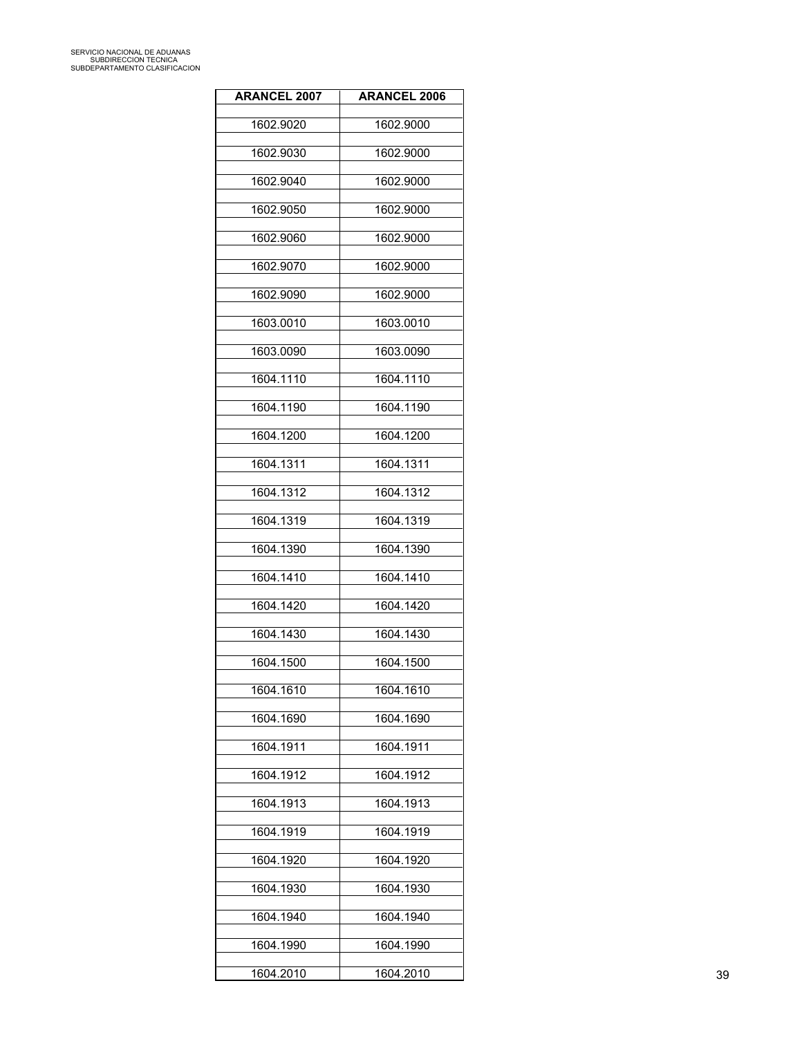| <b>ARANCEL 2007</b> | <b>ARANCEL 2006</b> |
|---------------------|---------------------|
| 1602.9020           | 1602.9000           |
| 1602.9030           | 1602.9000           |
| 1602.9040           | 1602.9000           |
|                     |                     |
| 1602.9050           | 1602.9000           |
| 1602.9060           | 1602.9000           |
| 1602.9070           | 1602.9000           |
| 1602.9090           | 1602.9000           |
| 1603.0010           | 1603.0010           |
| 1603.0090           | 1603.0090           |
| 1604.1110           | 1604.1110           |
| 1604.1190           | 1604.1190           |
| 1604.1200           | 1604.1200           |
| 1604.1311           | 1604.1311           |
| 1604.1312           | 1604.1312           |
| 1604.1319           | 1604.1319           |
| 1604.1390           | 1604.1390           |
|                     |                     |
| 1604.1410           | 1604.1410           |
| 1604.1420           | 1604.1420           |
| 1604.1430           | 1604.1430           |
| 1604.1500           | 1604.1500           |
| 1604.1610           | 1604.1610           |
| 1604.1690           | 1604.1690           |
| 1604.1911           | 1604.1911           |
| 1604.1912           | 1604.1912           |
| 1604.1913           | 1604.1913           |
| 1604.1919           | 1604.1919           |
| 1604.1920           | 1604.1920           |
| 1604.1930           | 1604.1930           |
|                     |                     |
| 1604.1940           | 1604.1940           |
| 1604.1990           | 1604.1990           |
| 1604.2010           | 1604.2010           |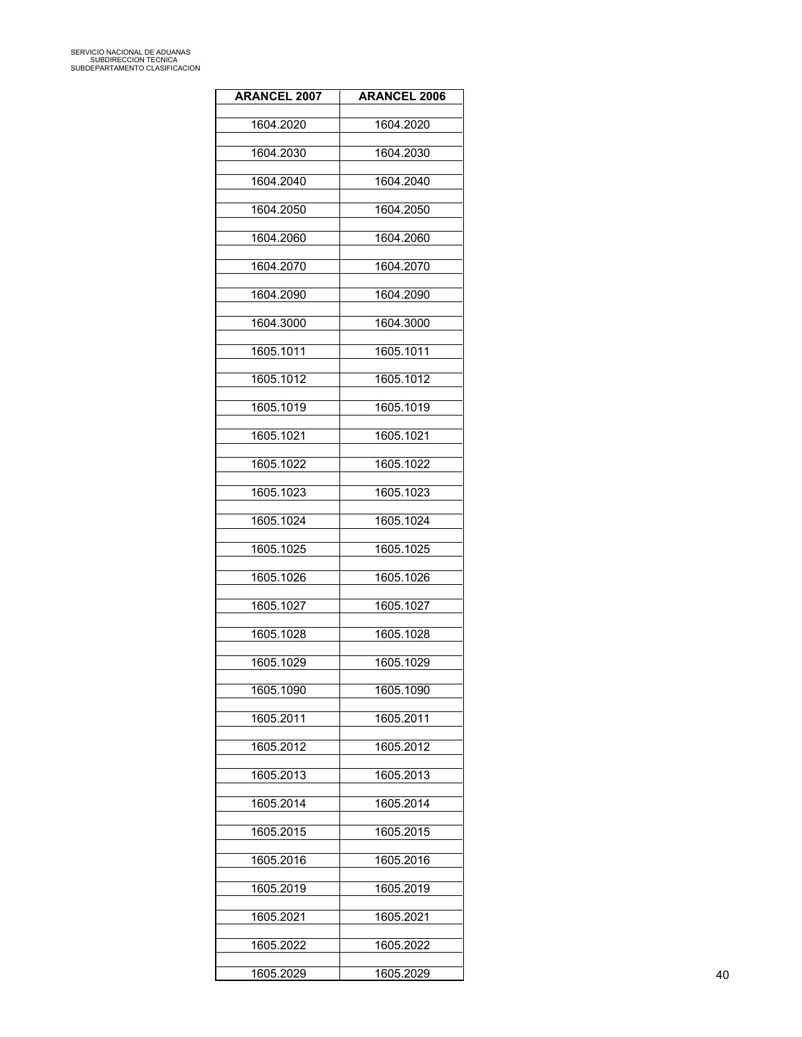| <b>ARANCEL 2007</b> | <b>ARANCEL 2006</b> |
|---------------------|---------------------|
| 1604.2020           | 1604.2020           |
| 1604.2030           | 1604.2030           |
| 1604.2040           | 1604.2040           |
| 1604.2050           | 1604.2050           |
| 1604.2060           | 1604.2060           |
| 1604.2070           | 1604.2070           |
| 1604.2090           | 1604.2090           |
|                     |                     |
| 1604.3000           | 1604.3000           |
| 1605.1011           | 1605.1011           |
| 1605.1012           | 1605.1012           |
| 1605.1019           | 1605.1019           |
| 1605.1021           | 1605.1021           |
| 1605.1022           | 1605.1022           |
| 1605.1023           | 1605.1023           |
| 1605.1024           | 1605.1024           |
| 1605.1025           | 1605.1025           |
| 1605.1026           | 1605.1026           |
| 1605.1027           | 1605.1027           |
| 1605.1028           | 1605.1028           |
| 1605.1029           | 1605.1029           |
| 1605.1090           | 1605.1090           |
| 1605.2011           | 1605.2011           |
| 1605.2012           | 1605.2012           |
| 1605.2013           | 1605.2013           |
|                     |                     |
| 1605.2014           | 1605.2014           |
| 1605.2015           | 1605.2015           |
| 1605.2016           | 1605.2016           |
| 1605.2019           | 1605.2019           |
| 1605.2021           | 1605.2021           |
| 1605.2022           | 1605.2022           |
| 1605.2029           | 1605.2029           |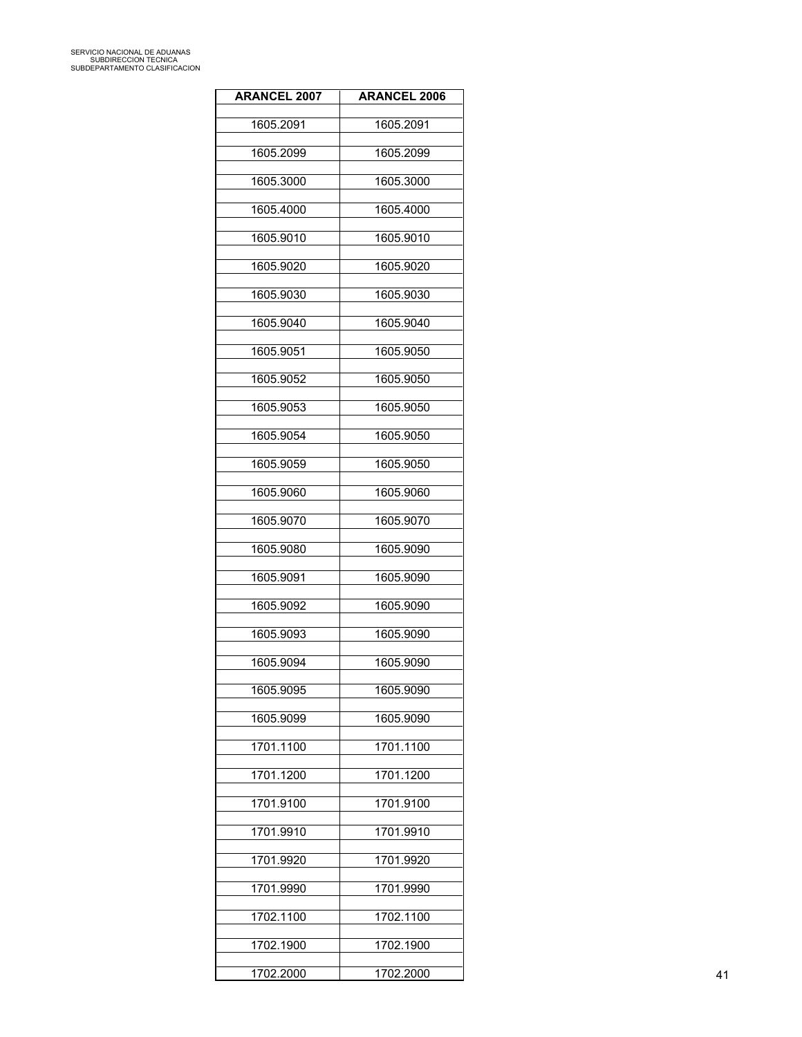| <b>ARANCEL 2007</b> | <b>ARANCEL 2006</b> |
|---------------------|---------------------|
| 1605.2091           | 1605.2091           |
| 1605.2099           | 1605.2099           |
| 1605.3000           | 1605.3000           |
| 1605.4000           | 1605.4000           |
|                     | 1605.9010           |
| 1605.9010           |                     |
| 1605.9020           | 1605.9020           |
| 1605.9030           | 1605.9030           |
| 1605.9040           | 1605.9040           |
| 1605.9051           | 1605.9050           |
| 1605.9052           | 1605.9050           |
| 1605.9053           | 1605.9050           |
| 1605.9054           | 1605.9050           |
| 1605.9059           | 1605.9050           |
| 1605.9060           | 1605.9060           |
| 1605.9070           | 1605.9070           |
| 1605.9080           | 1605.9090           |
| 1605.9091           | 1605.9090           |
|                     |                     |
| 1605.9092           | 1605.9090           |
| 1605.9093           | 1605.9090           |
| 1605.9094           | 1605.9090           |
| 1605.9095           | 1605.9090           |
| 1605.9099           | 1605.9090           |
| 1701.1100           | 1701.1100           |
| 1701.1200           | 1701.1200           |
| 1701.9100           | 1701.9100           |
| 1701.9910           | 1701.9910           |
| 1701.9920           | 1701.9920           |
| 1701.9990           | 1701.9990           |
|                     |                     |
| 1702.1100           | 1702.1100           |
| 1702.1900           | 1702.1900           |
| 1702.2000           | 1702.2000           |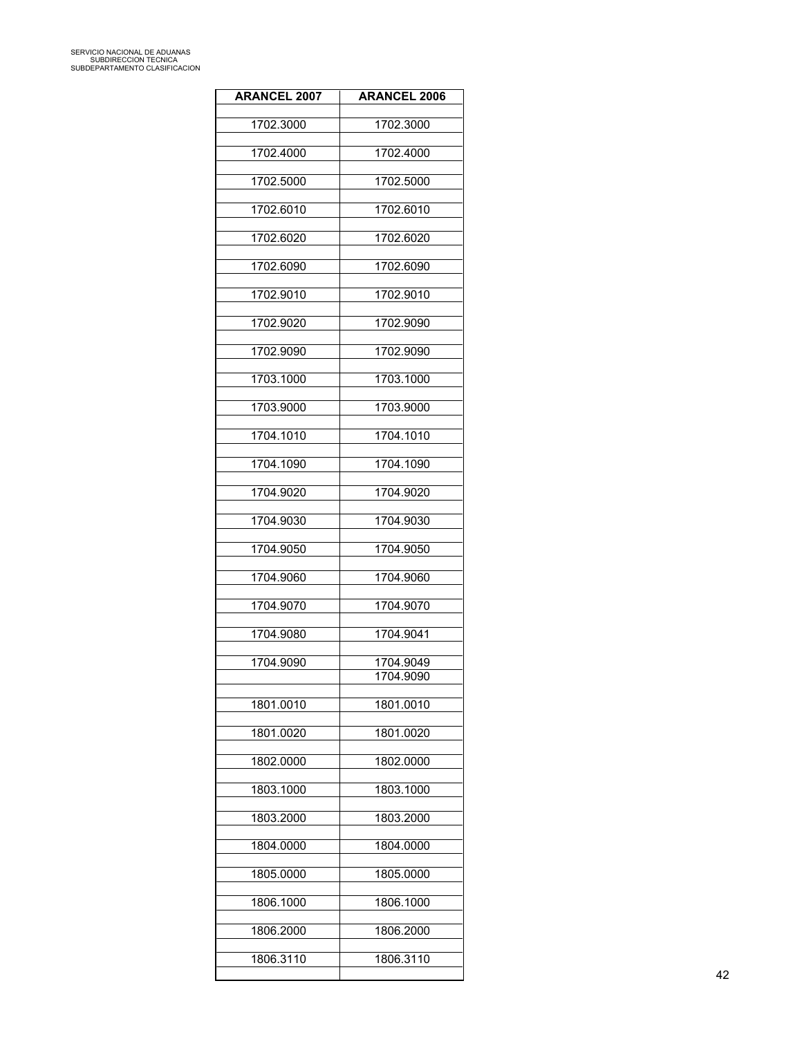| <b>ARANCEL 2007</b> | <b>ARANCEL 2006</b> |
|---------------------|---------------------|
| 1702.3000           |                     |
|                     | 1702.3000           |
| 1702.4000           | 1702.4000           |
| 1702.5000           | 1702.5000           |
| 1702.6010           | 1702.6010           |
| 1702.6020           | 1702.6020           |
| 1702.6090           | 1702.6090           |
| 1702.9010           | 1702.9010           |
| 1702.9020           | 1702.9090           |
| 1702.9090           | 1702.9090           |
| 1703.1000           | 1703.1000           |
| 1703.9000           | 1703.9000           |
| 1704.1010           | 1704.1010           |
| 1704.1090           | 1704.1090           |
| 1704.9020           | 1704.9020           |
| 1704.9030           | 1704.9030           |
| 1704.9050           | 1704.9050           |
| 1704.9060           | 1704.9060           |
| 1704.9070           | 1704.9070           |
| 1704.9080           | 1704.9041           |
|                     |                     |
| 1704.9090           | 1704.9049           |
|                     | 1704.9090           |
| 1801.0010           | 1801.0010           |
| 1801.0020           | 1801.0020           |
| 1802.0000           | 1802.0000           |
| 1803.1000           | 1803.1000           |
| 1803.2000           | 1803.2000           |
|                     |                     |
| 1804.0000           | 1804.0000           |
| 1805.0000           | 1805.0000           |
| 1806.1000           | 1806.1000           |
| 1806.2000           | 1806.2000           |
| 1806.3110           | 1806.3110           |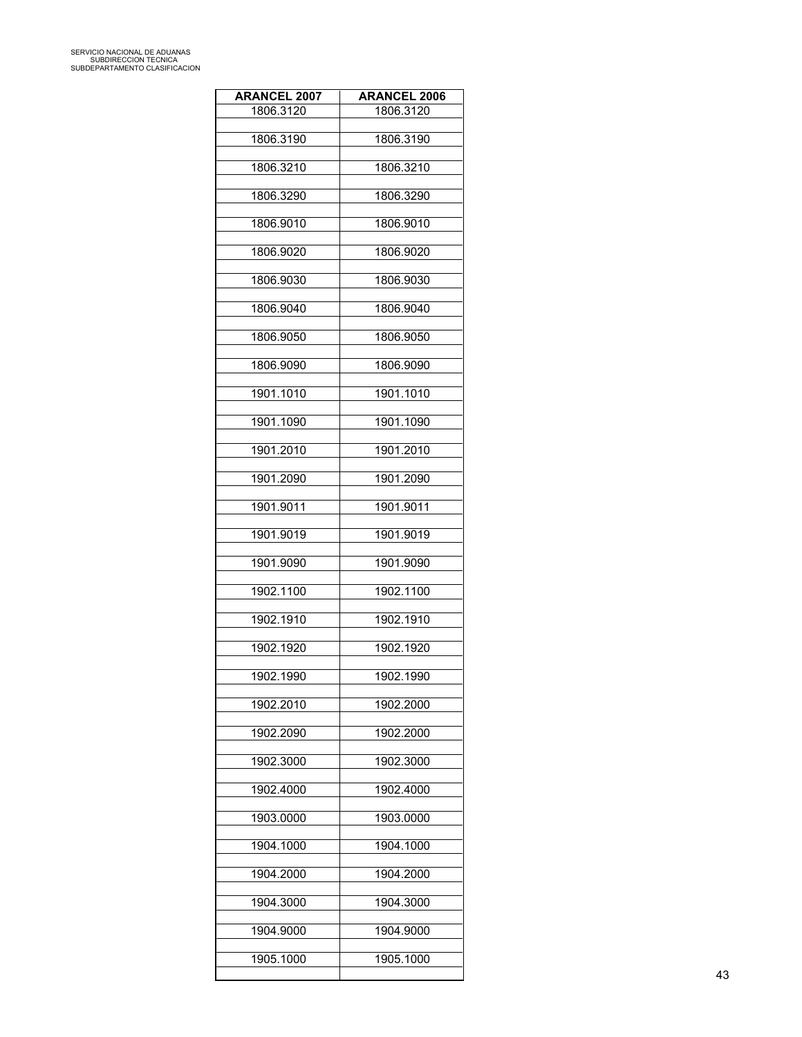| <b>ARANCEL 2007</b> | <b>ARANCEL 2006</b> |
|---------------------|---------------------|
| 1806.3120           | 1806.3120           |
| 1806.3190           | 1806.3190           |
| 1806.3210           | 1806.3210           |
| 1806.3290           | 1806.3290           |
| 1806.9010           | 1806.9010           |
| 1806.9020           | 1806.9020           |
| 1806.9030           | 1806.9030           |
| 1806.9040           | 1806.9040           |
| 1806.9050           | 1806.9050           |
| 1806.9090           | 1806.9090           |
| 1901.1010           | 1901.1010           |
| 1901.1090           | 1901.1090           |
| 1901.2010           | 1901.2010           |
| 1901.2090           | 1901.2090           |
| 1901.9011           | 1901.9011           |
| 1901.9019           | 1901.9019           |
| 1901.9090           | 1901.9090           |
| 1902.1100           | 1902.1100           |
| 1902.1910           | 1902.1910           |
| 1902.1920           | 1902.1920           |
| 1902.1990           | 1902.1990           |
| 1902.2010           | 1902.2000           |
| 1902.2090           | 1902.2000           |
| 1902.3000           | 1902.3000           |
| 1902.4000           | 1902.4000           |
| 1903.0000           | 1903.0000           |
| 1904.1000           | 1904.1000           |
| 1904.2000           | 1904.2000           |
| 1904.3000           | 1904.3000           |
| 1904.9000           | 1904.9000           |
| 1905.1000           | 1905.1000           |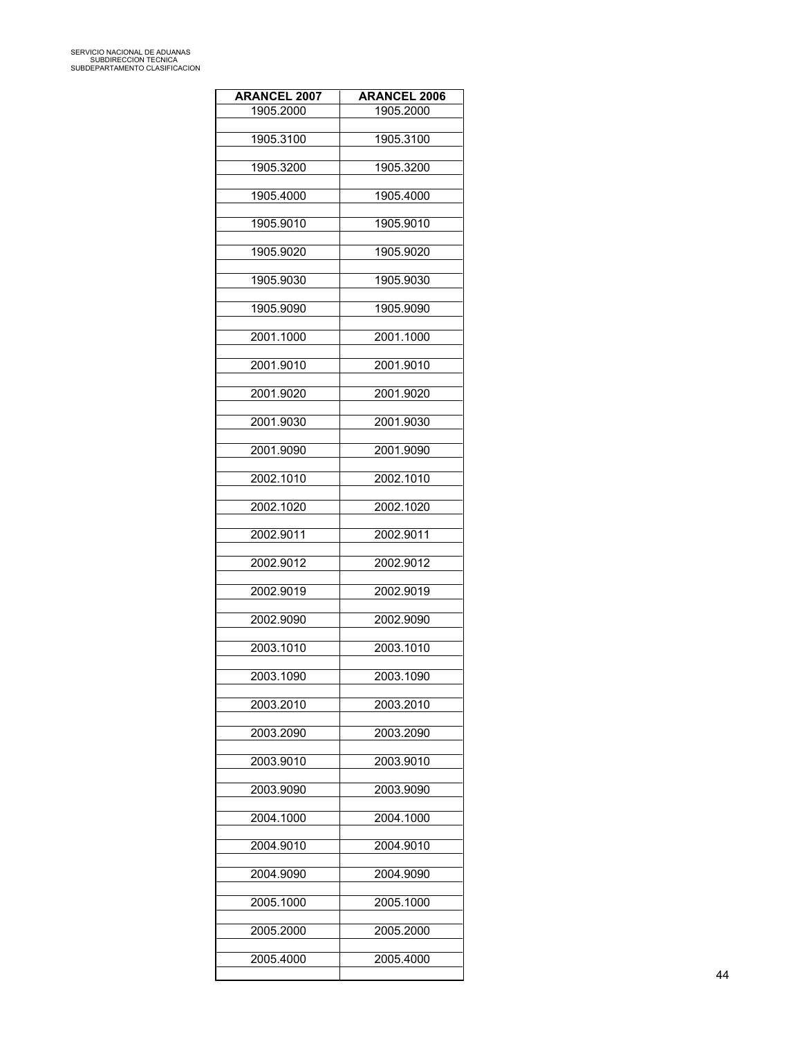| <b>ARANCEL 2007</b> | <b>ARANCEL 2006</b> |
|---------------------|---------------------|
| 1905.2000           | 1905.2000           |
| 1905.3100           | 1905.3100           |
| 1905.3200           | 1905.3200           |
| 1905.4000           | 1905.4000           |
| 1905.9010           | 1905.9010           |
| 1905.9020           | 1905.9020           |
| 1905.9030           | 1905.9030           |
| 1905.9090           | 1905.9090           |
| 2001.1000           | 2001.1000           |
| 2001.9010           | 2001.9010           |
| 2001.9020           | 2001.9020           |
| 2001.9030           | 2001.9030           |
| 2001.9090           | 2001.9090           |
| 2002.1010           | 2002.1010           |
| 2002.1020           | 2002.1020           |
| 2002.9011           | 2002.9011           |
| 2002.9012           | 2002.9012           |
| 2002.9019           | 2002.9019           |
| 2002.9090           | 2002.9090           |
| 2003.1010           | 2003.1010           |
| 2003.1090           | 2003.1090           |
| 2003.2010           | 2003.2010           |
| 2003.2090           | 2003.2090           |
| 2003.9010           | 2003.9010           |
| 2003.9090           | 2003.9090           |
| 2004.1000           | 2004.1000           |
| 2004.9010           | 2004.9010           |
| 2004.9090           | 2004.9090           |
| 2005.1000           | 2005.1000           |
| 2005.2000           | 2005.2000           |
| 2005.4000           | 2005.4000           |
|                     |                     |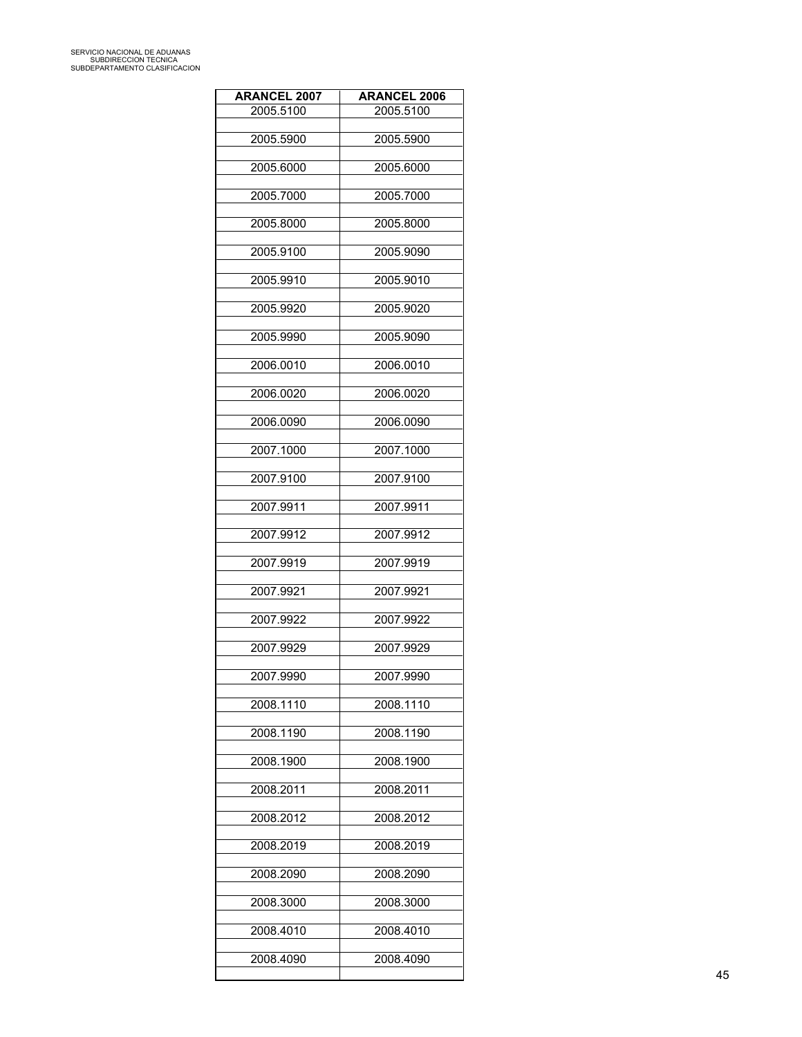| <b>ARANCEL 2007</b> | <b>ARANCEL 2006</b> |
|---------------------|---------------------|
| 2005.5100           | 2005.5100           |
| 2005.5900           | 2005.5900           |
| 2005.6000           | 2005.6000           |
| 2005.7000           | 2005.7000           |
| 2005.8000           | 2005.8000           |
| 2005.9100           | 2005.9090           |
| 2005.9910           | 2005.9010           |
| 2005.9920           | 2005.9020           |
| 2005.9990           | 2005.9090           |
| 2006.0010           | 2006.0010           |
| 2006.0020           | 2006.0020           |
| 2006.0090           | 2006.0090           |
| 2007.1000           | 2007.1000           |
| 2007.9100           | 2007.9100           |
| 2007.9911           | 2007.9911           |
| 2007.9912           | 2007.9912           |
| 2007.9919           | 2007.9919           |
| 2007.9921           | 2007.9921           |
| 2007.9922           | 2007.9922           |
| 2007.9929           | 2007.9929           |
| 2007.9990           | 2007.9990           |
| 2008.1110           | 2008.1110           |
| 2008.1190           | 2008.1190           |
| 2008.1900           | 2008.1900           |
| 2008.2011           | 2008.2011           |
| 2008.2012           | 2008.2012           |
| 2008.2019           | 2008.2019           |
| 2008.2090           | 2008.2090           |
| 2008.3000           | 2008.3000           |
| 2008.4010           | 2008.4010           |
| 2008.4090           | 2008.4090           |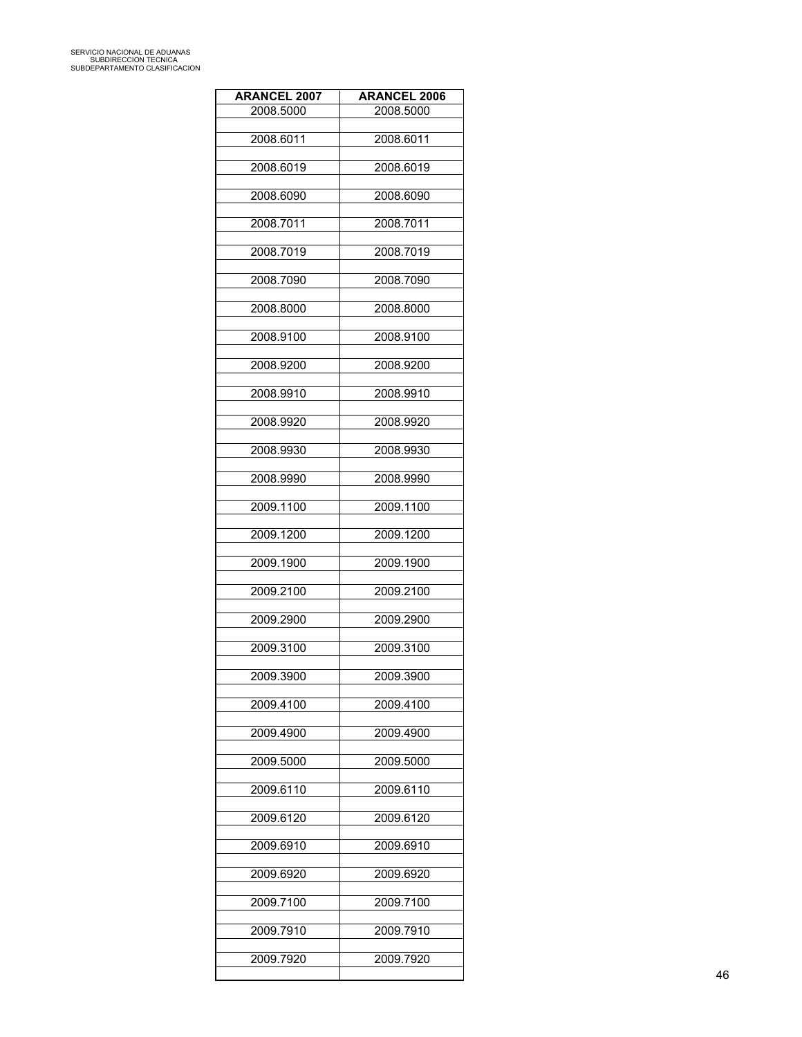| <b>ARANCEL 2007</b> | <b>ARANCEL 2006</b> |
|---------------------|---------------------|
| 2008.5000           | 2008.5000           |
| 2008.6011           | 2008.6011           |
| 2008.6019           | 2008.6019           |
| 2008.6090           | 2008.6090           |
| 2008.7011           | 2008.7011           |
| 2008.7019           | 2008.7019           |
| 2008.7090           | 2008.7090           |
| 2008.8000           | 2008.8000           |
| 2008.9100           | 2008.9100           |
| 2008.9200           | 2008.9200           |
| 2008.9910           | 2008.9910           |
| 2008.9920           | 2008.9920           |
| 2008.9930           | 2008.9930           |
| 2008.9990           | 2008.9990           |
| 2009.1100           | 2009.1100           |
| 2009.1200           | 2009.1200           |
| 2009.1900           | 2009.1900           |
| 2009.2100           | 2009.2100           |
| 2009.2900           | 2009.2900           |
| 2009.3100           | 2009.3100           |
| 2009.3900           | 2009.3900           |
| 2009.4100           | 2009.4100           |
| 2009.4900           | 2009.4900           |
| 2009.5000           | 2009.5000           |
| 2009.6110           | 2009.6110           |
| 2009.6120           | 2009.6120           |
| 2009.6910           | 2009.6910           |
| 2009.6920           | 2009.6920           |
| 2009.7100           | 2009.7100           |
| 2009.7910           | 2009.7910           |
| 2009.7920           | 2009.7920           |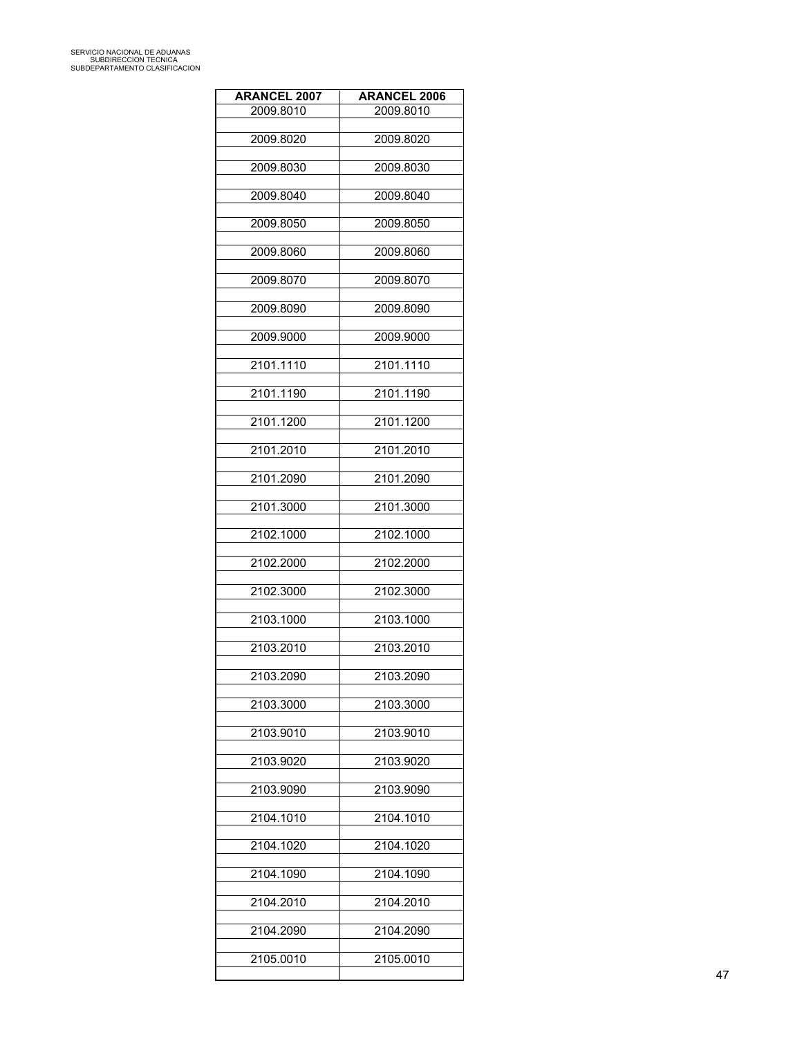| <b>ARANCEL 2007</b> | <b>ARANCEL 2006</b> |
|---------------------|---------------------|
| 2009.8010           | 2009.8010           |
| 2009.8020           | 2009.8020           |
| 2009.8030           | 2009.8030           |
| 2009.8040           | 2009.8040           |
| 2009.8050           | 2009.8050           |
| 2009.8060           | 2009.8060           |
| 2009.8070           | 2009.8070           |
| 2009.8090           | 2009.8090           |
| 2009.9000           | 2009.9000           |
| 2101.1110           | 2101.1110           |
| 2101.1190           | 2101.1190           |
| 2101.1200           | 2101.1200           |
| 2101.2010           | 2101.2010           |
| 2101.2090           | 2101.2090           |
| 2101.3000           | 2101.3000           |
| 2102.1000           | 2102.1000           |
| 2102.2000           | 2102.2000           |
| 2102.3000           | 2102.3000           |
| 2103.1000           | 2103.1000           |
| 2103.2010           | 2103.2010           |
| 2103.2090           | 2103.2090           |
| 2103.3000           | 2103.3000           |
| 2103.9010           | 2103.9010           |
| 2103.9020           | 2103.9020           |
| 2103.9090           | 2103.9090           |
| 2104.1010           | 2104.1010           |
| 2104.1020           | 2104.1020           |
| 2104.1090           | 2104.1090           |
| 2104.2010           | 2104.2010           |
| 2104.2090           | 2104.2090           |
| 2105.0010           | 2105.0010           |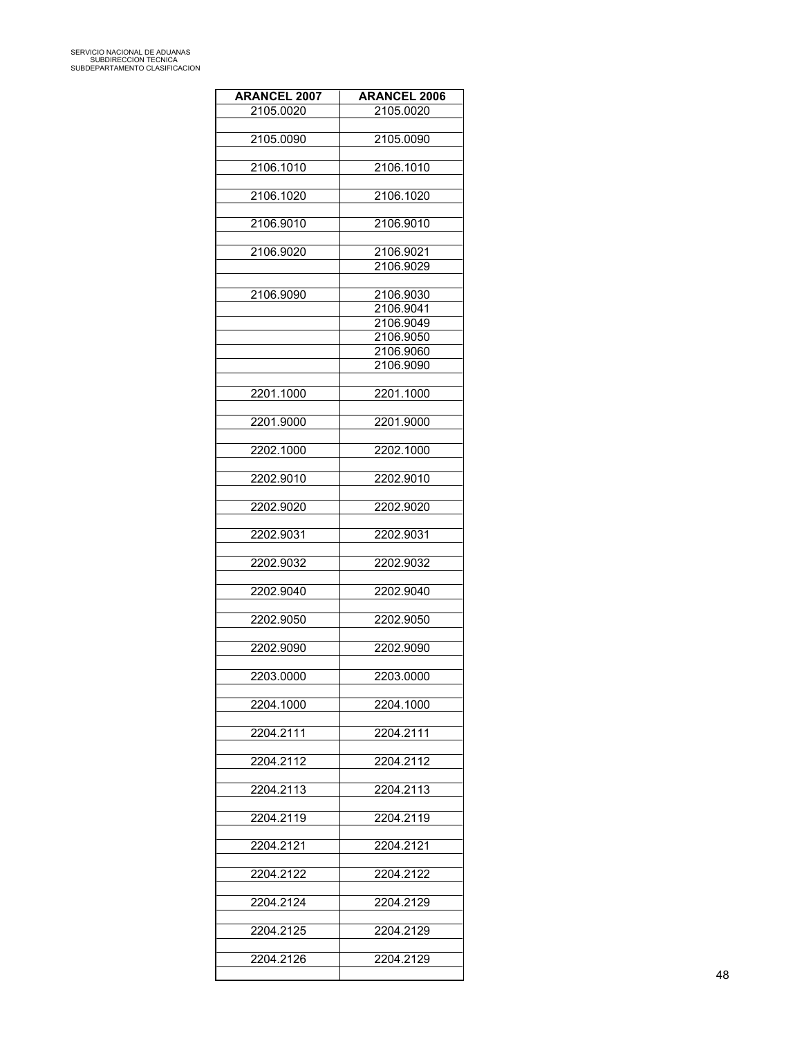| <b>ARANCEL 2007</b> | <b>ARANCEL 2006</b> |
|---------------------|---------------------|
| 2105.0020           | 2105.0020           |
|                     |                     |
| 2105.0090           | 2105.0090           |
| 2106.1010           | 2106.1010           |
|                     |                     |
| 2106.1020           | 2106.1020           |
| 2106.9010           | 2106.9010           |
|                     |                     |
| 2106.9020           | 2106.9021           |
|                     | 2106.9029           |
| 2106.9090           | 2106.9030           |
|                     | 2106.9041           |
|                     | 2106.9049           |
|                     | 2106.9050           |
|                     | 2106.9060           |
|                     | 2106.9090           |
| 2201.1000           | 2201.1000           |
|                     |                     |
| 2201.9000           | 2201.9000           |
|                     |                     |
| 2202.1000           | 2202.1000           |
| 2202.9010           | 2202.9010           |
|                     |                     |
| 2202.9020           | 2202.9020           |
|                     |                     |
| 2202.9031           | 2202.9031           |
| 2202.9032           | 2202.9032           |
|                     |                     |
| 2202.9040           | 2202.9040           |
| 2202.9050           | 2202.9050           |
|                     |                     |
| 2202.9090           | 2202.9090           |
| 2203.0000           | 2203.0000           |
|                     |                     |
| 2204.1000           | 2204.1000           |
|                     |                     |
| 2204.2111           | 2204.2111           |
| 2204.2112           | 2204.2112           |
|                     |                     |
| 2204.2113           | 2204.2113           |
| 2204.2119           | 2204.2119           |
|                     |                     |
| 2204.2121           | 2204.2121           |
|                     |                     |
| 2204.2122           | 2204.2122           |
| 2204.2124           | 2204.2129           |
|                     |                     |
| 2204.2125           | 2204.2129           |
| 2204.2126           | 2204.2129           |
|                     |                     |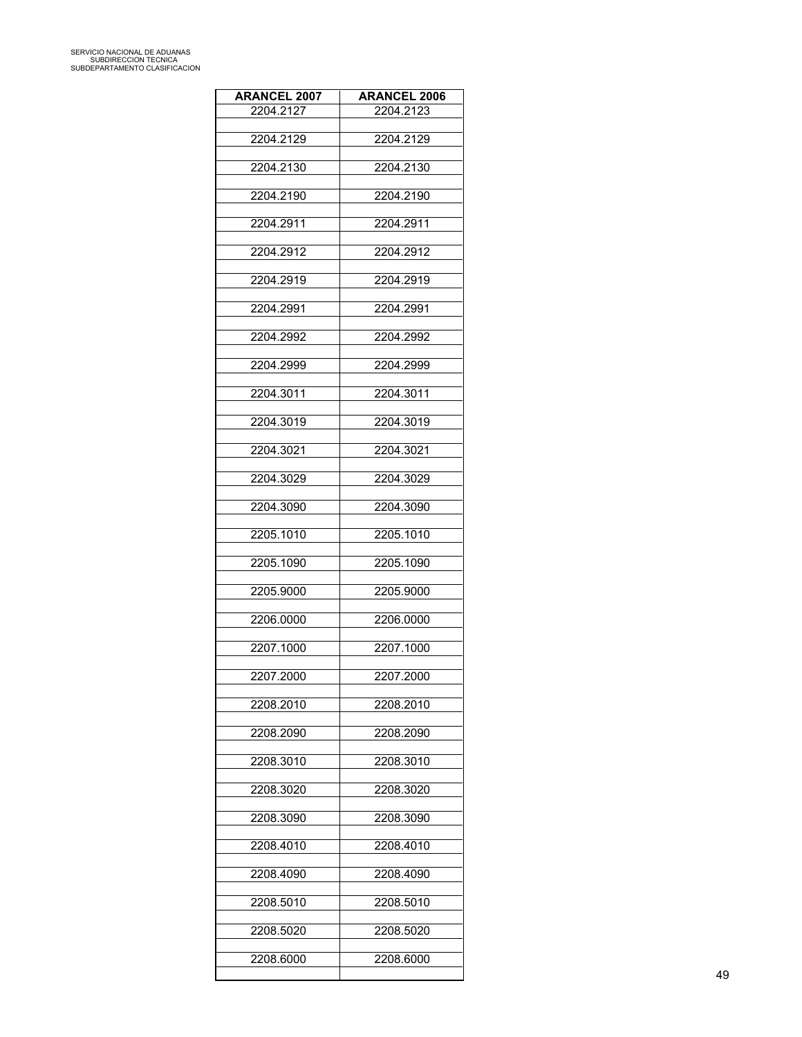| <b>ARANCEL 2007</b> | <b>ARANCEL 2006</b> |
|---------------------|---------------------|
| 2204.2127           | 2204.2123           |
|                     |                     |
| 2204.2129           | 2204.2129           |
|                     |                     |
| 2204.2130           | 2204.2130           |
| 2204.2190           | 2204.2190           |
|                     |                     |
| 2204.2911           | 2204.2911           |
|                     |                     |
| 2204.2912           | 2204.2912           |
|                     |                     |
| 2204.2919           | 2204.2919           |
| 2204.2991           | 2204.2991           |
|                     |                     |
| 2204.2992           | 2204.2992           |
|                     |                     |
| 2204.2999           | 2204.2999           |
|                     |                     |
| 2204.3011           | 2204.3011           |
|                     |                     |
| 2204.3019           | 2204.3019           |
| 2204.3021           | 2204.3021           |
|                     |                     |
| 2204.3029           | 2204.3029           |
|                     |                     |
| 2204.3090           | 2204.3090           |
|                     |                     |
| 2205.1010           | 2205.1010           |
|                     |                     |
| 2205.1090           | 2205.1090           |
| 2205.9000           | 2205.9000           |
|                     |                     |
| 2206.0000           | 2206.0000           |
|                     |                     |
| 2207.1000           | 2207.1000           |
|                     |                     |
| 2207.2000           | 2207.2000           |
| 2208.2010           | 2208.2010           |
|                     |                     |
| 2208.2090           | 2208.2090           |
|                     |                     |
| 2208.3010           | 2208.3010           |
|                     |                     |
| 2208.3020           | 2208.3020           |
|                     |                     |
| 2208.3090           | 2208.3090           |
| 2208.4010           | 2208.4010           |
|                     |                     |
| 2208.4090           | 2208.4090           |
|                     |                     |
| 2208.5010           | 2208.5010           |
|                     |                     |
| 2208.5020           | 2208.5020           |
|                     |                     |
| 2208.6000           | 2208.6000           |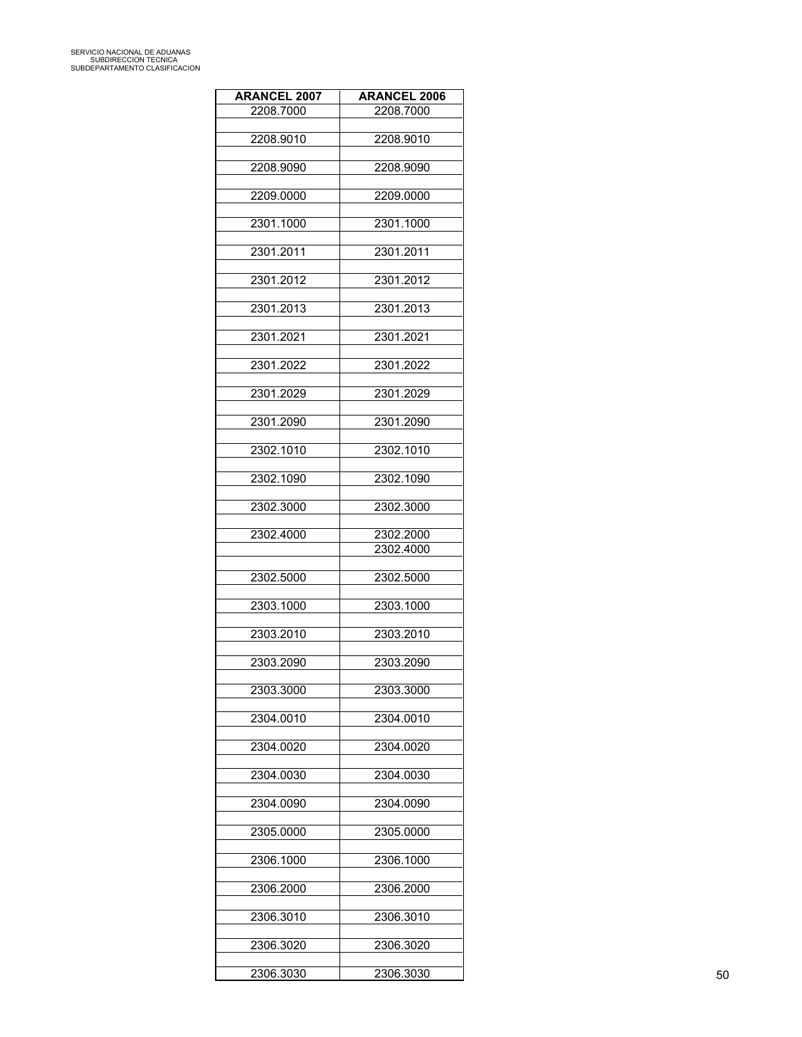| <b>ARANCEL 2007</b> | <b>ARANCEL 2006</b> |
|---------------------|---------------------|
| 2208.7000           | 2208.7000           |
| 2208.9010           | 2208.9010           |
| 2208.9090           | 2208.9090           |
| 2209.0000           | 2209.0000           |
|                     |                     |
| 2301.1000           | 2301.1000           |
| 2301.2011           | 2301.2011           |
| 2301.2012           | 2301.2012           |
| 2301.2013           | 2301.2013           |
| 2301.2021           | 2301.2021           |
| 2301.2022           | 2301.2022           |
| 2301.2029           |                     |
|                     | 2301.2029           |
| 2301.2090           | 2301.2090           |
| 2302.1010           | 2302.1010           |
| 2302.1090           | 2302.1090           |
| 2302.3000           | 2302.3000           |
| 2302.4000           | 2302.2000           |
|                     | 2302.4000           |
| 2302.5000           | 2302.5000           |
| 2303.1000           | 2303.1000           |
| 2303.2010           | 2303.2010           |
|                     |                     |
| 2303.2090           | 2303.2090           |
| 2303.3000           | 2303.3000           |
| 2304.0010           | 2304.0010           |
| 2304.0020           | 2304.0020           |
| 2304.0030           | 2304.0030           |
| 2304.0090           | 2304.0090           |
|                     |                     |
| 2305.0000           | 2305.0000           |
| 2306.1000           | 2306.1000           |
| 2306.2000           | 2306.2000           |
| 2306.3010           | 2306.3010           |
| 2306.3020           | 2306.3020           |
| 2306.3030           | 2306.3030           |
|                     |                     |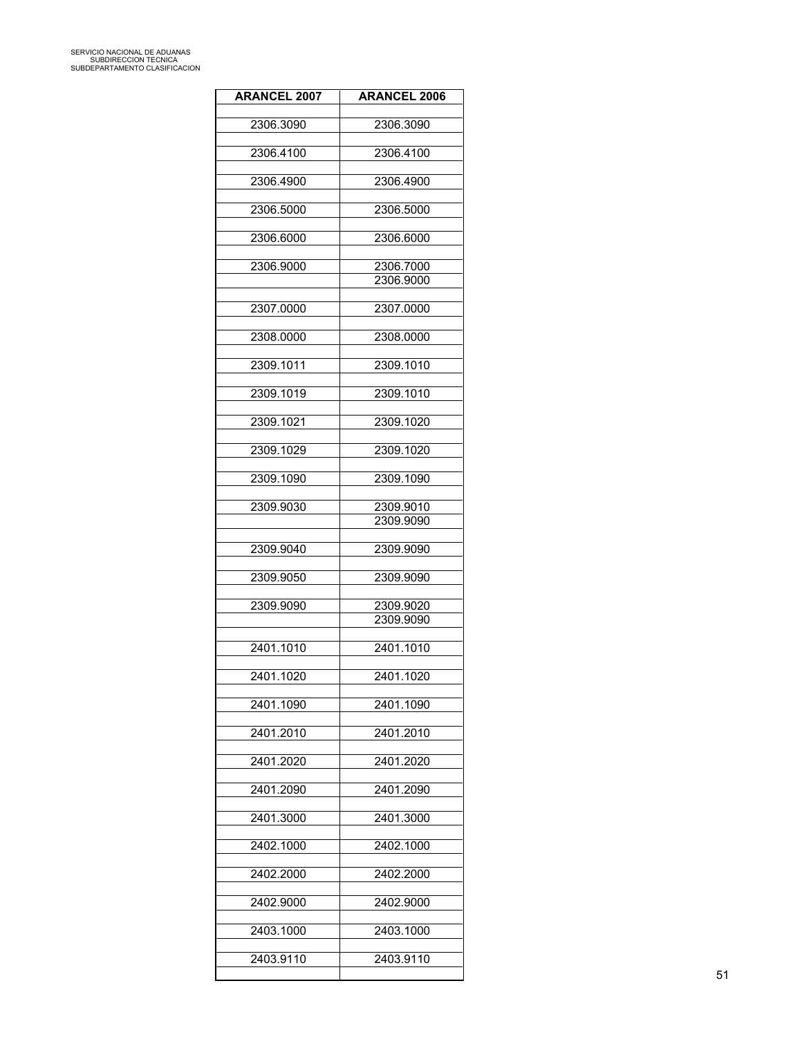| <b>ARANCEL 2007</b> | <b>ARANCEL 2006</b>    |
|---------------------|------------------------|
|                     |                        |
| 2306.3090           | 2306.3090              |
| 2306.4100           | 2306.4100              |
| 2306.4900           | 2306.4900              |
| 2306.5000           | 2306.5000              |
| 2306.6000           | 2306.6000              |
|                     |                        |
| 2306.9000           | 2306.7000<br>2306.9000 |
|                     |                        |
| 2307.0000           | 2307.0000              |
| 2308.0000           | 2308.0000              |
| 2309.1011           | 2309.1010              |
| 2309.1019           | 2309.1010              |
| 2309.1021           | 2309.1020              |
|                     |                        |
| 2309.1029           | 2309.1020              |
| 2309.1090           | 2309.1090              |
| 2309.9030           | 2309.9010              |
|                     | 2309.9090              |
| 2309.9040           | 2309.9090              |
| 2309.9050           | 2309.9090              |
|                     |                        |
| 2309.9090           | 2309.9020              |
|                     | 2309.9090              |
| 2401.1010           | 2401.1010              |
| 2401.1020           | 2401.1020              |
| 2401.1090           | 2401.1090              |
| 2401.2010           | 2401.2010              |
|                     |                        |
| 2401.2020           | 2401.2020              |
| 2401.2090           | 2401.2090              |
| 2401.3000           | 2401.3000              |
| 2402.1000           | 2402.1000              |
| 2402.2000           | 2402.2000              |
| 2402.9000           | 2402.9000              |
|                     |                        |
| 2403.1000           | 2403.1000              |
| 2403.9110           | 2403.9110              |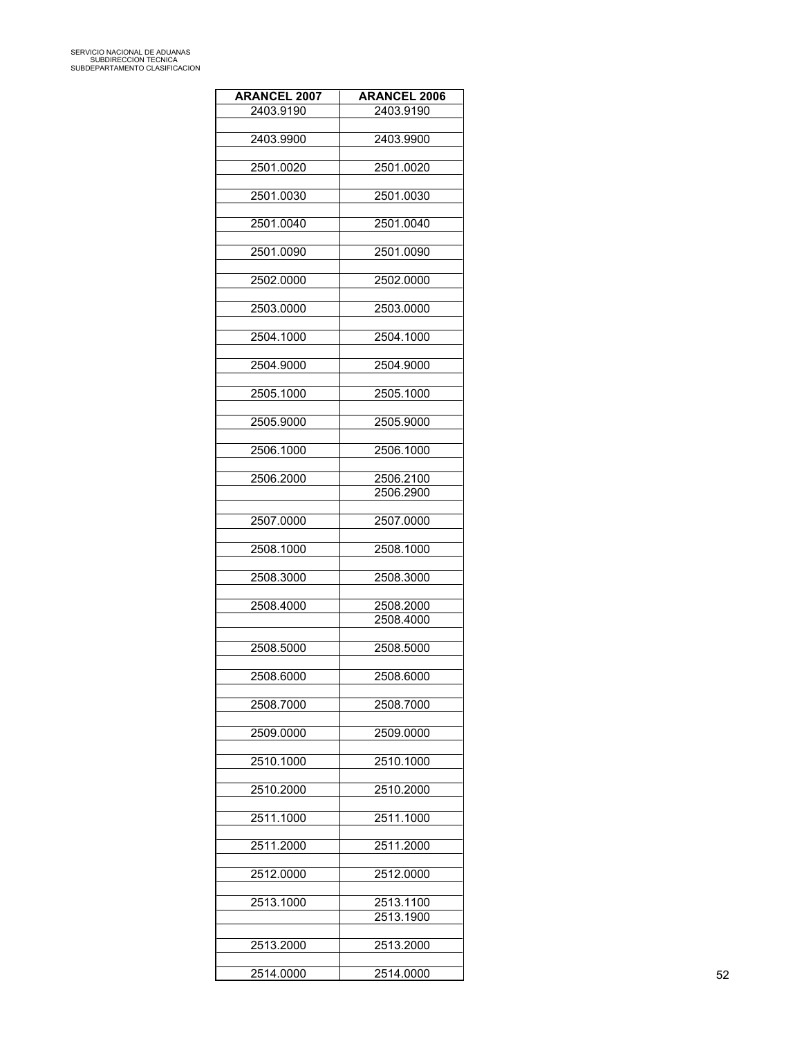| <b>ARANCEL 2007</b> | <b>ARANCEL 2006</b>    |
|---------------------|------------------------|
| 2403.9190           | 2403.9190              |
| 2403.9900           | 2403.9900              |
| 2501.0020           | 2501.0020              |
|                     |                        |
| 2501.0030           | 2501.0030              |
| 2501.0040           | 2501.0040              |
| 2501.0090           | 2501.0090              |
| 2502.0000           | 2502.0000              |
| 2503.0000           | 2503.0000              |
| 2504.1000           | 2504.1000              |
|                     |                        |
| 2504.9000           | 2504.9000              |
| 2505.1000           | 2505.1000              |
| 2505.9000           | 2505.9000              |
| 2506.1000           | 2506.1000              |
| 2506.2000           | 2506.2100              |
|                     | 2506.2900              |
| 2507.0000           | 2507.0000              |
| 2508.1000           | 2508.1000              |
|                     |                        |
| 2508.3000           | 2508.3000              |
| 2508.4000           | 2508.2000<br>2508.4000 |
|                     |                        |
| 2508.5000           | 2508.5000              |
| 2508.6000           | 2508.6000              |
| 2508.7000           | 2508.7000              |
| 2509.0000           | 2509.0000              |
|                     |                        |
| 2510.1000           | 2510.1000              |
| 2510.2000           | 2510.2000              |
| 2511.1000           | 2511.1000              |
| 2511.2000           | 2511.2000              |
| 2512.0000           | 2512.0000              |
| 2513.1000           | 2513.1100              |
|                     | 2513.1900              |
| 2513.2000           | 2513.2000              |
|                     |                        |
| 2514.0000           | 2514.0000              |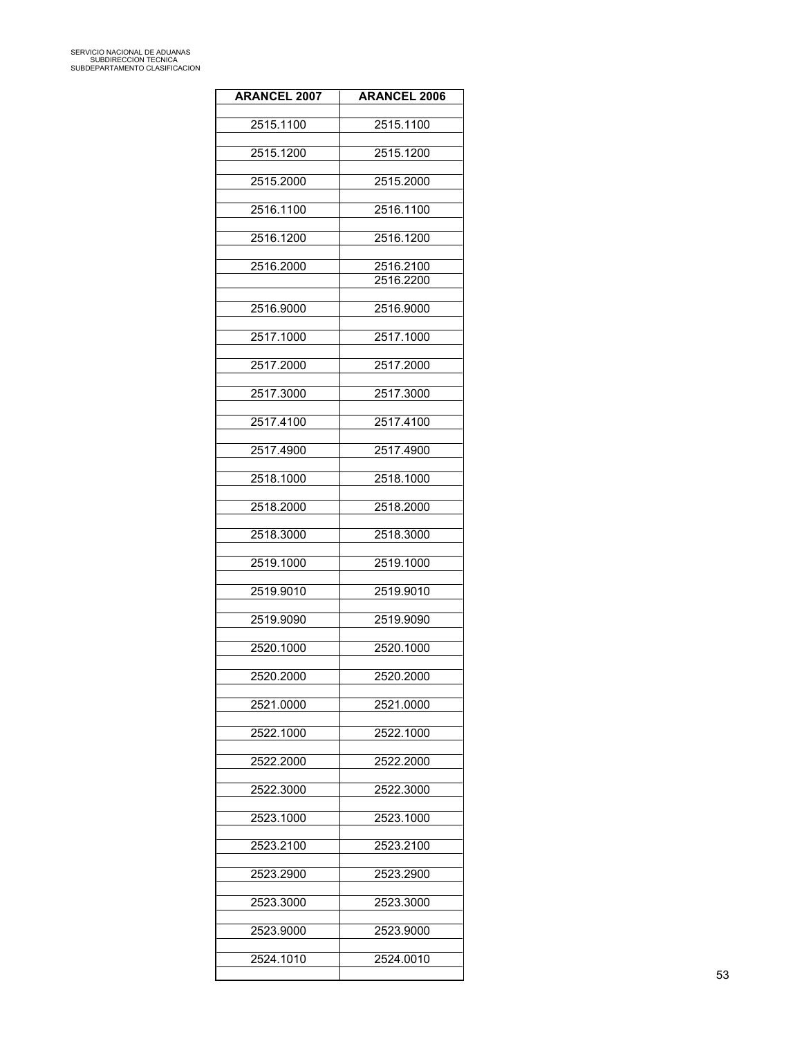| <b>ARANCEL 2007</b> | <b>ARANCEL 2006</b> |
|---------------------|---------------------|
| 2515.1100           | 2515.1100           |
|                     |                     |
| 2515.1200           | 2515.1200           |
| 2515.2000           | 2515.2000           |
| 2516.1100           | 2516.1100           |
| 2516.1200           | 2516.1200           |
| 2516.2000           | 2516.2100           |
|                     | 2516.2200           |
| 2516.9000           | 2516.9000           |
| 2517.1000           | 2517.1000           |
| 2517.2000           | 2517.2000           |
|                     |                     |
| 2517.3000           | 2517.3000           |
| 2517.4100           | 2517.4100           |
| 2517.4900           | 2517.4900           |
| 2518.1000           | 2518.1000           |
| 2518.2000           | 2518.2000           |
| 2518.3000           | 2518.3000           |
| 2519.1000           | 2519.1000           |
| 2519.9010           | 2519.9010           |
| 2519.9090           | 2519.9090           |
| 2520.1000           | 2520.1000           |
| 2520.2000           | 2520.2000           |
| 2521.0000           | 2521.0000           |
| 2522.1000           | 2522.1000           |
| 2522.2000           | 2522.2000           |
| 2522.3000           | 2522.3000           |
| 2523.1000           | 2523.1000           |
| 2523.2100           | 2523.2100           |
| 2523.2900           | 2523.2900           |
| 2523.3000           | 2523.3000           |
| 2523.9000           | 2523.9000           |
| 2524.1010           | 2524.0010           |
|                     |                     |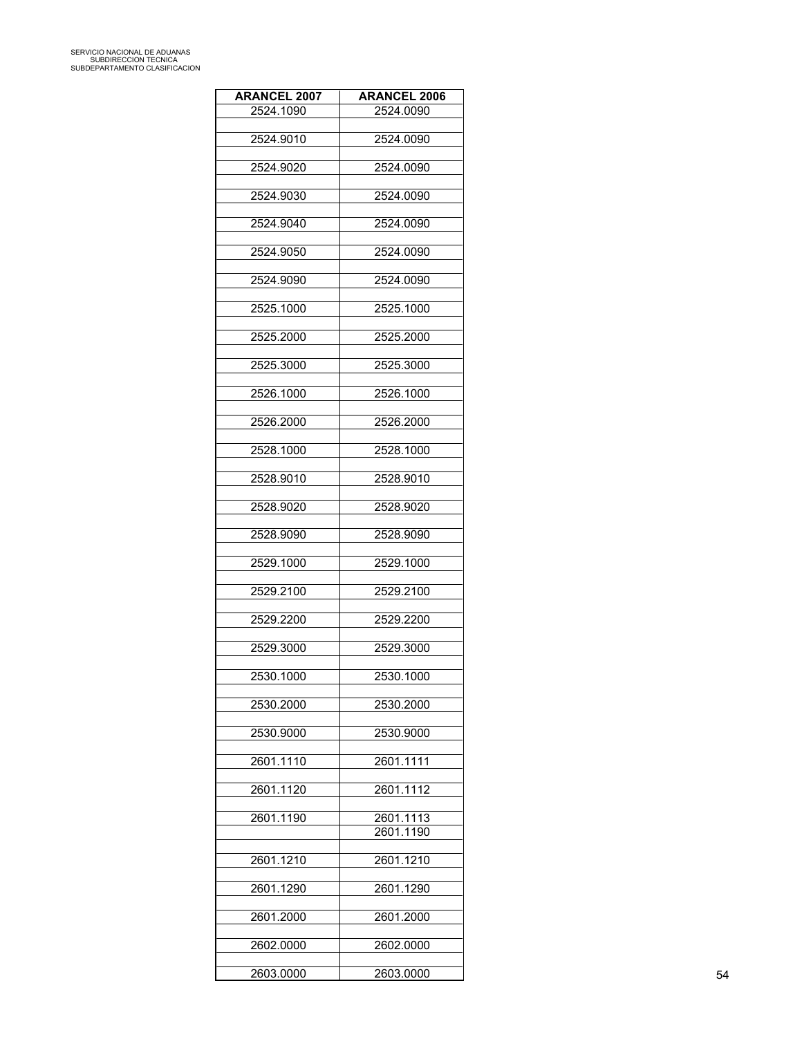| <b>ARANCEL 2007</b> | <b>ARANCEL 2006</b> |
|---------------------|---------------------|
| 2524.1090           | 2524.0090           |
| 2524.9010           | 2524.0090           |
| 2524.9020           | 2524.0090           |
| 2524.9030           | 2524.0090           |
|                     |                     |
| 2524.9040           | 2524.0090           |
| 2524.9050           | 2524.0090           |
| 2524.9090           | 2524.0090           |
| 2525.1000           | 2525.1000           |
| 2525.2000           | 2525.2000           |
| 2525.3000           | 2525.3000           |
|                     |                     |
| 2526.1000           | 2526.1000           |
| 2526.2000           | 2526.2000           |
| 2528.1000           | 2528.1000           |
| 2528.9010           | 2528.9010           |
| 2528.9020           | 2528.9020           |
| 2528.9090           | 2528.9090           |
|                     |                     |
| 2529.1000           | 2529.1000           |
| 2529.2100           | 2529.2100           |
| 2529.2200           | 2529.2200           |
| 2529.3000           | 2529.3000           |
| 2530.1000           | 2530.1000           |
| 2530.2000           | 2530.2000           |
|                     |                     |
| 2530.9000           | 2530.9000           |
| 2601.1110           | 2601.1111           |
| 2601.1120           | 2601.1112           |
| 2601.1190           | 2601.1113           |
|                     | 2601.1190           |
| 2601.1210           | 2601.1210           |
| 2601.1290           | 2601.1290           |
| 2601.2000           | 2601.2000           |
|                     |                     |
| 2602.0000           | 2602.0000           |
| 2603.0000           | 2603.0000           |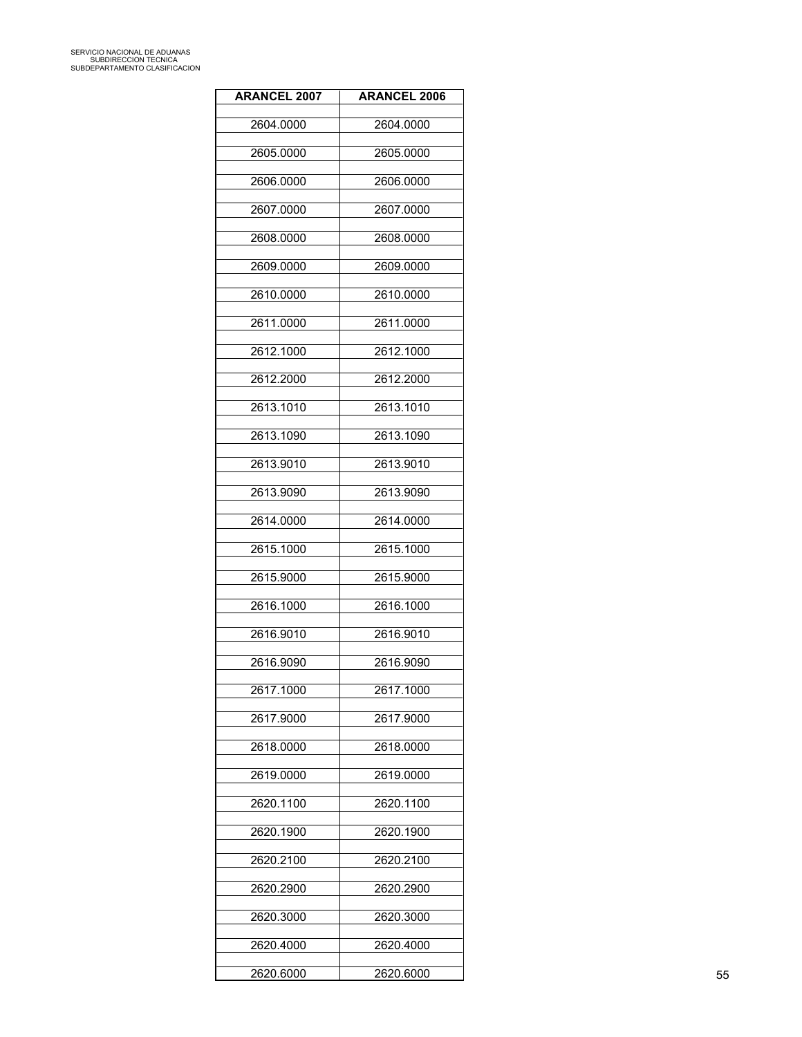| <b>ARANCEL 2007</b> | <b>ARANCEL 2006</b> |
|---------------------|---------------------|
| 2604.0000           | 2604.0000           |
| 2605.0000           | 2605.0000           |
| 2606.0000           | 2606.0000           |
|                     |                     |
| 2607.0000           | 2607.0000           |
| 2608.0000           | 2608.0000           |
| 2609.0000           | 2609.0000           |
| 2610.0000           | 2610.0000           |
| 2611.0000           | 2611.0000           |
| 2612.1000           | 2612.1000           |
| 2612.2000           | 2612.2000           |
| 2613.1010           | 2613.1010           |
| 2613.1090           | 2613.1090           |
| 2613.9010           | 2613.9010           |
| 2613.9090           | 2613.9090           |
| 2614.0000           | 2614.0000           |
| 2615.1000           | 2615.1000           |
|                     |                     |
| 2615.9000           | 2615.9000           |
| 2616.1000           | 2616.1000           |
| 2616.9010           | 2616.9010           |
| 2616.9090           | 2616.9090           |
| 2617.1000           | 2617.1000           |
| 2617.9000           | 2617.9000           |
| 2618.0000           | 2618.0000           |
| 2619.0000           | 2619.0000           |
| 2620.1100           | 2620.1100           |
| 2620.1900           | 2620.1900           |
| 2620.2100           | 2620.2100           |
| 2620.2900           | 2620.2900           |
|                     |                     |
| 2620.3000           | 2620.3000           |
| 2620.4000           | 2620.4000           |
| 2620.6000           | 2620.6000           |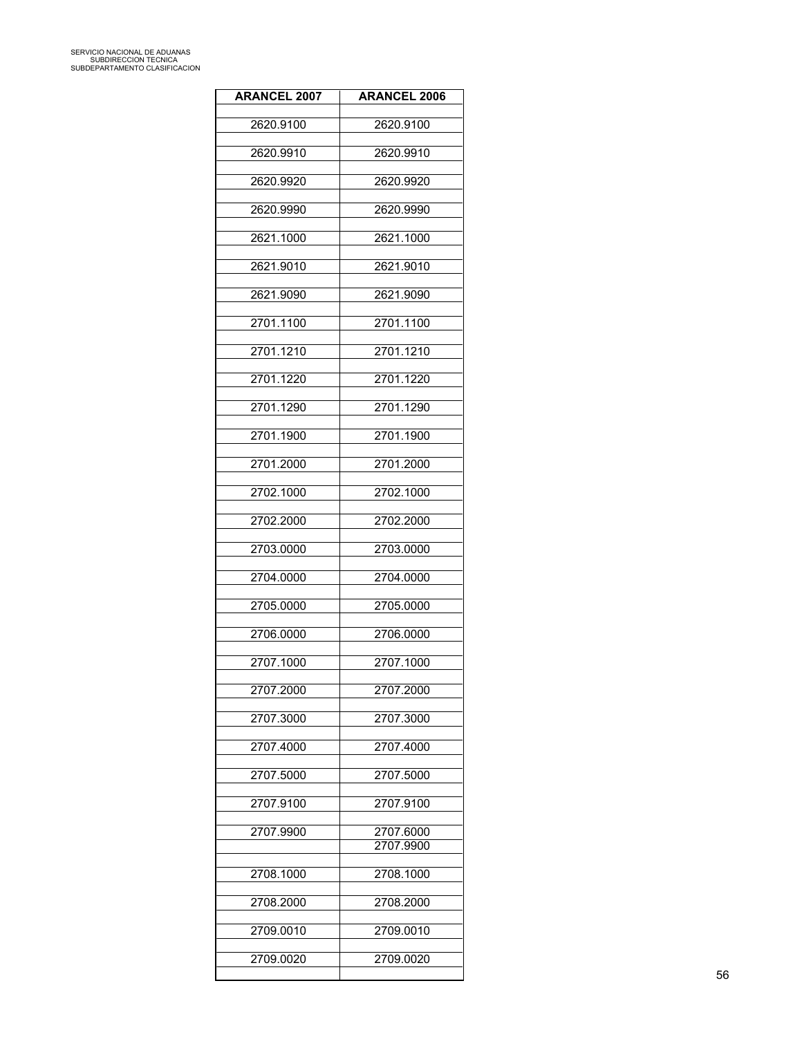| <b>ARANCEL 2007</b> | <b>ARANCEL 2006</b> |
|---------------------|---------------------|
| 2620.9100           | 2620.9100           |
| 2620.9910           | 2620.9910           |
| 2620.9920           | 2620.9920           |
|                     |                     |
| 2620.9990           | 2620.9990           |
| 2621.1000           | 2621.1000           |
| 2621.9010           | 2621.9010           |
| 2621.9090           | 2621.9090           |
| 2701.1100           | 2701.1100           |
| 2701.1210           | 2701.1210           |
| 2701.1220           | 2701.1220           |
| 2701.1290           | 2701.1290           |
| 2701.1900           | 2701.1900           |
| 2701.2000           | 2701.2000           |
| 2702.1000           | 2702.1000           |
| 2702.2000           | 2702.2000           |
| 2703.0000           | 2703.0000           |
| 2704.0000           | 2704.0000           |
| 2705.0000           | 2705.0000           |
| 2706.0000           | 2706.0000           |
| 2707.1000           | 2707.1000           |
| 2707.2000           | 2707.2000           |
| 2707.3000           | 2707.3000           |
| 2707.4000           | 2707.4000           |
| 2707.5000           | 2707.5000           |
| 2707.9100           | 2707.9100           |
| 2707.9900           | 2707.6000           |
|                     | 2707.9900           |
| 2708.1000           | 2708.1000           |
| 2708.2000           | 2708.2000           |
| 2709.0010           | 2709.0010           |
| 2709.0020           | 2709.0020           |
|                     |                     |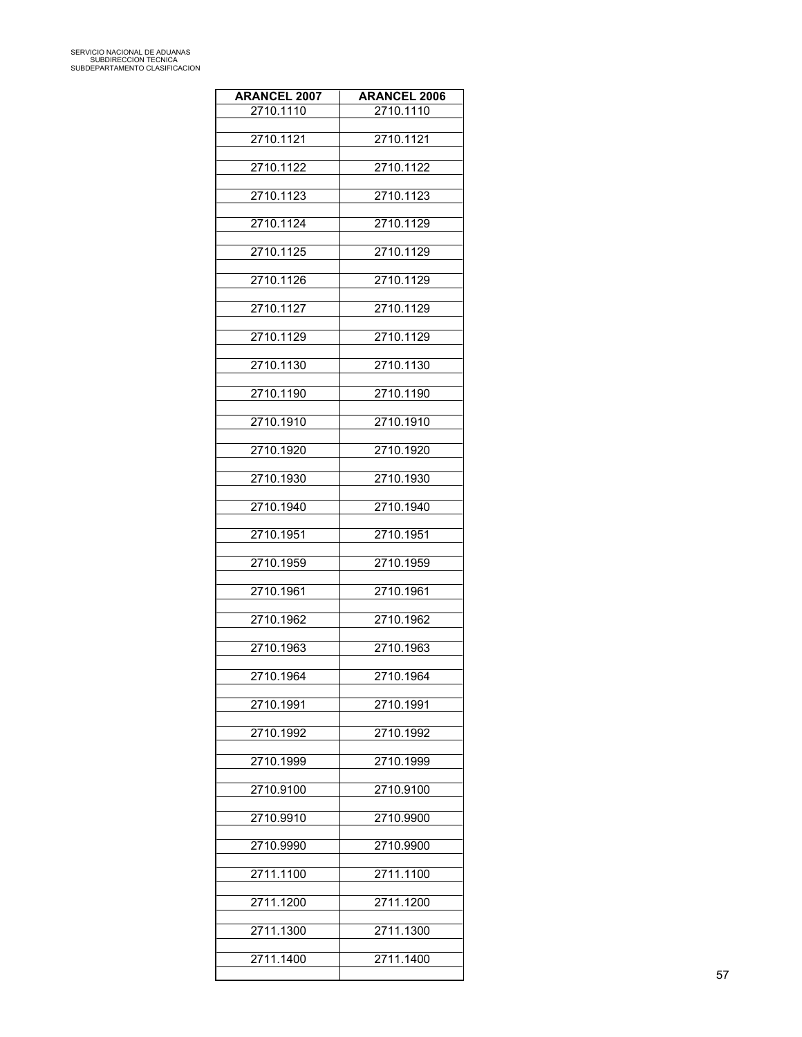| <b>ARANCEL 2007</b> | <b>ARANCEL 2006</b> |
|---------------------|---------------------|
| 2710.1110           | 2710.1110           |
| 2710.1121           | 2710.1121           |
| 2710.1122           | 2710.1122           |
| 2710.1123           | 2710.1123           |
| 2710.1124           | 2710.1129           |
| 2710.1125           | 2710.1129           |
| 2710.1126           | 2710.1129           |
| 2710.1127           | 2710.1129           |
| 2710.1129           | 2710.1129           |
| 2710.1130           | 2710.1130           |
| 2710.1190           | 2710.1190           |
| 2710.1910           | 2710.1910           |
| 2710.1920           | 2710.1920           |
| 2710.1930           | 2710.1930           |
| 2710.1940           | 2710.1940           |
| 2710.1951           | 2710.1951           |
| 2710.1959           | 2710.1959           |
| 2710.1961           | 2710.1961           |
| 2710.1962           | 2710.1962           |
| 2710.1963           | 2710.1963           |
| 2710.1964           | 2710.1964           |
| 2710.1991           | 2710.1991           |
| 2710.1992           | 2710.1992           |
| 2710.1999           | 2710.1999           |
| 2710.9100           | 2710.9100           |
| 2710.9910           | 2710.9900           |
| 2710.9990           | 2710.9900           |
| 2711.1100           | 2711.1100           |
| 2711.1200           | 2711.1200           |
| 2711.1300           | 2711.1300           |
| 2711.1400           | 2711.1400           |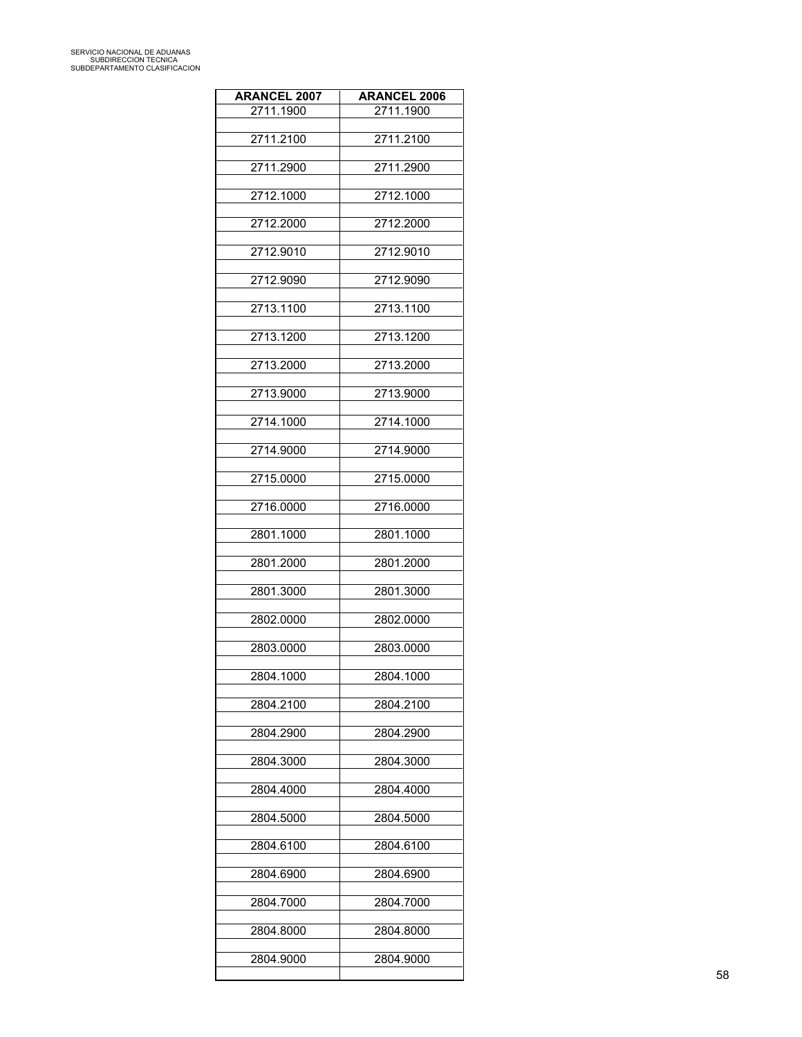| <b>ARANCEL 2007</b> | <b>ARANCEL 2006</b> |
|---------------------|---------------------|
| 2711.1900           | 2711.1900           |
| 2711.2100           | 2711.2100           |
| 2711.2900           | 2711.2900           |
| 2712.1000           | 2712.1000           |
| 2712.2000           | 2712.2000           |
| 2712.9010           | 2712.9010           |
| 2712.9090           | 2712.9090           |
| 2713.1100           | 2713.1100           |
| 2713.1200           | 2713.1200           |
| 2713.2000           | 2713.2000           |
| 2713.9000           | 2713.9000           |
| 2714.1000           | 2714.1000           |
| 2714.9000           | 2714.9000           |
| 2715.0000           | 2715.0000           |
| 2716.0000           | 2716.0000           |
| 2801.1000           | 2801.1000           |
| 2801.2000           | 2801.2000           |
| 2801.3000           | 2801.3000           |
| 2802.0000           | 2802.0000           |
| 2803.0000           | 2803.0000           |
| 2804.1000           | 2804.1000           |
| 2804.2100           | 2804.2100           |
| 2804.2900           | 2804.2900           |
| 2804.3000           | 2804.3000           |
| 2804.4000           | 2804.4000           |
| 2804.5000           | 2804.5000           |
| 2804.6100           | 2804.6100           |
| 2804.6900           | 2804.6900           |
| 2804.7000           | 2804.7000           |
| 2804.8000           | 2804.8000           |
| 2804.9000           | 2804.9000           |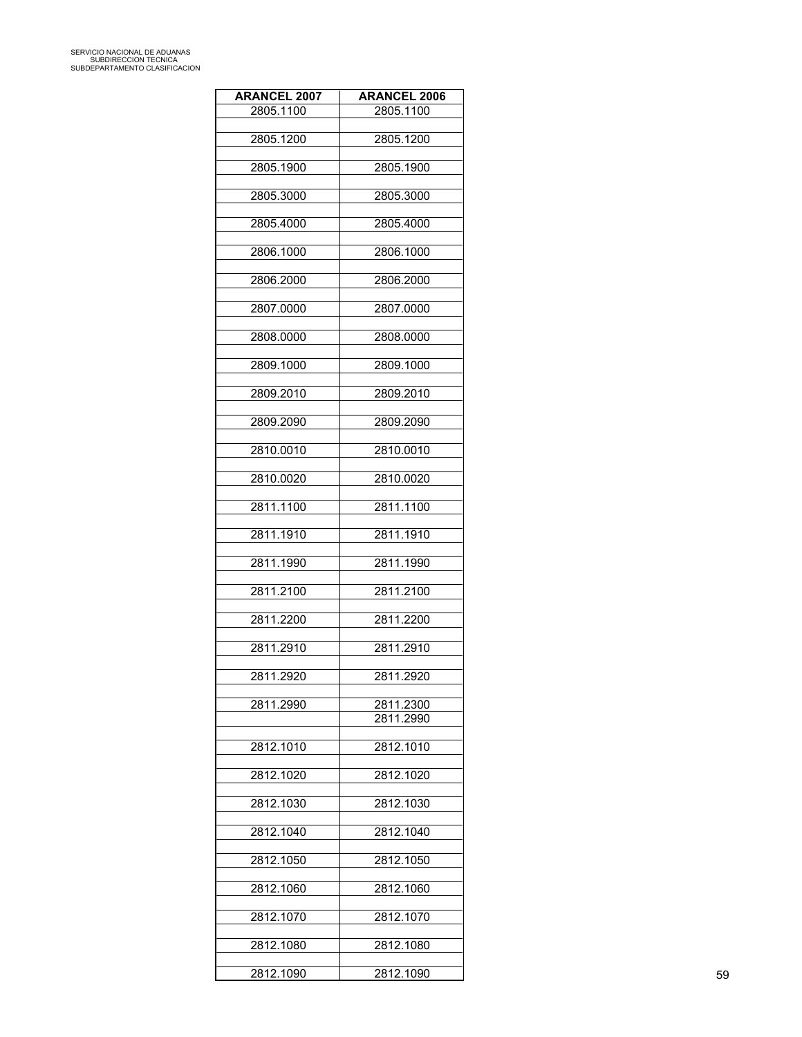| <b>ARANCEL 2007</b> | <b>ARANCEL 2006</b> |
|---------------------|---------------------|
| 2805.1100           | 2805.1100           |
| 2805.1200           | 2805.1200           |
|                     |                     |
| 2805.1900           | 2805.1900           |
| 2805.3000           | 2805.3000           |
| 2805.4000           | 2805.4000           |
| 2806.1000           | 2806.1000           |
|                     |                     |
| 2806.2000           | 2806.2000           |
| 2807.0000           | 2807.0000           |
| 2808.0000           | 2808.0000           |
|                     |                     |
| 2809.1000           | 2809.1000           |
| 2809.2010           | 2809.2010           |
| 2809.2090           | 2809.2090           |
|                     |                     |
| 2810.0010           | 2810.0010           |
| 2810.0020           | 2810.0020           |
|                     |                     |
| 2811.1100           | 2811.1100           |
| 2811.1910           | 2811.1910           |
| 2811.1990           | 2811.1990           |
|                     |                     |
| 2811.2100           | 2811.2100           |
| 2811.2200           | 2811.2200           |
| 2811.2910           | 2811.2910           |
|                     |                     |
| 2811.2920           | 2811.2920           |
| 2811.2990           | 2811.2300           |
|                     | 2811.2990           |
| 2812.1010           | 2812.1010           |
| 2812.1020           | 2812.1020           |
|                     |                     |
| 2812.1030           | 2812.1030           |
| 2812.1040           | 2812.1040           |
| 2812.1050           | 2812.1050           |
|                     |                     |
| 2812.1060           | 2812.1060           |
| 2812.1070           | 2812.1070           |
| 2812.1080           | 2812.1080           |
|                     |                     |
| 2812.1090           | 2812.1090           |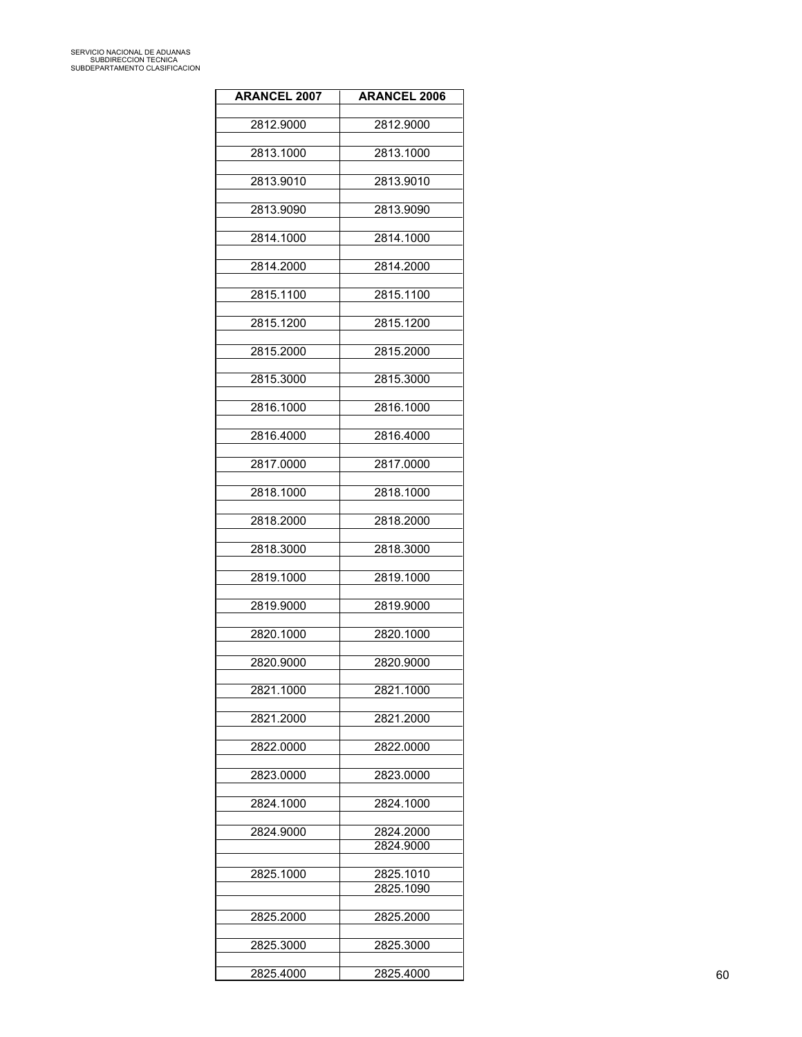| <b>ARANCEL 2007</b> | <b>ARANCEL 2006</b>    |
|---------------------|------------------------|
| 2812.9000           | 2812.9000              |
| 2813.1000           | 2813.1000              |
|                     |                        |
| 2813.9010           | 2813.9010              |
| 2813.9090           | 2813.9090              |
| 2814.1000           | 2814.1000              |
| 2814.2000           | 2814.2000              |
| 2815.1100           | 2815.1100              |
| 2815.1200           | 2815.1200              |
| 2815.2000           | 2815.2000              |
| 2815.3000           | 2815.3000              |
| 2816.1000           | 2816.1000              |
| 2816.4000           | 2816.4000              |
| 2817.0000           | 2817.0000              |
| 2818.1000           | 2818.1000              |
| 2818.2000           | 2818.2000              |
| 2818.3000           | 2818.3000              |
| 2819.1000           | 2819.1000              |
| 2819.9000           | 2819.9000              |
| 2820.1000           | 2820.1000              |
| 2820.9000           | 2820.9000              |
| 2821.1000           | 2821.1000              |
|                     |                        |
| 2821.2000           | 2821.2000              |
| 2822.0000           | 2822.0000              |
| 2823.0000           | 2823.0000              |
| 2824.1000           | 2824.1000              |
| 2824.9000           | 2824.2000              |
|                     | 2824.9000              |
| 2825.1000           | 2825.1010<br>2825.1090 |
|                     |                        |
| 2825.2000           | 2825.2000              |
| 2825.3000           | 2825.3000              |
| 2825.4000           | 2825.4000              |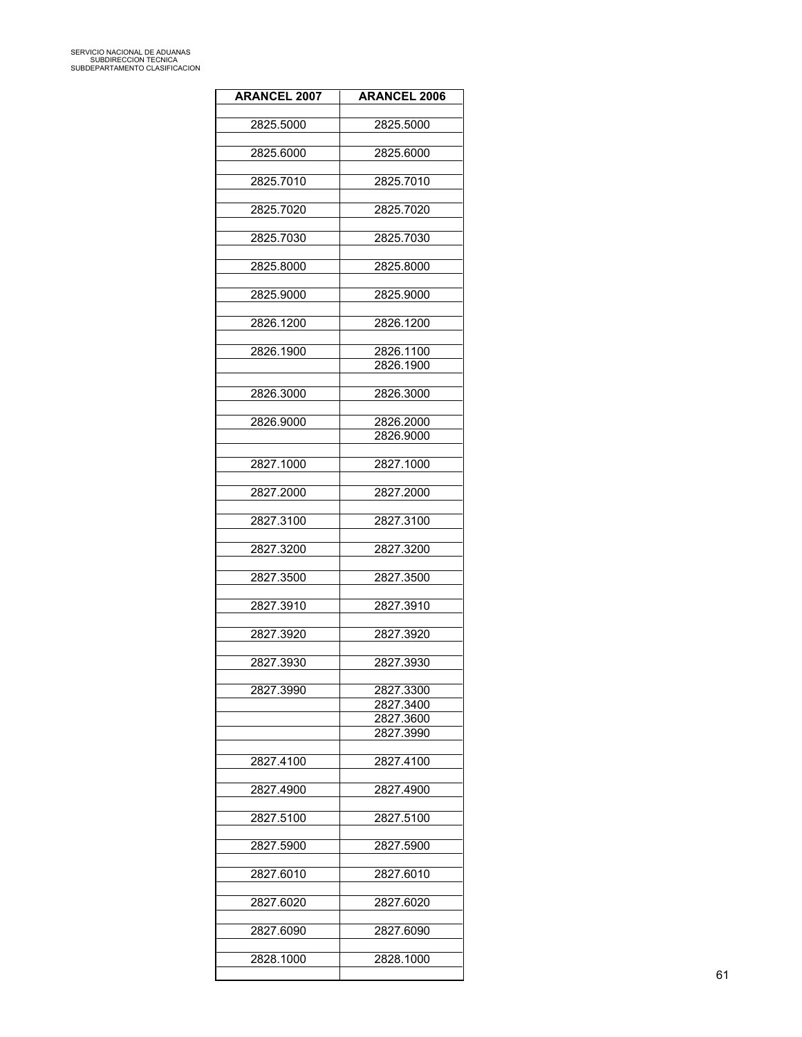| <b>ARANCEL 2007</b> | <b>ARANCEL 2006</b> |
|---------------------|---------------------|
|                     |                     |
| 2825.5000           | 2825.5000           |
|                     |                     |
| 2825.6000           | 2825.6000           |
|                     |                     |
| 2825.7010           | 2825.7010           |
| 2825.7020           | 2825.7020           |
|                     |                     |
| 2825.7030           | 2825.7030           |
|                     |                     |
| 2825.8000           | 2825.8000           |
|                     |                     |
| 2825.9000           | 2825.9000           |
| 2826.1200           | 2826.1200           |
|                     |                     |
| 2826.1900           | 2826.1100           |
|                     | 2826.1900           |
|                     |                     |
| 2826.3000           | 2826.3000           |
|                     |                     |
| 2826.9000           | 2826.2000           |
|                     | 2826.9000           |
| 2827.1000           | 2827.1000           |
|                     |                     |
| 2827.2000           | 2827.2000           |
|                     |                     |
| 2827.3100           | 2827.3100           |
|                     |                     |
| 2827.3200           | 2827.3200           |
| 2827.3500           | 2827.3500           |
|                     |                     |
| 2827.3910           | 2827.3910           |
|                     |                     |
| 2827.3920           | 2827.3920           |
|                     |                     |
| 2827.3930           | 2827.3930           |
| 2827.3990           | 2827.3300           |
|                     | 2827.3400           |
|                     | 2827.3600           |
|                     | 2827.3990           |
|                     |                     |
| 2827.4100           | 2827.4100           |
|                     |                     |
| 2827.4900           | 2827.4900           |
|                     |                     |
| 2827.5100           | 2827.5100           |
| 2827.5900           | 2827.5900           |
|                     |                     |
| 2827.6010           | 2827.6010           |
|                     |                     |
| 2827.6020           | 2827.6020           |
|                     |                     |
| 2827.6090           | 2827.6090           |
| 2828.1000           | 2828.1000           |
|                     |                     |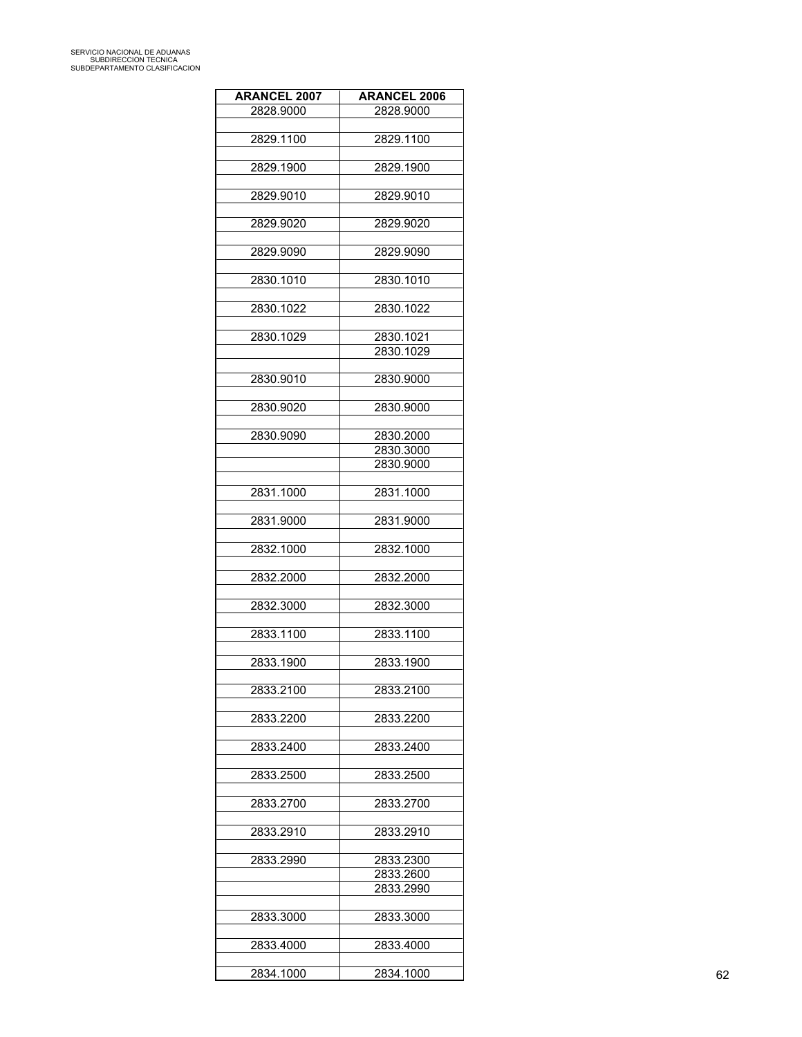| <b>ARANCEL 2007</b> | <b>ARANCEL 2006</b>    |
|---------------------|------------------------|
| 2828.9000           | 2828.9000              |
| 2829.1100           | 2829.1100              |
|                     | 2829.1900              |
| 2829.1900           |                        |
| 2829.9010           | 2829.9010              |
| 2829.9020           | 2829.9020              |
| 2829.9090           | 2829.9090              |
|                     |                        |
| 2830.1010           | 2830.1010              |
| 2830.1022           | 2830.1022              |
| 2830.1029           | 2830.1021              |
|                     | 2830.1029              |
|                     |                        |
| 2830.9010           | 2830.9000              |
| 2830.9020           | 2830.9000              |
| 2830.9090           | 2830.2000              |
|                     | 2830.3000              |
|                     | 2830.9000              |
| 2831.1000           | 2831.1000              |
|                     |                        |
| 2831.9000           | 2831.9000              |
| 2832.1000           | 2832.1000              |
| 2832.2000           | 2832.2000              |
|                     |                        |
| 2832.3000           | 2832.3000              |
| 2833.1100           | 2833.1100              |
|                     |                        |
| 2833.1900           | 2833.1900              |
| 2833.2100           | 2833.2100              |
|                     |                        |
| 2833.2200           | 2833.2200              |
| 2833.2400           | 2833.2400              |
| 2833.2500           | 2833.2500              |
|                     |                        |
| 2833.2700           | 2833.2700              |
| 2833.2910           | 2833.2910              |
|                     |                        |
| 2833.2990           | 2833.2300<br>2833.2600 |
|                     | 2833.2990              |
| 2833.3000           | 2833.3000              |
|                     |                        |
| 2833.4000           | 2833.4000              |
| 2834.1000           | 2834.1000              |
|                     |                        |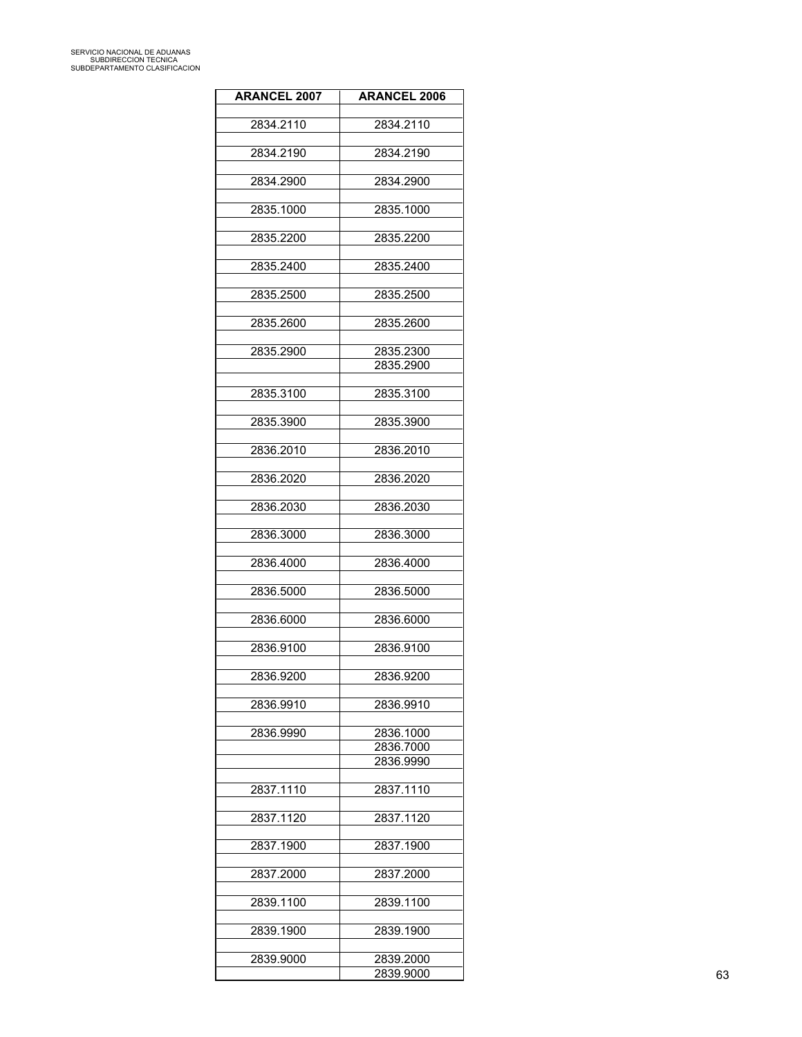| <b>ARANCEL 2007</b> | <b>ARANCEL 2006</b> |
|---------------------|---------------------|
| 2834.2110           | 2834.2110           |
|                     |                     |
| 2834.2190           | 2834.2190           |
| 2834.2900           | 2834.2900           |
|                     |                     |
| 2835.1000           | 2835.1000           |
| 2835.2200           | 2835.2200           |
|                     |                     |
| 2835.2400           | 2835.2400           |
| 2835.2500           | 2835.2500           |
|                     |                     |
| 2835.2600           | 2835.2600           |
| 2835.2900           | 2835.2300           |
|                     | 2835.2900           |
|                     |                     |
| 2835.3100           | 2835.3100           |
|                     |                     |
| 2835.3900           | 2835.3900           |
| 2836.2010           | 2836.2010           |
|                     |                     |
| 2836.2020           | 2836.2020           |
| 2836.2030           | 2836.2030           |
|                     |                     |
| 2836.3000           | 2836.3000           |
|                     |                     |
| 2836.4000           | 2836.4000           |
| 2836.5000           | 2836.5000           |
|                     |                     |
| 2836.6000           | 2836.6000           |
|                     |                     |
| 2836.9100           | 2836.9100           |
| 2836.9200           | 2836.9200           |
|                     |                     |
| 2836.9910           | 2836.9910           |
|                     |                     |
| 2836.9990           | 2836.1000           |
|                     | 2836.7000           |
|                     | 2836.9990           |
| 2837.1110           | 2837.1110           |
|                     |                     |
| 2837.1120           | 2837.1120           |
| 2837.1900           | 2837.1900           |
|                     |                     |
| 2837.2000           | 2837.2000           |
|                     |                     |
| 2839.1100           | 2839.1100           |
| 2839.1900           | 2839.1900           |
|                     |                     |
| 2839.9000           | 2839.2000           |
|                     | 2839.9000           |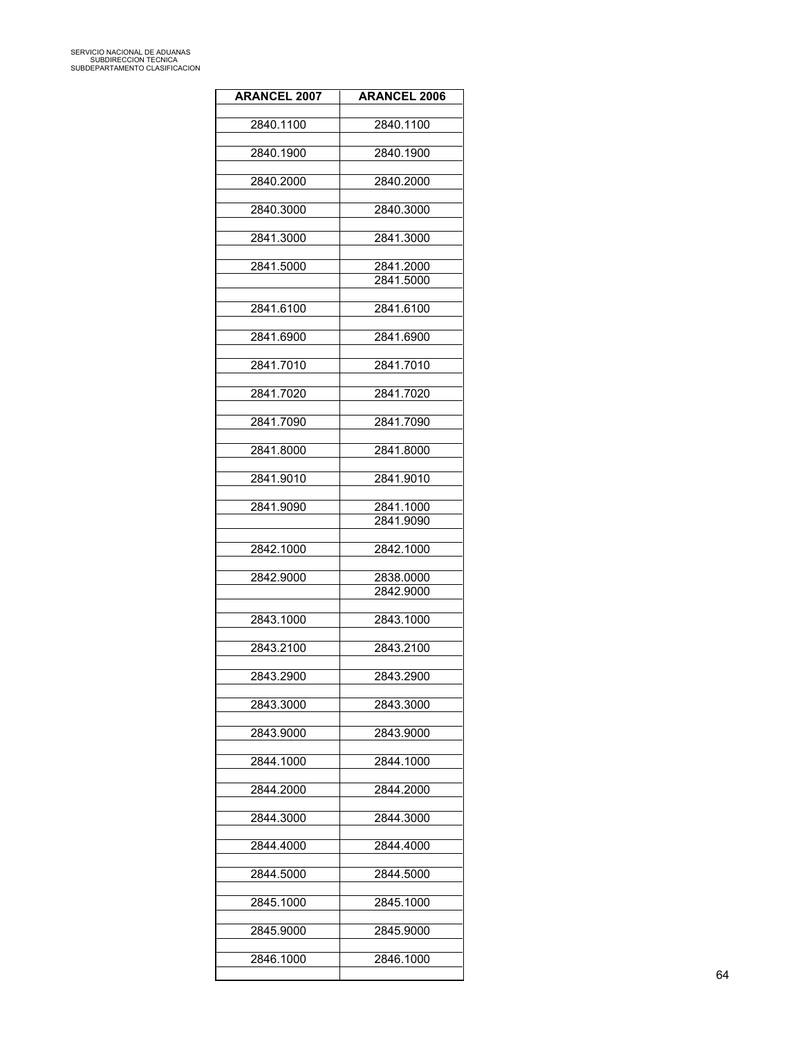| <b>ARANCEL 2007</b> | <b>ARANCEL 2006</b>    |
|---------------------|------------------------|
| 2840.1100           | 2840.1100              |
| 2840.1900           | 2840.1900              |
| 2840.2000           | 2840.2000              |
| 2840.3000           | 2840.3000              |
| 2841.3000           | 2841.3000              |
| 2841.5000           | 2841.2000<br>2841.5000 |
| 2841.6100           | 2841.6100              |
| 2841.6900           | 2841.6900              |
| 2841.7010           | 2841.7010              |
| 2841.7020           | 2841.7020              |
| 2841.7090           | 2841.7090              |
| 2841.8000           | 2841.8000              |
| 2841.9010           | 2841.9010              |
| 2841.9090           | 2841.1000<br>2841.9090 |
| 2842.1000           | 2842.1000              |
| 2842.9000           | 2838.0000<br>2842.9000 |
| 2843.1000           | 2843.1000              |
| 2843.2100           | 2843.2100              |
| 2843.2900           | 2843.2900              |
| 2843.3000           | 2843.3000              |
| 2843.9000           | 2843.9000              |
| 2844.1000           | 2844.1000              |
| 2844.2000           | 2844.2000              |
| 2844.3000           | 2844.3000              |
| 2844.4000           | 2844.4000              |
| 2844.5000           | 2844.5000              |
| 2845.1000           | 2845.1000              |
| 2845.9000           | 2845.9000              |
| 2846.1000           | 2846.1000              |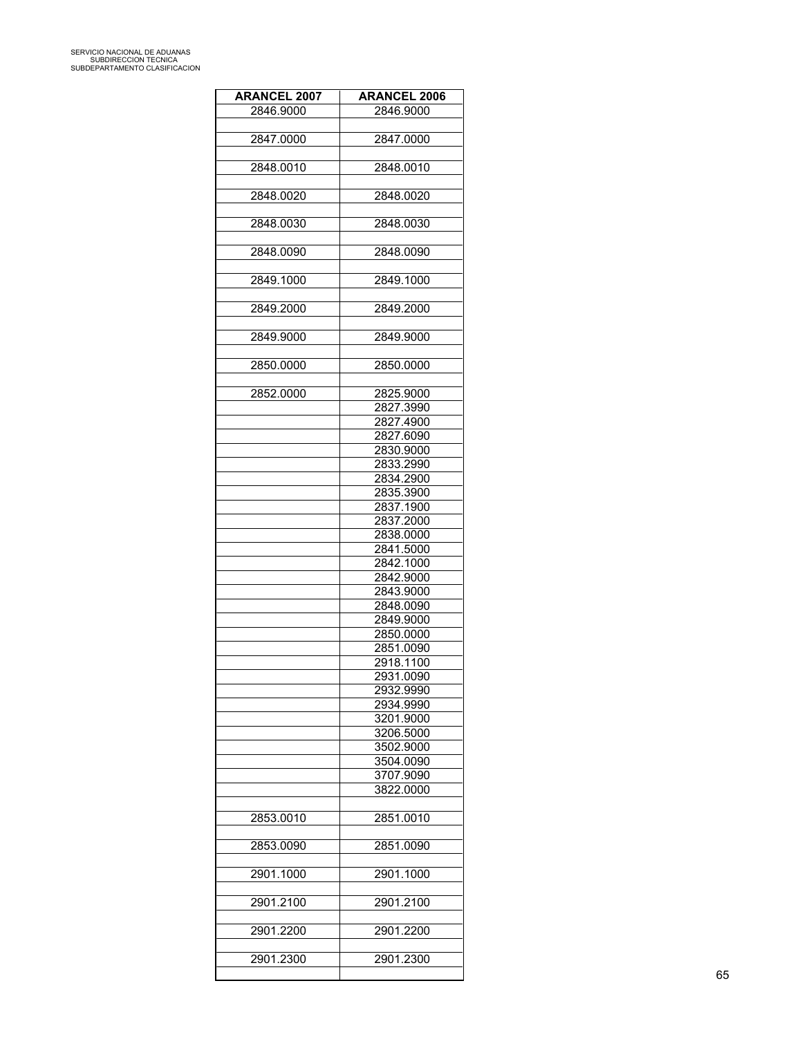| <b>ARANCEL 2007</b> | <b>ARANCEL 2006</b>    |
|---------------------|------------------------|
| 2846.9000           | 2846.9000              |
|                     |                        |
| 2847.0000           | 2847.0000              |
|                     |                        |
| 2848.0010           | 2848.0010              |
|                     |                        |
| 2848.0020           | 2848.0020              |
|                     |                        |
| 2848.0030           | 2848.0030              |
|                     |                        |
| 2848.0090           | 2848.0090              |
|                     |                        |
| 2849.1000           | 2849.1000              |
|                     |                        |
| 2849.2000           | 2849.2000              |
|                     |                        |
| 2849.9000           | 2849.9000              |
|                     |                        |
| 2850.0000           | 2850.0000              |
|                     |                        |
| 2852.0000           | 2825.9000              |
|                     | 2827.3990              |
|                     | 2827.4900              |
|                     | 2827.6090              |
|                     | 2830.9000              |
|                     | 2833.2990              |
|                     | 2834.2900              |
|                     | 2835.3900              |
|                     | 2837.1900              |
|                     | 2837.2000              |
|                     | 2838.0000              |
|                     | 2841.5000<br>2842.1000 |
|                     | 2842.9000              |
|                     | 2843.9000              |
|                     | 2848.0090              |
|                     | 2849.9000              |
|                     | 2850.0000              |
|                     | 2851.0090              |
|                     | 2918.1100              |
|                     | 2931.0090              |
|                     | 2932.9990              |
|                     | 2934.9990              |
|                     | 3201.9000              |
|                     | 3206.5000              |
|                     | 3502.9000              |
|                     | 3504.0090              |
|                     | 3707.9090              |
|                     | 3822.0000              |
|                     |                        |
| 2853.0010           | 2851.0010              |
|                     |                        |
| 2853.0090           | 2851.0090              |
|                     |                        |
| 2901.1000           | 2901.1000              |
|                     |                        |
| 2901.2100           | 2901.2100              |
|                     |                        |
| 2901.2200           | 2901.2200              |
|                     |                        |
| 2901.2300           | 2901.2300              |
|                     |                        |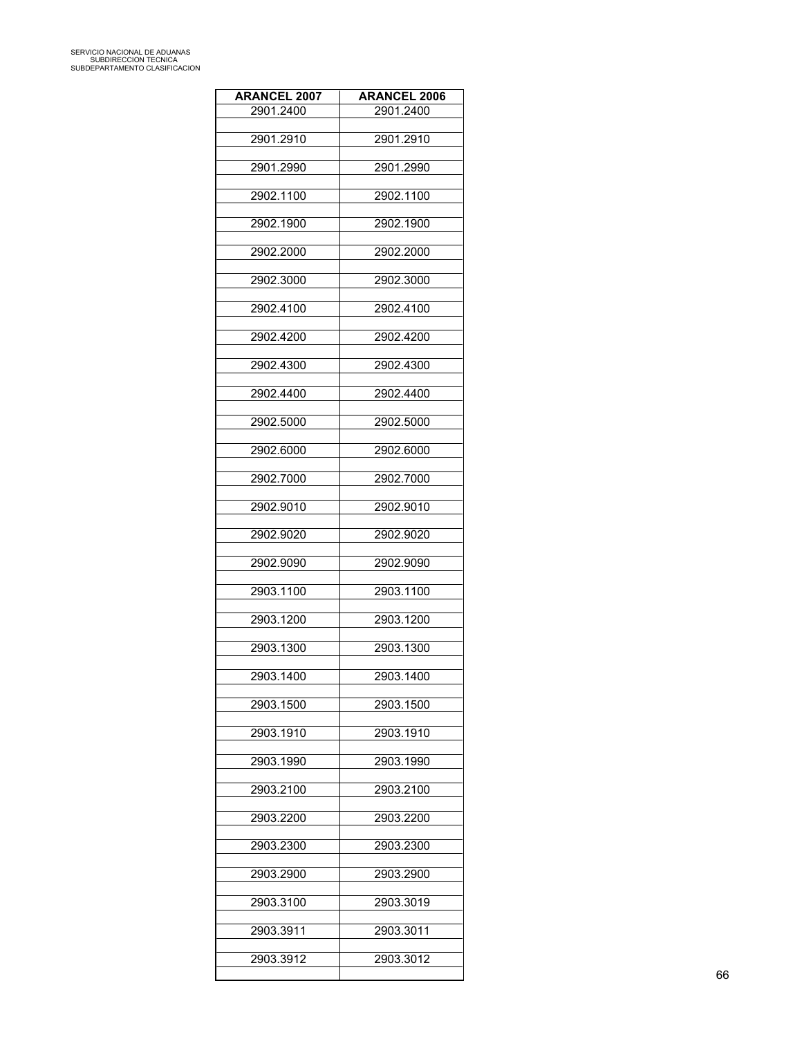| <b>ARANCEL 2007</b> | <b>ARANCEL 2006</b> |
|---------------------|---------------------|
| 2901.2400           | 2901.2400           |
| 2901.2910           | 2901.2910           |
|                     |                     |
| 2901.2990           | 2901.2990           |
| 2902.1100           | 2902.1100           |
| 2902.1900           | 2902.1900           |
| 2902.2000           | 2902.2000           |
| 2902.3000           | 2902.3000           |
| 2902.4100           | 2902.4100           |
| 2902.4200           | 2902.4200           |
| 2902.4300           | 2902.4300           |
| 2902.4400           | 2902.4400           |
| 2902.5000           | 2902.5000           |
| 2902.6000           | 2902.6000           |
| 2902.7000           | 2902.7000           |
| 2902.9010           | 2902.9010           |
| 2902.9020           | 2902.9020           |
| 2902.9090           | 2902.9090           |
| 2903.1100           | 2903.1100           |
| 2903.1200           | 2903.1200           |
| 2903.1300           | 2903.1300           |
| 2903.1400           | 2903.1400           |
| 2903.1500           | 2903.1500           |
| 2903.1910           | 2903.1910           |
| 2903.1990           | 2903.1990           |
| 2903.2100           | 2903.2100           |
| 2903.2200           | 2903.2200           |
| 2903.2300           | 2903.2300           |
| 2903.2900           | 2903.2900           |
| 2903.3100           | 2903.3019           |
| 2903.3911           | 2903.3011           |
| 2903.3912           | 2903.3012           |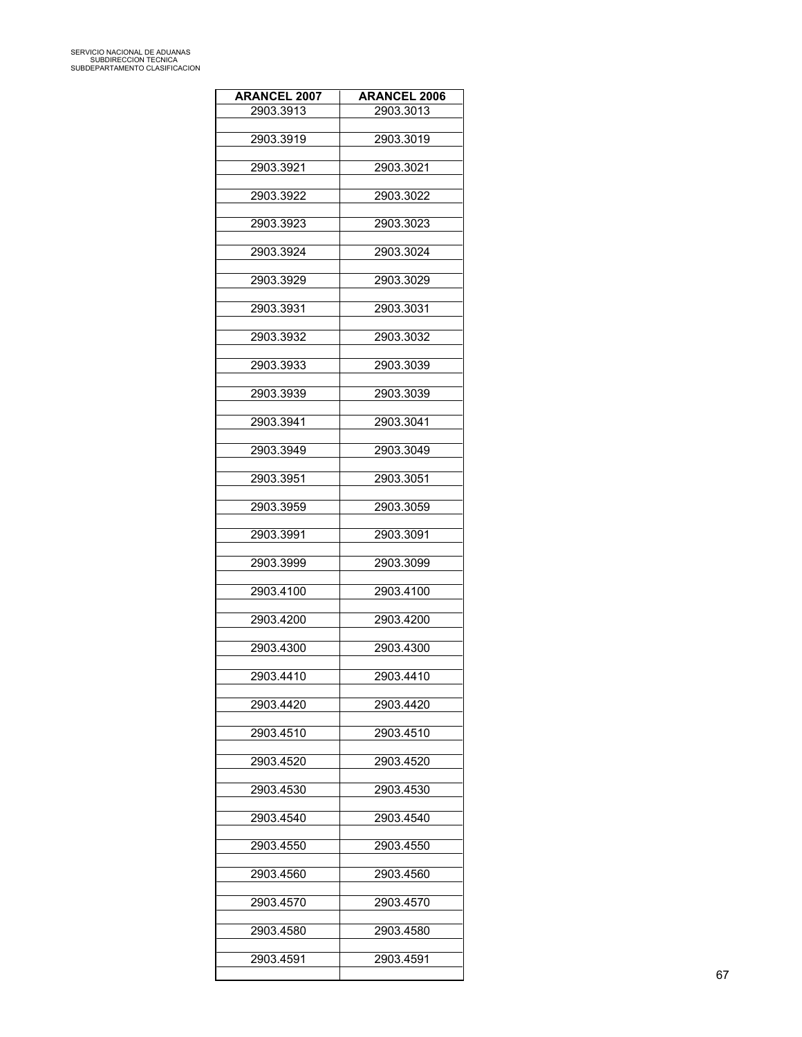| <b>ARANCEL 2007</b> | <b>ARANCEL 2006</b> |
|---------------------|---------------------|
| 2903.3913           | 2903.3013           |
| 2903.3919           | 2903.3019           |
| 2903.3921           | 2903.3021           |
| 2903.3922           | 2903.3022           |
|                     |                     |
| 2903.3923           | 2903.3023           |
| 2903.3924           | 2903.3024           |
| 2903.3929           | 2903.3029           |
| 2903.3931           | 2903.3031           |
| 2903.3932           | 2903.3032           |
| 2903.3933           | 2903.3039           |
| 2903.3939           | 2903.3039           |
| 2903.3941           | 2903.3041           |
| 2903.3949           | 2903.3049           |
| 2903.3951           | 2903.3051           |
| 2903.3959           | 2903.3059           |
| 2903.3991           | 2903.3091           |
| 2903.3999           | 2903.3099           |
| 2903.4100           | 2903.4100           |
| 2903.4200           | 2903.4200           |
| 2903.4300           | 2903.4300           |
| 2903.4410           | 2903.4410           |
| 2903.4420           | 2903.4420           |
| 2903.4510           | 2903.4510           |
| 2903.4520           | 2903.4520           |
| 2903.4530           | 2903.4530           |
| 2903.4540           | 2903.4540           |
| 2903.4550           | 2903.4550           |
|                     |                     |
| 2903.4560           | 2903.4560           |
| 2903.4570           | 2903.4570           |
| 2903.4580           | 2903.4580           |
| 2903.4591           | 2903.4591           |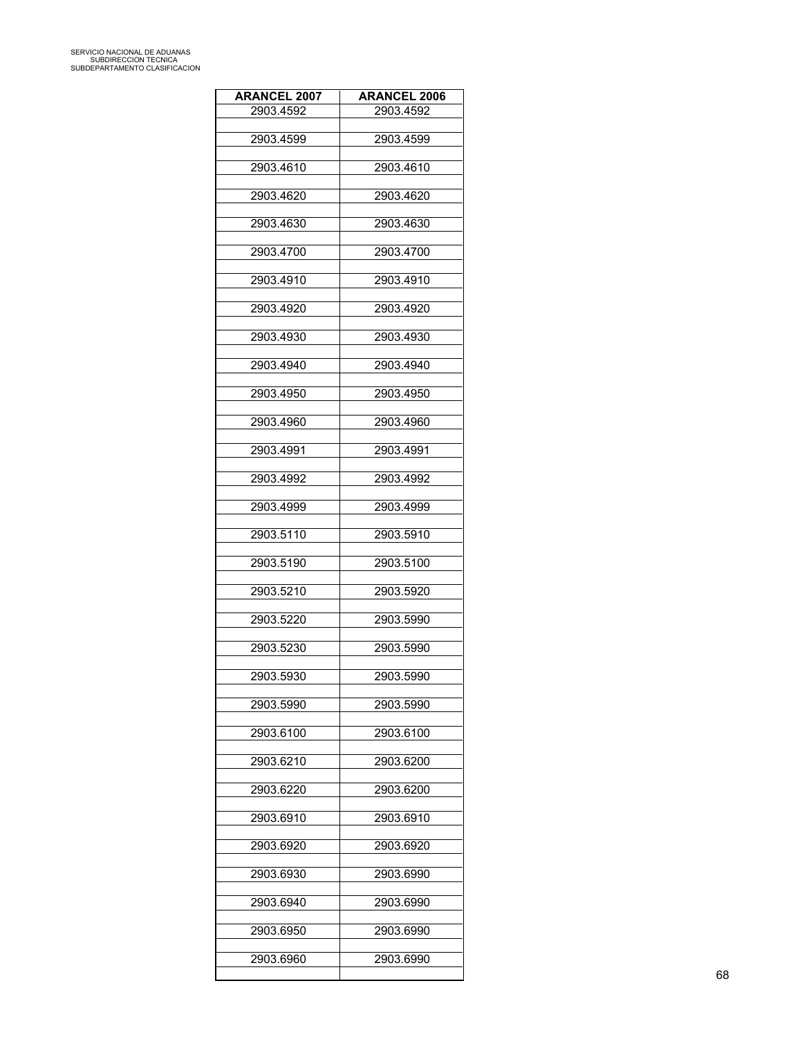| <b>ARANCEL 2007</b> | <b>ARANCEL 2006</b> |
|---------------------|---------------------|
| 2903.4592           | 2903.4592           |
| 2903.4599           | 2903.4599           |
|                     |                     |
| 2903.4610           | 2903.4610           |
| 2903.4620           | 2903.4620           |
| 2903.4630           | 2903.4630           |
| 2903.4700           | 2903.4700           |
| 2903.4910           | 2903.4910           |
| 2903.4920           | 2903.4920           |
| 2903.4930           | 2903.4930           |
| 2903.4940           | 2903.4940           |
|                     |                     |
| 2903.4950           | 2903.4950           |
| 2903.4960           | 2903.4960           |
| 2903.4991           | 2903.4991           |
| 2903.4992           | 2903.4992           |
| 2903.4999           | 2903.4999           |
| 2903.5110           | 2903.5910           |
| 2903.5190           | 2903.5100           |
| 2903.5210           | 2903.5920           |
| 2903.5220           | 2903.5990           |
| 2903.5230           | 2903.5990           |
| 2903.5930           | 2903.5990           |
| 2903.5990           | 2903.5990           |
| 2903.6100           | 2903.6100           |
| 2903.6210           | 2903.6200           |
| 2903.6220           | 2903.6200           |
| 2903.6910           | 2903.6910           |
| 2903.6920           | 2903.6920           |
| 2903.6930           | 2903.6990           |
| 2903.6940           | 2903.6990           |
| 2903.6950           | 2903.6990           |
| 2903.6960           | 2903.6990           |
|                     |                     |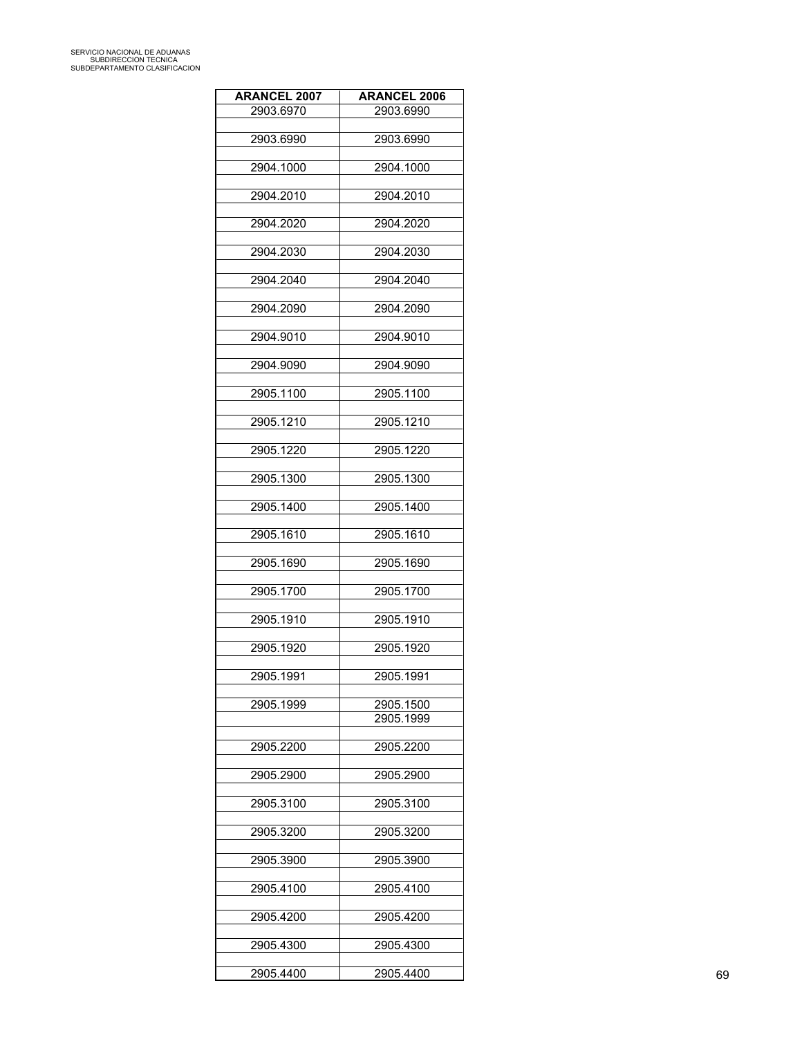| <b>ARANCEL 2007</b> | <b>ARANCEL 2006</b>    |
|---------------------|------------------------|
| 2903.6970           | 2903.6990              |
| 2903.6990           | 2903.6990              |
|                     |                        |
| 2904.1000           | 2904.1000              |
| 2904.2010           | 2904.2010              |
|                     |                        |
| 2904.2020           | 2904.2020              |
| 2904.2030           | 2904.2030              |
| 2904.2040           | 2904.2040              |
|                     |                        |
| 2904.2090           | 2904.2090              |
| 2904.9010           | 2904.9010              |
|                     |                        |
| 2904.9090           | 2904.9090              |
| 2905.1100           | 2905.1100              |
| 2905.1210           | 2905.1210              |
|                     |                        |
| 2905.1220           | 2905.1220              |
| 2905.1300           | 2905.1300              |
|                     |                        |
| 2905.1400           | 2905.1400              |
| 2905.1610           | 2905.1610              |
|                     |                        |
| 2905.1690           | 2905.1690              |
| 2905.1700           | 2905.1700              |
| 2905.1910           | 2905.1910              |
|                     |                        |
| 2905.1920           | 2905.1920              |
| 2905.1991           | 2905.1991              |
|                     |                        |
| 2905.1999           | 2905.1500<br>2905.1999 |
|                     |                        |
| 2905.2200           | 2905.2200              |
| 2905.2900           | 2905.2900              |
|                     |                        |
| 2905.3100           | 2905.3100              |
| 2905.3200           | 2905.3200              |
|                     |                        |
| 2905.3900           | 2905.3900              |
| 2905.4100           | 2905.4100              |
| 2905.4200           | 2905.4200              |
|                     |                        |
| 2905.4300           | 2905.4300              |
| 2905.4400           | 2905.4400              |
|                     |                        |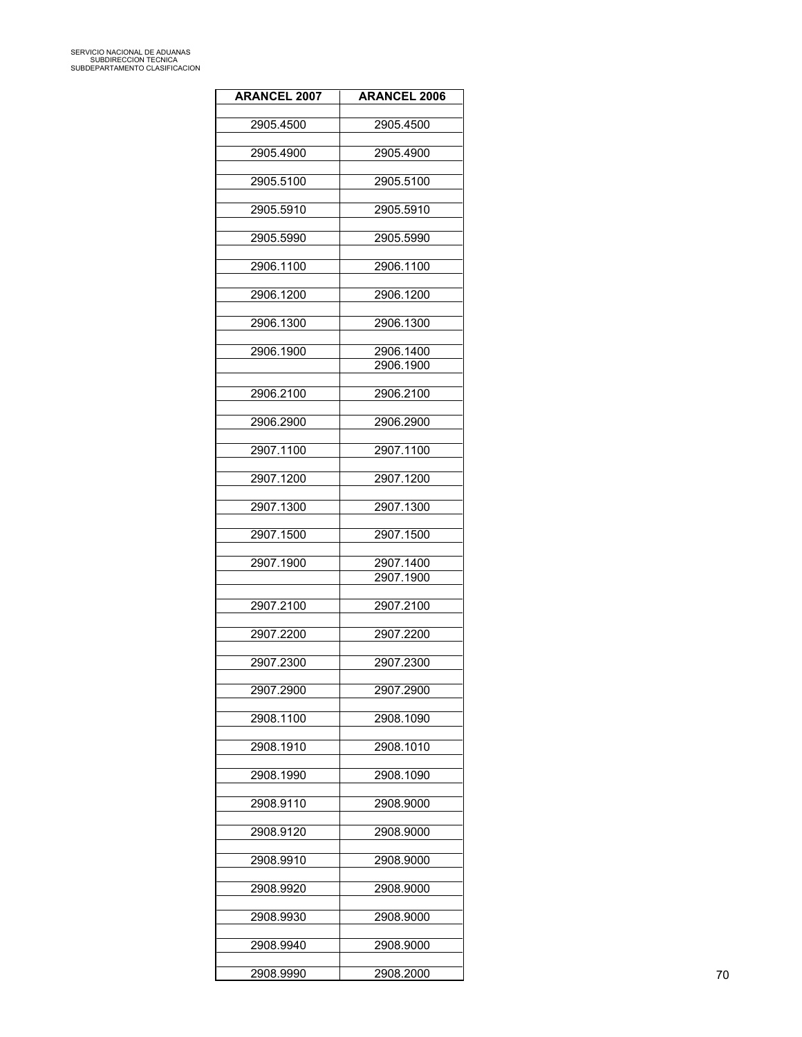| <b>ARANCEL 2007</b> | <b>ARANCEL 2006</b>    |
|---------------------|------------------------|
| 2905.4500           | 2905.4500              |
|                     |                        |
| 2905.4900           | 2905.4900              |
| 2905.5100           | 2905.5100              |
| 2905.5910           | 2905.5910              |
| 2905.5990           | 2905.5990              |
|                     |                        |
| 2906.1100           | 2906.1100              |
| 2906.1200           | 2906.1200              |
| 2906.1300           | 2906.1300              |
| 2906.1900           | 2906.1400              |
|                     | 2906.1900              |
| 2906.2100           | 2906.2100              |
| 2906.2900           | 2906.2900              |
|                     |                        |
| 2907.1100           | 2907.1100              |
| 2907.1200           | 2907.1200              |
| 2907.1300           | 2907.1300              |
|                     |                        |
| 2907.1500           | 2907.1500              |
| 2907.1900           | 2907.1400<br>2907.1900 |
|                     |                        |
| 2907.2100           | 2907.2100              |
| 2907.2200           | 2907.2200              |
| 2907.2300           | 2907.2300              |
|                     |                        |
| 2907.2900           | 2907.2900              |
| 2908.1100           | 2908.1090              |
| 2908.1910           | 2908.1010              |
| 2908.1990           | 2908.1090              |
|                     |                        |
| 2908.9110           | 2908.9000              |
| 2908.9120           | 2908.9000              |
| 2908.9910           | 2908.9000              |
| 2908.9920           | 2908.9000              |
|                     |                        |
| 2908.9930           | 2908.9000              |
| 2908.9940           | 2908.9000              |
| 2908.9990           | 2908.2000              |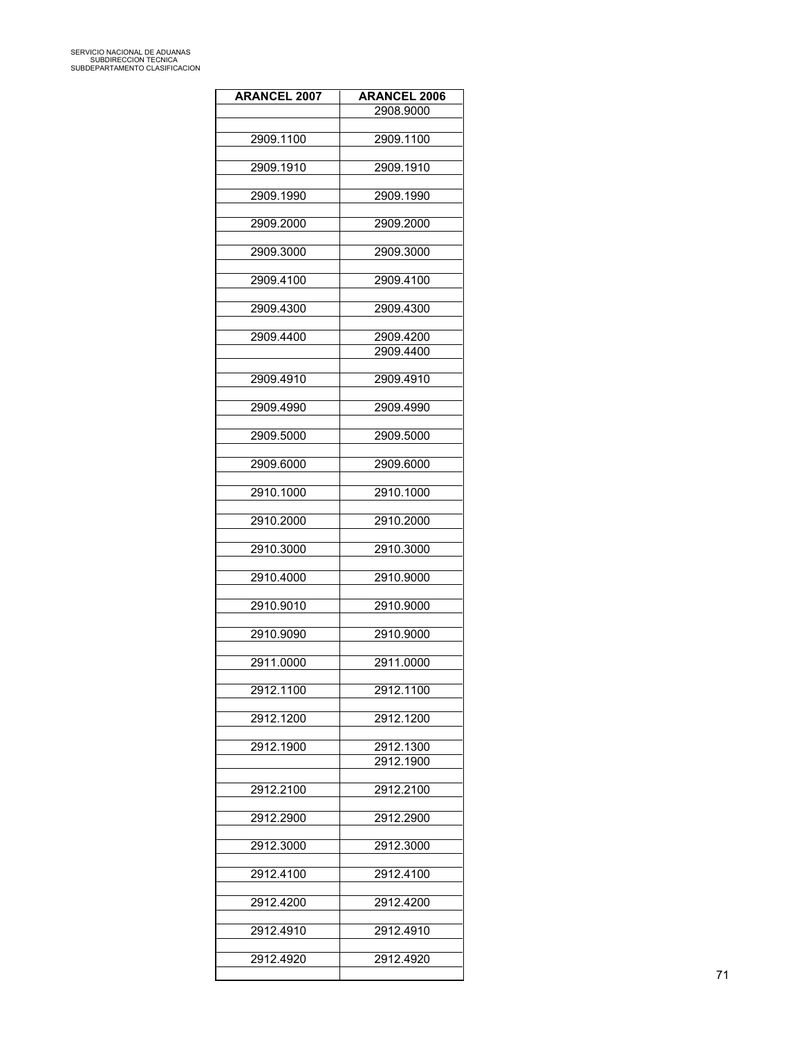| <b>ARANCEL 2007</b> | <b>ARANCEL 2006</b>    |
|---------------------|------------------------|
|                     | 2908.9000              |
| 2909.1100           | 2909.1100              |
| 2909.1910           | 2909.1910              |
| 2909.1990           | 2909.1990              |
| 2909.2000           | 2909.2000              |
| 2909.3000           | 2909.3000              |
| 2909.4100           | 2909.4100              |
| 2909.4300           | 2909.4300              |
| 2909.4400           | 2909.4200              |
|                     | 2909.4400              |
| 2909.4910           | 2909.4910              |
| 2909.4990           | 2909.4990              |
| 2909.5000           | 2909.5000              |
| 2909.6000           | 2909.6000              |
| 2910.1000           | 2910.1000              |
| 2910.2000           | 2910.2000              |
| 2910.3000           | 2910.3000              |
| 2910.4000           | 2910.9000              |
| 2910.9010           | 2910.9000              |
| 2910.9090           | 2910.9000              |
| 2911.0000           | 2911.0000              |
| 2912.1100           | 2912.1100              |
| 2912.1200           | 2912.1200              |
| 2912.1900           | 2912.1300<br>2912.1900 |
|                     | 2912.2100              |
| 2912.2100           |                        |
| 2912.2900           | 2912.2900              |
| 2912.3000           | 2912.3000              |
| 2912.4100           | 2912.4100              |
| 2912.4200           | 2912.4200              |
| 2912.4910           | 2912.4910              |
| 2912.4920           | 2912.4920              |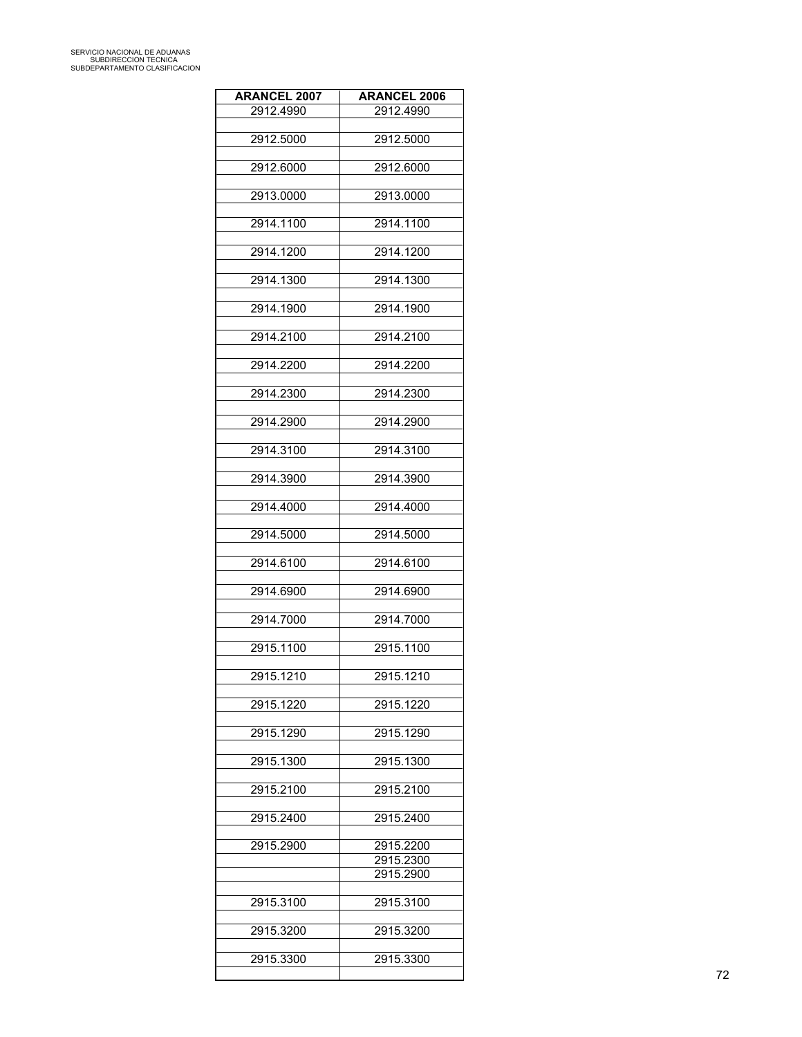| <b>ARANCEL 2007</b> | <b>ARANCEL 2006</b>    |
|---------------------|------------------------|
| 2912.4990           | 2912.4990              |
|                     |                        |
| 2912.5000           | 2912.5000              |
| 2912.6000           | 2912.6000              |
|                     |                        |
| 2913.0000           | 2913.0000              |
|                     |                        |
| 2914.1100           | 2914.1100              |
|                     |                        |
| 2914.1200           | 2914.1200              |
|                     |                        |
| 2914.1300           | 2914.1300              |
| 2914.1900           | 2914.1900              |
|                     |                        |
| 2914.2100           | 2914.2100              |
|                     |                        |
| 2914.2200           | 2914.2200              |
|                     |                        |
| 2914.2300           | 2914.2300              |
| 2914.2900           | 2914.2900              |
|                     |                        |
| 2914.3100           | 2914.3100              |
|                     |                        |
| 2914.3900           | 2914.3900              |
|                     |                        |
| 2914.4000           | 2914.4000              |
| 2914.5000           | 2914.5000              |
|                     |                        |
| 2914.6100           | 2914.6100              |
|                     |                        |
| 2914.6900           | 2914.6900              |
|                     |                        |
| 2914.7000           | 2914.7000              |
| 2915.1100           | 2915.1100              |
|                     |                        |
| 2915.1210           | 2915.1210              |
|                     |                        |
| 2915.1220           | 2915.1220              |
| 2915.1290           | 2915.1290              |
|                     |                        |
| 2915.1300           | 2915.1300              |
|                     |                        |
| 2915.2100           | 2915.2100              |
|                     |                        |
| 2915.2400           | 2915.2400              |
|                     |                        |
| 2915.2900           | 2915.2200<br>2915.2300 |
|                     | 2915.2900              |
|                     |                        |
| 2915.3100           | 2915.3100              |
|                     |                        |
| 2915.3200           | 2915.3200              |
| 2915.3300           | 2915.3300              |
|                     |                        |
|                     |                        |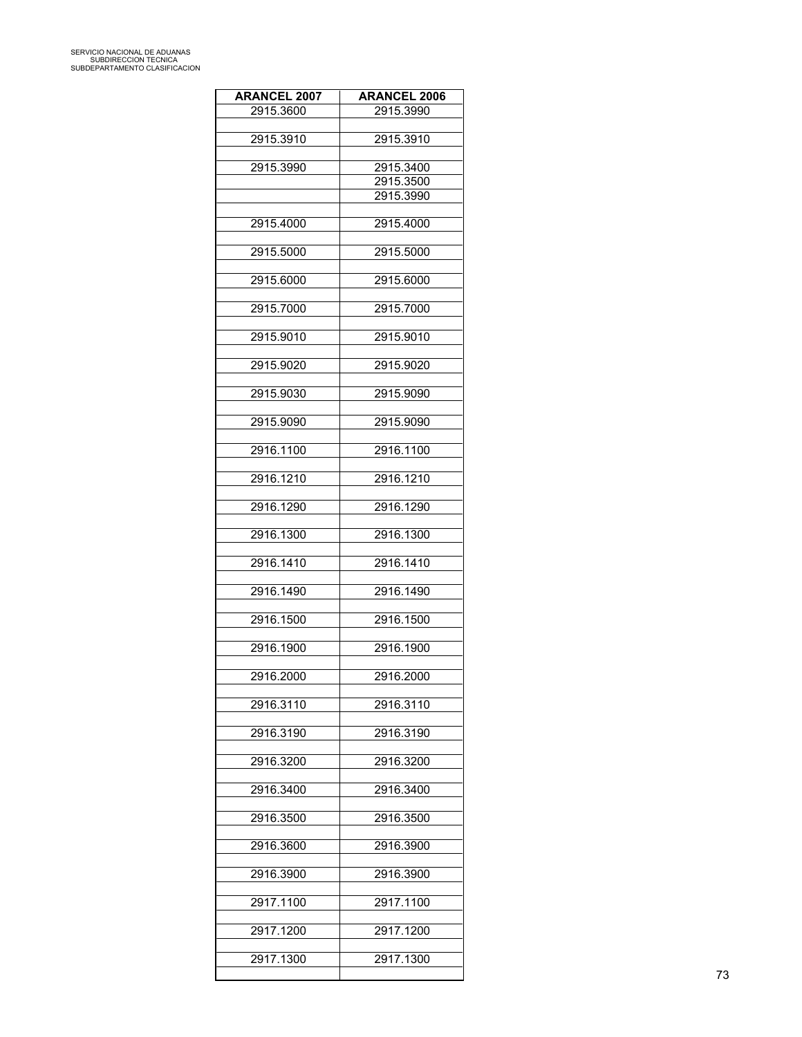| <b>ARANCEL 2007</b> | <b>ARANCEL 2006</b> |
|---------------------|---------------------|
| 2915.3600           | 2915.3990           |
|                     |                     |
| 2915.3910           | 2915.3910           |
| 2915.3990           | 2915.3400           |
|                     | 2915.3500           |
|                     | 2915.3990           |
|                     |                     |
| 2915.4000           | 2915.4000           |
|                     |                     |
| 2915.5000           | 2915.5000           |
| 2915.6000           | 2915.6000           |
|                     |                     |
| 2915.7000           | 2915.7000           |
|                     |                     |
| 2915.9010           | 2915.9010           |
|                     |                     |
| 2915.9020           | 2915.9020           |
| 2915.9030           | 2915.9090           |
|                     |                     |
| 2915.9090           | 2915.9090           |
|                     |                     |
| 2916.1100           | 2916.1100           |
| 2916.1210           | 2916.1210           |
|                     |                     |
| 2916.1290           | 2916.1290           |
|                     |                     |
| 2916.1300           | 2916.1300           |
| 2916.1410           | 2916.1410           |
|                     |                     |
| 2916.1490           | 2916.1490           |
|                     |                     |
| 2916.1500           | 2916.1500           |
| 2916.1900           | 2916.1900           |
|                     |                     |
| 2916.2000           | 2916.2000           |
|                     |                     |
| 2916.3110           | 2916.3110           |
| 2916.3190           | 2916.3190           |
|                     |                     |
| 2916.3200           | 2916.3200           |
|                     |                     |
| 2916.3400           | 2916.3400           |
| 2916.3500           | 2916.3500           |
|                     |                     |
| 2916.3600           | 2916.3900           |
|                     |                     |
| 2916.3900           | 2916.3900           |
| 2917.1100           | 2917.1100           |
|                     |                     |
| 2917.1200           | 2917.1200           |
|                     |                     |
| 2917.1300           | 2917.1300           |
|                     |                     |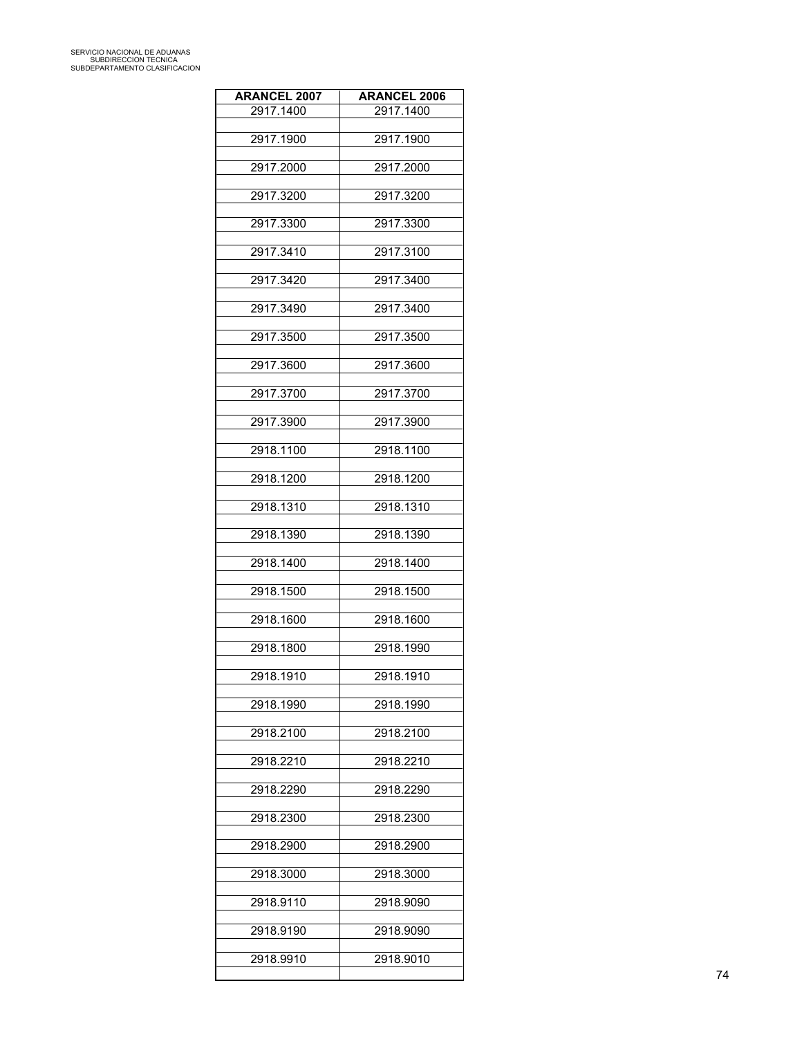| <b>ARANCEL 2007</b> | <b>ARANCEL 2006</b> |
|---------------------|---------------------|
| 2917.1400           | 2917.1400           |
| 2917.1900           | 2917.1900           |
| 2917.2000           | 2917.2000           |
| 2917.3200           | 2917.3200           |
| 2917.3300           | 2917.3300           |
| 2917.3410           | 2917.3100           |
| 2917.3420           | 2917.3400           |
| 2917.3490           | 2917.3400           |
| 2917.3500           | 2917.3500           |
| 2917.3600           | 2917.3600           |
| 2917.3700           | 2917.3700           |
| 2917.3900           | 2917.3900           |
| 2918.1100           | 2918.1100           |
| 2918.1200           | 2918.1200           |
| 2918.1310           | 2918.1310           |
| 2918.1390           | 2918.1390           |
| 2918.1400           | 2918.1400           |
| 2918.1500           | 2918.1500           |
| 2918.1600           | 2918.1600           |
| 2918.1800           | 2918.1990           |
| 2918.1910           | 2918.1910           |
| 2918.1990           | 2918.1990           |
| 2918.2100           | 2918.2100           |
| 2918.2210           | 2918.2210           |
| 2918.2290           | 2918.2290           |
| 2918.2300           | 2918.2300           |
| 2918.2900           | 2918.2900           |
| 2918.3000           | 2918.3000           |
| 2918.9110           | 2918.9090           |
| 2918.9190           | 2918.9090           |
| 2918.9910           | 2918.9010           |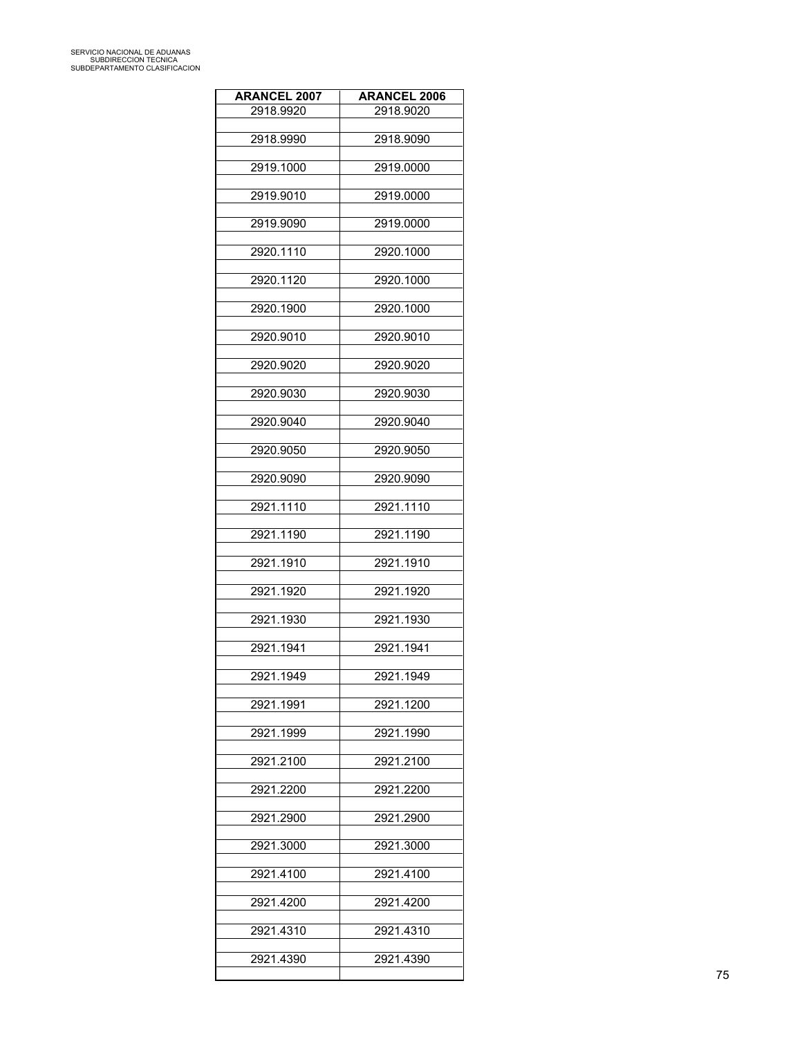| <b>ARANCEL 2007</b> | <b>ARANCEL 2006</b> |
|---------------------|---------------------|
| 2918.9920           | 2918.9020           |
|                     |                     |
| 2918.9990           | 2918.9090           |
| 2919.1000           | 2919.0000           |
|                     |                     |
| 2919.9010           | 2919.0000           |
|                     |                     |
| 2919.9090           | 2919.0000           |
| 2920.1110           | 2920.1000           |
|                     |                     |
| 2920.1120           | 2920.1000           |
| 2920.1900           | 2920.1000           |
|                     |                     |
| 2920.9010           | 2920.9010           |
|                     |                     |
| 2920.9020           | 2920.9020           |
| 2920.9030           | 2920.9030           |
|                     |                     |
| 2920.9040           | 2920.9040           |
|                     |                     |
| 2920.9050           | 2920.9050           |
| 2920.9090           | 2920.9090           |
|                     |                     |
| 2921.1110           | 2921.1110           |
|                     |                     |
| 2921.1190           | 2921.1190           |
| 2921.1910           | 2921.1910           |
|                     |                     |
| 2921.1920           | 2921.1920           |
| 2921.1930           | 2921.1930           |
|                     |                     |
| 2921.1941           | 2921.1941           |
|                     |                     |
| 2921.1949           | 2921.1949           |
| 2921.1991           | 2921.1200           |
|                     |                     |
| 2921.1999           | 2921.1990           |
|                     |                     |
| 2921.2100           | 2921.2100           |
| 2921.2200           | 2921.2200           |
|                     |                     |
| 2921.2900           | 2921.2900           |
|                     |                     |
| 2921.3000           | 2921.3000           |
| 2921.4100           | 2921.4100           |
|                     |                     |
| 2921.4200           | 2921.4200           |
|                     |                     |
| 2921.4310           | 2921.4310           |
| 2921.4390           | 2921.4390           |
|                     |                     |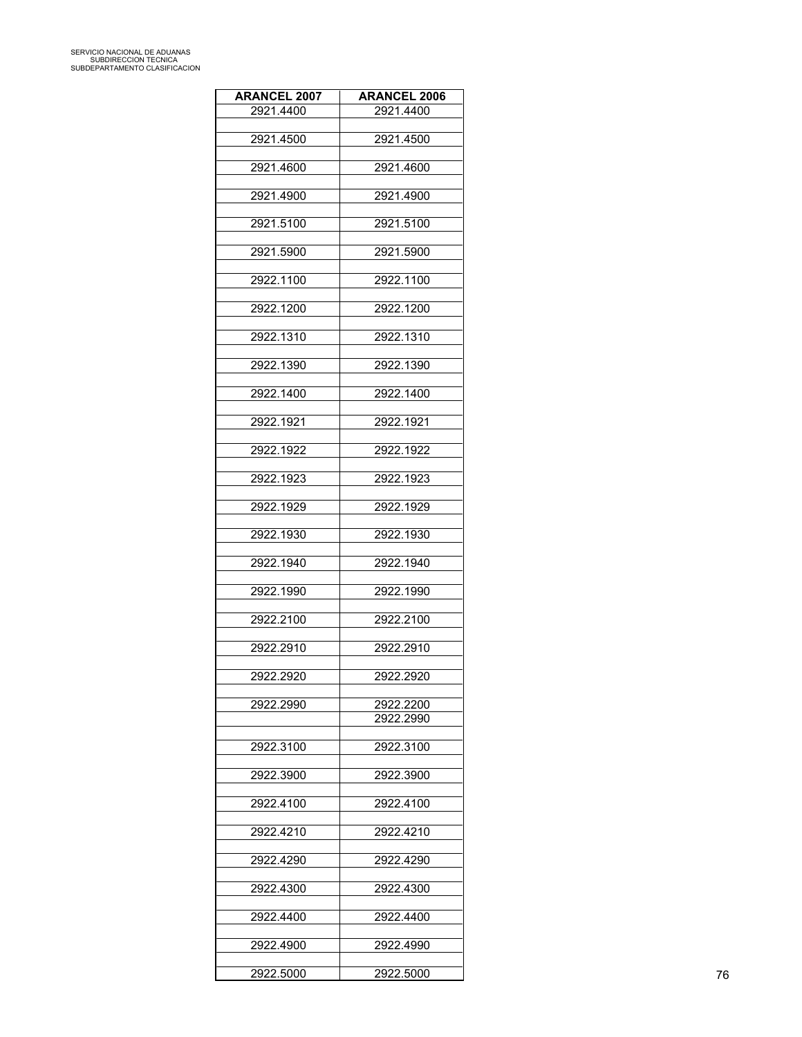| <b>ARANCEL 2007</b> | <b>ARANCEL 2006</b> |
|---------------------|---------------------|
| 2921.4400           | 2921.4400           |
| 2921.4500           | 2921.4500           |
| 2921.4600           |                     |
|                     | 2921.4600           |
| 2921.4900           | 2921.4900           |
| 2921.5100           | 2921.5100           |
| 2921.5900           | 2921.5900           |
|                     |                     |
| 2922.1100           | 2922.1100           |
| 2922.1200           | 2922.1200           |
| 2922.1310           | 2922.1310           |
| 2922.1390           | 2922.1390           |
|                     |                     |
| 2922.1400           | 2922.1400           |
| 2922.1921           | 2922.1921           |
| 2922.1922           | 2922.1922           |
|                     |                     |
| 2922.1923           | 2922.1923           |
| 2922.1929           | 2922.1929           |
| 2922.1930           | 2922.1930           |
| 2922.1940           | 2922.1940           |
|                     |                     |
| 2922.1990           | 2922.1990           |
| 2922.2100           | 2922.2100           |
| 2922.2910           | 2922.2910           |
|                     |                     |
| 2922.2920           | 2922.2920           |
| 2922.2990           | 2922.2200           |
|                     | 2922.2990           |
| 2922.3100           | 2922.3100           |
| 2922.3900           | 2922.3900           |
|                     |                     |
| 2922.4100           | 2922.4100           |
| 2922.4210           | 2922.4210           |
| 2922.4290           | 2922.4290           |
| 2922.4300           | 2922.4300           |
|                     |                     |
| 2922.4400           | 2922.4400           |
| 2922.4900           | 2922.4990           |
| 2922.5000           | 2922.5000           |
|                     |                     |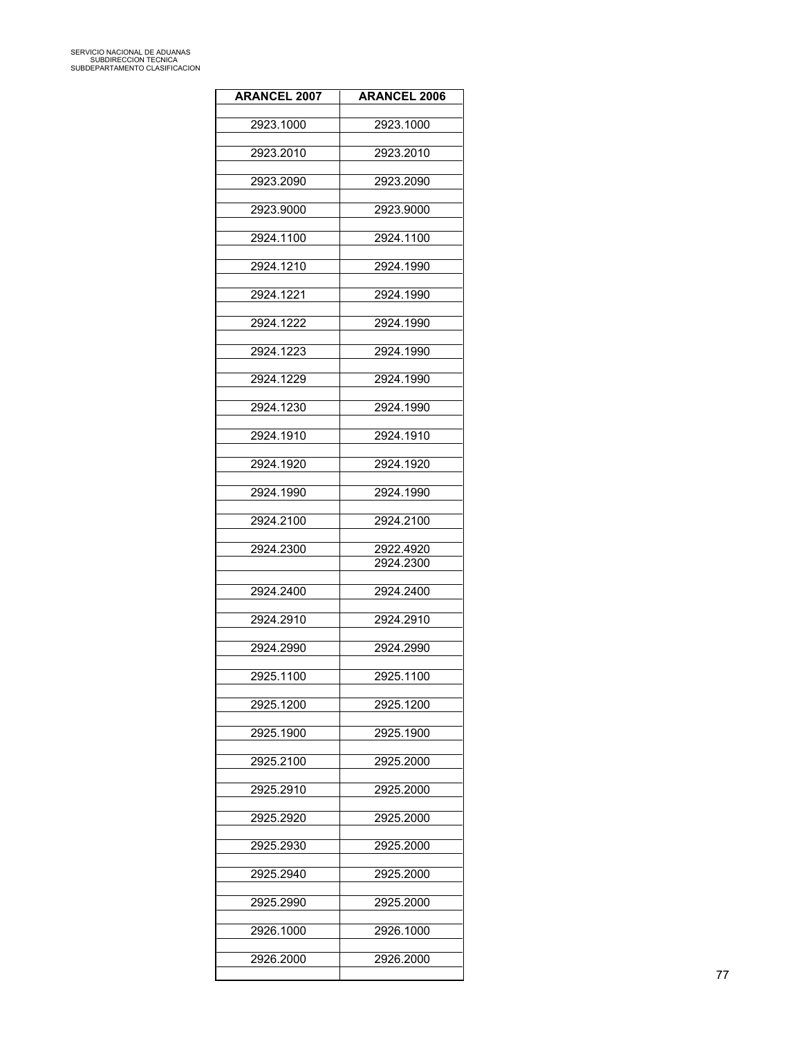| <b>ARANCEL 2007</b> | <b>ARANCEL 2006</b>    |
|---------------------|------------------------|
| 2923.1000           | 2923.1000              |
| 2923.2010           | 2923.2010              |
| 2923.2090           | 2923.2090              |
| 2923.9000           | 2923.9000              |
| 2924.1100           | 2924.1100              |
| 2924.1210           | 2924.1990              |
| 2924.1221           | 2924.1990              |
| 2924.1222           | 2924.1990              |
| 2924.1223           | 2924.1990              |
| 2924.1229           | 2924.1990              |
| 2924.1230           | 2924.1990              |
| 2924.1910           | 2924.1910              |
| 2924.1920           | 2924.1920              |
| 2924.1990           | 2924.1990              |
| 2924.2100           | 2924.2100              |
| 2924.2300           | 2922.4920<br>2924.2300 |
| 2924.2400           | 2924.2400              |
| 2924.2910           | 2924.2910              |
| 2924.2990           | 2924.2990              |
| 2925.1100           | 2925.1100              |
| 2925.1200           | 2925.1200              |
| 2925.1900           | 2925.1900              |
| 2925.2100           | 2925.2000              |
| 2925.2910           | 2925.2000              |
| 2925.2920           | 2925.2000              |
| 2925.2930           | 2925.2000              |
| 2925.2940           | 2925.2000              |
| 2925.2990           | 2925.2000              |
| 2926.1000           | 2926.1000              |
| 2926.2000           | 2926.2000              |
|                     |                        |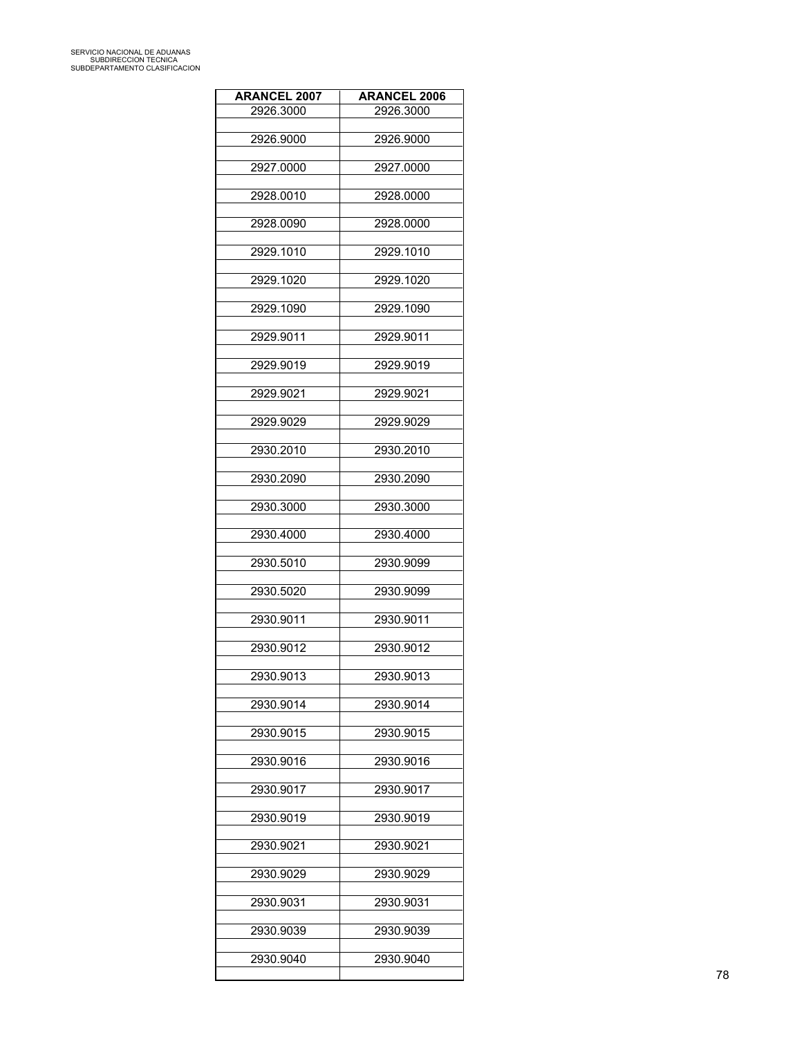| <b>ARANCEL 2007</b> | <b>ARANCEL 2006</b> |
|---------------------|---------------------|
| 2926.3000           | 2926.3000           |
| 2926.9000           | 2926.9000           |
| 2927.0000           | 2927.0000           |
| 2928.0010           | 2928.0000           |
| 2928.0090           | 2928.0000           |
| 2929.1010           | 2929.1010           |
| 2929.1020           | 2929.1020           |
| 2929.1090           | 2929.1090           |
| 2929.9011           | 2929.9011           |
| 2929.9019           | 2929.9019           |
| 2929.9021           | 2929.9021           |
| 2929.9029           | 2929.9029           |
| 2930.2010           | 2930.2010           |
| 2930.2090           | 2930.2090           |
| 2930.3000           | 2930.3000           |
| 2930.4000           | 2930.4000           |
| 2930.5010           | 2930.9099           |
| 2930.5020           | 2930.9099           |
| 2930.9011           | 2930.9011           |
| 2930.9012           | 2930.9012           |
| 2930.9013           | 2930.9013           |
| 2930.9014           | 2930.9014           |
| 2930.9015           | 2930.9015           |
| 2930.9016           | 2930.9016           |
| 2930.9017           | 2930.9017           |
| 2930.9019           | 2930.9019           |
| 2930.9021           | 2930.9021           |
| 2930.9029           | 2930.9029           |
| 2930.9031           | 2930.9031           |
| 2930.9039           | 2930.9039           |
| 2930.9040           | 2930.9040           |
|                     |                     |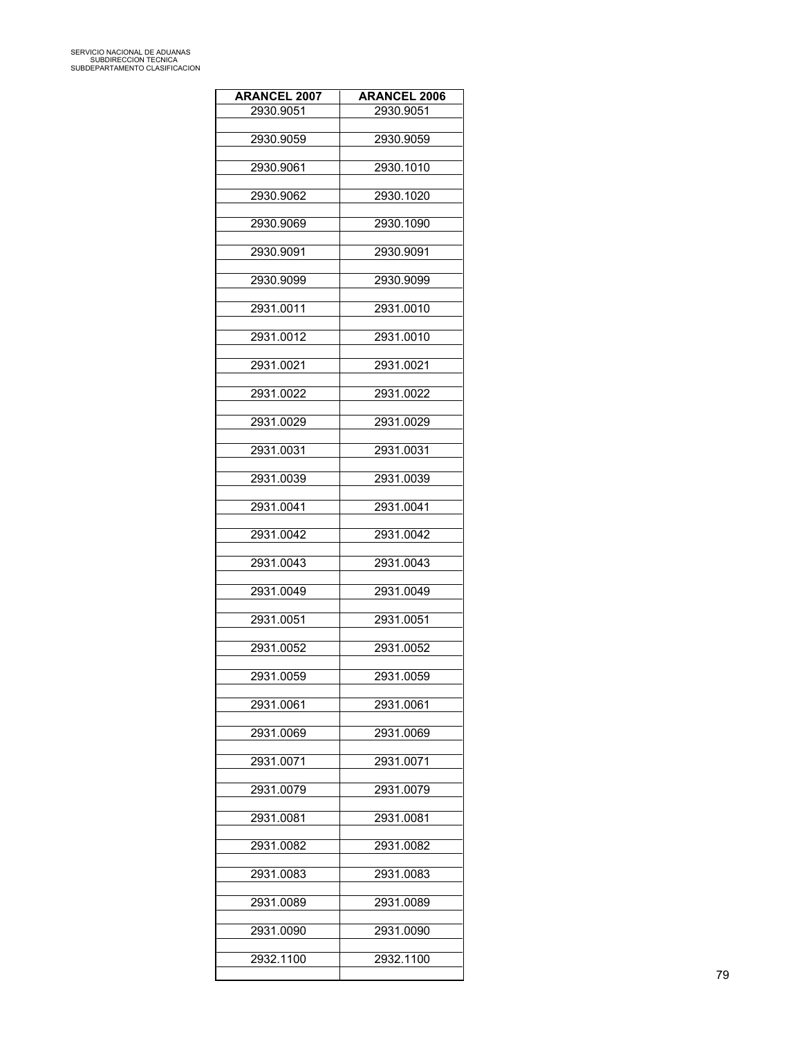| <b>ARANCEL 2007</b> | <b>ARANCEL 2006</b> |
|---------------------|---------------------|
| 2930.9051           | 2930.9051           |
| 2930.9059           | 2930.9059           |
| 2930.9061           | 2930.1010           |
| 2930.9062           | 2930.1020           |
| 2930.9069           | 2930.1090           |
| 2930.9091           | 2930.9091           |
| 2930.9099           | 2930.9099           |
| 2931.0011           | 2931.0010           |
| 2931.0012           | 2931.0010           |
| 2931.0021           | 2931.0021           |
|                     |                     |
| 2931.0022           | 2931.0022           |
| 2931.0029           | 2931.0029           |
| 2931.0031           | 2931.0031           |
| 2931.0039           | 2931.0039           |
| 2931.0041           | 2931.0041           |
| 2931.0042           | 2931.0042           |
| 2931.0043           | 2931.0043           |
| 2931.0049           | 2931.0049           |
| 2931.0051           | 2931.0051           |
| 2931.0052           | 2931.0052           |
| 2931.0059           | 2931.0059           |
| 2931.0061           | 2931.0061           |
| 2931.0069           | 2931.0069           |
| 2931.0071           | 2931.0071           |
| 2931.0079           | 2931.0079           |
| 2931.0081           | 2931.0081           |
| 2931.0082           | 2931.0082           |
| 2931.0083           | 2931.0083           |
| 2931.0089           | 2931.0089           |
| 2931.0090           | 2931.0090           |
| 2932.1100           | 2932.1100           |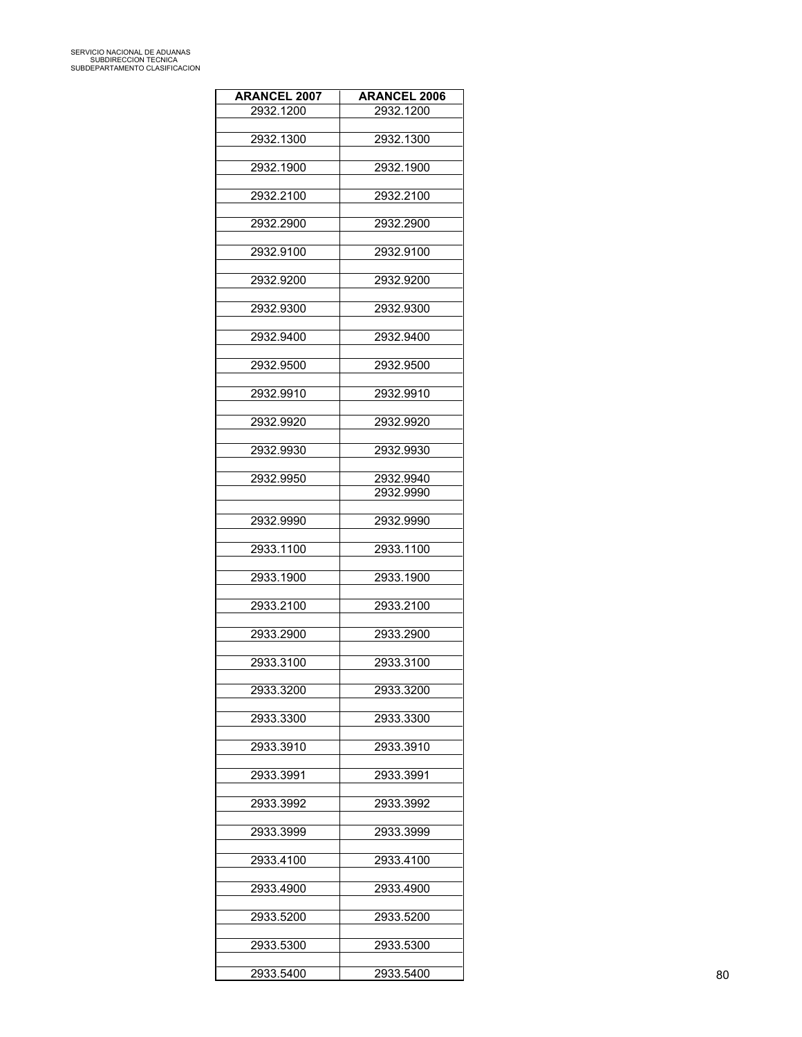| <b>ARANCEL 2007</b> | <b>ARANCEL 2006</b> |
|---------------------|---------------------|
| 2932.1200           | 2932.1200           |
| 2932.1300           | 2932.1300           |
| 2932.1900           | 2932.1900           |
|                     |                     |
| 2932.2100           | 2932.2100           |
| 2932.2900           | 2932.2900           |
| 2932.9100           | 2932.9100           |
| 2932.9200           | 2932.9200           |
| 2932.9300           | 2932.9300           |
| 2932.9400           | 2932.9400           |
|                     |                     |
| 2932.9500           | 2932.9500           |
| 2932.9910           | 2932.9910           |
| 2932.9920           | 2932.9920           |
| 2932.9930           | 2932.9930           |
| 2932.9950           | 2932.9940           |
|                     | 2932.9990           |
| 2932.9990           | 2932.9990           |
|                     |                     |
| 2933.1100           | 2933.1100           |
| 2933.1900           | 2933.1900           |
| 2933.2100           | 2933.2100           |
| 2933.2900           | 2933.2900           |
| 2933.3100           | 2933.3100           |
|                     |                     |
| 2933.3200           | 2933.3200           |
| 2933.3300           | 2933.3300           |
| 2933.3910           | 2933.3910           |
| 2933.3991           | 2933.3991           |
| 2933.3992           | 2933.3992           |
|                     |                     |
| 2933.3999           | 2933.3999           |
| 2933.4100           | 2933.4100           |
| 2933.4900           | 2933.4900           |
| 2933.5200           | 2933.5200           |
| 2933.5300           | 2933.5300           |
|                     |                     |
| 2933.5400           | 2933.5400           |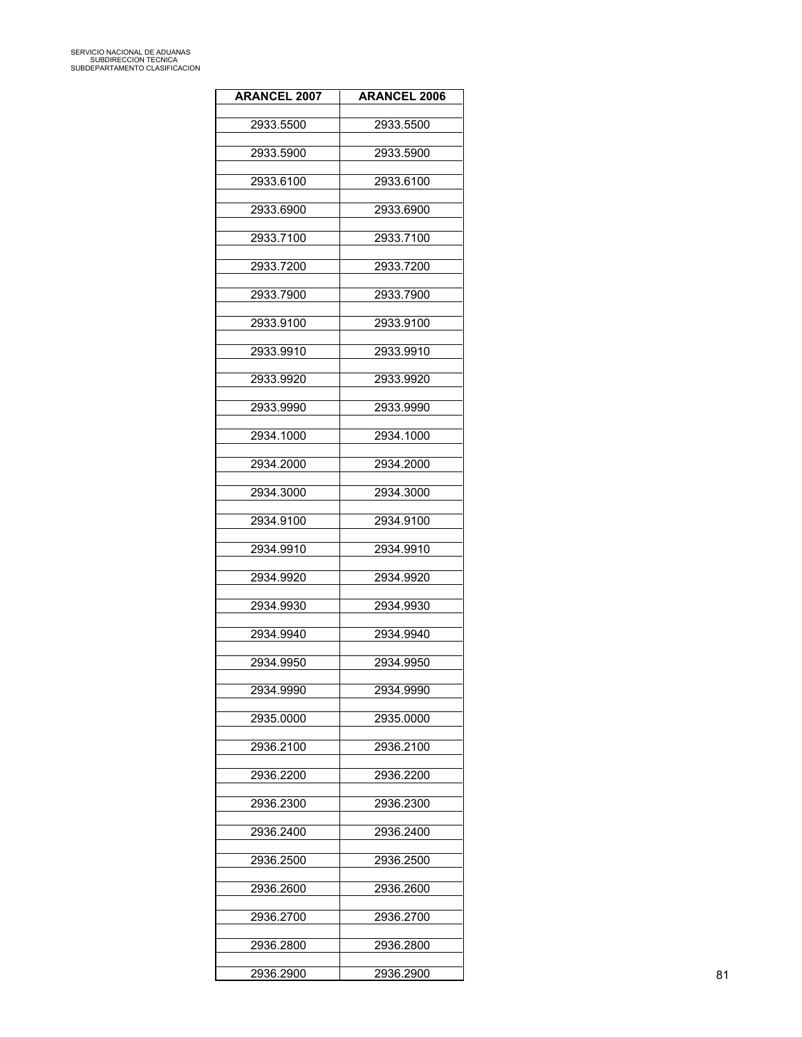| <b>ARANCEL 2007</b> | <b>ARANCEL 2006</b> |
|---------------------|---------------------|
| 2933.5500           | 2933.5500           |
| 2933.5900           | 2933.5900           |
|                     |                     |
| 2933.6100           | 2933.6100           |
| 2933.6900           | 2933.6900           |
| 2933.7100           | 2933.7100           |
| 2933.7200           | 2933.7200           |
| 2933.7900           | 2933.7900           |
| 2933.9100           | 2933.9100           |
| 2933.9910           | 2933.9910           |
| 2933.9920           | 2933.9920           |
| 2933.9990           | 2933.9990           |
| 2934.1000           | 2934.1000           |
| 2934.2000           | 2934.2000           |
|                     |                     |
| 2934.3000           | 2934.3000           |
| 2934.9100           | 2934.9100           |
| 2934.9910           | 2934.9910           |
| 2934.9920           | 2934.9920           |
| 2934.9930           | 2934.9930           |
| 2934.9940           | 2934.9940           |
| 2934.9950           | 2934.9950           |
| 2934.9990           | 2934.9990           |
| 2935.0000           | 2935.0000           |
| 2936.2100           | 2936.2100           |
| 2936.2200           | 2936.2200           |
|                     |                     |
| 2936.2300           | 2936.2300           |
| 2936.2400           | 2936.2400           |
| 2936.2500           | 2936.2500           |
| 2936.2600           | 2936.2600           |
| 2936.2700           | 2936.2700           |
| 2936.2800           | 2936.2800           |
| 2936.2900           | 2936.2900           |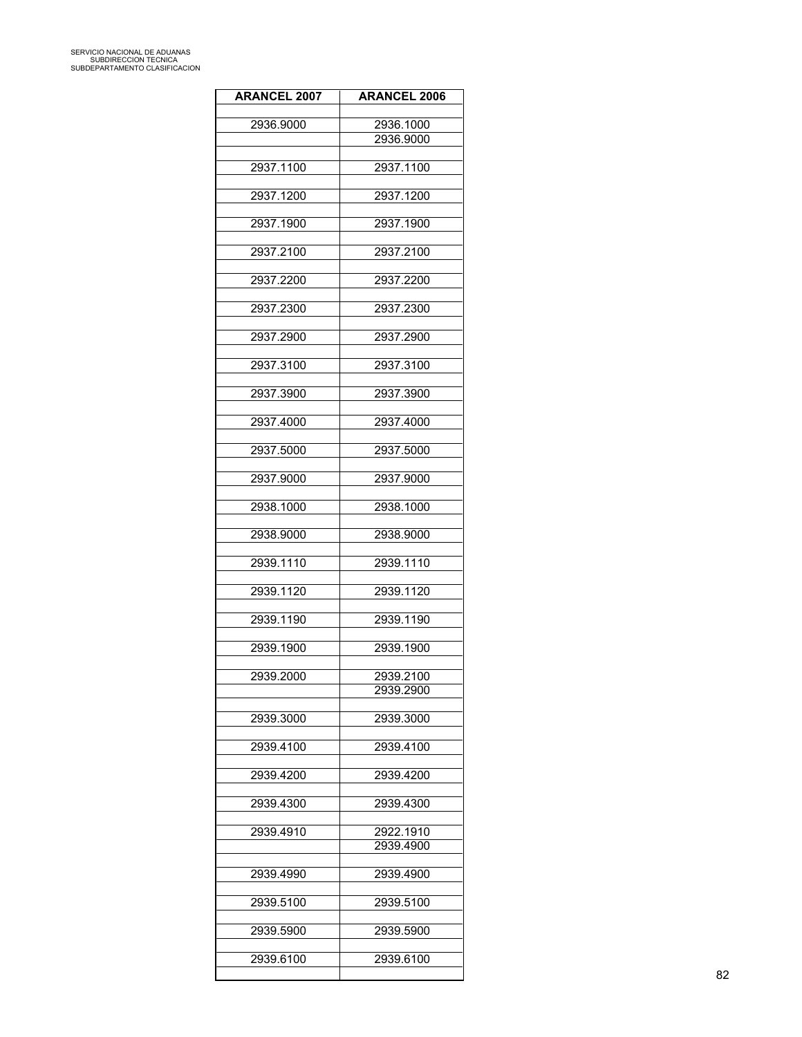| <b>ARANCEL 2007</b> | <b>ARANCEL 2006</b> |
|---------------------|---------------------|
|                     |                     |
| 2936.9000           | 2936.1000           |
|                     | 2936.9000           |
| 2937.1100           | 2937.1100           |
|                     |                     |
| 2937.1200           | 2937.1200           |
|                     |                     |
| 2937.1900           | 2937.1900           |
| 2937.2100           | 2937.2100           |
|                     |                     |
| 2937.2200           | 2937.2200           |
|                     |                     |
| 2937.2300           | 2937.2300           |
| 2937.2900           | 2937.2900           |
|                     |                     |
| 2937.3100           | 2937.3100           |
|                     |                     |
| 2937.3900           | 2937.3900           |
|                     |                     |
| 2937.4000           | 2937.4000           |
| 2937.5000           | 2937.5000           |
|                     |                     |
| 2937.9000           | 2937.9000           |
|                     |                     |
| 2938.1000           | 2938.1000           |
| 2938.9000           | 2938.9000           |
|                     |                     |
| 2939.1110           | 2939.1110           |
|                     |                     |
| 2939.1120           | 2939.1120           |
| 2939.1190           | 2939.1190           |
|                     |                     |
| 2939.1900           | 2939.1900           |
|                     |                     |
| 2939.2000           | 2939.2100           |
|                     | 2939.2900           |
| 2939.3000           | 2939.3000           |
|                     |                     |
| 2939.4100           | 2939.4100           |
|                     |                     |
| 2939.4200           | 2939.4200           |
| 2939.4300           | 2939.4300           |
|                     |                     |
| 2939.4910           | 2922.1910           |
|                     | 2939.4900           |
|                     |                     |
| 2939.4990           | 2939.4900           |
| 2939.5100           | 2939.5100           |
|                     |                     |
| 2939.5900           | 2939.5900           |
|                     |                     |
| 2939.6100           | 2939.6100           |
|                     |                     |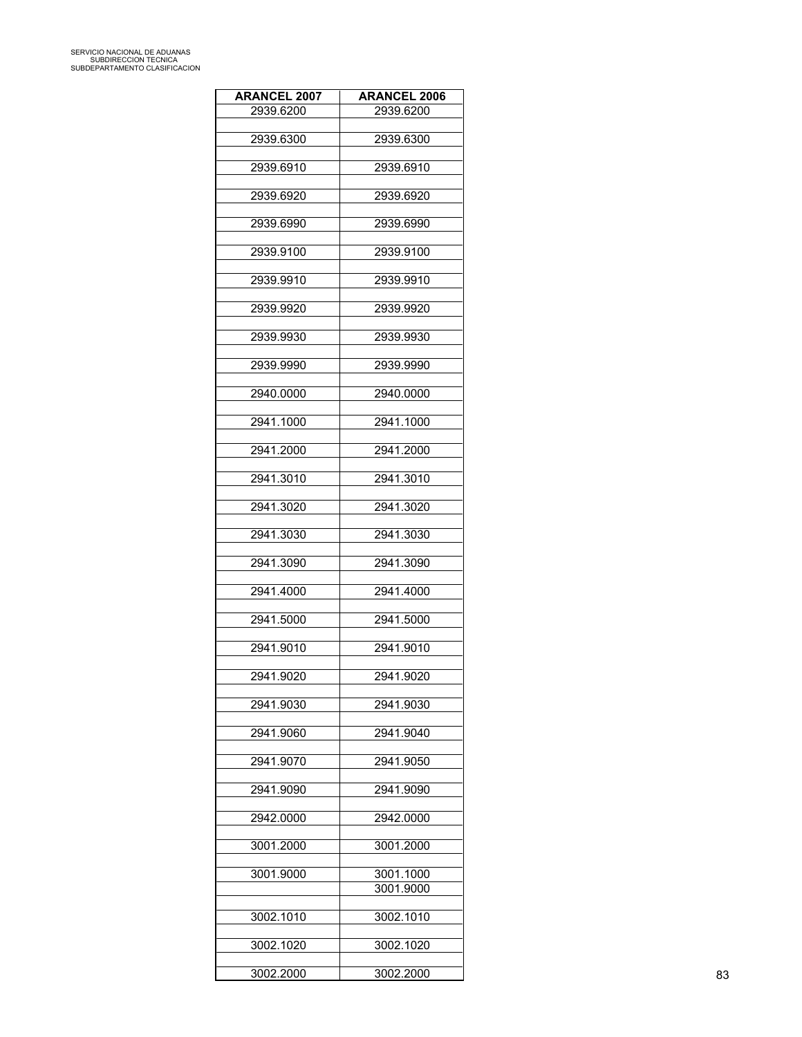| <b>ARANCEL 2007</b> | <b>ARANCEL 2006</b> |
|---------------------|---------------------|
| 2939.6200           | 2939.6200           |
| 2939.6300           | 2939.6300           |
| 2939.6910           | 2939.6910           |
| 2939.6920           | 2939.6920           |
|                     |                     |
| 2939.6990           | 2939.6990           |
| 2939.9100           | 2939.9100           |
| 2939.9910           | 2939.9910           |
| 2939.9920           | 2939.9920           |
| 2939.9930           | 2939.9930           |
| 2939.9990           | 2939.9990           |
|                     |                     |
| 2940.0000           | 2940.0000           |
| 2941.1000           | 2941.1000           |
| 2941.2000           | 2941.2000           |
| 2941.3010           | 2941.3010           |
| 2941.3020           | 2941.3020           |
| 2941.3030           | 2941.3030           |
|                     |                     |
| 2941.3090           | 2941.3090           |
| 2941.4000           | 2941.4000           |
| 2941.5000           | 2941.5000           |
| 2941.9010           | 2941.9010           |
| 2941.9020           | 2941.9020           |
| 2941.9030           | 2941.9030           |
|                     |                     |
| 2941.9060           | 2941.9040           |
| 2941.9070           | 2941.9050           |
| 2941.9090           | 2941.9090           |
| 2942.0000           | 2942.0000           |
| 3001.2000           | 3001.2000           |
| 3001.9000           | 3001.1000           |
|                     | 3001.9000           |
| 3002.1010           | 3002.1010           |
| 3002.1020           | 3002.1020           |
|                     |                     |
| 3002.2000           | 3002.2000           |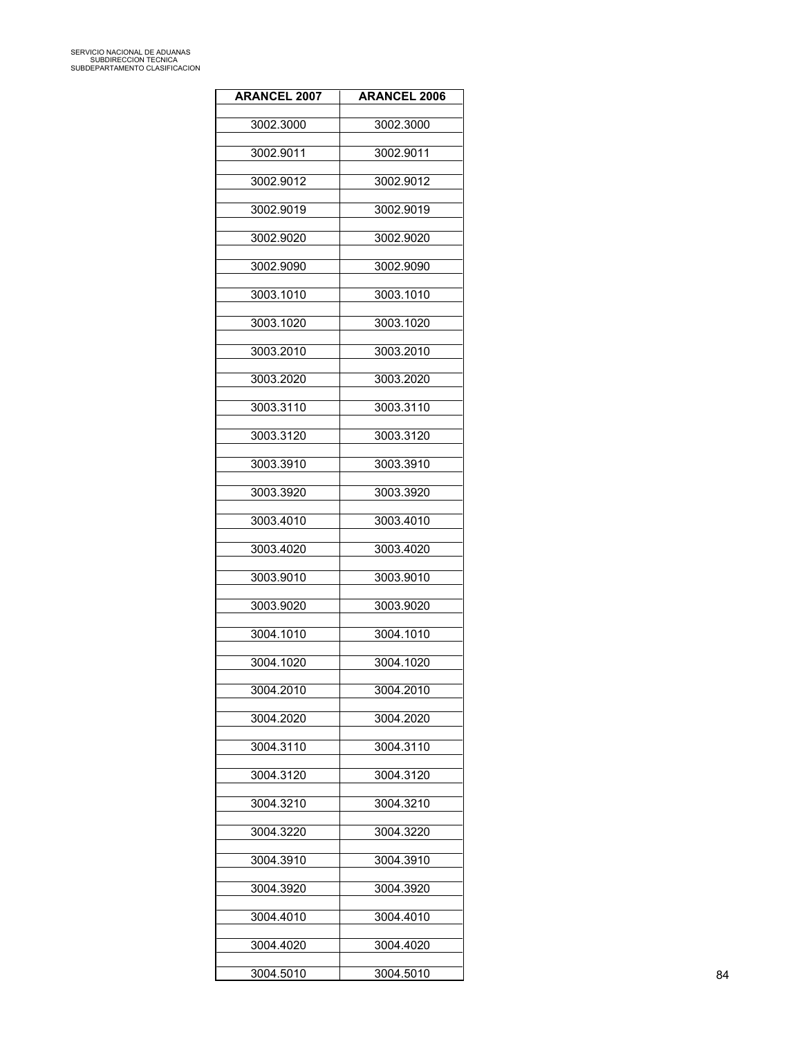| <b>ARANCEL 2007</b> | <b>ARANCEL 2006</b> |
|---------------------|---------------------|
| 3002.3000           | 3002.3000           |
| 3002.9011           | 3002.9011           |
| 3002.9012           | 3002.9012           |
|                     |                     |
| 3002.9019           | 3002.9019           |
| 3002.9020           | 3002.9020           |
| 3002.9090           | 3002.9090           |
| 3003.1010           | 3003.1010           |
| 3003.1020           | 3003.1020           |
| 3003.2010           | 3003.2010           |
| 3003.2020           | 3003.2020           |
| 3003.3110           | 3003.3110           |
| 3003.3120           | 3003.3120           |
| 3003.3910           | 3003.3910           |
| 3003.3920           | 3003.3920           |
| 3003.4010           | 3003.4010           |
|                     |                     |
| 3003.4020           | 3003.4020           |
| 3003.9010           | 3003.9010           |
| 3003.9020           | 3003.9020           |
| 3004.1010           | 3004.1010           |
| 3004.1020           | 3004.1020           |
| 3004.2010           | 3004.2010           |
| 3004.2020           | 3004.2020           |
| 3004.3110           | 3004.3110           |
| 3004.3120           | 3004.3120           |
| 3004.3210           | 3004.3210           |
|                     |                     |
| 3004.3220           | 3004.3220           |
| 3004.3910           | 3004.3910           |
| 3004.3920           | 3004.3920           |
| 3004.4010           | 3004.4010           |
| 3004.4020           | 3004.4020           |
| 3004.5010           | 3004.5010           |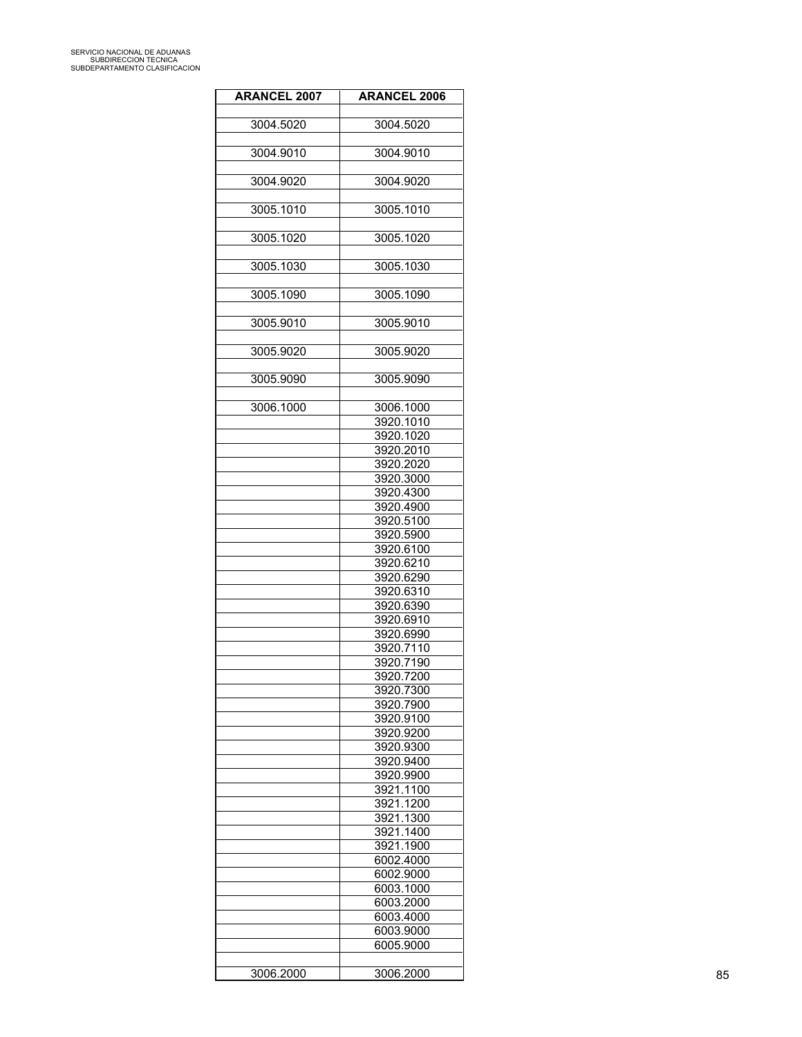| <b>ARANCEL 2007</b> | <b>ARANCEL 2006</b>    |
|---------------------|------------------------|
|                     |                        |
| 3004.5020           | 3004.5020              |
|                     |                        |
| 3004.9010           | 3004.9010              |
| 3004.9020           | 3004.9020              |
|                     |                        |
| 3005.1010           | 3005.1010              |
|                     |                        |
| 3005.1020           | 3005.1020              |
|                     |                        |
| 3005.1030           | 3005.1030              |
|                     |                        |
| 3005.1090           | 3005.1090              |
|                     |                        |
| 3005.9010           | 3005.9010              |
|                     |                        |
| 3005.9020           | 3005.9020              |
|                     |                        |
| 3005.9090           | 3005.9090              |
|                     |                        |
| 3006.1000           | 3006.1000              |
|                     | 3920.1010              |
|                     | 3920.1020              |
|                     | 3920.2010              |
|                     | 3920.2020              |
|                     | 3920.3000              |
|                     | 3920.4300              |
|                     | 3920.4900              |
|                     | 3920.5100              |
|                     | 3920.5900              |
|                     | 3920.6100<br>3920.6210 |
|                     | 3920.6290              |
|                     | 3920.6310              |
|                     | 3920.6390              |
|                     | 3920.6910              |
|                     | 3920.6990              |
|                     | 3920.7110              |
|                     | 3920.7190              |
|                     | 3920.7200              |
|                     | 3920.7300              |
|                     | 3920.7900              |
|                     | 3920.9100              |
|                     | 3920.9200              |
|                     | 3920.9300              |
|                     | 3920.9400              |
|                     | 3920.9900              |
|                     | 3921.1100              |
|                     | 3921.1200              |
|                     | 3921.1300              |
|                     | 3921.1400              |
|                     | 3921.1900              |
|                     | 6002.4000              |
|                     | 6002.9000              |
|                     | 6003.1000              |
|                     | 6003.2000              |
|                     | 6003.4000              |
|                     | 6003.9000              |
|                     | 6005.9000              |
|                     |                        |
| 3006.2000           | 3006.2000              |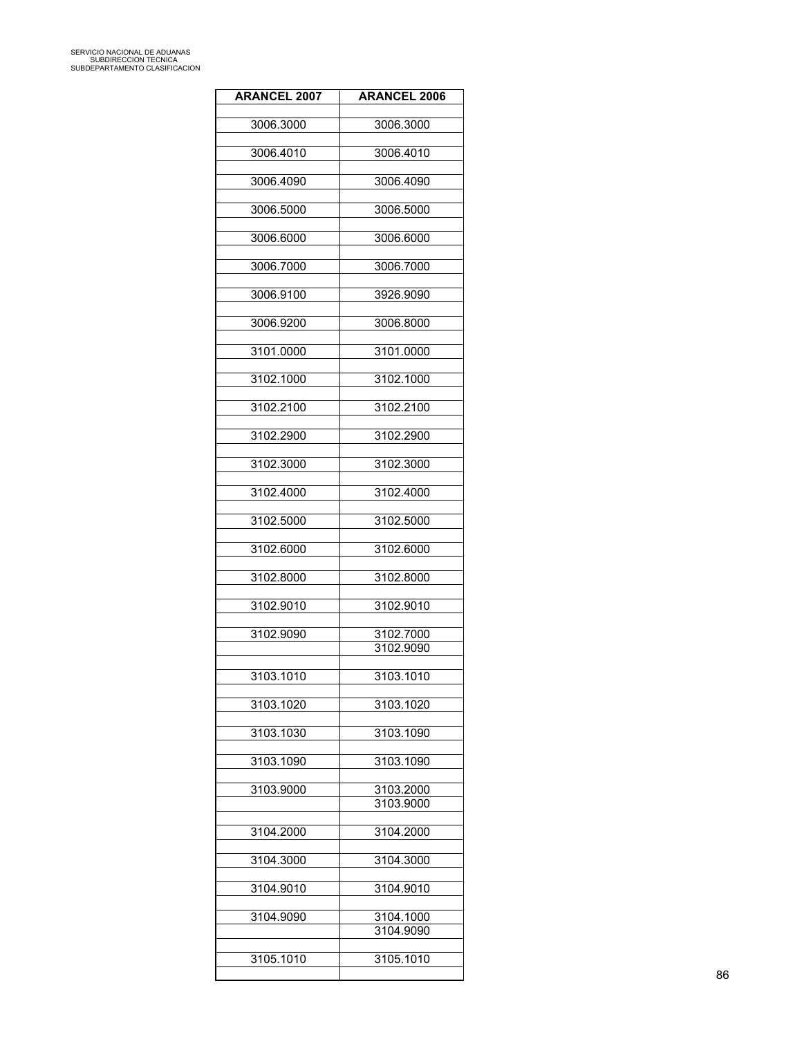| <b>ARANCEL 2007</b> | <b>ARANCEL 2006</b>    |
|---------------------|------------------------|
| 3006.3000           | 3006.3000              |
|                     |                        |
| 3006.4010           | 3006.4010              |
| 3006.4090           | 3006.4090              |
| 3006.5000           | 3006.5000              |
| 3006.6000           | 3006.6000              |
| 3006.7000           | 3006.7000              |
| 3006.9100           | 3926.9090              |
| 3006.9200           | 3006.8000              |
| 3101.0000           | 3101.0000              |
| 3102.1000           | 3102.1000              |
| 3102.2100           | 3102.2100              |
| 3102.2900           | 3102.2900              |
| 3102.3000           | 3102.3000              |
| 3102.4000           | 3102.4000              |
| 3102.5000           | 3102.5000              |
| 3102.6000           | 3102.6000              |
| 3102.8000           | 3102.8000              |
| 3102.9010           | 3102.9010              |
| 3102.9090           | 3102.7000<br>3102.9090 |
| 3103.1010           | 3103.1010              |
| 3103.1020           | 3103.1020              |
| 3103.1030           | 3103.1090              |
| 3103.1090           | 3103.1090              |
| 3103.9000           | 3103.2000<br>3103.9000 |
|                     |                        |
| 3104.2000           | 3104.2000              |
| 3104.3000           | 3104.3000              |
| 3104.9010           | 3104.9010              |
| 3104.9090           | 3104.1000              |
|                     | 3104.9090              |
| 3105.1010           | 3105.1010              |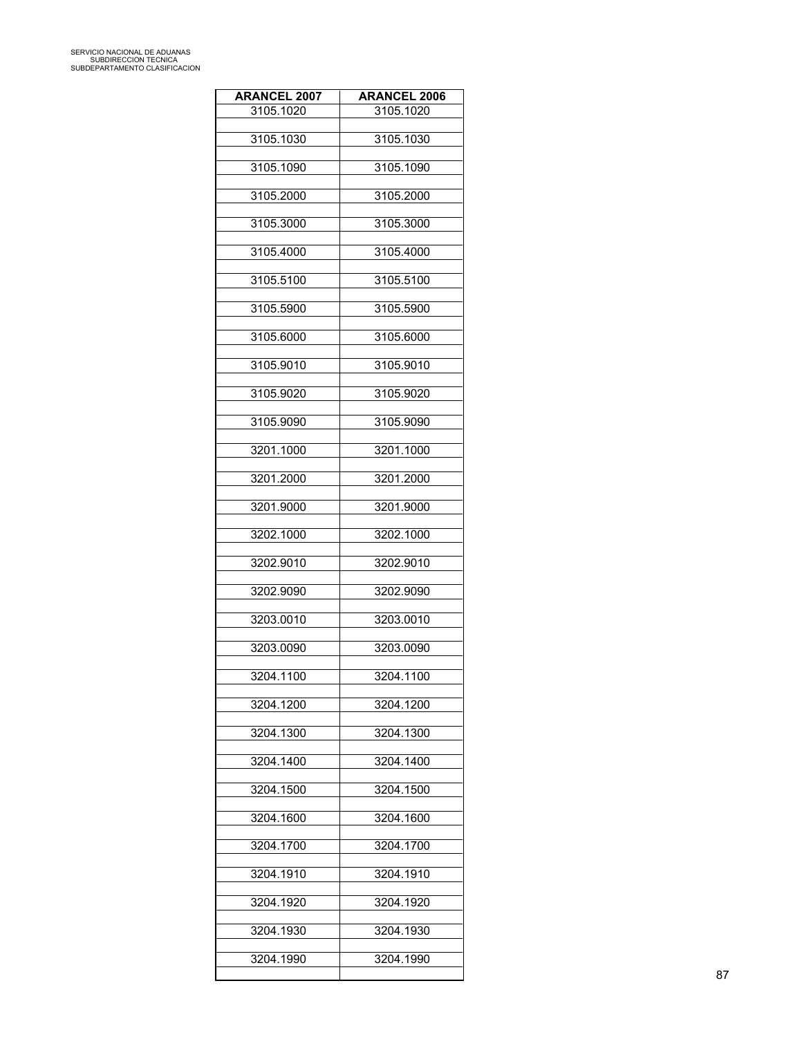| <b>ARANCEL 2007</b> | <b>ARANCEL 2006</b> |
|---------------------|---------------------|
| 3105.1020           | 3105.1020           |
| 3105.1030           | 3105.1030           |
| 3105.1090           | 3105.1090           |
| 3105.2000           | 3105.2000           |
| 3105.3000           | 3105.3000           |
| 3105.4000           | 3105.4000           |
| 3105.5100           | 3105.5100           |
| 3105.5900           | 3105.5900           |
| 3105.6000           | 3105.6000           |
| 3105.9010           | 3105.9010           |
| 3105.9020           | 3105.9020           |
| 3105.9090           | 3105.9090           |
| 3201.1000           | 3201.1000           |
| 3201.2000           | 3201.2000           |
| 3201.9000           | 3201.9000           |
| 3202.1000           | 3202.1000           |
| 3202.9010           | 3202.9010           |
| 3202.9090           | 3202.9090           |
| 3203.0010           | 3203.0010           |
| 3203.0090           | 3203.0090           |
| 3204.1100           | 3204.1100           |
| 3204.1200           | 3204.1200           |
| 3204.1300           | 3204.1300           |
| 3204.1400           | 3204.1400           |
| 3204.1500           | 3204.1500           |
| 3204.1600           | 3204.1600           |
| 3204.1700           | 3204.1700           |
| 3204.1910           | 3204.1910           |
| 3204.1920           | 3204.1920           |
| 3204.1930           | 3204.1930           |
| 3204.1990           | 3204.1990           |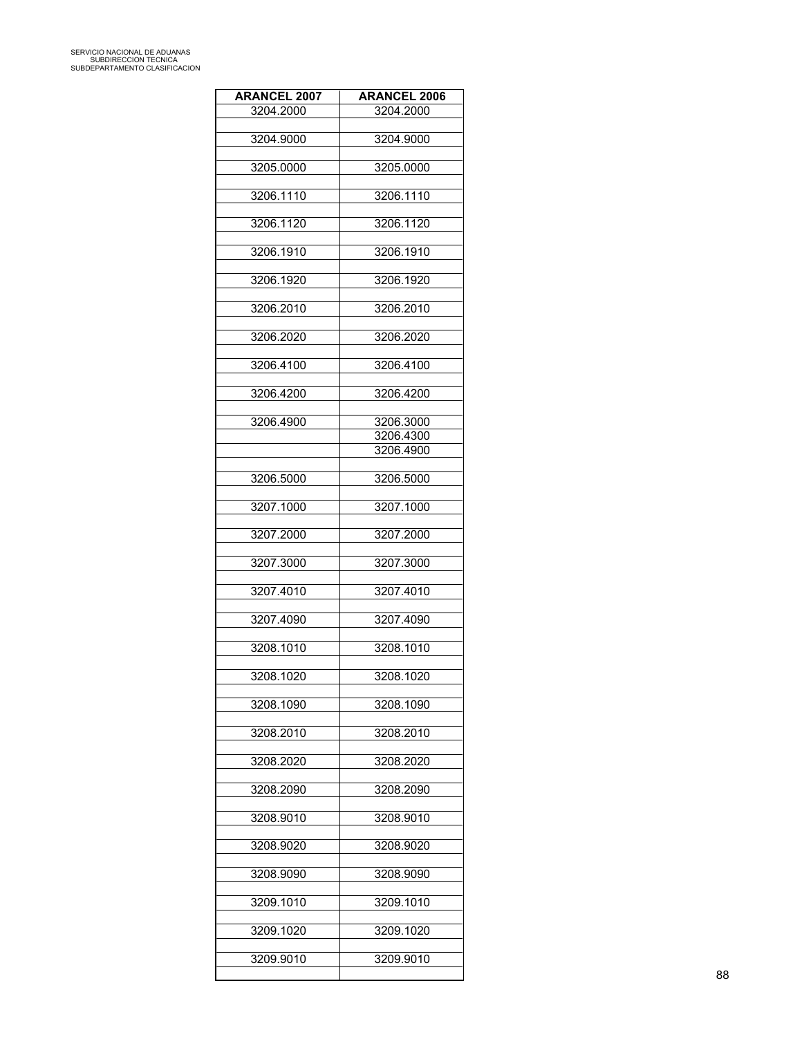| <b>ARANCEL 2007</b> | <b>ARANCEL 2006</b> |
|---------------------|---------------------|
| 3204.2000           | 3204.2000           |
|                     |                     |
| 3204.9000           | 3204.9000           |
| 3205.0000           | 3205.0000           |
|                     |                     |
| 3206.1110           | 3206.1110           |
|                     |                     |
| 3206.1120           | 3206.1120           |
| 3206.1910           | 3206.1910           |
|                     |                     |
| 3206.1920           | 3206.1920           |
|                     |                     |
| 3206.2010           | 3206.2010           |
| 3206.2020           | 3206.2020           |
|                     |                     |
| 3206.4100           | 3206.4100           |
|                     |                     |
| 3206.4200           | 3206.4200           |
| 3206.4900           | 3206.3000           |
|                     | 3206.4300           |
|                     | 3206.4900           |
|                     |                     |
| 3206.5000           | 3206.5000           |
| 3207.1000           | 3207.1000           |
|                     |                     |
| 3207.2000           | 3207.2000           |
| 3207.3000           | 3207.3000           |
|                     |                     |
| 3207.4010           | 3207.4010           |
|                     |                     |
| 3207.4090           | 3207.4090           |
| 3208.1010           | 3208.1010           |
|                     |                     |
| 3208.1020           | 3208.1020           |
|                     |                     |
| 3208.1090           | 3208.1090           |
| 3208.2010           | 3208.2010           |
|                     |                     |
| 3208.2020           | 3208.2020           |
| 3208.2090           | 3208.2090           |
|                     |                     |
| 3208.9010           | 3208.9010           |
|                     |                     |
| 3208.9020           | 3208.9020           |
| 3208.9090           | 3208.9090           |
|                     |                     |
| 3209.1010           | 3209.1010           |
|                     |                     |
| 3209.1020           | 3209.1020           |
| 3209.9010           | 3209.9010           |
|                     |                     |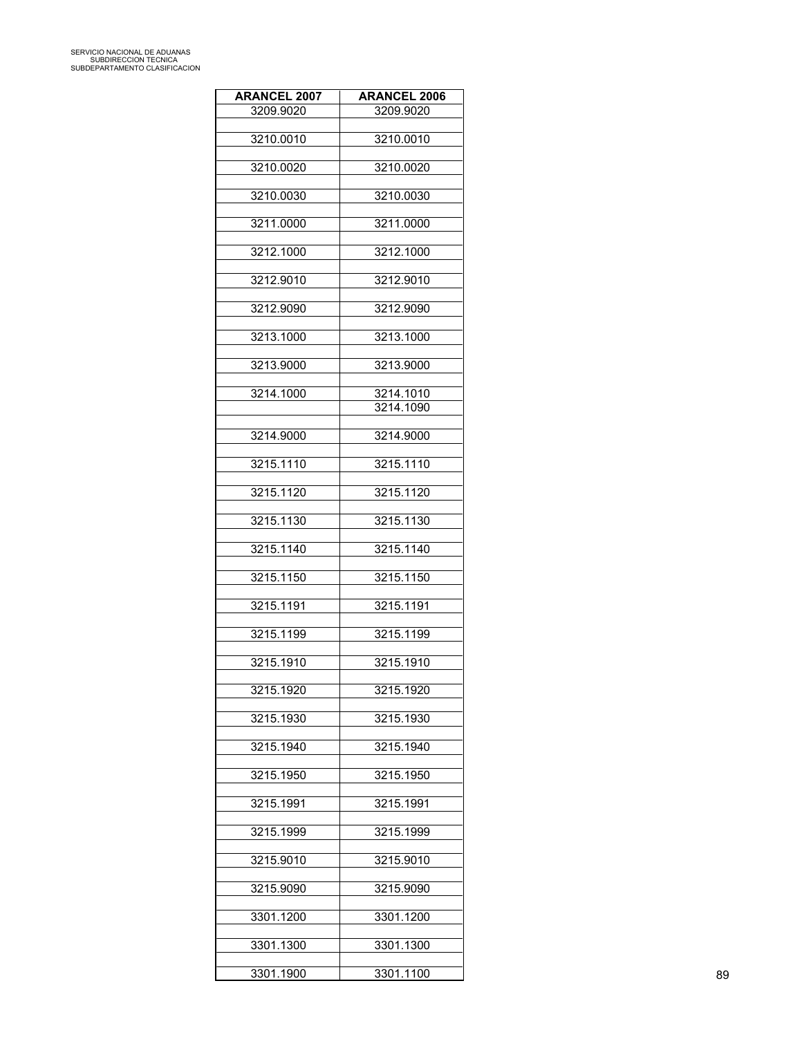| <b>ARANCEL 2007</b> | <b>ARANCEL 2006</b> |
|---------------------|---------------------|
| 3209.9020           | 3209.9020           |
| 3210.0010           | 3210.0010           |
| 3210.0020           | 3210.0020           |
|                     |                     |
| 3210.0030           | 3210.0030           |
| 3211.0000           | 3211.0000           |
| 3212.1000           | 3212.1000           |
| 3212.9010           | 3212.9010           |
| 3212.9090           | 3212.9090           |
|                     |                     |
| 3213.1000           | 3213.1000           |
| 3213.9000           | 3213.9000           |
| 3214.1000           | 3214.1010           |
|                     | 3214.1090           |
| 3214.9000           | 3214.9000           |
| 3215.1110           | 3215.1110           |
|                     |                     |
| 3215.1120           | 3215.1120           |
| 3215.1130           | 3215.1130           |
| 3215.1140           | 3215.1140           |
| 3215.1150           | 3215.1150           |
|                     |                     |
| 3215.1191           | 3215.1191           |
| 3215.1199           | 3215.1199           |
| 3215.1910           | 3215.1910           |
| 3215.1920           | 3215.1920           |
|                     |                     |
| 3215.1930           | 3215.1930           |
| 3215.1940           | 3215.1940           |
| 3215.1950           | 3215.1950           |
| 3215.1991           | 3215.1991           |
| 3215.1999           | 3215.1999           |
|                     |                     |
| 3215.9010           | 3215.9010           |
| 3215.9090           | 3215.9090           |
| 3301.1200           | 3301.1200           |
| 3301.1300           | 3301.1300           |
|                     |                     |
| 3301.1900           | 3301.1100           |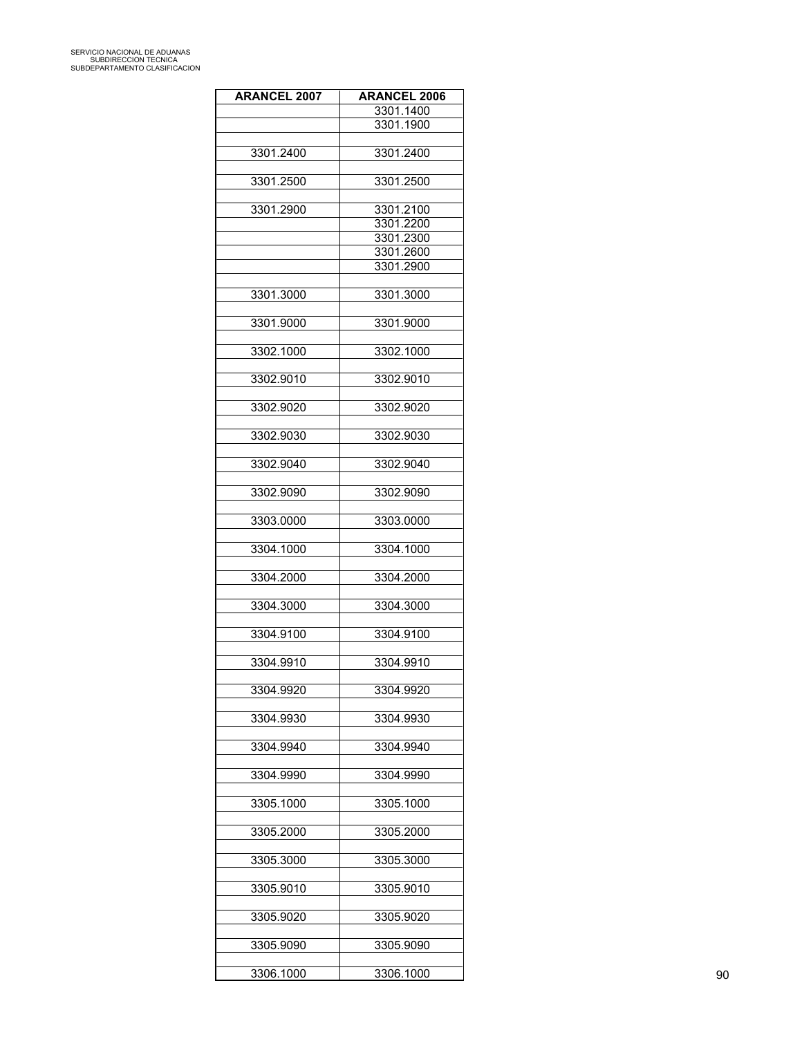| <b>ARANCEL 2007</b> | <b>ARANCEL 2006</b> |
|---------------------|---------------------|
|                     | 3301.1400           |
|                     | 3301.1900           |
|                     |                     |
| 3301.2400           | 3301.2400           |
|                     |                     |
| 3301.2500           | 3301.2500           |
|                     |                     |
| 3301.2900           | 3301.2100           |
|                     | 3301.2200           |
|                     | 3301.2300           |
|                     | 3301.2600           |
|                     | 3301.2900           |
|                     |                     |
| 3301.3000           | 3301.3000           |
|                     |                     |
| 3301.9000           | 3301.9000           |
|                     |                     |
| 3302.1000           | 3302.1000           |
|                     |                     |
| 3302.9010           | 3302.9010           |
|                     |                     |
| 3302.9020           | 3302.9020           |
|                     |                     |
| 3302.9030           | 3302.9030           |
|                     |                     |
| 3302.9040           | 3302.9040           |
|                     |                     |
| 3302.9090           | 3302.9090           |
|                     |                     |
| 3303.0000           | 3303.0000           |
|                     |                     |
| 3304.1000           | 3304.1000           |
|                     |                     |
| 3304.2000           | 3304.2000           |
|                     |                     |
| 3304.3000           | 3304.3000           |
|                     |                     |
| 3304.9100           | 3304.9100           |
|                     |                     |
| 3304.9910           | 3304.9910           |
|                     |                     |
| 3304.9920           | 3304.9920           |
|                     |                     |
| 3304.9930           | 3304.9930           |
|                     |                     |
| 3304.9940           | 3304.9940           |
|                     |                     |
| 3304.9990           | 3304.9990           |
|                     |                     |
|                     |                     |
| 3305.1000           | 3305.1000           |
|                     |                     |
| 3305.2000           | 3305.2000           |
|                     |                     |
| 3305.3000           | 3305.3000           |
|                     |                     |
| 3305.9010           | 3305.9010           |
|                     |                     |
| 3305.9020           | 3305.9020           |
|                     |                     |
| 3305.9090           | 3305.9090           |
|                     |                     |
| 3306.1000           | 3306.1000           |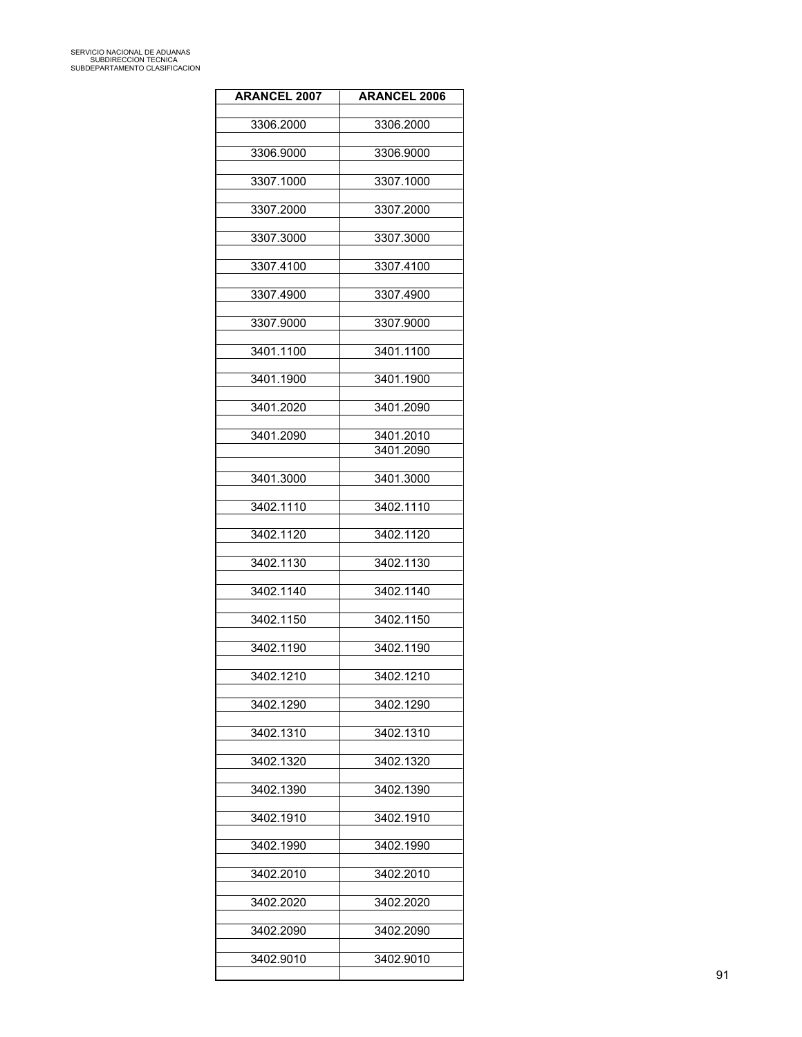| <b>ARANCEL 2007</b> | <b>ARANCEL 2006</b>    |
|---------------------|------------------------|
| 3306.2000           | 3306.2000              |
| 3306.9000           | 3306.9000              |
| 3307.1000           | 3307.1000              |
| 3307.2000           | 3307.2000              |
| 3307.3000           | 3307.3000              |
| 3307.4100           | 3307.4100              |
| 3307.4900           | 3307.4900              |
| 3307.9000           | 3307.9000              |
| 3401.1100           | 3401.1100              |
| 3401.1900           | 3401.1900              |
| 3401.2020           | 3401.2090              |
| 3401.2090           | 3401.2010<br>3401.2090 |
| 3401.3000           | 3401.3000              |
| 3402.1110           | 3402.1110              |
| 3402.1120           | 3402.1120              |
| 3402.1130           | 3402.1130              |
| 3402.1140           | 3402.1140              |
| 3402.1150           | 3402.1150              |
| 3402.1190           | 3402.1190              |
| 3402.1210           | 3402.1210              |
| 3402.1290           | 3402.1290              |
|                     |                        |
| 3402.1310           | 3402.1310              |
| 3402.1320           | 3402.1320              |
| 3402.1390           | 3402.1390              |
| 3402.1910           | 3402.1910              |
| 3402.1990           | 3402.1990              |
| 3402.2010           | 3402.2010              |
| 3402.2020           | 3402.2020              |
| 3402.2090           | 3402.2090              |
| 3402.9010           | 3402.9010              |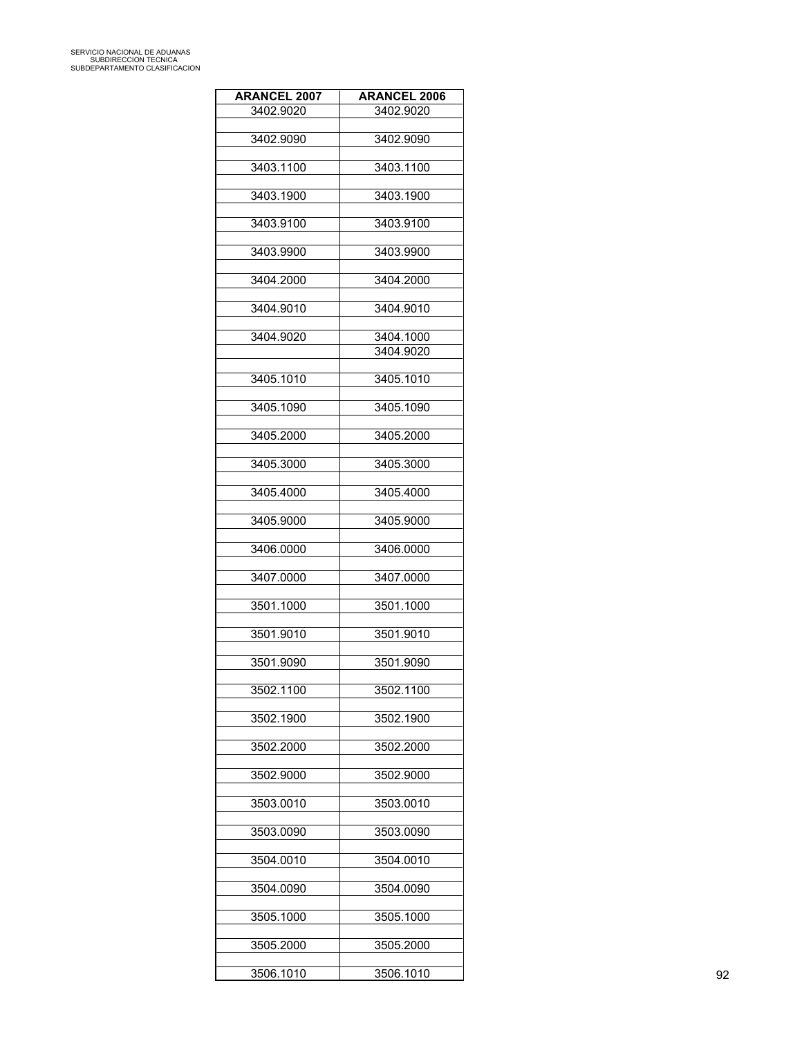| <b>ARANCEL 2007</b> | <b>ARANCEL 2006</b> |
|---------------------|---------------------|
| 3402.9020           | 3402.9020           |
| 3402.9090           | 3402.9090           |
| 3403.1100           | 3403.1100           |
|                     |                     |
| 3403.1900           | 3403.1900           |
| 3403.9100           | 3403.9100           |
| 3403.9900           | 3403.9900           |
|                     |                     |
| 3404.2000           | 3404.2000           |
| 3404.9010           | 3404.9010           |
| 3404.9020           | 3404.1000           |
|                     | 3404.9020           |
| 3405.1010           | 3405.1010           |
|                     |                     |
| 3405.1090           | 3405.1090           |
| 3405.2000           | 3405.2000           |
| 3405.3000           | 3405.3000           |
|                     |                     |
| 3405.4000           | 3405.4000           |
| 3405.9000           | 3405.9000           |
| 3406.0000           | 3406.0000           |
|                     |                     |
| 3407.0000           | 3407.0000           |
| 3501.1000           | 3501.1000           |
| 3501.9010           | 3501.9010           |
|                     |                     |
| 3501.9090           | 3501.9090           |
| 3502.1100           | 3502.1100           |
| 3502.1900           | 3502.1900           |
|                     |                     |
| 3502.2000           | 3502.2000           |
| 3502.9000           | 3502.9000           |
| 3503.0010           | 3503.0010           |
|                     |                     |
| 3503.0090           | 3503.0090           |
| 3504.0010           | 3504.0010           |
| 3504.0090           | 3504.0090           |
|                     |                     |
| 3505.1000           | 3505.1000           |
| 3505.2000           | 3505.2000           |
| 3506.1010           | 3506.1010           |
|                     |                     |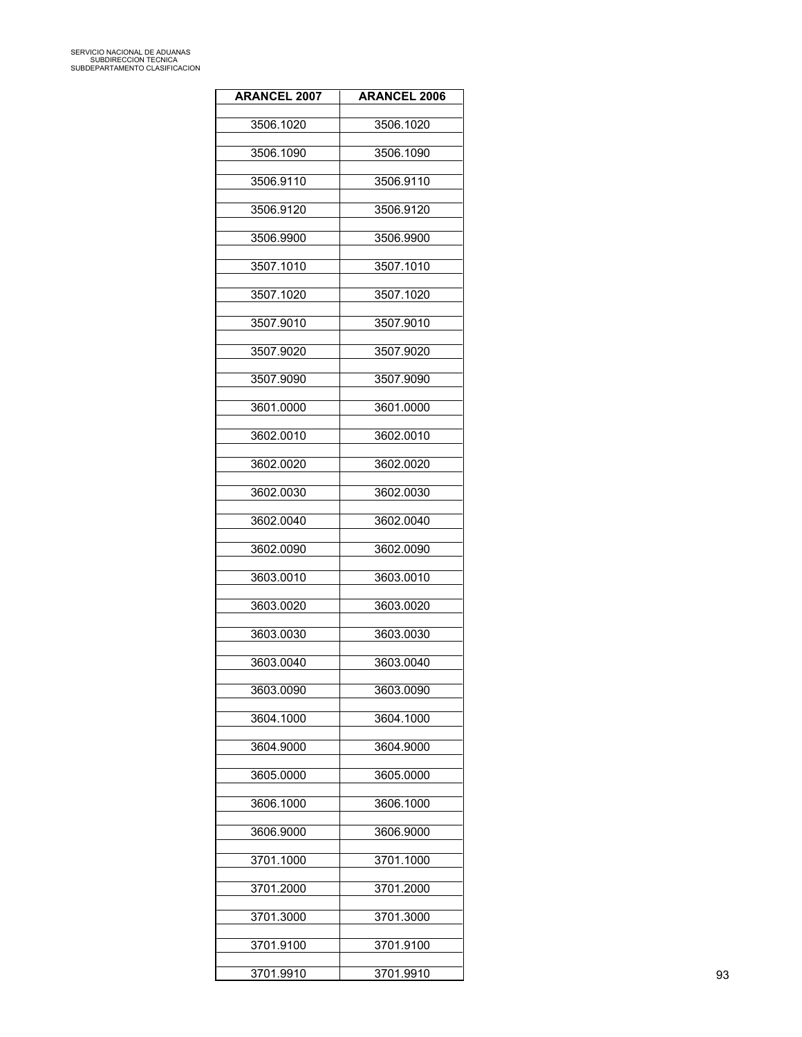| <b>ARANCEL 2007</b> | <b>ARANCEL 2006</b> |
|---------------------|---------------------|
| 3506.1020           | 3506.1020           |
| 3506.1090           | 3506.1090           |
| 3506.9110           | 3506.9110           |
|                     |                     |
| 3506.9120           | 3506.9120           |
| 3506.9900           | 3506.9900           |
| 3507.1010           | 3507.1010           |
| 3507.1020           | 3507.1020           |
| 3507.9010           | 3507.9010           |
| 3507.9020           | 3507.9020           |
| 3507.9090           | 3507.9090           |
| 3601.0000           | 3601.0000           |
| 3602.0010           | 3602.0010           |
| 3602.0020           | 3602.0020           |
| 3602.0030           | 3602.0030           |
| 3602.0040           | 3602.0040           |
| 3602.0090           | 3602.0090           |
|                     |                     |
| 3603.0010           | 3603.0010           |
| 3603.0020           | 3603.0020           |
| 3603.0030           | 3603.0030           |
| 3603.0040           | 3603.0040           |
| 3603.0090           | 3603.0090           |
| 3604.1000           | 3604.1000           |
| 3604.9000           | 3604.9000           |
| 3605.0000           | 3605.0000           |
| 3606.1000           | 3606.1000           |
| 3606.9000           | 3606.9000           |
|                     |                     |
| 3701.1000           | 3701.1000           |
| 3701.2000           | 3701.2000           |
| 3701.3000           | 3701.3000           |
| 3701.9100           | 3701.9100           |
| 3701.9910           | 3701.9910           |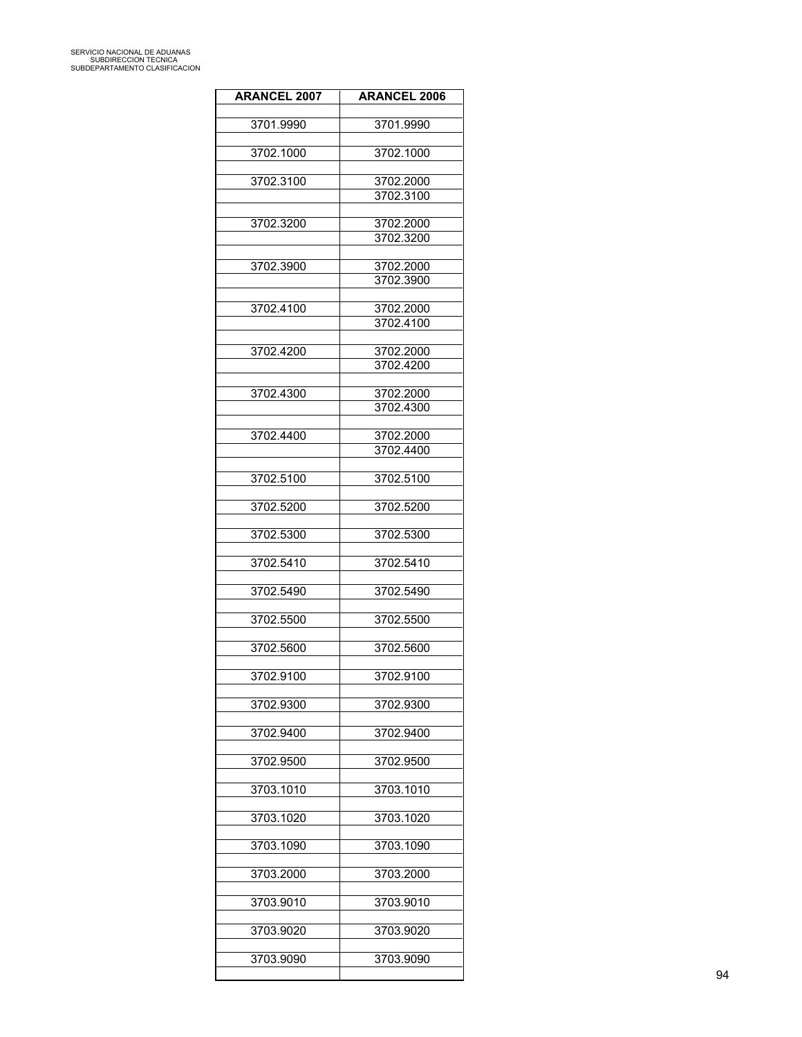| <b>ARANCEL 2007</b> | <b>ARANCEL 2006</b> |
|---------------------|---------------------|
|                     |                     |
| 3701.9990           | 3701.9990           |
| 3702.1000           | 3702.1000           |
| 3702.3100           | 3702.2000           |
|                     | 3702.3100           |
|                     |                     |
| 3702.3200           | 3702.2000           |
|                     | 3702.3200           |
| 3702.3900           | 3702.2000           |
|                     | 3702.3900           |
|                     |                     |
| 3702.4100           | 3702.2000           |
|                     | 3702.4100           |
| 3702.4200           | 3702.2000           |
|                     | 3702.4200           |
|                     |                     |
| 3702.4300           | 3702.2000           |
|                     | 3702.4300           |
| 3702.4400           | 3702.2000           |
|                     | 3702.4400           |
|                     |                     |
| 3702.5100           | 3702.5100           |
| 3702.5200           | 3702.5200           |
| 3702.5300           | 3702.5300           |
| 3702.5410           | 3702.5410           |
| 3702.5490           | 3702.5490           |
| 3702.5500           | 3702.5500           |
| 3702.5600           | 3702.5600           |
| 3702.9100           | 3702.9100           |
| 3702.9300           | 3702.9300           |
| 3702.9400           | 3702.9400           |
| 3702.9500           | 3702.9500           |
| 3703.1010           | 3703.1010           |
| 3703.1020           | 3703.1020           |
| 3703.1090           | 3703.1090           |
| 3703.2000           | 3703.2000           |
| 3703.9010           | 3703.9010           |
| 3703.9020           | 3703.9020           |
| 3703.9090           | 3703.9090           |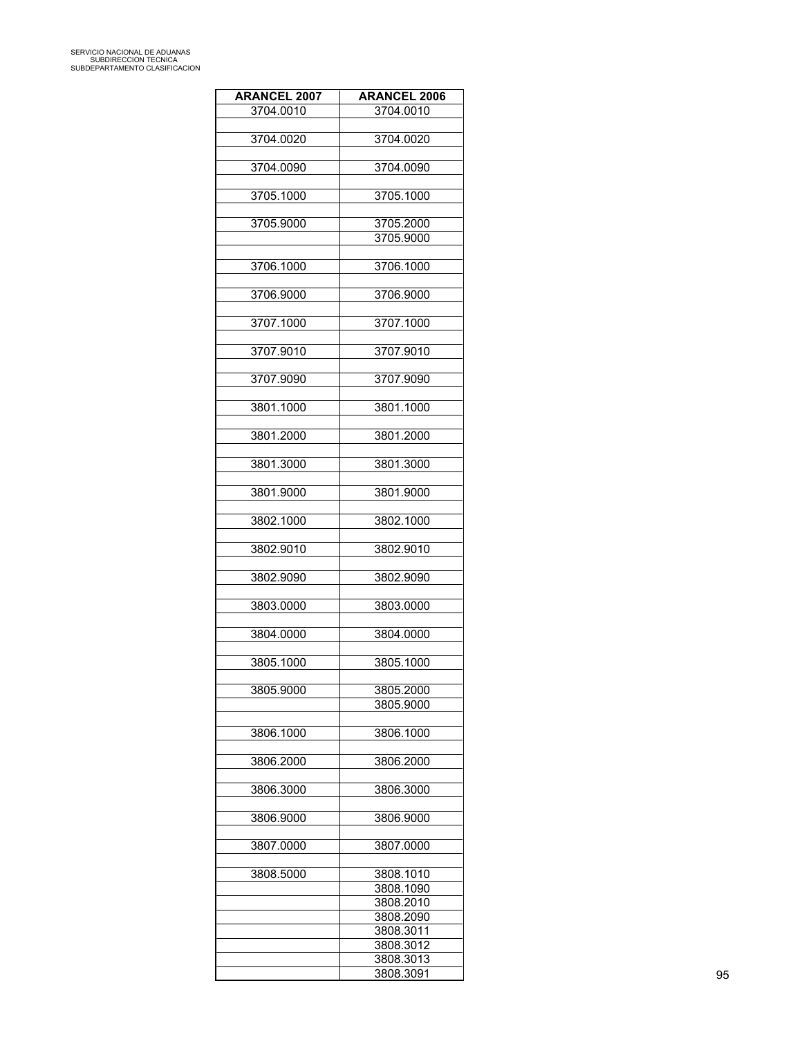| <b>ARANCEL 2007</b> | <b>ARANCEL 2006</b>    |
|---------------------|------------------------|
| 3704.0010           | 3704.0010              |
|                     |                        |
| 3704.0020           | 3704.0020              |
| 3704.0090           | 3704.0090              |
|                     |                        |
| 3705.1000           | 3705.1000              |
| 3705.9000           | 3705.2000              |
|                     | 3705.9000              |
|                     |                        |
| 3706.1000           | 3706.1000              |
| 3706.9000           | 3706.9000              |
|                     |                        |
| 3707.1000           | 3707.1000              |
|                     |                        |
| 3707.9010           | 3707.9010              |
| 3707.9090           | 3707.9090              |
|                     |                        |
| 3801.1000           | 3801.1000              |
|                     |                        |
| 3801.2000           | 3801.2000              |
| 3801.3000           | 3801.3000              |
|                     |                        |
| 3801.9000           | 3801.9000              |
|                     |                        |
| 3802.1000           | 3802.1000              |
| 3802.9010           | 3802.9010              |
|                     |                        |
| 3802.9090           | 3802.9090              |
|                     |                        |
| 3803.0000           | 3803.0000              |
| 3804.0000           | 3804.0000              |
|                     |                        |
| 3805.1000           | 3805.1000              |
|                     |                        |
| 3805.9000           | 3805.2000              |
|                     | 3805.9000              |
| 3806.1000           | 3806.1000              |
|                     |                        |
| 3806.2000           | 3806.2000              |
|                     |                        |
| 3806.3000           | 3806.3000              |
| 3806.9000           | 3806.9000              |
|                     |                        |
| 3807.0000           | 3807.0000              |
|                     |                        |
| 3808.5000           | 3808.1010              |
|                     | 3808.1090              |
|                     | 3808.2010<br>3808.2090 |
|                     | 3808.3011              |
|                     | 3808.3012              |
|                     | 3808.3013              |
|                     | 3808.3091              |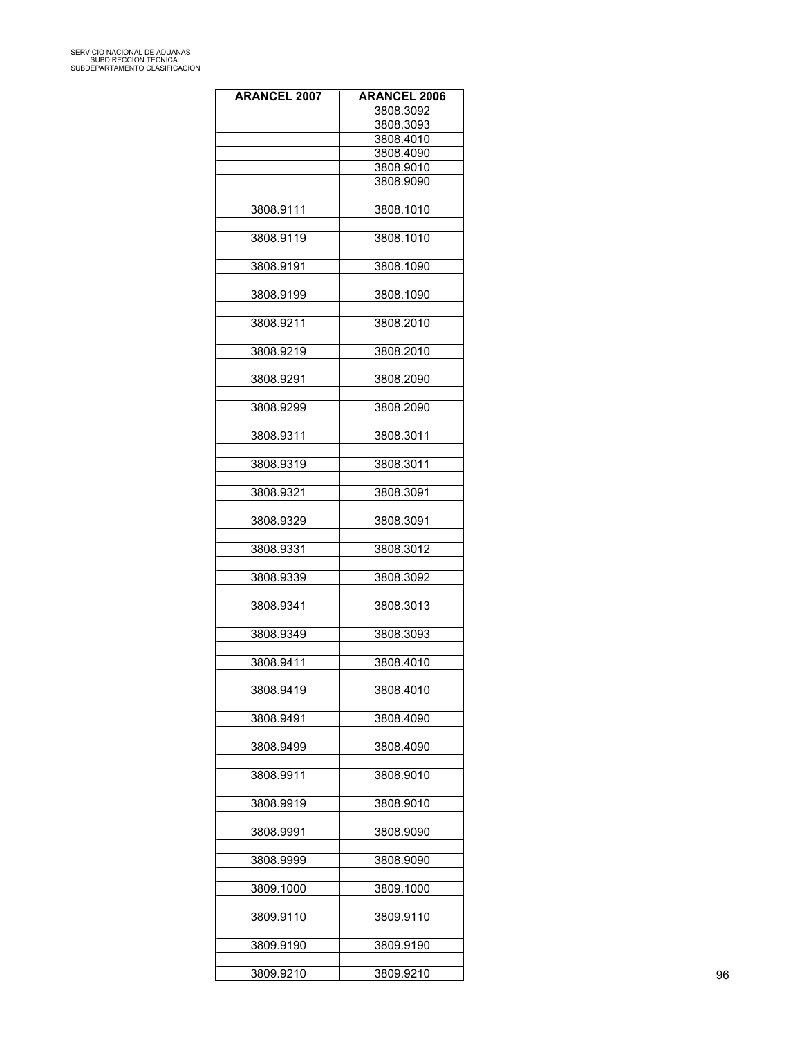| <b>ARANCEL 2007</b> | <b>ARANCEL 2006</b>    |
|---------------------|------------------------|
|                     | 3808.3092              |
|                     | 3808.3093              |
|                     | 3808.4010              |
|                     | 3808.4090              |
|                     | 3808.9010<br>3808.9090 |
|                     |                        |
| 3808.9111           | 3808.1010              |
|                     |                        |
| 3808.9119           | 3808.1010              |
|                     |                        |
| 3808.9191           | 3808.1090              |
|                     |                        |
| 3808.9199           | 3808.1090              |
| 3808.9211           | 3808.2010              |
|                     |                        |
| 3808.9219           | 3808.2010              |
|                     |                        |
| 3808.9291           | 3808.2090              |
|                     |                        |
| 3808.9299           | 3808.2090              |
|                     |                        |
| 3808.9311           | 3808.3011              |
|                     |                        |
| 3808.9319           | 3808.3011              |
|                     |                        |
| 3808.9321           | 3808.3091              |
| 3808.9329           | 3808.3091              |
|                     |                        |
| 3808.9331           | 3808.3012              |
|                     |                        |
| 3808.9339           | 3808.3092              |
|                     |                        |
| 3808.9341           | 3808.3013              |
|                     |                        |
| 3808.9349           | 3808.3093              |
|                     |                        |
| 3808.9411           | 3808.4010              |
| 3808.9419           |                        |
|                     | 3808.4010              |
| 3808.9491           | 3808.4090              |
|                     |                        |
| 3808.9499           | 3808.4090              |
|                     |                        |
| 3808.9911           | 3808.9010              |
|                     |                        |
| 3808.9919           | 3808.9010              |
|                     |                        |
| 3808.9991           | 3808.9090              |
|                     |                        |
| 3808.9999           | 3808.9090              |
| 3809.1000           | 3809.1000              |
|                     |                        |
| 3809.9110           | 3809.9110              |
|                     |                        |
| 3809.9190           | 3809.9190              |
|                     |                        |
| 3809.9210           | 3809.9210              |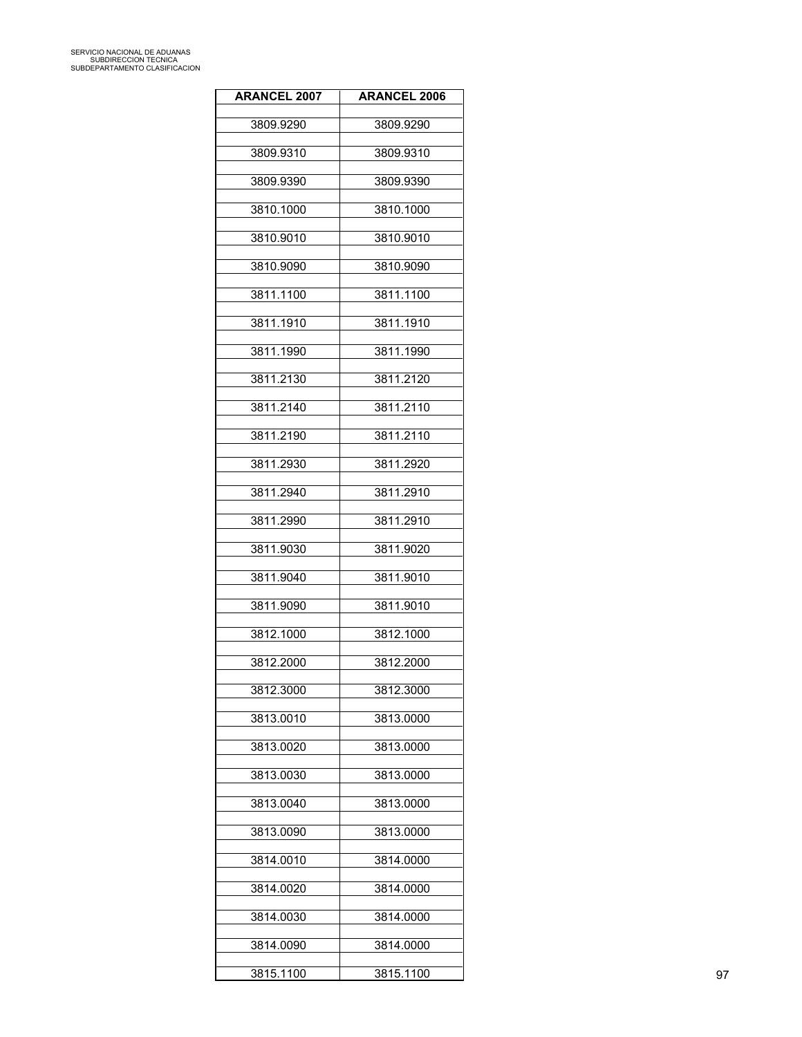| <b>ARANCEL 2007</b> | <b>ARANCEL 2006</b> |
|---------------------|---------------------|
| 3809.9290           | 3809.9290           |
| 3809.9310           | 3809.9310           |
| 3809.9390           | 3809.9390           |
|                     |                     |
| 3810.1000           | 3810.1000           |
| 3810.9010           | 3810.9010           |
| 3810.9090           | 3810.9090           |
| 3811.1100           | 3811.1100           |
| 3811.1910           | 3811.1910           |
| 3811.1990           | 3811.1990           |
| 3811.2130           | 3811.2120           |
| 3811.2140           | 3811.2110           |
| 3811.2190           | 3811.2110           |
| 3811.2930           | 3811.2920           |
| 3811.2940           | 3811.2910           |
| 3811.2990           | 3811.2910           |
|                     |                     |
| 3811.9030           | 3811.9020           |
| 3811.9040           | 3811.9010           |
| 3811.9090           | 3811.9010           |
| 3812.1000           | 3812.1000           |
| 3812.2000           | 3812.2000           |
| 3812.3000           | 3812.3000           |
| 3813.0010           | 3813.0000           |
| 3813.0020           | 3813.0000           |
| 3813.0030           | 3813.0000           |
| 3813.0040           | 3813.0000           |
| 3813.0090           | 3813.0000           |
|                     |                     |
| 3814.0010           | 3814.0000           |
| 3814.0020           | 3814.0000           |
| 3814.0030           | 3814.0000           |
| 3814.0090           | 3814.0000           |
| 3815.1100           | 3815.1100           |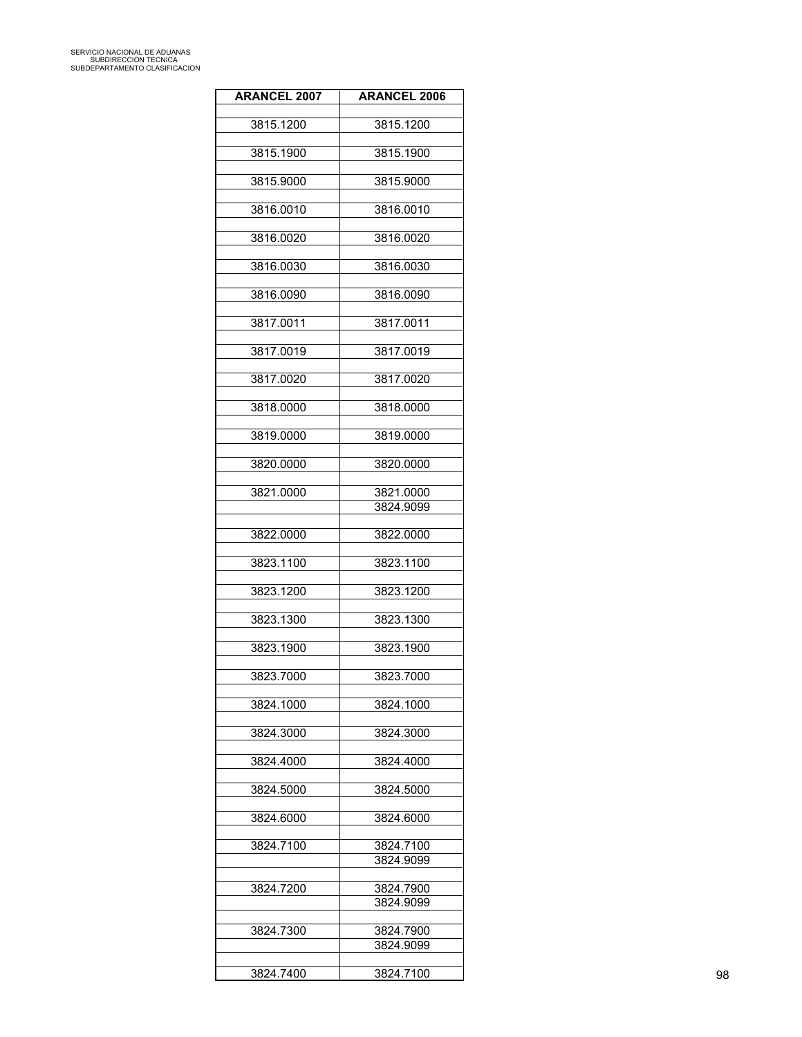| <b>ARANCEL 2007</b> | <b>ARANCEL 2006</b>    |
|---------------------|------------------------|
| 3815.1200           | 3815.1200              |
|                     |                        |
| 3815.1900           | 3815.1900              |
| 3815.9000           | 3815.9000              |
| 3816.0010           | 3816.0010              |
| 3816.0020           | 3816.0020              |
| 3816.0030           | 3816.0030              |
| 3816.0090           | 3816.0090              |
| 3817.0011           | 3817.0011              |
| 3817.0019           | 3817.0019              |
| 3817.0020           | 3817.0020              |
| 3818.0000           | 3818.0000              |
| 3819.0000           | 3819.0000              |
| 3820.0000           | 3820.0000              |
| 3821.0000           | 3821.0000              |
|                     | 3824.9099              |
| 3822.0000           | 3822.0000              |
| 3823.1100           | 3823.1100              |
| 3823.1200           | 3823.1200              |
| 3823.1300           | 3823.1300              |
| 3823.1900           | 3823.1900              |
| 3823.7000           | 3823.7000              |
| 3824.1000           | 3824.1000              |
| 3824.3000           | 3824.3000              |
| 3824.4000           | 3824.4000              |
|                     |                        |
| 3824.5000           | 3824.5000              |
| 3824.6000           | 3824.6000              |
| 3824.7100           | 3824.7100<br>3824.9099 |
|                     |                        |
| 3824.7200           | 3824.7900<br>3824.9099 |
|                     |                        |
| 3824.7300           | 3824.7900<br>3824.9099 |
| 3824.7400           | 3824.7100              |
|                     |                        |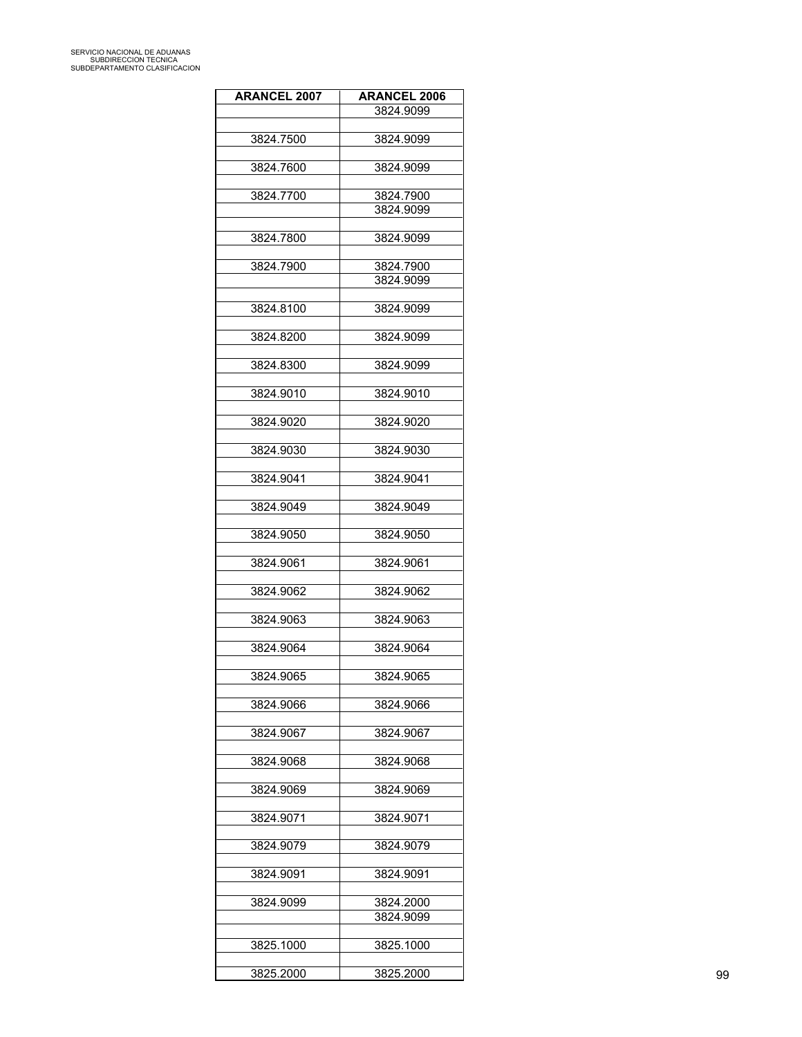| <b>ARANCEL 2007</b> | <b>ARANCEL 2006</b>    |
|---------------------|------------------------|
|                     | 3824.9099              |
| 3824.7500           | 3824.9099              |
|                     |                        |
| 3824.7600           | 3824.9099              |
| 3824.7700           | 3824.7900              |
|                     | 3824.9099              |
|                     |                        |
| 3824.7800           | 3824.9099              |
| 3824.7900           | 3824.7900              |
|                     | 3824.9099              |
|                     |                        |
| 3824.8100           | 3824.9099              |
| 3824.8200           | 3824.9099              |
|                     |                        |
| 3824.8300           | 3824.9099              |
| 3824.9010           | 3824.9010              |
|                     |                        |
| 3824.9020           | 3824.9020              |
| 3824.9030           | 3824.9030              |
|                     |                        |
| 3824.9041           | 3824.9041              |
| 3824.9049           | 3824.9049              |
|                     |                        |
| 3824.9050           | 3824.9050              |
|                     |                        |
| 3824.9061           | 3824.9061              |
| 3824.9062           | 3824.9062              |
|                     |                        |
| 3824.9063           | 3824.9063              |
| 3824.9064           | 3824.9064              |
|                     |                        |
| 3824.9065           | 3824.9065              |
|                     |                        |
| 3824.9066           | 3824.9066              |
| 3824.9067           | 3824.9067              |
|                     |                        |
| 3824.9068           | 3824.9068              |
| 3824.9069           | 3824.9069              |
|                     |                        |
| 3824.9071           | 3824.9071              |
| 3824.9079           | 3824.9079              |
|                     |                        |
| 3824.9091           | 3824.9091              |
|                     |                        |
| 3824.9099           | 3824.2000<br>3824.9099 |
|                     |                        |
| 3825.1000           | 3825.1000              |
|                     |                        |
| 3825.2000           | 3825.2000              |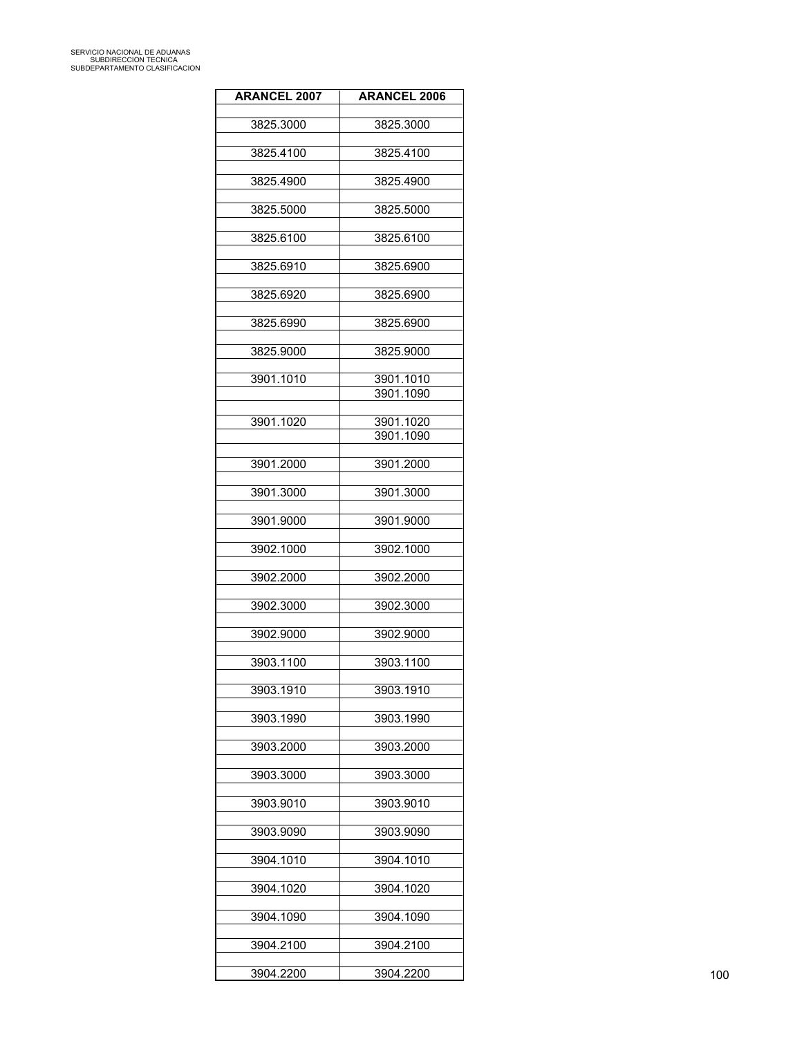| <b>ARANCEL 2007</b> | <b>ARANCEL 2006</b> |
|---------------------|---------------------|
| 3825.3000           | 3825.3000           |
|                     |                     |
| 3825.4100           | 3825.4100           |
| 3825.4900           | 3825.4900           |
| 3825.5000           | 3825.5000           |
| 3825.6100           | 3825.6100           |
|                     |                     |
| 3825.6910           | 3825.6900           |
| 3825.6920           | 3825.6900           |
| 3825.6990           | 3825.6900           |
| 3825.9000           | 3825.9000           |
|                     | 3901.1010           |
| 3901.1010           | 3901.1090           |
| 3901.1020           | 3901.1020           |
|                     | 3901.1090           |
|                     |                     |
| 3901.2000           | 3901.2000           |
| 3901.3000           | 3901.3000           |
| 3901.9000           | 3901.9000           |
| 3902.1000           | 3902.1000           |
|                     |                     |
| 3902.2000           | 3902.2000           |
| 3902.3000           | 3902.3000           |
| 3902.9000           | 3902.9000           |
|                     |                     |
| 3903.1100           | 3903.1100           |
| 3903.1910           | 3903.1910           |
| 3903.1990           | 3903.1990           |
| 3903.2000           | 3903.2000           |
|                     |                     |
| 3903.3000           | 3903.3000           |
| 3903.9010           | 3903.9010           |
| 3903.9090           | 3903.9090           |
|                     |                     |
| 3904.1010           | 3904.1010           |
| 3904.1020           | 3904.1020           |
| 3904.1090           | 3904.1090           |
| 3904.2100           | 3904.2100           |
|                     |                     |
| 3904.2200           | 3904.2200           |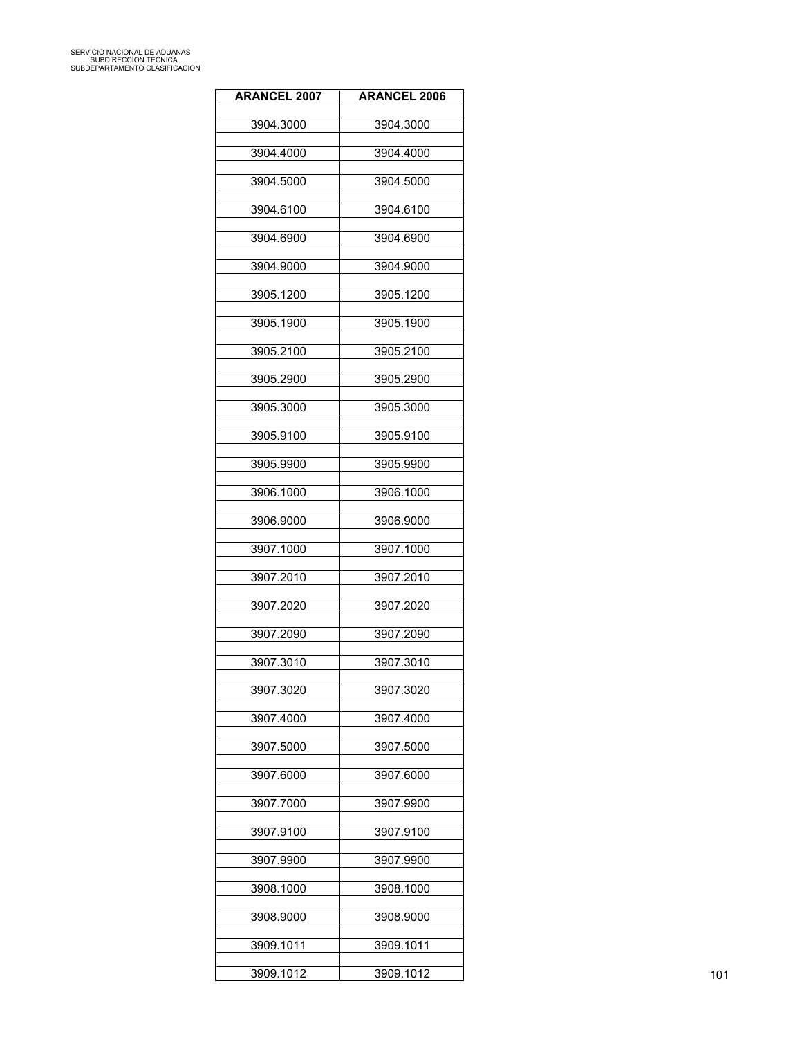| <b>ARANCEL 2007</b> | <b>ARANCEL 2006</b> |
|---------------------|---------------------|
| 3904.3000           | 3904.3000           |
| 3904.4000           | 3904.4000           |
|                     |                     |
| 3904.5000           | 3904.5000           |
| 3904.6100           | 3904.6100           |
| 3904.6900           | 3904.6900           |
| 3904.9000           | 3904.9000           |
| 3905.1200           | 3905.1200           |
| 3905.1900           | 3905.1900           |
| 3905.2100           | 3905.2100           |
| 3905.2900           | 3905.2900           |
| 3905.3000           | 3905.3000           |
| 3905.9100           | 3905.9100           |
| 3905.9900           | 3905.9900           |
| 3906.1000           | 3906.1000           |
| 3906.9000           | 3906.9000           |
| 3907.1000           | 3907.1000           |
| 3907.2010           | 3907.2010           |
|                     |                     |
| 3907.2020           | 3907.2020           |
| 3907.2090           | 3907.2090           |
| 3907.3010           | 3907.3010           |
| 3907.3020           | 3907.3020           |
| 3907.4000           | 3907.4000           |
| 3907.5000           | 3907.5000           |
| 3907.6000           | 3907.6000           |
| 3907.7000           | 3907.9900           |
| 3907.9100           | 3907.9100           |
| 3907.9900           | 3907.9900           |
| 3908.1000           | 3908.1000           |
|                     |                     |
| 3908.9000           | 3908.9000           |
| 3909.1011           | 3909.1011           |
| 3909.1012           | 3909.1012           |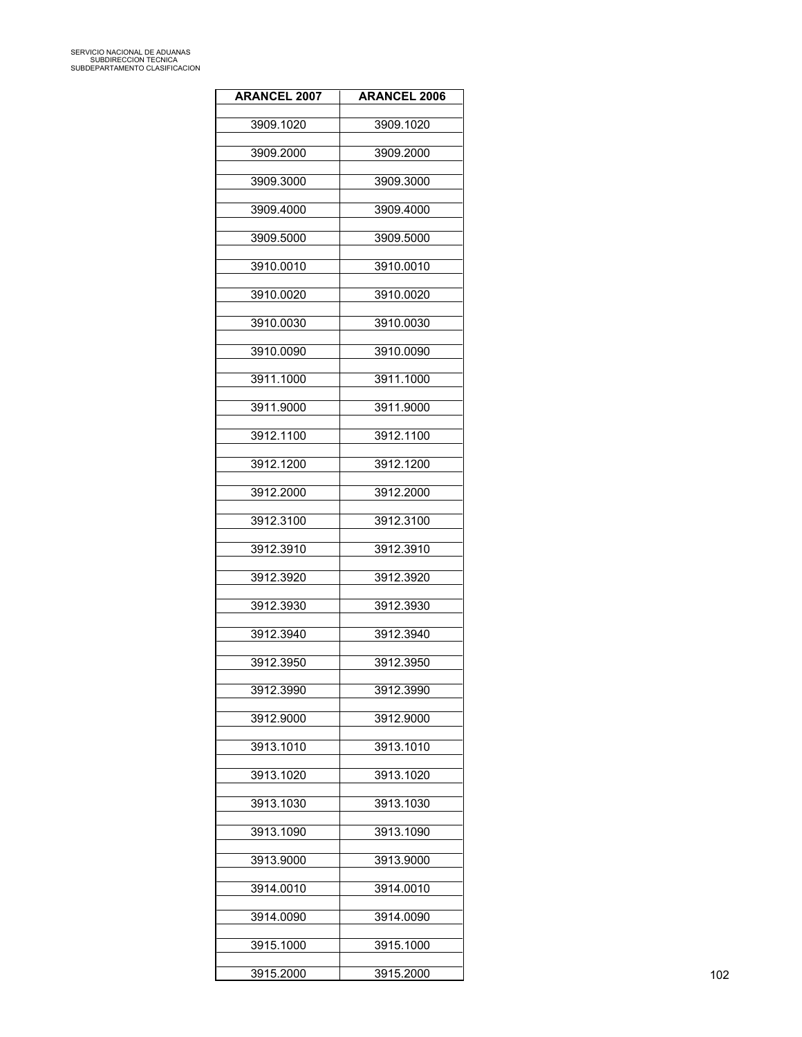| <b>ARANCEL 2007</b> | <b>ARANCEL 2006</b> |
|---------------------|---------------------|
| 3909.1020           | 3909.1020           |
| 3909.2000           | 3909.2000           |
| 3909.3000           | 3909.3000           |
|                     |                     |
| 3909.4000           | 3909.4000           |
| 3909.5000           | 3909.5000           |
| 3910.0010           | 3910.0010           |
| 3910.0020           | 3910.0020           |
| 3910.0030           | 3910.0030           |
| 3910.0090           | 3910.0090           |
| 3911.1000           | 3911.1000           |
| 3911.9000           | 3911.9000           |
| 3912.1100           | 3912.1100           |
| 3912.1200           | 3912.1200           |
| 3912.2000           | 3912.2000           |
| 3912.3100           | 3912.3100           |
|                     |                     |
| 3912.3910           | 3912.3910           |
| 3912.3920           | 3912.3920           |
| 3912.3930           | 3912.3930           |
| 3912.3940           | 3912.3940           |
| 3912.3950           | 3912.3950           |
| 3912.3990           | 3912.3990           |
| 3912.9000           | 3912.9000           |
| 3913.1010           | 3913.1010           |
| 3913.1020           | 3913.1020           |
| 3913.1030           | 3913.1030           |
|                     |                     |
| 3913.1090           | 3913.1090           |
| 3913.9000           | 3913.9000           |
| 3914.0010           | 3914.0010           |
| 3914.0090           | 3914.0090           |
| 3915.1000           | 3915.1000           |
| 3915.2000           | 3915.2000           |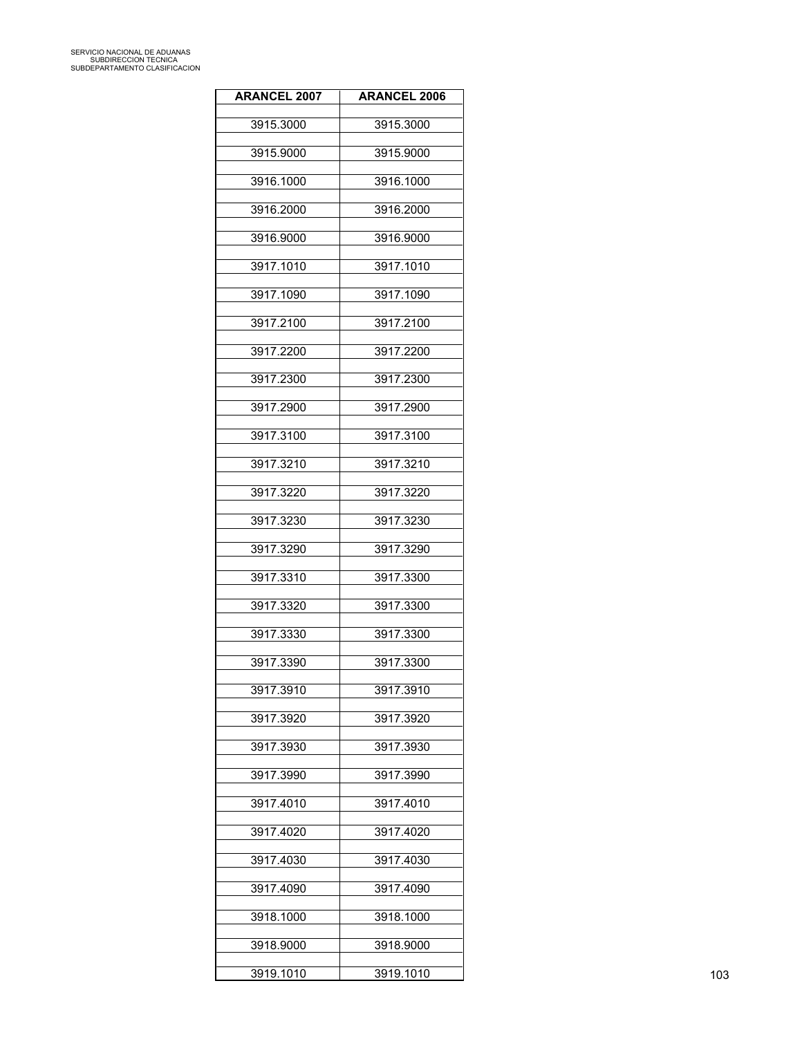| <b>ARANCEL 2007</b> | <b>ARANCEL 2006</b> |
|---------------------|---------------------|
| 3915.3000           | 3915.3000           |
| 3915.9000           | 3915.9000           |
| 3916.1000           | 3916.1000           |
|                     |                     |
| 3916.2000           | 3916.2000           |
| 3916.9000           | 3916.9000           |
| 3917.1010           | 3917.1010           |
| 3917.1090           | 3917.1090           |
| 3917.2100           | 3917.2100           |
| 3917.2200           | 3917.2200           |
| 3917.2300           | 3917.2300           |
| 3917.2900           | 3917.2900           |
| 3917.3100           | 3917.3100           |
| 3917.3210           | 3917.3210           |
| 3917.3220           | 3917.3220           |
| 3917.3230           | 3917.3230           |
| 3917.3290           | 3917.3290           |
| 3917.3310           | 3917.3300           |
|                     |                     |
| 3917.3320           | 3917.3300           |
| 3917.3330           | 3917.3300           |
| 3917.3390           | 3917.3300           |
| 3917.3910           | 3917.3910           |
| 3917.3920           | 3917.3920           |
| 3917.3930           | 3917.3930           |
| 3917.3990           | 3917.3990           |
| 3917.4010           | 3917.4010           |
| 3917.4020           | 3917.4020           |
| 3917.4030           | 3917.4030           |
| 3917.4090           | 3917.4090           |
|                     |                     |
| 3918.1000           | 3918.1000           |
| 3918.9000           | 3918.9000           |
| 3919.1010           | 3919.1010           |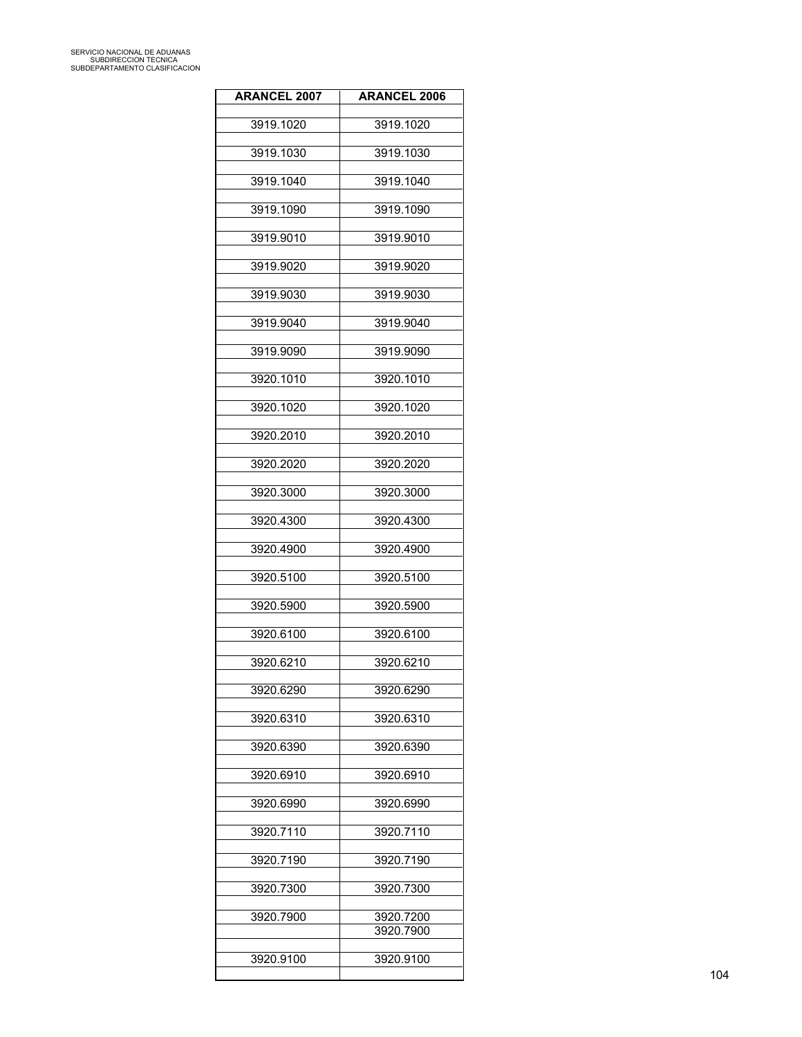| <b>ARANCEL 2007</b> | <b>ARANCEL 2006</b> |
|---------------------|---------------------|
| 3919.1020           | 3919.1020           |
|                     |                     |
| 3919.1030           | 3919.1030           |
| 3919.1040           | 3919.1040           |
| 3919.1090           | 3919.1090           |
| 3919.9010           | 3919.9010           |
| 3919.9020           | 3919.9020           |
| 3919.9030           | 3919.9030           |
| 3919.9040           | 3919.9040           |
| 3919.9090           | 3919.9090           |
| 3920.1010           | 3920.1010           |
| 3920.1020           | 3920.1020           |
| 3920.2010           | 3920.2010           |
| 3920.2020           | 3920.2020           |
| 3920.3000           | 3920.3000           |
| 3920.4300           | 3920.4300           |
| 3920.4900           | 3920.4900           |
| 3920.5100           | 3920.5100           |
| 3920.5900           | 3920.5900           |
| 3920.6100           | 3920.6100           |
| 3920.6210           | 3920.6210           |
| 3920.6290           | 3920.6290           |
| 3920.6310           | 3920.6310           |
| 3920.6390           | 3920.6390           |
| 3920.6910           | 3920.6910           |
| 3920.6990           | 3920.6990           |
| 3920.7110           | 3920.7110           |
|                     |                     |
| 3920.7190           | 3920.7190           |
| 3920.7300           | 3920.7300           |
| 3920.7900           | 3920.7200           |
|                     | 3920.7900           |
| 3920.9100           | 3920.9100           |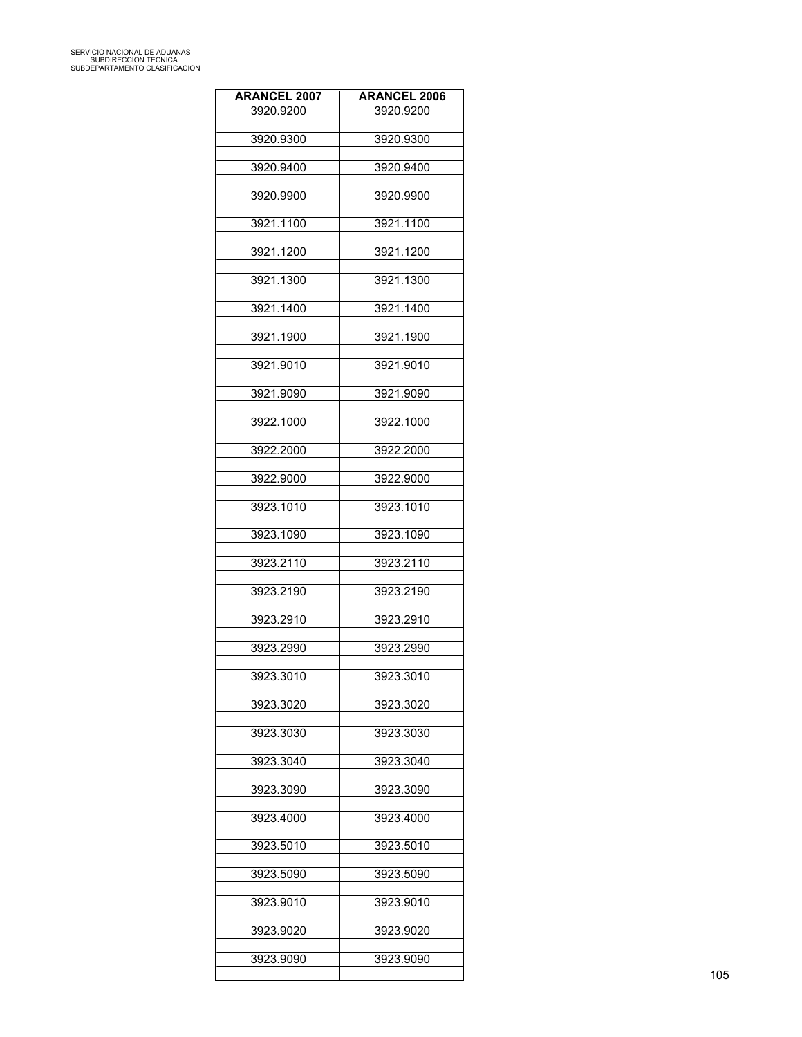| <b>ARANCEL 2007</b> | <b>ARANCEL 2006</b> |
|---------------------|---------------------|
| 3920.9200           | 3920.9200           |
| 3920.9300           | 3920.9300           |
| 3920.9400           | 3920.9400           |
| 3920.9900           | 3920.9900           |
| 3921.1100           | 3921.1100           |
| 3921.1200           | 3921.1200           |
| 3921.1300           | 3921.1300           |
| 3921.1400           | 3921.1400           |
| 3921.1900           | 3921.1900           |
| 3921.9010           | 3921.9010           |
| 3921.9090           | 3921.9090           |
| 3922.1000           | 3922.1000           |
| 3922.2000           | 3922.2000           |
| 3922.9000           | 3922.9000           |
| 3923.1010           | 3923.1010           |
| 3923.1090           | 3923.1090           |
| 3923.2110           | 3923.2110           |
| 3923.2190           | 3923.2190           |
| 3923.2910           | 3923.2910           |
| 3923.2990           | 3923.2990           |
| 3923.3010           | 3923.3010           |
| 3923.3020           | 3923.3020           |
| 3923.3030           | 3923.3030           |
| 3923.3040           | 3923.3040           |
| 3923.3090           | 3923.3090           |
| 3923.4000           | 3923.4000           |
| 3923.5010           | 3923.5010           |
| 3923.5090           | 3923.5090           |
| 3923.9010           | 3923.9010           |
| 3923.9020           | 3923.9020           |
| 3923.9090           | 3923.9090           |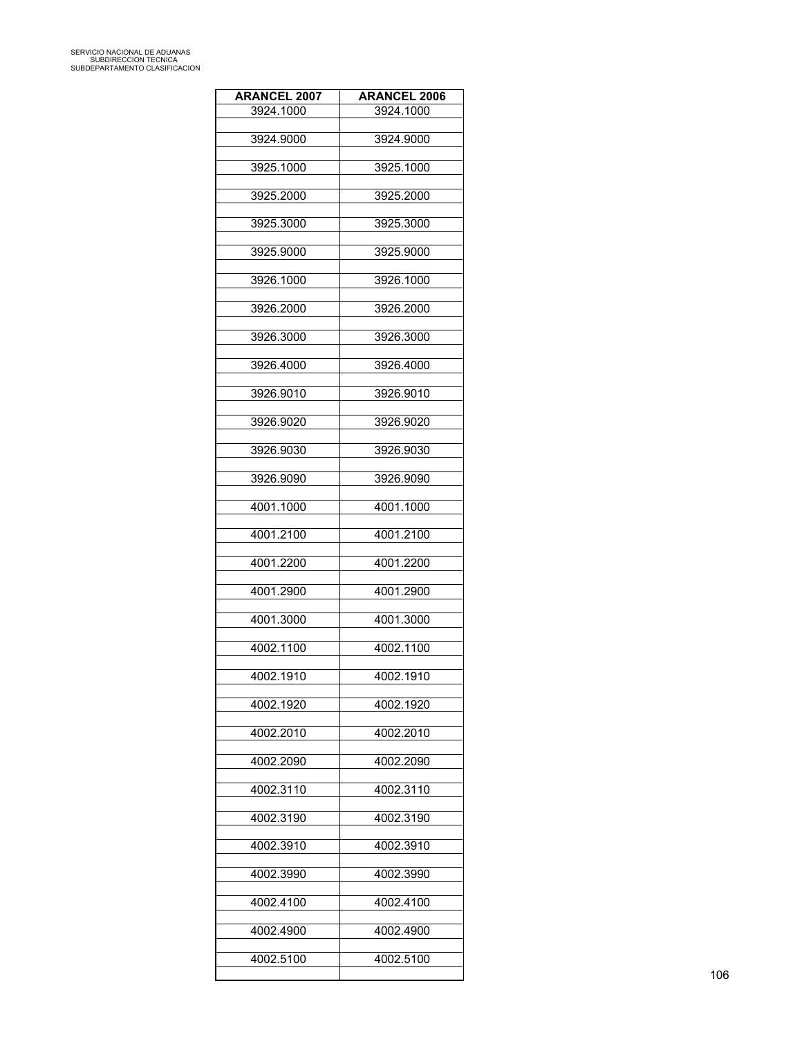| <b>ARANCEL 2007</b> | <b>ARANCEL 2006</b> |
|---------------------|---------------------|
| 3924.1000           | 3924.1000           |
| 3924.9000           | 3924.9000           |
| 3925.1000           | 3925.1000           |
|                     |                     |
| 3925.2000           | 3925.2000           |
| 3925.3000           | 3925.3000           |
| 3925.9000           | 3925.9000           |
| 3926.1000           | 3926.1000           |
| 3926.2000           | 3926.2000           |
| 3926.3000           | 3926.3000           |
|                     |                     |
| 3926.4000           | 3926.4000           |
| 3926.9010           | 3926.9010           |
| 3926.9020           | 3926.9020           |
| 3926.9030           | 3926.9030           |
| 3926.9090           | 3926.9090           |
| 4001.1000           | 4001.1000           |
| 4001.2100           | 4001.2100           |
| 4001.2200           | 4001.2200           |
| 4001.2900           | 4001.2900           |
| 4001.3000           | 4001.3000           |
| 4002.1100           | 4002.1100           |
| 4002.1910           | 4002.1910           |
| 4002.1920           | 4002.1920           |
| 4002.2010           | 4002.2010           |
| 4002.2090           | 4002.2090           |
| 4002.3110           | 4002.3110           |
| 4002.3190           | 4002.3190           |
| 4002.3910           | 4002.3910           |
| 4002.3990           | 4002.3990           |
| 4002.4100           | 4002.4100           |
| 4002.4900           | 4002.4900           |
| 4002.5100           | 4002.5100           |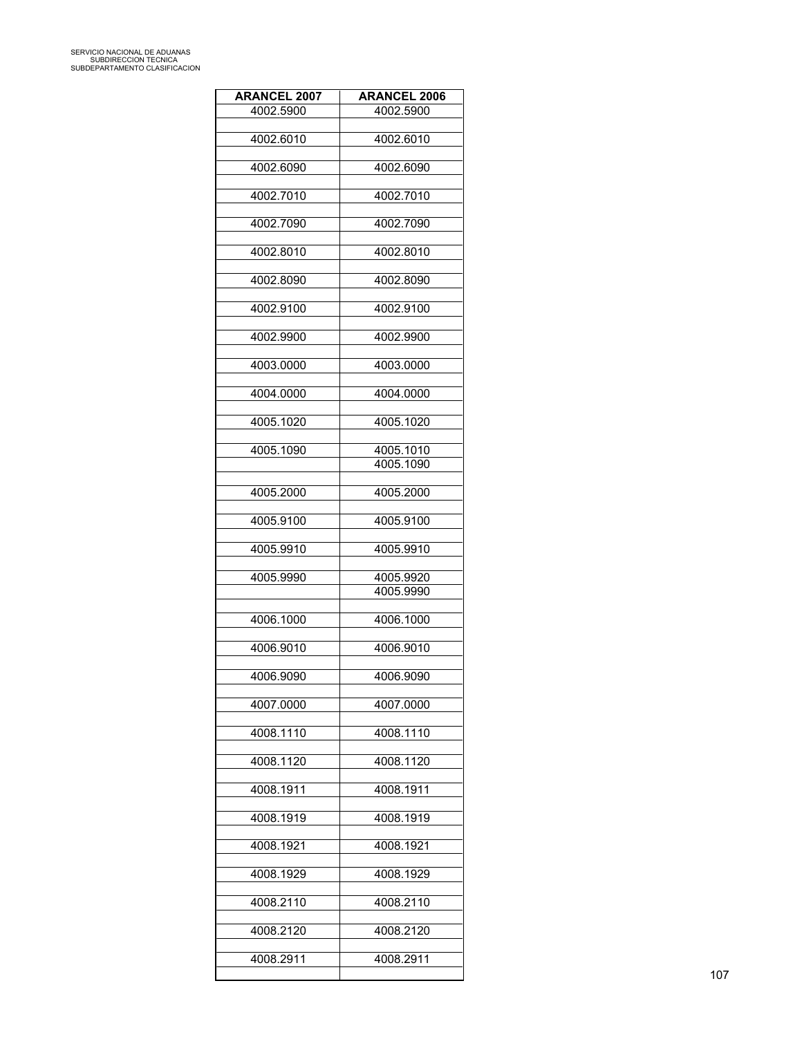| <b>ARANCEL 2007</b> | <b>ARANCEL 2006</b>    |
|---------------------|------------------------|
| 4002.5900           | 4002.5900              |
| 4002.6010           | 4002.6010              |
| 4002.6090           | 4002.6090              |
| 4002.7010           | 4002.7010              |
| 4002.7090           | 4002.7090              |
| 4002.8010           | 4002.8010              |
| 4002.8090           | 4002.8090              |
| 4002.9100           | 4002.9100              |
| 4002.9900           | 4002.9900              |
| 4003.0000           | 4003.0000              |
| 4004.0000           | 4004.0000              |
| 4005.1020           | 4005.1020              |
| 4005.1090           | 4005.1010              |
|                     | 4005.1090              |
| 4005.2000           | 4005.2000              |
| 4005.9100           | 4005.9100              |
| 4005.9910           | 4005.9910              |
| 4005.9990           | 4005.9920<br>4005.9990 |
| 4006.1000           | 4006.1000              |
| 4006.9010           | 4006.9010              |
| 4006.9090           | 4006.9090              |
| 4007.0000           | 4007.0000              |
| 4008.1110           | 4008.1110              |
| 4008.1120           | 4008.1120              |
| 4008.1911           | 4008.1911              |
| 4008.1919           | 4008.1919              |
| 4008.1921           | 4008.1921              |
| 4008.1929           | 4008.1929              |
| 4008.2110           | 4008.2110              |
| 4008.2120           | 4008.2120              |
| 4008.2911           | 4008.2911              |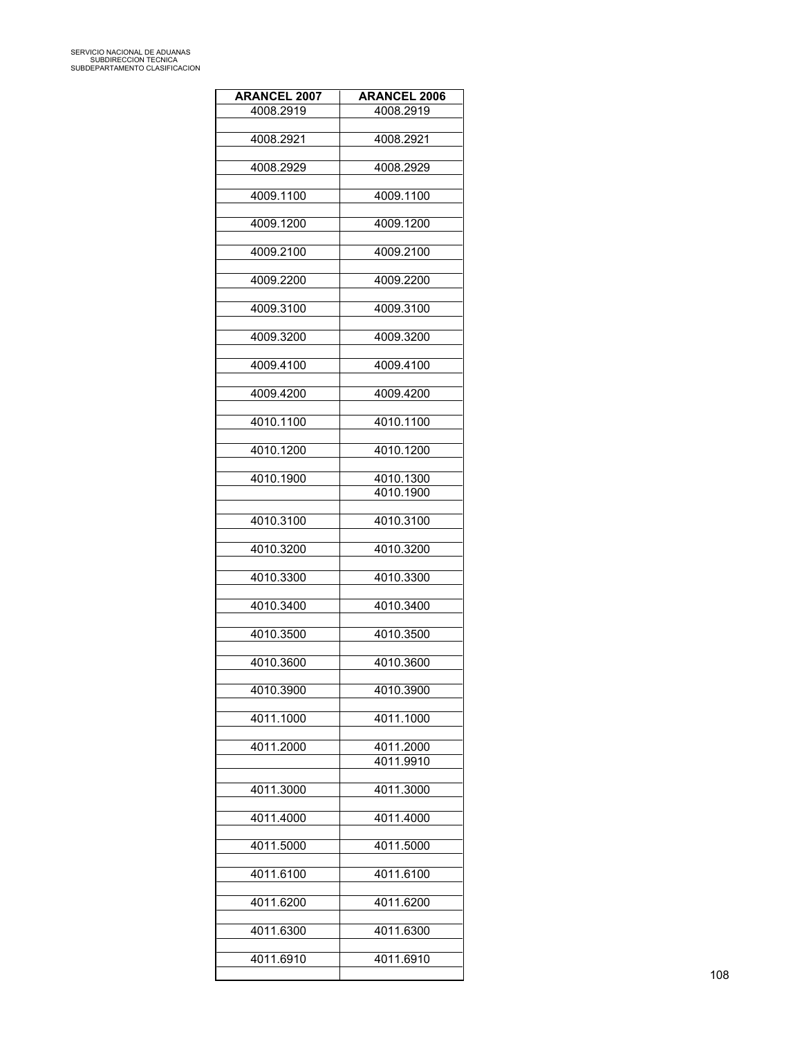| <b>ARANCEL 2007</b> | <b>ARANCEL 2006</b> |
|---------------------|---------------------|
| 4008.2919           | 4008.2919           |
| 4008.2921           | 4008.2921           |
| 4008.2929           | 4008.2929           |
|                     |                     |
| 4009.1100           | 4009.1100           |
| 4009.1200           | 4009.1200           |
| 4009.2100           | 4009.2100           |
| 4009.2200           | 4009.2200           |
| 4009.3100           | 4009.3100           |
| 4009.3200           | 4009.3200           |
| 4009.4100           | 4009.4100           |
| 4009.4200           | 4009.4200           |
| 4010.1100           | 4010.1100           |
| 4010.1200           | 4010.1200           |
| 4010.1900           | 4010.1300           |
|                     | 4010.1900           |
| 4010.3100           | 4010.3100           |
| 4010.3200           | 4010.3200           |
| 4010.3300           | 4010.3300           |
| 4010.3400           | 4010.3400           |
|                     |                     |
| 4010.3500           | 4010.3500           |
| 4010.3600           | 4010.3600           |
| 4010.3900           | 4010.3900           |
| 4011.1000           | 4011.1000           |
| 4011.2000           | 4011.2000           |
|                     | 4011.9910           |
| 4011.3000           | 4011.3000           |
| 4011.4000           | 4011.4000           |
| 4011.5000           | 4011.5000           |
| 4011.6100           | 4011.6100           |
| 4011.6200           | 4011.6200           |
| 4011.6300           | 4011.6300           |
| 4011.6910           | 4011.6910           |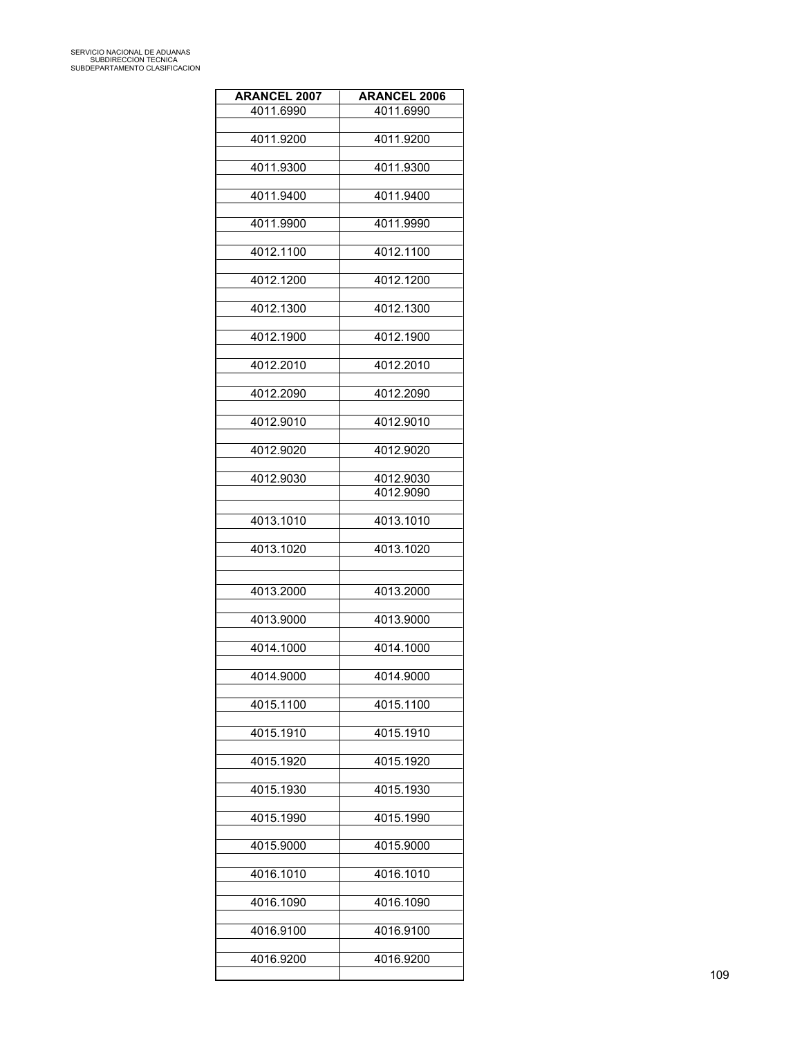| <b>ARANCEL 2007</b> | <b>ARANCEL 2006</b>    |
|---------------------|------------------------|
| 4011.6990           | 4011.6990              |
| 4011.9200           | 4011.9200              |
| 4011.9300           | 4011.9300              |
| 4011.9400           | 4011.9400              |
| 4011.9900           | 4011.9990              |
| 4012.1100           | 4012.1100              |
| 4012.1200           | 4012.1200              |
| 4012.1300           | 4012.1300              |
| 4012.1900           | 4012.1900              |
| 4012.2010           | 4012.2010              |
| 4012.2090           | 4012.2090              |
| 4012.9010           | 4012.9010              |
| 4012.9020           | 4012.9020              |
| 4012.9030           | 4012.9030<br>4012.9090 |
| 4013.1010           | 4013.1010              |
| 4013.1020           | 4013.1020              |
|                     |                        |
| 4013.2000           | 4013.2000              |
| 4013.9000           | 4013.9000              |
| 4014.1000           | 4014.1000              |
| 4014.9000           | 4014.9000              |
| 4015.1100           | 4015.1100              |
| 4015.1910           | 4015.1910              |
| 4015.1920           | 4015.1920              |
| 4015.1930           | 4015.1930              |
| 4015.1990           | 4015.1990              |
| 4015.9000           | 4015.9000              |
| 4016.1010           | 4016.1010              |
| 4016.1090           | 4016.1090              |
| 4016.9100           | 4016.9100              |
| 4016.9200           | 4016.9200              |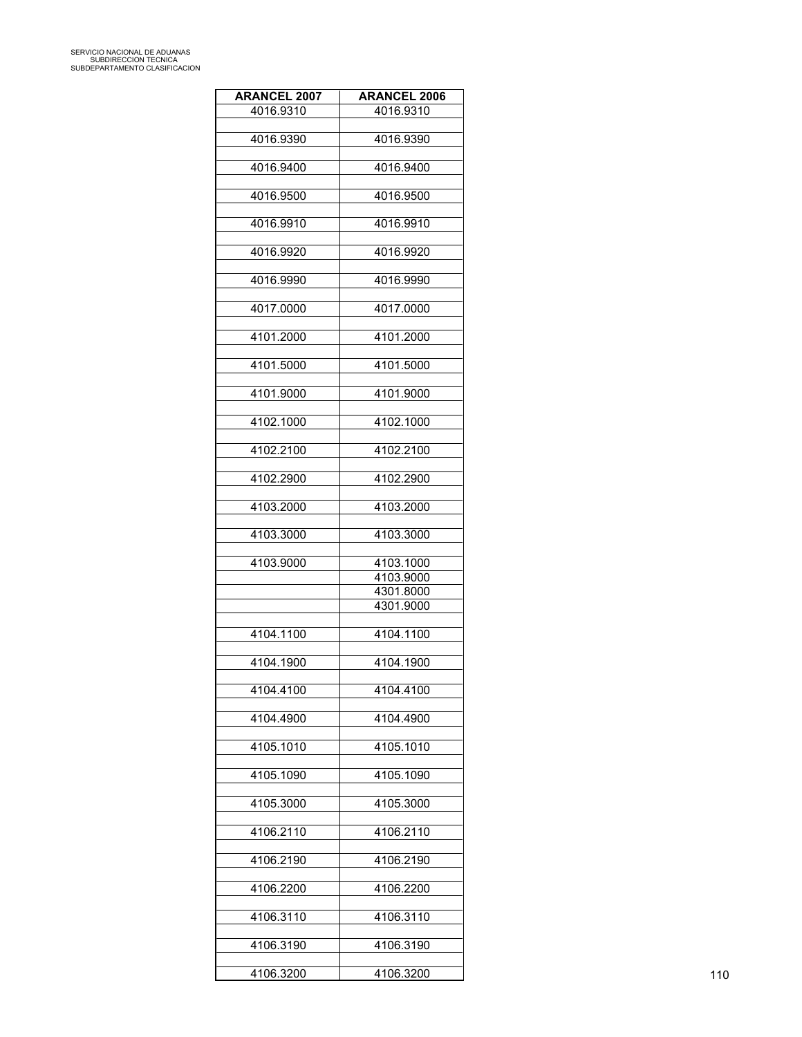| <b>ARANCEL 2007</b> | <b>ARANCEL 2006</b> |
|---------------------|---------------------|
| 4016.9310           | 4016.9310           |
| 4016.9390           | 4016.9390           |
|                     |                     |
| 4016.9400           | 4016.9400           |
| 4016.9500           | 4016.9500           |
|                     |                     |
| 4016.9910           | 4016.9910           |
| 4016.9920           | 4016.9920           |
|                     |                     |
| 4016.9990           | 4016.9990           |
| 4017.0000           | 4017.0000           |
|                     |                     |
| 4101.2000           | 4101.2000           |
|                     |                     |
| 4101.5000           | 4101.5000           |
| 4101.9000           | 4101.9000           |
|                     |                     |
| 4102.1000           | 4102.1000           |
| 4102.2100           | 4102.2100           |
|                     |                     |
| 4102.2900           | 4102.2900           |
| 4103.2000           | 4103.2000           |
|                     |                     |
| 4103.3000           | 4103.3000           |
| 4103.9000           | 4103.1000           |
|                     | 4103.9000           |
|                     | 4301.8000           |
|                     | 4301.9000           |
| 4104.1100           | 4104.1100           |
|                     |                     |
| 4104.1900           | 4104.1900           |
|                     |                     |
| 4104.4100           | 4104.4100           |
| 4104.4900           | 4104.4900           |
|                     |                     |
| 4105.1010           | 4105.1010           |
| 4105.1090           | 4105.1090           |
|                     |                     |
| 4105.3000           | 4105.3000           |
| 4106.2110           | 4106.2110           |
|                     |                     |
| 4106.2190           | 4106.2190           |
|                     |                     |
| 4106.2200           | 4106.2200           |
| 4106.3110           | 4106.3110           |
|                     |                     |
| 4106.3190           | 4106.3190           |
| 4106.3200           | 4106.3200           |
|                     |                     |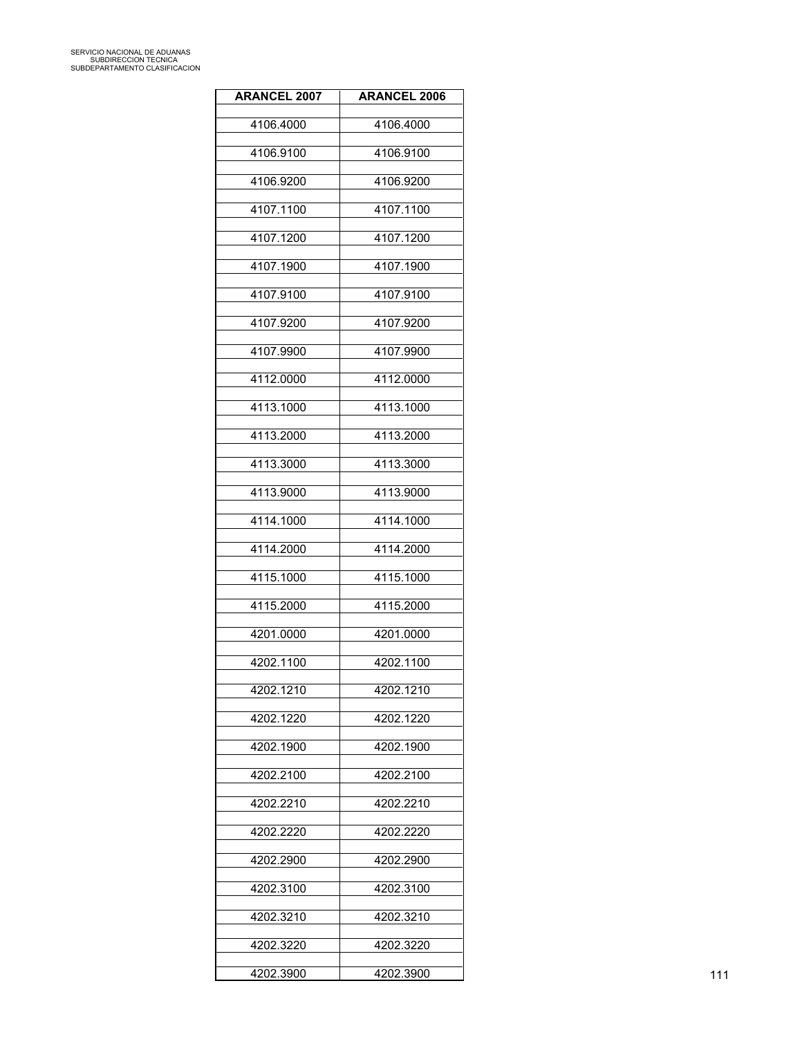| <b>ARANCEL 2007</b> | <b>ARANCEL 2006</b> |
|---------------------|---------------------|
| 4106.4000           | 4106.4000           |
| 4106.9100           | 4106.9100           |
| 4106.9200           | 4106.9200           |
| 4107.1100           | 4107.1100           |
| 4107.1200           | 4107.1200           |
|                     |                     |
| 4107.1900           | 4107.1900           |
| 4107.9100           | 4107.9100           |
| 4107.9200           | 4107.9200           |
| 4107.9900           | 4107.9900           |
| 4112.0000           | 4112.0000           |
| 4113.1000           | 4113.1000           |
| 4113.2000           | 4113.2000           |
| 4113.3000           | 4113.3000           |
| 4113.9000           | 4113.9000           |
| 4114.1000           | 4114.1000           |
| 4114.2000           | 4114.2000           |
| 4115.1000           | 4115.1000           |
| 4115.2000           | 4115.2000           |
| 4201.0000           | 4201.0000           |
| 4202.1100           | 4202.1100           |
| 4202.1210           | 4202.1210           |
|                     | 4202.1220           |
| 4202.1220           |                     |
| 4202.1900           | 4202.1900           |
| 4202.2100           | 4202.2100           |
| 4202.2210           | 4202.2210           |
| 4202.2220           | 4202.2220           |
| 4202.2900           | 4202.2900           |
| 4202.3100           | 4202.3100           |
| 4202.3210           | 4202.3210           |
| 4202.3220           | 4202.3220           |
| 4202.3900           | 4202.3900           |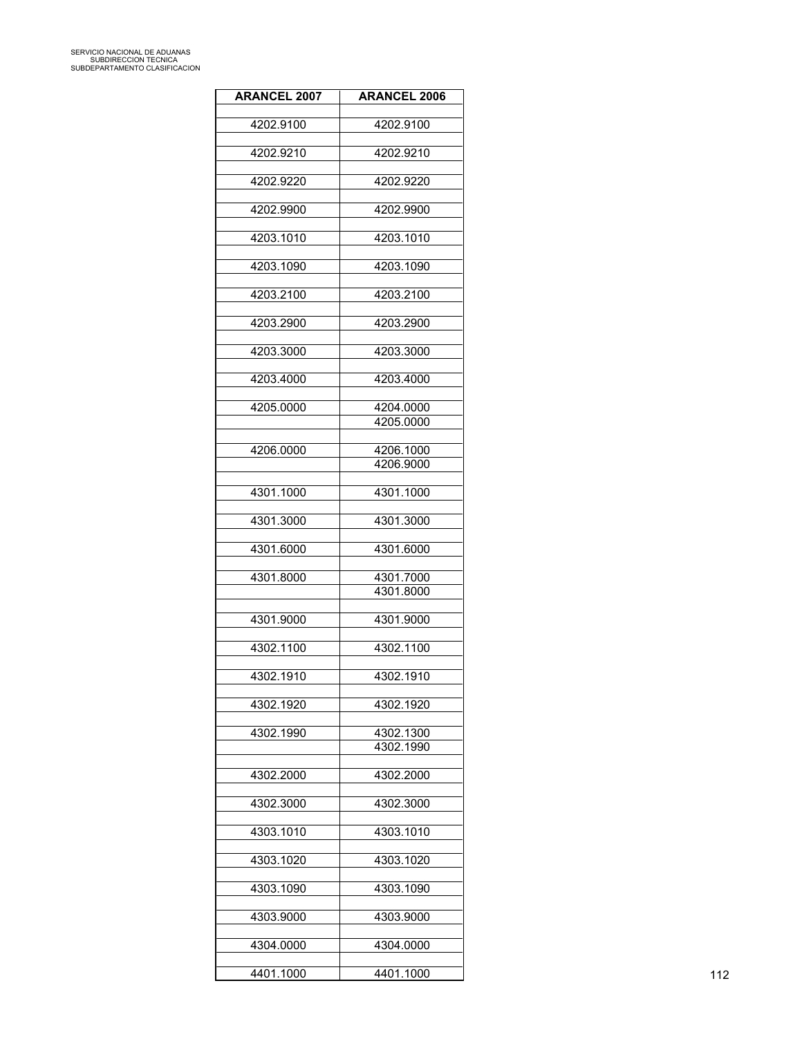| <b>ARANCEL 2007</b> | <b>ARANCEL 2006</b> |
|---------------------|---------------------|
| 4202.9100           | 4202.9100           |
|                     |                     |
| 4202.9210           | 4202.9210           |
| 4202.9220           | 4202.9220           |
| 4202.9900           | 4202.9900           |
| 4203.1010           | 4203.1010           |
| 4203.1090           | 4203.1090           |
| 4203.2100           | 4203.2100           |
| 4203.2900           | 4203.2900           |
| 4203.3000           | 4203.3000           |
| 4203.4000           | 4203.4000           |
| 4205.0000           | 4204.0000           |
|                     | 4205.0000           |
| 4206.0000           | 4206.1000           |
|                     | 4206.9000           |
| 4301.1000           | 4301.1000           |
| 4301.3000           | 4301.3000           |
| 4301.6000           | 4301.6000           |
| 4301.8000           | 4301.7000           |
|                     | 4301.8000           |
| 4301.9000           | 4301.9000           |
| 4302.1100           | 4302.1100           |
| 4302.1910           | 4302.1910           |
| 4302.1920           | 4302.1920           |
| 4302.1990           | 4302.1300           |
|                     | 4302.1990           |
| 4302.2000           | 4302.2000           |
| 4302.3000           | 4302.3000           |
| 4303.1010           | 4303.1010           |
| 4303.1020           | 4303.1020           |
| 4303.1090           | 4303.1090           |
| 4303.9000           | 4303.9000           |
| 4304.0000           | 4304.0000           |
|                     |                     |
| 4401.1000           | 4401.1000           |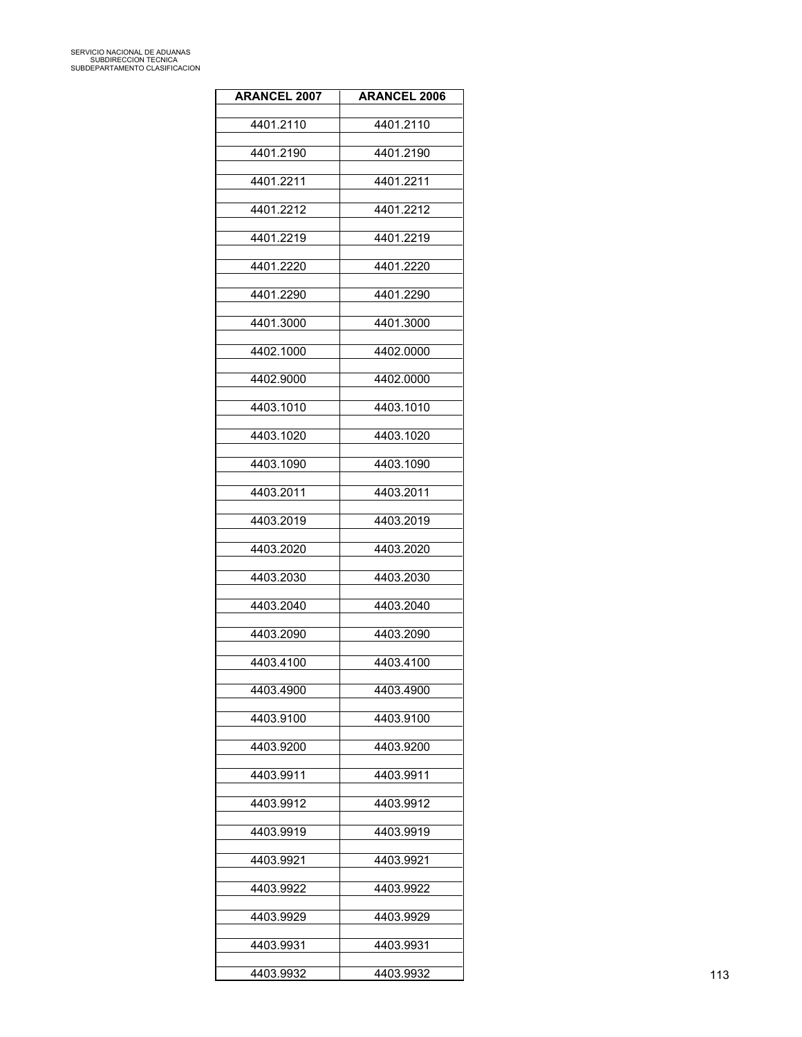| <b>ARANCEL 2007</b> | <b>ARANCEL 2006</b> |
|---------------------|---------------------|
| 4401.2110           | 4401.2110           |
| 4401.2190           | 4401.2190           |
|                     |                     |
| 4401.2211           | 4401.2211           |
| 4401.2212           | 4401.2212           |
| 4401.2219           | 4401.2219           |
| 4401.2220           | 4401.2220           |
| 4401.2290           | 4401.2290           |
| 4401.3000           | 4401.3000           |
| 4402.1000           | 4402.0000           |
| 4402.9000           | 4402.0000           |
| 4403.1010           | 4403.1010           |
| 4403.1020           | 4403.1020           |
| 4403.1090           | 4403.1090           |
| 4403.2011           | 4403.2011           |
| 4403.2019           | 4403.2019           |
| 4403.2020           | 4403.2020           |
| 4403.2030           | 4403.2030           |
| 4403.2040           | 4403.2040           |
|                     |                     |
| 4403.2090           | 4403.2090           |
| 4403.4100           | 4403.4100           |
| 4403.4900           | 4403.4900           |
| 4403.9100           | 4403.9100           |
| 4403.9200           | 4403.9200           |
| 4403.9911           | 4403.9911           |
| 4403.9912           | 4403.9912           |
| 4403.9919           | 4403.9919           |
| 4403.9921           | 4403.9921           |
| 4403.9922           | 4403.9922           |
| 4403.9929           | 4403.9929           |
| 4403.9931           | 4403.9931           |
| 4403.9932           | 4403.9932           |
|                     |                     |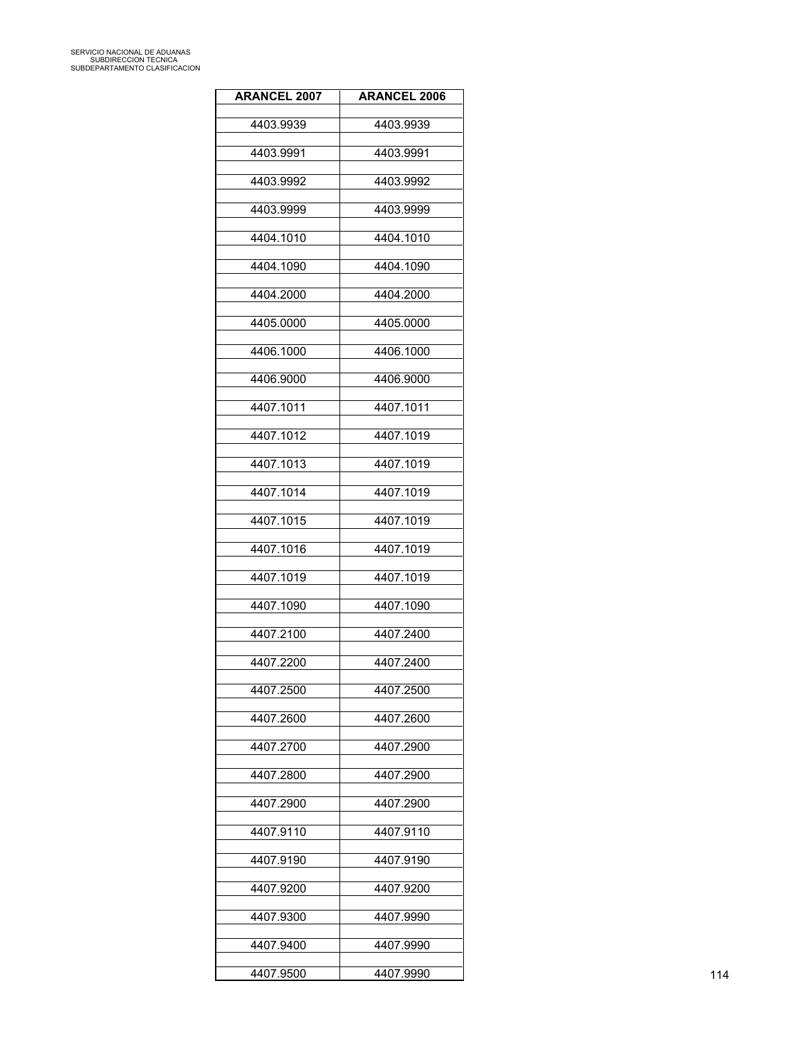| <b>ARANCEL 2007</b> | <b>ARANCEL 2006</b> |
|---------------------|---------------------|
| 4403.9939           | 4403.9939           |
| 4403.9991           | 4403.9991           |
| 4403.9992           | 4403.9992           |
|                     |                     |
| 4403.9999           | 4403.9999           |
| 4404.1010           | 4404.1010           |
| 4404.1090           | 4404.1090           |
| 4404.2000           | 4404.2000           |
| 4405.0000           | 4405.0000           |
| 4406.1000           | 4406.1000           |
| 4406.9000           | 4406.9000           |
| 4407.1011           | 4407.1011           |
| 4407.1012           | 4407.1019           |
| 4407.1013           | 4407.1019           |
| 4407.1014           | 4407.1019           |
| 4407.1015           | 4407.1019           |
| 4407.1016           | 4407.1019           |
|                     |                     |
| 4407.1019           | 4407.1019           |
| 4407.1090           | 4407.1090           |
| 4407.2100           | 4407.2400           |
| 4407.2200           | 4407.2400           |
| 4407.2500           | 4407.2500           |
| 4407.2600           | 4407.2600           |
| 4407.2700           | 4407.2900           |
| 4407.2800           | 4407.2900           |
| 4407.2900           | 4407.2900           |
| 4407.9110           | 4407.9110           |
| 4407.9190           | 4407.9190           |
| 4407.9200           | 4407.9200           |
|                     |                     |
| 4407.9300           | 4407.9990           |
| 4407.9400           | 4407.9990           |
| 4407.9500           | 4407.9990           |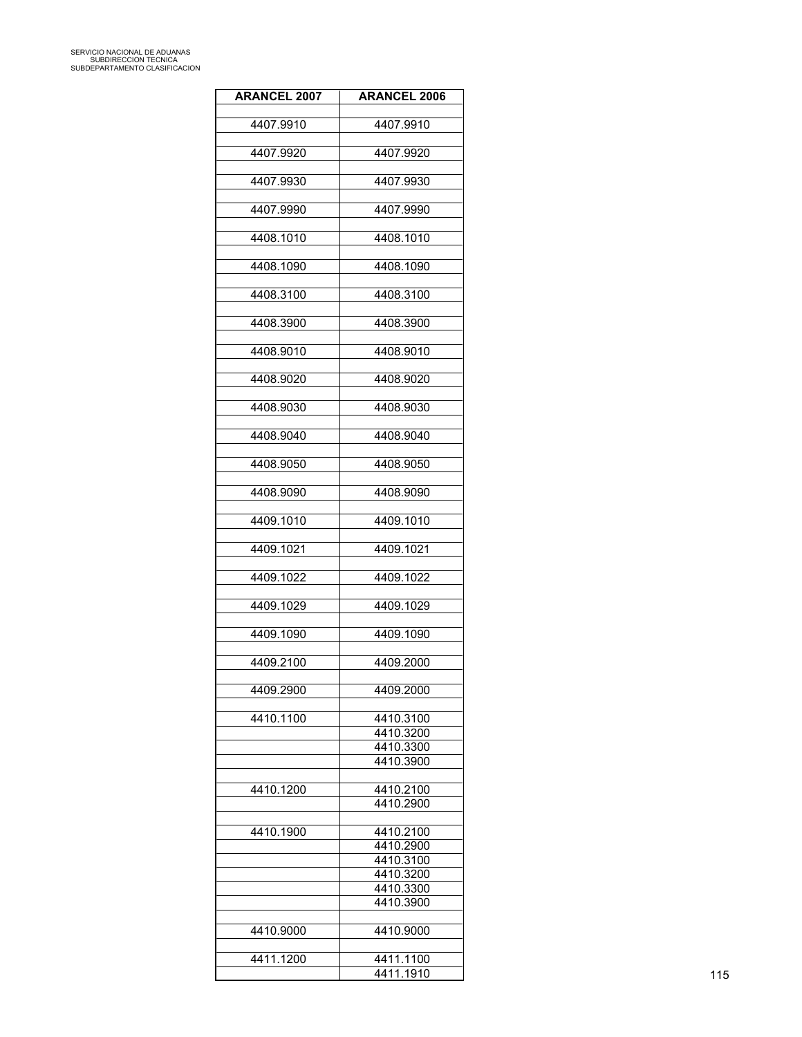| <b>ARANCEL 2007</b> | <b>ARANCEL 2006</b>    |
|---------------------|------------------------|
|                     |                        |
| 4407.9910           | 4407.9910              |
| 4407.9920           | 4407.9920              |
|                     |                        |
| 4407.9930           | 4407.9930              |
| 4407.9990           | 4407.9990              |
|                     |                        |
| 4408.1010           | 4408.1010              |
| 4408.1090           | 4408.1090              |
|                     |                        |
| 4408.3100           | 4408.3100              |
|                     |                        |
| 4408.3900           | 4408.3900              |
| 4408.9010           | 4408.9010              |
|                     |                        |
| 4408.9020           | 4408.9020              |
| 4408.9030           | 4408.9030              |
|                     |                        |
| 4408.9040           | 4408.9040              |
| 4408.9050           | 4408.9050              |
|                     |                        |
| 4408.9090           | 4408.9090              |
|                     |                        |
| 4409.1010           | 4409.1010              |
| 4409.1021           | 4409.1021              |
|                     |                        |
| 4409.1022           | 4409.1022              |
| 4409.1029           | 4409.1029              |
|                     |                        |
| 4409.1090           | 4409.1090              |
|                     | 4409.2000              |
| 4409.2100           |                        |
| 4409.2900           | 4409.2000              |
|                     |                        |
| 4410.1100           | 4410.3100              |
|                     | 4410.3200<br>4410.3300 |
|                     | 4410.3900              |
|                     |                        |
| 4410.1200           | 4410.2100              |
|                     | 4410.2900              |
|                     |                        |
| 4410.1900           | 4410.2100              |
|                     | 4410.2900              |
|                     | 4410.3100              |
|                     | 4410.3200<br>4410.3300 |
|                     | 4410.3900              |
|                     |                        |
| 4410.9000           | 4410.9000              |
|                     |                        |
| 4411.1200           | 4411.1100<br>4411.1910 |
|                     |                        |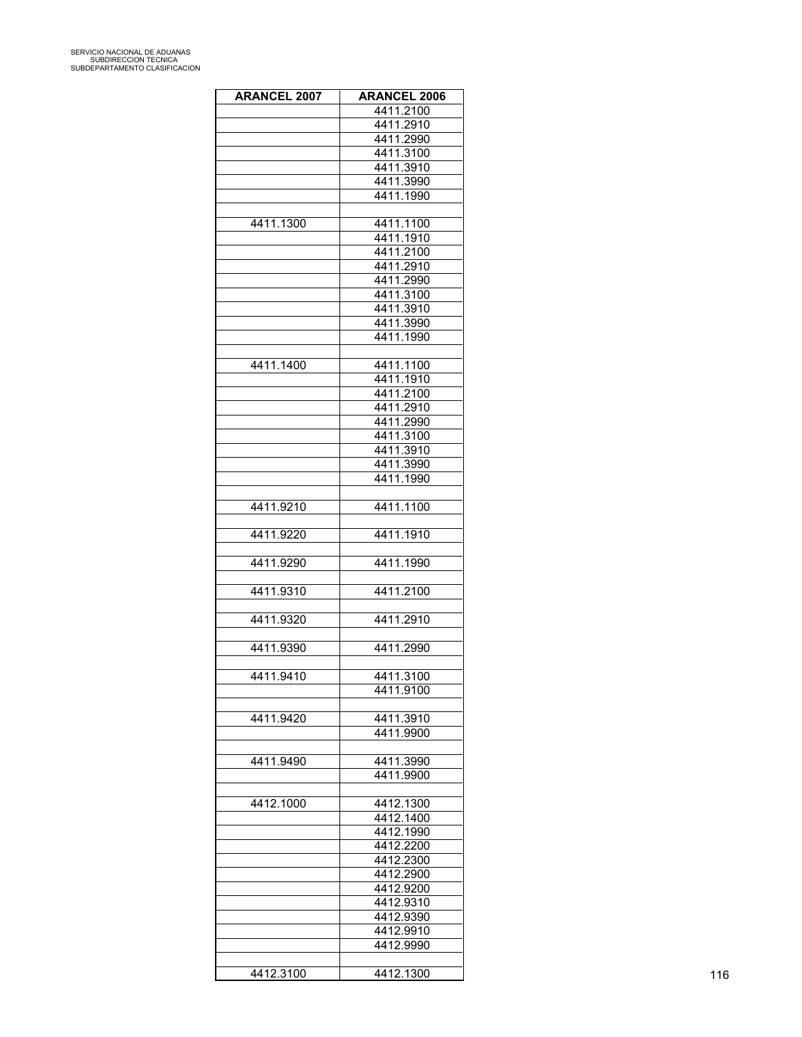| <b>ARANCEL 2007</b> | <b>ARANCEL 2006</b> |  |
|---------------------|---------------------|--|
|                     | 4411.2100           |  |
|                     | 4411.2910           |  |
|                     | 4411.2990           |  |
|                     | 4411.3100           |  |
|                     | 4411.3910           |  |
|                     | 4411.3990           |  |
|                     | 4411.1990           |  |
|                     |                     |  |
| 4411.1300           | 4411.1100           |  |
|                     | 4411.1910           |  |
|                     | 4411.2100           |  |
|                     | 4411.2910           |  |
|                     | 4411.2990           |  |
|                     | 4411.3100           |  |
|                     | 4411.3910           |  |
|                     | 4411.3990           |  |
|                     | 4411.1990           |  |
|                     |                     |  |
| 4411.1400           | 4411.1100           |  |
|                     | 4411.1910           |  |
|                     | 4411.2100           |  |
|                     | 4411.2910           |  |
|                     | 4411.2990           |  |
|                     | 4411.3100           |  |
|                     | 4411.3910           |  |
|                     | 4411.3990           |  |
|                     | 4411.1990           |  |
|                     |                     |  |
| 4411.9210           | 4411.1100           |  |
|                     |                     |  |
| 4411.9220           | 4411.1910           |  |
|                     |                     |  |
| 4411.9290           | 4411.1990           |  |
|                     |                     |  |
| 4411.9310           | 4411.2100           |  |
|                     |                     |  |
| 4411.9320           | 4411.2910           |  |
|                     |                     |  |
| 4411.9390           | 4411.2990           |  |
|                     |                     |  |
| 4411.9410           | 4411.3100           |  |
|                     | 4411.9100           |  |
|                     |                     |  |
| 4411.9420           | 4411.3910           |  |
|                     | 4411.9900           |  |
|                     |                     |  |
| 4411.9490           | 4411.3990           |  |
|                     | 4411.9900           |  |
|                     |                     |  |
| 4412.1000           | 4412.1300           |  |
|                     | 4412.1400           |  |
|                     | 4412.1990           |  |
|                     | 4412.2200           |  |
|                     | 4412.2300           |  |
|                     | 4412.2900           |  |
|                     | 4412.9200           |  |
|                     | 4412.9310           |  |
|                     | 4412.9390           |  |
|                     | 4412.9910           |  |
|                     | 4412.9990           |  |
|                     |                     |  |
| 4412.3100           | 4412.1300           |  |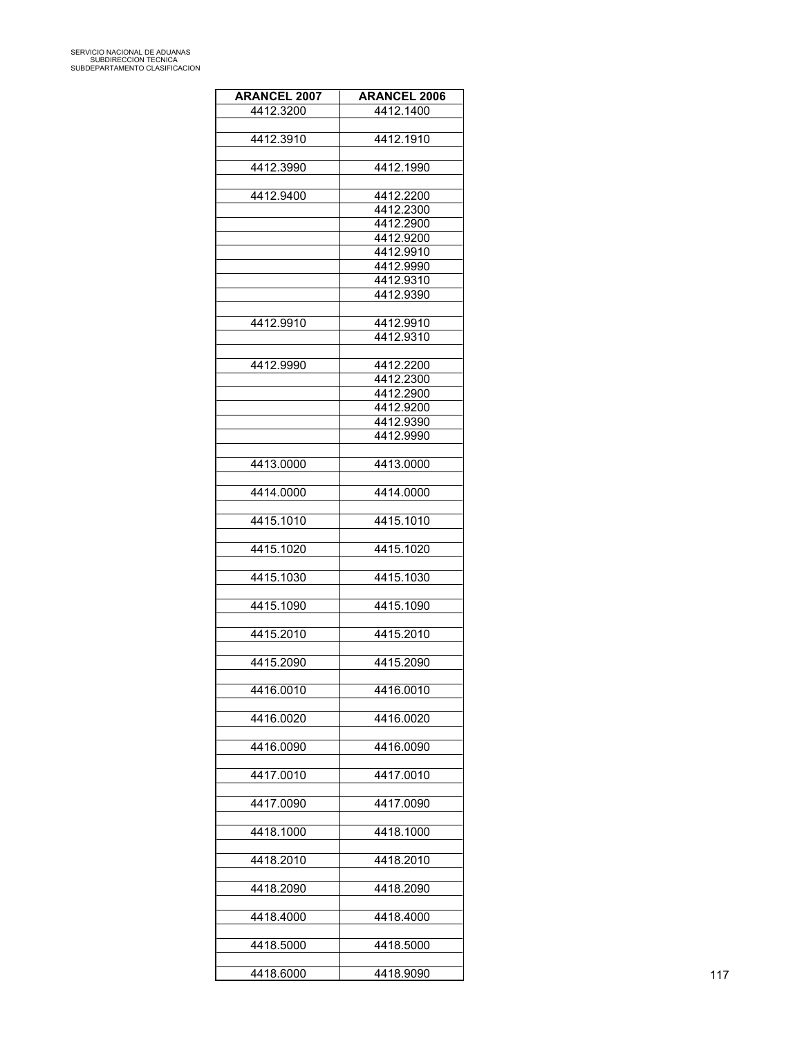| ARANCEL 2007 | <b>ARANCEL 2006</b> |
|--------------|---------------------|
| 4412.3200    | 4412.1400           |
|              |                     |
| 4412.3910    | 4412.1910           |
|              |                     |
| 4412.3990    | 4412.1990           |
|              |                     |
| 4412.9400    | 4412.2200           |
|              | 4412.2300           |
|              | 4412.2900           |
|              | 4412.9200           |
|              | 4412.9910           |
|              | 4412.9990           |
|              | 4412.9310           |
|              | 4412.9390           |
|              |                     |
| 4412.9910    | 4412.9910           |
|              | 4412.9310           |
|              |                     |
| 4412.9990    | 4412.2200           |
|              | 4412.2300           |
|              | 4412.2900           |
|              | 4412.9200           |
|              | 4412.9390           |
|              | 4412.9990           |
|              |                     |
| 4413.0000    | 4413.0000           |
|              |                     |
| 4414.0000    | 4414.0000           |
|              |                     |
| 4415.1010    | 4415.1010           |
|              |                     |
| 4415.1020    | 4415.1020           |
|              |                     |
| 4415.1030    | 4415.1030           |
|              |                     |
| 4415.1090    | 4415.1090           |
|              |                     |
| 4415.2010    | 4415.2010           |
|              |                     |
| 4415.2090    | 4415.2090           |
|              |                     |
| 4416.0010    | 4416.0010           |
|              |                     |
| 4416.0020    | 4416.0020           |
|              |                     |
| 4416.0090    | 4416.0090           |
|              |                     |
| 4417.0010    | 4417.0010           |
|              |                     |
| 4417.0090    | 4417.0090           |
|              |                     |
| 4418.1000    | 4418.1000           |
|              |                     |
| 4418.2010    | 4418.2010           |
|              |                     |
| 4418.2090    | 4418.2090           |
|              |                     |
| 4418.4000    | 4418.4000           |
|              |                     |
| 4418.5000    | 4418.5000           |
|              |                     |
| 4418.6000    | 4418.9090           |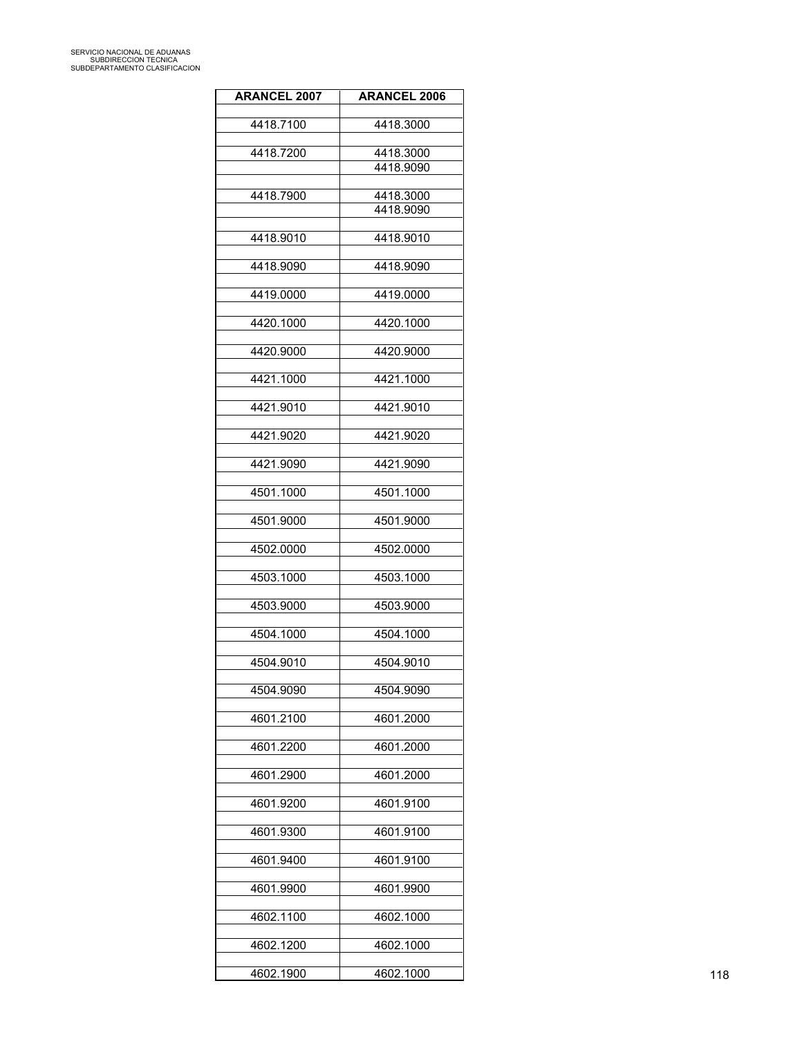| <b>ARANCEL 2007</b> | <b>ARANCEL 2006</b> |
|---------------------|---------------------|
| 4418.7100           |                     |
|                     | 4418.3000           |
| 4418.7200           | 4418.3000           |
|                     | 4418.9090           |
| 4418.7900           | 4418.3000           |
|                     | 4418.9090           |
|                     |                     |
| 4418.9010           | 4418.9010           |
| 4418.9090           | 4418.9090           |
|                     |                     |
| 4419.0000           | 4419.0000           |
| 4420.1000           | 4420.1000           |
|                     |                     |
| 4420.9000           | 4420.9000           |
| 4421.1000           | 4421.1000           |
|                     |                     |
| 4421.9010           | 4421.9010           |
|                     |                     |
| 4421.9020           | 4421.9020           |
| 4421.9090           | 4421.9090           |
|                     |                     |
| 4501.1000           | 4501.1000           |
| 4501.9000           | 4501.9000           |
|                     |                     |
| 4502.0000           | 4502.0000           |
|                     |                     |
| 4503.1000           | 4503.1000           |
| 4503.9000           | 4503.9000           |
|                     |                     |
| 4504.1000           | 4504.1000           |
|                     |                     |
| 4504.9010           | 4504.9010           |
| 4504.9090           | 4504.9090           |
|                     |                     |
| 4601.2100           | 4601.2000           |
| 4601.2200           | 4601.2000           |
|                     |                     |
| 4601.2900           | 4601.2000           |
|                     |                     |
| 4601.9200           | 4601.9100           |
| 4601.9300           | 4601.9100           |
|                     |                     |
| 4601.9400           | 4601.9100           |
|                     |                     |
| 4601.9900           | 4601.9900           |
| 4602.1100           | 4602.1000           |
|                     |                     |
| 4602.1200           | 4602.1000           |
| 4602.1900           | 4602.1000           |
|                     |                     |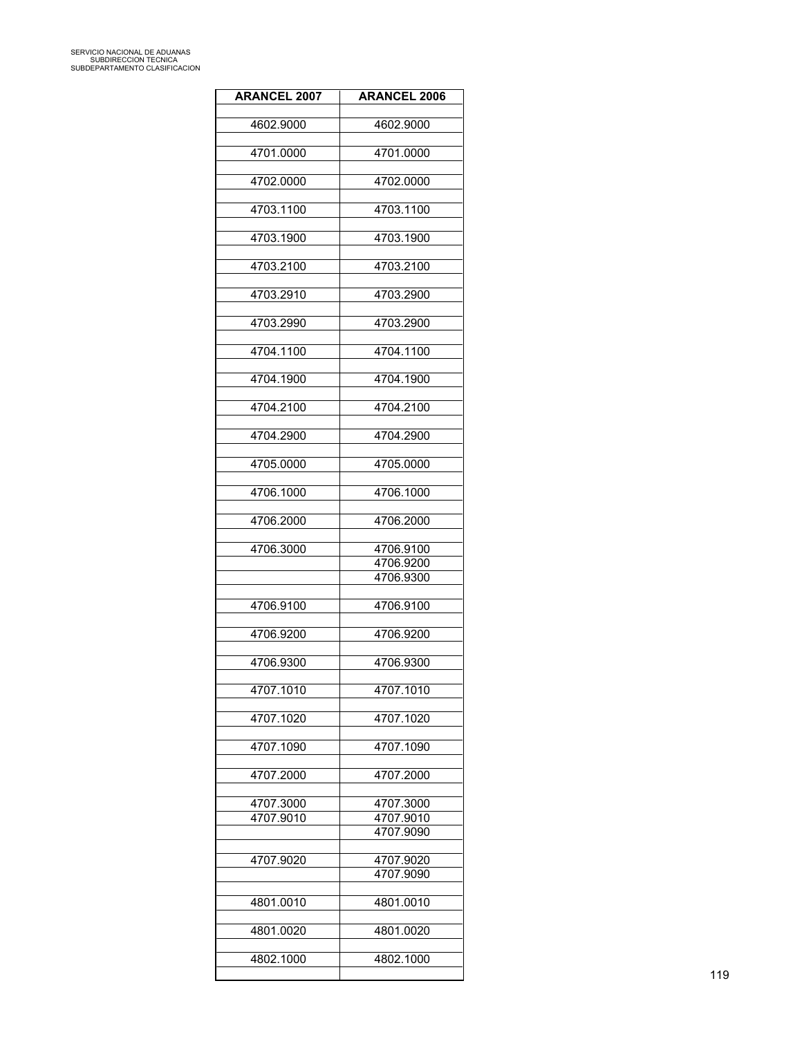| <b>ARANCEL 2007</b> | <b>ARANCEL 2006</b> |
|---------------------|---------------------|
|                     |                     |
| 4602.9000           | 4602.9000           |
|                     |                     |
| 4701.0000           | 4701.0000           |
| 4702.0000           | 4702.0000           |
|                     |                     |
| 4703.1100           | 4703.1100           |
|                     |                     |
| 4703.1900           | 4703.1900           |
| 4703.2100           | 4703.2100           |
|                     |                     |
| 4703.2910           | 4703.2900           |
|                     |                     |
| 4703.2990           | 4703.2900           |
| 4704.1100           |                     |
|                     | 4704.1100           |
| 4704.1900           | 4704.1900           |
|                     |                     |
| 4704.2100           | 4704.2100           |
|                     |                     |
| 4704.2900           | 4704.2900           |
| 4705.0000           | 4705.0000           |
|                     |                     |
| 4706.1000           | 4706.1000           |
|                     |                     |
| 4706.2000           | 4706.2000           |
| 4706.3000           | 4706.9100           |
|                     | 4706.9200           |
|                     | 4706.9300           |
|                     |                     |
| 4706.9100           | 4706.9100           |
|                     |                     |
| 4706.9200           | 4706.9200           |
| 4706.9300           | 4706.9300           |
|                     |                     |
| 4707.1010           | 4707.1010           |
|                     |                     |
| 4707.1020           | 4707.1020           |
| 4707.1090           | 4707.1090           |
|                     |                     |
| 4707.2000           | 4707.2000           |
|                     |                     |
| 4707.3000           | 4707.3000           |
| 4707.9010           | 4707.9010           |
|                     | 4707.9090           |
| 4707.9020           | 4707.9020           |
|                     | 4707.9090           |
|                     |                     |
| 4801.0010           | 4801.0010           |
|                     |                     |
| 4801.0020           | 4801.0020           |
| 4802.1000           | 4802.1000           |
|                     |                     |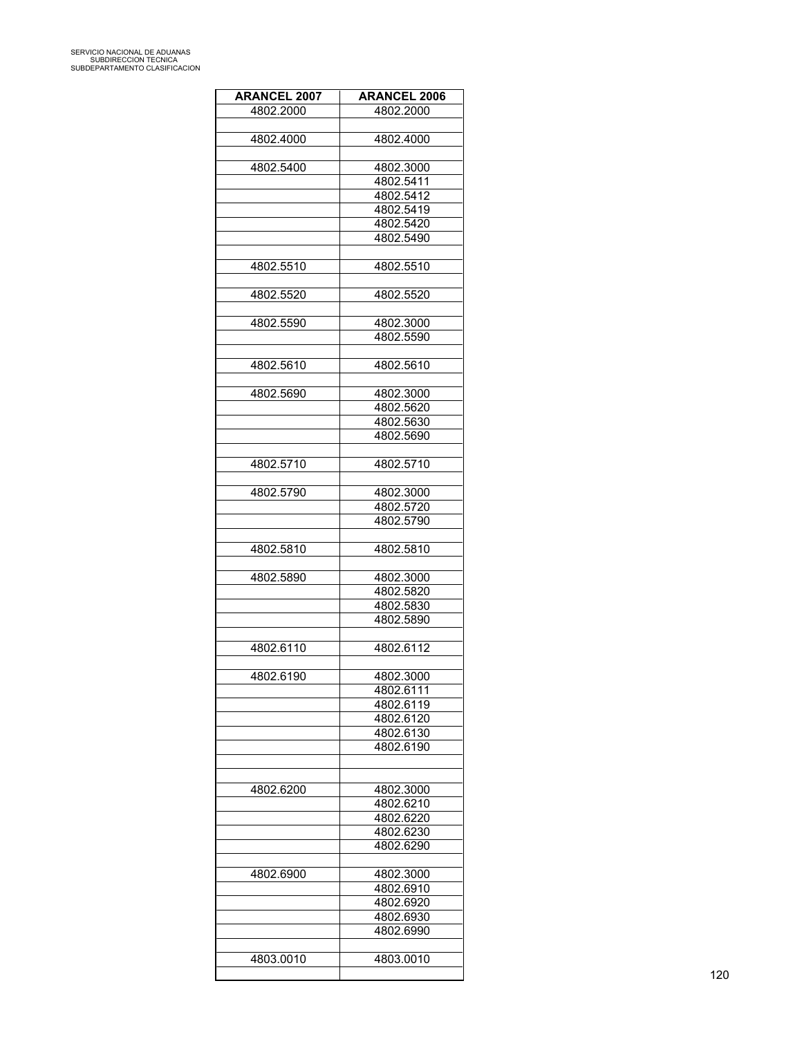| <b>ARANCEL 2007</b> | <b>ARANCEL 2006</b> |
|---------------------|---------------------|
| 4802.2000           | 4802.2000           |
|                     |                     |
| 4802.4000           | 4802.4000           |
|                     |                     |
| 4802.5400           | 4802.3000           |
|                     | 4802.5411           |
|                     | 4802.5412           |
|                     | 4802.5419           |
|                     | 4802.5420           |
|                     | 4802.5490           |
|                     |                     |
| 4802.5510           | 4802.5510           |
|                     |                     |
| 4802.5520           | 4802.5520           |
|                     |                     |
| 4802.5590           | 4802.3000           |
|                     | 4802.5590           |
|                     |                     |
| 4802.5610           | 4802.5610           |
|                     |                     |
| 4802.5690           | 4802.3000           |
|                     | 4802.5620           |
|                     | 4802.5630           |
|                     | 4802.5690           |
|                     |                     |
| 4802.5710           | 4802.5710           |
|                     |                     |
| 4802.5790           | 4802.3000           |
|                     | 4802.5720           |
|                     | 4802.5790           |
|                     |                     |
| 4802.5810           | 4802.5810           |
|                     |                     |
| 4802.5890           | 4802.3000           |
|                     | 4802.5820           |
|                     | 4802.5830           |
|                     | 4802.5890           |
|                     |                     |
| 4802.6110           | 4802.6112           |
|                     |                     |
| 4802.6190           | 4802.3000           |
|                     | 4802.6111           |
|                     | 4802.6119           |
|                     | 4802.6120           |
|                     | 4802.6130           |
|                     | 4802.6190           |
|                     |                     |
|                     |                     |
| 4802.6200           | 4802.3000           |
|                     | 4802.6210           |
|                     | 4802.6220           |
|                     | 4802.6230           |
|                     | 4802.6290           |
|                     |                     |
|                     |                     |
| 4802.6900           | 4802.3000           |
|                     | 4802.6910           |
|                     | 4802.6920           |
|                     | 4802.6930           |
|                     | 4802.6990           |
|                     |                     |
| 4803.0010           | 4803.0010           |
|                     |                     |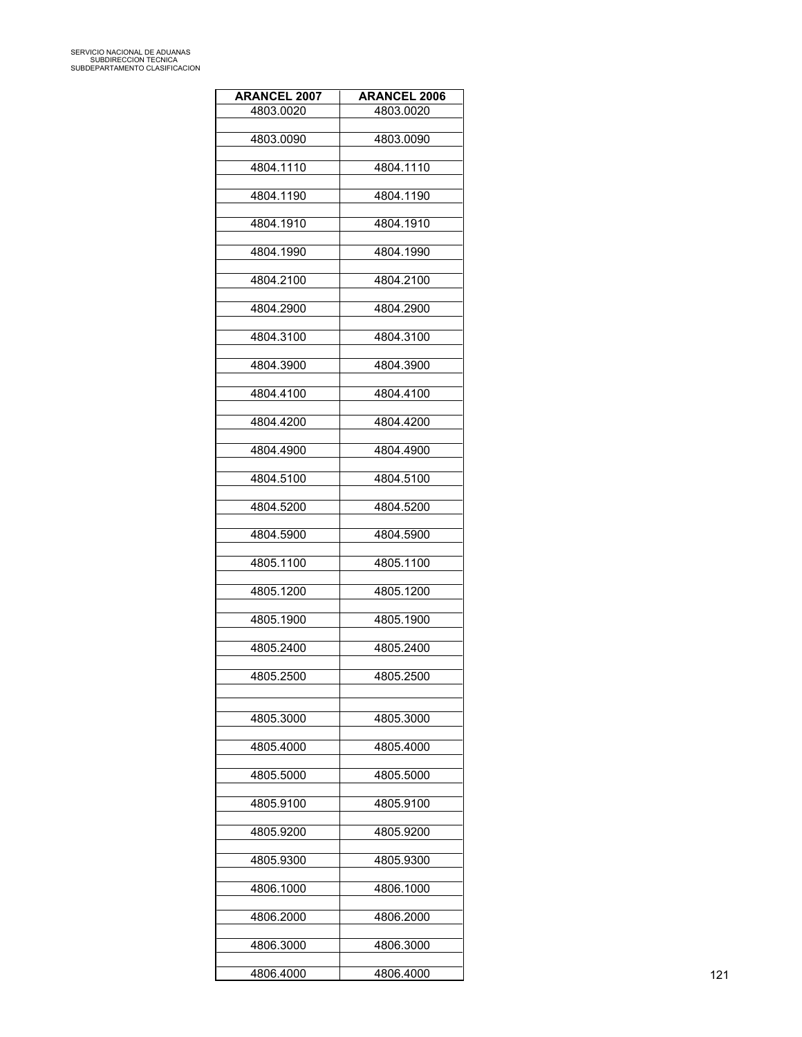| <b>ARANCEL 2007</b> | <b>ARANCEL 2006</b> |
|---------------------|---------------------|
| 4803.0020           | 4803.0020           |
| 4803.0090           | 4803.0090           |
| 4804.1110           | 4804.1110           |
|                     |                     |
| 4804.1190           | 4804.1190           |
| 4804.1910           | 4804.1910           |
| 4804.1990           | 4804.1990           |
| 4804.2100           | 4804.2100           |
| 4804.2900           | 4804.2900           |
| 4804.3100           | 4804.3100           |
|                     |                     |
| 4804.3900           | 4804.3900           |
| 4804.4100           | 4804.4100           |
| 4804.4200           | 4804.4200           |
| 4804.4900           | 4804.4900           |
| 4804.5100           | 4804.5100           |
|                     |                     |
| 4804.5200           | 4804.5200           |
| 4804.5900           | 4804.5900           |
| 4805.1100           | 4805.1100           |
| 4805.1200           | 4805.1200           |
| 4805.1900           | 4805.1900           |
| 4805.2400           | 4805.2400           |
|                     |                     |
| 4805.2500           | 4805.2500           |
| 4805.3000           | 4805.3000           |
|                     |                     |
| 4805.4000           | 4805.4000           |
| 4805.5000           | 4805.5000           |
| 4805.9100           | 4805.9100           |
| 4805.9200           | 4805.9200           |
| 4805.9300           | 4805.9300           |
|                     |                     |
| 4806.1000           | 4806.1000           |
| 4806.2000           | 4806.2000           |
| 4806.3000           | 4806.3000           |
| 4806.4000           | 4806.4000           |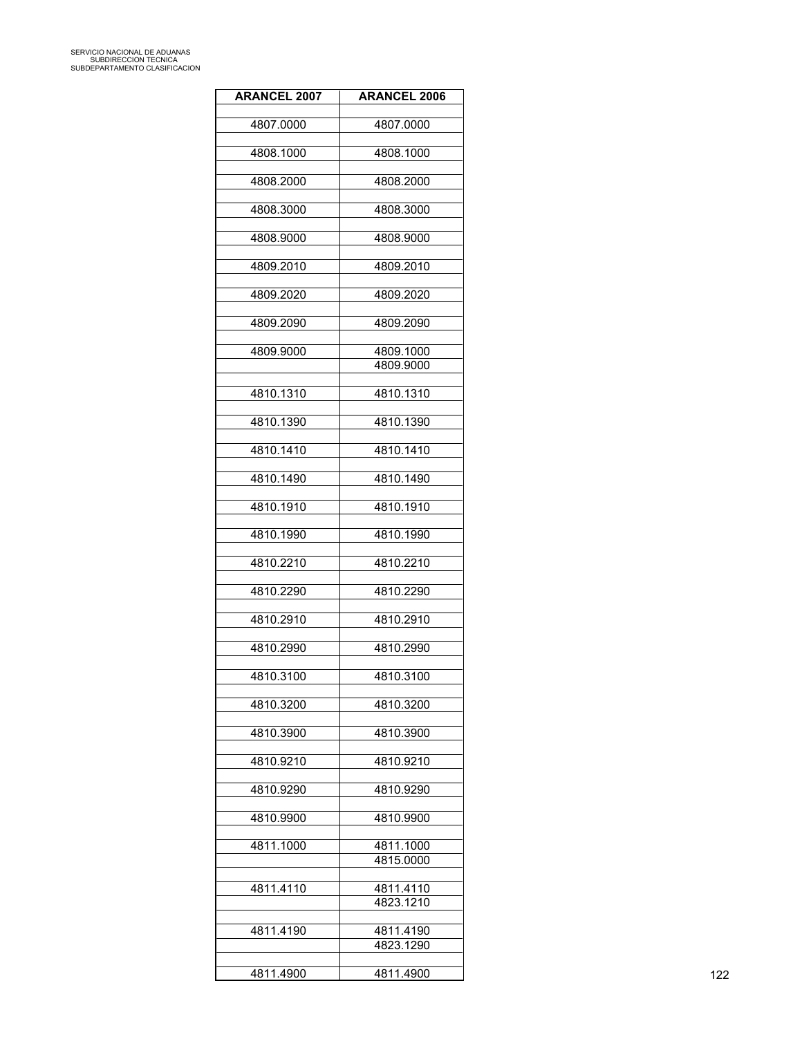| <b>ARANCEL 2007</b> | <b>ARANCEL 2006</b>    |
|---------------------|------------------------|
| 4807.0000           | 4807.0000              |
|                     |                        |
| 4808.1000           | 4808.1000              |
| 4808.2000           | 4808.2000              |
|                     |                        |
| 4808.3000           | 4808.3000              |
| 4808.9000           | 4808.9000              |
| 4809.2010           | 4809.2010              |
|                     |                        |
| 4809.2020           | 4809.2020              |
| 4809.2090           | 4809.2090              |
| 4809.9000           | 4809.1000              |
|                     | 4809.9000              |
|                     |                        |
| 4810.1310           | 4810.1310              |
| 4810.1390           | 4810.1390              |
| 4810.1410           | 4810.1410              |
|                     |                        |
| 4810.1490           | 4810.1490              |
| 4810.1910           | 4810.1910              |
|                     |                        |
| 4810.1990           | 4810.1990              |
| 4810.2210           | 4810.2210              |
|                     |                        |
| 4810.2290           | 4810.2290              |
| 4810.2910           | 4810.2910              |
| 4810.2990           | 4810.2990              |
|                     |                        |
| 4810.3100           | 4810.3100              |
| 4810.3200           | 4810.3200              |
|                     |                        |
| 4810.3900           | 4810.3900              |
| 4810.9210           | 4810.9210              |
| 4810.9290           | 4810.9290              |
|                     |                        |
| 4810.9900           | 4810.9900              |
| 4811.1000           | 4811.1000              |
|                     | 4815.0000              |
| 4811.4110           | 4811.4110              |
|                     | 4823.1210              |
|                     |                        |
| 4811.4190           | 4811.4190<br>4823.1290 |
|                     |                        |
| 4811.4900           | 4811.4900              |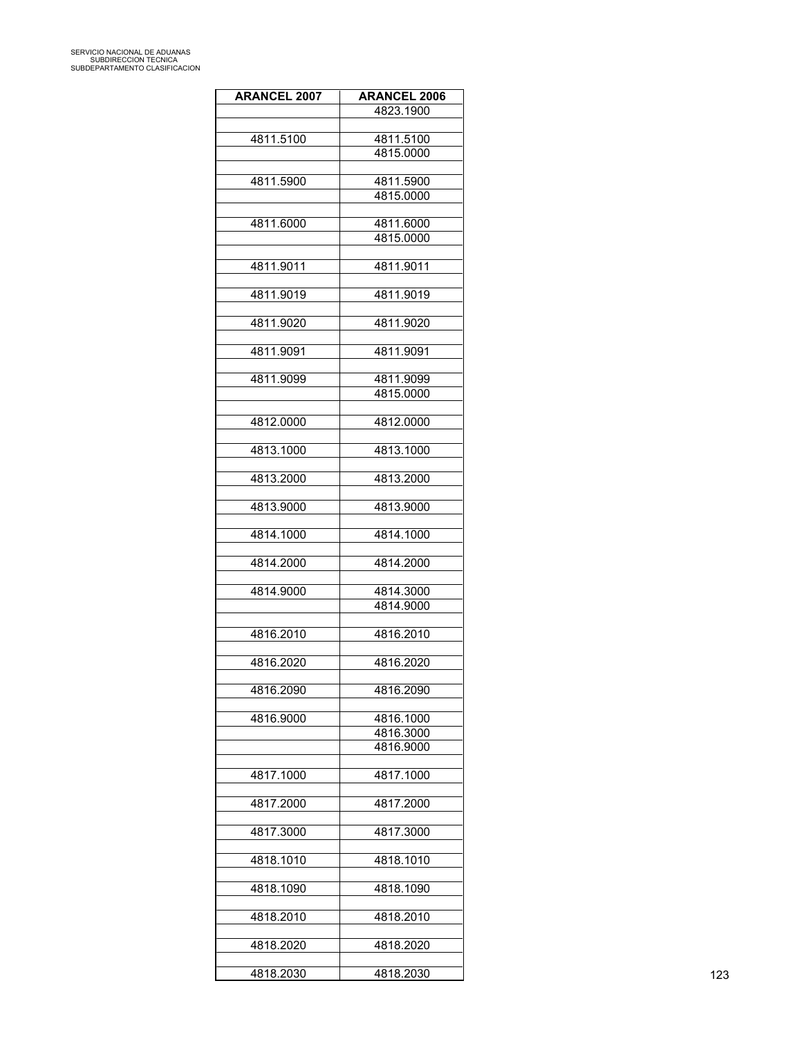| <b>ARANCEL 2007</b> | <b>ARANCEL 2006</b>    |
|---------------------|------------------------|
|                     | 4823.1900              |
|                     |                        |
| 4811.5100           | 4811.5100              |
|                     | 4815.0000              |
|                     |                        |
| 4811.5900           | 4811.5900              |
|                     | 4815.0000              |
|                     |                        |
| 4811.6000           | 4811.6000<br>4815.0000 |
|                     |                        |
| 4811.9011           | 4811.9011              |
|                     |                        |
| 4811.9019           | 4811.9019              |
|                     |                        |
| 4811.9020           | 4811.9020              |
|                     |                        |
| 4811.9091           | 4811.9091              |
|                     |                        |
| 4811.9099           | 4811.9099              |
|                     | 4815.0000              |
|                     |                        |
| 4812.0000           | 4812.0000              |
|                     |                        |
| 4813.1000           | 4813.1000              |
|                     |                        |
| 4813.2000           | 4813.2000              |
|                     |                        |
| 4813.9000           | 4813.9000              |
| 4814.1000           | 4814.1000              |
|                     |                        |
| 4814.2000           | 4814.2000              |
|                     |                        |
| 4814.9000           | 4814.3000              |
|                     | 4814.9000              |
|                     |                        |
| 4816.2010           | 4816.2010              |
|                     |                        |
| 4816.2020           | 4816.2020              |
|                     |                        |
| 4816.2090           | 4816.2090              |
|                     |                        |
| 4816.9000           | 4816.1000              |
|                     | 4816.3000              |
|                     | 4816.9000              |
|                     |                        |
| 4817.1000           | 4817.1000              |
|                     |                        |
| 4817.2000           | 4817.2000              |
|                     |                        |
| 4817.3000           | 4817.3000              |
|                     |                        |
| 4818.1010           | 4818.1010              |
|                     |                        |
| 4818.1090           | 4818.1090              |
| 4818.2010           | 4818.2010              |
|                     |                        |
| 4818.2020           | 4818.2020              |
|                     |                        |
| 4818.2030           | 4818.2030              |
|                     |                        |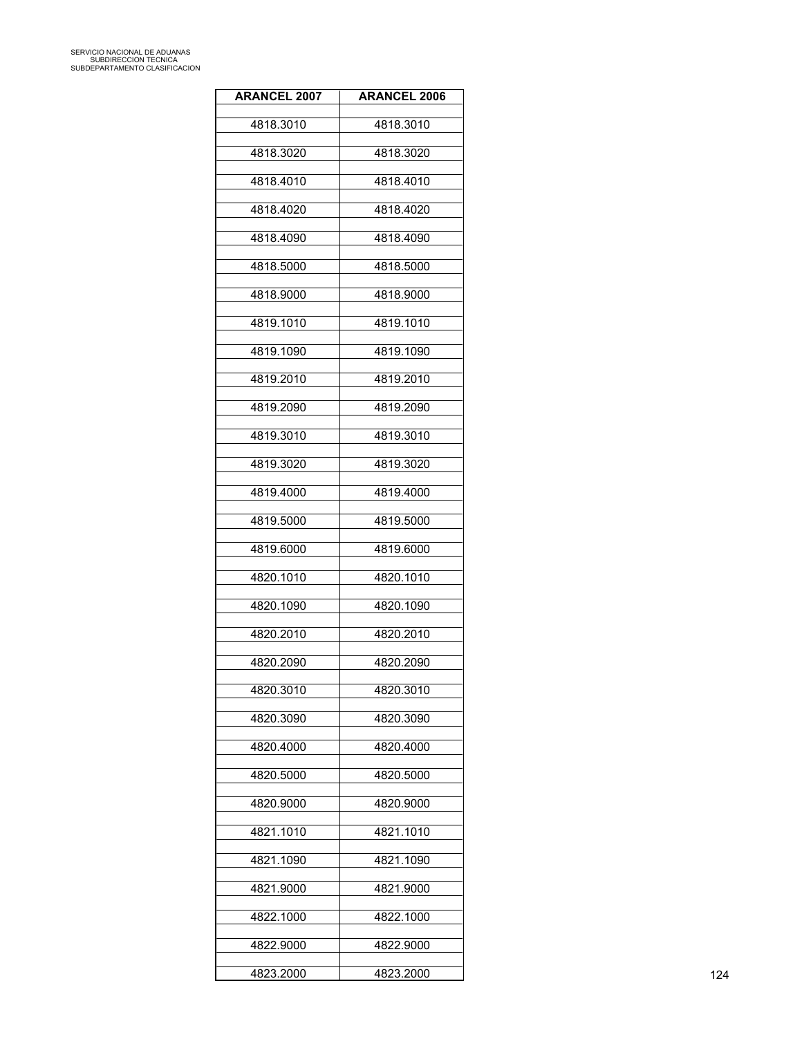| <b>ARANCEL 2007</b> | <b>ARANCEL 2006</b> |
|---------------------|---------------------|
| 4818.3010           | 4818.3010           |
| 4818.3020           | 4818.3020           |
| 4818.4010           | 4818.4010           |
|                     |                     |
| 4818.4020           | 4818.4020           |
| 4818.4090           | 4818.4090           |
| 4818.5000           | 4818.5000           |
| 4818.9000           | 4818.9000           |
| 4819.1010           | 4819.1010           |
| 4819.1090           | 4819.1090           |
| 4819.2010           | 4819.2010           |
| 4819.2090           | 4819.2090           |
| 4819.3010           | 4819.3010           |
| 4819.3020           | 4819.3020           |
| 4819.4000           | 4819.4000           |
| 4819.5000           | 4819.5000           |
| 4819.6000           | 4819.6000           |
| 4820.1010           | 4820.1010           |
| 4820.1090           | 4820.1090           |
| 4820.2010           | 4820.2010           |
| 4820.2090           | 4820.2090           |
| 4820.3010           | 4820.3010           |
| 4820.3090           | 4820.3090           |
| 4820.4000           | 4820.4000           |
| 4820.5000           | 4820.5000           |
| 4820.9000           | 4820.9000           |
| 4821.1010           | 4821.1010           |
| 4821.1090           | 4821.1090           |
| 4821.9000           | 4821.9000           |
| 4822.1000           | 4822.1000           |
| 4822.9000           | 4822.9000           |
| 4823.2000           | 4823.2000           |
|                     |                     |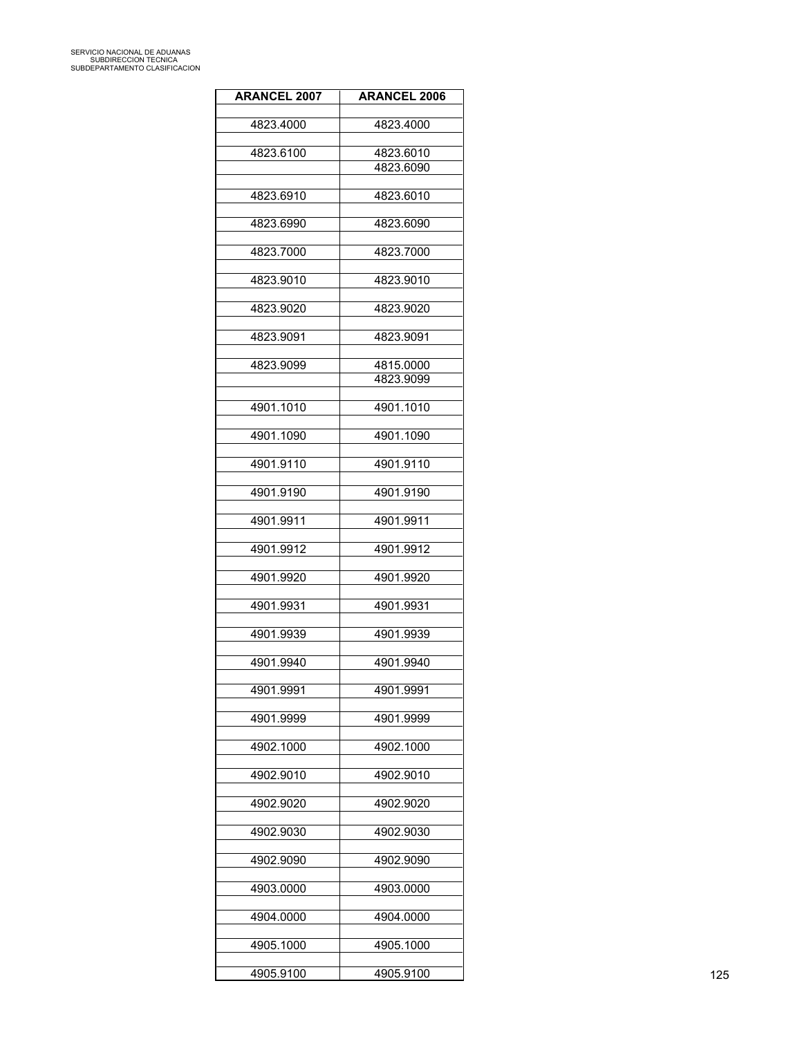| <b>ARANCEL 2007</b> | <b>ARANCEL 2006</b> |
|---------------------|---------------------|
|                     |                     |
| 4823.4000           | 4823.4000           |
| 4823.6100           | 4823.6010           |
|                     | 4823.6090           |
| 4823.6910           | 4823.6010           |
|                     |                     |
| 4823.6990           | 4823.6090           |
| 4823.7000           | 4823.7000           |
| 4823.9010           | 4823.9010           |
|                     |                     |
| 4823.9020           | 4823.9020           |
| 4823.9091           | 4823.9091           |
|                     |                     |
| 4823.9099           | 4815.0000           |
|                     | 4823.9099           |
| 4901.1010           | 4901.1010           |
|                     |                     |
| 4901.1090           | 4901.1090           |
| 4901.9110           | 4901.9110           |
| 4901.9190           | 4901.9190           |
|                     |                     |
| 4901.9911           | 4901.9911           |
| 4901.9912           | 4901.9912           |
|                     |                     |
| 4901.9920           | 4901.9920           |
| 4901.9931           | 4901.9931           |
|                     |                     |
| 4901.9939           | 4901.9939           |
| 4901.9940           | 4901.9940           |
|                     |                     |
| 4901.9991           | 4901.9991           |
| 4901.9999           | 4901.9999           |
|                     |                     |
| 4902.1000           | 4902.1000           |
| 4902.9010           | 4902.9010           |
|                     |                     |
| 4902.9020           | 4902.9020           |
| 4902.9030           | 4902.9030           |
|                     |                     |
| 4902.9090           | 4902.9090           |
| 4903.0000           | 4903.0000           |
|                     |                     |
| 4904.0000           | 4904.0000           |
| 4905.1000           | 4905.1000           |
|                     |                     |
| 4905.9100           | 4905.9100           |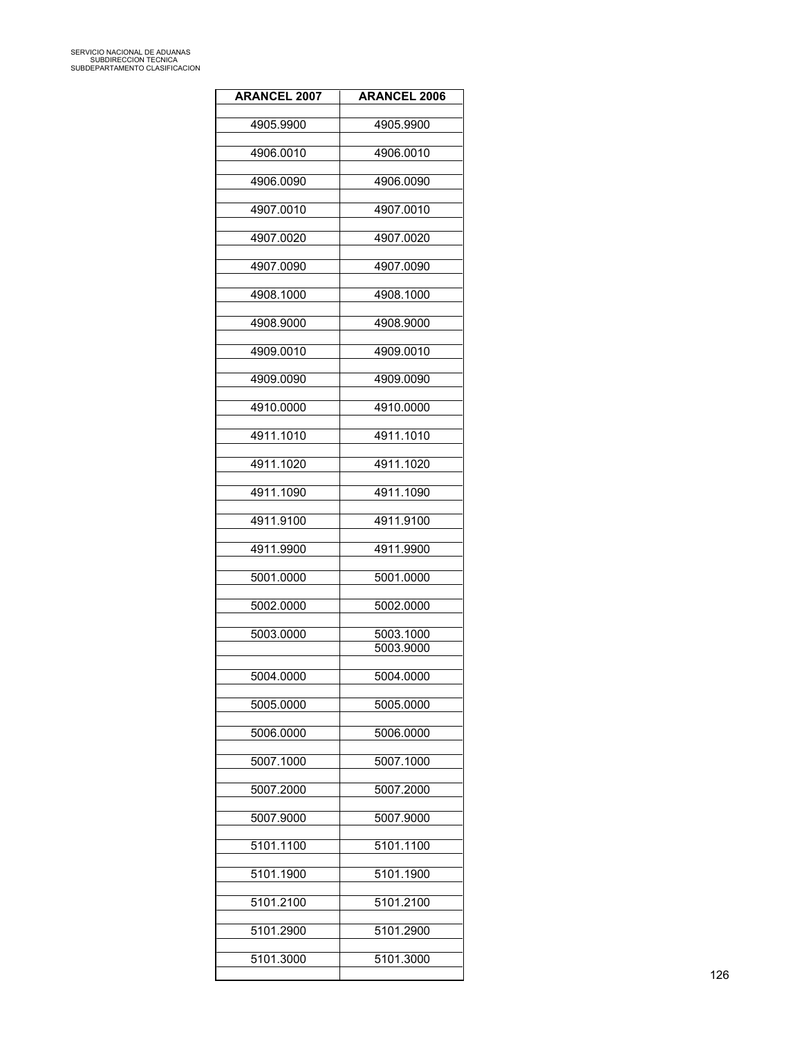| <b>ARANCEL 2007</b> | <b>ARANCEL 2006</b>    |
|---------------------|------------------------|
| 4905.9900           | 4905.9900              |
| 4906.0010           | 4906.0010              |
| 4906.0090           | 4906.0090              |
| 4907.0010           | 4907.0010              |
| 4907.0020           | 4907.0020              |
| 4907.0090           | 4907.0090              |
| 4908.1000           | 4908.1000              |
| 4908.9000           | 4908.9000              |
| 4909.0010           | 4909.0010              |
| 4909.0090           | 4909.0090              |
| 4910.0000           | 4910.0000              |
| 4911.1010           | 4911.1010              |
| 4911.1020           | 4911.1020              |
| 4911.1090           | 4911.1090              |
| 4911.9100           | 4911.9100              |
| 4911.9900           | 4911.9900              |
| 5001.0000           | 5001.0000              |
| 5002.0000           | 5002.0000              |
| 5003.0000           | 5003.1000<br>5003.9000 |
| 5004.0000           | 5004.0000              |
| 5005.0000           | 5005.0000              |
| 5006.0000           | 5006.0000              |
| 5007.1000           | 5007.1000              |
| 5007.2000           | 5007.2000              |
| 5007.9000           | 5007.9000              |
| 5101.1100           | 5101.1100              |
| 5101.1900           | 5101.1900              |
| 5101.2100           | 5101.2100              |
| 5101.2900           | 5101.2900              |
| 5101.3000           | 5101.3000              |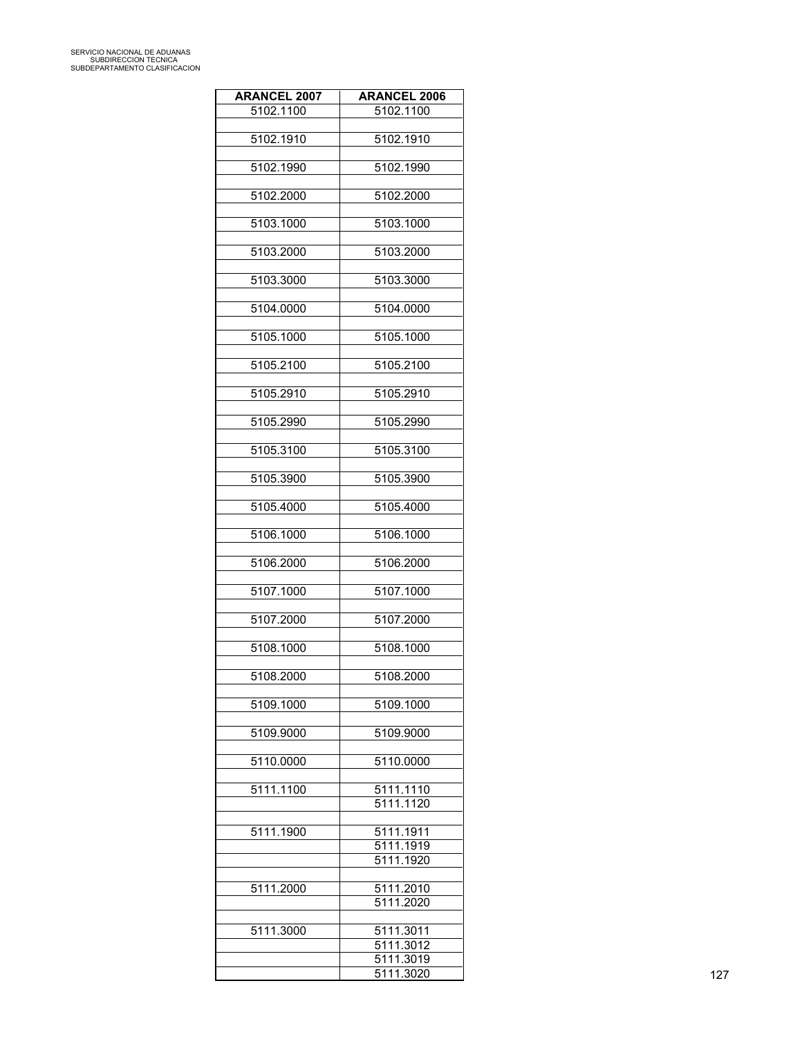| <b>ARANCEL 2007</b> | <b>ARANCEL 2006</b>    |
|---------------------|------------------------|
| 5102.1100           | 5102.1100              |
| 5102.1910           | 5102.1910              |
|                     |                        |
| 5102.1990           | 5102.1990              |
| 5102.2000           | 5102.2000              |
|                     |                        |
| 5103.1000           | 5103.1000              |
| 5103.2000           | 5103.2000              |
|                     |                        |
| 5103.3000           | 5103.3000              |
| 5104.0000           | 5104.0000              |
|                     |                        |
| 5105.1000           | 5105.1000              |
| 5105.2100           | 5105.2100              |
|                     |                        |
| 5105.2910           | 5105.2910              |
| 5105.2990           | 5105.2990              |
|                     |                        |
| 5105.3100           | 5105.3100              |
| 5105.3900           | 5105.3900              |
|                     |                        |
| 5105.4000           | 5105.4000              |
| 5106.1000           | 5106.1000              |
|                     |                        |
| 5106.2000           | 5106.2000              |
| 5107.1000           | 5107.1000              |
| 5107.2000           | 5107.2000              |
|                     |                        |
| 5108.1000           | 5108.1000              |
| 5108.2000           | 5108.2000              |
|                     |                        |
| 5109.1000           | 5109.1000              |
| 5109.9000           | 5109.9000              |
|                     |                        |
| 5110.0000           | 5110.0000              |
| 5111.1100           | 5111.1110              |
|                     | 5111.1120              |
|                     |                        |
| 5111.1900           | 5111.1911<br>5111.1919 |
|                     | 5111.1920              |
|                     |                        |
| 5111.2000           | 5111.2010<br>5111.2020 |
|                     |                        |
| 5111.3000           | 5111.3011              |
|                     | 5111.3012<br>5111.3019 |
|                     | 5111.3020              |
|                     |                        |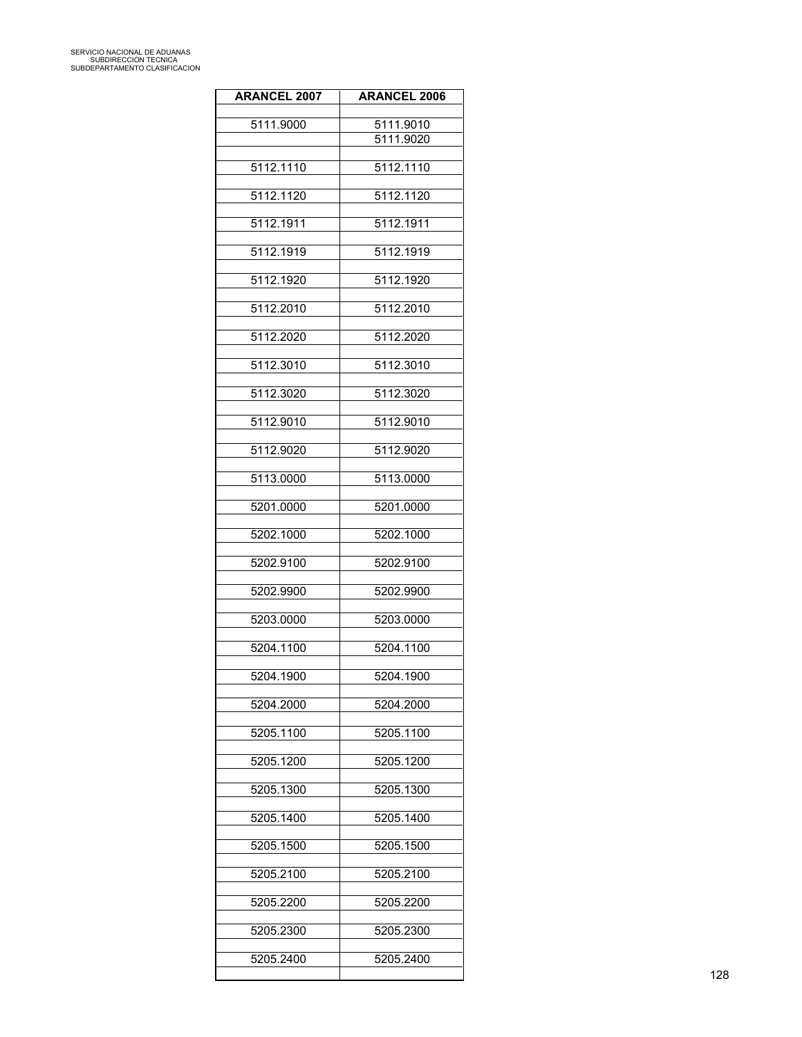| <b>ARANCEL 2007</b> | <b>ARANCEL 2006</b>    |
|---------------------|------------------------|
|                     |                        |
| 5111.9000           | 5111.9010<br>5111.9020 |
|                     |                        |
| 5112.1110           | 5112.1110              |
| 5112.1120           | 5112.1120              |
|                     |                        |
| 5112.1911           | 5112.1911              |
|                     |                        |
| 5112.1919           | 5112.1919              |
| 5112.1920           | 5112.1920              |
|                     |                        |
| 5112.2010           | 5112.2010              |
| 5112.2020           | 5112.2020              |
|                     |                        |
| 5112.3010           | 5112.3010              |
| 5112.3020           | 5112.3020              |
|                     |                        |
| 5112.9010           | 5112.9010              |
| 5112.9020           | 5112.9020              |
|                     |                        |
| 5113.0000           | 5113.0000              |
|                     |                        |
| 5201.0000           | 5201.0000              |
| 5202.1000           | 5202.1000              |
|                     |                        |
| 5202.9100           | 5202.9100              |
| 5202.9900           | 5202.9900              |
|                     |                        |
| 5203.0000           | 5203.0000              |
| 5204.1100           | 5204.1100              |
|                     |                        |
| 5204.1900           | 5204.1900              |
| 5204.2000           | 5204.2000              |
|                     |                        |
| 5205.1100           | 5205.1100              |
| 5205.1200           | 5205.1200              |
|                     |                        |
| 5205.1300           | 5205.1300              |
| 5205.1400           | 5205.1400              |
|                     |                        |
| 5205.1500           | 5205.1500              |
| 5205.2100           | 5205.2100              |
|                     |                        |
| 5205.2200           | 5205.2200              |
| 5205.2300           | 5205.2300              |
|                     |                        |
| 5205.2400           | 5205.2400              |
|                     |                        |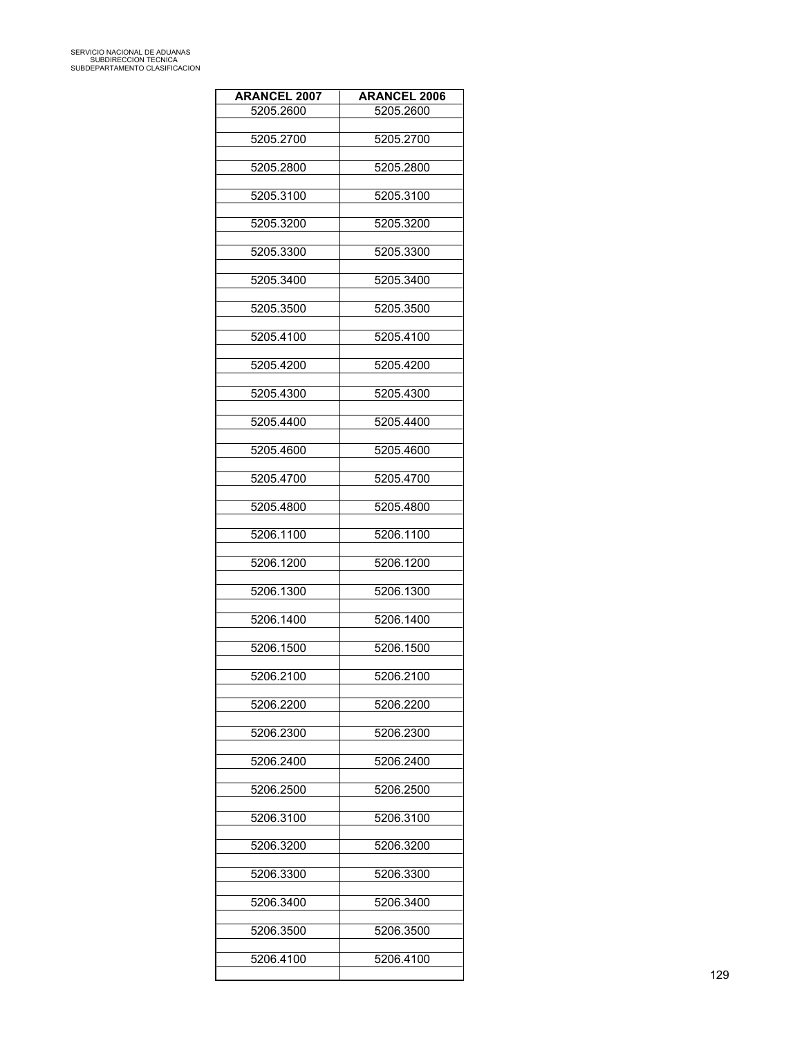| <b>ARANCEL 2007</b> | <b>ARANCEL 2006</b> |
|---------------------|---------------------|
| 5205.2600           | 5205.2600           |
|                     |                     |
| 5205.2700           | 5205.2700           |
| 5205.2800           | 5205.2800           |
|                     |                     |
| 5205.3100           | 5205.3100           |
|                     |                     |
| 5205.3200           | 5205.3200           |
|                     |                     |
| 5205.3300           | 5205.3300           |
| 5205.3400           | 5205.3400           |
|                     |                     |
| 5205.3500           | 5205.3500           |
|                     |                     |
| 5205.4100           | 5205.4100           |
|                     |                     |
| 5205.4200           | 5205.4200           |
| 5205.4300           | 5205.4300           |
|                     |                     |
| 5205.4400           | 5205.4400           |
|                     |                     |
| 5205.4600           | 5205.4600           |
| 5205.4700           | 5205.4700           |
|                     |                     |
| 5205.4800           | 5205.4800           |
|                     |                     |
| 5206.1100           | 5206.1100           |
| 5206.1200           | 5206.1200           |
|                     |                     |
| 5206.1300           | 5206.1300           |
|                     |                     |
| 5206.1400           | 5206.1400           |
| 5206.1500           | 5206.1500           |
|                     |                     |
| 5206.2100           | 5206.2100           |
|                     |                     |
| 5206.2200           | 5206.2200           |
| 5206.2300           | 5206.2300           |
|                     |                     |
| 5206.2400           | 5206.2400           |
|                     |                     |
| 5206.2500           | 5206.2500           |
| 5206.3100           | 5206.3100           |
|                     |                     |
| 5206.3200           | 5206.3200           |
|                     |                     |
| 5206.3300           | 5206.3300           |
| 5206.3400           | 5206.3400           |
|                     |                     |
| 5206.3500           | 5206.3500           |
|                     |                     |
| 5206.4100           | 5206.4100           |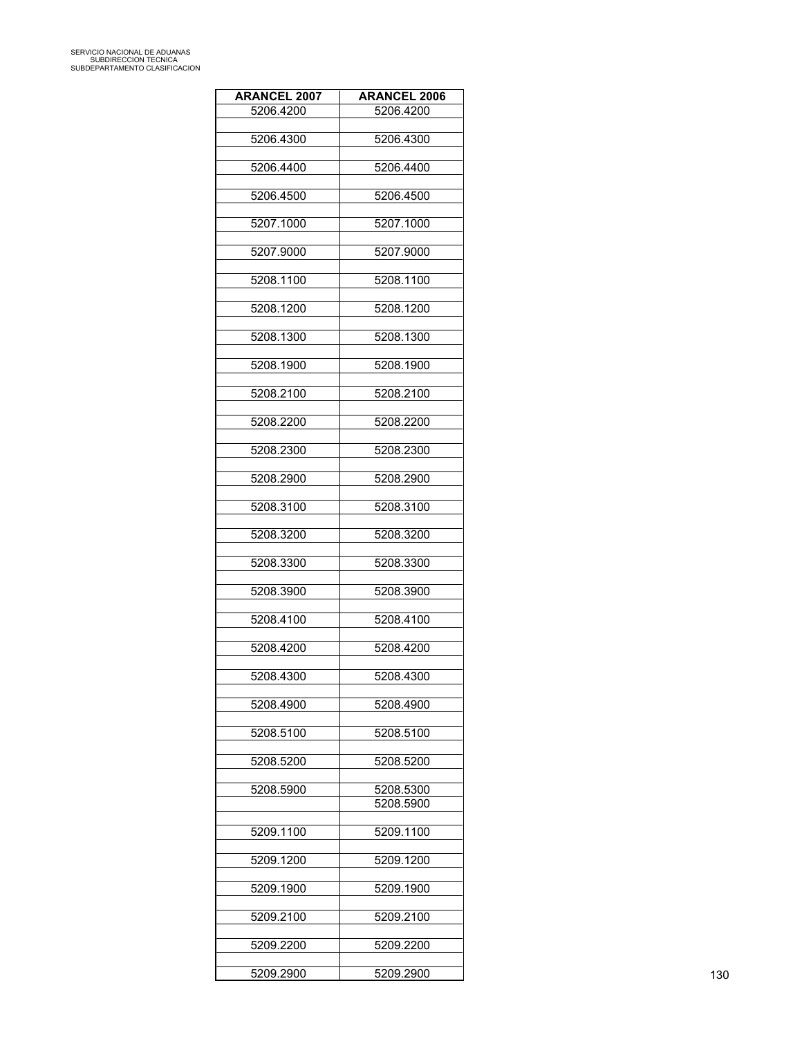| <b>ARANCEL 2007</b> | <b>ARANCEL 2006</b> |
|---------------------|---------------------|
| 5206.4200           | 5206.4200           |
| 5206.4300           | 5206.4300           |
| 5206.4400           | 5206.4400           |
| 5206.4500           | 5206.4500           |
|                     |                     |
| 5207.1000           | 5207.1000           |
| 5207.9000           | 5207.9000           |
| 5208.1100           | 5208.1100           |
| 5208.1200           | 5208.1200           |
| 5208.1300           | 5208.1300           |
| 5208.1900           | 5208.1900           |
|                     |                     |
| 5208.2100           | 5208.2100           |
| 5208.2200           | 5208.2200           |
| 5208.2300           | 5208.2300           |
| 5208.2900           | 5208.2900           |
| 5208.3100           | 5208.3100           |
| 5208.3200           | 5208.3200           |
|                     |                     |
| 5208.3300           | 5208.3300           |
| 5208.3900           | 5208.3900           |
| 5208.4100           | 5208.4100           |
| 5208.4200           | 5208.4200           |
| 5208.4300           | 5208.4300           |
| 5208.4900           | 5208.4900           |
|                     |                     |
| 5208.5100           | 5208.5100           |
| 5208.5200           | 5208.5200           |
| 5208.5900           | 5208.5300           |
|                     | 5208.5900           |
| 5209.1100           | 5209.1100           |
| 5209.1200           | 5209.1200           |
| 5209.1900           | 5209.1900           |
| 5209.2100           | 5209.2100           |
| 5209.2200           | 5209.2200           |
|                     |                     |
| 5209.2900           | 5209.2900           |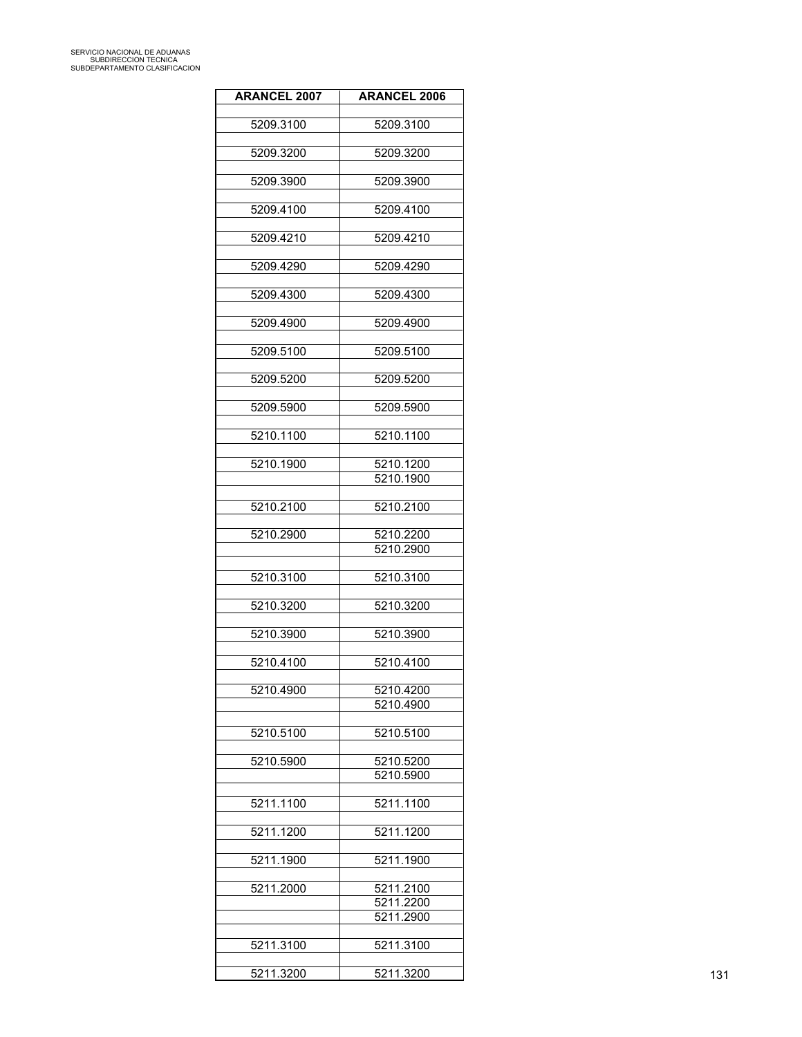| <b>ARANCEL 2007</b> | <b>ARANCEL 2006</b>    |
|---------------------|------------------------|
| 5209.3100           | 5209.3100              |
|                     |                        |
| 5209.3200           | 5209.3200              |
| 5209.3900           | 5209.3900              |
| 5209.4100           | 5209.4100              |
| 5209.4210           |                        |
|                     | 5209.4210              |
| 5209.4290           | 5209.4290              |
| 5209.4300           | 5209.4300              |
| 5209.4900           | 5209.4900              |
| 5209.5100           | 5209.5100              |
|                     |                        |
| 5209.5200           | 5209.5200              |
| 5209.5900           | 5209.5900              |
| 5210.1100           | 5210.1100              |
|                     |                        |
| 5210.1900           | 5210.1200<br>5210.1900 |
|                     |                        |
| 5210.2100           | 5210.2100              |
| 5210.2900           | 5210.2200              |
|                     | 5210.2900              |
| 5210.3100           | 5210.3100              |
| 5210.3200           | 5210.3200              |
|                     |                        |
| 5210.3900           | 5210.3900              |
| 5210.4100           | 5210.4100              |
| 5210.4900           | 5210.4200              |
|                     | 5210.4900              |
|                     |                        |
| 5210.5100           | 5210.5100              |
| 5210.5900           | 5210.5200              |
|                     | 5210.5900              |
| 5211.1100           | 5211.1100              |
| 5211.1200           | 5211.1200              |
|                     |                        |
| 5211.1900           | 5211.1900              |
| 5211.2000           | 5211.2100              |
|                     | 5211.2200<br>5211.2900 |
|                     |                        |
| 5211.3100           | 5211.3100              |
| 5211.3200           | 5211.3200              |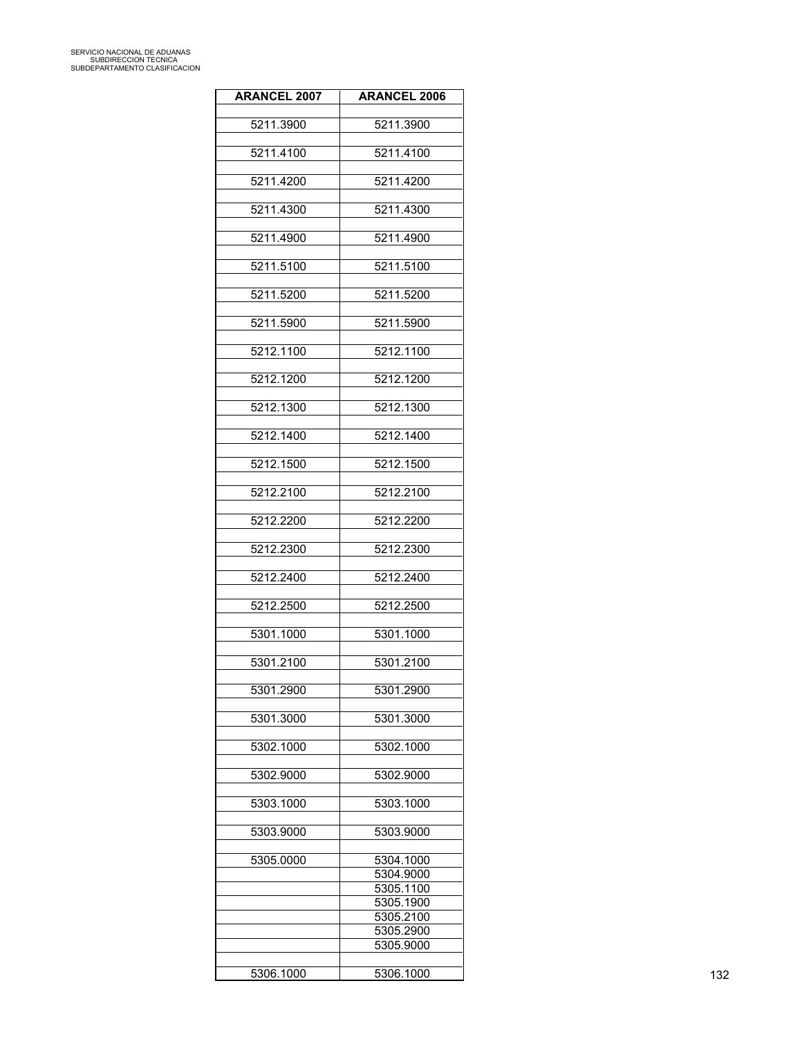| <b>ARANCEL 2007</b> | <b>ARANCEL 2006</b>    |
|---------------------|------------------------|
| 5211.3900           | 5211.3900              |
|                     |                        |
| 5211.4100           | 5211.4100              |
| 5211.4200           | 5211.4200              |
|                     |                        |
| 5211.4300           | 5211.4300              |
| 5211.4900           | 5211.4900              |
|                     |                        |
| 5211.5100           | 5211.5100              |
| 5211.5200           | 5211.5200              |
|                     |                        |
| 5211.5900           | 5211.5900              |
| 5212.1100           | 5212.1100              |
| 5212.1200           | 5212.1200              |
|                     |                        |
| 5212.1300           | 5212.1300              |
| 5212.1400           | 5212.1400              |
|                     |                        |
| 5212.1500           | 5212.1500              |
| 5212.2100           | 5212.2100              |
|                     |                        |
| 5212.2200           | 5212.2200              |
| 5212.2300           | 5212.2300              |
|                     |                        |
| 5212.2400           | 5212.2400              |
| 5212.2500           | 5212.2500              |
|                     |                        |
| 5301.1000           | 5301.1000              |
| 5301.2100           | 5301.2100              |
|                     |                        |
| 5301.2900           | 5301.2900              |
| 5301.3000           | 5301.3000              |
|                     |                        |
| 5302.1000           | 5302.1000              |
| 5302.9000           | 5302.9000              |
|                     |                        |
| 5303.1000           | 5303.1000              |
| 5303.9000           | 5303.9000              |
|                     |                        |
| 5305.0000           | 5304.1000<br>5304.9000 |
|                     | 5305.1100              |
|                     | 5305.1900              |
|                     | 5305.2100<br>5305.2900 |
|                     | 5305.9000              |
|                     |                        |
| 5306.1000           | 5306.1000              |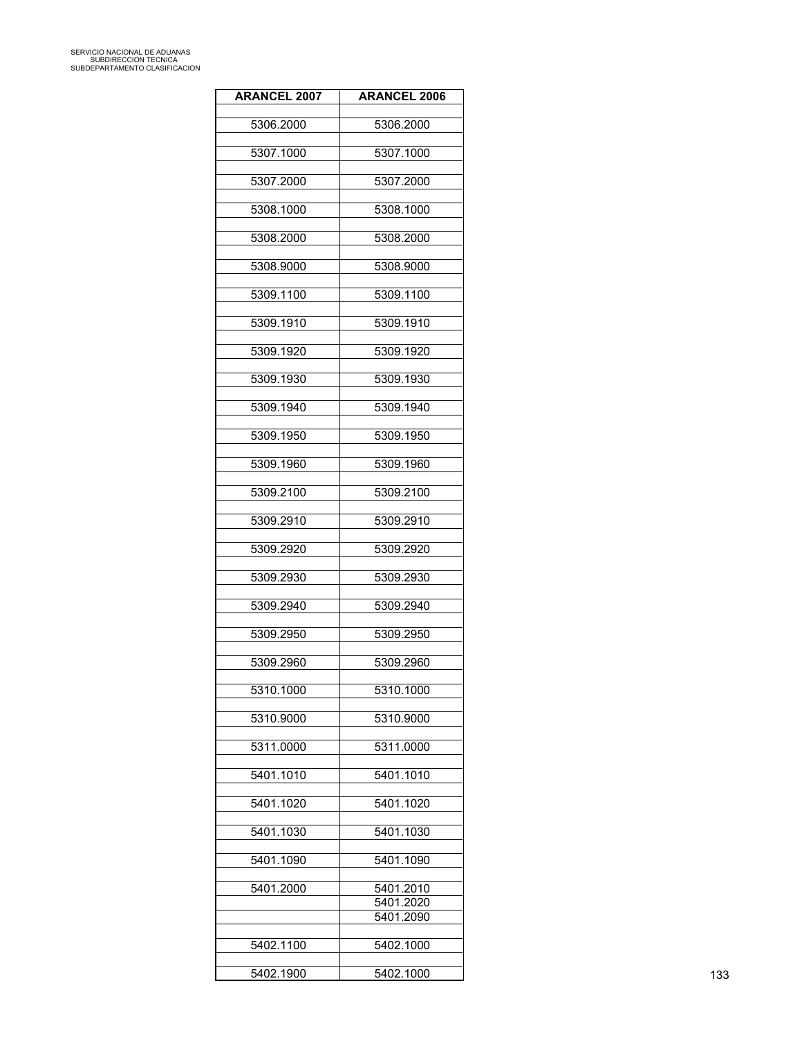| <b>ARANCEL 2006</b>    |
|------------------------|
| 5306.2000              |
|                        |
| 5307.1000              |
| 5307.2000              |
| 5308.1000              |
| 5308.2000              |
| 5308.9000              |
| 5309.1100              |
| 5309.1910              |
| 5309.1920              |
| 5309.1930              |
| 5309.1940              |
| 5309.1950              |
| 5309.1960              |
|                        |
| 5309.2100              |
| 5309.2910              |
| 5309.2920              |
| 5309.2930              |
| 5309.2940              |
| 5309.2950              |
| 5309.2960              |
| 5310.1000              |
| 5310.9000              |
| 5311.0000              |
| 5401.1010              |
| 5401.1020              |
|                        |
| 5401.1030              |
| 5401.1090              |
| 5401.2010<br>5401.2020 |
| 5401.2090              |
| 5402.1000              |
| 5402.1000              |
|                        |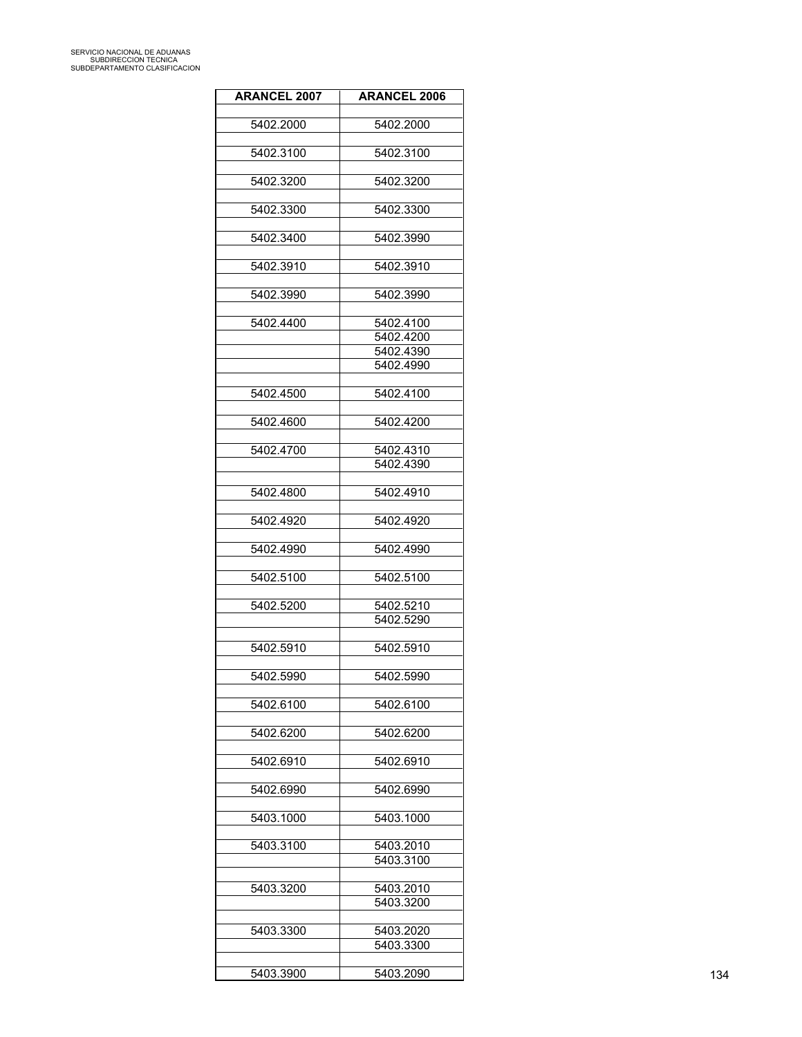| <b>ARANCEL 2007</b> | <b>ARANCEL 2006</b> |
|---------------------|---------------------|
|                     |                     |
| 5402.2000           | 5402.2000           |
| 5402.3100           | 5402.3100           |
| 5402.3200           | 5402.3200           |
| 5402.3300           | 5402.3300           |
| 5402.3400           | 5402.3990           |
| 5402.3910           | 5402.3910           |
| 5402.3990           | 5402.3990           |
|                     |                     |
| 5402.4400           | 5402.4100           |
|                     | 5402.4200           |
|                     | 5402.4390           |
|                     | 5402.4990           |
| 5402.4500           | 5402.4100           |
|                     |                     |
| 5402.4600           | 5402.4200           |
|                     |                     |
| 5402.4700           | 5402.4310           |
|                     | 5402.4390           |
|                     |                     |
| 5402.4800           | 5402.4910           |
|                     |                     |
| 5402.4920           | 5402.4920           |
|                     |                     |
| 5402.4990           | 5402.4990           |
|                     |                     |
| 5402.5100           | 5402.5100           |
|                     |                     |
| 5402.5200           | 5402.5210           |
|                     | 5402.5290           |
|                     |                     |
| 5402.5910           | 5402.5910           |
|                     |                     |
| 5402.5990           | 5402.5990           |
|                     |                     |
| 5402.6100           | 5402.6100           |
|                     |                     |
| 5402.6200           | 5402.6200           |
|                     |                     |
| 5402.6910           | 5402.6910           |
|                     |                     |
| 5402.6990           | 5402.6990           |
|                     |                     |
| 5403.1000           | 5403.1000           |
|                     |                     |
| 5403.3100           | 5403.2010           |
|                     | 5403.3100           |
|                     |                     |
| 5403.3200           | 5403.2010           |
|                     | 5403.3200           |
|                     |                     |
| 5403.3300           | 5403.2020           |
|                     | 5403.3300           |
|                     |                     |
| 5403.3900           | 5403.2090           |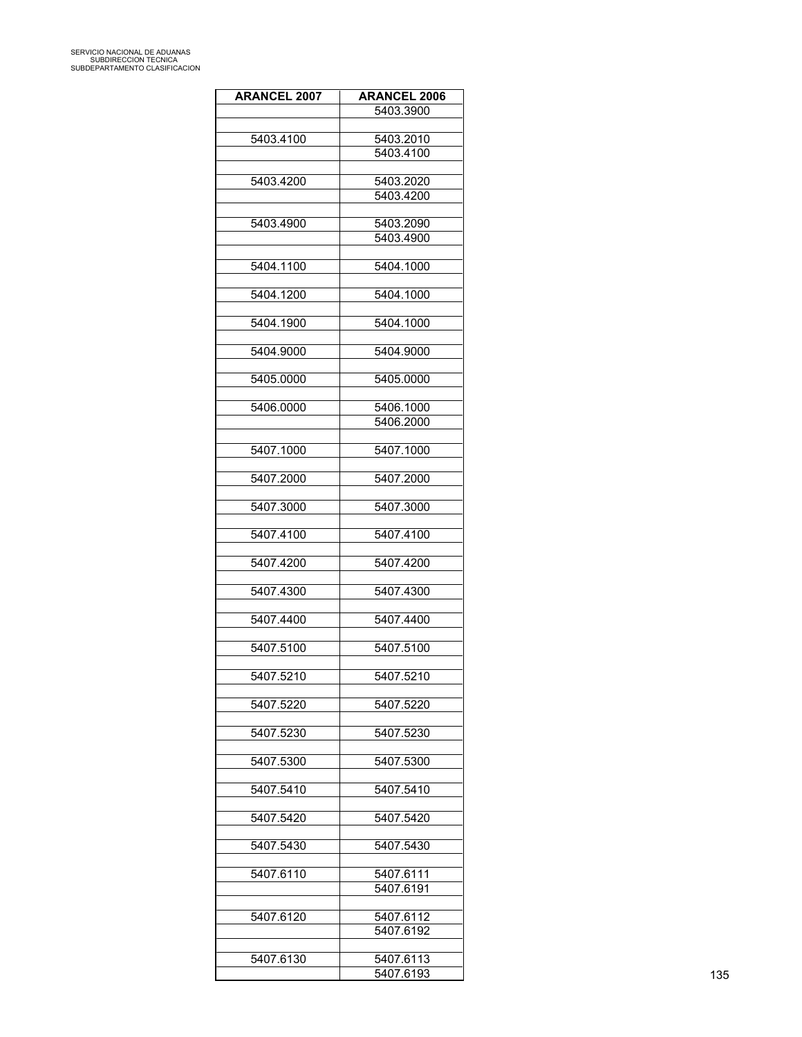| <b>ARANCEL 2007</b> | <b>ARANCEL 2006</b>    |
|---------------------|------------------------|
|                     | 5403.3900              |
|                     |                        |
| 5403.4100           | 5403.2010<br>5403.4100 |
|                     |                        |
| 5403.4200           | 5403.2020              |
|                     | 5403.4200              |
|                     |                        |
| 5403.4900           | 5403.2090<br>5403.4900 |
|                     |                        |
| 5404.1100           | 5404.1000              |
|                     |                        |
| 5404.1200           | 5404.1000              |
| 5404.1900           | 5404.1000              |
|                     |                        |
| 5404.9000           | 5404.9000              |
|                     |                        |
| 5405.0000           | 5405.0000              |
|                     |                        |
| 5406.0000           | 5406.1000<br>5406.2000 |
|                     |                        |
| 5407.1000           | 5407.1000              |
|                     |                        |
| 5407.2000           | 5407.2000              |
|                     |                        |
| 5407.3000           | 5407.3000              |
| 5407.4100           | 5407.4100              |
|                     |                        |
| 5407.4200           | 5407.4200              |
|                     |                        |
| 5407.4300           | 5407.4300              |
| 5407.4400           | 5407.4400              |
|                     |                        |
| 5407.5100           | 5407.5100              |
|                     |                        |
| 5407.5210           | 5407.5210              |
| 5407.5220           | 5407.5220              |
|                     |                        |
| 5407.5230           | 5407.5230              |
|                     |                        |
| 5407.5300           | 5407.5300              |
|                     |                        |
| 5407.5410           | 5407.5410              |
| 5407.5420           | 5407.5420              |
|                     |                        |
| 5407.5430           | 5407.5430              |
|                     |                        |
| 5407.6110           | 5407.6111              |
|                     | 5407.6191              |
| 5407.6120           | 5407.6112              |
|                     | 5407.6192              |
|                     |                        |
| 5407.6130           | 5407.6113              |
|                     | 5407.6193              |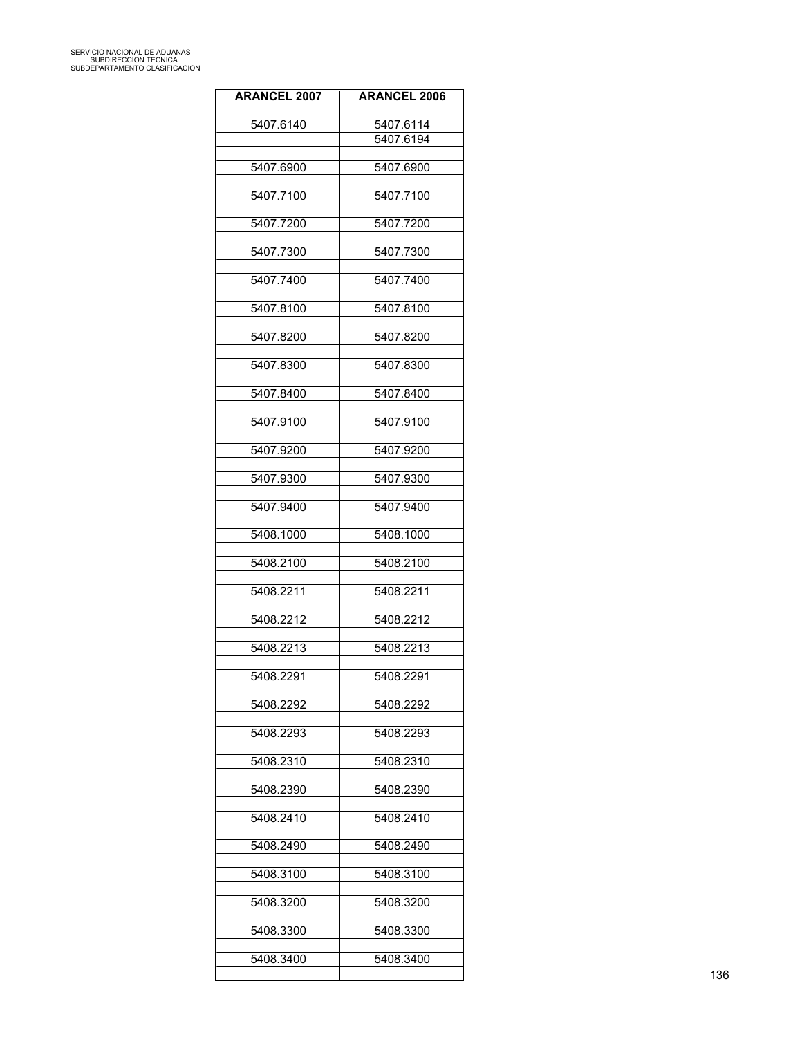| <b>ARANCEL 2007</b> | <b>ARANCEL 2006</b> |
|---------------------|---------------------|
|                     |                     |
| 5407.6140           | 5407.6114           |
|                     | 5407.6194           |
| 5407.6900           | 5407.6900           |
|                     |                     |
| 5407.7100           | 5407.7100           |
|                     |                     |
| 5407.7200           | 5407.7200           |
| 5407.7300           | 5407.7300           |
|                     |                     |
| 5407.7400           | 5407.7400           |
|                     |                     |
| 5407.8100           | 5407.8100           |
|                     |                     |
| 5407.8200           | 5407.8200           |
| 5407.8300           | 5407.8300           |
|                     |                     |
| 5407.8400           | 5407.8400           |
|                     |                     |
| 5407.9100           | 5407.9100           |
| 5407.9200           | 5407.9200           |
|                     |                     |
| 5407.9300           | 5407.9300           |
|                     |                     |
| 5407.9400           | 5407.9400           |
| 5408.1000           | 5408.1000           |
|                     |                     |
| 5408.2100           | 5408.2100           |
|                     |                     |
| 5408.2211           | 5408.2211           |
| 5408.2212           | 5408.2212           |
|                     |                     |
| 5408.2213           | 5408.2213           |
|                     |                     |
| 5408.2291           | 5408.2291           |
| 5408.2292           | 5408.2292           |
|                     |                     |
| 5408.2293           | 5408.2293           |
|                     |                     |
| 5408.2310           | 5408.2310           |
| 5408.2390           | 5408.2390           |
|                     |                     |
| 5408.2410           | 5408.2410           |
|                     |                     |
| 5408.2490           | 5408.2490           |
| 5408.3100           | 5408.3100           |
|                     |                     |
| 5408.3200           | 5408.3200           |
|                     |                     |
| 5408.3300           | 5408.3300           |
| 5408.3400           | 5408.3400           |
|                     |                     |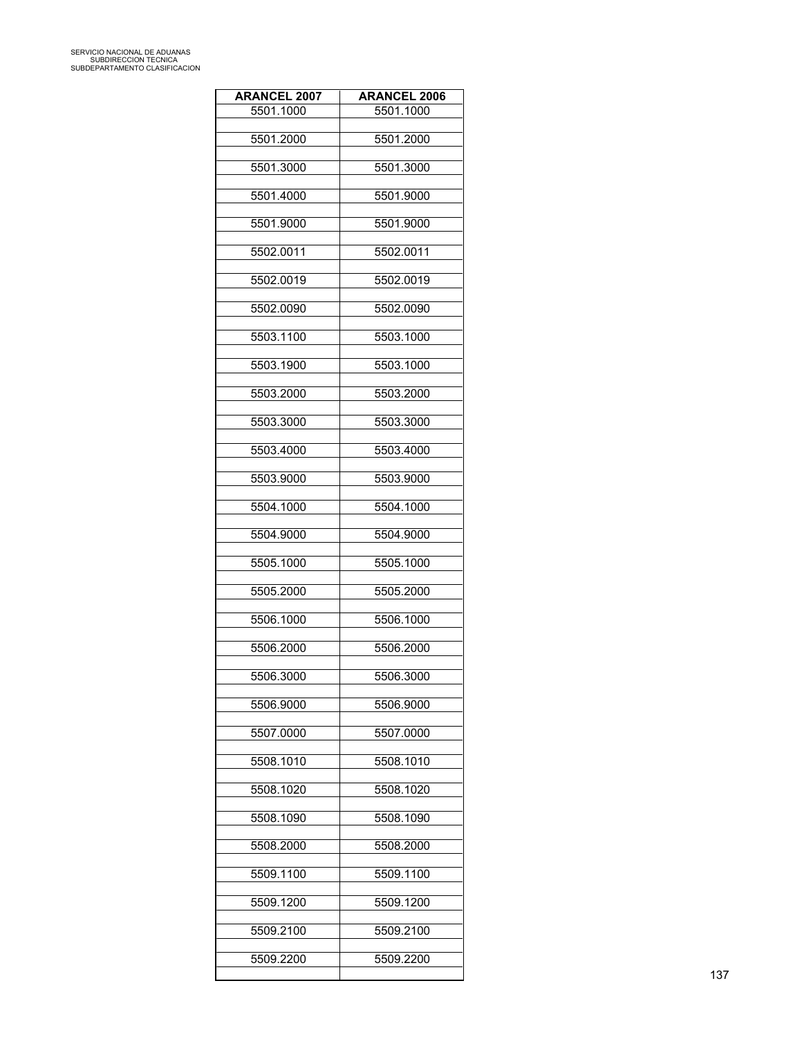| <b>ARANCEL 2007</b> | <b>ARANCEL 2006</b> |
|---------------------|---------------------|
| 5501.1000           | 5501.1000           |
|                     |                     |
| 5501.2000           | 5501.2000           |
| 5501.3000           | 5501.3000           |
|                     |                     |
| 5501.4000           | 5501.9000           |
|                     |                     |
| 5501.9000           | 5501.9000           |
|                     |                     |
| 5502.0011           | 5502.0011           |
|                     |                     |
| 5502.0019           | 5502.0019           |
| 5502.0090           | 5502.0090           |
|                     |                     |
| 5503.1100           | 5503.1000           |
|                     |                     |
| 5503.1900           | 5503.1000           |
|                     |                     |
| 5503.2000           | 5503.2000           |
| 5503.3000           | 5503.3000           |
|                     |                     |
| 5503.4000           | 5503.4000           |
|                     |                     |
| 5503.9000           | 5503.9000           |
|                     |                     |
| 5504.1000           | 5504.1000           |
|                     |                     |
| 5504.9000           | 5504.9000           |
| 5505.1000           | 5505.1000           |
|                     |                     |
| 5505.2000           | 5505.2000           |
|                     |                     |
| 5506.1000           | 5506.1000           |
|                     |                     |
| 5506.2000           | 5506.2000           |
| 5506.3000           | 5506.3000           |
|                     |                     |
| 5506.9000           | 5506.9000           |
|                     |                     |
| 5507.0000           | 5507.0000           |
|                     |                     |
| 5508.1010           | 5508.1010           |
| 5508.1020           | 5508.1020           |
|                     |                     |
| 5508.1090           | 5508.1090           |
|                     |                     |
| 5508.2000           | 5508.2000           |
|                     |                     |
| 5509.1100           | 5509.1100           |
| 5509.1200           | 5509.1200           |
|                     |                     |
| 5509.2100           | 5509.2100           |
|                     |                     |
| 5509.2200           | 5509.2200           |
|                     |                     |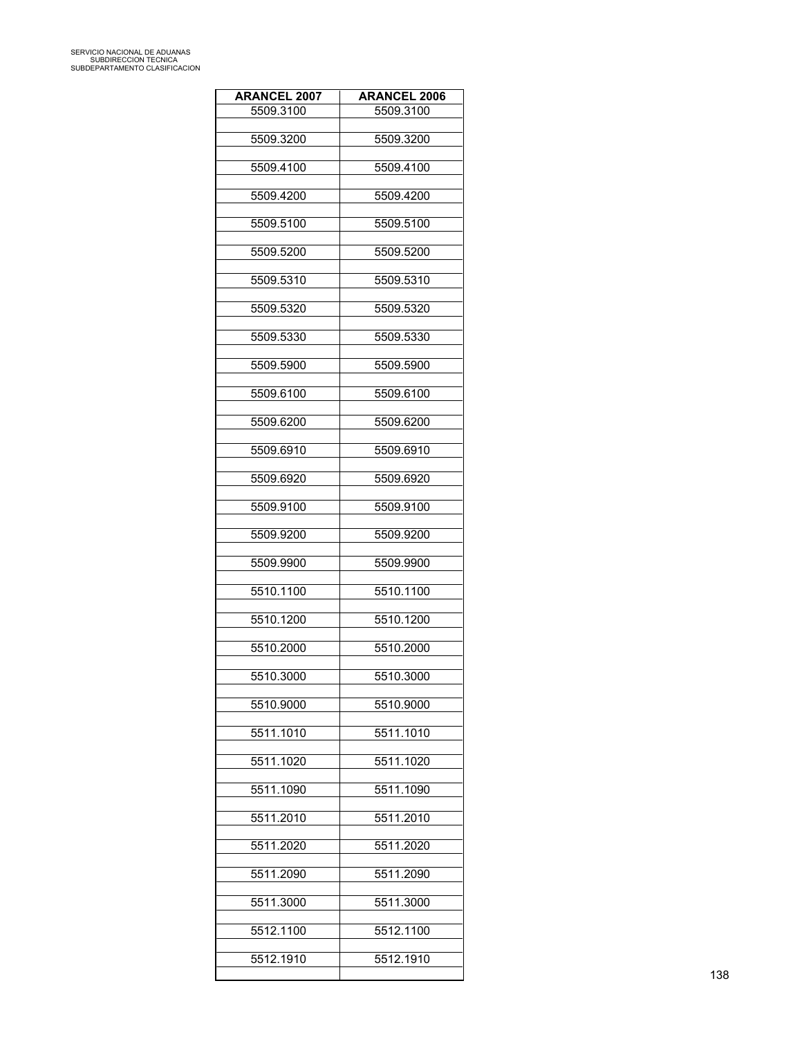| <b>ARANCEL 2007</b> | <b>ARANCEL 2006</b> |
|---------------------|---------------------|
| 5509.3100           | 5509.3100           |
|                     |                     |
| 5509.3200           | 5509.3200           |
| 5509.4100           | 5509.4100           |
|                     |                     |
| 5509.4200           | 5509.4200           |
|                     |                     |
| 5509.5100           | 5509.5100           |
| 5509.5200           | 5509.5200           |
|                     |                     |
| 5509.5310           | 5509.5310           |
| 5509.5320           | 5509.5320           |
|                     |                     |
| 5509.5330           | 5509.5330           |
|                     |                     |
| 5509.5900           | 5509.5900           |
| 5509.6100           | 5509.6100           |
|                     |                     |
| 5509.6200           | 5509.6200           |
|                     |                     |
| 5509.6910           | 5509.6910           |
| 5509.6920           | 5509.6920           |
|                     |                     |
| 5509.9100           | 5509.9100           |
| 5509.9200           | 5509.9200           |
|                     |                     |
| 5509.9900           | 5509.9900           |
|                     |                     |
| 5510.1100           | 5510.1100           |
| 5510.1200           | 5510.1200           |
|                     |                     |
| 5510.2000           | 5510.2000           |
| 5510.3000           | 5510.3000           |
|                     |                     |
| 5510.9000           | 5510.9000           |
|                     |                     |
| 5511.1010           | 5511.1010           |
| 5511.1020           | 5511.1020           |
|                     |                     |
| 5511.1090           | 5511.1090           |
| 5511.2010           | 5511.2010           |
|                     |                     |
| 5511.2020           | 5511.2020           |
|                     |                     |
| 5511.2090           | 5511.2090           |
| 5511.3000           | 5511.3000           |
|                     |                     |
| 5512.1100           | 5512.1100           |
|                     |                     |
| 5512.1910           | 5512.1910           |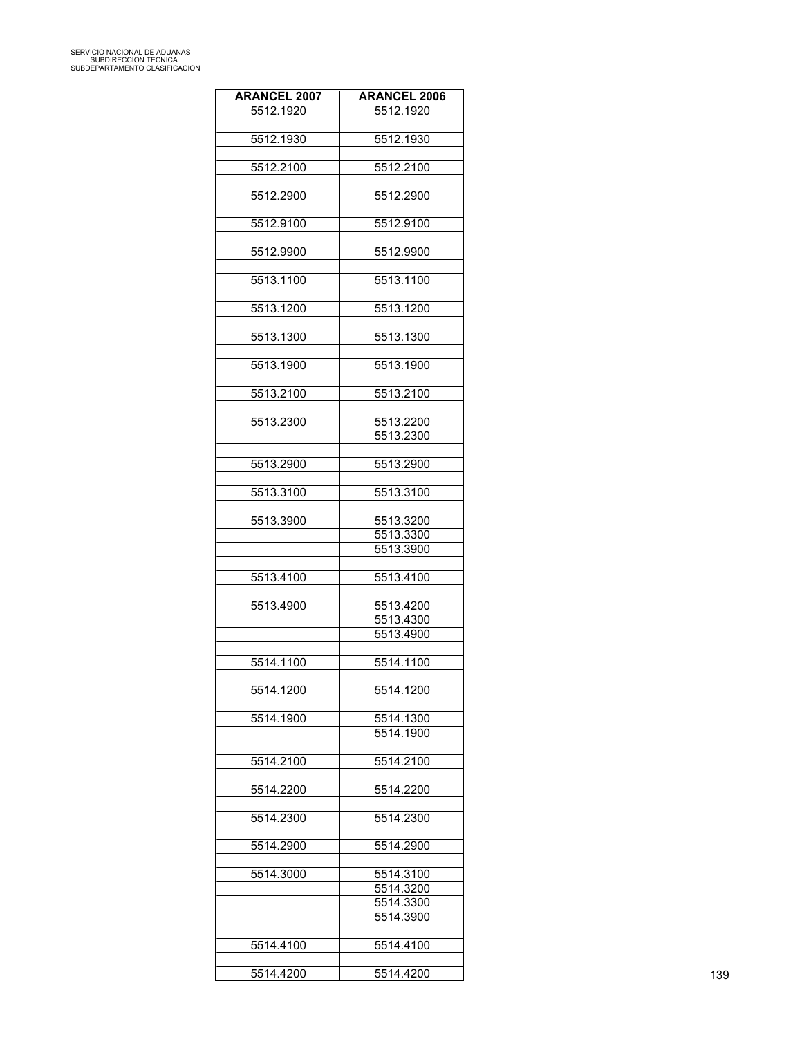| <b>ARANCEL 2007</b> | <b>ARANCEL 2006</b>    |
|---------------------|------------------------|
| 5512.1920           | 5512.1920              |
|                     |                        |
| 5512.1930           | 5512.1930              |
| 5512.2100           | 5512.2100              |
|                     |                        |
| 5512.2900           | 5512.2900              |
|                     |                        |
| 5512.9100           | 5512.9100              |
| 5512.9900           | 5512.9900              |
|                     |                        |
| 5513.1100           | 5513.1100              |
|                     |                        |
| 5513.1200           | 5513.1200              |
|                     |                        |
| 5513.1300           | 5513.1300              |
| 5513.1900           | 5513.1900              |
|                     |                        |
| 5513.2100           | 5513.2100              |
|                     |                        |
| 5513.2300           | 5513.2200              |
|                     | 5513.2300              |
|                     |                        |
| 5513.2900           | 5513.2900              |
| 5513.3100           | 5513.3100              |
|                     |                        |
| 5513.3900           | 5513.3200              |
|                     | 5513.3300              |
|                     | 5513.3900              |
|                     |                        |
| 5513.4100           | 5513.4100              |
| 5513.4900           |                        |
|                     | 5513.4200<br>5513.4300 |
|                     | 5513.4900              |
|                     |                        |
| 5514.1100           | 5514.1100              |
|                     |                        |
| 5514.1200           | 5514.1200              |
|                     |                        |
| 5514.1900           | 5514.1300              |
|                     | 5514.1900              |
| 5514.2100           | 5514.2100              |
|                     |                        |
| 5514.2200           | 5514.2200              |
|                     |                        |
| 5514.2300           | 5514.2300              |
|                     |                        |
| 5514.2900           | 5514.2900              |
|                     |                        |
| 5514.3000           | 5514.3100<br>5514.3200 |
|                     | 5514.3300              |
|                     | 5514.3900              |
|                     |                        |
| 5514.4100           | 5514.4100              |
|                     |                        |
| 5514.4200           | 5514.4200              |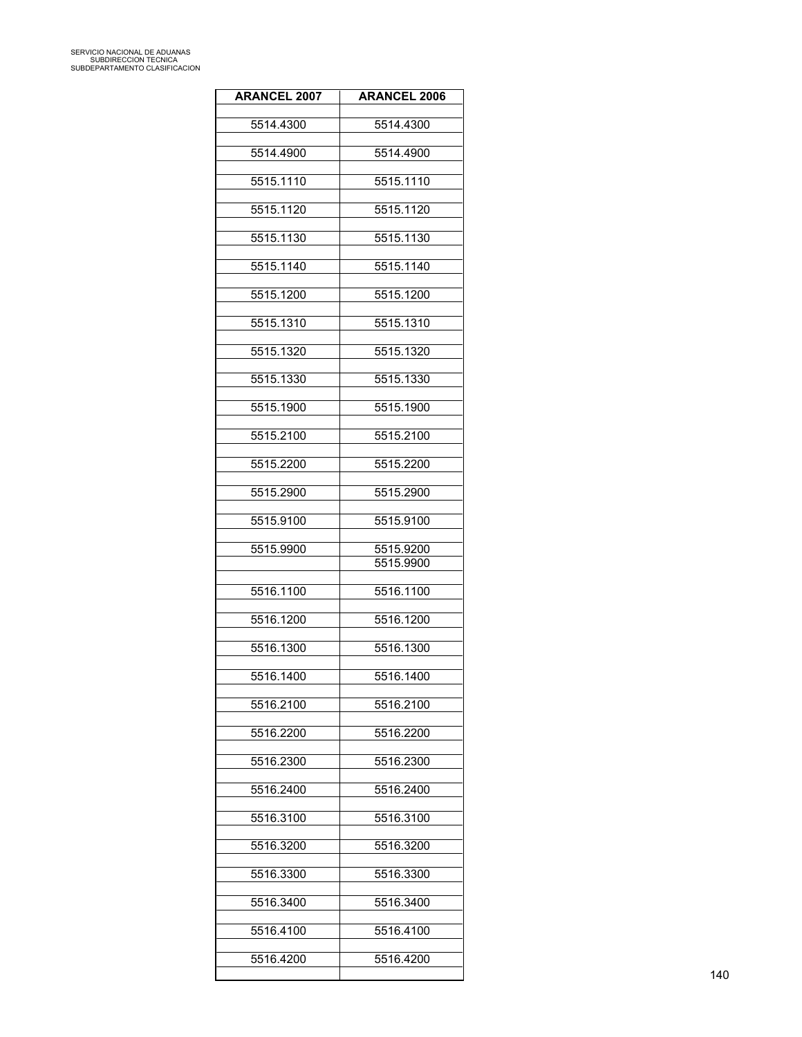| <b>ARANCEL 2007</b> | <b>ARANCEL 2006</b> |
|---------------------|---------------------|
| 5514.4300           | 5514.4300           |
| 5514.4900           | 5514.4900           |
| 5515.1110           | 5515.1110           |
| 5515.1120           | 5515.1120           |
| 5515.1130           | 5515.1130           |
| 5515.1140           | 5515.1140           |
| 5515.1200           | 5515.1200           |
| 5515.1310           | 5515.1310           |
| 5515.1320           | 5515.1320           |
| 5515.1330           | 5515.1330           |
| 5515.1900           | 5515.1900           |
| 5515.2100           | 5515.2100           |
| 5515.2200           | 5515.2200           |
| 5515.2900           | 5515.2900           |
| 5515.9100           | 5515.9100           |
| 5515.9900           | 5515.9200           |
|                     | 5515.9900           |
| 5516.1100           | 5516.1100           |
| 5516.1200           | 5516.1200           |
| 5516.1300           | 5516.1300           |
| 5516.1400           | 5516.1400           |
| 5516.2100           | 5516.2100           |
| 5516.2200           | 5516.2200           |
| 5516.2300           | 5516.2300           |
| 5516.2400           | 5516.2400           |
| 5516.3100           | 5516.3100           |
| 5516.3200           | 5516.3200           |
| 5516.3300           | 5516.3300           |
| 5516.3400           | 5516.3400           |
| 5516.4100           | 5516.4100           |
| 5516.4200           | 5516.4200           |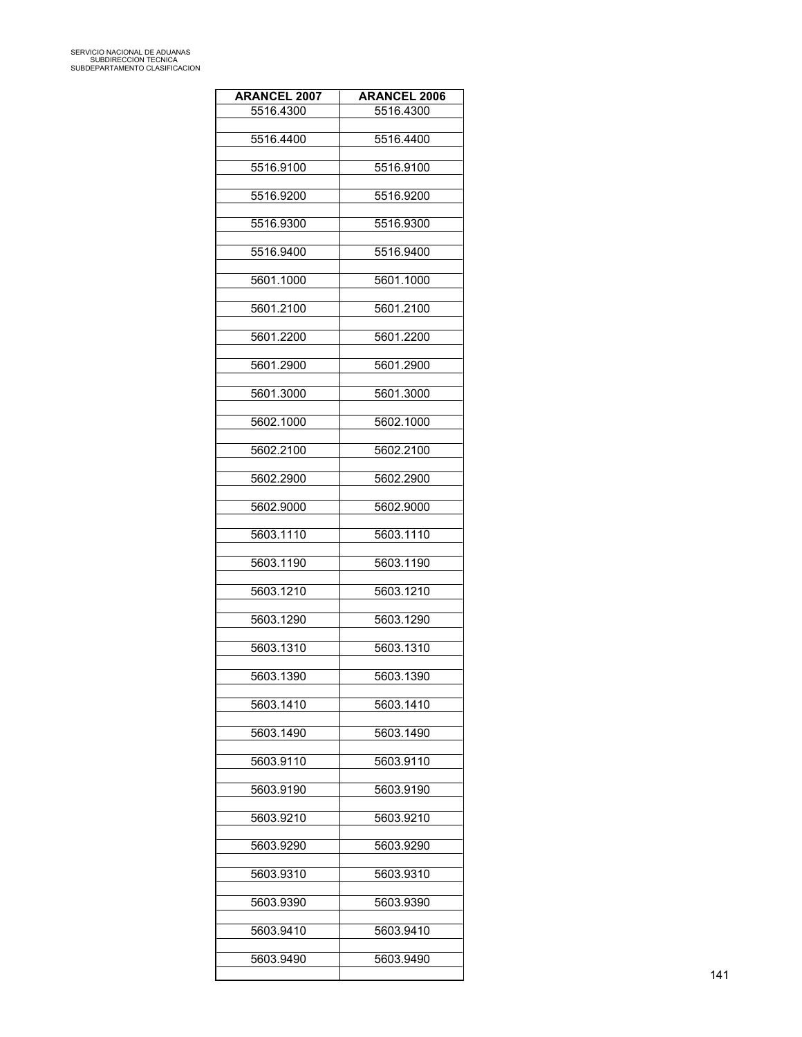| <b>ARANCEL 2007</b> | <b>ARANCEL 2006</b> |
|---------------------|---------------------|
| 5516.4300           | 5516.4300           |
| 5516.4400           | 5516.4400           |
| 5516.9100           | 5516.9100           |
| 5516.9200           | 5516.9200           |
| 5516.9300           | 5516.9300           |
| 5516.9400           | 5516.9400           |
| 5601.1000           | 5601.1000           |
| 5601.2100           | 5601.2100           |
| 5601.2200           | 5601.2200           |
| 5601.2900           | 5601.2900           |
| 5601.3000           | 5601.3000           |
| 5602.1000           | 5602.1000           |
| 5602.2100           | 5602.2100           |
| 5602.2900           | 5602.2900           |
| 5602.9000           | 5602.9000           |
| 5603.1110           | 5603.1110           |
| 5603.1190           | 5603.1190           |
| 5603.1210           | 5603.1210           |
| 5603.1290           | 5603.1290           |
| 5603.1310           | 5603.1310           |
| 5603.1390           | 5603.1390           |
| 5603.1410           | 5603.1410           |
| 5603.1490           | 5603.1490           |
| 5603.9110           | 5603.9110           |
| 5603.9190           | 5603.9190           |
| 5603.9210           | 5603.9210           |
| 5603.9290           | 5603.9290           |
| 5603.9310           | 5603.9310           |
| 5603.9390           | 5603.9390           |
| 5603.9410           | 5603.9410           |
| 5603.9490           | 5603.9490           |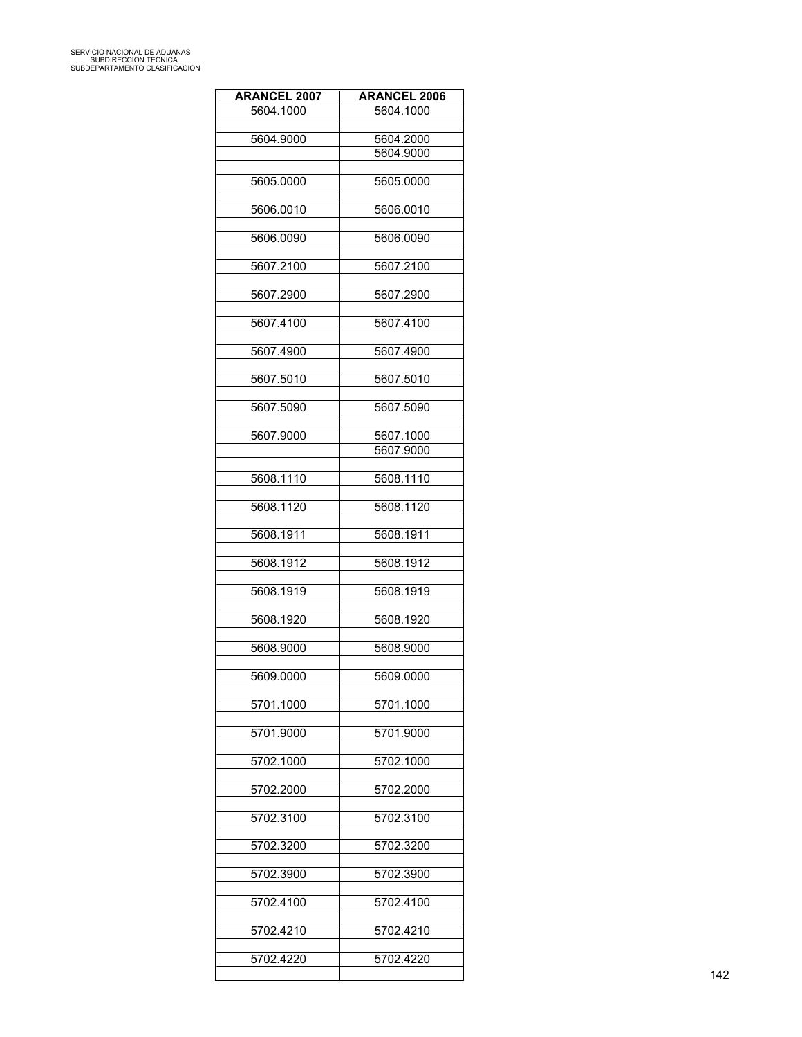| <b>ARANCEL 2007</b> | <b>ARANCEL 2006</b> |
|---------------------|---------------------|
| 5604.1000           | 5604.1000           |
|                     |                     |
| 5604.9000           | 5604.2000           |
|                     | 5604.9000           |
|                     |                     |
| 5605.0000           | 5605.0000           |
|                     |                     |
| 5606.0010           | 5606.0010           |
| 5606.0090           | 5606.0090           |
|                     |                     |
| 5607.2100           | 5607.2100           |
|                     |                     |
| 5607.2900           | 5607.2900           |
|                     |                     |
| 5607.4100           | 5607.4100           |
|                     |                     |
| 5607.4900           | 5607.4900           |
| 5607.5010           | 5607.5010           |
|                     |                     |
| 5607.5090           | 5607.5090           |
|                     |                     |
| 5607.9000           | 5607.1000           |
|                     | 5607.9000           |
|                     |                     |
| 5608.1110           | 5608.1110           |
| 5608.1120           | 5608.1120           |
|                     |                     |
| 5608.1911           | 5608.1911           |
|                     |                     |
| 5608.1912           | 5608.1912           |
|                     |                     |
| 5608.1919           | 5608.1919           |
| 5608.1920           | 5608.1920           |
|                     |                     |
| 5608.9000           | 5608.9000           |
|                     |                     |
| 5609.0000           | 5609.0000           |
|                     |                     |
| 5701.1000           | 5701.1000           |
|                     |                     |
| 5701.9000           | 5701.9000           |
| 5702.1000           | 5702.1000           |
|                     |                     |
| 5702.2000           | 5702.2000           |
|                     |                     |
| 5702.3100           | 5702.3100           |
|                     |                     |
| 5702.3200           | 5702.3200           |
| 5702.3900           | 5702.3900           |
|                     |                     |
| 5702.4100           | 5702.4100           |
|                     |                     |
| 5702.4210           | 5702.4210           |
|                     |                     |
| 5702.4220           | 5702.4220           |
|                     |                     |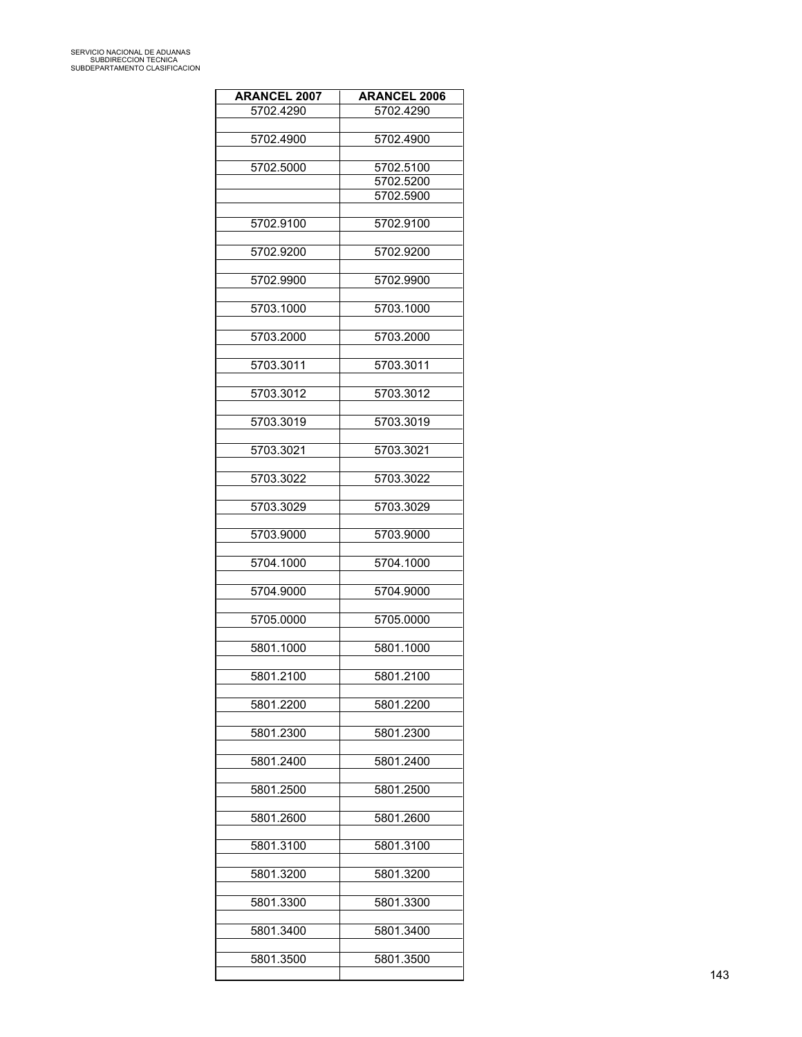| <b>ARANCEL 2007</b> | <b>ARANCEL 2006</b> |
|---------------------|---------------------|
| 5702.4290           | 5702.4290           |
|                     |                     |
| 5702.4900           | 5702.4900           |
| 5702.5000           | 5702.5100           |
|                     | 5702.5200           |
|                     | 5702.5900           |
|                     |                     |
| 5702.9100           | 5702.9100           |
| 5702.9200           | 5702.9200           |
|                     |                     |
| 5702.9900           | 5702.9900           |
| 5703.1000           | 5703.1000           |
|                     |                     |
| 5703.2000           | 5703.2000           |
|                     |                     |
| 5703.3011           | 5703.3011           |
| 5703.3012           | 5703.3012           |
|                     |                     |
| 5703.3019           | 5703.3019           |
|                     |                     |
| 5703.3021           | 5703.3021           |
| 5703.3022           | 5703.3022           |
|                     |                     |
| 5703.3029           | 5703.3029           |
| 5703.9000           | 5703.9000           |
|                     |                     |
| 5704.1000           | 5704.1000           |
| 5704.9000           | 5704.9000           |
|                     |                     |
| 5705.0000           | 5705.0000           |
|                     |                     |
| 5801.1000           | 5801.1000           |
| 5801.2100           | 5801.2100           |
|                     |                     |
| 5801.2200           | 5801.2200           |
| 5801.2300           | 5801.2300           |
|                     |                     |
| 5801.2400           | 5801.2400           |
|                     |                     |
| 5801.2500           | 5801.2500           |
| 5801.2600           | 5801.2600           |
|                     |                     |
| 5801.3100           | 5801.3100           |
| 5801.3200           | 5801.3200           |
|                     |                     |
| 5801.3300           | 5801.3300           |
|                     |                     |
| 5801.3400           | 5801.3400           |
| 5801.3500           | 5801.3500           |
|                     |                     |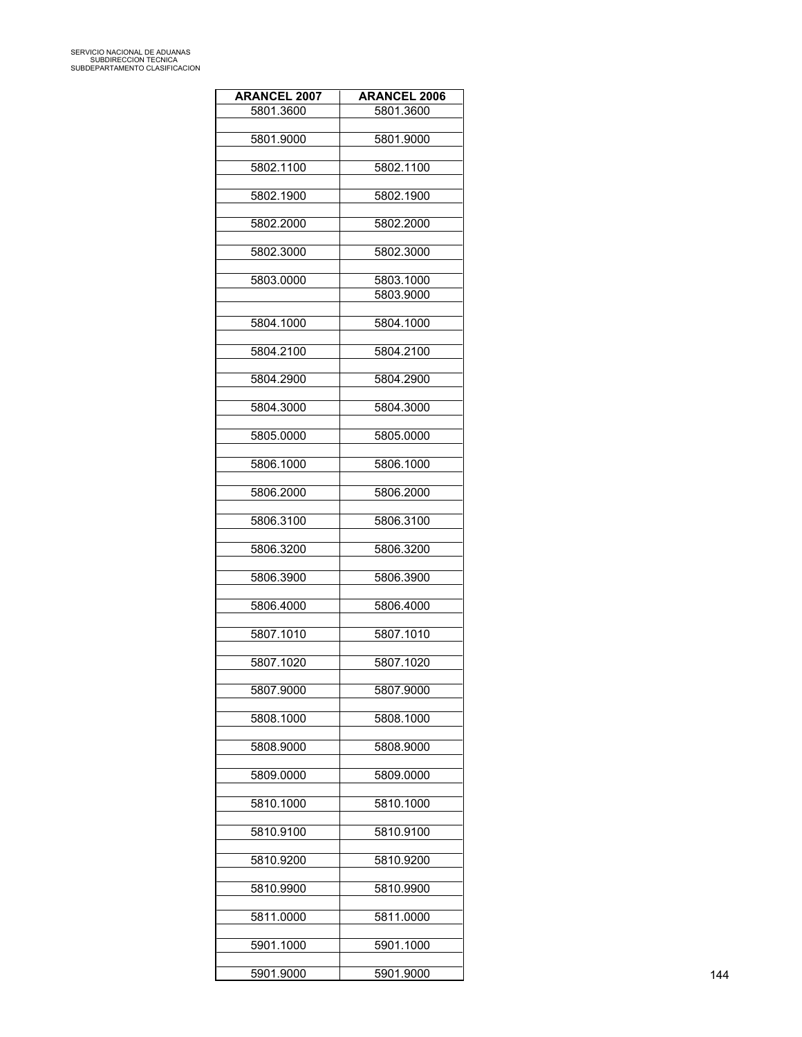| <b>ARANCEL 2007</b> | <b>ARANCEL 2006</b>    |
|---------------------|------------------------|
| 5801.3600           | 5801.3600              |
| 5801.9000           | 5801.9000              |
| 5802.1100           | 5802.1100              |
|                     |                        |
| 5802.1900           | 5802.1900              |
| 5802.2000           | 5802.2000              |
| 5802.3000           | 5802.3000              |
|                     |                        |
| 5803.0000           | 5803.1000<br>5803.9000 |
|                     |                        |
| 5804.1000           | 5804.1000              |
| 5804.2100           | 5804.2100              |
| 5804.2900           | 5804.2900              |
|                     |                        |
| 5804.3000           | 5804.3000              |
| 5805.0000           | 5805.0000              |
| 5806.1000           | 5806.1000              |
|                     |                        |
| 5806.2000           | 5806.2000              |
| 5806.3100           | 5806.3100              |
| 5806.3200           | 5806.3200              |
| 5806.3900           |                        |
|                     | 5806.3900              |
| 5806.4000           | 5806.4000              |
| 5807.1010           | 5807.1010              |
| 5807.1020           | 5807.1020              |
|                     |                        |
| 5807.9000           | 5807.9000              |
| 5808.1000           | 5808.1000              |
| 5808.9000           | 5808.9000              |
|                     |                        |
| 5809.0000           | 5809.0000              |
| 5810.1000           | 5810.1000              |
| 5810.9100           | 5810.9100              |
|                     |                        |
| 5810.9200           | 5810.9200              |
| 5810.9900           | 5810.9900              |
| 5811.0000           | 5811.0000              |
|                     |                        |
| 5901.1000           | 5901.1000              |
| 5901.9000           | 5901.9000              |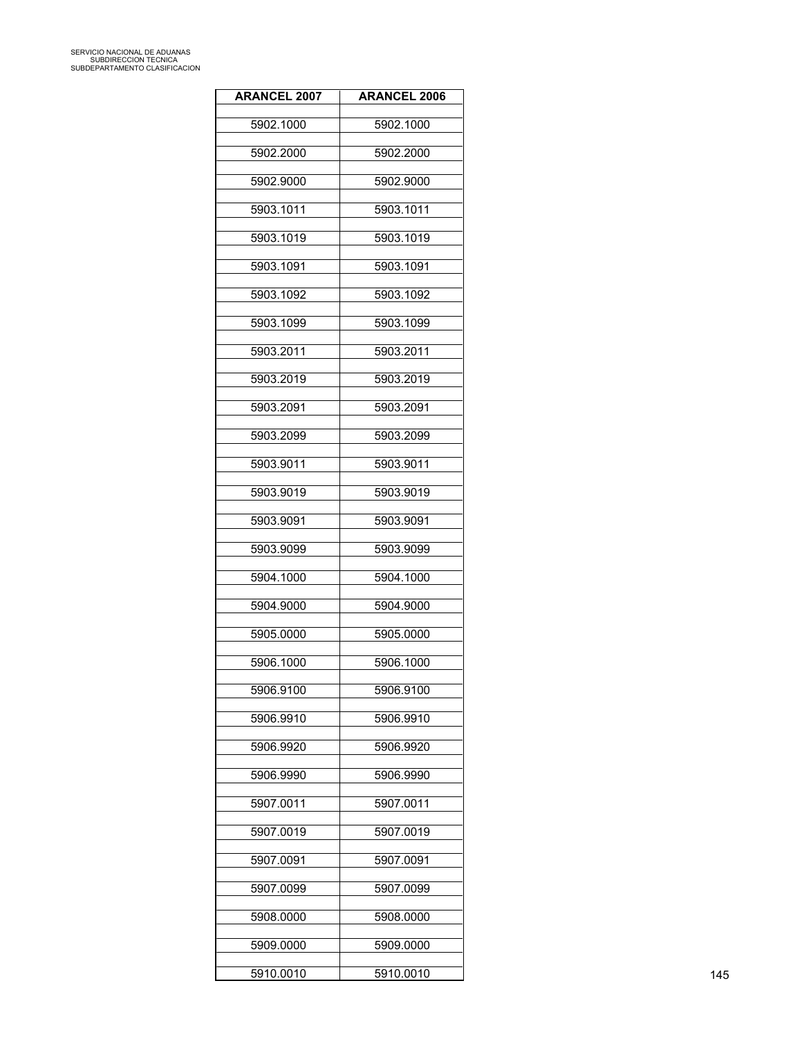| <b>ARANCEL 2007</b> | <b>ARANCEL 2006</b> |
|---------------------|---------------------|
| 5902.1000           | 5902.1000           |
| 5902.2000           | 5902.2000           |
|                     |                     |
| 5902.9000           | 5902.9000           |
| 5903.1011           | 5903.1011           |
| 5903.1019           | 5903.1019           |
| 5903.1091           | 5903.1091           |
| 5903.1092           | 5903.1092           |
| 5903.1099           | 5903.1099           |
| 5903.2011           | 5903.2011           |
| 5903.2019           | 5903.2019           |
| 5903.2091           | 5903.2091           |
| 5903.2099           | 5903.2099           |
|                     |                     |
| 5903.9011           | 5903.9011           |
| 5903.9019           | 5903.9019           |
| 5903.9091           | 5903.9091           |
| 5903.9099           | 5903.9099           |
| 5904.1000           | 5904.1000           |
| 5904.9000           | 5904.9000           |
| 5905.0000           | 5905.0000           |
| 5906.1000           | 5906.1000           |
| 5906.9100           | 5906.9100           |
| 5906.9910           | 5906.9910           |
| 5906.9920           | 5906.9920           |
| 5906.9990           | 5906.9990           |
| 5907.0011           | 5907.0011           |
|                     |                     |
| 5907.0019           | 5907.0019           |
| 5907.0091           | 5907.0091           |
| 5907.0099           | 5907.0099           |
| 5908.0000           | 5908.0000           |
| 5909.0000           | 5909.0000           |
| 5910.0010           | 5910.0010           |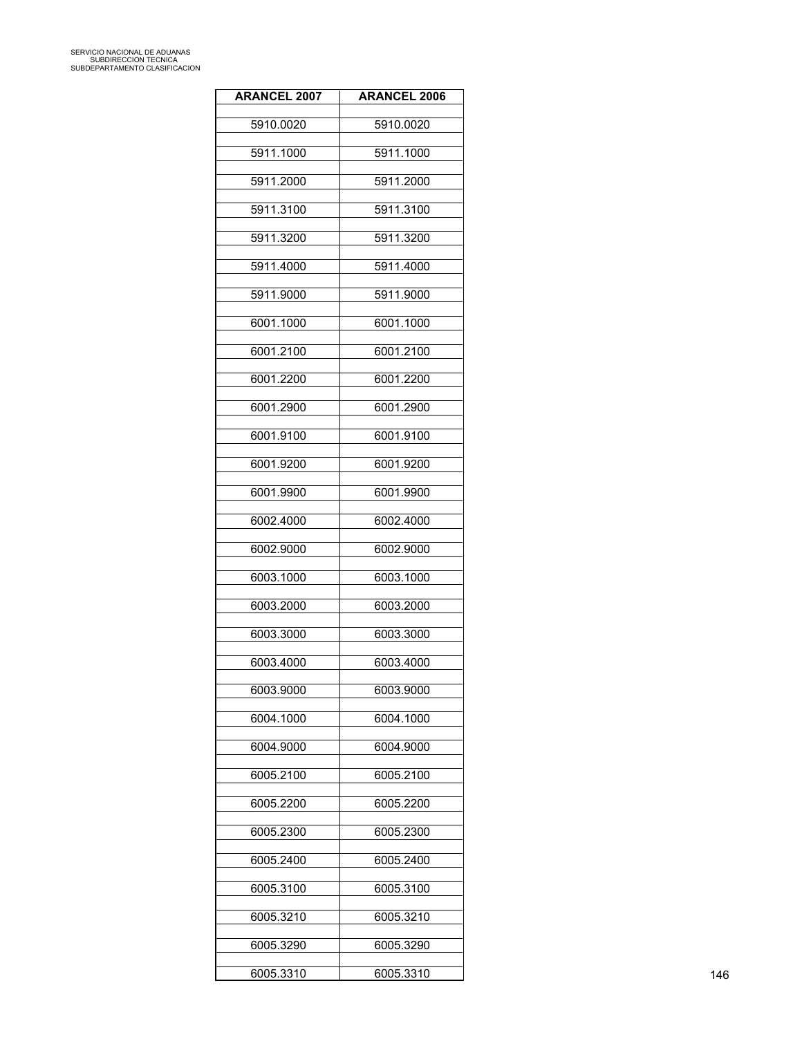| <b>ARANCEL 2007</b> | <b>ARANCEL 2006</b> |
|---------------------|---------------------|
| 5910.0020           | 5910.0020           |
| 5911.1000           | 5911.1000           |
| 5911.2000           | 5911.2000           |
| 5911.3100           | 5911.3100           |
|                     | 5911.3200           |
| 5911.3200           |                     |
| 5911.4000           | 5911.4000           |
| 5911.9000           | 5911.9000           |
| 6001.1000           | 6001.1000           |
| 6001.2100           | 6001.2100           |
| 6001.2200           | 6001.2200           |
| 6001.2900           | 6001.2900           |
| 6001.9100           | 6001.9100           |
| 6001.9200           | 6001.9200           |
| 6001.9900           | 6001.9900           |
| 6002.4000           | 6002.4000           |
| 6002.9000           | 6002.9000           |
| 6003.1000           | 6003.1000           |
| 6003.2000           | 6003.2000           |
| 6003.3000           | 6003.3000           |
| 6003.4000           | 6003.4000           |
| 6003.9000           | 6003.9000           |
| 6004.1000           | 6004.1000           |
| 6004.9000           | 6004.9000           |
| 6005.2100           | 6005.2100           |
| 6005.2200           | 6005.2200           |
| 6005.2300           | 6005.2300           |
| 6005.2400           | 6005.2400           |
|                     |                     |
| 6005.3100           | 6005.3100           |
| 6005.3210           | 6005.3210           |
| 6005.3290           | 6005.3290           |
| 6005.3310           | 6005.3310           |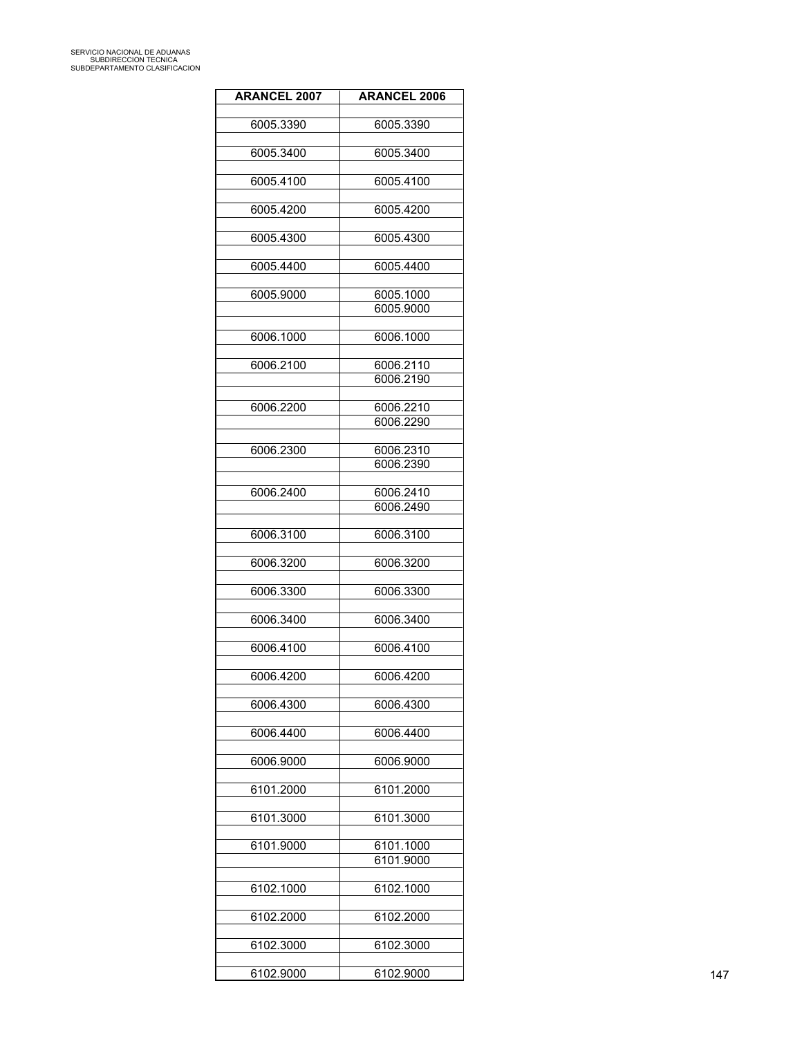| <b>ARANCEL 2007</b> | <b>ARANCEL 2006</b>    |
|---------------------|------------------------|
|                     |                        |
| 6005.3390           | 6005.3390              |
| 6005.3400           | 6005.3400              |
| 6005.4100           | 6005.4100              |
| 6005.4200           | 6005.4200              |
| 6005.4300           | 6005.4300              |
| 6005.4400           | 6005.4400              |
| 6005.9000           | 6005.1000              |
|                     | 6005.9000              |
| 6006.1000           | 6006.1000              |
| 6006.2100           | 6006.2110              |
|                     | 6006.2190              |
| 6006.2200           | 6006.2210              |
|                     | 6006.2290              |
| 6006.2300           | 6006.2310              |
|                     | 6006.2390              |
|                     |                        |
| 6006.2400           | 6006.2410              |
|                     | 6006.2490              |
| 6006.3100           | 6006.3100              |
| 6006.3200           | 6006.3200              |
| 6006.3300           | 6006.3300              |
| 6006.3400           | 6006.3400              |
| 6006.4100           | 6006.4100              |
| 6006.4200           | 6006.4200              |
| 6006.4300           | 6006.4300              |
| 6006.4400           | 6006.4400              |
| 6006.9000           | 6006.9000              |
| 6101.2000           | 6101.2000              |
| 6101.3000           | 6101.3000              |
|                     |                        |
| 6101.9000           | 6101.1000<br>6101.9000 |
| 6102.1000           | 6102.1000              |
| 6102.2000           | 6102.2000              |
|                     |                        |
| 6102.3000           | 6102.3000              |
| 6102.9000           | 6102.9000              |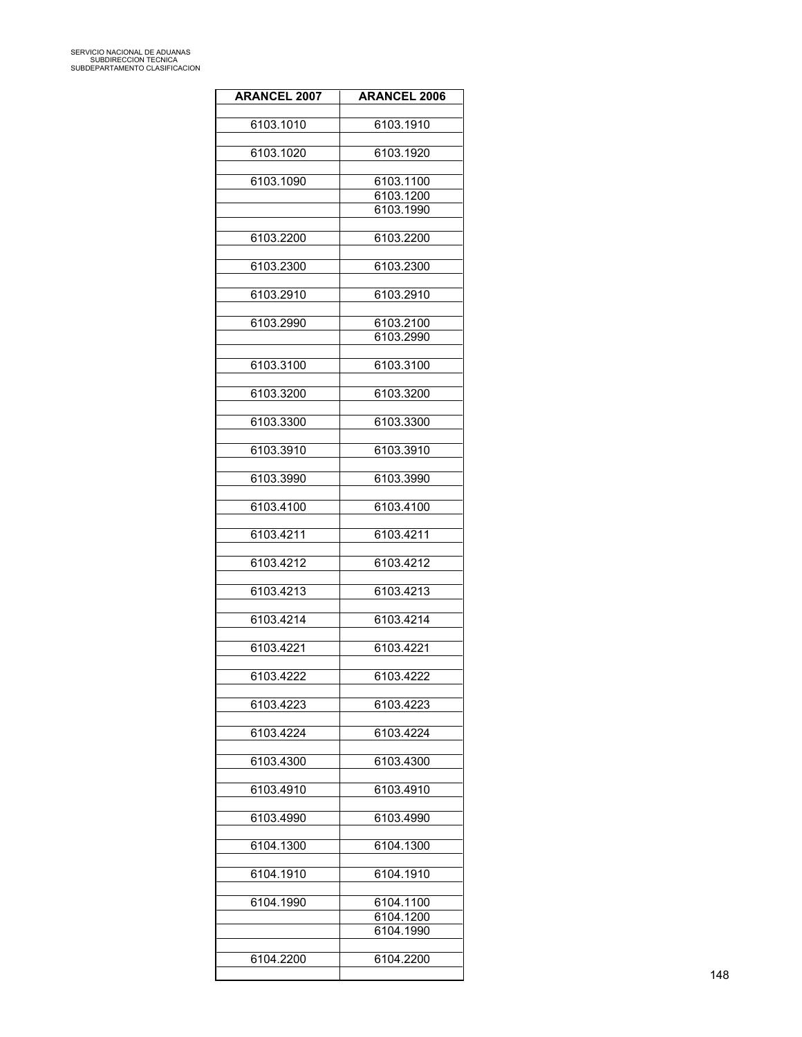| <b>ARANCEL 2007</b> | <b>ARANCEL 2006</b>    |
|---------------------|------------------------|
|                     |                        |
| 6103.1010           | 6103.1910              |
|                     |                        |
| 6103.1020           | 6103.1920              |
| 6103.1090           | 6103.1100              |
|                     | 6103.1200              |
|                     | 6103.1990              |
|                     |                        |
| 6103.2200           | 6103.2200              |
|                     |                        |
| 6103.2300           | 6103.2300              |
| 6103.2910           | 6103.2910              |
|                     |                        |
| 6103.2990           | 6103.2100              |
|                     | 6103.2990              |
|                     |                        |
| 6103.3100           | 6103.3100              |
|                     |                        |
| 6103.3200           | 6103.3200              |
| 6103.3300           | 6103.3300              |
|                     |                        |
| 6103.3910           | 6103.3910              |
|                     |                        |
| 6103.3990           | 6103.3990              |
|                     |                        |
| 6103.4100           | 6103.4100              |
|                     |                        |
| 6103.4211           | 6103.4211              |
| 6103.4212           | 6103.4212              |
|                     |                        |
| 6103.4213           | 6103.4213              |
|                     |                        |
| 6103.4214           | 6103.4214              |
|                     |                        |
| 6103.4221           | 6103.4221              |
| 6103.4222           | 6103.4222              |
|                     |                        |
| 6103.4223           | 6103.4223              |
|                     |                        |
| 6103.4224           | 6103.4224              |
|                     |                        |
| 6103.4300           | 6103.4300              |
| 6103.4910           | 6103.4910              |
|                     |                        |
| 6103.4990           | 6103.4990              |
|                     |                        |
| 6104.1300           | 6104.1300              |
|                     |                        |
| 6104.1910           | 6104.1910              |
|                     |                        |
| 6104.1990           | 6104.1100<br>6104.1200 |
|                     | 6104.1990              |
|                     |                        |
| 6104.2200           | 6104.2200              |
|                     |                        |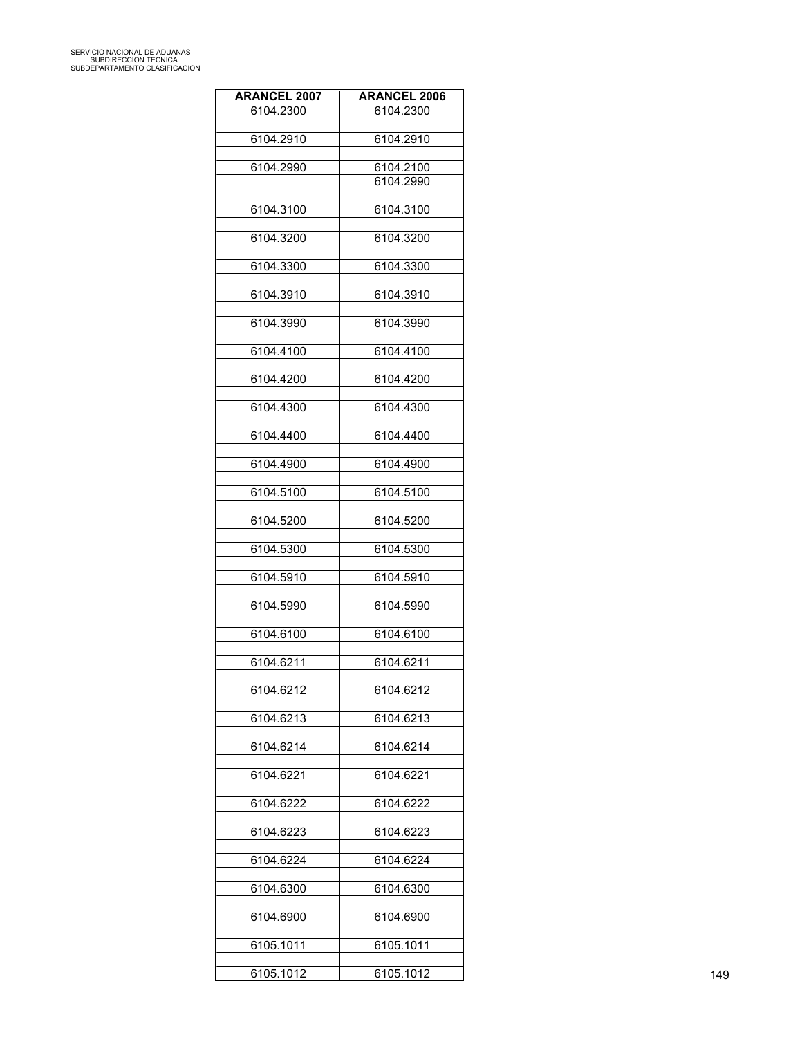| ARANCEL 2007 | <b>ARANCEL 2006</b>    |
|--------------|------------------------|
| 6104.2300    | 6104.2300              |
| 6104.2910    | 6104.2910              |
|              |                        |
| 6104.2990    | 6104.2100<br>6104.2990 |
|              |                        |
| 6104.3100    | 6104.3100              |
| 6104.3200    | 6104.3200              |
|              |                        |
| 6104.3300    | 6104.3300              |
| 6104.3910    | 6104.3910              |
| 6104.3990    | 6104.3990              |
|              |                        |
| 6104.4100    | 6104.4100              |
| 6104.4200    | 6104.4200              |
| 6104.4300    |                        |
|              | 6104.4300              |
| 6104.4400    | 6104.4400              |
| 6104.4900    | 6104.4900              |
|              |                        |
| 6104.5100    | 6104.5100              |
| 6104.5200    | 6104.5200              |
|              |                        |
| 6104.5300    | 6104.5300              |
| 6104.5910    | 6104.5910              |
| 6104.5990    | 6104.5990              |
|              |                        |
| 6104.6100    | 6104.6100              |
| 6104.6211    | 6104.6211              |
|              |                        |
| 6104.6212    | 6104.6212              |
| 6104.6213    | 6104.6213              |
|              |                        |
| 6104.6214    | 6104.6214              |
| 6104.6221    | 6104.6221              |
| 6104.6222    | 6104.6222              |
|              |                        |
| 6104.6223    | 6104.6223              |
| 6104.6224    | 6104.6224              |
|              |                        |
| 6104.6300    | 6104.6300              |
| 6104.6900    | 6104.6900              |
|              |                        |
| 6105.1011    | 6105.1011              |
| 6105.1012    | 6105.1012              |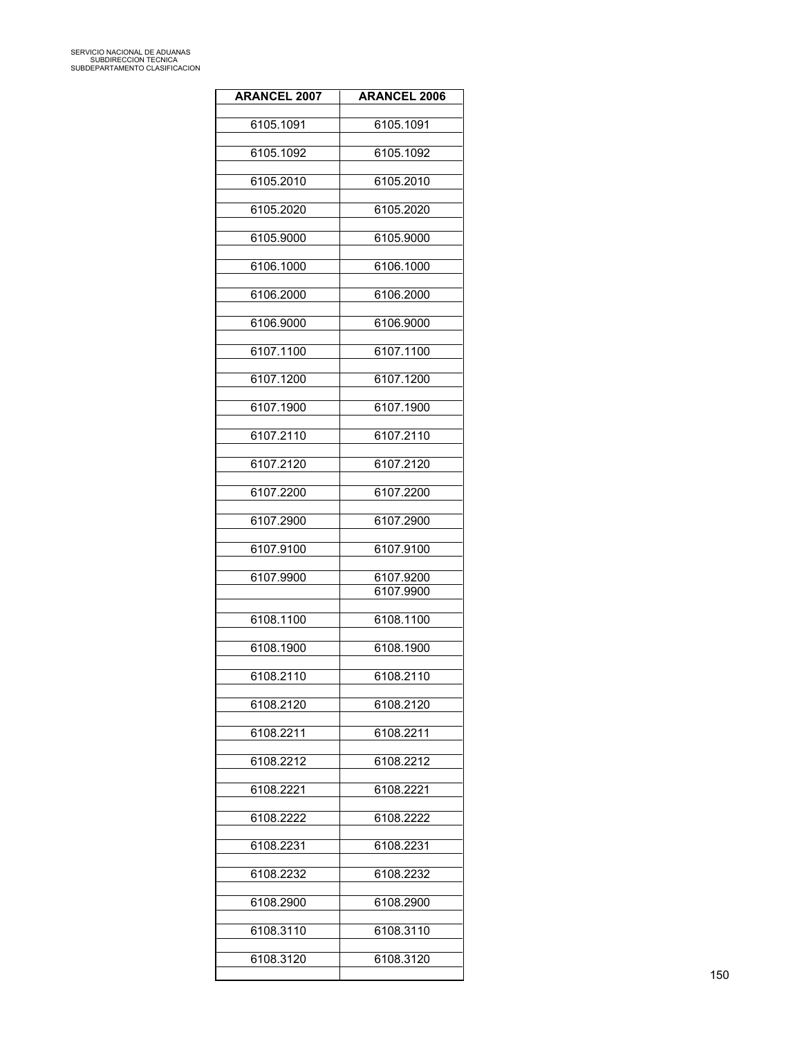| <b>ARANCEL 2007</b> | <b>ARANCEL 2006</b>    |
|---------------------|------------------------|
| 6105.1091           | 6105.1091              |
| 6105.1092           | 6105.1092              |
| 6105.2010           | 6105.2010              |
| 6105.2020           | 6105.2020              |
| 6105.9000           | 6105.9000              |
| 6106.1000           | 6106.1000              |
| 6106.2000           | 6106.2000              |
| 6106.9000           | 6106.9000              |
| 6107.1100           | 6107.1100              |
| 6107.1200           | 6107.1200              |
| 6107.1900           | 6107.1900              |
| 6107.2110           | 6107.2110              |
| 6107.2120           | 6107.2120              |
| 6107.2200           | 6107.2200              |
| 6107.2900           | 6107.2900              |
| 6107.9100           | 6107.9100              |
| 6107.9900           | 6107.9200<br>6107.9900 |
| 6108.1100           | 6108.1100              |
| 6108.1900           | 6108.1900              |
| 6108.2110           | 6108.2110              |
| 6108.2120           | 6108.2120              |
| 6108.2211           | 6108.2211              |
| 6108.2212           | 6108.2212              |
| 6108.2221           | 6108.2221              |
| 6108.2222           | 6108.2222              |
| 6108.2231           | 6108.2231              |
| 6108.2232           | 6108.2232              |
| 6108.2900           | 6108.2900              |
| 6108.3110           | 6108.3110              |
| 6108.3120           | 6108.3120              |
|                     |                        |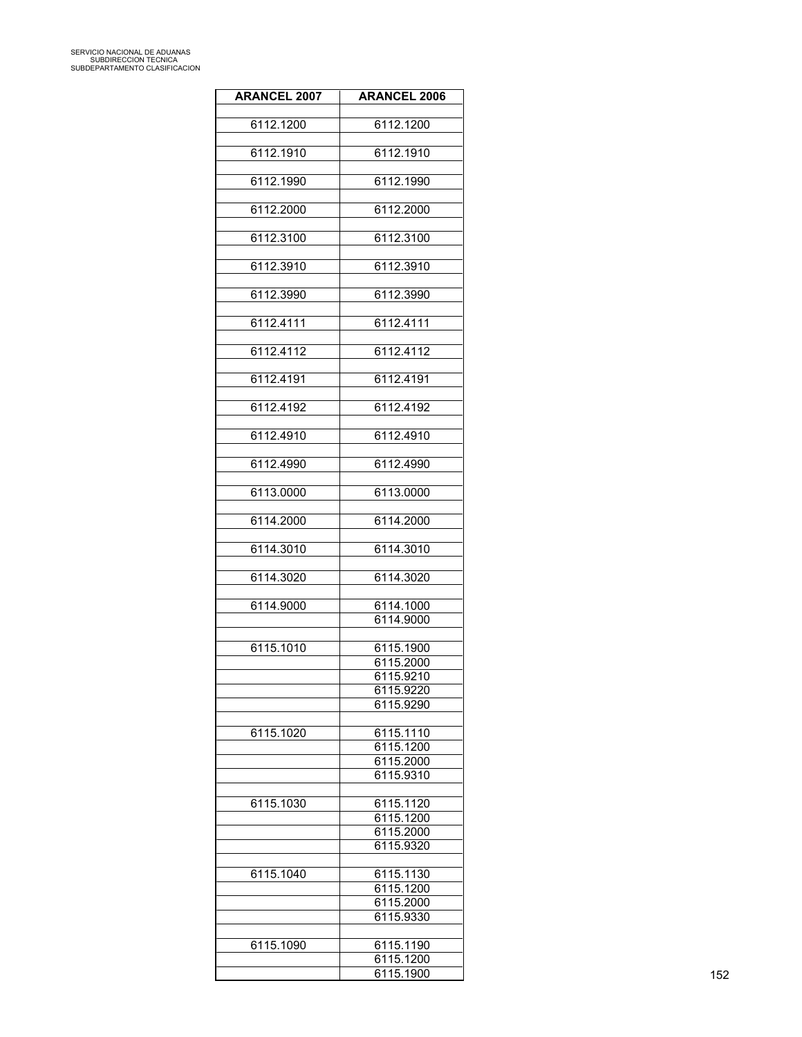| <b>ARANCEL 2007</b> | <b>ARANCEL 2006</b> |
|---------------------|---------------------|
|                     |                     |
| 6112.1200           | 6112.1200           |
| 6112.1910           | 6112.1910           |
|                     |                     |
| 6112.1990           | 6112.1990           |
| 6112.2000           | 6112.2000           |
|                     |                     |
| 6112.3100           | 6112.3100           |
|                     |                     |
| 6112.3910           | 6112.3910           |
| 6112.3990           | 6112.3990           |
|                     |                     |
| 6112.4111           | 6112.4111           |
| 6112.4112           | 6112.4112           |
|                     |                     |
| 6112.4191           | 6112.4191           |
|                     |                     |
| 6112.4192           | 6112.4192           |
| 6112.4910           | 6112.4910           |
|                     |                     |
| 6112.4990           | 6112.4990           |
|                     |                     |
| 6113.0000           | 6113.0000           |
| 6114.2000           | 6114.2000           |
|                     |                     |
| 6114.3010           | 6114.3010           |
|                     |                     |
| 6114.3020           | 6114.3020           |
| 6114.9000           | 6114.1000           |
|                     | 6114.9000           |
|                     |                     |
| 6115.1010           | 6115.1900           |
|                     | 6115.2000           |
|                     | 6115.9210           |
|                     | 6115.9220           |
|                     | 6115.9290           |
| 6115.1020           | 6115.1110           |
|                     | 6115.1200           |
|                     | 6115.2000           |
|                     | 6115.9310           |
|                     |                     |
| 6115.1030           | 6115.1120           |
|                     | 6115.1200           |
|                     | 6115.2000           |
|                     | 6115.9320           |
| 6115.1040           | 6115.1130           |
|                     | 6115.1200           |
|                     | 6115.2000           |
|                     | 6115.9330           |
|                     |                     |
| 6115.1090           | 6115.1190           |
|                     | 6115.1200           |
|                     | 6115.1900           |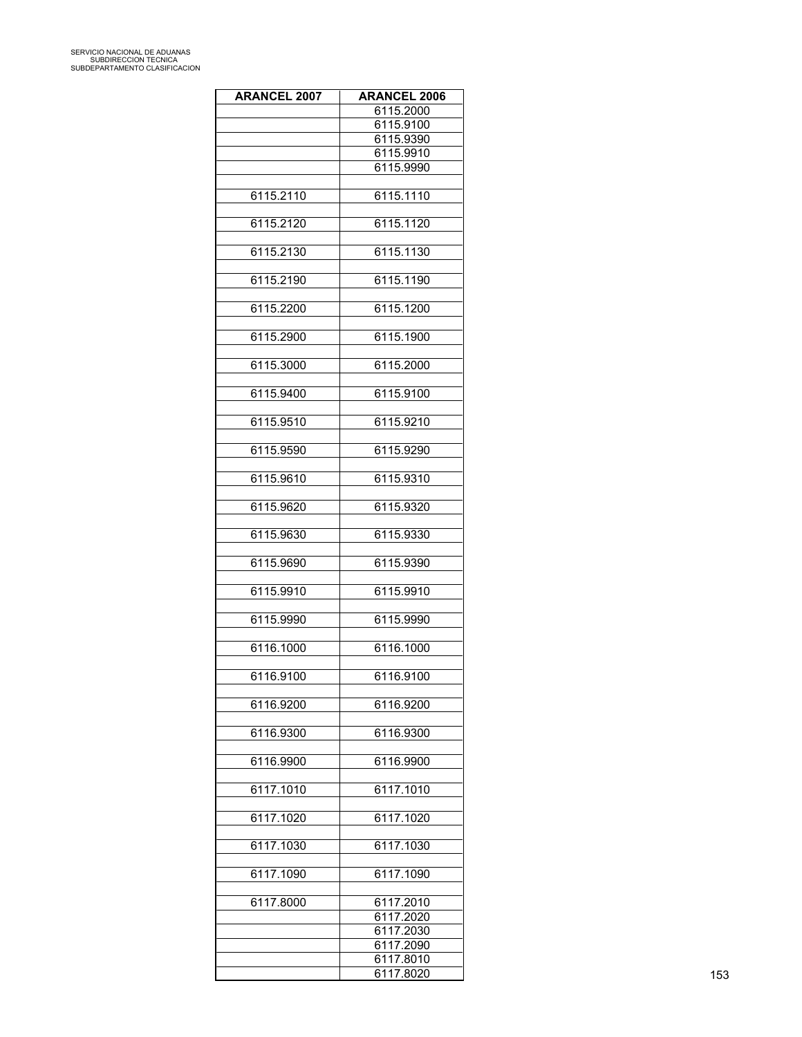| <b>ARANCEL 2007</b> | <b>ARANCEL 2006</b> |
|---------------------|---------------------|
|                     | 6115.2000           |
|                     | 6115.9100           |
|                     | 6115.9390           |
|                     | 6115.9910           |
|                     | 6115.9990           |
|                     |                     |
| 6115.2110           | 6115.1110           |
|                     |                     |
| 6115.2120           | 6115.1120           |
|                     |                     |
| 6115.2130           | 6115.1130           |
|                     |                     |
| 6115.2190           | 6115.1190           |
|                     |                     |
| 6115.2200           | 6115.1200           |
|                     |                     |
| 6115.2900           | 6115.1900           |
|                     |                     |
| 6115.3000           | 6115.2000           |
|                     |                     |
| 6115.9400           | 6115.9100           |
|                     |                     |
| 6115.9510           | 6115.9210           |
|                     |                     |
| 6115.9590           | 6115.9290           |
|                     |                     |
| 6115.9610           | 6115.9310           |
|                     |                     |
| 6115.9620           | 6115.9320           |
|                     |                     |
| 6115.9630           | 6115.9330           |
|                     |                     |
| 6115.9690           | 6115.9390           |
|                     |                     |
| 6115.9910           | 6115.9910           |
|                     |                     |
| 6115.9990           | 6115.9990           |
|                     |                     |
| 6116.1000           | 6116.1000           |
|                     |                     |
| 6116.9100           | 6116.9100           |
|                     |                     |
| 6116.9200           | 6116.9200           |
|                     |                     |
| 6116.9300           | 6116.9300           |
|                     |                     |
| 6116.9900           | 6116.9900           |
|                     |                     |
| 6117.1010           | 6117.1010           |
|                     |                     |
| 6117.1020           | 6117.1020           |
|                     |                     |
| 6117.1030           | 6117.1030           |
|                     |                     |
| 6117.1090           | 6117.1090           |
|                     |                     |
| 6117.8000           | 6117.2010           |
|                     | 6117.2020           |
|                     | 6117.2030           |
|                     | 6117.2090           |
|                     | 6117.8010           |
|                     | 6117.8020           |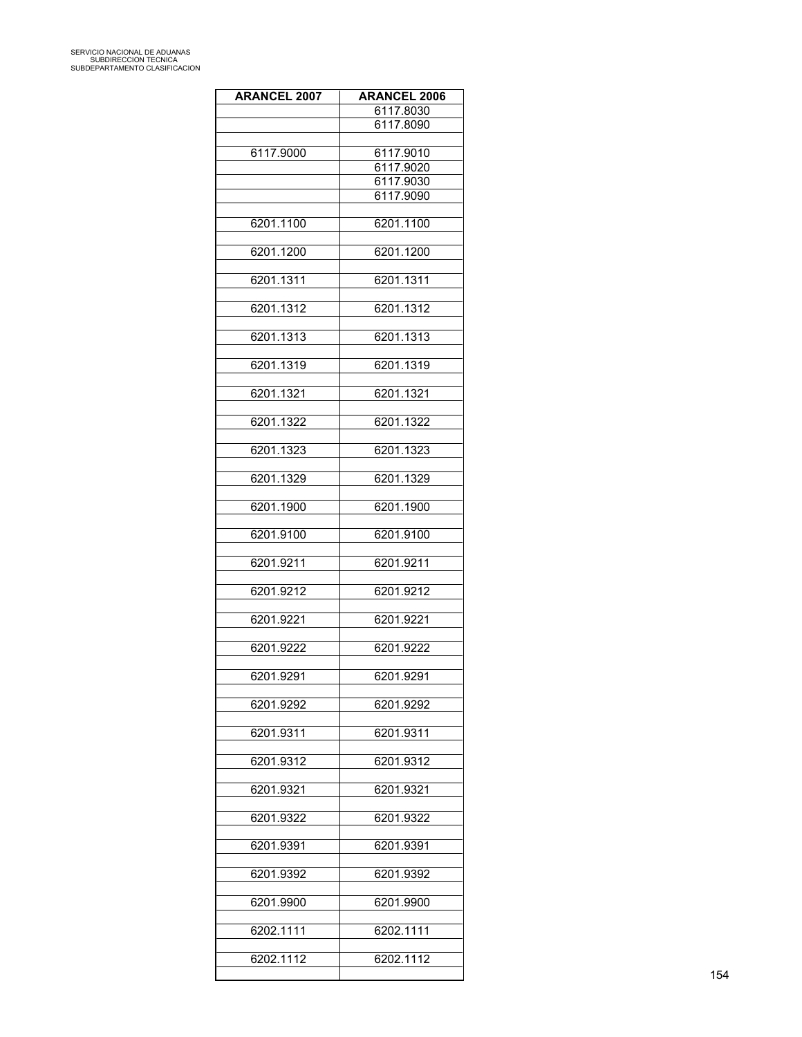| <b>ARANCEL 2007</b> | <b>ARANCEL 2006</b> |
|---------------------|---------------------|
|                     | 6117.8030           |
|                     | 6117.8090           |
|                     |                     |
| 6117.9000           | 6117.9010           |
|                     | 6117.9020           |
|                     | 6117.9030           |
|                     | 6117.9090           |
| 6201.1100           | 6201.1100           |
|                     |                     |
| 6201.1200           | 6201.1200           |
|                     |                     |
| 6201.1311           | 6201.1311           |
|                     |                     |
| 6201.1312           | 6201.1312           |
|                     |                     |
| 6201.1313           | 6201.1313           |
|                     |                     |
| 6201.1319           | 6201.1319           |
| 6201.1321           | 6201.1321           |
|                     |                     |
| 6201.1322           | 6201.1322           |
|                     |                     |
| 6201.1323           | 6201.1323           |
|                     |                     |
| 6201.1329           | 6201.1329           |
|                     |                     |
| 6201.1900           | 6201.1900           |
|                     |                     |
| 6201.9100           | 6201.9100           |
| 6201.9211           | 6201.9211           |
|                     |                     |
| 6201.9212           | 6201.9212           |
|                     |                     |
| 6201.9221           | 6201.9221           |
|                     |                     |
| 6201.9222           | 6201.9222           |
|                     |                     |
| 6201.9291           | 6201.9291           |
|                     |                     |
| 6201.9292           | 6201.9292           |
| 6201.9311           | 6201.9311           |
|                     |                     |
| 6201.9312           | 6201.9312           |
|                     |                     |
| 6201.9321           | 6201.9321           |
|                     |                     |
| 6201.9322           | 6201.9322           |
|                     |                     |
| 6201.9391           | 6201.9391           |
|                     |                     |
| 6201.9392           | 6201.9392           |
| 6201.9900           | 6201.9900           |
|                     |                     |
| 6202.1111           | 6202.1111           |
|                     |                     |
| 6202.1112           | 6202.1112           |
|                     |                     |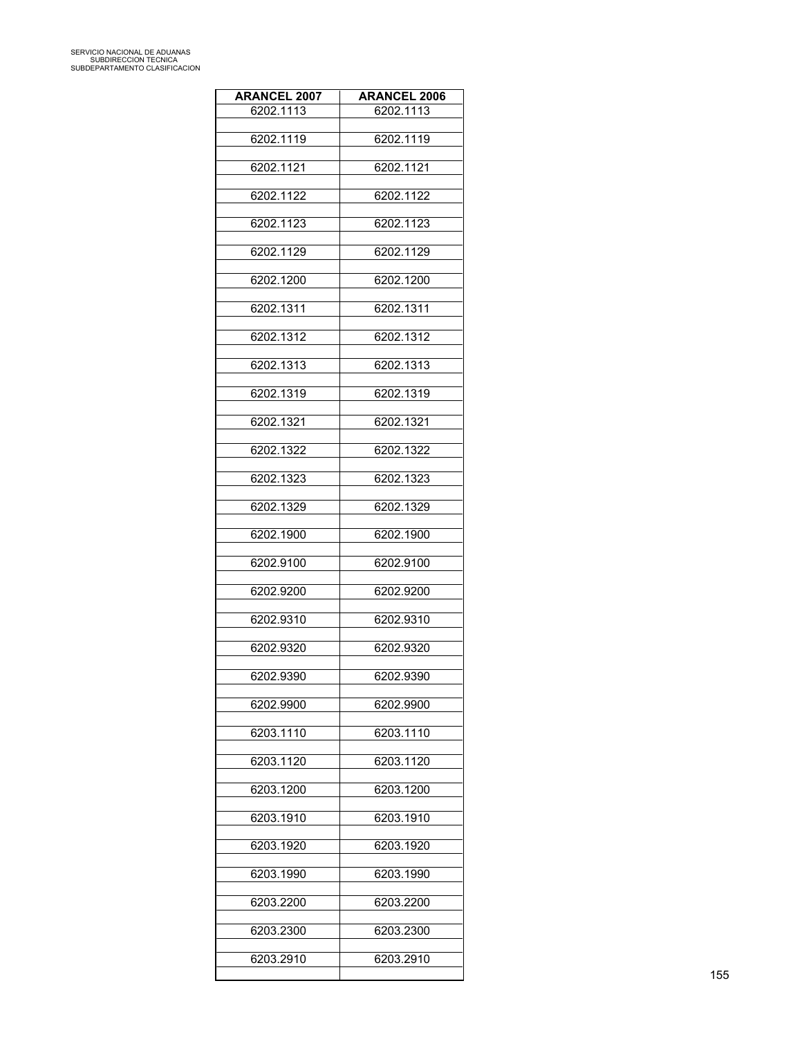| <b>ARANCEL 2007</b> | <b>ARANCEL 2006</b> |
|---------------------|---------------------|
| 6202.1113           | 6202.1113           |
| 6202.1119           | 6202.1119           |
| 6202.1121           | 6202.1121           |
| 6202.1122           | 6202.1122           |
| 6202.1123           | 6202.1123           |
| 6202.1129           | 6202.1129           |
| 6202.1200           | 6202.1200           |
| 6202.1311           | 6202.1311           |
| 6202.1312           | 6202.1312           |
| 6202.1313           | 6202.1313           |
| 6202.1319           | 6202.1319           |
| 6202.1321           | 6202.1321           |
| 6202.1322           | 6202.1322           |
| 6202.1323           | 6202.1323           |
| 6202.1329           | 6202.1329           |
| 6202.1900           | 6202.1900           |
| 6202.9100           | 6202.9100           |
| 6202.9200           | 6202.9200           |
| 6202.9310           | 6202.9310           |
| 6202.9320           | 6202.9320           |
| 6202.9390           | 6202.9390           |
| 6202.9900           | 6202.9900           |
| 6203.1110           | 6203.1110           |
| 6203.1120           | 6203.1120           |
| 6203.1200           | 6203.1200           |
| 6203.1910           | 6203.1910           |
| 6203.1920           | 6203.1920           |
| 6203.1990           | 6203.1990           |
| 6203.2200           | 6203.2200           |
| 6203.2300           | 6203.2300           |
| 6203.2910           | 6203.2910           |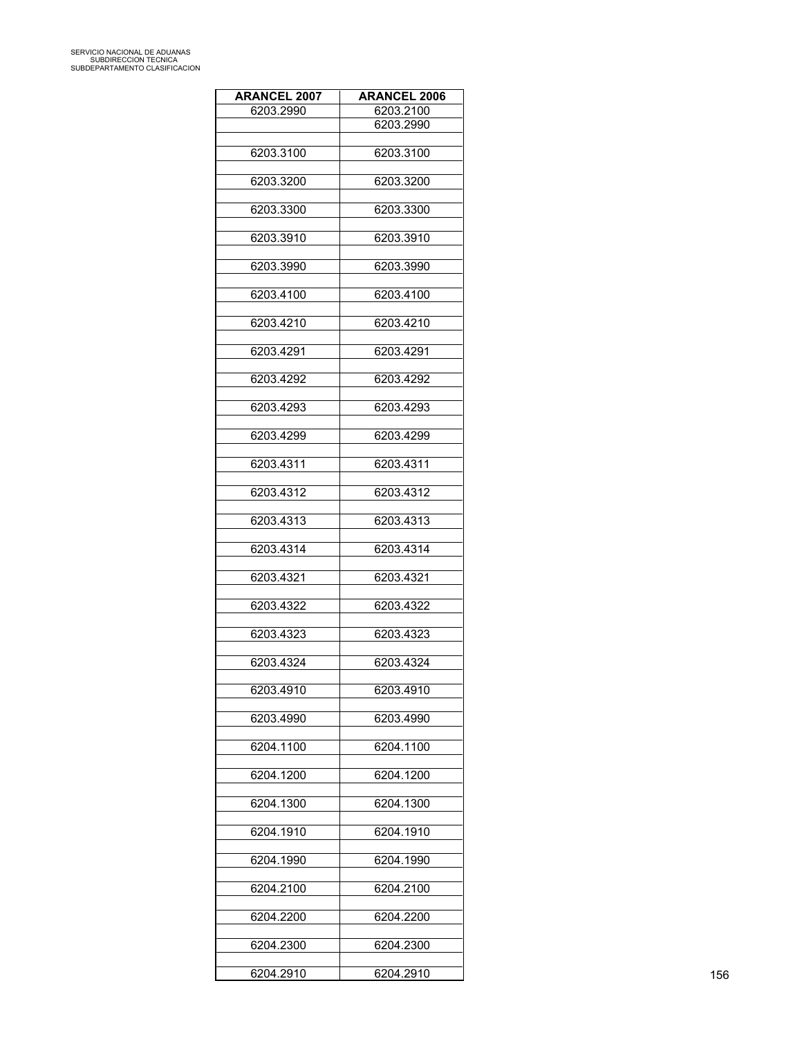| <b>ARANCEL 2007</b> | <b>ARANCEL 2006</b> |
|---------------------|---------------------|
| 6203.2990           | 6203.2100           |
|                     | 6203.2990           |
| 6203.3100           | 6203.3100           |
|                     |                     |
| 6203.3200           | 6203.3200           |
| 6203.3300           | 6203.3300           |
|                     |                     |
| 6203.3910           | 6203.3910           |
|                     |                     |
| 6203.3990           | 6203.3990           |
| 6203.4100           | 6203.4100           |
|                     |                     |
| 6203.4210           | 6203.4210           |
|                     | 6203.4291           |
| 6203.4291           |                     |
| 6203.4292           | 6203.4292           |
|                     |                     |
| 6203.4293           | 6203.4293           |
| 6203.4299           | 6203.4299           |
|                     |                     |
| 6203.4311           | 6203.4311           |
|                     |                     |
| 6203.4312           | 6203.4312           |
| 6203.4313           | 6203.4313           |
|                     |                     |
| 6203.4314           | 6203.4314           |
|                     |                     |
| 6203.4321           | 6203.4321           |
| 6203.4322           | 6203.4322           |
|                     |                     |
| 6203.4323           | 6203.4323           |
|                     |                     |
| 6203.4324           | 6203.4324           |
| 6203.4910           | 6203.4910           |
|                     |                     |
| 6203.4990           | 6203.4990           |
|                     |                     |
| 6204.1100           | 6204.1100           |
| 6204.1200           | 6204.1200           |
|                     |                     |
| 6204.1300           | 6204.1300           |
|                     |                     |
| 6204.1910           | 6204.1910           |
| 6204.1990           | 6204.1990           |
|                     |                     |
| 6204.2100           | 6204.2100           |
|                     |                     |
| 6204.2200           | 6204.2200           |
| 6204.2300           | 6204.2300           |
|                     |                     |
| 6204.2910           | 6204.2910           |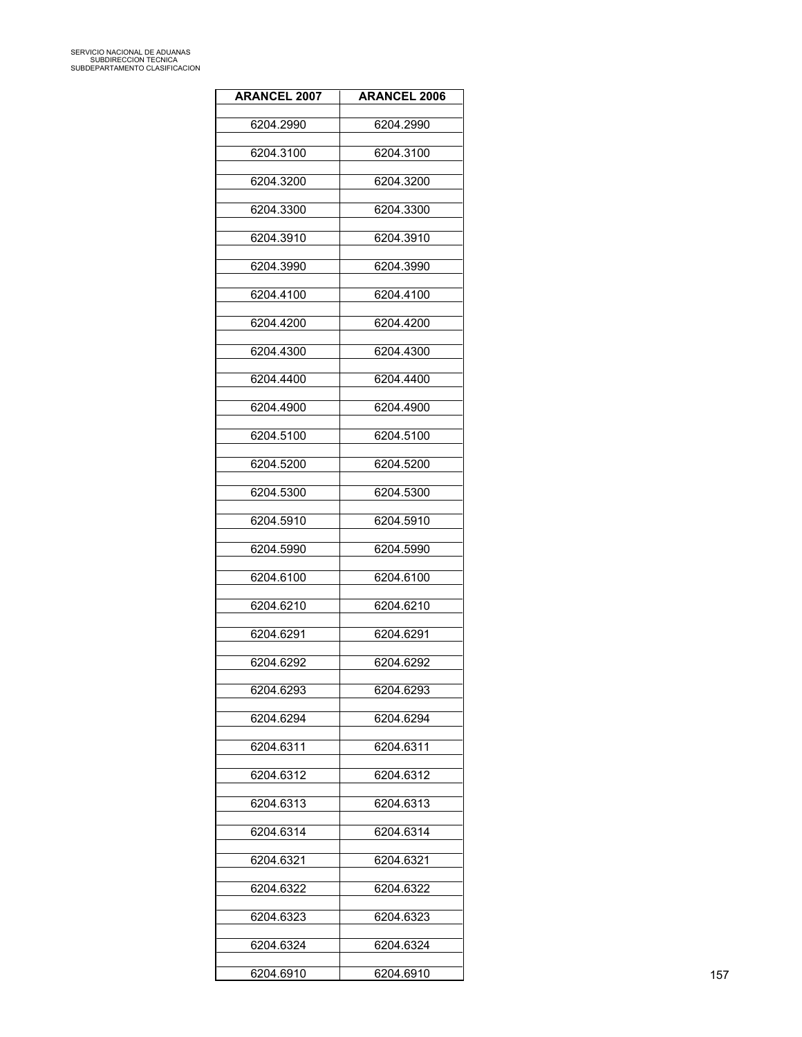| <b>ARANCEL 2007</b> | <b>ARANCEL 2006</b> |
|---------------------|---------------------|
| 6204.2990           | 6204.2990           |
| 6204.3100           | 6204.3100           |
|                     |                     |
| 6204.3200           | 6204.3200           |
| 6204.3300           | 6204.3300           |
| 6204.3910           | 6204.3910           |
| 6204.3990           | 6204.3990           |
| 6204.4100           | 6204.4100           |
| 6204.4200           | 6204.4200           |
| 6204.4300           | 6204.4300           |
| 6204.4400           | 6204.4400           |
| 6204.4900           | 6204.4900           |
| 6204.5100           | 6204.5100           |
| 6204.5200           | 6204.5200           |
|                     |                     |
| 6204.5300           | 6204.5300           |
| 6204.5910           | 6204.5910           |
| 6204.5990           | 6204.5990           |
| 6204.6100           | 6204.6100           |
| 6204.6210           | 6204.6210           |
| 6204.6291           | 6204.6291           |
| 6204.6292           | 6204.6292           |
| 6204.6293           | 6204.6293           |
| 6204.6294           | 6204.6294           |
| 6204.6311           | 6204.6311           |
| 6204.6312           | 6204.6312           |
| 6204.6313           |                     |
|                     | 6204.6313           |
| 6204.6314           | 6204.6314           |
| 6204.6321           | 6204.6321           |
| 6204.6322           | 6204.6322           |
| 6204.6323           | 6204.6323           |
| 6204.6324           | 6204.6324           |
| 6204.6910           | 6204.6910           |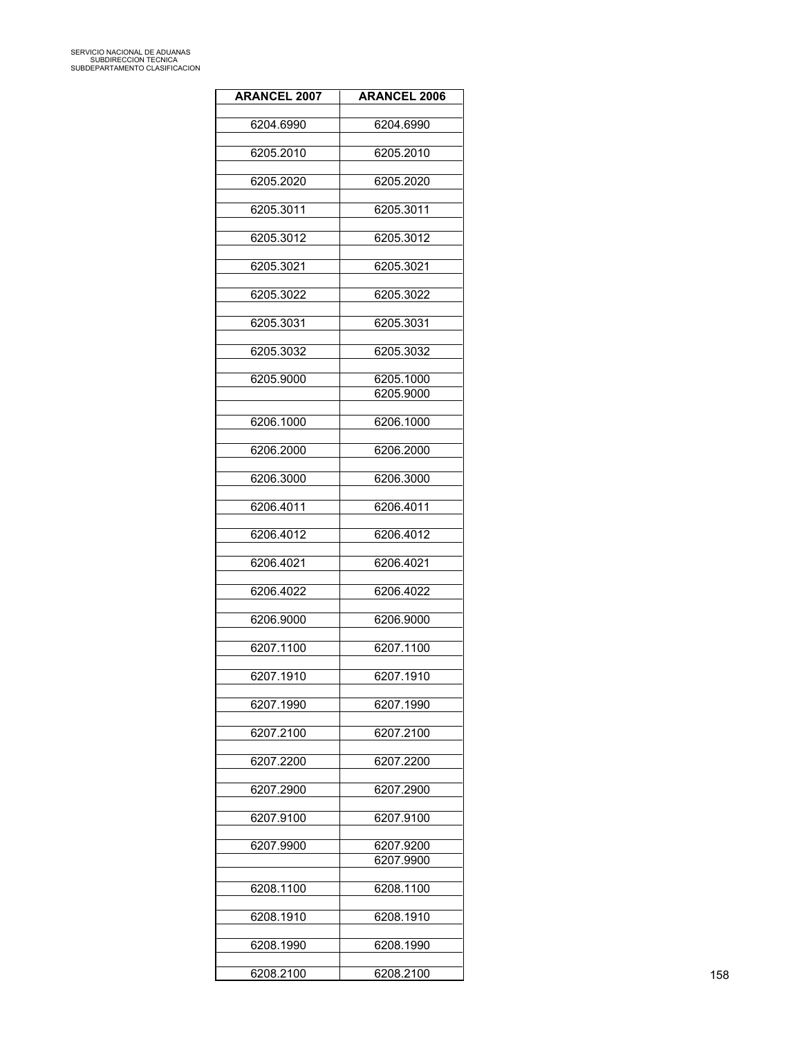| <b>ARANCEL 2007</b> | <b>ARANCEL 2006</b> |
|---------------------|---------------------|
| 6204.6990           | 6204.6990           |
|                     |                     |
| 6205.2010           | 6205.2010           |
| 6205.2020           | 6205.2020           |
| 6205.3011           | 6205.3011           |
| 6205.3012           | 6205.3012           |
| 6205.3021           | 6205.3021           |
| 6205.3022           | 6205.3022           |
| 6205.3031           | 6205.3031           |
| 6205.3032           | 6205.3032           |
| 6205.9000           | 6205.1000           |
|                     | 6205.9000           |
| 6206.1000           | 6206.1000           |
|                     |                     |
| 6206.2000           | 6206.2000           |
| 6206.3000           | 6206.3000           |
| 6206.4011           | 6206.4011           |
| 6206.4012           | 6206.4012           |
| 6206.4021           | 6206.4021           |
| 6206.4022           | 6206.4022           |
| 6206.9000           | 6206.9000           |
| 6207.1100           | 6207.1100           |
| 6207.1910           | 6207.1910           |
| 6207.1990           | 6207.1990           |
| 6207.2100           | 6207.2100           |
| 6207.2200           | 6207.2200           |
|                     |                     |
| 6207.2900           | 6207.2900           |
| 6207.9100           | 6207.9100           |
| 6207.9900           | 6207.9200           |
|                     | 6207.9900           |
| 6208.1100           | 6208.1100           |
| 6208.1910           | 6208.1910           |
| 6208.1990           | 6208.1990           |
| 6208.2100           | 6208.2100           |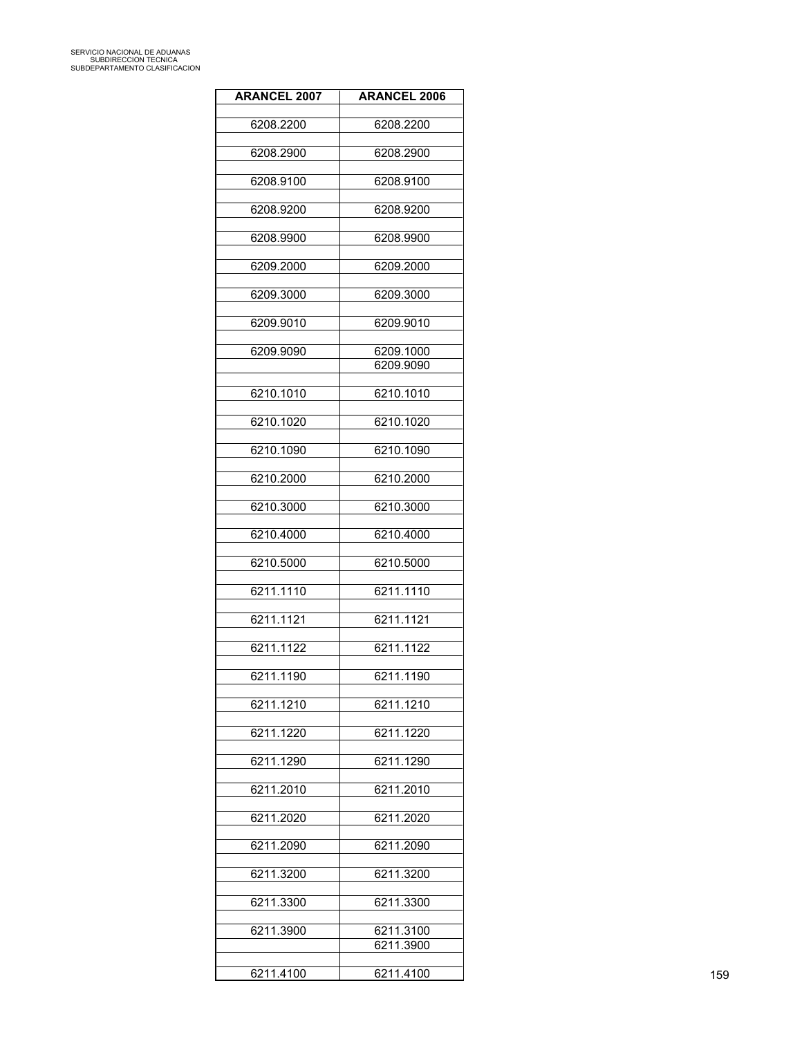| <b>ARANCEL 2007</b> | <b>ARANCEL 2006</b> |
|---------------------|---------------------|
| 6208.2200           | 6208.2200           |
|                     |                     |
| 6208.2900           | 6208.2900           |
| 6208.9100           | 6208.9100           |
| 6208.9200           | 6208.9200           |
| 6208.9900           | 6208.9900           |
|                     |                     |
| 6209.2000           | 6209.2000           |
| 6209.3000           | 6209.3000           |
| 6209.9010           | 6209.9010           |
| 6209.9090           | 6209.1000           |
|                     | 6209.9090           |
| 6210.1010           | 6210.1010           |
|                     |                     |
| 6210.1020           | 6210.1020           |
| 6210.1090           | 6210.1090           |
| 6210.2000           | 6210.2000           |
| 6210.3000           | 6210.3000           |
|                     |                     |
| 6210.4000           | 6210.4000           |
| 6210.5000           | 6210.5000           |
| 6211.1110           | 6211.1110           |
| 6211.1121           | 6211.1121           |
|                     |                     |
| 6211.1122           | 6211.1122           |
| 6211.1190           | 6211.1190           |
| 6211.1210           | 6211.1210           |
| 6211.1220           | 6211.1220           |
|                     |                     |
| 6211.1290           | 6211.1290           |
| 6211.2010           | 6211.2010           |
| 6211.2020           | 6211.2020           |
| 6211.2090           | 6211.2090           |
| 6211.3200           | 6211.3200           |
|                     |                     |
| 6211.3300           | 6211.3300           |
| 6211.3900           | 6211.3100           |
|                     | 6211.3900           |
| 6211.4100           | 6211.4100           |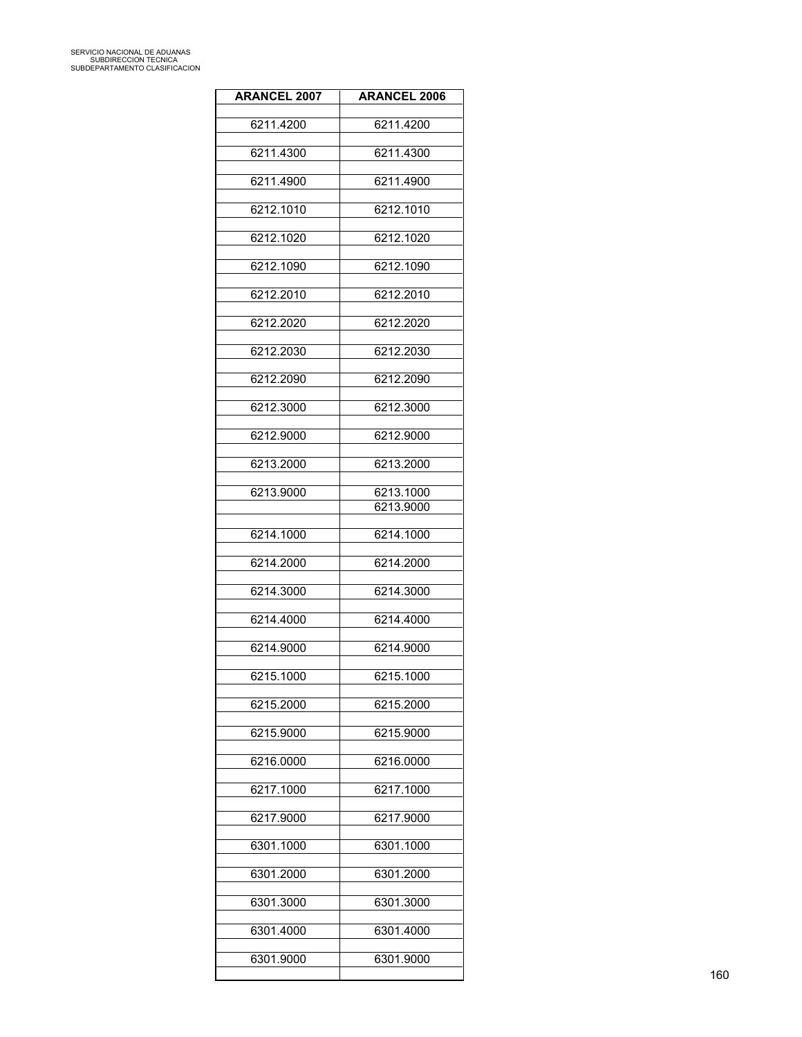| <b>ARANCEL 2007</b> | <b>ARANCEL 2006</b> |
|---------------------|---------------------|
| 6211.4200           | 6211.4200           |
| 6211.4300           | 6211.4300           |
|                     |                     |
| 6211.4900           | 6211.4900           |
| 6212.1010           | 6212.1010           |
| 6212.1020           | 6212.1020           |
| 6212.1090           | 6212.1090           |
| 6212.2010           | 6212.2010           |
| 6212.2020           | 6212.2020           |
| 6212.2030           | 6212.2030           |
| 6212.2090           | 6212.2090           |
| 6212.3000           | 6212.3000           |
| 6212.9000           | 6212.9000           |
| 6213.2000           | 6213.2000           |
| 6213.9000           | 6213.1000           |
|                     | 6213.9000           |
| 6214.1000           | 6214.1000           |
| 6214.2000           | 6214.2000           |
| 6214.3000           | 6214.3000           |
| 6214.4000           | 6214.4000           |
| 6214.9000           | 6214.9000           |
| 6215.1000           | 6215.1000           |
| 6215.2000           | 6215.2000           |
| 6215.9000           | 6215.9000           |
| 6216.0000           | 6216.0000           |
| 6217.1000           | 6217.1000           |
| 6217.9000           | 6217.9000           |
| 6301.1000           | 6301.1000           |
| 6301.2000           | 6301.2000           |
| 6301.3000           | 6301.3000           |
| 6301.4000           | 6301.4000           |
| 6301.9000           | 6301.9000           |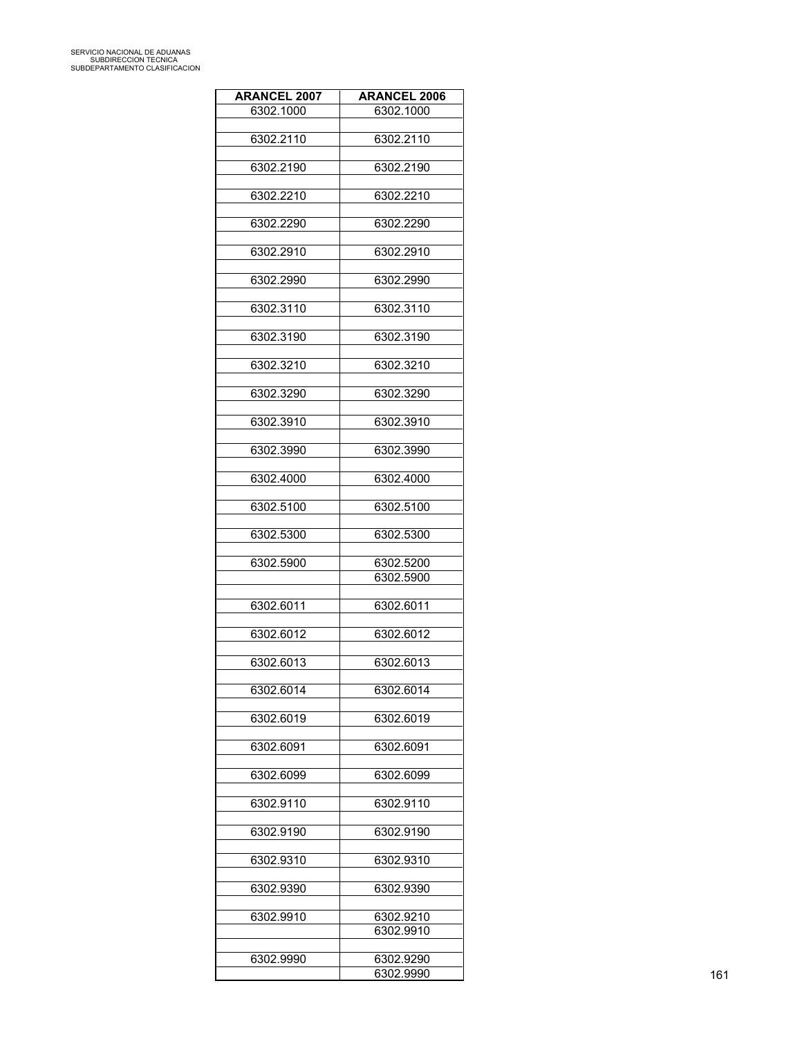| <b>ARANCEL 2007</b> | <b>ARANCEL 2006</b> |
|---------------------|---------------------|
| 6302.1000           | 6302.1000           |
| 6302.2110           | 6302.2110           |
|                     |                     |
| 6302.2190           | 6302.2190           |
| 6302.2210           | 6302.2210           |
|                     |                     |
| 6302.2290           | 6302.2290           |
| 6302.2910           | 6302.2910           |
| 6302.2990           | 6302.2990           |
|                     |                     |
| 6302.3110           | 6302.3110           |
| 6302.3190           | 6302.3190           |
|                     |                     |
| 6302.3210           | 6302.3210           |
| 6302.3290           | 6302.3290           |
|                     |                     |
| 6302.3910           | 6302.3910           |
| 6302.3990           | 6302.3990           |
|                     |                     |
| 6302.4000           | 6302.4000           |
| 6302.5100           | 6302.5100           |
| 6302.5300           | 6302.5300           |
|                     |                     |
| 6302.5900           | 6302.5200           |
|                     | 6302.5900           |
| 6302.6011           | 6302.6011           |
| 6302.6012           | 6302.6012           |
|                     |                     |
| 6302.6013           | 6302.6013           |
| 6302.6014           | 6302.6014           |
|                     |                     |
| 6302.6019           | 6302.6019           |
| 6302.6091           | 6302.6091           |
|                     |                     |
| 6302.6099           | 6302.6099           |
| 6302.9110           | 6302.9110           |
|                     |                     |
| 6302.9190           | 6302.9190           |
| 6302.9310           | 6302.9310           |
| 6302.9390           | 6302.9390           |
|                     |                     |
| 6302.9910           | 6302.9210           |
|                     | 6302.9910           |
| 6302.9990           | 6302.9290           |
|                     | 6302.9990           |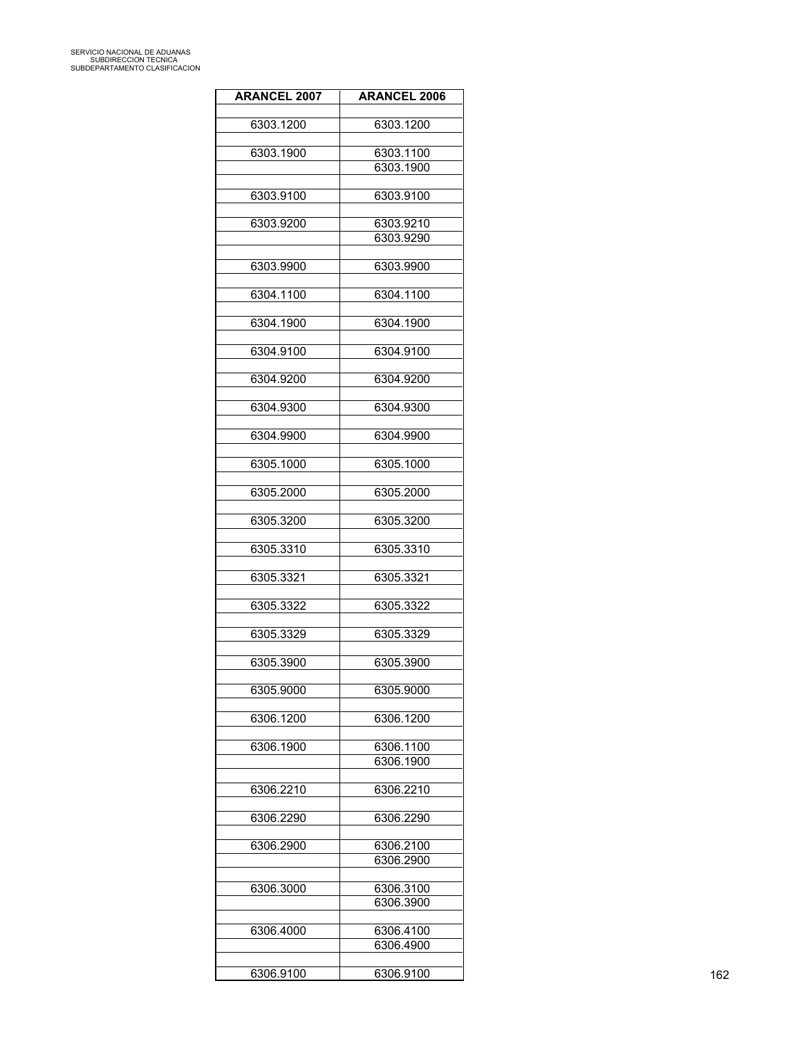| <b>ARANCEL 2007</b> | <b>ARANCEL 2006</b> |
|---------------------|---------------------|
| 6303.1200           | 6303.1200           |
|                     |                     |
| 6303.1900           | 6303.1100           |
|                     | 6303.1900           |
| 6303.9100           | 6303.9100           |
|                     |                     |
| 6303.9200           | 6303.9210           |
|                     | 6303.9290           |
| 6303.9900           | 6303.9900           |
|                     |                     |
| 6304.1100           | 6304.1100           |
|                     |                     |
| 6304.1900           | 6304.1900           |
| 6304.9100           | 6304.9100           |
|                     |                     |
| 6304.9200           | 6304.9200           |
| 6304.9300           | 6304.9300           |
|                     |                     |
| 6304.9900           | 6304.9900           |
|                     |                     |
| 6305.1000           | 6305.1000           |
| 6305.2000           | 6305.2000           |
|                     |                     |
| 6305.3200           | 6305.3200           |
|                     |                     |
| 6305.3310           | 6305.3310           |
| 6305.3321           | 6305.3321           |
|                     |                     |
| 6305.3322           | 6305.3322           |
| 6305.3329           | 6305.3329           |
|                     |                     |
| 6305.3900           | 6305.3900           |
|                     |                     |
| 6305.9000           | 6305.9000           |
| 6306.1200           | 6306.1200           |
|                     |                     |
| 6306.1900           | 6306.1100           |
|                     | 6306.1900           |
| 6306.2210           | 6306.2210           |
|                     |                     |
| 6306.2290           | 6306.2290           |
|                     |                     |
| 6306.2900           | 6306.2100           |
|                     | 6306.2900           |
| 6306.3000           | 6306.3100           |
|                     | 6306.3900           |
|                     |                     |
| 6306.4000           | 6306.4100           |
|                     | 6306.4900           |
| 6306.9100           | 6306.9100           |
|                     |                     |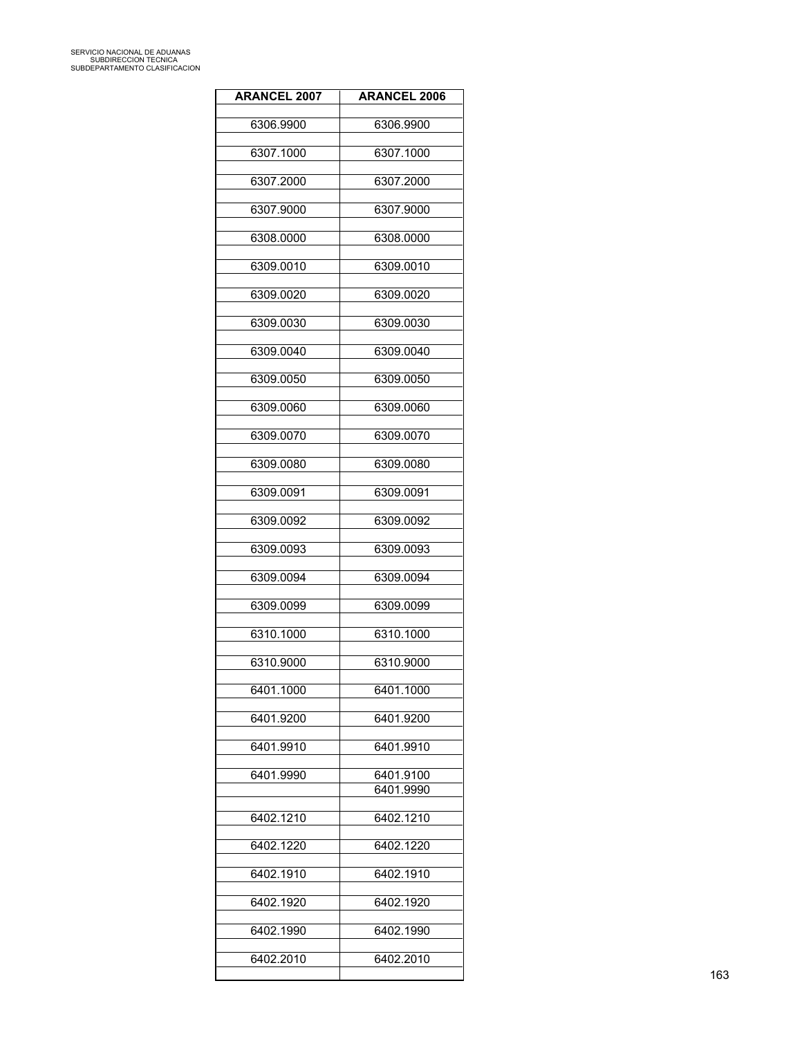| <b>ARANCEL 2007</b> | <b>ARANCEL 2006</b> |
|---------------------|---------------------|
| 6306.9900           | 6306.9900           |
|                     |                     |
| 6307.1000           | 6307.1000           |
| 6307.2000           | 6307.2000           |
| 6307.9000           | 6307.9000           |
| 6308.0000           | 6308.0000           |
| 6309.0010           | 6309.0010           |
| 6309.0020           | 6309.0020           |
| 6309.0030           | 6309.0030           |
| 6309.0040           | 6309.0040           |
| 6309.0050           | 6309.0050           |
| 6309.0060           | 6309.0060           |
| 6309.0070           | 6309.0070           |
| 6309.0080           | 6309.0080           |
| 6309.0091           | 6309.0091           |
| 6309.0092           | 6309.0092           |
| 6309.0093           | 6309.0093           |
| 6309.0094           | 6309.0094           |
| 6309.0099           | 6309.0099           |
| 6310.1000           | 6310.1000           |
| 6310.9000           | 6310.9000           |
| 6401.1000           | 6401.1000           |
| 6401.9200           | 6401.9200           |
| 6401.9910           | 6401.9910           |
| 6401.9990           | 6401.9100           |
|                     | 6401.9990           |
| 6402.1210           | 6402.1210           |
| 6402.1220           | 6402.1220           |
| 6402.1910           | 6402.1910           |
| 6402.1920           | 6402.1920           |
| 6402.1990           | 6402.1990           |
| 6402.2010           | 6402.2010           |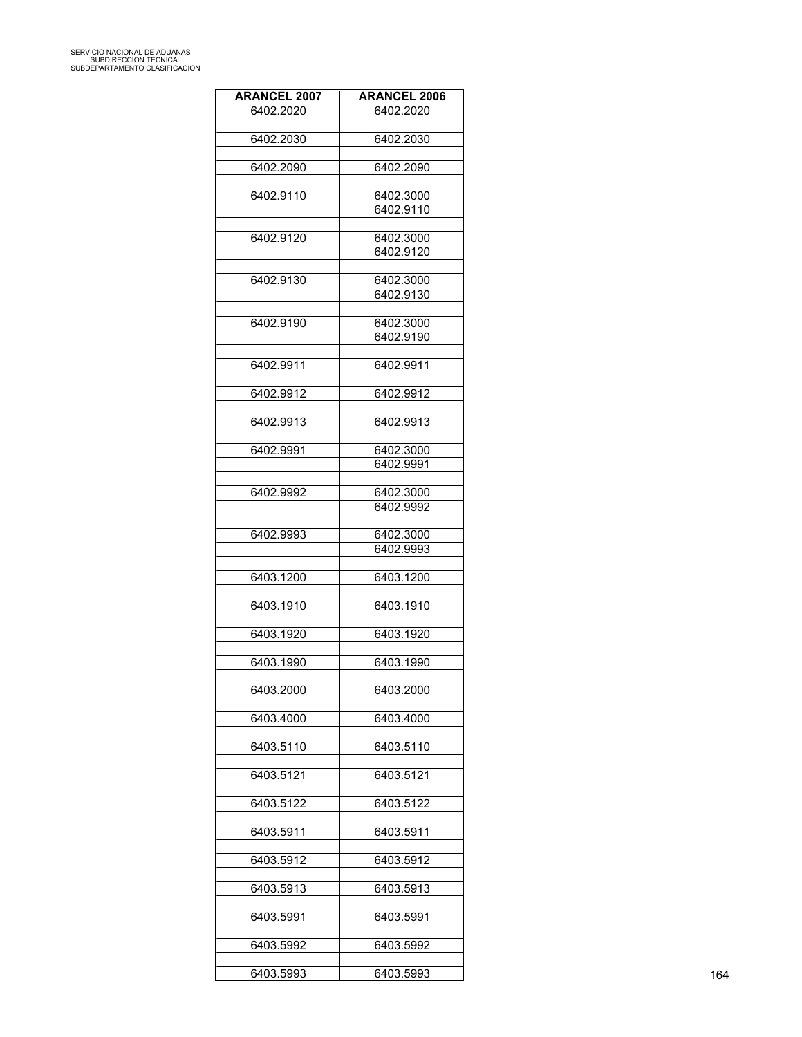| <b>ARANCEL 2007</b> | <b>ARANCEL 2006</b>    |
|---------------------|------------------------|
| 6402.2020           | 6402.2020              |
| 6402.2030           | 6402.2030              |
|                     |                        |
| 6402.2090           | 6402.2090              |
| 6402.9110           | 6402.3000              |
|                     | 6402.9110              |
|                     |                        |
| 6402.9120           | 6402.3000              |
|                     | 6402.9120              |
| 6402.9130           | 6402.3000              |
|                     | 6402.9130              |
|                     |                        |
| 6402.9190           | 6402.3000<br>6402.9190 |
|                     |                        |
| 6402.9911           | 6402.9911              |
| 6402.9912           |                        |
|                     | 6402.9912              |
| 6402.9913           | 6402.9913              |
|                     |                        |
| 6402.9991           | 6402.3000              |
|                     | 6402.9991              |
| 6402.9992           | 6402.3000              |
|                     | 6402.9992              |
|                     |                        |
| 6402.9993           | 6402.3000<br>6402.9993 |
|                     |                        |
| 6403.1200           | 6403.1200              |
|                     |                        |
| 6403.1910           | 6403.1910              |
| 6403.1920           | 6403.1920              |
|                     |                        |
| 6403.1990           | 6403.1990              |
| 6403.2000           | 6403.2000              |
|                     |                        |
| 6403.4000           | 6403.4000              |
|                     |                        |
| 6403.5110           | 6403.5110              |
| 6403.5121           | 6403.5121              |
|                     |                        |
| 6403.5122           | 6403.5122              |
|                     |                        |
| 6403.5911           | 6403.5911              |
| 6403.5912           | 6403.5912              |
|                     |                        |
| 6403.5913           | 6403.5913              |
| 6403.5991           | 6403.5991              |
|                     |                        |
| 6403.5992           | 6403.5992              |
|                     |                        |
| 6403.5993           | 6403.5993              |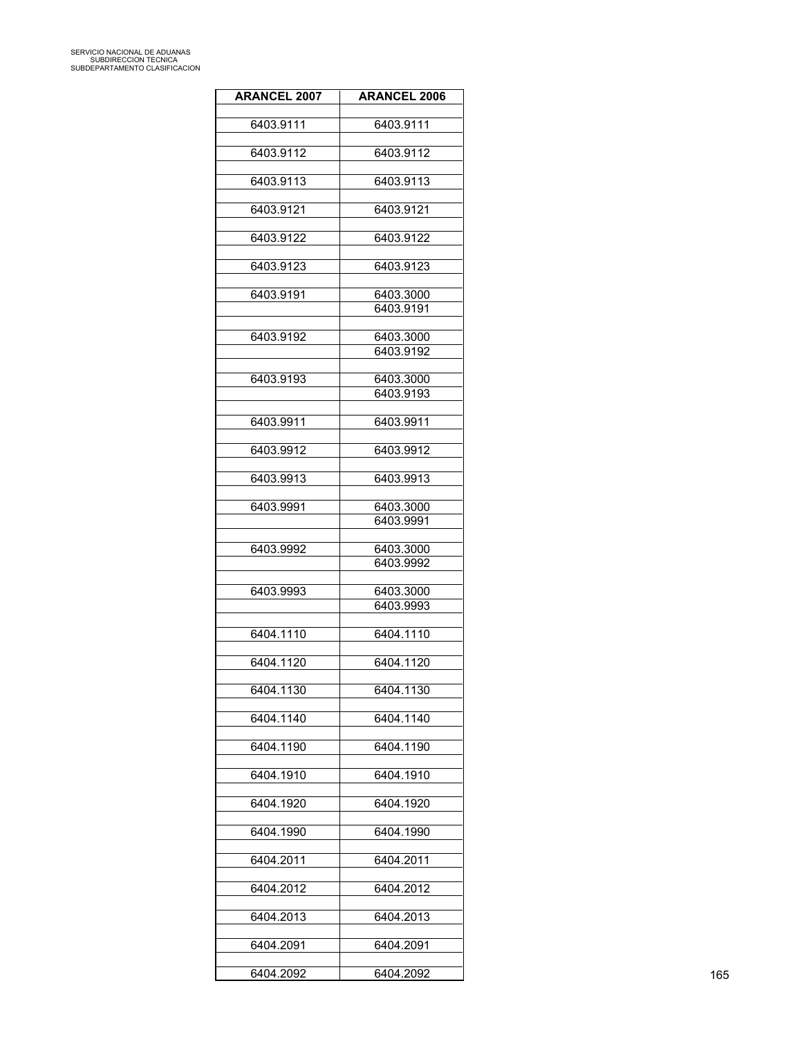| <b>ARANCEL 2007</b> | <b>ARANCEL 2006</b>    |
|---------------------|------------------------|
| 6403.9111           | 6403.9111              |
|                     |                        |
| 6403.9112           | 6403.9112              |
| 6403.9113           | 6403.9113              |
| 6403.9121           | 6403.9121              |
| 6403.9122           | 6403.9122              |
| 6403.9123           | 6403.9123              |
| 6403.9191           | 6403.3000              |
|                     | 6403.9191              |
| 6403.9192           | 6403.3000              |
|                     | 6403.9192              |
|                     |                        |
| 6403.9193           | 6403.3000              |
|                     | 6403.9193              |
| 6403.9911           | 6403.9911              |
|                     |                        |
| 6403.9912           | 6403.9912              |
| 6403.9913           | 6403.9913              |
|                     |                        |
| 6403.9991           | 6403.3000              |
|                     | 6403.9991              |
|                     |                        |
| 6403.9992           | 6403.3000<br>6403.9992 |
|                     |                        |
| 6403.9993           | 6403.3000              |
|                     | 6403.9993              |
| 6404.1110           | 6404.1110              |
|                     |                        |
| 6404.1120           | 6404.1120              |
|                     |                        |
| 6404.1130           | 6404.1130              |
| 6404.1140           | 6404.1140              |
|                     |                        |
| 6404.1190           | 6404.1190              |
|                     |                        |
| 6404.1910           | 6404.1910              |
| 6404.1920           | 6404.1920              |
|                     |                        |
| 6404.1990           | 6404.1990              |
|                     |                        |
| 6404.2011           | 6404.2011              |
| 6404.2012           | 6404.2012              |
|                     |                        |
| 6404.2013           | 6404.2013              |
| 6404.2091           | 6404.2091              |
|                     |                        |
| 6404.2092           | 6404.2092              |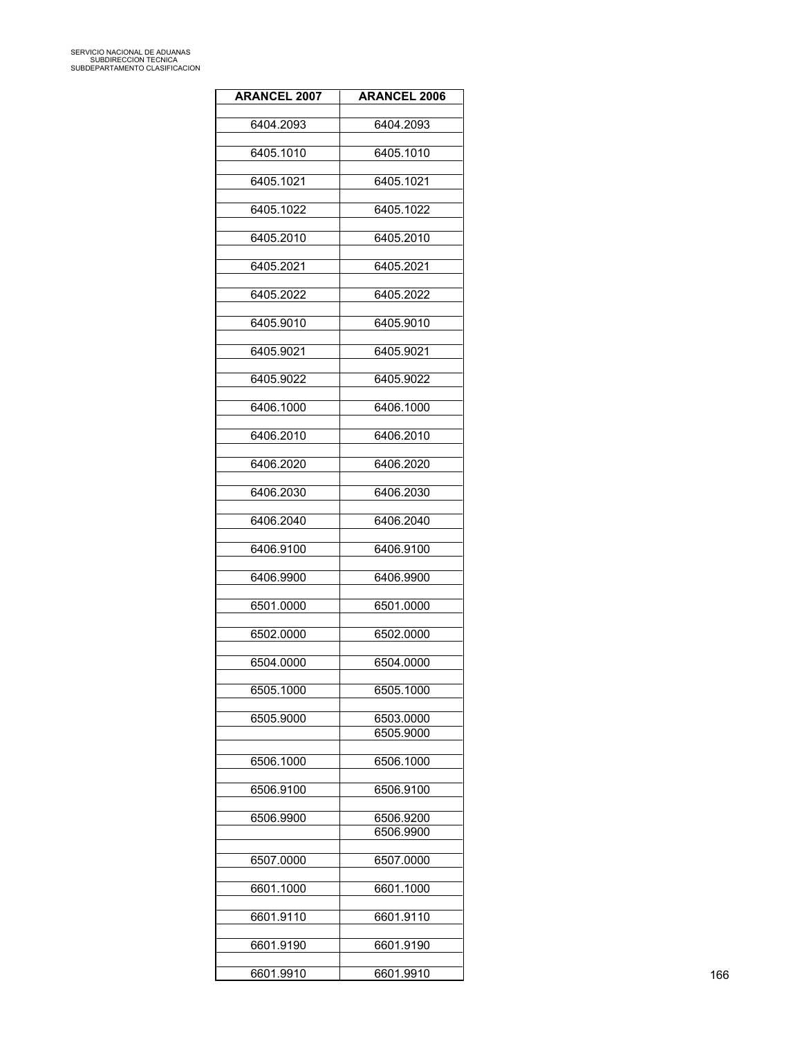| <b>ARANCEL 2007</b> | <b>ARANCEL 2006</b>    |
|---------------------|------------------------|
| 6404.2093           | 6404.2093              |
|                     |                        |
| 6405.1010           | 6405.1010              |
| 6405.1021           | 6405.1021              |
| 6405.1022           | 6405.1022              |
| 6405.2010           | 6405.2010              |
|                     |                        |
| 6405.2021           | 6405.2021              |
| 6405.2022           | 6405.2022              |
| 6405.9010           | 6405.9010              |
| 6405.9021           | 6405.9021              |
| 6405.9022           | 6405.9022              |
| 6406.1000           | 6406.1000              |
|                     |                        |
| 6406.2010           | 6406.2010              |
| 6406.2020           | 6406.2020              |
| 6406.2030           | 6406.2030              |
| 6406.2040           | 6406.2040              |
| 6406.9100           | 6406.9100              |
|                     |                        |
| 6406.9900           | 6406.9900              |
| 6501.0000           | 6501.0000              |
| 6502.0000           | 6502.0000              |
| 6504.0000           | 6504.0000              |
|                     |                        |
| 6505.1000           | 6505.1000              |
| 6505.9000           | 6503.0000<br>6505.9000 |
|                     |                        |
| 6506.1000           | 6506.1000              |
| 6506.9100           | 6506.9100              |
| 6506.9900           | 6506.9200              |
|                     | 6506.9900              |
| 6507.0000           | 6507.0000              |
| 6601.1000           | 6601.1000              |
| 6601.9110           | 6601.9110              |
|                     |                        |
| 6601.9190           | 6601.9190              |
| 6601.9910           | 6601.9910              |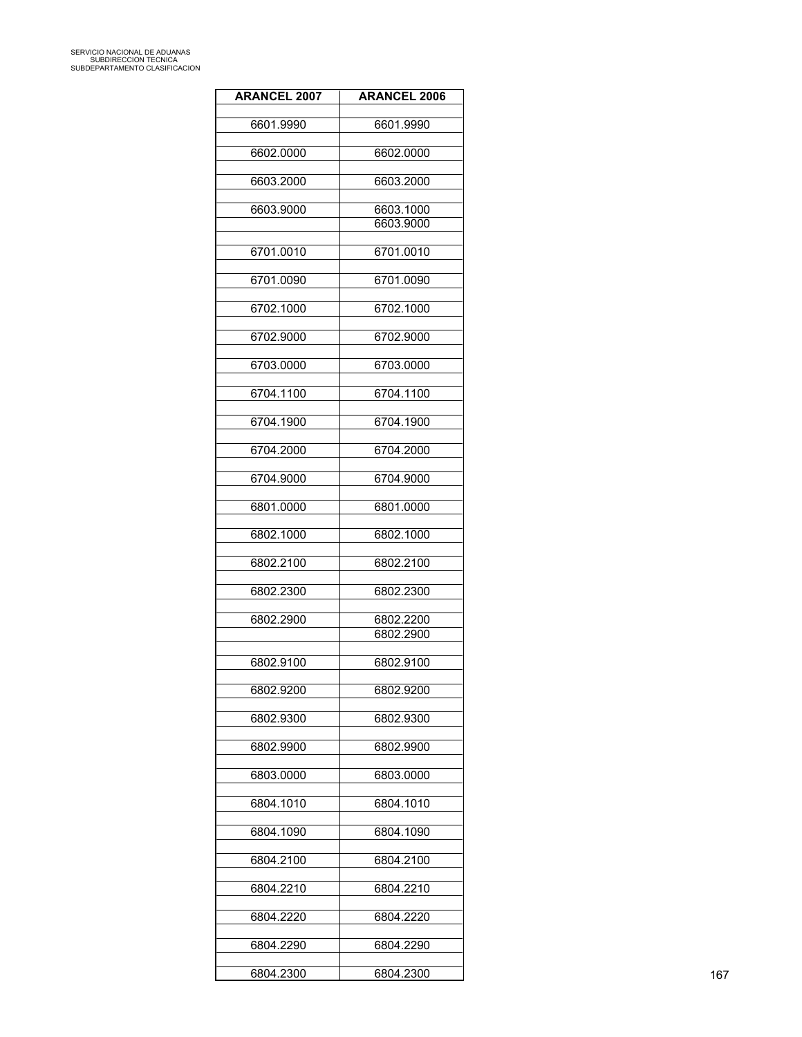| <b>ARANCEL 2006</b> |
|---------------------|
| 6601.9990           |
|                     |
| 6602.0000           |
| 6603.2000           |
| 6603.1000           |
| 6603.9000           |
| 6701.0010           |
| 6701.0090           |
| 6702.1000           |
| 6702.9000           |
|                     |
| 6703.0000           |
| 6704.1100           |
| 6704.1900           |
| 6704.2000           |
| 6704.9000           |
| 6801.0000           |
|                     |
| 6802.1000           |
| 6802.2100           |
| 6802.2300           |
| 6802.2200           |
| 6802.2900           |
| 6802.9100           |
| 6802.9200           |
|                     |
| 6802.9300           |
| 6802.9900           |
| 6803.0000           |
| 6804.1010           |
| 6804.1090           |
| 6804.2100           |
|                     |
| 6804.2210           |
| 6804.2220           |
| 6804.2290           |
| 6804.2300           |
|                     |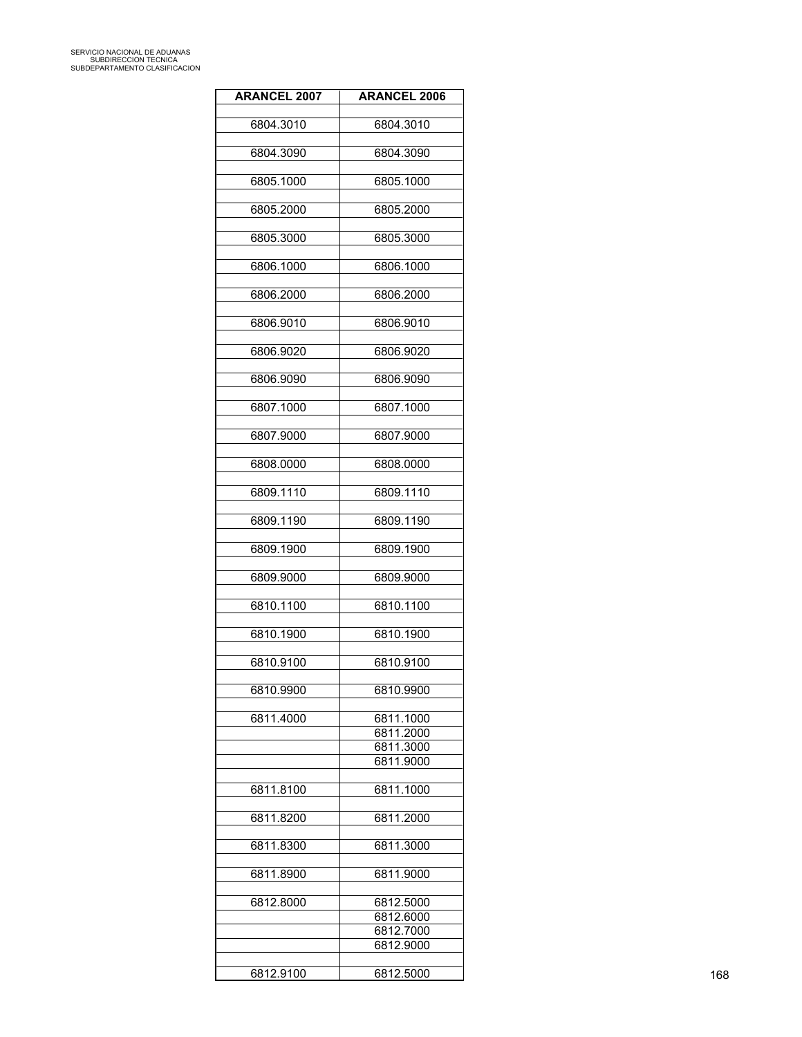| <b>ARANCEL 2007</b> | <b>ARANCEL 2006</b>    |
|---------------------|------------------------|
|                     | 6804.3010              |
| 6804.3010           |                        |
| 6804.3090           | 6804.3090              |
|                     |                        |
| 6805.1000           | 6805.1000              |
| 6805.2000           | 6805.2000              |
|                     |                        |
| 6805.3000           | 6805.3000              |
| 6806.1000           | 6806.1000              |
|                     |                        |
| 6806.2000           | 6806.2000              |
| 6806.9010           | 6806.9010              |
|                     |                        |
| 6806.9020           | 6806.9020              |
| 6806.9090           | 6806.9090              |
|                     |                        |
| 6807.1000           | 6807.1000              |
| 6807.9000           | 6807.9000              |
|                     |                        |
| 6808.0000           | 6808.0000              |
|                     |                        |
| 6809.1110           | 6809.1110              |
| 6809.1190           | 6809.1190              |
|                     |                        |
| 6809.1900           | 6809.1900              |
| 6809.9000           | 6809.9000              |
|                     |                        |
| 6810.1100           | 6810.1100              |
| 6810.1900           | 6810.1900              |
|                     |                        |
| 6810.9100           | 6810.9100              |
| 6810.9900           | 6810.9900              |
|                     |                        |
| 6811.4000           | 6811.1000              |
|                     | 6811.2000              |
|                     | 6811.3000<br>6811.9000 |
|                     |                        |
| 6811.8100           | 6811.1000              |
| 6811.8200           | 6811.2000              |
|                     |                        |
| 6811.8300           | 6811.3000              |
|                     |                        |
| 6811.8900           | 6811.9000              |
| 6812.8000           | 6812.5000              |
|                     | 6812.6000              |
|                     | 6812.7000              |
|                     | 6812.9000              |
| 6812.9100           | 6812.5000              |
|                     |                        |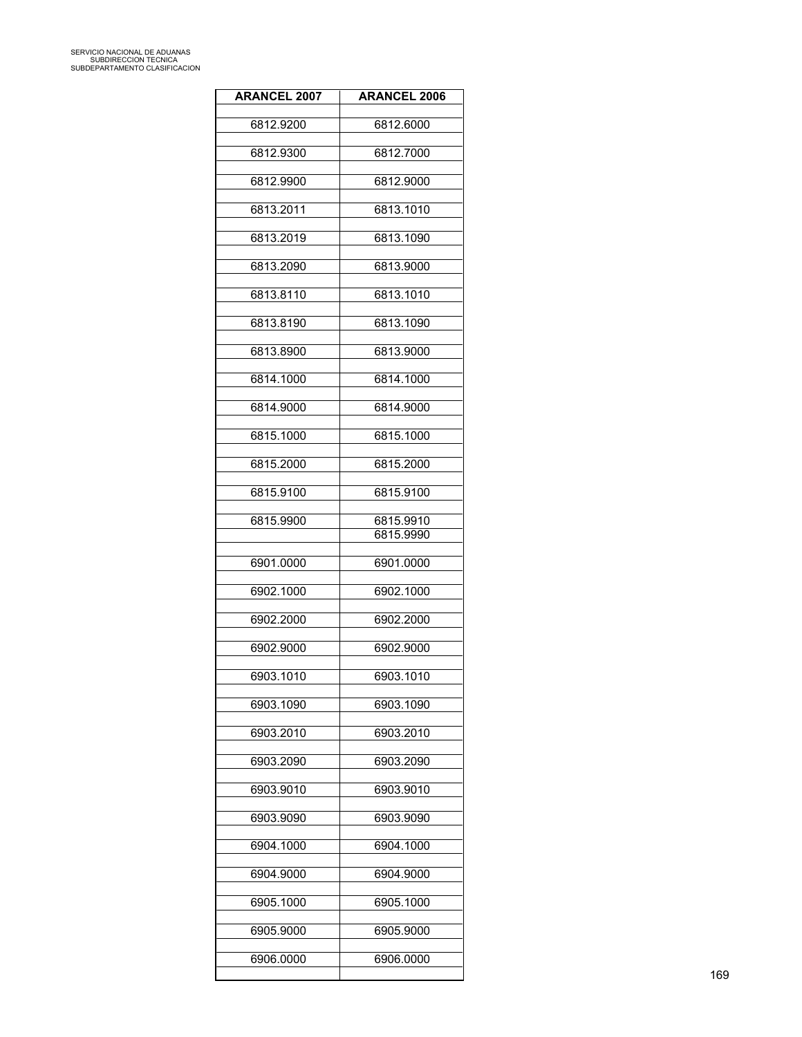| <b>ARANCEL 2007</b> | <b>ARANCEL 2006</b>    |
|---------------------|------------------------|
| 6812.9200           | 6812.6000              |
| 6812.9300           | 6812.7000              |
| 6812.9900           | 6812.9000              |
| 6813.2011           | 6813.1010              |
| 6813.2019           | 6813.1090              |
| 6813.2090           | 6813.9000              |
| 6813.8110           | 6813.1010              |
| 6813.8190           | 6813.1090              |
| 6813.8900           | 6813.9000              |
| 6814.1000           | 6814.1000              |
| 6814.9000           | 6814.9000              |
| 6815.1000           | 6815.1000              |
| 6815.2000           | 6815.2000              |
| 6815.9100           | 6815.9100              |
| 6815.9900           | 6815.9910<br>6815.9990 |
| 6901.0000           | 6901.0000              |
| 6902.1000           | 6902.1000              |
| 6902.2000           | 6902.2000              |
| 6902.9000           | 6902.9000              |
| 6903.1010           | 6903.1010              |
| 6903.1090           | 6903.1090              |
| 6903.2010           | 6903.2010              |
| 6903.2090           | 6903.2090              |
| 6903.9010           | 6903.9010              |
| 6903.9090           | 6903.9090              |
| 6904.1000           | 6904.1000              |
| 6904.9000           | 6904.9000              |
| 6905.1000           | 6905.1000              |
| 6905.9000           | 6905.9000              |
| 6906.0000           | 6906.0000              |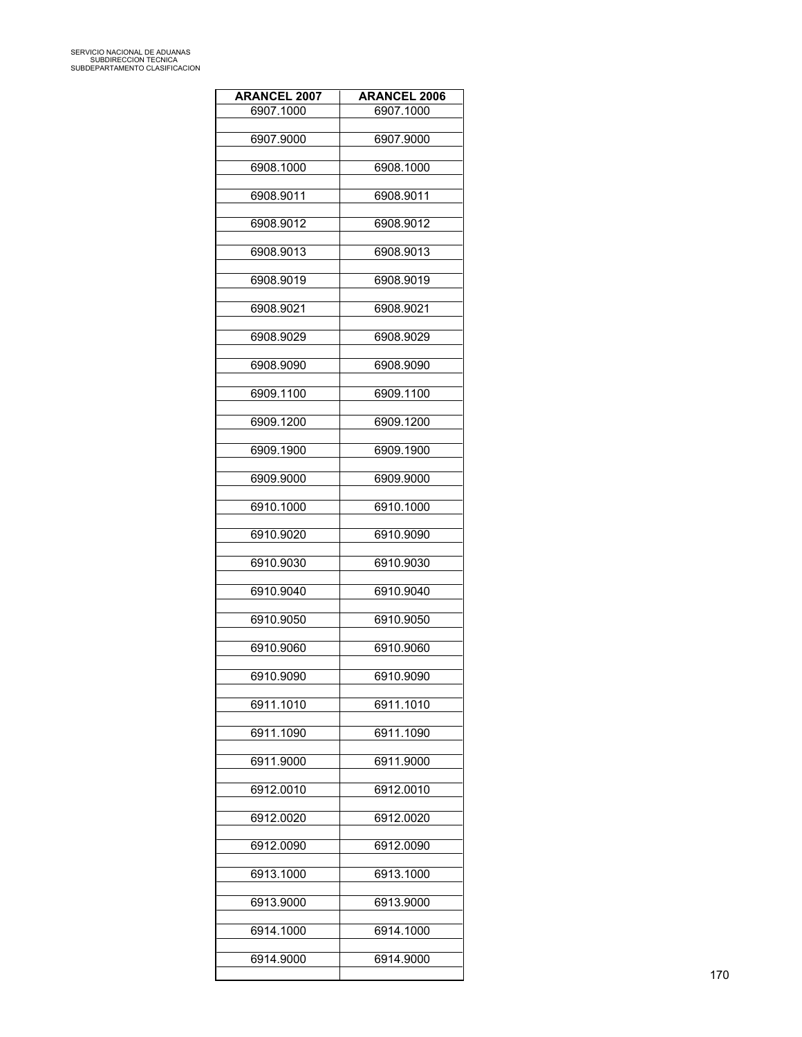| <b>ARANCEL 2007</b> | <b>ARANCEL 2006</b> |
|---------------------|---------------------|
| 6907.1000           | 6907.1000           |
| 6907.9000           | 6907.9000           |
| 6908.1000           | 6908.1000           |
| 6908.9011           | 6908.9011           |
| 6908.9012           | 6908.9012           |
| 6908.9013           | 6908.9013           |
| 6908.9019           | 6908.9019           |
| 6908.9021           | 6908.9021           |
| 6908.9029           | 6908.9029           |
| 6908.9090           | 6908.9090           |
| 6909.1100           | 6909.1100           |
| 6909.1200           | 6909.1200           |
| 6909.1900           | 6909.1900           |
| 6909.9000           | 6909.9000           |
| 6910.1000           | 6910.1000           |
| 6910.9020           | 6910.9090           |
| 6910.9030           | 6910.9030           |
| 6910.9040           | 6910.9040           |
| 6910.9050           | 6910.9050           |
| 6910.9060           | 6910.9060           |
| 6910.9090           | 6910.9090           |
| 6911.1010           | 6911.1010           |
| 6911.1090           | 6911.1090           |
| 6911.9000           | 6911.9000           |
| 6912.0010           | 6912.0010           |
| 6912.0020           | 6912.0020           |
| 6912.0090           | 6912.0090           |
| 6913.1000           | 6913.1000           |
| 6913.9000           | 6913.9000           |
| 6914.1000           | 6914.1000           |
| 6914.9000           | 6914.9000           |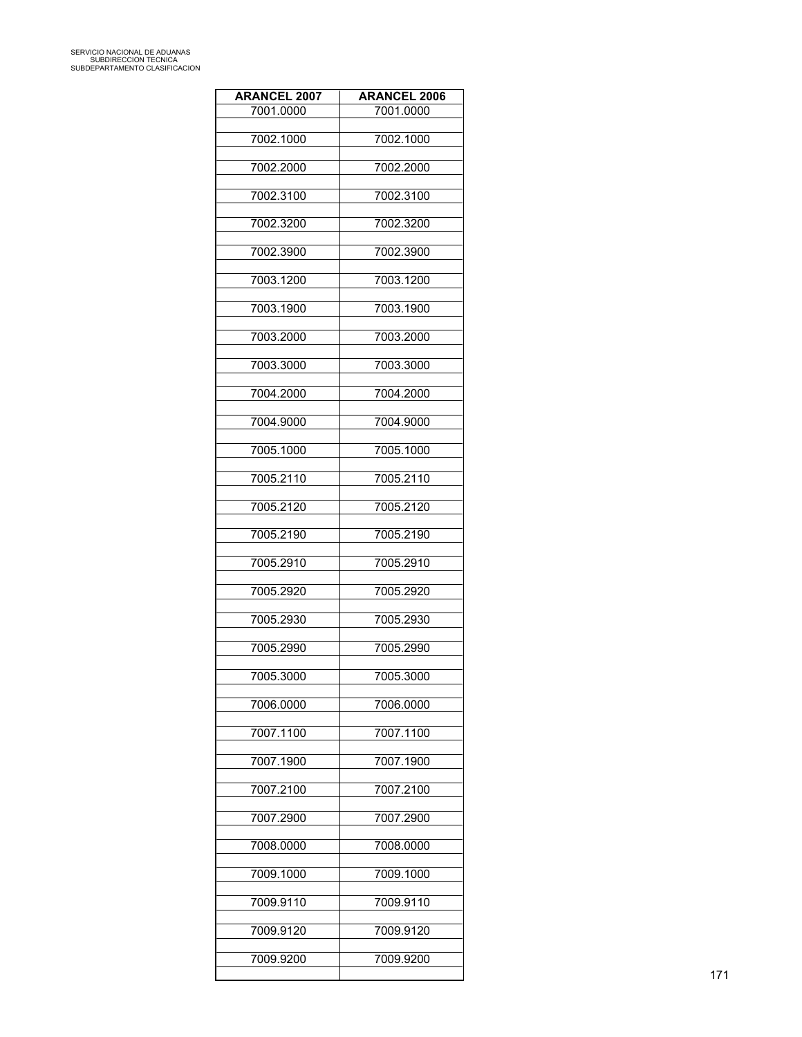| <b>ARANCEL 2007</b> | <b>ARANCEL 2006</b> |
|---------------------|---------------------|
| 7001.0000           | 7001.0000           |
| 7002.1000           | 7002.1000           |
| 7002.2000           | 7002.2000           |
| 7002.3100           | 7002.3100           |
| 7002.3200           | 7002.3200           |
| 7002.3900           | 7002.3900           |
| 7003.1200           | 7003.1200           |
| 7003.1900           | 7003.1900           |
| 7003.2000           | 7003.2000           |
| 7003.3000           | 7003.3000           |
| 7004.2000           | 7004.2000           |
| 7004.9000           | 7004.9000           |
| 7005.1000           | 7005.1000           |
| 7005.2110           | 7005.2110           |
| 7005.2120           | 7005.2120           |
| 7005.2190           | 7005.2190           |
| 7005.2910           | 7005.2910           |
| 7005.2920           | 7005.2920           |
| 7005.2930           | 7005.2930           |
| 7005.2990           | 7005.2990           |
| 7005.3000           | 7005.3000           |
| 7006.0000           | 7006.0000           |
| 7007.1100           | 7007.1100           |
| 7007.1900           | 7007.1900           |
| 7007.2100           | 7007.2100           |
| 7007.2900           | 7007.2900           |
| 7008.0000           | 7008.0000           |
| 7009.1000           | 7009.1000           |
| 7009.9110           | 7009.9110           |
| 7009.9120           | 7009.9120           |
| 7009.9200           | 7009.9200           |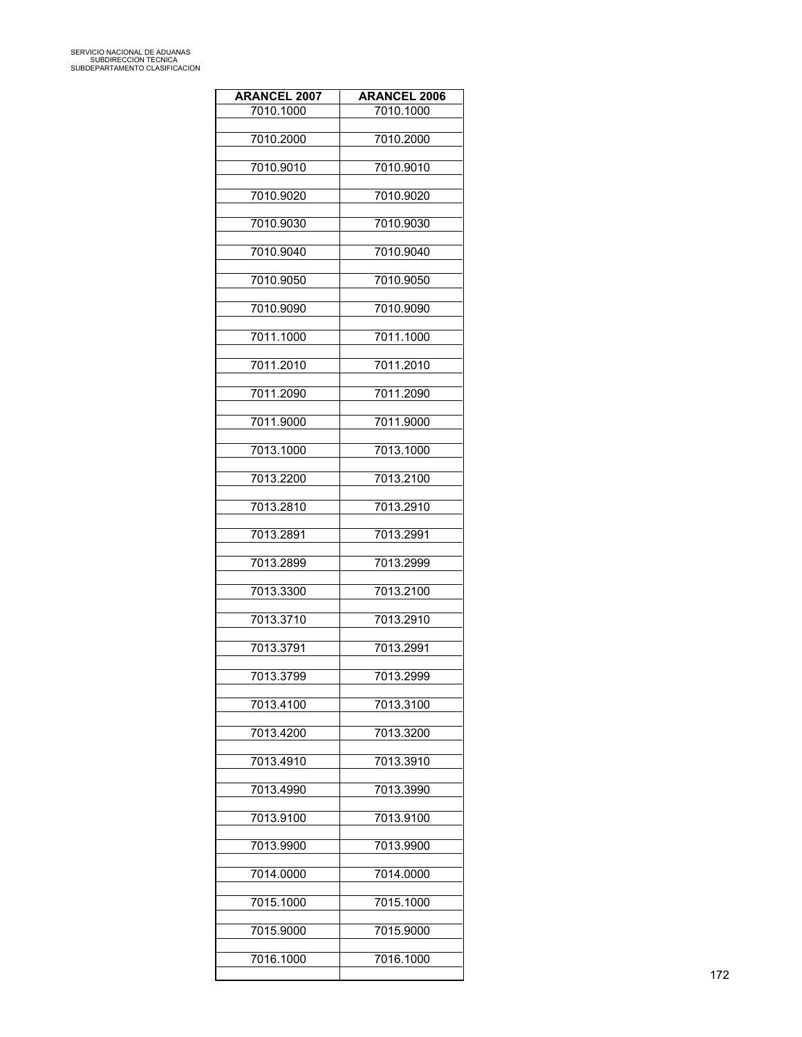| <b>ARANCEL 2007</b> | <b>ARANCEL 2006</b> |
|---------------------|---------------------|
| 7010.1000           | 7010.1000           |
| 7010.2000           | 7010.2000           |
| 7010.9010           | 7010.9010           |
| 7010.9020           | 7010.9020           |
| 7010.9030           | 7010.9030           |
| 7010.9040           | 7010.9040           |
| 7010.9050           | 7010.9050           |
| 7010.9090           | 7010.9090           |
| 7011.1000           | 7011.1000           |
| 7011.2010           | 7011.2010           |
| 7011.2090           | 7011.2090           |
| 7011.9000           | 7011.9000           |
| 7013.1000           | 7013.1000           |
| 7013.2200           | 7013.2100           |
| 7013.2810           | 7013.2910           |
| 7013.2891           | 7013.2991           |
| 7013.2899           | 7013.2999           |
| 7013.3300           | 7013.2100           |
| 7013.3710           | 7013.2910           |
| 7013.3791           | 7013.2991           |
| 7013.3799           | 7013.2999           |
| 7013.4100           | 7013.3100           |
| 7013.4200           | 7013.3200           |
| 7013.4910           | 7013.3910           |
| 7013.4990           | 7013.3990           |
| 7013.9100           | 7013.9100           |
| 7013.9900           | 7013.9900           |
| 7014.0000           | 7014.0000           |
| 7015.1000           | 7015.1000           |
| 7015.9000           | 7015.9000           |
| 7016.1000           | 7016.1000           |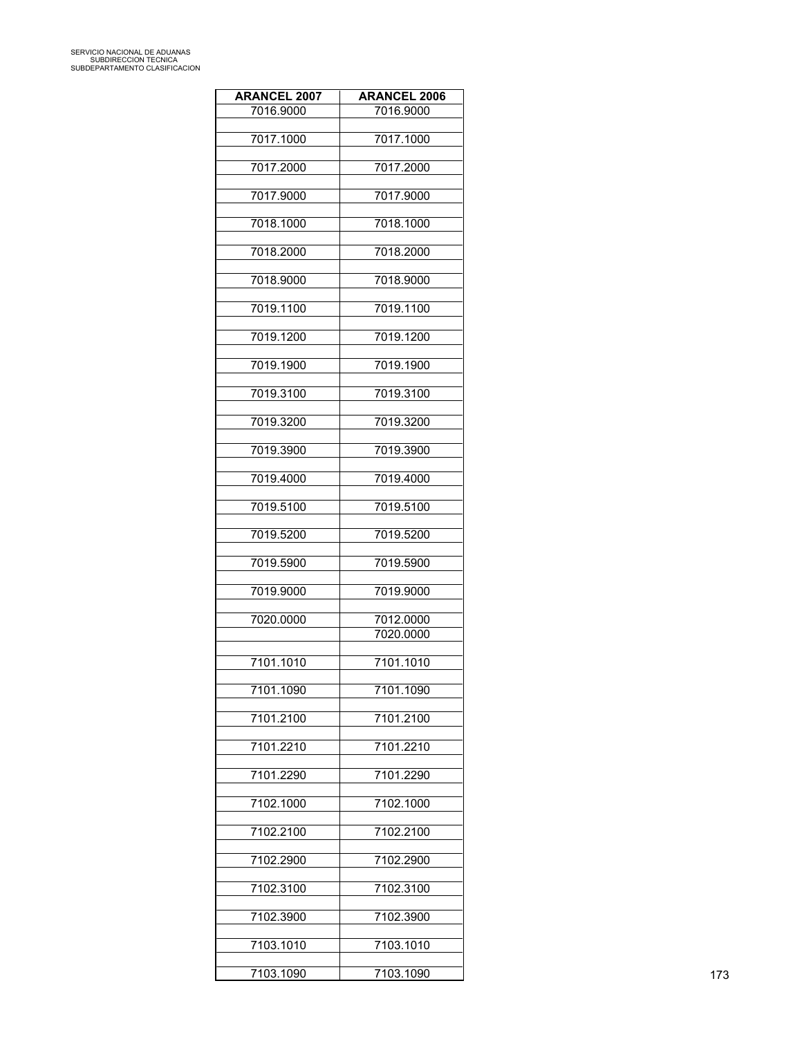| <b>ARANCEL 2007</b> | <b>ARANCEL 2006</b> |
|---------------------|---------------------|
| 7016.9000           | 7016.9000           |
| 7017.1000           | 7017.1000           |
| 7017.2000           | 7017.2000           |
| 7017.9000           | 7017.9000           |
| 7018.1000           | 7018.1000           |
| 7018.2000           | 7018.2000           |
| 7018.9000           | 7018.9000           |
| 7019.1100           | 7019.1100           |
|                     |                     |
| 7019.1200           | 7019.1200           |
| 7019.1900           | 7019.1900           |
| 7019.3100           | 7019.3100           |
| 7019.3200           | 7019.3200           |
| 7019.3900           | 7019.3900           |
| 7019.4000           | 7019.4000           |
| 7019.5100           | 7019.5100           |
| 7019.5200           | 7019.5200           |
| 7019.5900           | 7019.5900           |
| 7019.9000           | 7019.9000           |
| 7020.0000           | 7012.0000           |
|                     | 7020.0000           |
| 7101.1010           | 7101.1010           |
| 7101.1090           | 7101.1090           |
| 7101.2100           | 7101.2100           |
| 7101.2210           | 7101.2210           |
| 7101.2290           | 7101.2290           |
| 7102.1000           | 7102.1000           |
|                     |                     |
| 7102.2100           | 7102.2100           |
| 7102.2900           | 7102.2900           |
| 7102.3100           | 7102.3100           |
| 7102.3900           | 7102.3900           |
| 7103.1010           | 7103.1010           |
| 7103.1090           | 7103.1090           |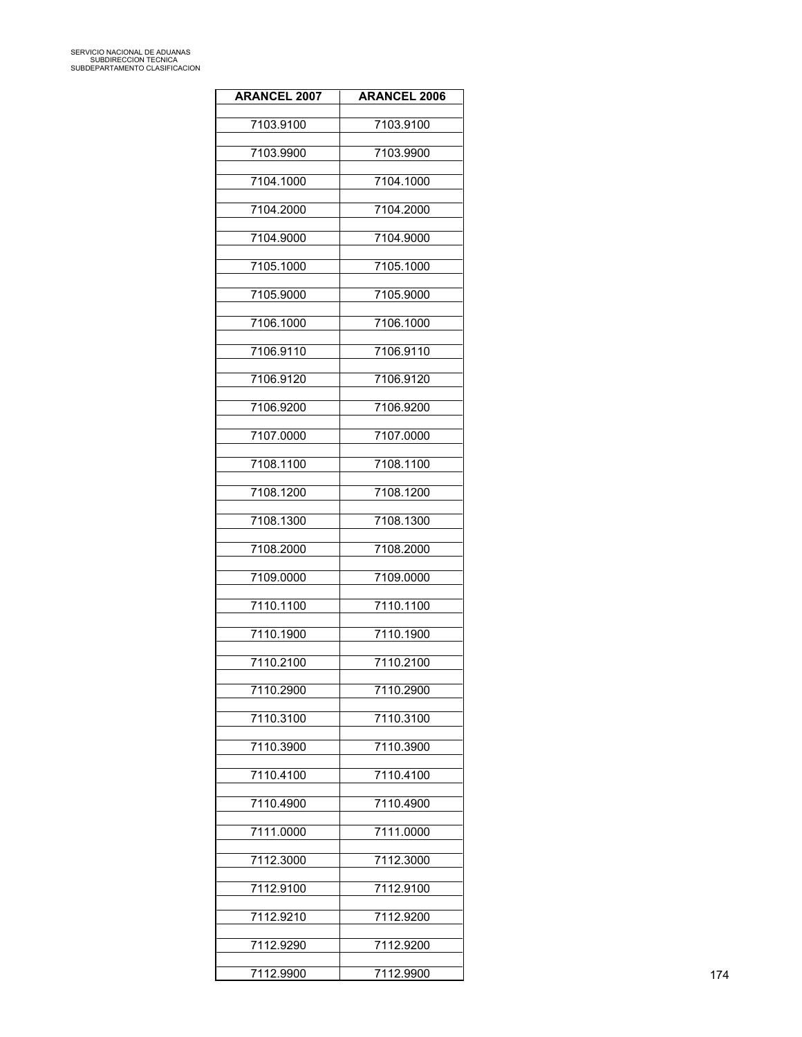| <b>ARANCEL 2007</b> | <b>ARANCEL 2006</b> |
|---------------------|---------------------|
| 7103.9100           | 7103.9100           |
| 7103.9900           | 7103.9900           |
| 7104.1000           | 7104.1000           |
|                     |                     |
| 7104.2000           | 7104.2000           |
| 7104.9000           | 7104.9000           |
| 7105.1000           | 7105.1000           |
| 7105.9000           | 7105.9000           |
| 7106.1000           | 7106.1000           |
| 7106.9110           | 7106.9110           |
| 7106.9120           | 7106.9120           |
| 7106.9200           | 7106.9200           |
| 7107.0000           | 7107.0000           |
| 7108.1100           | 7108.1100           |
| 7108.1200           | 7108.1200           |
| 7108.1300           | 7108.1300           |
| 7108.2000           | 7108.2000           |
| 7109.0000           | 7109.0000           |
|                     |                     |
| 7110.1100           | 7110.1100           |
| 7110.1900           | 7110.1900           |
| 7110.2100           | 7110.2100           |
| 7110.2900           | 7110.2900           |
| 7110.3100           | 7110.3100           |
| 7110.3900           | 7110.3900           |
| 7110.4100           | 7110.4100           |
| 7110.4900           | 7110.4900           |
| 7111.0000           | 7111.0000           |
| 7112.3000           | 7112.3000           |
| 7112.9100           | 7112.9100           |
| 7112.9210           | 7112.9200           |
|                     |                     |
| 7112.9290           | 7112.9200           |
| 7112.9900           | 7112.9900           |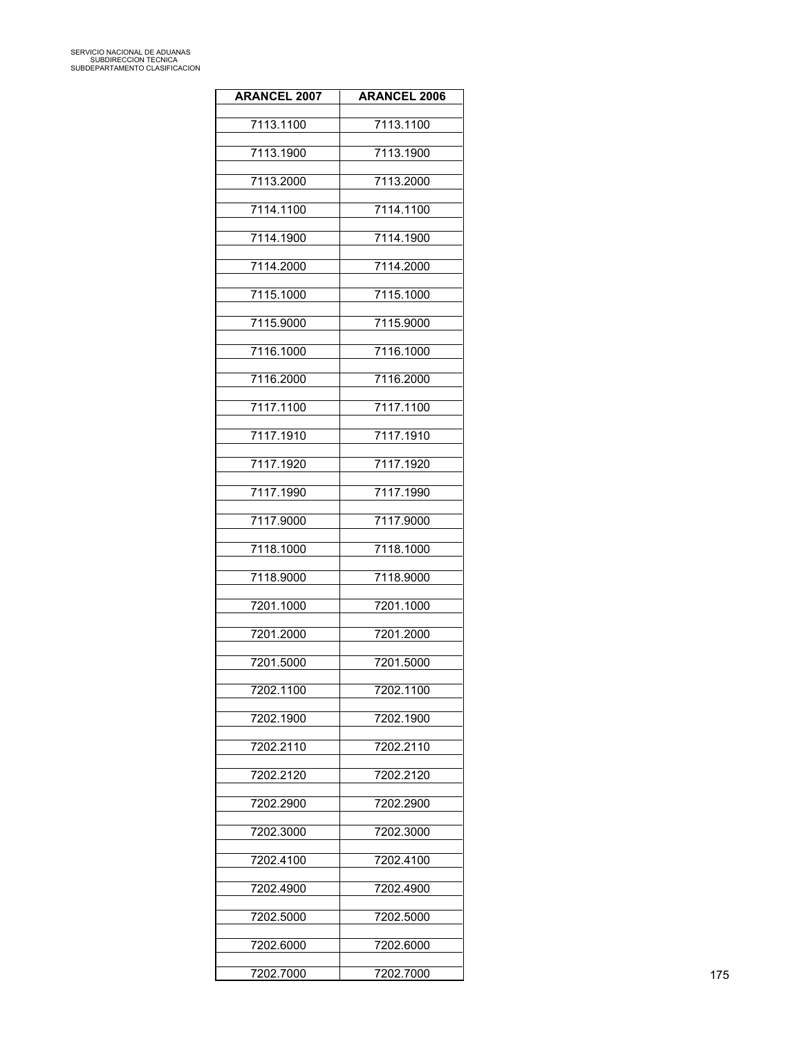| <b>ARANCEL 2007</b> | <b>ARANCEL 2006</b> |
|---------------------|---------------------|
| 7113.1100           | 7113.1100           |
| 7113.1900           | 7113.1900           |
|                     |                     |
| 7113.2000           | 7113.2000           |
| 7114.1100           | 7114.1100           |
| 7114.1900           | 7114.1900           |
| 7114.2000           | 7114.2000           |
| 7115.1000           | 7115.1000           |
| 7115.9000           | 7115.9000           |
| 7116.1000           | 7116.1000           |
| 7116.2000           | 7116.2000           |
| 7117.1100           | 7117.1100           |
| 7117.1910           | 7117.1910           |
| 7117.1920           | 7117.1920           |
| 7117.1990           | 7117.1990           |
| 7117.9000           | 7117.9000           |
| 7118.1000           | 7118.1000           |
|                     |                     |
| 7118.9000           | 7118.9000           |
| 7201.1000           | 7201.1000           |
| 7201.2000           | 7201.2000           |
| 7201.5000           | 7201.5000           |
| 7202.1100           | 7202.1100           |
| 7202.1900           | 7202.1900           |
| 7202.2110           | 7202.2110           |
| 7202.2120           | 7202.2120           |
| 7202.2900           | 7202.2900           |
| 7202.3000           | 7202.3000           |
| 7202.4100           | 7202.4100           |
| 7202.4900           | 7202.4900           |
|                     |                     |
| 7202.5000           | 7202.5000           |
| 7202.6000           | 7202.6000           |
| 7202.7000           | 7202.7000           |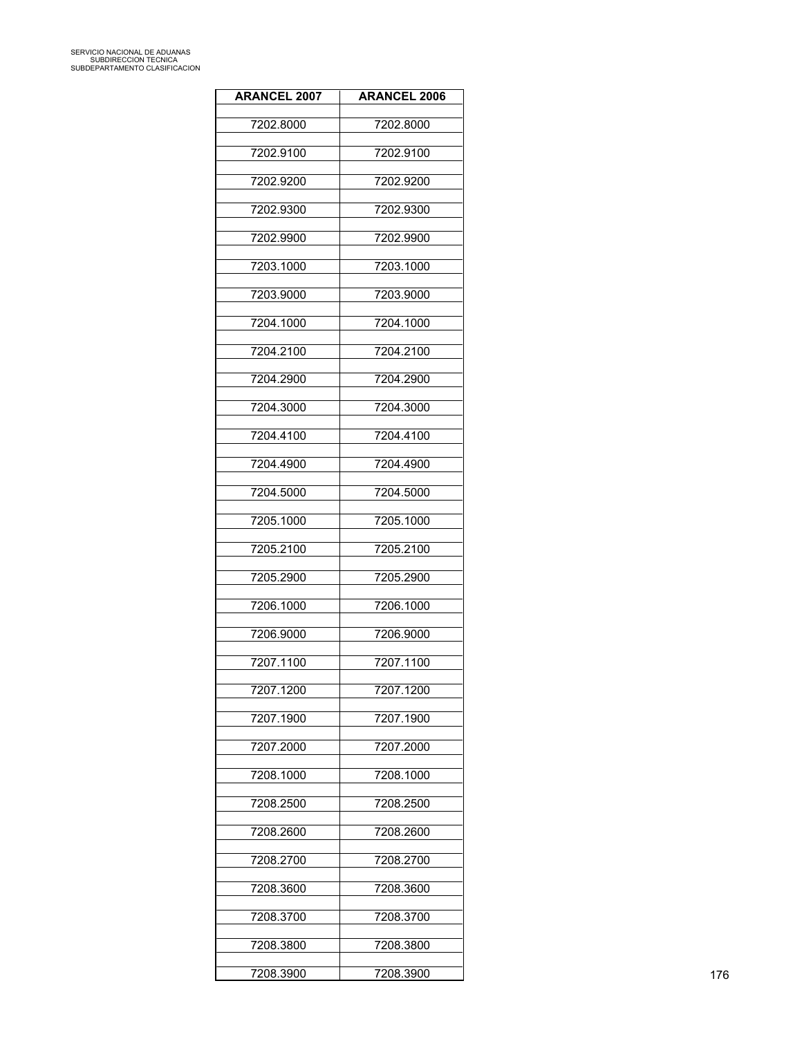| <b>ARANCEL 2007</b> | <b>ARANCEL 2006</b> |
|---------------------|---------------------|
| 7202.8000           | 7202.8000           |
| 7202.9100           | 7202.9100           |
| 7202.9200           | 7202.9200           |
| 7202.9300           | 7202.9300           |
| 7202.9900           | 7202.9900           |
| 7203.1000           | 7203.1000           |
|                     |                     |
| 7203.9000           | 7203.9000           |
| 7204.1000           | 7204.1000           |
| 7204.2100           | 7204.2100           |
| 7204.2900           | 7204.2900           |
| 7204.3000           | 7204.3000           |
| 7204.4100           | 7204.4100           |
| 7204.4900           | 7204.4900           |
| 7204.5000           | 7204.5000           |
| 7205.1000           | 7205.1000           |
| 7205.2100           | 7205.2100           |
| 7205.2900           | 7205.2900           |
| 7206.1000           | 7206.1000           |
| 7206.9000           | 7206.9000           |
|                     |                     |
| 7207.1100           | 7207.1100           |
| 7207.1200           | 7207.1200           |
| 7207.1900           | 7207.1900           |
| 7207.2000           | 7207.2000           |
| 7208.1000           | 7208.1000           |
| 7208.2500           | 7208.2500           |
| 7208.2600           | 7208.2600           |
| 7208.2700           | 7208.2700           |
| 7208.3600           | 7208.3600           |
| 7208.3700           | 7208.3700           |
| 7208.3800           | 7208.3800           |
| 7208.3900           | 7208.3900           |
|                     |                     |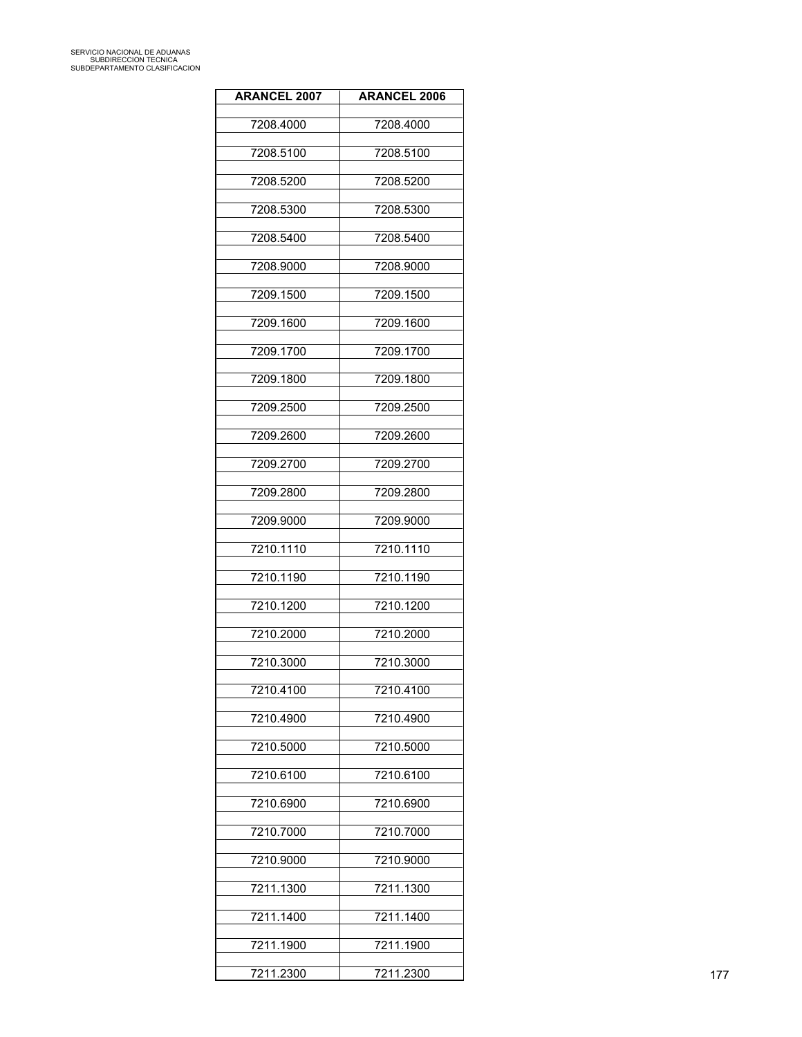| <b>ARANCEL 2007</b> | <b>ARANCEL 2006</b> |
|---------------------|---------------------|
| 7208.4000           | 7208.4000           |
| 7208.5100           | 7208.5100           |
| 7208.5200           | 7208.5200           |
| 7208.5300           | 7208.5300           |
| 7208.5400           | 7208.5400           |
| 7208.9000           | 7208.9000           |
| 7209.1500           | 7209.1500           |
| 7209.1600           | 7209.1600           |
|                     |                     |
| 7209.1700           | 7209.1700           |
| 7209.1800           | 7209.1800           |
| 7209.2500           | 7209.2500           |
| 7209.2600           | 7209.2600           |
| 7209.2700           | 7209.2700           |
| 7209.2800           | 7209.2800           |
| 7209.9000           | 7209.9000           |
| 7210.1110           | 7210.1110           |
| 7210.1190           | 7210.1190           |
| 7210.1200           | 7210.1200           |
| 7210.2000           | 7210.2000           |
| 7210.3000           | 7210.3000           |
| 7210.4100           | 7210.4100           |
| 7210.4900           | 7210.4900           |
| 7210.5000           | 7210.5000           |
| 7210.6100           | 7210.6100           |
| 7210.6900           | 7210.6900           |
| 7210.7000           | 7210.7000           |
|                     |                     |
| 7210.9000           | 7210.9000           |
| 7211.1300           | 7211.1300           |
| 7211.1400           | 7211.1400           |
| 7211.1900           | 7211.1900           |
| 7211.2300           | 7211.2300           |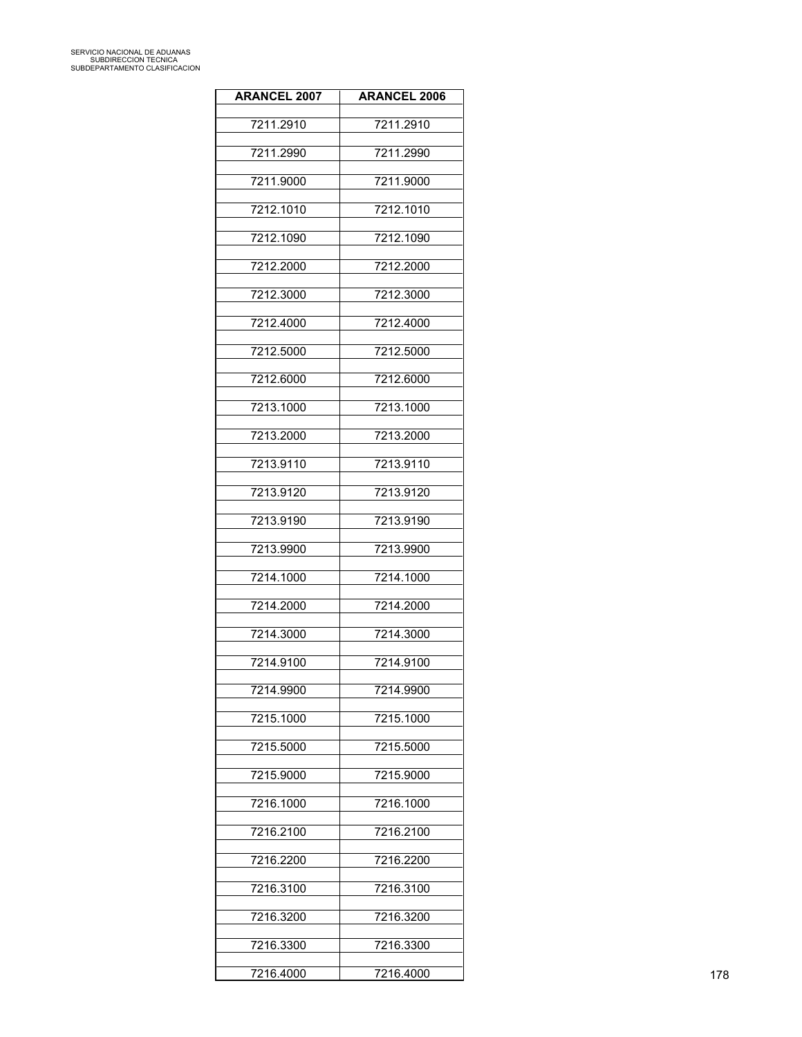| <b>ARANCEL 2007</b> | <b>ARANCEL 2006</b> |
|---------------------|---------------------|
| 7211.2910           | 7211.2910           |
| 7211.2990           | 7211.2990           |
|                     |                     |
| 7211.9000           | 7211.9000           |
| 7212.1010           | 7212.1010           |
| 7212.1090           | 7212.1090           |
| 7212.2000           | 7212.2000           |
| 7212.3000           | 7212.3000           |
| 7212.4000           | 7212.4000           |
| 7212.5000           | 7212.5000           |
| 7212.6000           | 7212.6000           |
| 7213.1000           | 7213.1000           |
| 7213.2000           | 7213.2000           |
| 7213.9110           | 7213.9110           |
| 7213.9120           | 7213.9120           |
| 7213.9190           | 7213.9190           |
| 7213.9900           | 7213.9900           |
| 7214.1000           | 7214.1000           |
| 7214.2000           | 7214.2000           |
| 7214.3000           | 7214.3000           |
| 7214.9100           | 7214.9100           |
| 7214.9900           | 7214.9900           |
| 7215.1000           | 7215.1000           |
| 7215.5000           | 7215.5000           |
|                     |                     |
| 7215.9000           | 7215.9000           |
| 7216.1000           | 7216.1000           |
| 7216.2100           | 7216.2100           |
| 7216.2200           | 7216.2200           |
| 7216.3100           | 7216.3100           |
| 7216.3200           | 7216.3200           |
| 7216.3300           | 7216.3300           |
| 7216.4000           | 7216.4000           |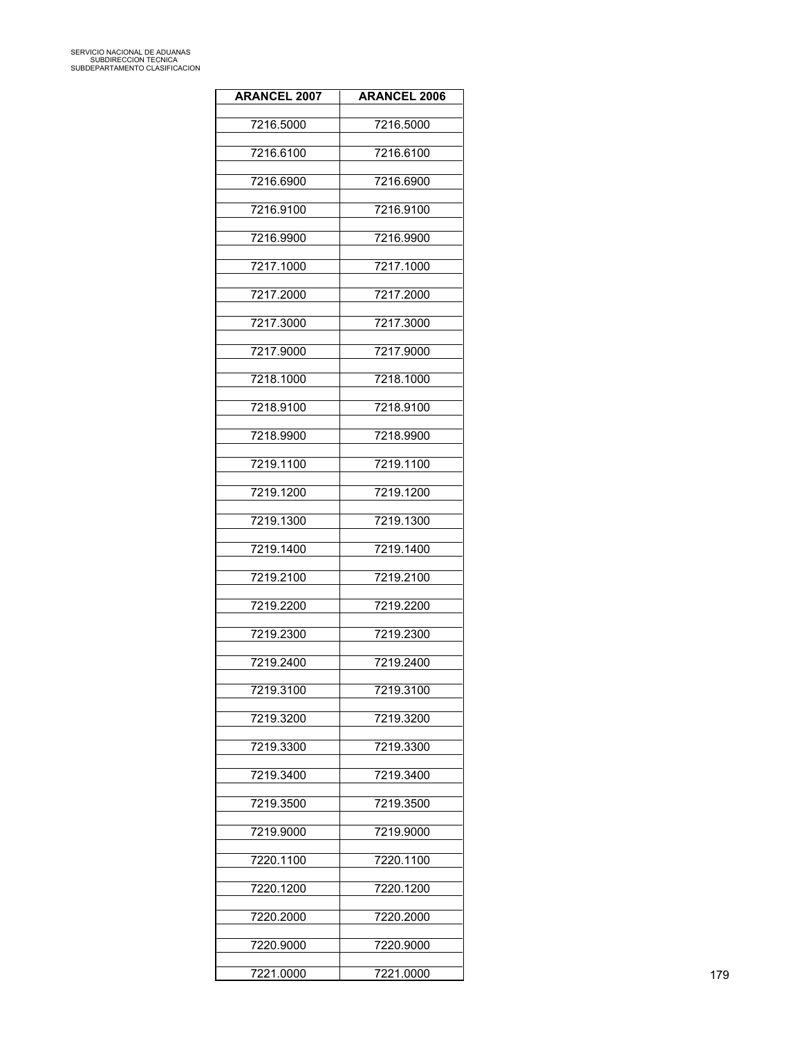| <b>ARANCEL 2007</b> | <b>ARANCEL 2006</b> |
|---------------------|---------------------|
| 7216.5000           | 7216.5000           |
| 7216.6100           | 7216.6100           |
|                     |                     |
| 7216.6900           | 7216.6900           |
| 7216.9100           | 7216.9100           |
| 7216.9900           | 7216.9900           |
| 7217.1000           | 7217.1000           |
| 7217.2000           | 7217.2000           |
| 7217.3000           | 7217.3000           |
| 7217.9000           | 7217.9000           |
| 7218.1000           | 7218.1000           |
| 7218.9100           | 7218.9100           |
| 7218.9900           | 7218.9900           |
| 7219.1100           | 7219.1100           |
| 7219.1200           | 7219.1200           |
| 7219.1300           | 7219.1300           |
| 7219.1400           | 7219.1400           |
| 7219.2100           | 7219.2100           |
| 7219.2200           | 7219.2200           |
| 7219.2300           | 7219.2300           |
| 7219.2400           | 7219.2400           |
| 7219.3100           | 7219.3100           |
| 7219.3200           | 7219.3200           |
| 7219.3300           | 7219.3300           |
| 7219.3400           | 7219.3400           |
| 7219.3500           | 7219.3500           |
| 7219.9000           | 7219.9000           |
| 7220.1100           | 7220.1100           |
| 7220.1200           | 7220.1200           |
| 7220.2000           | 7220.2000           |
| 7220.9000           | 7220.9000           |
| 7221.0000           | 7221.0000           |
|                     |                     |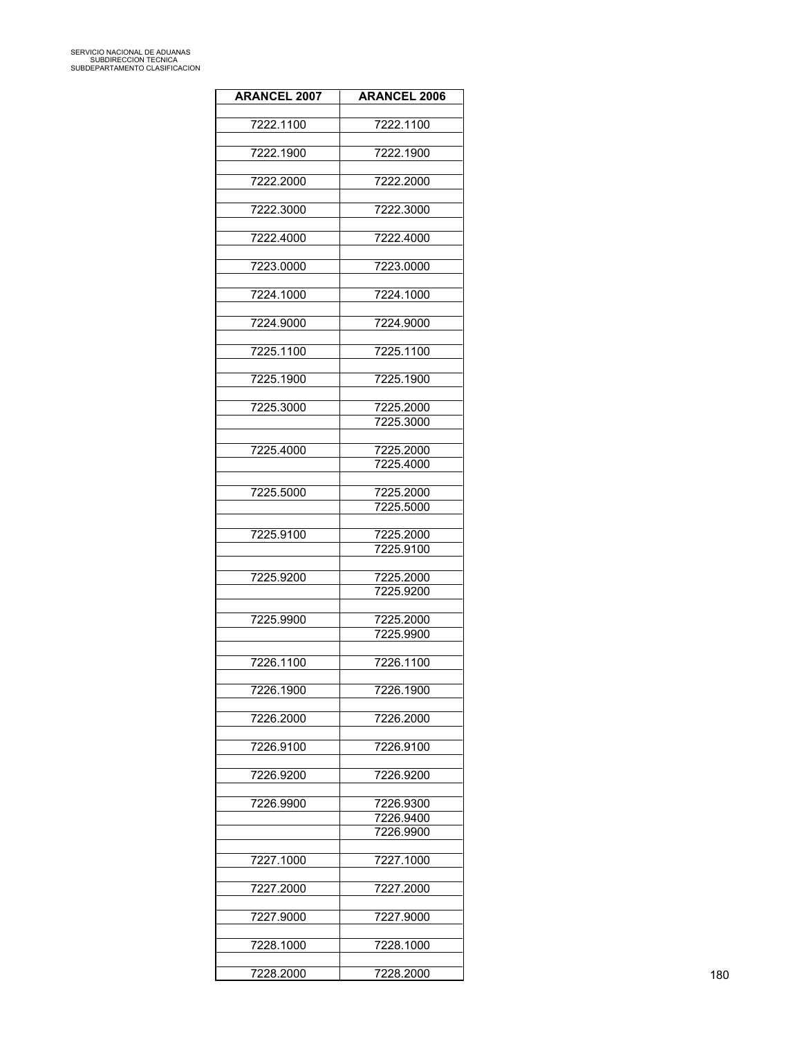| <b>ARANCEL 2007</b> | <b>ARANCEL 2006</b>    |
|---------------------|------------------------|
|                     |                        |
| 7222.1100           | 7222.1100              |
| 7222.1900           | 7222.1900              |
| 7222.2000           | 7222.2000              |
| 7222.3000           | 7222.3000              |
| 7222.4000           | 7222.4000              |
| 7223.0000           | 7223.0000              |
| 7224.1000           | 7224.1000              |
| 7224.9000           | 7224.9000              |
| 7225.1100           | 7225.1100              |
| 7225.1900           | 7225.1900              |
|                     |                        |
| 7225.3000           | 7225.2000<br>7225.3000 |
|                     |                        |
| 7225.4000           | 7225.2000              |
|                     | 7225.4000              |
|                     |                        |
| 7225.5000           | 7225.2000              |
|                     | 7225.5000              |
| 7225.9100           | 7225.2000              |
|                     | 7225.9100              |
|                     |                        |
| 7225.9200           | 7225.2000              |
|                     | 7225.9200              |
|                     |                        |
| 7225.9900           | 7225.2000              |
|                     | 7225.9900              |
|                     |                        |
| 7226.1100           | 7226.1100              |
| 7226.1900           | 7226.1900              |
|                     |                        |
| 7226.2000           | 7226.2000              |
|                     |                        |
| 7226.9100           | 7226.9100              |
|                     |                        |
| 7226.9200           | 7226.9200              |
| 7226.9900           | 7226.9300              |
|                     | 7226.9400              |
|                     | 7226.9900              |
|                     |                        |
| 7227.1000           | 7227.1000              |
|                     |                        |
| 7227.2000           | 7227.2000              |
|                     |                        |
| 7227.9000           | 7227.9000              |
| 7228.1000           | 7228.1000              |
|                     |                        |
| 7228.2000           | 7228.2000              |
|                     |                        |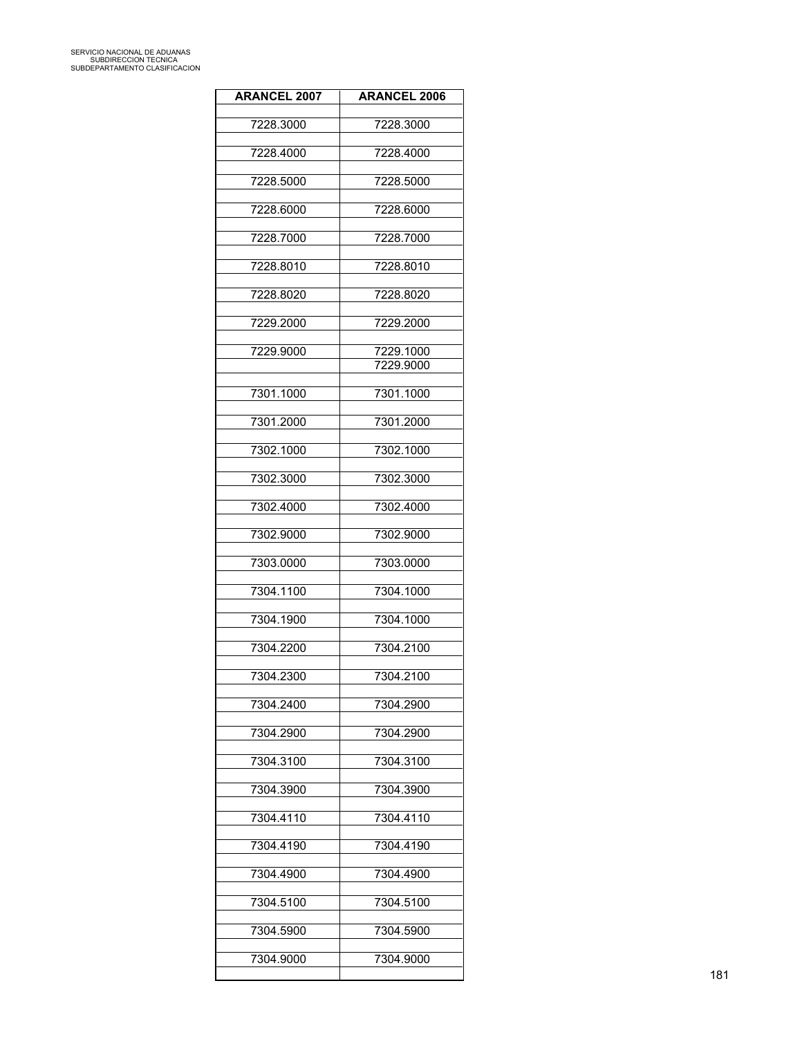| <b>ARANCEL 2007</b> | <b>ARANCEL 2006</b> |
|---------------------|---------------------|
| 7228.3000           | 7228.3000           |
| 7228.4000           | 7228.4000           |
| 7228.5000           | 7228.5000           |
| 7228.6000           | 7228.6000           |
| 7228.7000           | 7228.7000           |
| 7228.8010           | 7228.8010           |
| 7228.8020           | 7228.8020           |
| 7229.2000           | 7229.2000           |
| 7229.9000           | 7229.1000           |
|                     | 7229.9000           |
|                     |                     |
| 7301.1000           | 7301.1000           |
| 7301.2000           | 7301.2000           |
| 7302.1000           | 7302.1000           |
| 7302.3000           | 7302.3000           |
| 7302.4000           | 7302.4000           |
| 7302.9000           | 7302.9000           |
| 7303.0000           | 7303.0000           |
| 7304.1100           | 7304.1000           |
| 7304.1900           | 7304.1000           |
| 7304.2200           | 7304.2100           |
| 7304.2300           | 7304.2100           |
| 7304.2400           | 7304.2900           |
| 7304.2900           | 7304.2900           |
| 7304.3100           | 7304.3100           |
| 7304.3900           | 7304.3900           |
| 7304.4110           | 7304.4110           |
| 7304.4190           | 7304.4190           |
| 7304.4900           | 7304.4900           |
| 7304.5100           | 7304.5100           |
| 7304.5900           | 7304.5900           |
| 7304.9000           | 7304.9000           |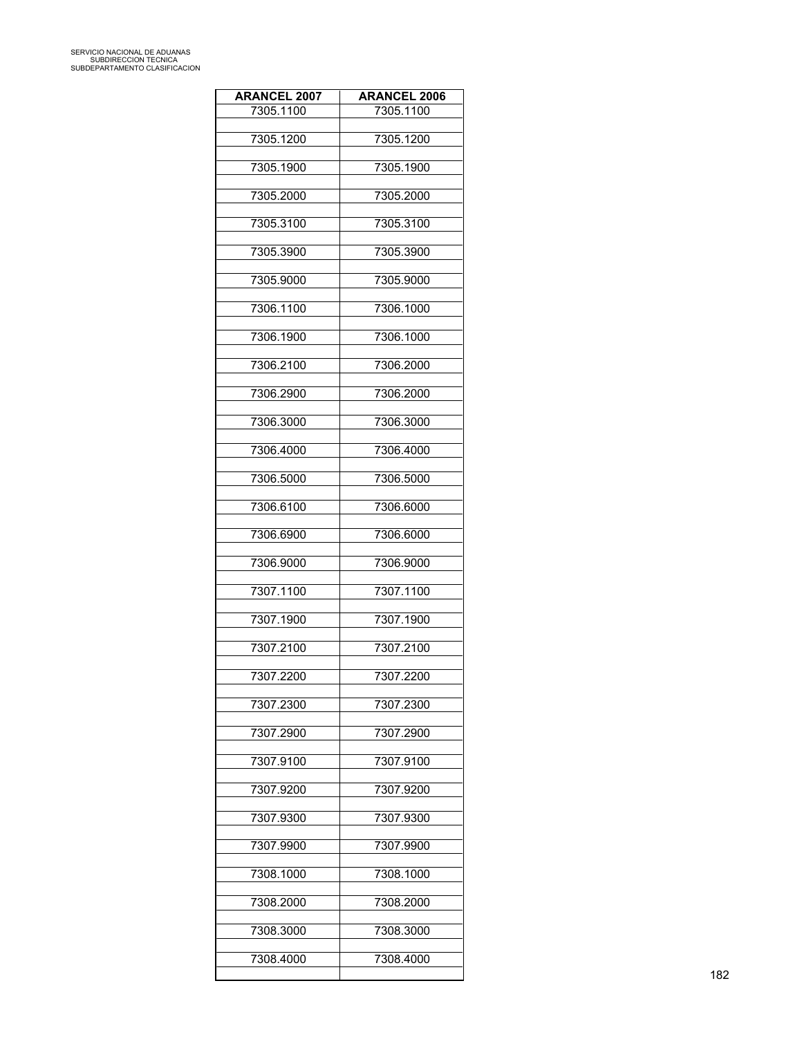| <b>ARANCEL 2007</b> | <b>ARANCEL 2006</b> |
|---------------------|---------------------|
| 7305.1100           | 7305.1100           |
| 7305.1200           | 7305.1200           |
| 7305.1900           | 7305.1900           |
| 7305.2000           | 7305.2000           |
| 7305.3100           | 7305.3100           |
| 7305.3900           | 7305.3900           |
| 7305.9000           | 7305.9000           |
| 7306.1100           | 7306.1000           |
| 7306.1900           | 7306.1000           |
| 7306.2100           | 7306.2000           |
| 7306.2900           | 7306.2000           |
| 7306.3000           | 7306.3000           |
| 7306.4000           | 7306.4000           |
| 7306.5000           | 7306.5000           |
| 7306.6100           | 7306.6000           |
| 7306.6900           | 7306.6000           |
| 7306.9000           | 7306.9000           |
| 7307.1100           | 7307.1100           |
| 7307.1900           | 7307.1900           |
| 7307.2100           | 7307.2100           |
| 7307.2200           | 7307.2200           |
| 7307.2300           | 7307.2300           |
| 7307.2900           | 7307.2900           |
| 7307.9100           | 7307.9100           |
| 7307.9200           | 7307.9200           |
| 7307.9300           | 7307.9300           |
| 7307.9900           | 7307.9900           |
| 7308.1000           | 7308.1000           |
| 7308.2000           | 7308.2000           |
| 7308.3000           | 7308.3000           |
| 7308.4000           | 7308.4000           |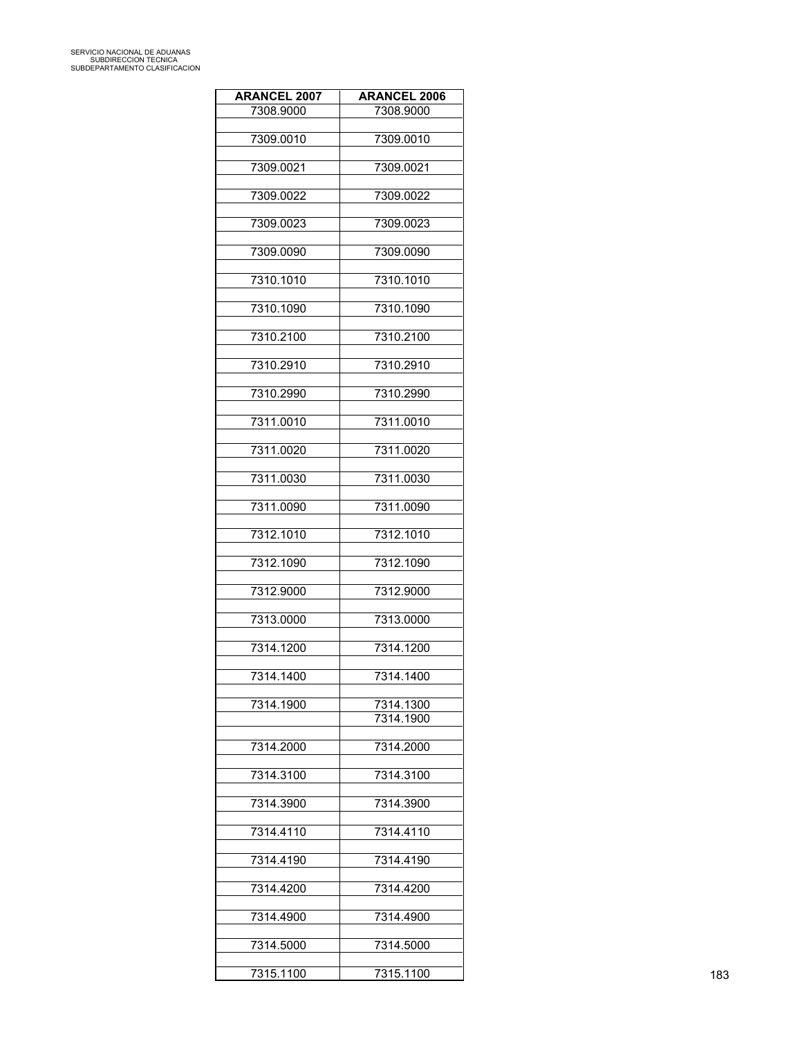| <b>ARANCEL 2007</b> | <b>ARANCEL 2006</b> |
|---------------------|---------------------|
| 7308.9000           | 7308.9000           |
| 7309.0010           | 7309.0010           |
| 7309.0021           | 7309.0021           |
|                     |                     |
| 7309.0022           | 7309.0022           |
| 7309.0023           | 7309.0023           |
| 7309.0090           | 7309.0090           |
| 7310.1010           | 7310.1010           |
|                     |                     |
| 7310.1090           | 7310.1090           |
| 7310.2100           | 7310.2100           |
| 7310.2910           | 7310.2910           |
| 7310.2990           | 7310.2990           |
| 7311.0010           | 7311.0010           |
|                     |                     |
| 7311.0020           | 7311.0020           |
| 7311.0030           | 7311.0030           |
| 7311.0090           | 7311.0090           |
| 7312.1010           | 7312.1010           |
|                     |                     |
| 7312.1090           | 7312.1090           |
| 7312.9000           | 7312.9000           |
| 7313.0000           | 7313.0000           |
|                     |                     |
| 7314.1200           | 7314.1200           |
| 7314.1400           | 7314.1400           |
| 7314.1900           | 7314.1300           |
|                     | 7314.1900           |
| 7314.2000           | 7314.2000           |
| 7314.3100           | 7314.3100           |
| 7314.3900           | 7314.3900           |
|                     |                     |
| 7314.4110           | 7314.4110           |
| 7314.4190           | 7314.4190           |
| 7314.4200           | 7314.4200           |
| 7314.4900           | 7314.4900           |
|                     |                     |
| 7314.5000           | 7314.5000           |
| 7315.1100           | 7315.1100           |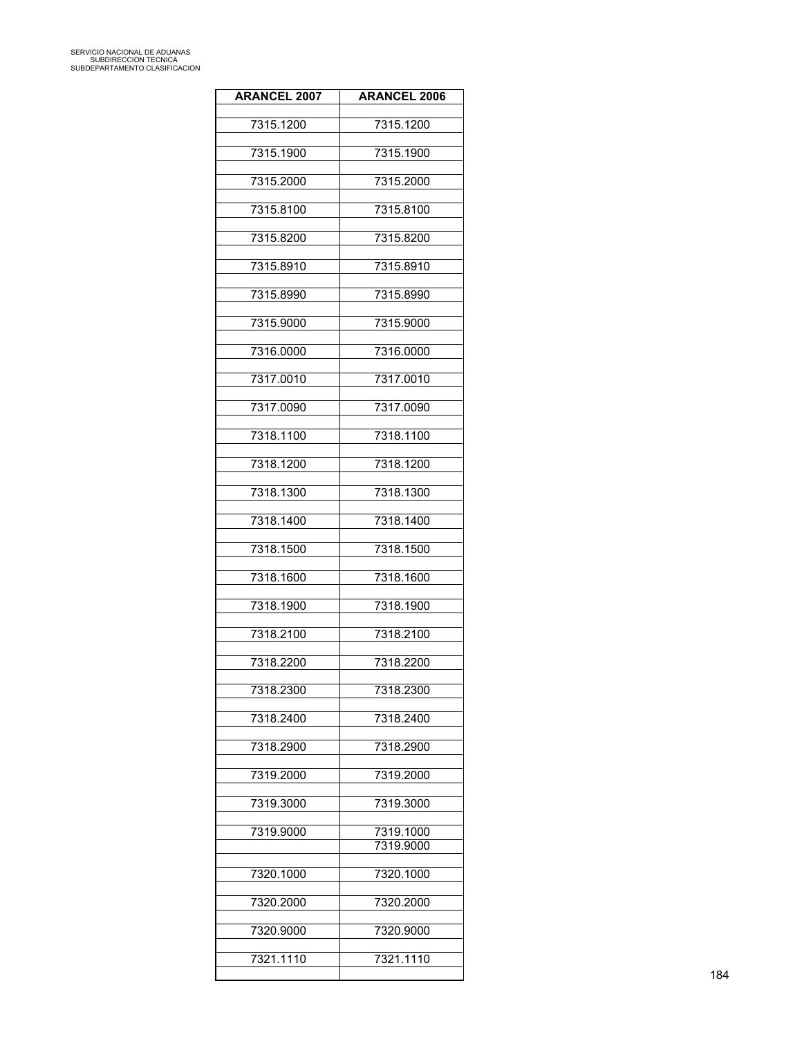| <b>ARANCEL 2007</b> | <b>ARANCEL 2006</b> |
|---------------------|---------------------|
| 7315.1200           | 7315.1200           |
|                     |                     |
| 7315.1900           | 7315.1900           |
| 7315.2000           | 7315.2000           |
| 7315.8100           | 7315.8100           |
| 7315.8200           | 7315.8200           |
| 7315.8910           | 7315.8910           |
| 7315.8990           | 7315.8990           |
| 7315.9000           | 7315.9000           |
| 7316.0000           | 7316.0000           |
| 7317.0010           | 7317.0010           |
| 7317.0090           | 7317.0090           |
| 7318.1100           | 7318.1100           |
| 7318.1200           | 7318.1200           |
| 7318.1300           | 7318.1300           |
| 7318.1400           | 7318.1400           |
| 7318.1500           | 7318.1500           |
| 7318.1600           | 7318.1600           |
| 7318.1900           | 7318.1900           |
| 7318.2100           | 7318.2100           |
| 7318.2200           | 7318.2200           |
| 7318.2300           | 7318.2300           |
| 7318.2400           | 7318.2400           |
| 7318.2900           | 7318.2900           |
| 7319.2000           | 7319.2000           |
| 7319.3000           | 7319.3000           |
| 7319.9000           | 7319.1000           |
|                     | 7319.9000           |
| 7320.1000           | 7320.1000           |
| 7320.2000           | 7320.2000           |
| 7320.9000           | 7320.9000           |
| 7321.1110           | 7321.1110           |
|                     |                     |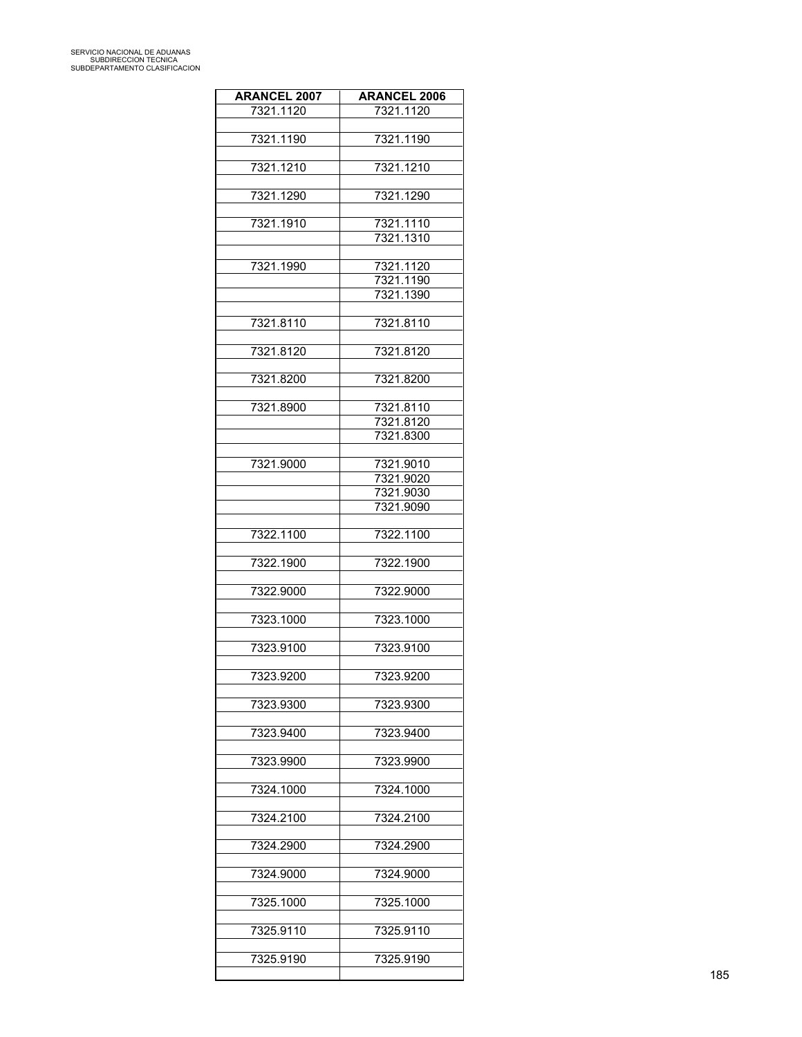| <b>ARANCEL 2007</b> | <b>ARANCEL 2006</b>    |
|---------------------|------------------------|
| 7321.1120           | 7321.1120              |
|                     |                        |
| 7321.1190           | 7321.1190              |
|                     |                        |
| 7321.1210           | 7321.1210              |
| 7321.1290           | 7321.1290              |
|                     |                        |
| 7321.1910           | 7321.1110              |
|                     | 7321.1310              |
|                     |                        |
| 7321.1990           | 7321.1120              |
|                     | 7321.1190              |
|                     | 7321.1390              |
|                     |                        |
| 7321.8110           | 7321.8110              |
| 7321.8120           | 7321.8120              |
|                     |                        |
| 7321.8200           | 7321.8200              |
|                     |                        |
| 7321.8900           | 7321.8110              |
|                     | 7321.8120              |
|                     | 7321.8300              |
|                     |                        |
| 7321.9000           | 7321.9010<br>7321.9020 |
|                     | 7321.9030              |
|                     | 7321.9090              |
|                     |                        |
| 7322.1100           | 7322.1100              |
|                     |                        |
| 7322.1900           | 7322.1900              |
|                     |                        |
| 7322.9000           | 7322.9000              |
| 7323.1000           | 7323.1000              |
|                     |                        |
| 7323.9100           | 7323.9100              |
|                     |                        |
| 7323.9200           | 7323.9200              |
|                     |                        |
| 7323.9300           | 7323.9300              |
|                     |                        |
| 7323.9400           | 7323.9400              |
| 7323.9900           | 7323.9900              |
|                     |                        |
| 7324.1000           | 7324.1000              |
|                     |                        |
| 7324.2100           | 7324.2100              |
|                     |                        |
| 7324.2900           | 7324.2900              |
| 7324.9000           | 7324.9000              |
|                     |                        |
| 7325.1000           | 7325.1000              |
|                     |                        |
| 7325.9110           | 7325.9110              |
|                     |                        |
| 7325.9190           | 7325.9190              |
|                     |                        |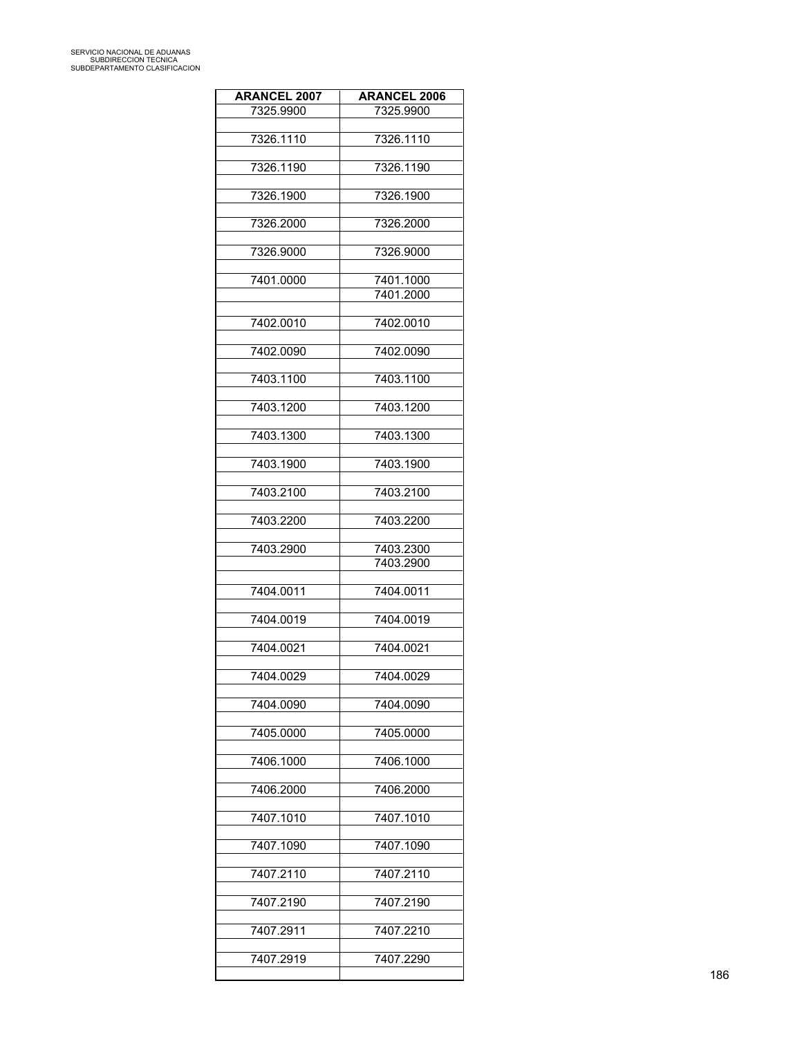| <b>ARANCEL 2007</b> | <b>ARANCEL 2006</b> |
|---------------------|---------------------|
| 7325.9900           | 7325.9900           |
| 7326.1110           | 7326.1110           |
|                     |                     |
| 7326.1190           | 7326.1190           |
| 7326.1900           | 7326.1900           |
|                     |                     |
| 7326.2000           | 7326.2000           |
| 7326.9000           | 7326.9000           |
|                     |                     |
| 7401.0000           | 7401.1000           |
|                     | 7401.2000           |
| 7402.0010           | 7402.0010           |
|                     |                     |
| 7402.0090           | 7402.0090           |
| 7403.1100           | 7403.1100           |
|                     |                     |
| 7403.1200           | 7403.1200           |
| 7403.1300           | 7403.1300           |
|                     |                     |
| 7403.1900           | 7403.1900           |
| 7403.2100           | 7403.2100           |
|                     |                     |
| 7403.2200           | 7403.2200           |
| 7403.2900           | 7403.2300           |
|                     | 7403.2900           |
| 7404.0011           | 7404.0011           |
|                     |                     |
| 7404.0019           | 7404.0019           |
| 7404.0021           | 7404.0021           |
|                     |                     |
| 7404.0029           | 7404.0029           |
| 7404.0090           | 7404.0090           |
|                     |                     |
| 7405.0000           | 7405.0000           |
| 7406.1000           | 7406.1000           |
|                     |                     |
| 7406.2000           | 7406.2000           |
| 7407.1010           | 7407.1010           |
|                     |                     |
| 7407.1090           | 7407.1090           |
| 7407.2110           | 7407.2110           |
|                     |                     |
| 7407.2190           | 7407.2190           |
| 7407.2911           | 7407.2210           |
|                     |                     |
| 7407.2919           | 7407.2290           |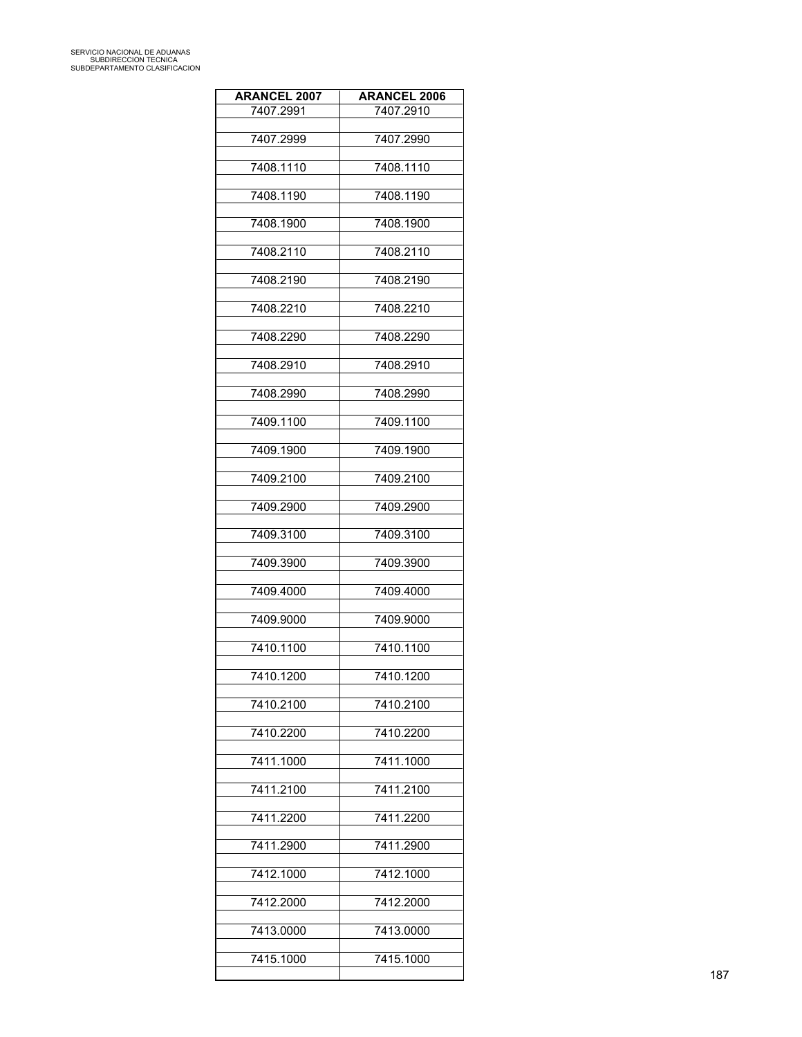| <b>ARANCEL 2007</b> | <b>ARANCEL 2006</b> |
|---------------------|---------------------|
| 7407.2991           | 7407.2910           |
| 7407.2999           | 7407.2990           |
| 7408.1110           | 7408.1110           |
| 7408.1190           | 7408.1190           |
| 7408.1900           | 7408.1900           |
| 7408.2110           | 7408.2110           |
| 7408.2190           | 7408.2190           |
| 7408.2210           | 7408.2210           |
| 7408.2290           | 7408.2290           |
| 7408.2910           | 7408.2910           |
| 7408.2990           | 7408.2990           |
| 7409.1100           | 7409.1100           |
| 7409.1900           | 7409.1900           |
| 7409.2100           | 7409.2100           |
| 7409.2900           | 7409.2900           |
| 7409.3100           | 7409.3100           |
| 7409.3900           | 7409.3900           |
| 7409.4000           | 7409.4000           |
| 7409.9000           | 7409.9000           |
| 7410.1100           | 7410.1100           |
| 7410.1200           | 7410.1200           |
| 7410.2100           | 7410.2100           |
| 7410.2200           | 7410.2200           |
| 7411.1000           | 7411.1000           |
| 7411.2100           | 7411.2100           |
| 7411.2200           | 7411.2200           |
| 7411.2900           | 7411.2900           |
| 7412.1000           | 7412.1000           |
| 7412.2000           | 7412.2000           |
| 7413.0000           | 7413.0000           |
| 7415.1000           | 7415.1000           |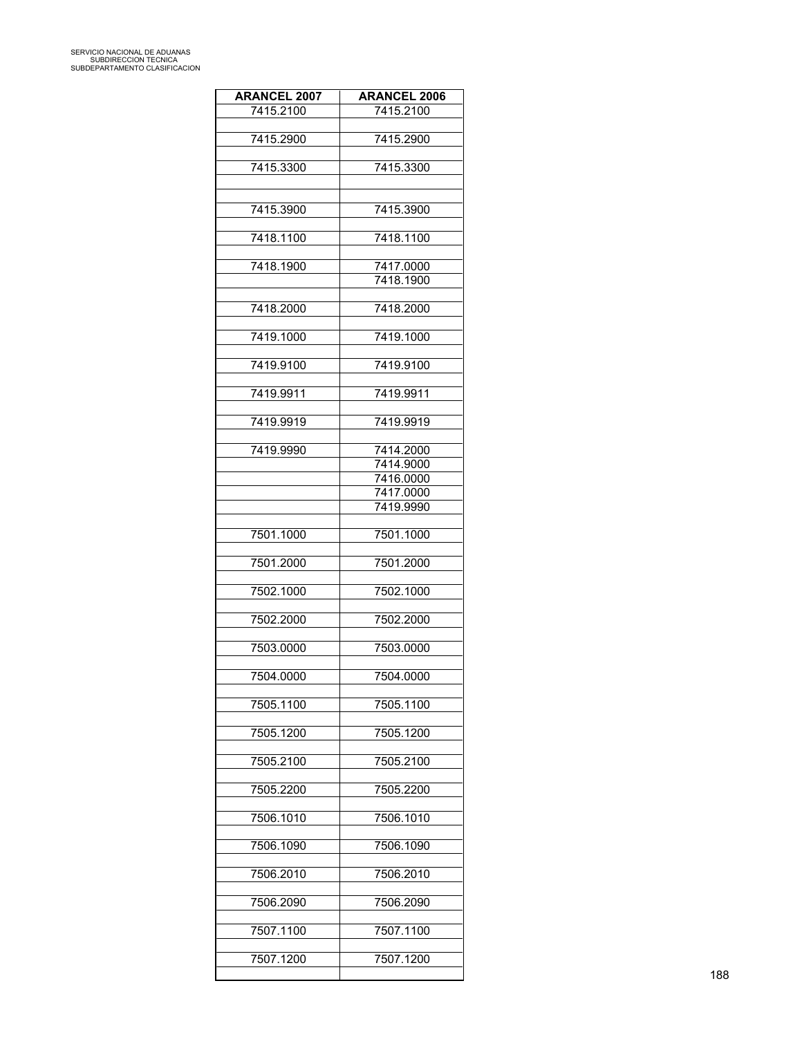| <b>ARANCEL 2007</b> | <b>ARANCEL 2006</b> |
|---------------------|---------------------|
| 7415.2100           | 7415.2100           |
|                     |                     |
| 7415.2900           | 7415.2900           |
| 7415.3300           | 7415.3300           |
|                     |                     |
|                     |                     |
| 7415.3900           | 7415.3900           |
|                     |                     |
| 7418.1100           | 7418.1100           |
| 7418.1900           | 7417.0000           |
|                     | 7418.1900           |
|                     |                     |
| 7418.2000           | 7418.2000           |
|                     |                     |
| 7419.1000           | 7419.1000           |
| 7419.9100           | 7419.9100           |
|                     |                     |
| 7419.9911           | 7419.9911           |
|                     |                     |
| 7419.9919           | 7419.9919           |
| 7419.9990           | 7414.2000           |
|                     | 7414.9000           |
|                     | 7416.0000           |
|                     |                     |
|                     | 7417.0000           |
|                     | 7419.9990           |
| 7501.1000           | 7501.1000           |
|                     |                     |
| 7501.2000           | 7501.2000           |
|                     |                     |
| 7502.1000           | 7502.1000           |
| 7502.2000           | 7502.2000           |
|                     |                     |
| 7503.0000           | 7503.0000           |
|                     |                     |
| 7504.0000           | 7504.0000           |
| 7505.1100           | 7505.1100           |
|                     |                     |
| 7505.1200           | 7505.1200           |
|                     |                     |
| 7505.2100           | 7505.2100           |
| 7505.2200           | 7505.2200           |
|                     |                     |
| 7506.1010           | 7506.1010           |
|                     |                     |
| 7506.1090           | 7506.1090           |
| 7506.2010           | 7506.2010           |
|                     |                     |
| 7506.2090           | 7506.2090           |
|                     |                     |
| 7507.1100           | 7507.1100           |
| 7507.1200           | 7507.1200           |
|                     |                     |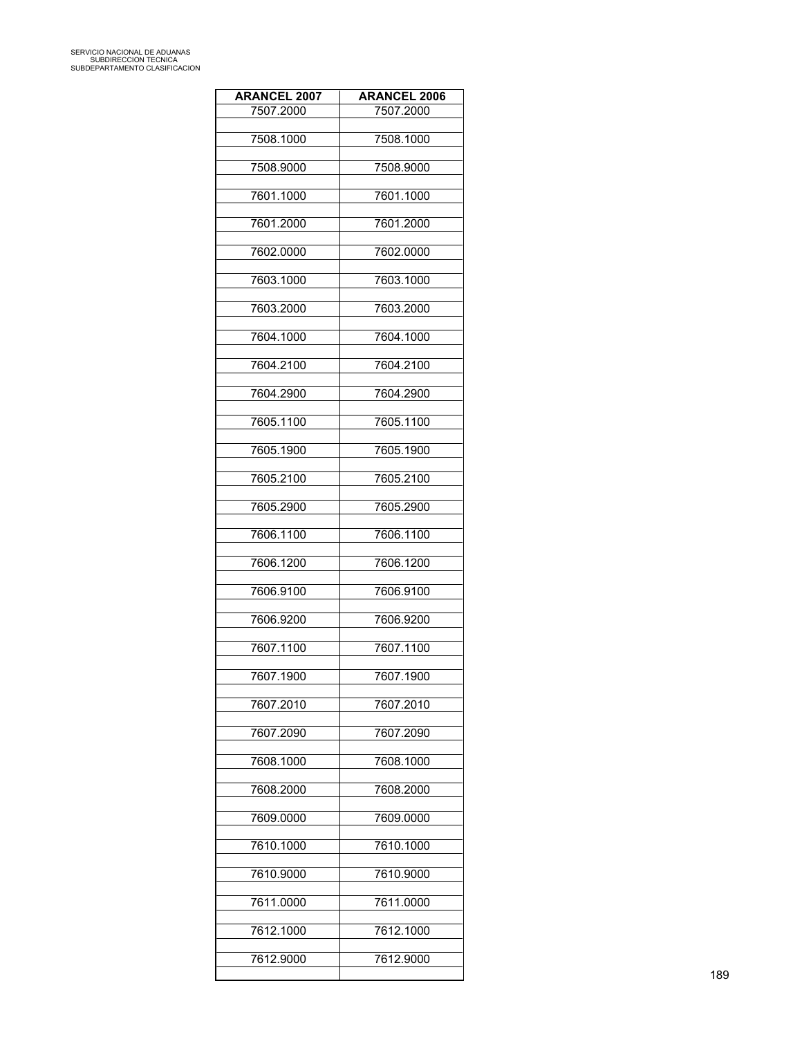| <b>ARANCEL 2007</b> | <b>ARANCEL 2006</b> |
|---------------------|---------------------|
| 7507.2000           | 7507.2000           |
|                     |                     |
| 7508.1000           | 7508.1000           |
| 7508.9000           | 7508.9000           |
|                     |                     |
| 7601.1000           | 7601.1000           |
| 7601.2000           | 7601.2000           |
|                     |                     |
| 7602.0000           | 7602.0000           |
| 7603.1000           | 7603.1000           |
|                     |                     |
| 7603.2000           | 7603.2000           |
| 7604.1000           | 7604.1000           |
|                     |                     |
| 7604.2100           | 7604.2100           |
|                     |                     |
| 7604.2900           | 7604.2900           |
| 7605.1100           | 7605.1100           |
|                     |                     |
| 7605.1900           | 7605.1900           |
| 7605.2100           | 7605.2100           |
|                     |                     |
| 7605.2900           | 7605.2900           |
|                     |                     |
| 7606.1100           | 7606.1100           |
| 7606.1200           | 7606.1200           |
|                     |                     |
| 7606.9100           | 7606.9100           |
| 7606.9200           | 7606.9200           |
|                     |                     |
| 7607.1100           | 7607.1100           |
| 7607.1900           | 7607.1900           |
|                     |                     |
| 7607.2010           | 7607.2010           |
|                     |                     |
| 7607.2090           | 7607.2090           |
| 7608.1000           | 7608.1000           |
|                     |                     |
| 7608.2000           | 7608.2000           |
| 7609.0000           | 7609.0000           |
|                     |                     |
| 7610.1000           | 7610.1000           |
| 7610.9000           | 7610.9000           |
|                     |                     |
| 7611.0000           | 7611.0000           |
|                     |                     |
| 7612.1000           | 7612.1000           |
| 7612.9000           | 7612.9000           |
|                     |                     |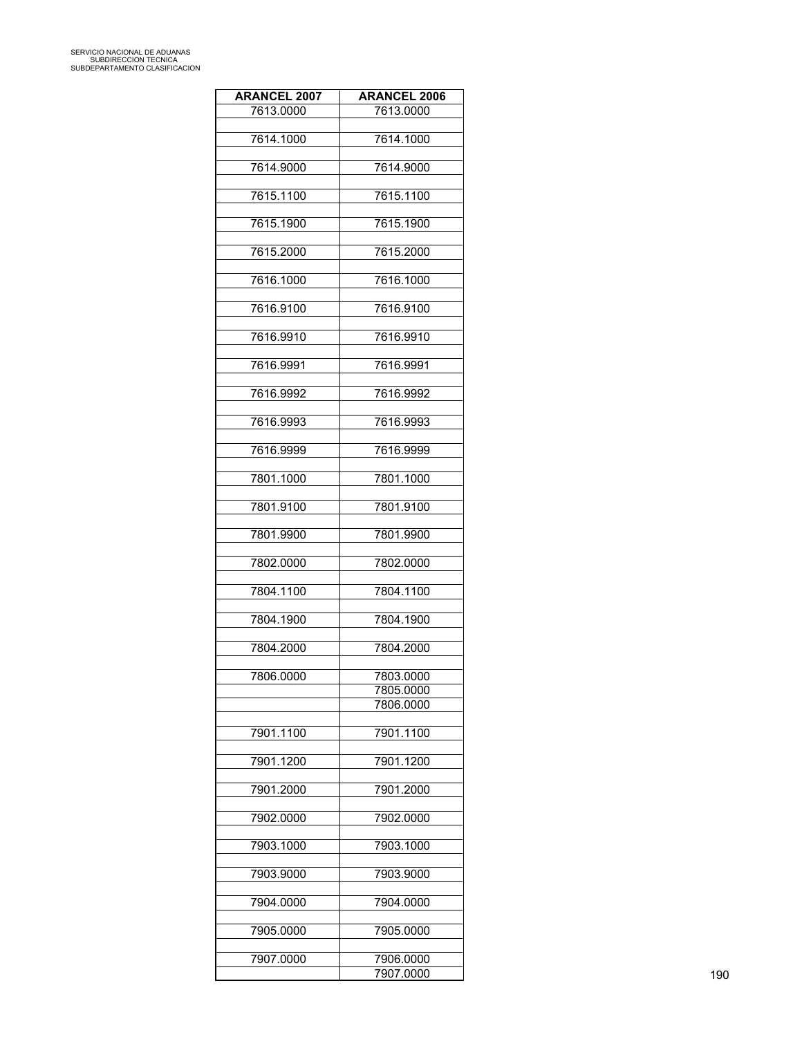| <b>ARANCEL 2007</b> | <b>ARANCEL 2006</b> |
|---------------------|---------------------|
| 7613.0000           | 7613.0000           |
| 7614.1000           | 7614.1000           |
|                     |                     |
| 7614.9000           | 7614.9000           |
| 7615.1100           | 7615.1100           |
|                     |                     |
| 7615.1900           | 7615.1900           |
| 7615.2000           | 7615.2000           |
| 7616.1000           | 7616.1000           |
|                     |                     |
| 7616.9100           | 7616.9100           |
| 7616.9910           | 7616.9910           |
|                     |                     |
| 7616.9991           | 7616.9991           |
| 7616.9992           | 7616.9992           |
|                     |                     |
| 7616.9993           | 7616.9993           |
| 7616.9999           | 7616.9999           |
|                     |                     |
| 7801.1000           | 7801.1000           |
| 7801.9100           | 7801.9100           |
| 7801.9900           | 7801.9900           |
|                     |                     |
| 7802.0000           | 7802.0000           |
| 7804.1100           | 7804.1100           |
|                     |                     |
| 7804.1900           | 7804.1900           |
| 7804.2000           | 7804.2000           |
|                     |                     |
| 7806.0000           | 7803.0000           |
|                     | 7805.0000           |
|                     | 7806.0000           |
| 7901.1100           | 7901.1100           |
| 7901.1200           | 7901.1200           |
|                     |                     |
| 7901.2000           | 7901.2000           |
| 7902.0000           | 7902.0000           |
|                     |                     |
| 7903.1000           | 7903.1000           |
| 7903.9000           | 7903.9000           |
|                     |                     |
| 7904.0000           | 7904.0000           |
| 7905.0000           | 7905.0000           |
|                     |                     |
| 7907.0000           | 7906.0000           |
|                     | 7907.0000           |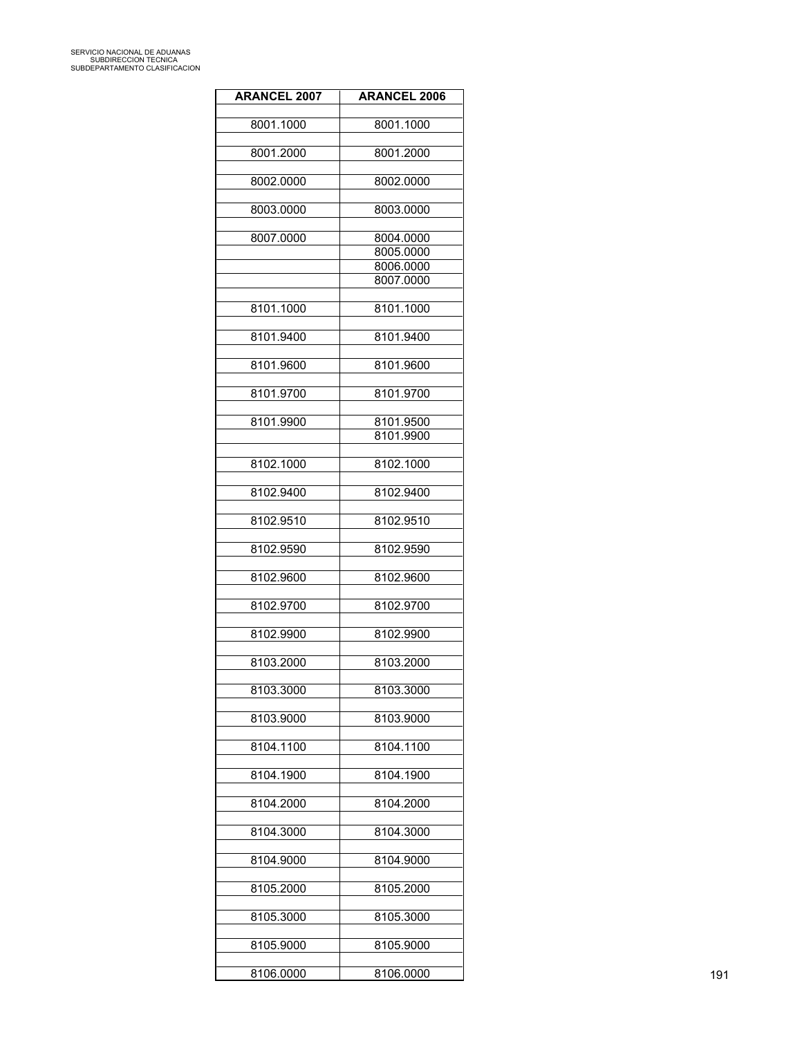| <b>ARANCEL 2007</b> | <b>ARANCEL 2006</b> |
|---------------------|---------------------|
|                     |                     |
| 8001.1000           | 8001.1000           |
| 8001.2000           | 8001.2000           |
| 8002.0000           | 8002.0000           |
| 8003.0000           | 8003.0000           |
| 8007.0000           | 8004.0000           |
|                     | 8005.0000           |
|                     | 8006.0000           |
|                     | 8007.0000           |
| 8101.1000           | 8101.1000           |
|                     |                     |
| 8101.9400           | 8101.9400           |
|                     |                     |
| 8101.9600           | 8101.9600           |
| 8101.9700           | 8101.9700           |
|                     |                     |
| 8101.9900           | 8101.9500           |
|                     | 8101.9900           |
| 8102.1000           | 8102.1000           |
|                     |                     |
| 8102.9400           | 8102.9400           |
|                     |                     |
| 8102.9510           | 8102.9510           |
| 8102.9590           | 8102.9590           |
|                     |                     |
| 8102.9600           | 8102.9600           |
|                     |                     |
| 8102.9700           | 8102.9700           |
|                     |                     |
| 8102.9900           | 8102.9900           |
| 8103.2000           | 8103.2000           |
|                     |                     |
| 8103.3000           | 8103.3000           |
|                     |                     |
| 8103.9000           | 8103.9000           |
| 8104.1100           | 8104.1100           |
|                     |                     |
| 8104.1900           | 8104.1900           |
|                     |                     |
| 8104.2000           | 8104.2000           |
| 8104.3000           | 8104.3000           |
|                     |                     |
| 8104.9000           | 8104.9000           |
|                     |                     |
| 8105.2000           | 8105.2000           |
| 8105.3000           | 8105.3000           |
|                     |                     |
| 8105.9000           | 8105.9000           |
|                     |                     |
| 8106.0000           | 8106.0000           |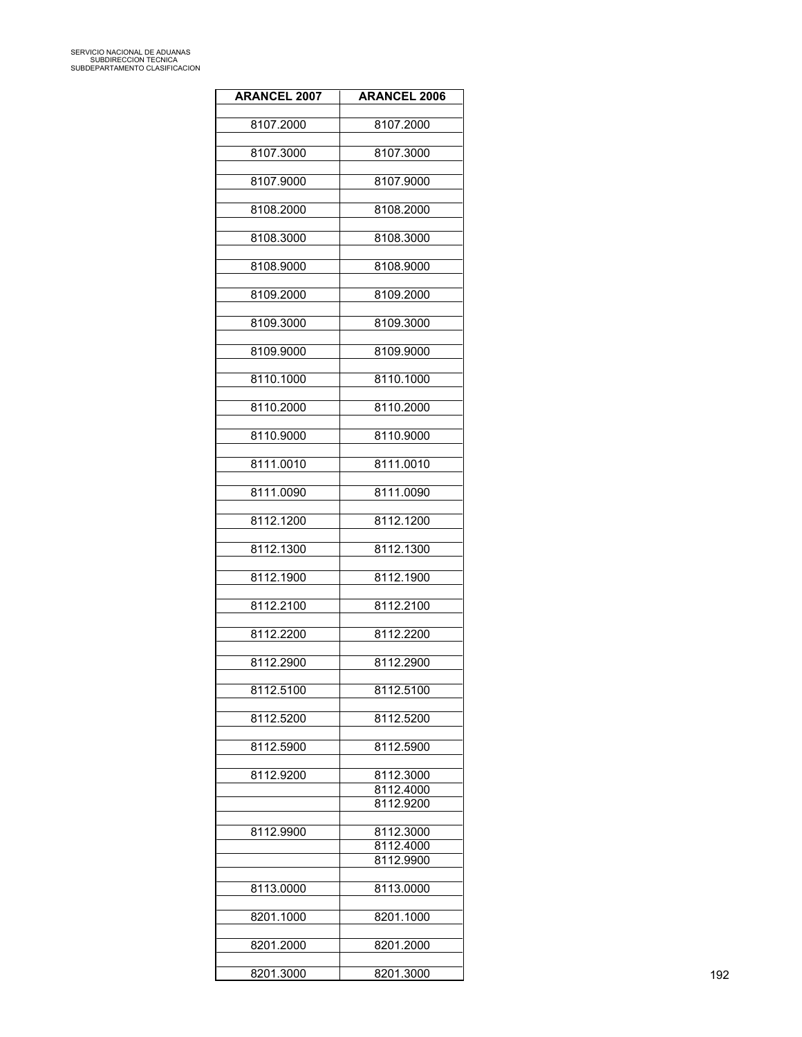| <b>ARANCEL 2007</b> | <b>ARANCEL 2006</b>    |
|---------------------|------------------------|
| 8107.2000           | 8107.2000              |
|                     |                        |
| 8107.3000           | 8107.3000              |
| 8107.9000           | 8107.9000              |
|                     |                        |
| 8108.2000           | 8108.2000              |
| 8108.3000           | 8108.3000              |
|                     |                        |
| 8108.9000           | 8108.9000              |
| 8109.2000           | 8109.2000              |
|                     |                        |
| 8109.3000           | 8109.3000              |
| 8109.9000           | 8109.9000              |
|                     |                        |
| 8110.1000           | 8110.1000              |
| 8110.2000           | 8110.2000              |
|                     |                        |
| 8110.9000           | 8110.9000              |
| 8111.0010           | 8111.0010              |
|                     |                        |
| 8111.0090           | 8111.0090              |
| 8112.1200           | 8112.1200              |
|                     |                        |
| 8112.1300           | 8112.1300              |
| 8112.1900           | 8112.1900              |
|                     |                        |
| 8112.2100           | 8112.2100              |
| 8112.2200           | 8112.2200              |
|                     |                        |
| 8112.2900           | 8112.2900              |
| 8112.5100           | 8112.5100              |
|                     |                        |
| 8112.5200           | 8112.5200              |
| 8112.5900           | 8112.5900              |
| 8112.9200           |                        |
|                     | 8112.3000<br>8112.4000 |
|                     | 8112.9200              |
|                     |                        |
| 8112.9900           | 8112.3000<br>8112.4000 |
|                     | 8112.9900              |
|                     |                        |
| 8113.0000           | 8113.0000              |
| 8201.1000           | 8201.1000              |
|                     |                        |
| 8201.2000           | 8201.2000              |
| 8201.3000           | 8201.3000              |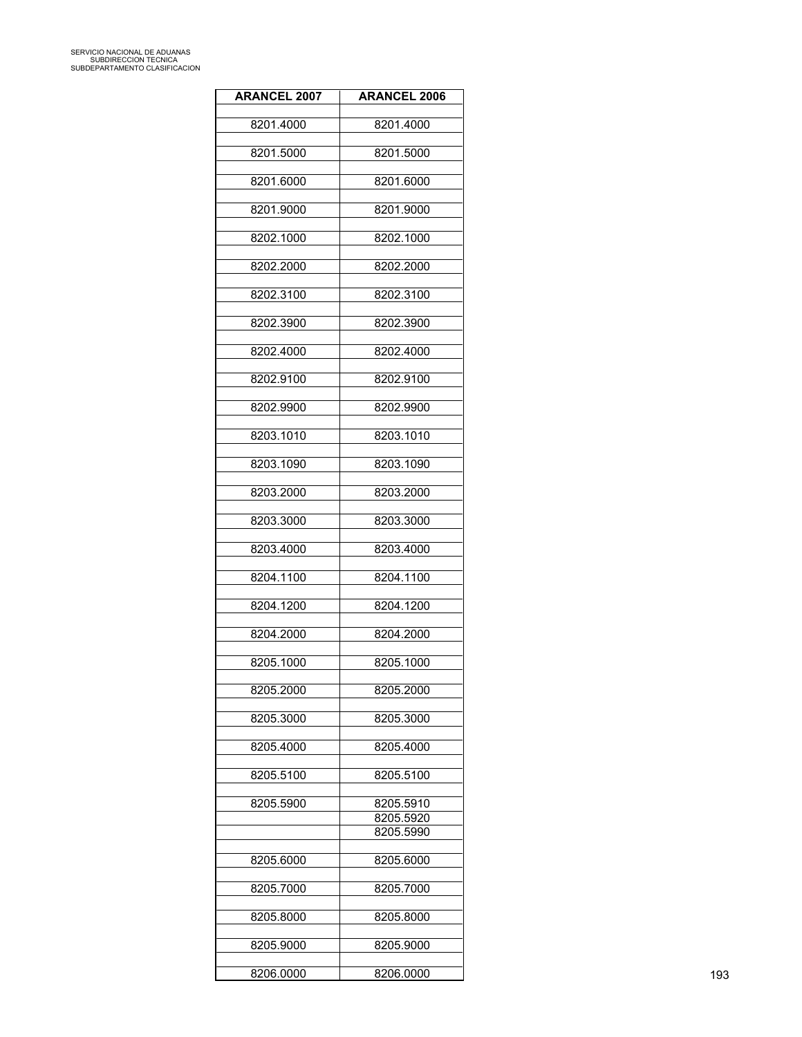| <b>ARANCEL 2007</b> | <b>ARANCEL 2006</b>    |
|---------------------|------------------------|
| 8201.4000           | 8201.4000              |
| 8201.5000           | 8201.5000              |
|                     |                        |
| 8201.6000           | 8201.6000              |
| 8201.9000           | 8201.9000              |
| 8202.1000           | 8202.1000              |
| 8202.2000           | 8202.2000              |
| 8202.3100           | 8202.3100              |
| 8202.3900           | 8202.3900              |
| 8202.4000           | 8202.4000              |
| 8202.9100           | 8202.9100              |
| 8202.9900           | 8202.9900              |
| 8203.1010           | 8203.1010              |
| 8203.1090           | 8203.1090              |
| 8203.2000           | 8203.2000              |
|                     |                        |
| 8203.3000           | 8203.3000              |
| 8203.4000           | 8203.4000              |
| 8204.1100           | 8204.1100              |
| 8204.1200           | 8204.1200              |
| 8204.2000           | 8204.2000              |
| 8205.1000           | 8205.1000              |
| 8205.2000           | 8205.2000              |
| 8205.3000           | 8205.3000              |
| 8205.4000           | 8205.4000              |
| 8205.5100           | 8205.5100              |
| 8205.5900           |                        |
|                     | 8205.5910<br>8205.5920 |
|                     | 8205.5990              |
| 8205.6000           | 8205.6000              |
| 8205.7000           | 8205.7000              |
| 8205.8000           | 8205.8000              |
| 8205.9000           | 8205.9000              |
|                     |                        |
| 8206.0000           | 8206.0000              |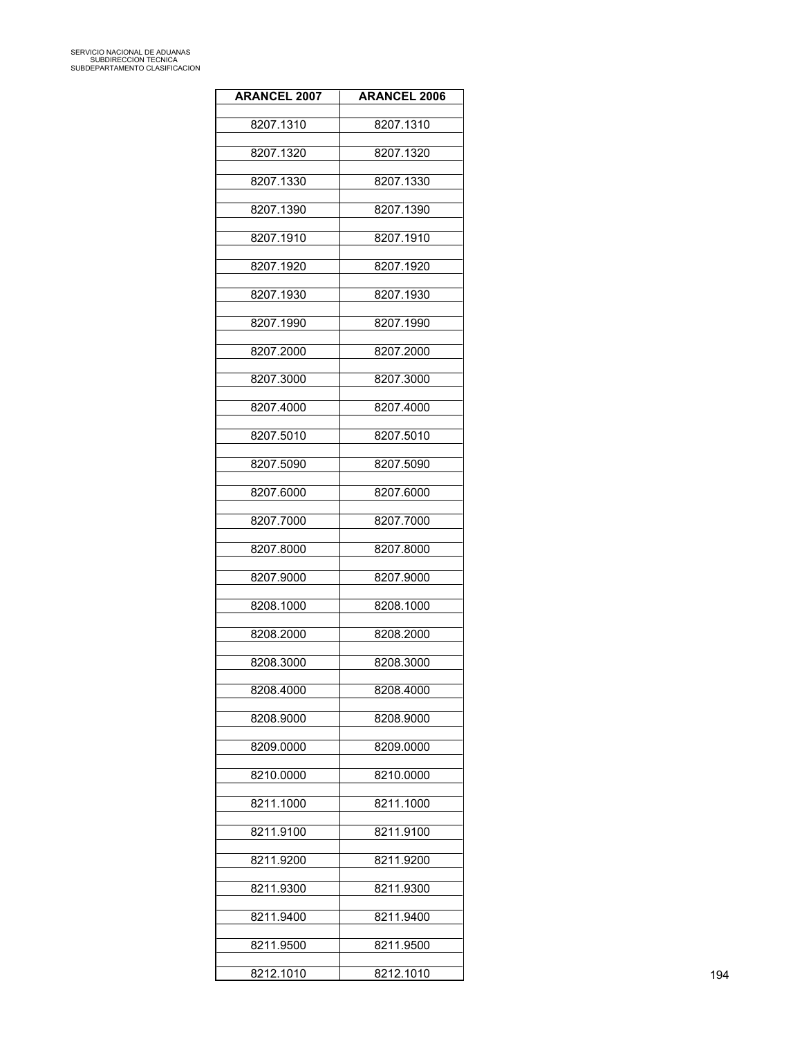| <b>ARANCEL 2007</b> | <b>ARANCEL 2006</b> |
|---------------------|---------------------|
| 8207.1310           | 8207.1310           |
| 8207.1320           | 8207.1320           |
| 8207.1330           | 8207.1330           |
|                     |                     |
| 8207.1390           | 8207.1390           |
| 8207.1910           | 8207.1910           |
| 8207.1920           | 8207.1920           |
| 8207.1930           | 8207.1930           |
| 8207.1990           | 8207.1990           |
| 8207.2000           | 8207.2000           |
| 8207.3000           | 8207.3000           |
| 8207.4000           | 8207.4000           |
| 8207.5010           | 8207.5010           |
| 8207.5090           | 8207.5090           |
| 8207.6000           | 8207.6000           |
|                     |                     |
| 8207.7000           | 8207.7000           |
| 8207.8000           | 8207.8000           |
| 8207.9000           | 8207.9000           |
| 8208.1000           | 8208.1000           |
| 8208.2000           | 8208.2000           |
| 8208.3000           | 8208.3000           |
| 8208.4000           | 8208.4000           |
| 8208.9000           | 8208.9000           |
| 8209.0000           | 8209.0000           |
| 8210.0000           | 8210.0000           |
|                     |                     |
| 8211.1000           | 8211.1000           |
| 8211.9100           | 8211.9100           |
| 8211.9200           | 8211.9200           |
| 8211.9300           | 8211.9300           |
| 8211.9400           | 8211.9400           |
| 8211.9500           | 8211.9500           |
| 8212.1010           | 8212.1010           |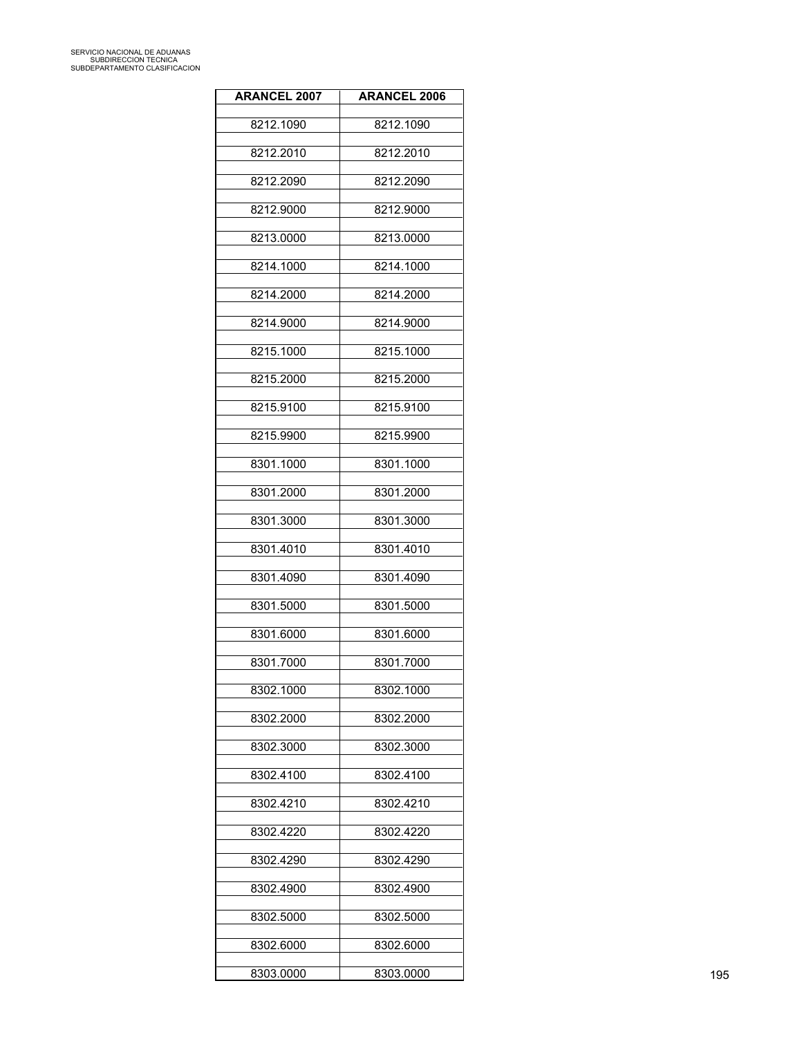| <b>ARANCEL 2007</b> | <b>ARANCEL 2006</b> |
|---------------------|---------------------|
| 8212.1090           | 8212.1090           |
| 8212.2010           | 8212.2010           |
|                     |                     |
| 8212.2090           | 8212.2090           |
| 8212.9000           | 8212.9000           |
| 8213.0000           | 8213.0000           |
| 8214.1000           | 8214.1000           |
| 8214.2000           | 8214.2000           |
| 8214.9000           | 8214.9000           |
| 8215.1000           | 8215.1000           |
| 8215.2000           | 8215.2000           |
| 8215.9100           | 8215.9100           |
| 8215.9900           | 8215.9900           |
| 8301.1000           | 8301.1000           |
| 8301.2000           | 8301.2000           |
| 8301.3000           | 8301.3000           |
| 8301.4010           | 8301.4010           |
| 8301.4090           | 8301.4090           |
| 8301.5000           | 8301.5000           |
| 8301.6000           | 8301.6000           |
| 8301.7000           | 8301.7000           |
| 8302.1000           | 8302.1000           |
| 8302.2000           | 8302.2000           |
| 8302.3000           | 8302.3000           |
| 8302.4100           | 8302.4100           |
| 8302.4210           | 8302.4210           |
| 8302.4220           | 8302.4220           |
| 8302.4290           | 8302.4290           |
|                     |                     |
| 8302.4900           | 8302.4900           |
| 8302.5000           | 8302.5000           |
| 8302.6000           | 8302.6000           |
| 8303.0000           | 8303.0000           |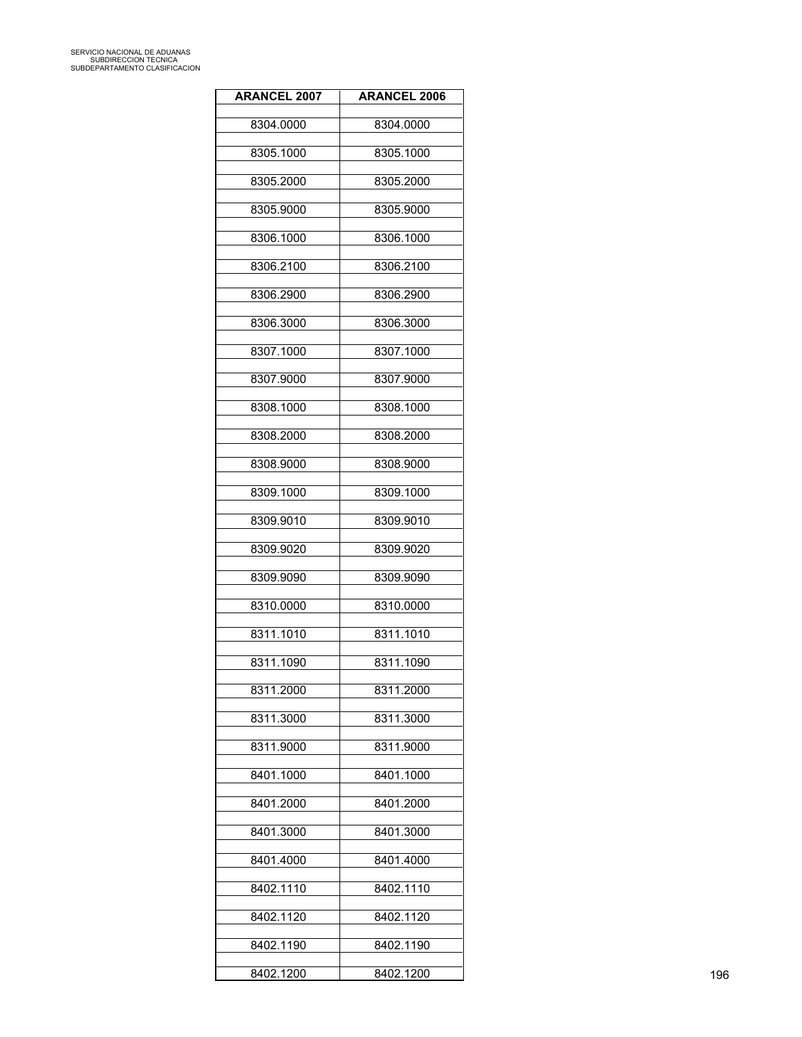| <b>ARANCEL 2007</b> | <b>ARANCEL 2006</b> |
|---------------------|---------------------|
| 8304.0000           | 8304.0000           |
| 8305.1000           | 8305.1000           |
| 8305.2000           | 8305.2000           |
| 8305.9000           | 8305.9000           |
|                     |                     |
| 8306.1000           | 8306.1000           |
| 8306.2100           | 8306.2100           |
| 8306.2900           | 8306.2900           |
| 8306.3000           | 8306.3000           |
| 8307.1000           | 8307.1000           |
| 8307.9000           | 8307.9000           |
| 8308.1000           | 8308.1000           |
| 8308.2000           | 8308.2000           |
| 8308.9000           | 8308.9000           |
| 8309.1000           | 8309.1000           |
| 8309.9010           | 8309.9010           |
| 8309.9020           | 8309.9020           |
|                     |                     |
| 8309.9090           | 8309.9090           |
| 8310.0000           | 8310.0000           |
| 8311.1010           | 8311.1010           |
| 8311.1090           | 8311.1090           |
| 8311.2000           | 8311.2000           |
| 8311.3000           | 8311.3000           |
| 8311.9000           | 8311.9000           |
| 8401.1000           | 8401.1000           |
| 8401.2000           | 8401.2000           |
| 8401.3000           | 8401.3000           |
| 8401.4000           | 8401.4000           |
| 8402.1110           | 8402.1110           |
|                     |                     |
| 8402.1120           | 8402.1120           |
| 8402.1190           | 8402.1190           |
| 8402.1200           | 8402.1200           |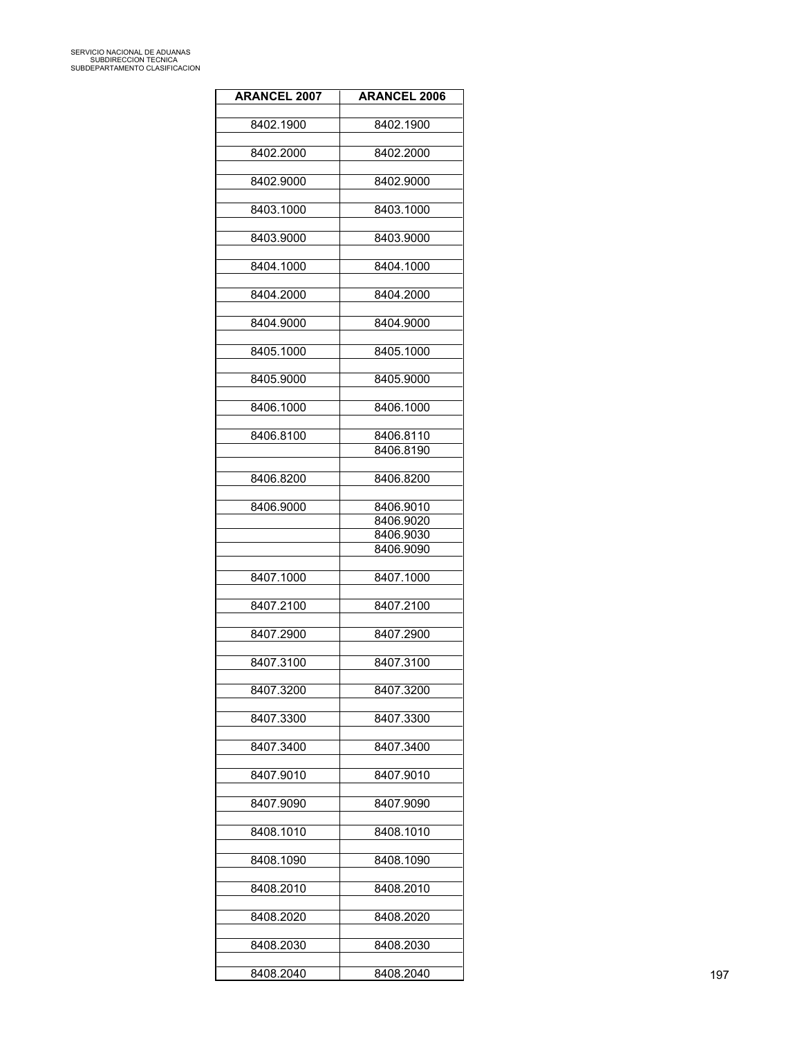| <b>ARANCEL 2007</b> | <b>ARANCEL 2006</b>    |
|---------------------|------------------------|
| 8402.1900           | 8402.1900              |
|                     |                        |
| 8402.2000           | 8402.2000              |
| 8402.9000           | 8402.9000              |
|                     |                        |
| 8403.1000           | 8403.1000              |
| 8403.9000           | 8403.9000              |
| 8404.1000           | 8404.1000              |
|                     |                        |
| 8404.2000           | 8404.2000              |
| 8404.9000           | 8404.9000              |
| 8405.1000           | 8405.1000              |
|                     |                        |
| 8405.9000           | 8405.9000              |
| 8406.1000           | 8406.1000              |
| 8406.8100           | 8406.8110              |
|                     | 8406.8190              |
| 8406.8200           | 8406.8200              |
|                     |                        |
| 8406.9000           | 8406.9010              |
|                     | 8406.9020<br>8406.9030 |
|                     | 8406.9090              |
|                     |                        |
| 8407.1000           | 8407.1000              |
| 8407.2100           | 8407.2100              |
|                     |                        |
| 8407.2900           | 8407.2900              |
| 8407.3100           | 8407.3100              |
| 8407.3200           |                        |
|                     | 8407.3200              |
| 8407.3300           | 8407.3300              |
| 8407.3400           | 8407.3400              |
|                     |                        |
| 8407.9010           | 8407.9010              |
| 8407.9090           | 8407.9090              |
|                     | 8408.1010              |
| 8408.1010           |                        |
| 8408.1090           | 8408.1090              |
| 8408.2010           | 8408.2010              |
|                     |                        |
| 8408.2020           | 8408.2020              |
| 8408.2030           | 8408.2030              |
| 8408.2040           | 8408.2040              |
|                     |                        |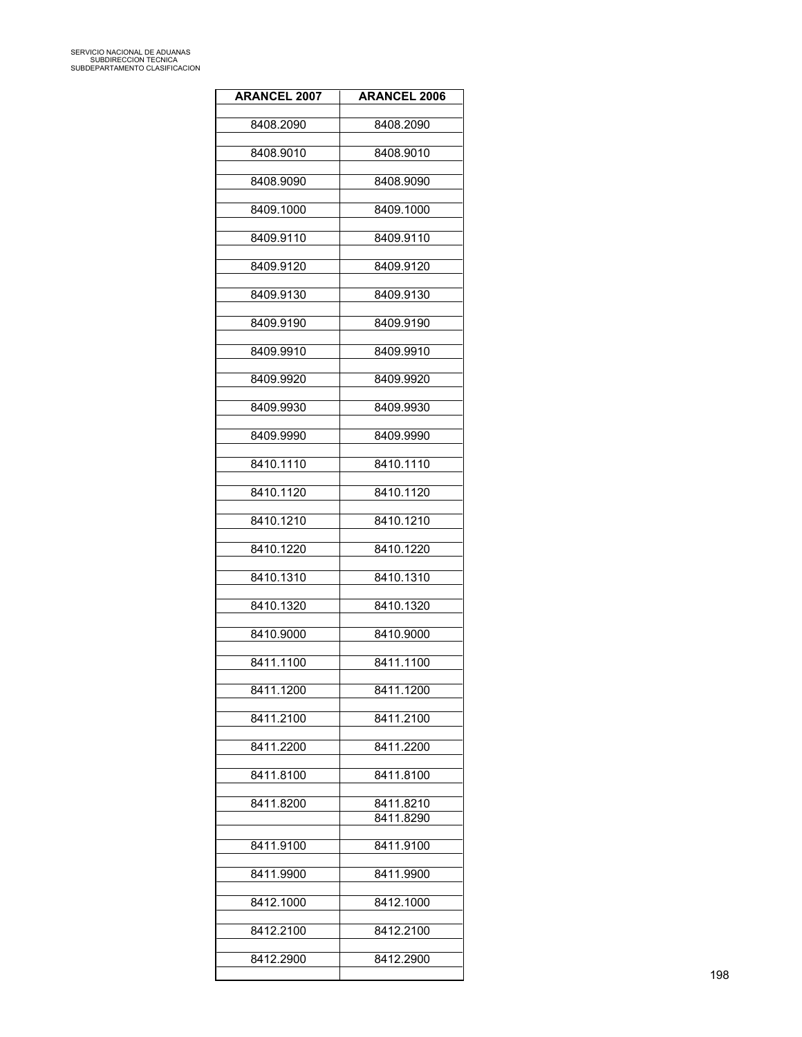| <b>ARANCEL 2007</b> | <b>ARANCEL 2006</b>    |
|---------------------|------------------------|
| 8408.2090           | 8408.2090              |
| 8408.9010           | 8408.9010              |
| 8408.9090           | 8408.9090              |
| 8409.1000           | 8409.1000              |
| 8409.9110           | 8409.9110              |
| 8409.9120           | 8409.9120              |
| 8409.9130           | 8409.9130              |
| 8409.9190           | 8409.9190              |
| 8409.9910           | 8409.9910              |
| 8409.9920           | 8409.9920              |
| 8409.9930           | 8409.9930              |
| 8409.9990           | 8409.9990              |
| 8410.1110           | 8410.1110              |
| 8410.1120           | 8410.1120              |
| 8410.1210           | 8410.1210              |
| 8410.1220           | 8410.1220              |
| 8410.1310           | 8410.1310              |
| 8410.1320           | 8410.1320              |
| 8410.9000           | 8410.9000              |
| 8411.1100           | 8411.1100              |
| 8411.1200           | 8411.1200              |
| 8411.2100           | 8411.2100              |
| 8411.2200           | 8411.2200              |
| 8411.8100           | 8411.8100              |
| 8411.8200           | 8411.8210<br>8411.8290 |
| 8411.9100           | 8411.9100              |
| 8411.9900           | 8411.9900              |
| 8412.1000           | 8412.1000              |
| 8412.2100           | 8412.2100              |
| 8412.2900           | 8412.2900              |
|                     |                        |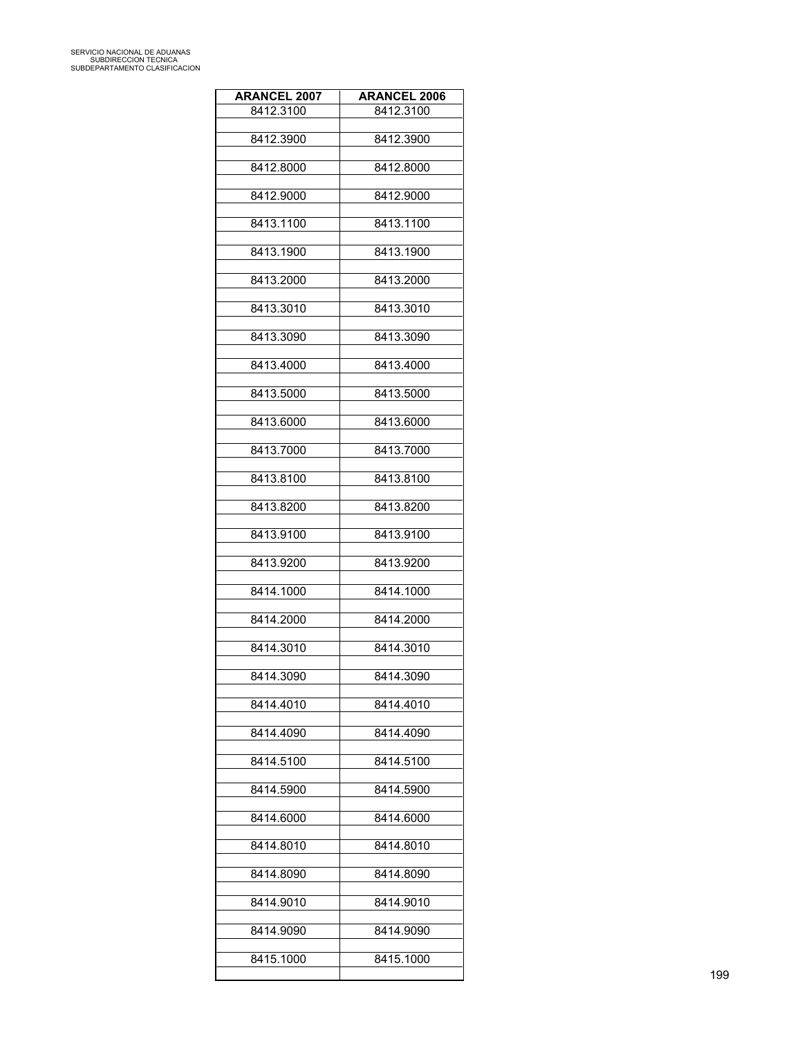| <b>ARANCEL 2007</b> | <b>ARANCEL 2006</b> |
|---------------------|---------------------|
| 8412.3100           | 8412.3100           |
| 8412.3900           | 8412.3900           |
| 8412.8000           | 8412.8000           |
| 8412.9000           | 8412.9000           |
| 8413.1100           | 8413.1100           |
| 8413.1900           | 8413.1900           |
| 8413.2000           | 8413.2000           |
| 8413.3010           | 8413.3010           |
| 8413.3090           | 8413.3090           |
| 8413.4000           | 8413.4000           |
| 8413.5000           | 8413.5000           |
| 8413.6000           | 8413.6000           |
| 8413.7000           | 8413.7000           |
| 8413.8100           | 8413.8100           |
| 8413.8200           | 8413.8200           |
| 8413.9100           | 8413.9100           |
| 8413.9200           | 8413.9200           |
| 8414.1000           | 8414.1000           |
| 8414.2000           | 8414.2000           |
| 8414.3010           | 8414.3010           |
| 8414.3090           | 8414.3090           |
| 8414.4010           | 8414.4010           |
| 8414.4090           | 8414.4090           |
| 8414.5100           | 8414.5100           |
| 8414.5900           | 8414.5900           |
| 8414.6000           | 8414.6000           |
| 8414.8010           | 8414.8010           |
| 8414.8090           | 8414.8090           |
| 8414.9010           | 8414.9010           |
| 8414.9090           | 8414.9090           |
| 8415.1000           | 8415.1000           |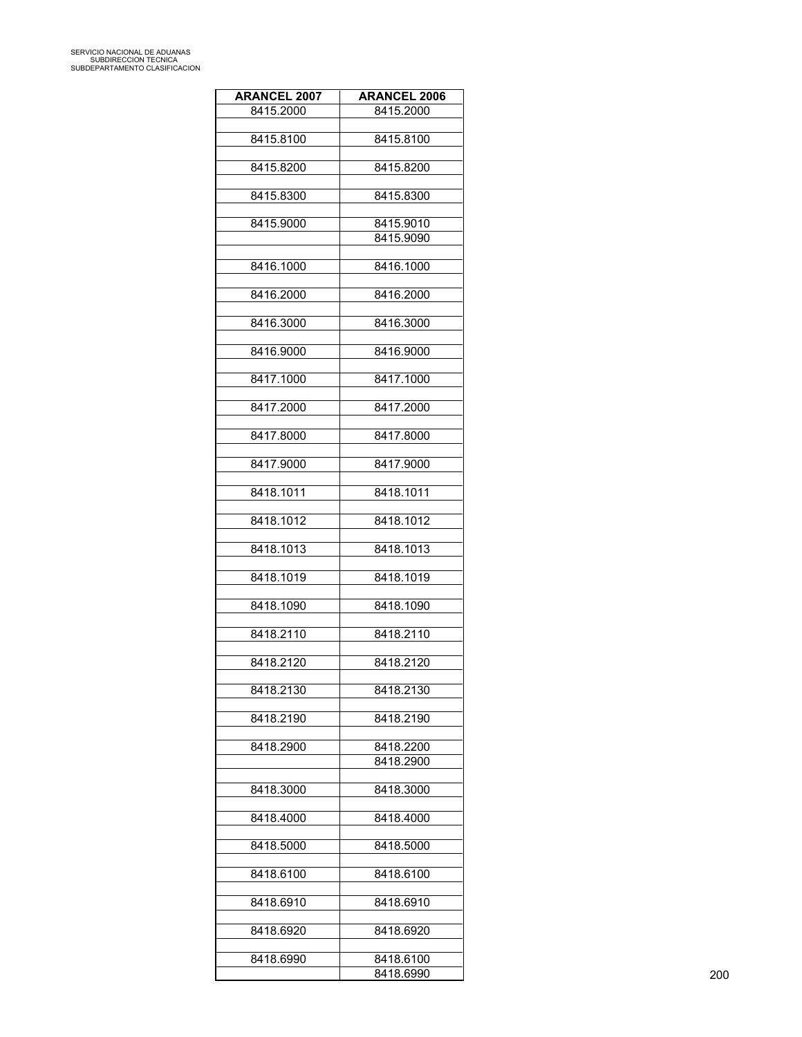| <b>ARANCEL 2007</b> | <b>ARANCEL 2006</b>    |
|---------------------|------------------------|
| 8415.2000           | 8415.2000              |
| 8415.8100           | 8415.8100              |
|                     | 8415.8200              |
| 8415.8200           |                        |
| 8415.8300           | 8415.8300              |
| 8415.9000           | 8415.9010              |
|                     | 8415.9090              |
| 8416.1000           | 8416.1000              |
| 8416.2000           | 8416.2000              |
|                     |                        |
| 8416.3000           | 8416.3000              |
| 8416.9000           | 8416.9000              |
| 8417.1000           | 8417.1000              |
|                     |                        |
| 8417.2000           | 8417.2000              |
| 8417.8000           | 8417.8000              |
| 8417.9000           | 8417.9000              |
|                     |                        |
| 8418.1011           | 8418.1011              |
| 8418.1012           | 8418.1012              |
| 8418.1013           | 8418.1013              |
|                     |                        |
| 8418.1019           | 8418.1019              |
| 8418.1090           | 8418.1090              |
| 8418.2110           | 8418.2110              |
|                     |                        |
| 8418.2120           | 8418.2120              |
| 8418.2130           | 8418.2130              |
| 8418.2190           | 8418.2190              |
|                     |                        |
| 8418.2900           | 8418.2200<br>8418.2900 |
|                     |                        |
| 8418.3000           | 8418.3000              |
| 8418.4000           | 8418.4000              |
| 8418.5000           | 8418.5000              |
|                     |                        |
| 8418.6100           | 8418.6100              |
| 8418.6910           | 8418.6910              |
| 8418.6920           | 8418.6920              |
|                     |                        |
| 8418.6990           | 8418.6100<br>8418.6990 |
|                     |                        |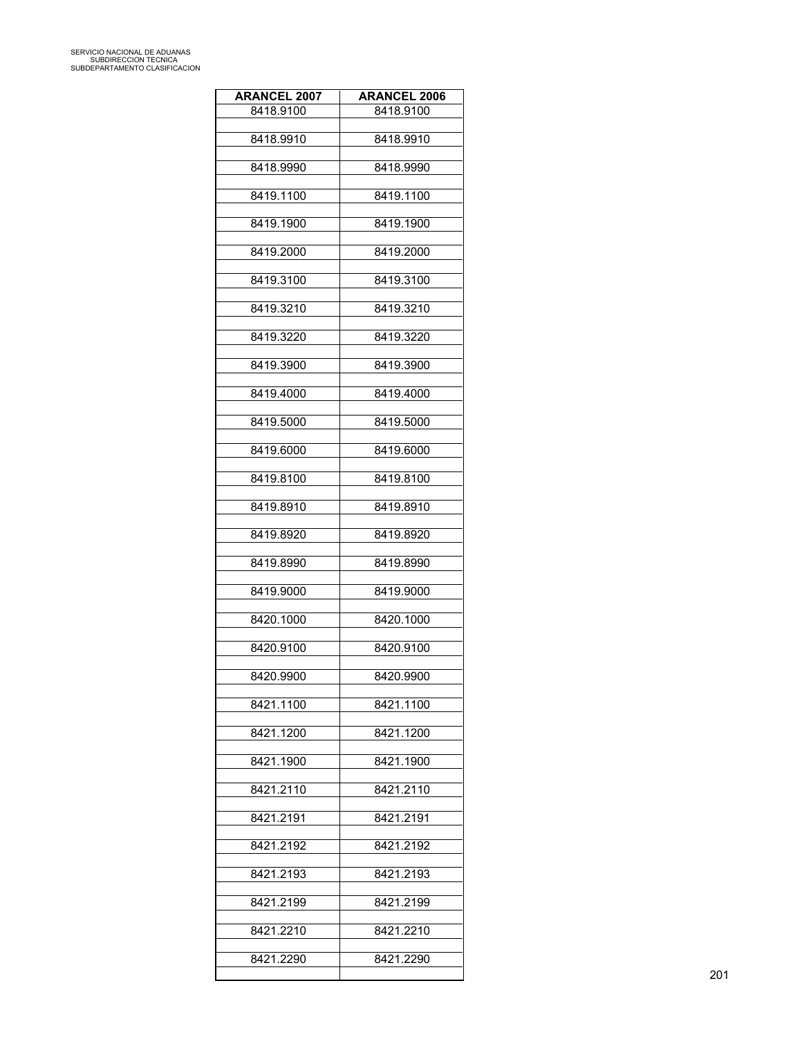| <b>ARANCEL 2007</b> | <b>ARANCEL 2006</b> |
|---------------------|---------------------|
| 8418.9100           | 8418.9100           |
|                     |                     |
| 8418.9910           | 8418.9910           |
| 8418.9990           | 8418.9990           |
|                     |                     |
| 8419.1100           | 8419.1100           |
|                     |                     |
| 8419.1900           | 8419.1900           |
| 8419.2000           | 8419.2000           |
|                     |                     |
| 8419.3100           | 8419.3100           |
| 8419.3210           | 8419.3210           |
|                     |                     |
| 8419.3220           | 8419.3220           |
|                     |                     |
| 8419.3900           | 8419.3900           |
| 8419.4000           | 8419.4000           |
|                     |                     |
| 8419.5000           | 8419.5000           |
|                     |                     |
| 8419.6000           | 8419.6000           |
| 8419.8100           | 8419.8100           |
|                     |                     |
| 8419.8910           | 8419.8910           |
|                     |                     |
| 8419.8920           | 8419.8920           |
| 8419.8990           | 8419.8990           |
|                     |                     |
| 8419.9000           | 8419.9000           |
|                     |                     |
| 8420.1000           | 8420.1000           |
| 8420.9100           | 8420.9100           |
|                     |                     |
| 8420.9900           | 8420.9900           |
|                     |                     |
| 8421.1100           | 8421.1100           |
| 8421.1200           | 8421.1200           |
|                     |                     |
| 8421.1900           | 8421.1900           |
|                     |                     |
| 8421.2110           | 8421.2110           |
| 8421.2191           | 8421.2191           |
|                     |                     |
| 8421.2192           | 8421.2192           |
| 8421.2193           | 8421.2193           |
|                     |                     |
| 8421.2199           | 8421.2199           |
|                     |                     |
| 8421.2210           | 8421.2210           |
| 8421.2290           | 8421.2290           |
|                     |                     |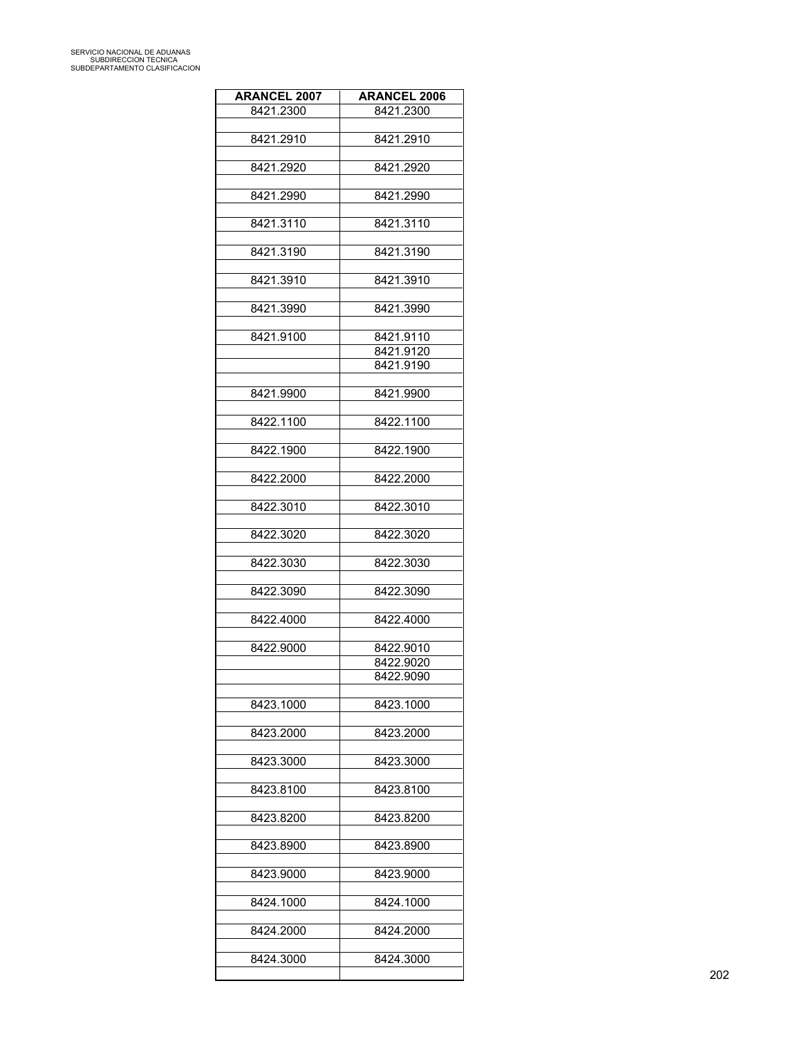| <b>ARANCEL 2007</b> | <b>ARANCEL 2006</b> |
|---------------------|---------------------|
| 8421.2300           | 8421.2300           |
|                     |                     |
| 8421.2910           | 8421.2910           |
|                     |                     |
| 8421.2920           | 8421.2920           |
|                     |                     |
| 8421.2990           | 8421.2990           |
|                     |                     |
| 8421.3110           | 8421.3110           |
|                     |                     |
| 8421.3190           | 8421.3190           |
|                     |                     |
| 8421.3910           | 8421.3910           |
|                     |                     |
| 8421.3990           | 8421.3990           |
|                     |                     |
| 8421.9100           | 8421.9110           |
|                     | 8421.9120           |
|                     | 8421.9190           |
|                     |                     |
| 8421.9900           | 8421.9900           |
|                     |                     |
| 8422.1100           | 8422.1100           |
|                     |                     |
| 8422.1900           | 8422.1900           |
|                     |                     |
| 8422.2000           | 8422.2000           |
|                     |                     |
|                     |                     |
| 8422.3010           | 8422.3010           |
|                     |                     |
| 8422.3020           | 8422.3020           |
|                     |                     |
| 8422.3030           | 8422.3030           |
|                     |                     |
| 8422.3090           | 8422.3090           |
|                     |                     |
| 8422.4000           | 8422.4000           |
|                     |                     |
| 8422.9000           | 8422.9010           |
|                     | 8422.9020           |
|                     | 8422.9090           |
|                     |                     |
| 8423.1000           | 8423.1000           |
|                     |                     |
| 8423.2000           | 8423.2000           |
|                     |                     |
| 8423.3000           | 8423.3000           |
|                     |                     |
| 8423.8100           | 8423.8100           |
|                     |                     |
| 8423.8200           | 8423.8200           |
|                     |                     |
| 8423.8900           | 8423.8900           |
|                     |                     |
| 8423.9000           | 8423.9000           |
|                     |                     |
| 8424.1000           | 8424.1000           |
|                     |                     |
| 8424.2000           | 8424.2000           |
|                     |                     |
| 8424.3000           | 8424.3000           |
|                     |                     |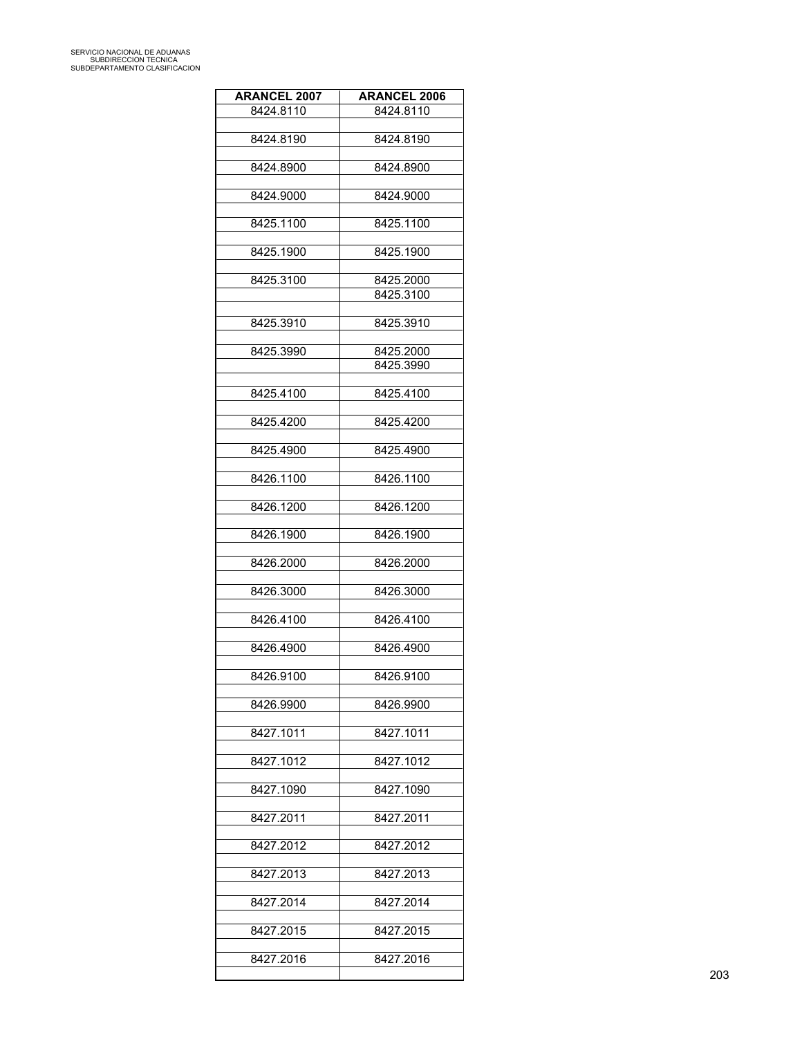| <b>ARANCEL 2007</b> | <b>ARANCEL 2006</b>    |
|---------------------|------------------------|
| 8424.8110           | 8424.8110              |
| 8424.8190           | 8424.8190              |
| 8424.8900           | 8424.8900              |
| 8424.9000           | 8424.9000              |
| 8425.1100           | 8425.1100              |
| 8425.1900           | 8425.1900              |
| 8425.3100           | 8425.2000<br>8425.3100 |
| 8425.3910           | 8425.3910              |
| 8425.3990           | 8425.2000<br>8425.3990 |
|                     |                        |
| 8425.4100           | 8425.4100              |
| 8425.4200           | 8425.4200              |
| 8425.4900           | 8425.4900              |
| 8426.1100           | 8426.1100              |
| 8426.1200           | 8426.1200              |
| 8426.1900           | 8426.1900              |
| 8426.2000           | 8426.2000              |
| 8426.3000           | 8426.3000              |
| 8426.4100           | 8426.4100              |
| 8426.4900           | 8426.4900              |
| 8426.9100           | 8426.9100              |
| 8426.9900           | 8426.9900              |
| 8427.1011           | 8427.1011              |
| 8427.1012           | 8427.1012              |
| 8427.1090           | 8427.1090              |
| 8427.2011           | 8427.2011              |
| 8427.2012           | 8427.2012              |
| 8427.2013           | 8427.2013              |
| 8427.2014           | 8427.2014              |
| 8427.2015           | 8427.2015              |
| 8427.2016           | 8427.2016              |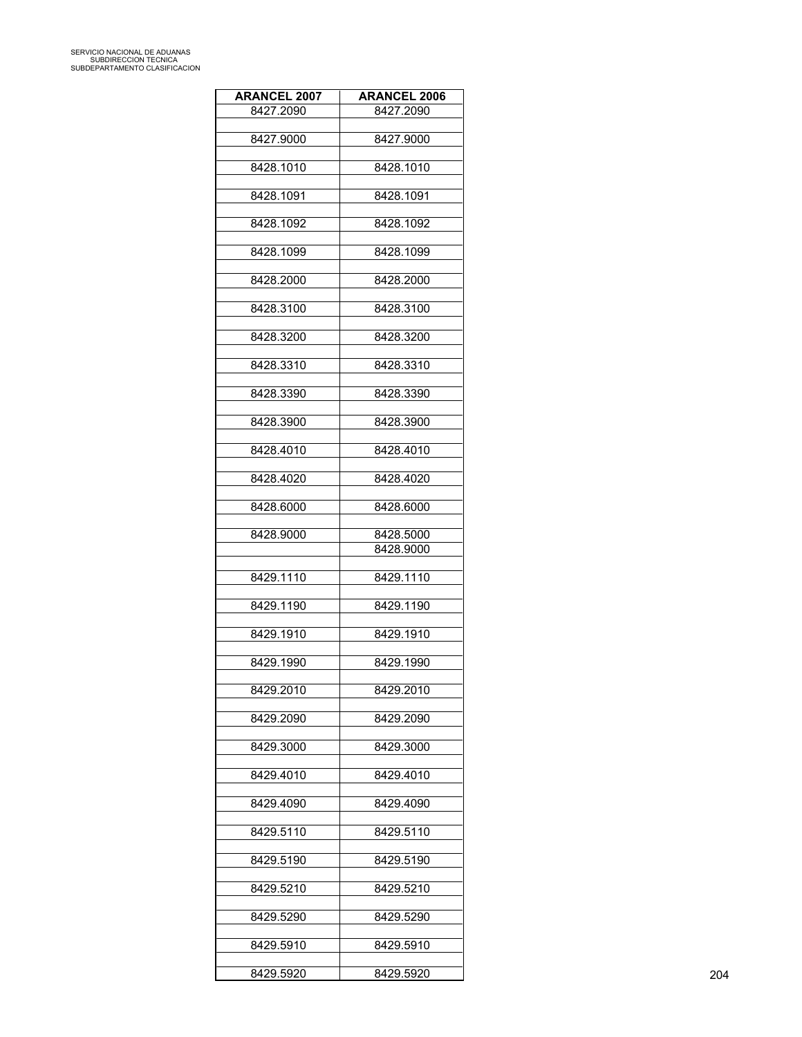| <b>ARANCEL 2007</b> | <b>ARANCEL 2006</b> |
|---------------------|---------------------|
| 8427.2090           | 8427.2090           |
| 8427.9000           | 8427.9000           |
| 8428.1010           | 8428.1010           |
|                     |                     |
| 8428.1091           | 8428.1091           |
| 8428.1092           | 8428.1092           |
| 8428.1099           | 8428.1099           |
| 8428.2000           | 8428.2000           |
| 8428.3100           | 8428.3100           |
| 8428.3200           |                     |
|                     | 8428.3200           |
| 8428.3310           | 8428.3310           |
| 8428.3390           | 8428.3390           |
| 8428.3900           | 8428.3900           |
| 8428.4010           | 8428.4010           |
| 8428.4020           | 8428.4020           |
|                     |                     |
| 8428.6000           | 8428.6000           |
| 8428.9000           | 8428.5000           |
|                     | 8428.9000           |
| 8429.1110           | 8429.1110           |
| 8429.1190           | 8429.1190           |
| 8429.1910           | 8429.1910           |
|                     |                     |
| 8429.1990           | 8429.1990           |
| 8429.2010           | 8429.2010           |
| 8429.2090           | 8429.2090           |
| 8429.3000           | 8429.3000           |
| 8429.4010           | 8429.4010           |
|                     |                     |
| 8429.4090           | 8429.4090           |
| 8429.5110           | 8429.5110           |
| 8429.5190           | 8429.5190           |
| 8429.5210           | 8429.5210           |
| 8429.5290           | 8429.5290           |
|                     |                     |
| 8429.5910           | 8429.5910           |
| 8429.5920           | 8429.5920           |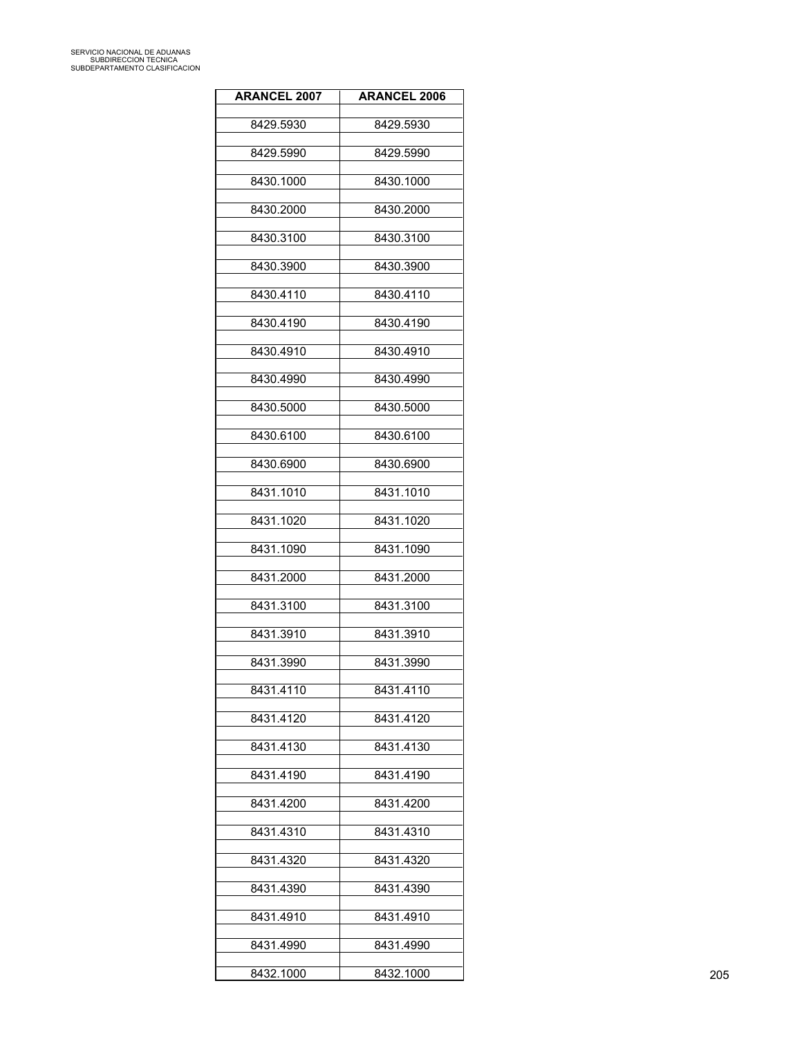| <b>ARANCEL 2007</b> | <b>ARANCEL 2006</b> |
|---------------------|---------------------|
| 8429.5930           | 8429.5930           |
| 8429.5990           | 8429.5990           |
| 8430.1000           | 8430.1000           |
|                     |                     |
| 8430.2000           | 8430.2000           |
| 8430.3100           | 8430.3100           |
| 8430.3900           | 8430.3900           |
| 8430.4110           | 8430.4110           |
| 8430.4190           | 8430.4190           |
| 8430.4910           | 8430.4910           |
| 8430.4990           | 8430.4990           |
| 8430.5000           | 8430.5000           |
| 8430.6100           | 8430.6100           |
| 8430.6900           | 8430.6900           |
| 8431.1010           | 8431.1010           |
| 8431.1020           | 8431.1020           |
| 8431.1090           | 8431.1090           |
|                     |                     |
| 8431.2000           | 8431.2000           |
| 8431.3100           | 8431.3100           |
| 8431.3910           | 8431.3910           |
| 8431.3990           | 8431.3990           |
| 8431.4110           | 8431.4110           |
| 8431.4120           | 8431.4120           |
| 8431.4130           | 8431.4130           |
| 8431.4190           | 8431.4190           |
| 8431.4200           | 8431.4200           |
| 8431.4310           | 8431.4310           |
| 8431.4320           | 8431.4320           |
| 8431.4390           |                     |
|                     | 8431.4390           |
| 8431.4910           | 8431.4910           |
| 8431.4990           | 8431.4990           |
| 8432.1000           | 8432.1000           |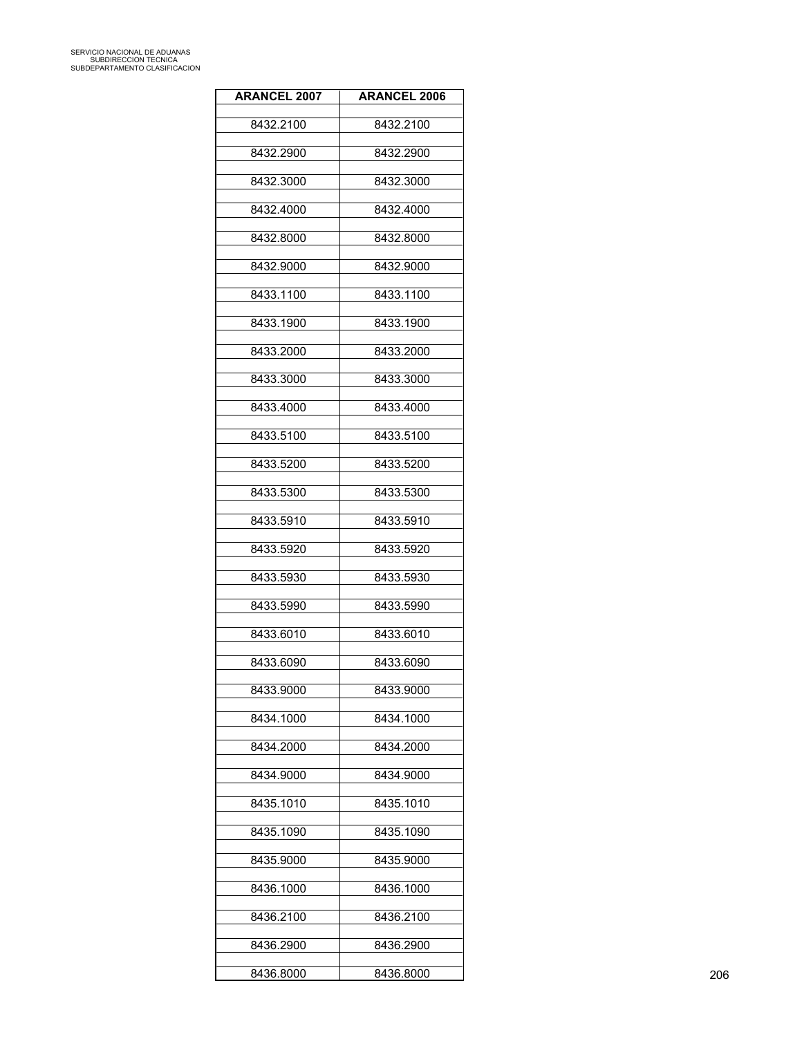| <b>ARANCEL 2007</b> | <b>ARANCEL 2006</b> |
|---------------------|---------------------|
| 8432.2100           | 8432.2100           |
| 8432.2900           | 8432.2900           |
| 8432.3000           | 8432.3000           |
|                     |                     |
| 8432.4000           | 8432.4000           |
| 8432.8000           | 8432.8000           |
| 8432.9000           | 8432.9000           |
| 8433.1100           | 8433.1100           |
| 8433.1900           | 8433.1900           |
| 8433.2000           | 8433.2000           |
| 8433.3000           | 8433.3000           |
| 8433.4000           | 8433.4000           |
| 8433.5100           | 8433.5100           |
| 8433.5200           | 8433.5200           |
| 8433.5300           | 8433.5300           |
|                     |                     |
| 8433.5910           | 8433.5910           |
| 8433.5920           | 8433.5920           |
| 8433.5930           | 8433.5930           |
| 8433.5990           | 8433.5990           |
| 8433.6010           | 8433.6010           |
| 8433.6090           | 8433.6090           |
| 8433.9000           | 8433.9000           |
| 8434.1000           | 8434.1000           |
| 8434.2000           | 8434.2000           |
| 8434.9000           | 8434.9000           |
| 8435.1010           | 8435.1010           |
|                     |                     |
| 8435.1090           | 8435.1090           |
| 8435.9000           | 8435.9000           |
| 8436.1000           | 8436.1000           |
| 8436.2100           | 8436.2100           |
| 8436.2900           | 8436.2900           |
| 8436.8000           | 8436.8000           |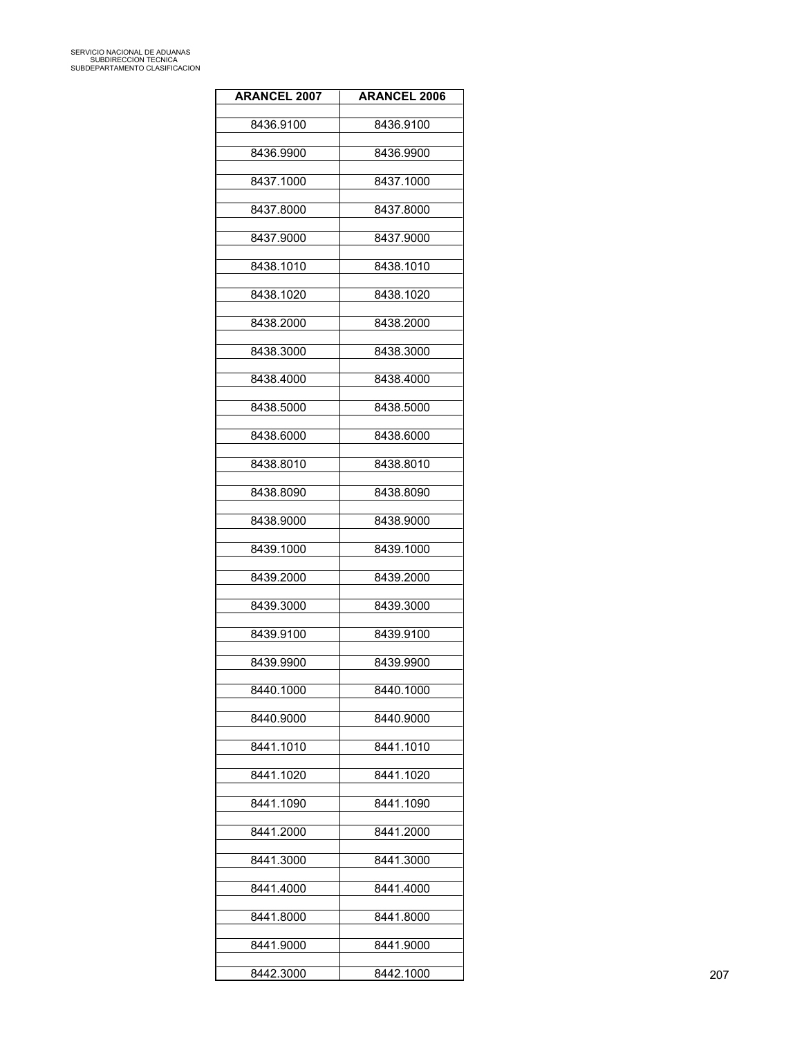| <b>ARANCEL 2007</b> | <b>ARANCEL 2006</b> |
|---------------------|---------------------|
| 8436.9100           | 8436.9100           |
| 8436.9900           | 8436.9900           |
| 8437.1000           | 8437.1000           |
|                     |                     |
| 8437.8000           | 8437.8000           |
| 8437.9000           | 8437.9000           |
| 8438.1010           | 8438.1010           |
| 8438.1020           | 8438.1020           |
| 8438.2000           | 8438.2000           |
| 8438.3000           | 8438.3000           |
| 8438.4000           | 8438.4000           |
| 8438.5000           | 8438.5000           |
| 8438.6000           | 8438.6000           |
| 8438.8010           | 8438.8010           |
| 8438.8090           | 8438.8090           |
| 8438.9000           | 8438.9000           |
| 8439.1000           | 8439.1000           |
|                     |                     |
| 8439.2000           | 8439.2000           |
| 8439.3000           | 8439.3000           |
| 8439.9100           | 8439.9100           |
| 8439.9900           | 8439.9900           |
| 8440.1000           | 8440.1000           |
| 8440.9000           | 8440.9000           |
| 8441.1010           | 8441.1010           |
| 8441.1020           | 8441.1020           |
| 8441.1090           | 8441.1090           |
| 8441.2000           | 8441.2000           |
| 8441.3000           | 8441.3000           |
| 8441.4000           |                     |
|                     | 8441.4000           |
| 8441.8000           | 8441.8000           |
| 8441.9000           | 8441.9000           |
| 8442.3000           | 8442.1000           |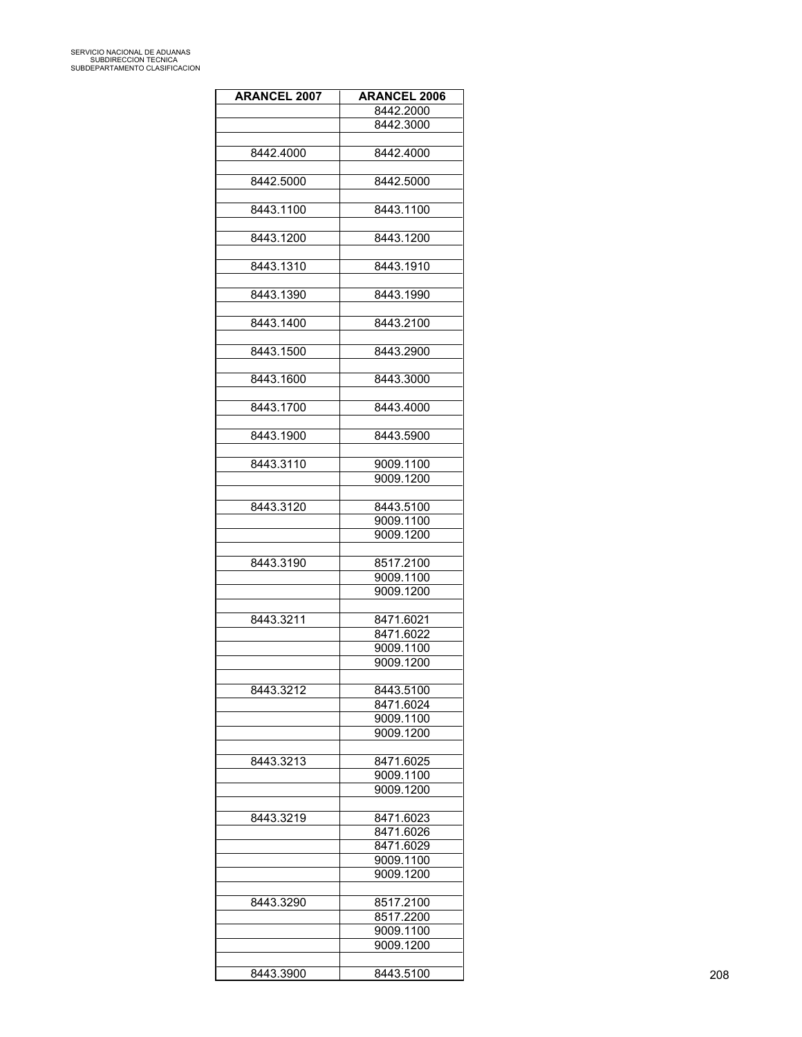| <b>ARANCEL 2007</b> | <b>ARANCEL 2006</b> |
|---------------------|---------------------|
|                     | 8442.2000           |
|                     | 8442.3000           |
|                     |                     |
| 8442.4000           | 8442.4000           |
|                     |                     |
| 8442.5000           | 8442.5000           |
|                     |                     |
| 8443.1100           | 8443.1100           |
|                     |                     |
|                     |                     |
| 8443.1200           | 8443.1200           |
|                     |                     |
| 8443.1310           | 8443.1910           |
|                     |                     |
| 8443.1390           | 8443.1990           |
|                     |                     |
| 8443.1400           | 8443.2100           |
|                     |                     |
|                     |                     |
| 8443.1500           | 8443.2900           |
|                     |                     |
| 8443.1600           | 8443.3000           |
|                     |                     |
|                     |                     |
| 8443.1700           | 8443.4000           |
|                     |                     |
| 8443.1900           | 8443.5900           |
|                     |                     |
| 8443.3110           | 9009.1100           |
|                     | 9009.1200           |
|                     |                     |
|                     |                     |
| 8443.3120           | 8443.5100           |
|                     | 9009.1100           |
|                     | 9009.1200           |
|                     |                     |
|                     |                     |
| 8443.3190           | 8517.2100           |
|                     | 9009.1100           |
|                     | 9009.1200           |
|                     |                     |
| 8443.3211           | 8471.6021           |
|                     |                     |
|                     | 8471.6022           |
|                     | 9009.1100           |
|                     | 9009.1200           |
|                     |                     |
| 8443.3212           | 8443.5100           |
|                     |                     |
|                     | 8471.6024           |
|                     | 9009.1100           |
|                     | 9009.1200           |
|                     |                     |
|                     |                     |
| 8443.3213           | 8471.6025           |
|                     | 9009.1100           |
|                     | 9009.1200           |
|                     |                     |
| 8443.3219           | 8471.6023           |
|                     |                     |
|                     | 8471.6026           |
|                     | 8471.6029           |
|                     | 9009.1100           |
|                     | 9009.1200           |
|                     |                     |
|                     |                     |
| 8443.3290           | 8517.2100           |
|                     | 8517.2200           |
|                     | 9009.1100           |
|                     | 9009.1200           |
|                     |                     |
| 8443.3900           | 8443.5100           |
|                     |                     |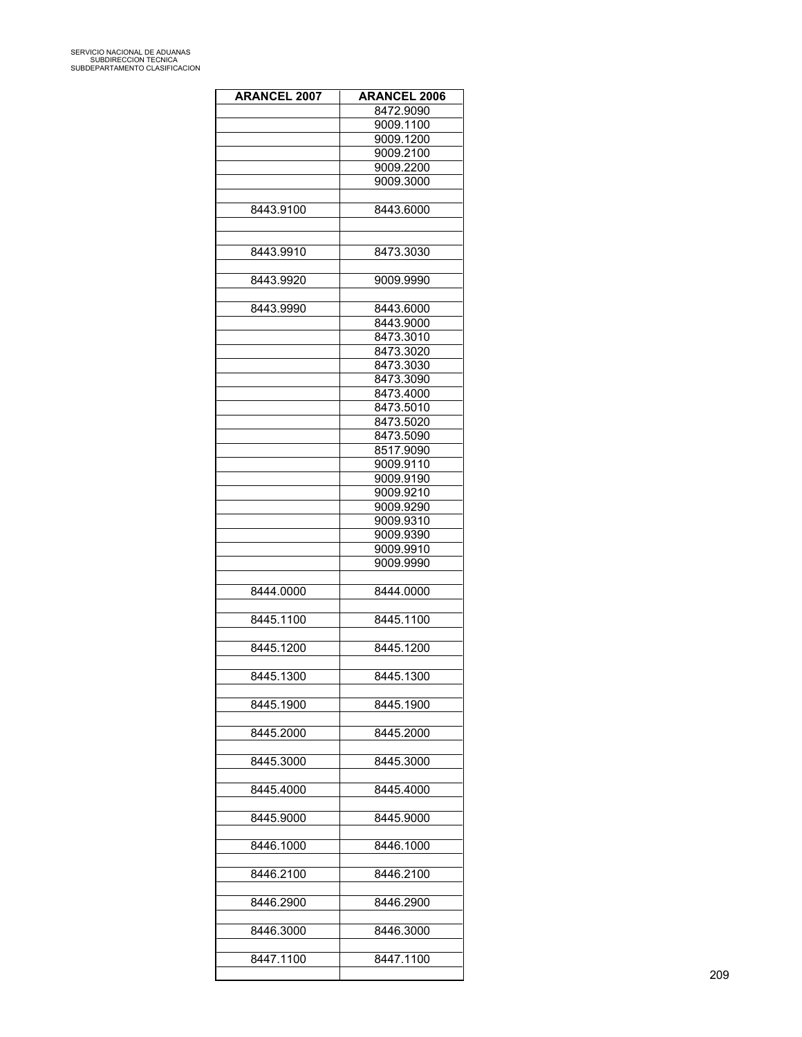| <b>ARANCEL 2007</b> | <b>ARANCEL 2006</b> |
|---------------------|---------------------|
|                     | 8472.9090           |
|                     | 9009.1100           |
|                     | 9009.1200           |
|                     | 9009.2100           |
|                     | 9009.2200           |
|                     | 9009.3000           |
|                     |                     |
| 8443.9100           | 8443.6000           |
|                     |                     |
|                     |                     |
|                     |                     |
| 8443.9910           | 8473.3030           |
|                     |                     |
| 8443.9920           | 9009.9990           |
|                     |                     |
| 8443.9990           | 8443.6000           |
|                     | 8443.9000           |
|                     | 8473.3010           |
|                     | 8473.3020           |
|                     | 8473.3030           |
|                     | 8473.3090           |
|                     | 8473.4000           |
|                     | 8473.5010           |
|                     | 8473.5020           |
|                     | 8473.5090           |
|                     | 8517.9090           |
|                     | 9009.9110           |
|                     | 9009.9190           |
|                     | 9009.9210           |
|                     | 9009.9290           |
|                     | 9009.9310           |
|                     | 9009.9390           |
|                     | 9009.9910           |
|                     | 9009.9990           |
|                     |                     |
| 8444.0000           | 8444.0000           |
|                     |                     |
|                     |                     |
| 8445.1100           | 8445.1100           |
|                     |                     |
| 8445.1200           | 8445.1200           |
|                     |                     |
| 8445.1300           | 8445.1300           |
|                     |                     |
| 8445.1900           | 8445.1900           |
|                     |                     |
| 8445.2000           | 8445.2000           |
|                     |                     |
| 8445.3000           | 8445.3000           |
|                     |                     |
| 8445.4000           | 8445.4000           |
|                     |                     |
| 8445.9000           | 8445.9000           |
|                     |                     |
| 8446.1000           | 8446.1000           |
|                     |                     |
| 8446.2100           | 8446.2100           |
|                     |                     |
| 8446.2900           | 8446.2900           |
|                     |                     |
| 8446.3000           | 8446.3000           |
|                     |                     |
| 8447.1100           | 8447.1100           |
|                     |                     |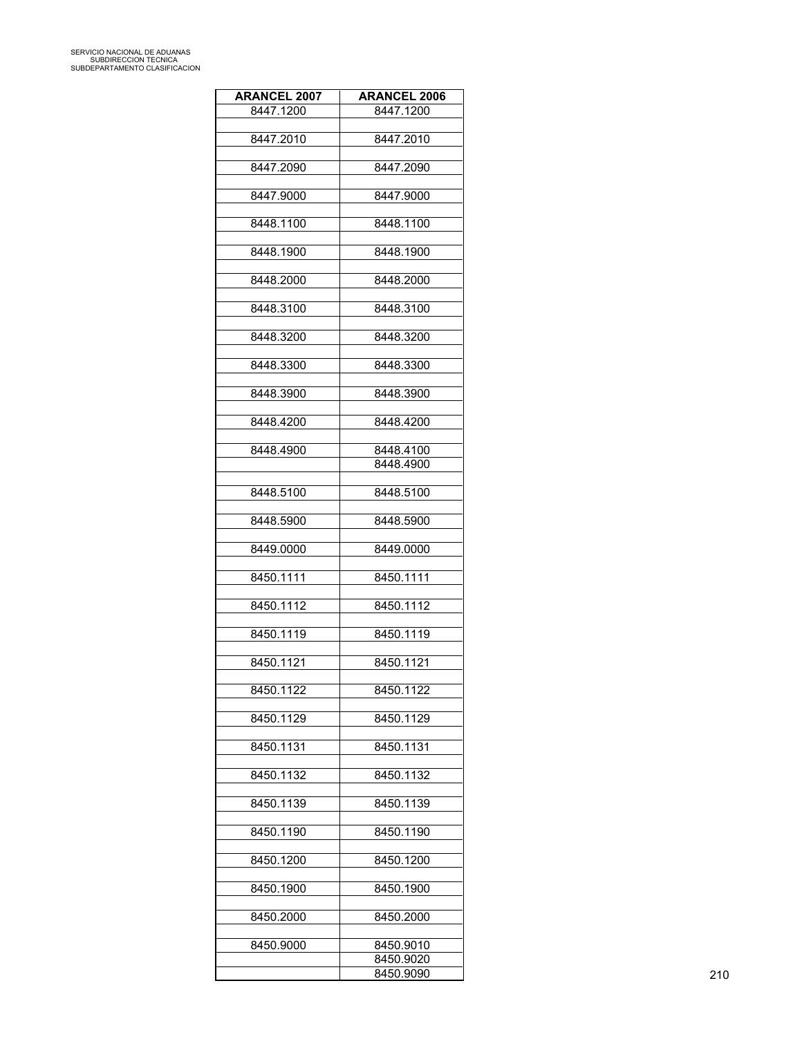| <b>ARANCEL 2007</b> | <b>ARANCEL 2006</b>    |
|---------------------|------------------------|
| 8447.1200           | 8447.1200              |
| 8447.2010           | 8447.2010              |
|                     |                        |
| 8447.2090           | 8447.2090              |
| 8447.9000           | 8447.9000              |
|                     |                        |
| 8448.1100           | 8448.1100              |
| 8448.1900           | 8448.1900              |
|                     |                        |
| 8448.2000           | 8448.2000              |
| 8448.3100           | 8448.3100              |
| 8448.3200           | 8448.3200              |
|                     |                        |
| 8448.3300           | 8448.3300              |
| 8448.3900           | 8448.3900              |
|                     |                        |
| 8448.4200           | 8448.4200              |
| 8448.4900           | 8448.4100              |
|                     | 8448.4900              |
| 8448.5100           | 8448.5100              |
|                     |                        |
| 8448.5900           | 8448.5900              |
| 8449.0000           | 8449.0000              |
|                     |                        |
| 8450.1111           | 8450.1111              |
| 8450.1112           | 8450.1112              |
|                     |                        |
| 8450.1119           | 8450.1119              |
| 8450.1121           | 8450.1121              |
|                     |                        |
| 8450.1122           | 8450.1122              |
| 8450.1129           | 8450.1129              |
| 8450.1131           | 8450.1131              |
|                     |                        |
| 8450.1132           | 8450.1132              |
| 8450.1139           | 8450.1139              |
|                     |                        |
| 8450.1190           | 8450.1190              |
| 8450.1200           | 8450.1200              |
|                     |                        |
| 8450.1900           | 8450.1900              |
| 8450.2000           | 8450.2000              |
|                     |                        |
| 8450.9000           | 8450.9010<br>8450.9020 |
|                     | 8450.9090              |
|                     |                        |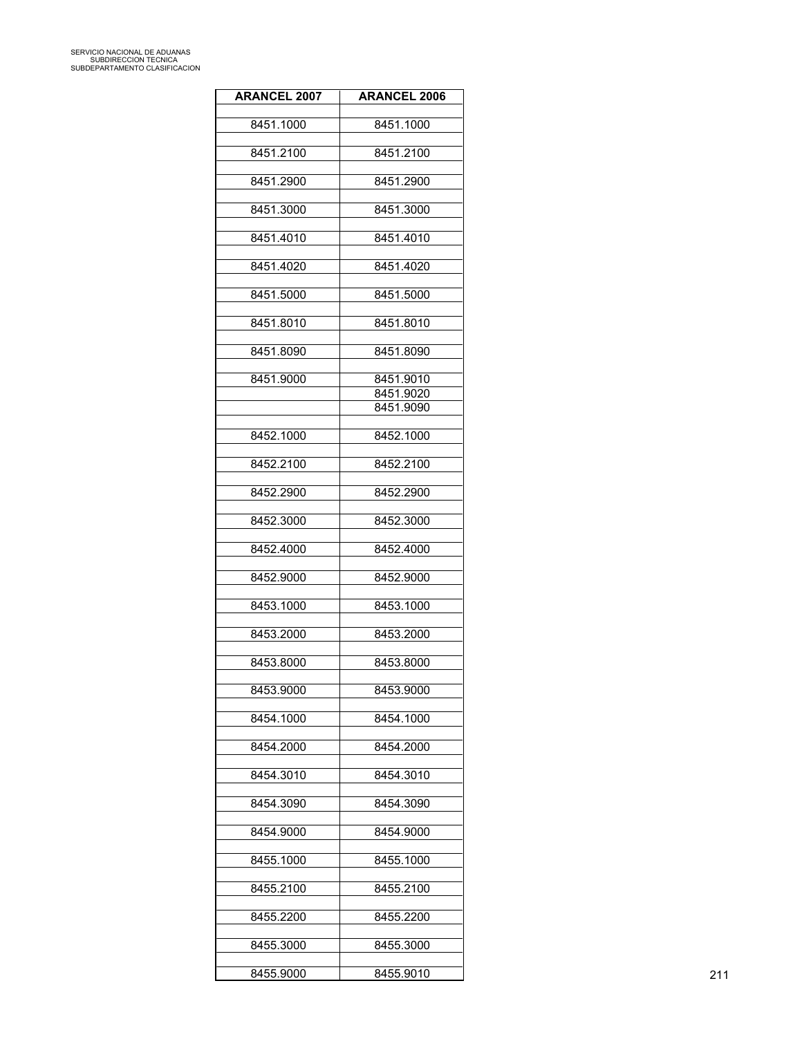| <b>ARANCEL 2007</b> | <b>ARANCEL 2006</b> |
|---------------------|---------------------|
| 8451.1000           | 8451.1000           |
|                     |                     |
| 8451.2100           | 8451.2100           |
| 8451.2900           | 8451.2900           |
| 8451.3000           | 8451.3000           |
|                     |                     |
| 8451.4010           | 8451.4010           |
| 8451.4020           | 8451.4020           |
| 8451.5000           | 8451.5000           |
|                     |                     |
| 8451.8010           | 8451.8010           |
| 8451.8090           | 8451.8090           |
| 8451.9000           | 8451.9010           |
|                     | 8451.9020           |
|                     | 8451.9090           |
| 8452.1000           | 8452.1000           |
|                     |                     |
| 8452.2100           | 8452.2100           |
| 8452.2900           | 8452.2900           |
|                     |                     |
| 8452.3000           | 8452.3000           |
| 8452.4000           | 8452.4000           |
| 8452.9000           | 8452.9000           |
|                     |                     |
| 8453.1000           | 8453.1000           |
| 8453.2000           | 8453.2000           |
|                     |                     |
| 8453.8000           | 8453.8000           |
| 8453.9000           | 8453.9000           |
|                     |                     |
| 8454.1000           | 8454.1000           |
| 8454.2000           | 8454.2000           |
| 8454.3010           | 8454.3010           |
|                     |                     |
| 8454.3090           | 8454.3090           |
| 8454.9000           | 8454.9000           |
|                     |                     |
| 8455.1000           | 8455.1000           |
| 8455.2100           | 8455.2100           |
|                     |                     |
| 8455.2200           | 8455.2200           |
| 8455.3000           | 8455.3000           |
|                     |                     |
| 8455.9000           | 8455.9010           |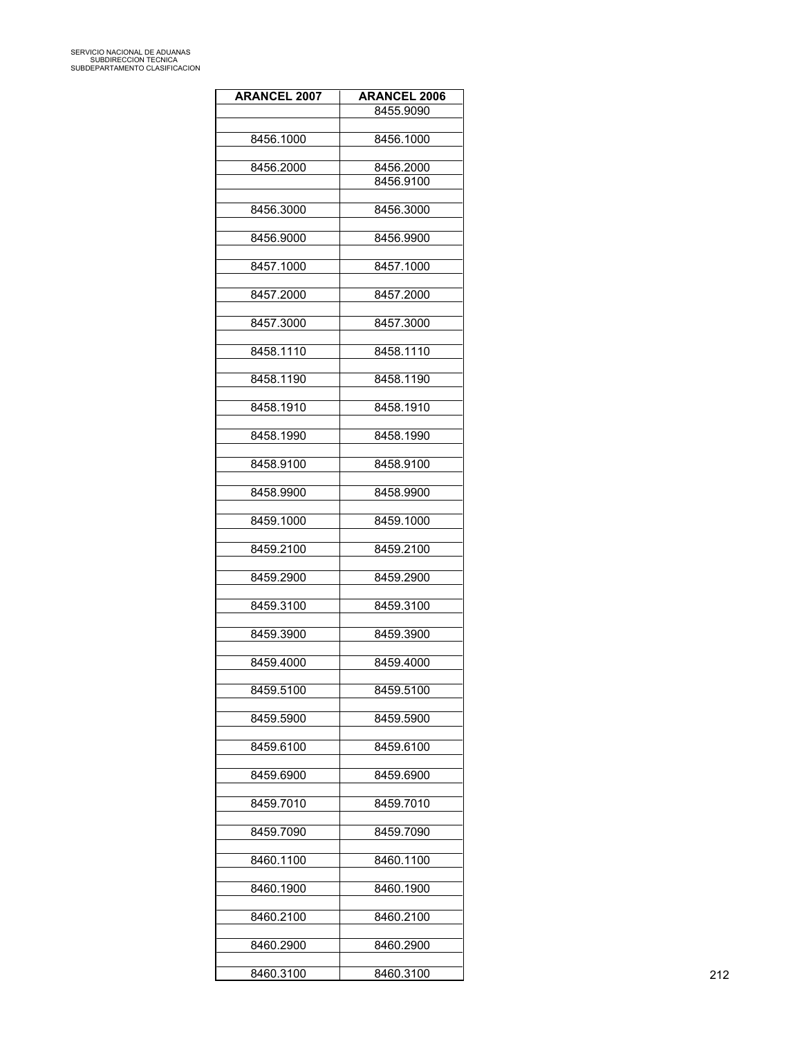| <b>ARANCEL 2006</b> |
|---------------------|
| 8455.9090           |
| 8456.1000           |
|                     |
| 8456.2000           |
| 8456.9100           |
| 8456.3000           |
|                     |
| 8456.9900           |
| 8457.1000           |
|                     |
| 8457.2000           |
| 8457.3000           |
|                     |
| 8458.1110           |
| 8458.1190           |
|                     |
| 8458.1910           |
|                     |
| 8458.1990           |
| 8458.9100           |
|                     |
| 8458.9900           |
| 8459.1000           |
|                     |
| 8459.2100           |
| 8459.2900           |
|                     |
| 8459.3100           |
| 8459.3900           |
|                     |
| 8459.4000           |
|                     |
| 8459.5100           |
| 8459.5900           |
|                     |
| 8459.6100           |
| 8459.6900           |
|                     |
| 8459.7010           |
| 8459.7090           |
|                     |
| 8460.1100           |
| 8460.1900           |
|                     |
| 8460.2100           |
|                     |
| 8460.2900           |
| 8460.3100           |
|                     |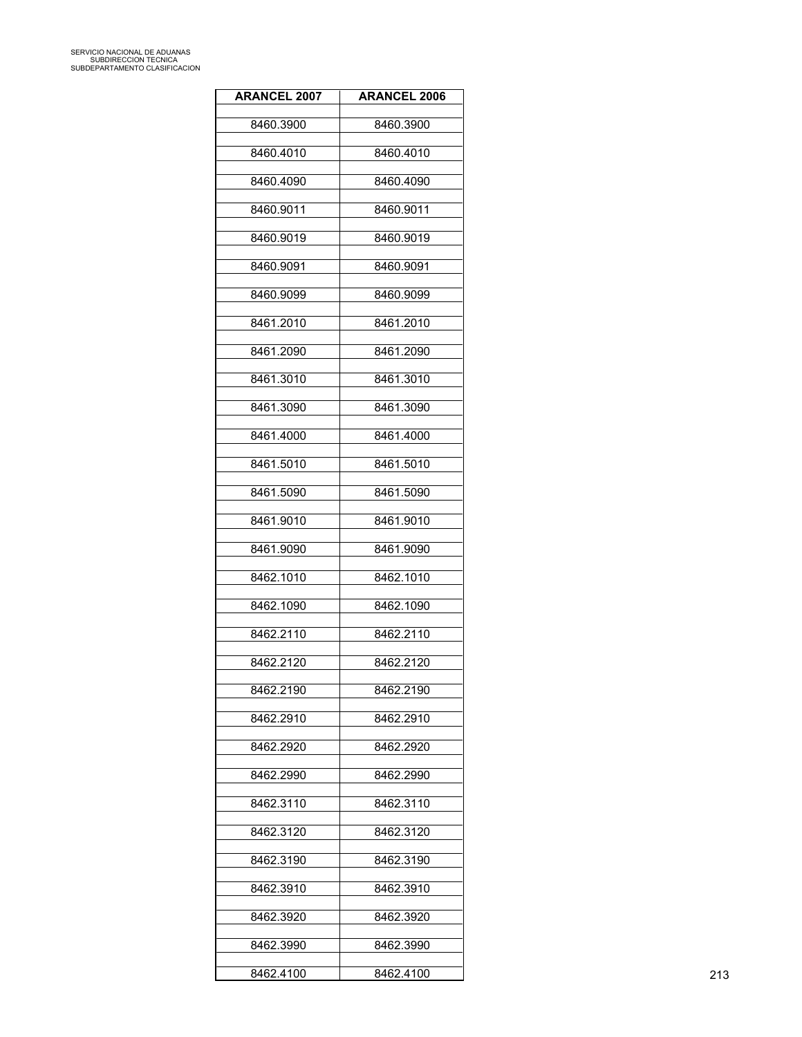| <b>ARANCEL 2007</b> | <b>ARANCEL 2006</b> |
|---------------------|---------------------|
| 8460.3900           | 8460.3900           |
|                     |                     |
| 8460.4010           | 8460.4010           |
| 8460.4090           | 8460.4090           |
| 8460.9011           | 8460.9011           |
| 8460.9019           | 8460.9019           |
| 8460.9091           | 8460.9091           |
| 8460.9099           | 8460.9099           |
| 8461.2010           | 8461.2010           |
| 8461.2090           | 8461.2090           |
| 8461.3010           | 8461.3010           |
| 8461.3090           | 8461.3090           |
| 8461.4000           | 8461.4000           |
| 8461.5010           | 8461.5010           |
| 8461.5090           | 8461.5090           |
| 8461.9010           | 8461.9010           |
| 8461.9090           | 8461.9090           |
| 8462.1010           | 8462.1010           |
| 8462.1090           | 8462.1090           |
| 8462.2110           | 8462.2110           |
|                     | 8462.2120           |
| 8462.2120           |                     |
| 8462.2190           | 8462.2190           |
| 8462.2910           | 8462.2910           |
| 8462.2920           | 8462.2920           |
| 8462.2990           | 8462.2990           |
| 8462.3110           | 8462.3110           |
| 8462.3120           | 8462.3120           |
| 8462.3190           | 8462.3190           |
| 8462.3910           | 8462.3910           |
| 8462.3920           | 8462.3920           |
| 8462.3990           | 8462.3990           |
|                     |                     |
| 8462.4100           | 8462.4100           |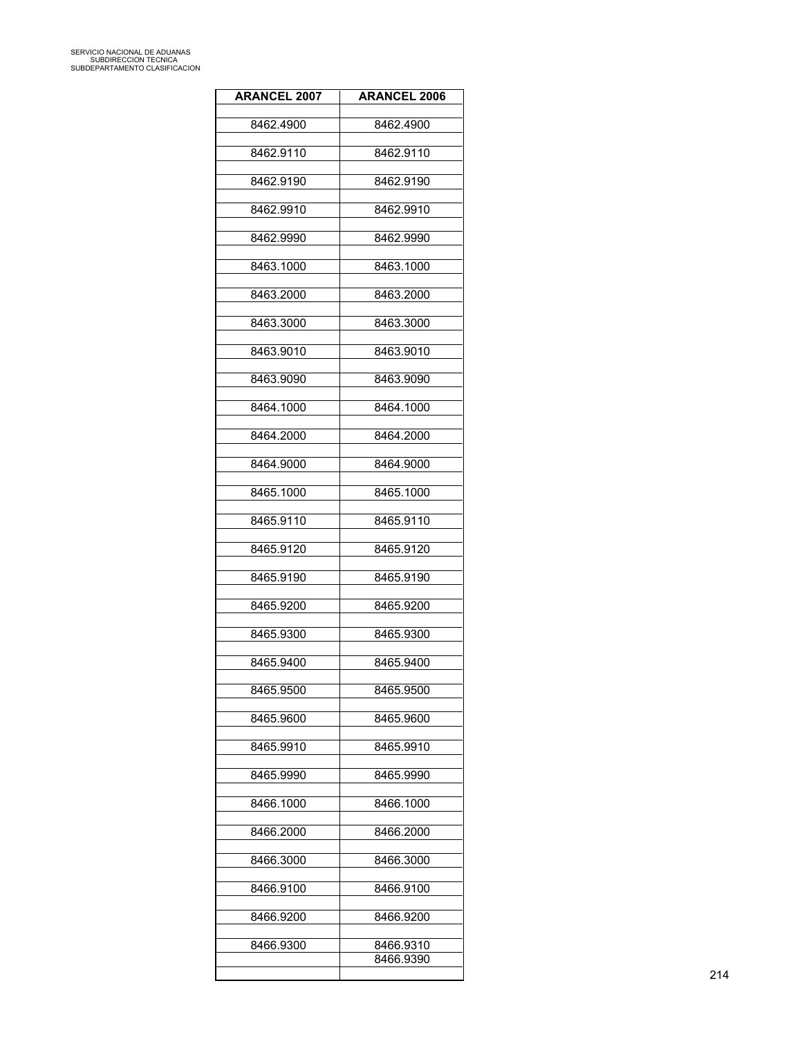| <b>ARANCEL 2007</b> | <b>ARANCEL 2006</b>    |
|---------------------|------------------------|
| 8462.4900           | 8462.4900              |
| 8462.9110           | 8462.9110              |
| 8462.9190           | 8462.9190              |
| 8462.9910           | 8462.9910              |
| 8462.9990           | 8462.9990              |
| 8463.1000           | 8463.1000              |
| 8463.2000           | 8463.2000              |
| 8463.3000           | 8463.3000              |
| 8463.9010           | 8463.9010              |
| 8463.9090           | 8463.9090              |
| 8464.1000           | 8464.1000              |
| 8464.2000           | 8464.2000              |
| 8464.9000           | 8464.9000              |
| 8465.1000           | 8465.1000              |
| 8465.9110           | 8465.9110              |
| 8465.9120           | 8465.9120              |
| 8465.9190           | 8465.9190              |
| 8465.9200           | 8465.9200              |
| 8465.9300           | 8465.9300              |
| 8465.9400           | 8465.9400              |
| 8465.9500           | 8465.9500              |
| 8465.9600           | 8465.9600              |
| 8465.9910           | 8465.9910              |
| 8465.9990           | 8465.9990              |
| 8466.1000           | 8466.1000              |
| 8466.2000           | 8466.2000              |
| 8466.3000           | 8466.3000              |
| 8466.9100           | 8466.9100              |
| 8466.9200           | 8466.9200              |
| 8466.9300           | 8466.9310<br>8466.9390 |
|                     |                        |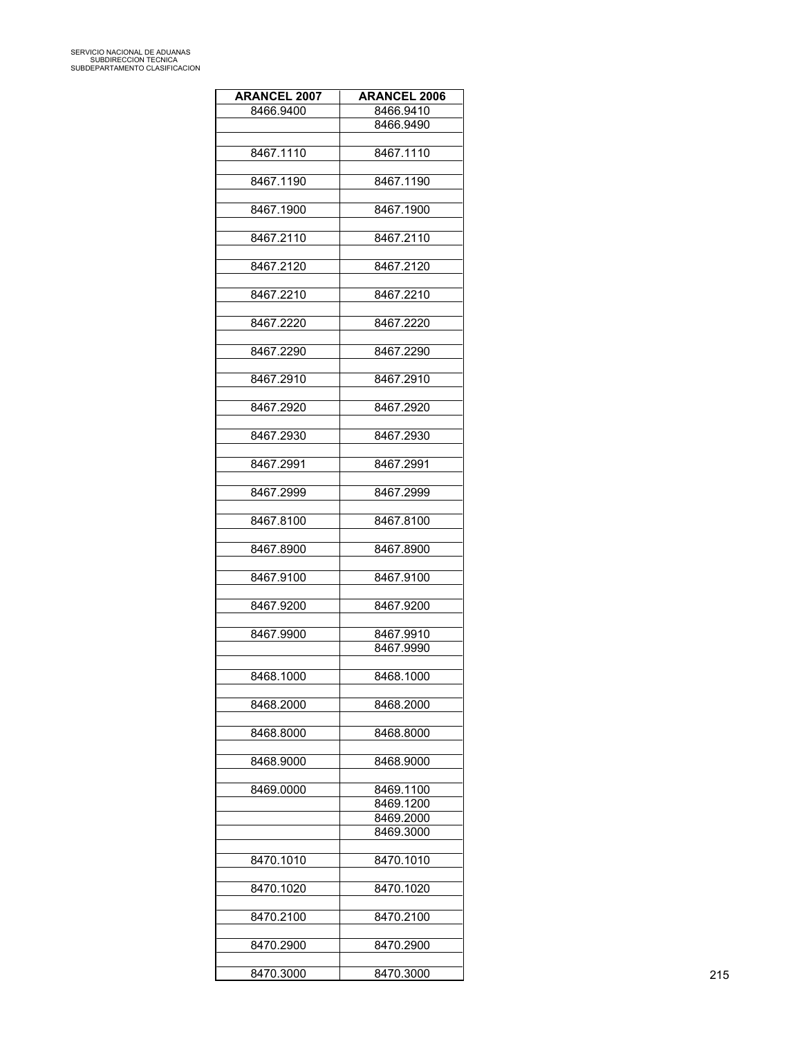| <b>ARANCEL 2007</b> | <b>ARANCEL 2006</b> |
|---------------------|---------------------|
| 8466.9400           | 8466.9410           |
|                     | 8466.9490           |
|                     |                     |
| 8467.1110           | 8467.1110           |
| 8467.1190           | 8467.1190           |
|                     |                     |
| 8467.1900           | 8467.1900           |
|                     |                     |
| 8467.2110           | 8467.2110           |
|                     |                     |
| 8467.2120           | 8467.2120           |
| 8467.2210           | 8467.2210           |
|                     |                     |
| 8467.2220           | 8467.2220           |
|                     |                     |
| 8467.2290           | 8467.2290           |
|                     |                     |
| 8467.2910           | 8467.2910           |
|                     |                     |
| 8467.2920           | 8467.2920           |
| 8467.2930           | 8467.2930           |
|                     |                     |
| 8467.2991           | 8467.2991           |
|                     |                     |
| 8467.2999           | 8467.2999           |
|                     |                     |
| 8467.8100           | 8467.8100           |
|                     |                     |
| 8467.8900           | 8467.8900           |
| 8467.9100           | 8467.9100           |
|                     |                     |
| 8467.9200           | 8467.9200           |
|                     |                     |
| 8467.9900           | 8467.9910           |
|                     | 8467.9990           |
|                     |                     |
| 8468.1000           | 8468.1000           |
|                     |                     |
| 8468.2000           | 8468.2000           |
|                     |                     |
| 8468.8000           | 8468.8000           |
| 8468.9000           | 8468.9000           |
|                     |                     |
| 8469.0000           | 8469.1100           |
|                     | 8469.1200           |
|                     | 8469.2000           |
|                     | 8469.3000           |
|                     |                     |
| 8470.1010           | 8470.1010           |
|                     |                     |
| 8470.1020           | 8470.1020           |
| 8470.2100           | 8470.2100           |
|                     |                     |
| 8470.2900           | 8470.2900           |
|                     |                     |
| 8470.3000           | 8470.3000           |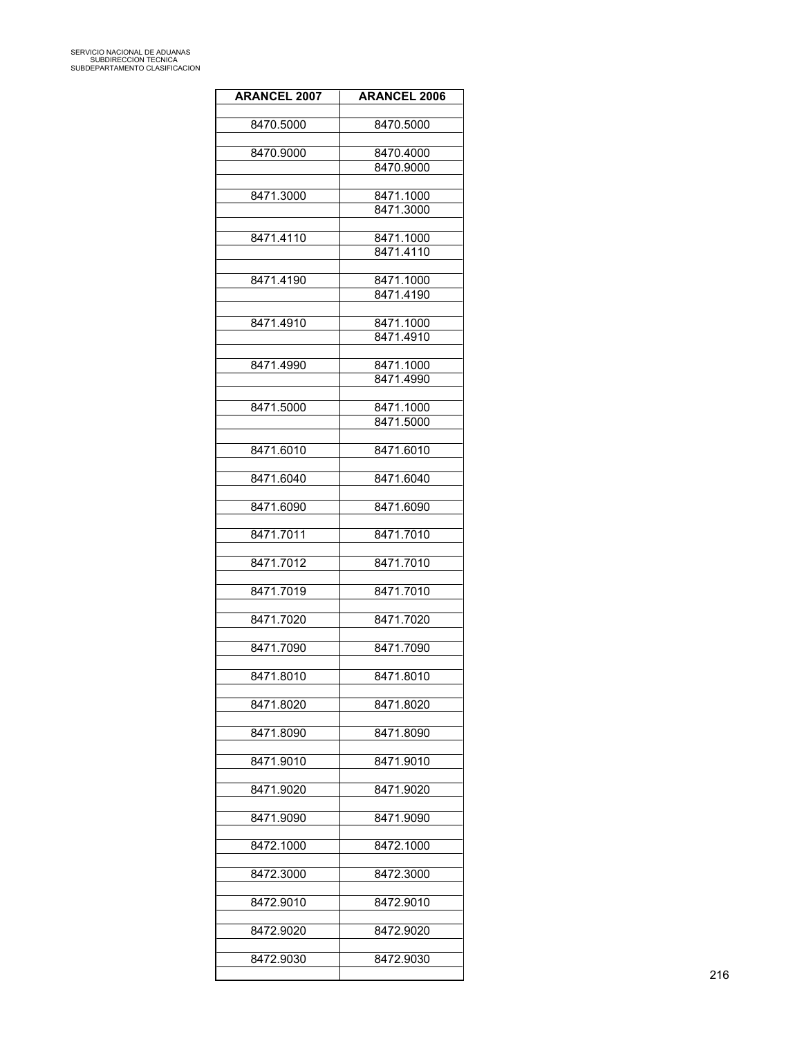| <b>ARANCEL 2007</b> | <b>ARANCEL 2006</b>    |
|---------------------|------------------------|
|                     |                        |
| 8470.5000           | 8470.5000              |
| 8470.9000           | 8470.4000              |
|                     | 8470.9000              |
|                     |                        |
| 8471.3000           | 8471.1000              |
|                     | 8471.3000              |
| 8471.4110           | 8471.1000              |
|                     | 8471.4110              |
|                     |                        |
| 8471.4190           | 8471.1000<br>8471.4190 |
|                     |                        |
| 8471.4910           | 8471.1000              |
|                     | 8471.4910              |
| 8471.4990           | 8471.1000              |
|                     | 8471.4990              |
|                     |                        |
| 8471.5000           | 8471.1000              |
|                     | 8471.5000              |
| 8471.6010           | 8471.6010              |
| 8471.6040           | 8471.6040              |
| 8471.6090           | 8471.6090              |
| 8471.7011           | 8471.7010              |
| 8471.7012           | 8471.7010              |
| 8471.7019           | 8471.7010              |
| 8471.7020           | 8471.7020              |
| 8471.7090           | 8471.7090              |
| 8471.8010           | 8471.8010              |
| 8471.8020           | 8471.8020              |
| 8471.8090           | 8471.8090              |
| 8471.9010           | 8471.9010              |
| 8471.9020           | 8471.9020              |
| 8471.9090           | 8471.9090              |
| 8472.1000           | 8472.1000              |
| 8472.3000           | 8472.3000              |
| 8472.9010           | 8472.9010              |
| 8472.9020           | 8472.9020              |
| 8472.9030           | 8472.9030              |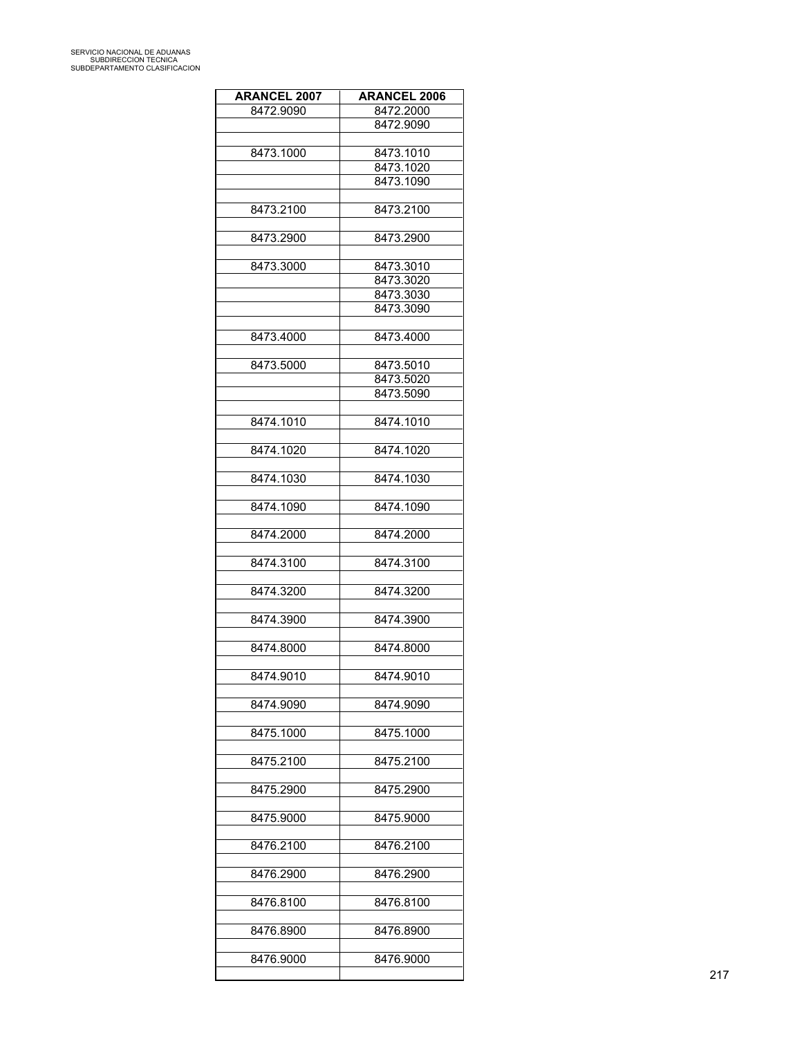| <b>ARANCEL 2007</b> | <b>ARANCEL 2006</b>    |
|---------------------|------------------------|
| 8472.9090           | 8472.2000              |
|                     | 8472.9090              |
|                     |                        |
| 8473.1000           | 8473.1010              |
|                     | 8473.1020              |
|                     | 8473.1090              |
|                     |                        |
| 8473.2100           | 8473.2100              |
|                     |                        |
| 8473.2900           | 8473.2900              |
|                     |                        |
| 8473.3000           | 8473.3010              |
|                     | 8473.3020              |
|                     | 8473.3030              |
|                     | 8473.3090              |
|                     |                        |
| 8473.4000           | 8473.4000              |
|                     |                        |
| 8473.5000           | 8473.5010              |
|                     | 8473.5020<br>8473.5090 |
|                     |                        |
| 8474.1010           | 8474.1010              |
|                     |                        |
| 8474.1020           | 8474.1020              |
|                     |                        |
| 8474.1030           | 8474.1030              |
|                     |                        |
| 8474.1090           | 8474.1090              |
|                     |                        |
| 8474.2000           | 8474.2000              |
|                     |                        |
| 8474.3100           | 8474.3100              |
|                     |                        |
| 8474.3200           | 8474.3200              |
|                     |                        |
| 8474.3900           | 8474.3900              |
|                     |                        |
| 8474.8000           | 8474.8000              |
|                     |                        |
| 8474.9010           | 8474.9010              |
|                     |                        |
| 8474.9090           | 8474.9090              |
| 8475.1000           | 8475.1000              |
|                     |                        |
| 8475.2100           | 8475.2100              |
|                     |                        |
| 8475.2900           | 8475.2900              |
|                     |                        |
| 8475.9000           | 8475.9000              |
|                     |                        |
| 8476.2100           | 8476.2100              |
|                     |                        |
| 8476.2900           | 8476.2900              |
|                     |                        |
| 8476.8100           | 8476.8100              |
|                     |                        |
| 8476.8900           | 8476.8900              |
|                     |                        |
| 8476.9000           | 8476.9000              |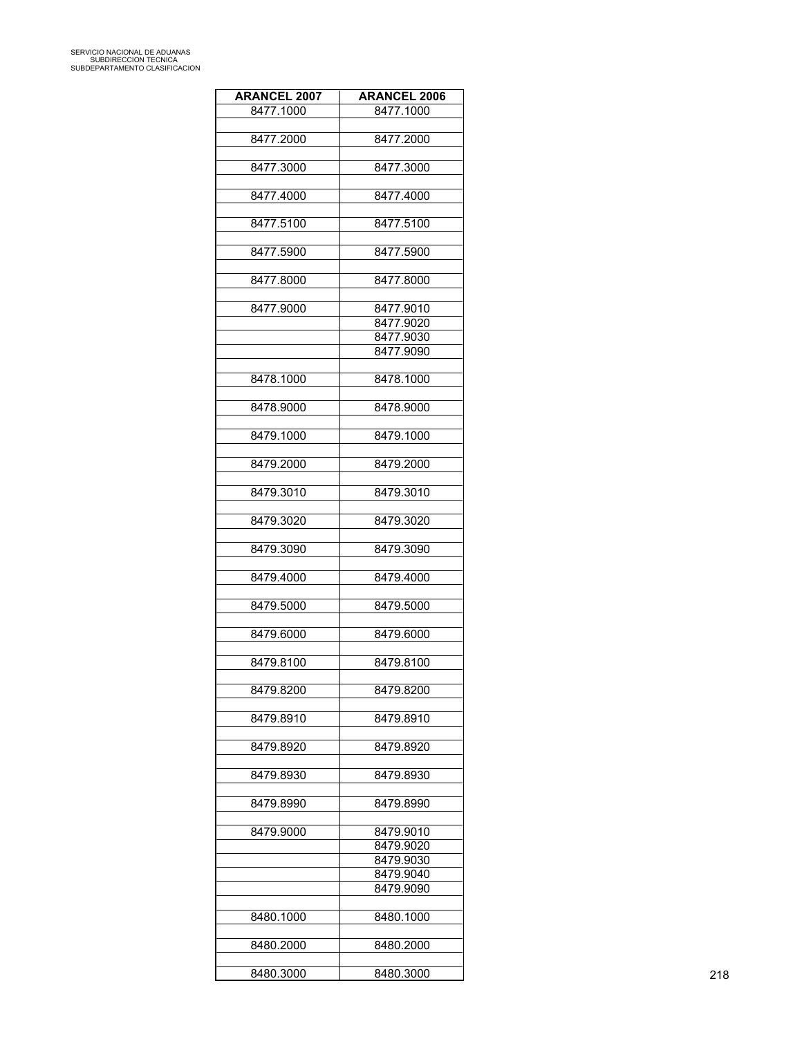| ARANCEL 2007 | <b>ARANCEL 2006</b> |
|--------------|---------------------|
| 8477.1000    | 8477.1000           |
|              |                     |
| 8477.2000    | 8477.2000           |
|              |                     |
| 8477.3000    | 8477.3000           |
| 8477.4000    | 8477.4000           |
|              |                     |
| 8477.5100    | 8477.5100           |
|              |                     |
| 8477.5900    | 8477.5900           |
|              |                     |
| 8477.8000    | 8477.8000           |
|              |                     |
| 8477.9000    | 8477.9010           |
|              | 8477.9020           |
|              | 8477.9030           |
|              | 8477.9090           |
|              |                     |
| 8478.1000    | 8478.1000           |
|              |                     |
| 8478.9000    | 8478.9000           |
| 8479.1000    | 8479.1000           |
|              |                     |
| 8479.2000    | 8479.2000           |
|              |                     |
| 8479.3010    | 8479.3010           |
|              |                     |
| 8479.3020    | 8479.3020           |
|              |                     |
| 8479.3090    | 8479.3090           |
|              |                     |
| 8479.4000    | 8479.4000           |
|              |                     |
| 8479.5000    | 8479.5000           |
|              |                     |
| 8479.6000    | 8479.6000           |
| 8479.8100    | 8479.8100           |
|              |                     |
| 8479.8200    | 8479.8200           |
|              |                     |
| 8479.8910    | 8479.8910           |
|              |                     |
| 8479.8920    | 8479.8920           |
|              |                     |
| 8479.8930    | 8479.8930           |
|              |                     |
| 8479.8990    | 8479.8990           |
|              |                     |
| 8479.9000    | 8479.9010           |
|              | 8479.9020           |
|              | 8479.9030           |
|              | 8479.9040           |
|              | 8479.9090           |
|              |                     |
| 8480.1000    | 8480.1000           |
|              |                     |
| 8480.2000    | 8480.2000           |
| 8480.3000    | 8480.3000           |
|              |                     |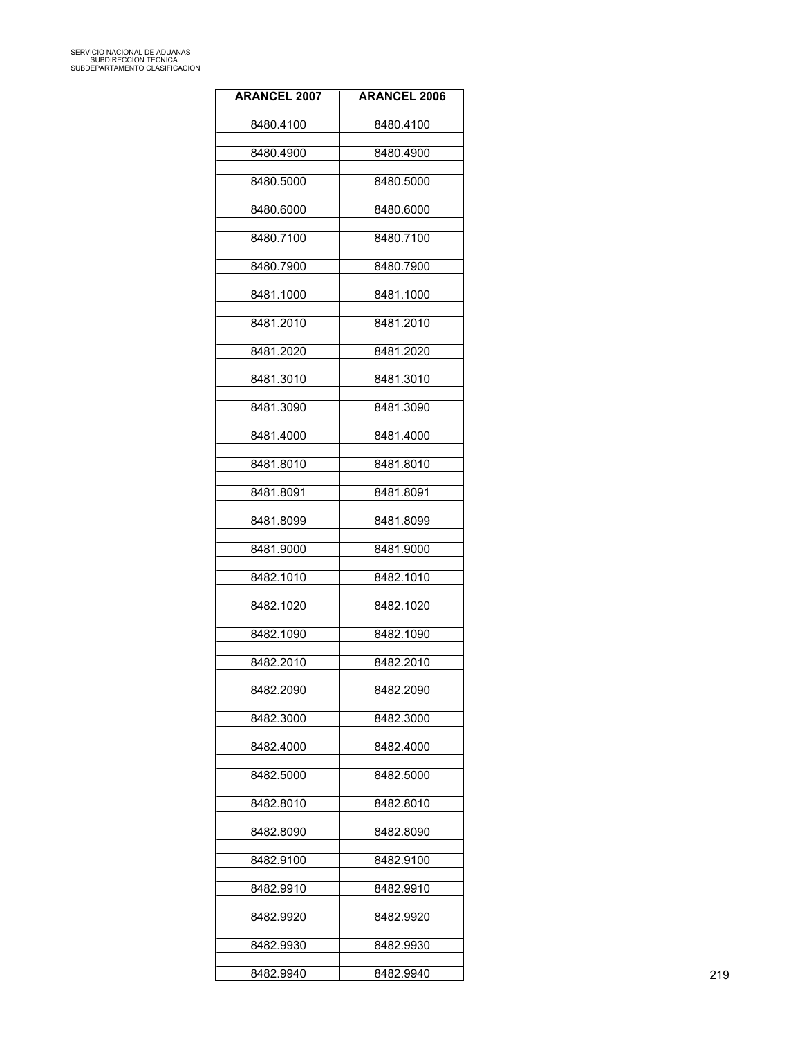| <b>ARANCEL 2007</b> | <b>ARANCEL 2006</b> |
|---------------------|---------------------|
| 8480.4100           | 8480.4100           |
| 8480.4900           | 8480.4900           |
| 8480.5000           | 8480.5000           |
|                     |                     |
| 8480.6000           | 8480.6000           |
| 8480.7100           | 8480.7100           |
| 8480.7900           | 8480.7900           |
| 8481.1000           | 8481.1000           |
| 8481.2010           | 8481.2010           |
| 8481.2020           | 8481.2020           |
| 8481.3010           | 8481.3010           |
| 8481.3090           | 8481.3090           |
| 8481.4000           | 8481.4000           |
| 8481.8010           | 8481.8010           |
| 8481.8091           | 8481.8091           |
| 8481.8099           | 8481.8099           |
| 8481.9000           | 8481.9000           |
|                     |                     |
| 8482.1010           | 8482.1010           |
| 8482.1020           | 8482.1020           |
| 8482.1090           | 8482.1090           |
| 8482.2010           | 8482.2010           |
| 8482.2090           | 8482.2090           |
| 8482.3000           | 8482.3000           |
| 8482.4000           | 8482.4000           |
| 8482.5000           | 8482.5000           |
| 8482.8010           | 8482.8010           |
| 8482.8090           | 8482.8090           |
|                     |                     |
| 8482.9100           | 8482.9100           |
| 8482.9910           | 8482.9910           |
| 8482.9920           | 8482.9920           |
| 8482.9930           | 8482.9930           |
| 8482.9940           | 8482.9940           |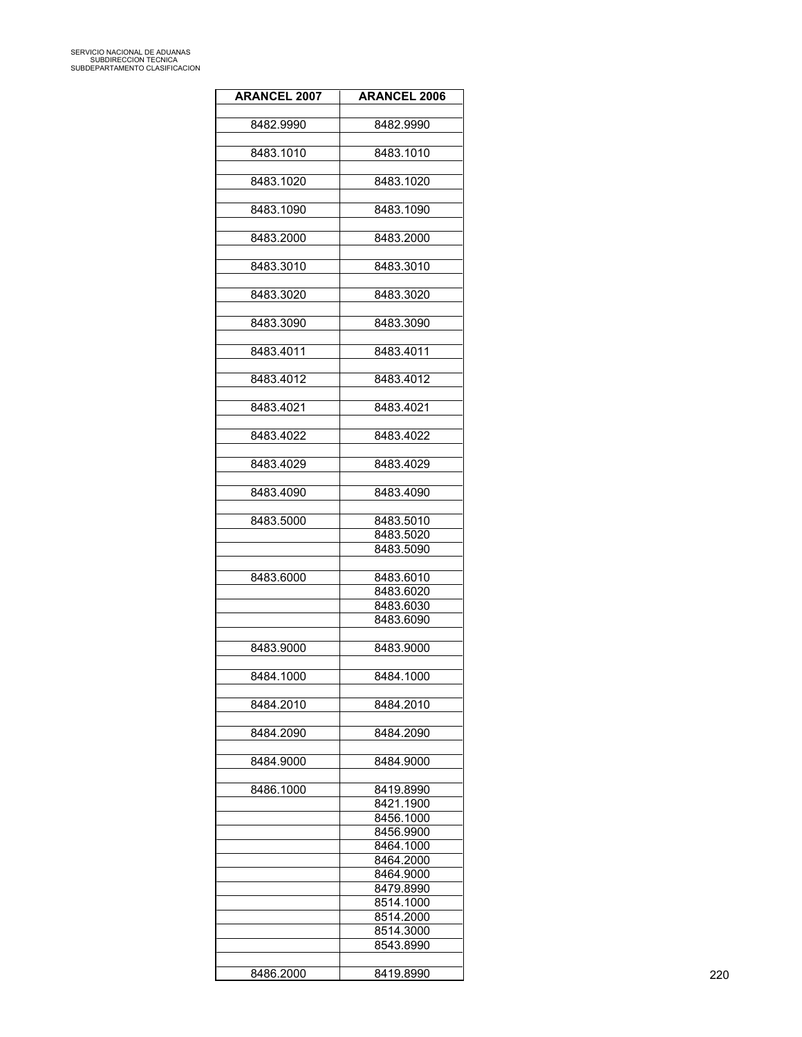| <b>ARANCEL 2007</b> | <b>ARANCEL 2006</b>    |
|---------------------|------------------------|
|                     |                        |
| 8482.9990           | 8482.9990              |
|                     |                        |
| 8483.1010           | 8483.1010              |
| 8483.1020           | 8483.1020              |
|                     |                        |
| 8483.1090           | 8483.1090              |
|                     |                        |
| 8483.2000           | 8483.2000              |
|                     |                        |
| 8483.3010           | 8483.3010              |
|                     |                        |
| 8483.3020           | 8483.3020              |
|                     |                        |
| 8483.3090           | 8483.3090              |
|                     | 8483.4011              |
| 8483.4011           |                        |
| 8483.4012           | 8483.4012              |
|                     |                        |
| 8483.4021           | 8483.4021              |
|                     |                        |
| 8483.4022           | 8483.4022              |
|                     |                        |
| 8483.4029           | 8483.4029              |
|                     |                        |
| 8483.4090           | 8483.4090              |
|                     |                        |
| 8483.5000           | 8483.5010              |
|                     | 8483.5020              |
|                     | 8483.5090              |
|                     |                        |
| 8483.6000           | 8483.6010              |
|                     | 8483.6020              |
|                     | 8483.6030              |
|                     | 8483.6090              |
|                     |                        |
| 8483.9000           | 8483.9000              |
|                     |                        |
| 8484.1000           | 8484.1000              |
|                     |                        |
| 8484.2010           | 8484.2010              |
|                     |                        |
| 8484.2090           | 8484.2090              |
|                     |                        |
| 8484.9000           | 8484.9000              |
|                     |                        |
| 8486.1000           | 8419.8990              |
|                     | 8421.1900              |
|                     | 8456.1000              |
|                     | 8456.9900              |
|                     | 8464.1000              |
|                     | 8464.2000<br>8464.9000 |
|                     | 8479.8990              |
|                     | 8514.1000              |
|                     | 8514.2000              |
|                     | 8514.3000              |
|                     | 8543.8990              |
|                     |                        |
| 8486.2000           | 8419.8990              |
|                     |                        |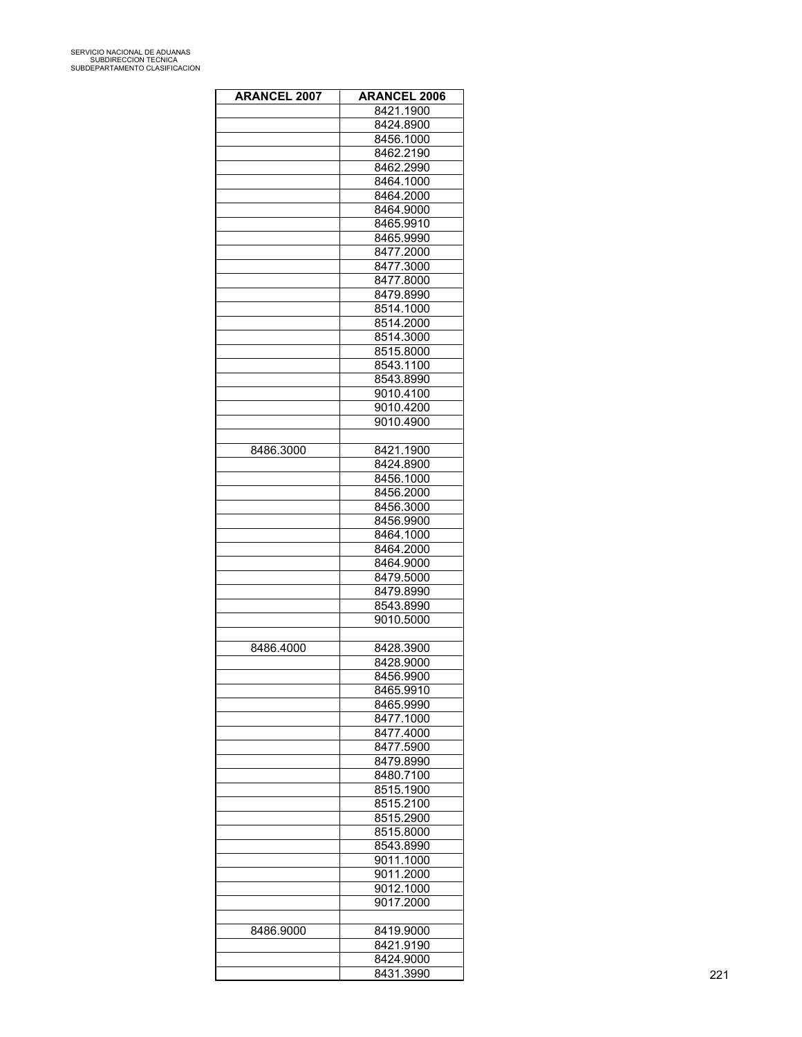| <b>ARANCEL 2007</b> | <b>ARANCEL 2006</b> |  |
|---------------------|---------------------|--|
|                     | 8421.1900           |  |
|                     | 8424.8900           |  |
|                     | 8456.1000           |  |
|                     | 8462.2190           |  |
|                     | 8462.2990           |  |
|                     | 8464.1000           |  |
|                     | 8464.2000           |  |
|                     | 8464.9000           |  |
|                     | 8465.9910           |  |
|                     | 8465.9990           |  |
|                     | 8477.2000           |  |
|                     | 8477.3000           |  |
|                     | 8477.8000           |  |
|                     | 8479.8990           |  |
|                     | 8514.1000           |  |
|                     | 8514.2000           |  |
|                     | 8514.3000           |  |
|                     | 8515.8000           |  |
|                     | 8543.1100           |  |
|                     | 8543.8990           |  |
|                     | 9010.4100           |  |
|                     | 9010.4200           |  |
|                     | 9010.4900           |  |
|                     |                     |  |
| 8486.3000           | 8421.1900           |  |
|                     | 8424.8900           |  |
|                     | 8456.1000           |  |
|                     | 8456.2000           |  |
|                     | 8456.3000           |  |
|                     | 8456.9900           |  |
|                     | 8464.1000           |  |
|                     | 8464.2000           |  |
|                     | 8464.9000           |  |
|                     | 8479.5000           |  |
|                     | 8479.8990           |  |
|                     | 8543.8990           |  |
|                     | 9010.5000           |  |
|                     |                     |  |
| 8486.4000           | 8428.3900           |  |
|                     | 8428.9000           |  |
|                     | 8456.9900           |  |
|                     | 8465.9910           |  |
|                     | 8465.9990           |  |
|                     | 8477.1000           |  |
|                     | 8477.4000           |  |
|                     | 8477.5900           |  |
|                     | 8479.8990           |  |
|                     | 8480.7100           |  |
|                     | 8515.1900           |  |
|                     | 8515.2100           |  |
|                     | 8515.2900           |  |
|                     | 8515.8000           |  |
|                     | 8543.8990           |  |
|                     | 9011.1000           |  |
|                     | 9011.2000           |  |
|                     | 9012.1000           |  |
|                     | 9017.2000           |  |
|                     |                     |  |
| 8486.9000           | 8419.9000           |  |
|                     | 8421.9190           |  |
|                     | 8424.9000           |  |
|                     | 8431.3990           |  |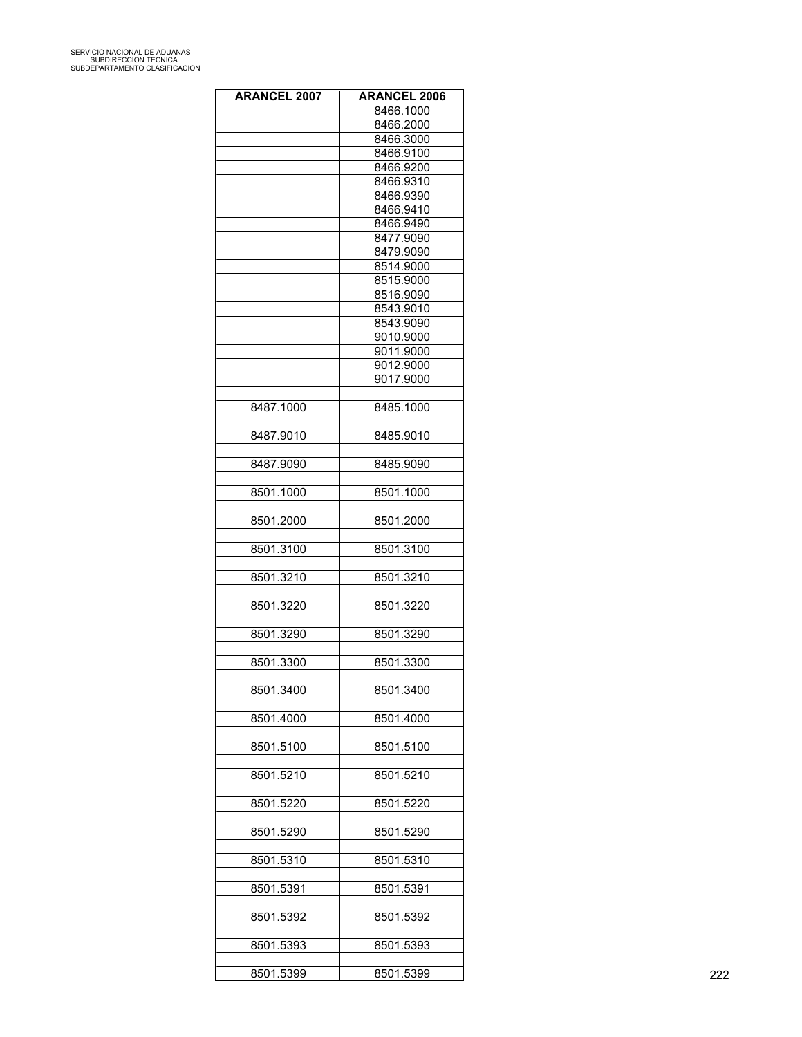| <b>ARANCEL 2007</b> | <b>ARANCEL 2006</b>    |  |
|---------------------|------------------------|--|
|                     | 8466.1000              |  |
|                     | 8466.2000              |  |
|                     | 8466.3000              |  |
|                     | 8466.9100              |  |
|                     | 8466.9200              |  |
|                     | 8466.9310              |  |
|                     | 8466.9390              |  |
|                     | 8466.9410              |  |
|                     | 8466.9490              |  |
|                     | 8477.9090<br>8479.9090 |  |
|                     | 8514.9000              |  |
|                     | 8515.9000              |  |
|                     | 8516.9090              |  |
|                     | 8543.9010              |  |
|                     | 8543.9090              |  |
|                     | 9010.9000              |  |
|                     | 9011.9000              |  |
|                     | 9012.9000              |  |
|                     | 9017.9000              |  |
|                     |                        |  |
| 8487.1000           | 8485.1000              |  |
|                     |                        |  |
| 8487.9010           | 8485.9010              |  |
| 8487.9090           |                        |  |
|                     | 8485.9090              |  |
| 8501.1000           | 8501.1000              |  |
|                     |                        |  |
| 8501.2000           | 8501.2000              |  |
|                     |                        |  |
| 8501.3100           | 8501.3100              |  |
|                     |                        |  |
| 8501.3210           | 8501.3210              |  |
|                     |                        |  |
| 8501.3220           | 8501.3220              |  |
|                     |                        |  |
| 8501.3290           | 8501.3290              |  |
| 8501.3300           | 8501.3300              |  |
|                     |                        |  |
| 8501.3400           | 8501.3400              |  |
|                     |                        |  |
| 8501.4000           | 8501.4000              |  |
|                     |                        |  |
| 8501.5100           | 8501.5100              |  |
|                     |                        |  |
| 8501.5210           | 8501.5210              |  |
|                     |                        |  |
| 8501.5220           | 8501.5220              |  |
|                     |                        |  |
| 8501.5290           | 8501.5290              |  |
| 8501.5310           | 8501.5310              |  |
|                     |                        |  |
| 8501.5391           | 8501.5391              |  |
|                     |                        |  |
| 8501.5392           | 8501.5392              |  |
|                     |                        |  |
| 8501.5393           | 8501.5393              |  |
|                     |                        |  |
| 8501.5399           | 8501.5399              |  |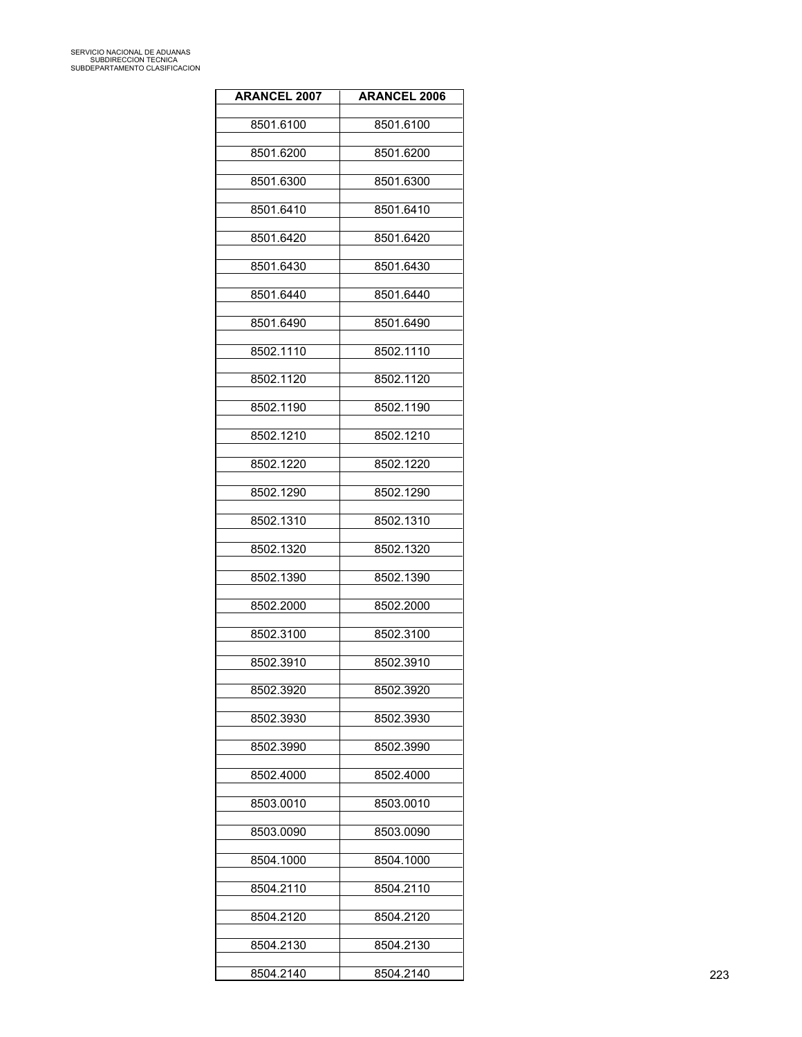| <b>ARANCEL 2007</b> | <b>ARANCEL 2006</b> |
|---------------------|---------------------|
| 8501.6100           | 8501.6100           |
| 8501.6200           | 8501.6200           |
|                     |                     |
| 8501.6300           | 8501.6300           |
| 8501.6410           | 8501.6410           |
| 8501.6420           | 8501.6420           |
| 8501.6430           | 8501.6430           |
| 8501.6440           | 8501.6440           |
| 8501.6490           | 8501.6490           |
| 8502.1110           | 8502.1110           |
| 8502.1120           | 8502.1120           |
| 8502.1190           | 8502.1190           |
| 8502.1210           | 8502.1210           |
|                     |                     |
| 8502.1220           | 8502.1220           |
| 8502.1290           | 8502.1290           |
| 8502.1310           | 8502.1310           |
| 8502.1320           | 8502.1320           |
| 8502.1390           | 8502.1390           |
| 8502.2000           | 8502.2000           |
| 8502.3100           | 8502.3100           |
| 8502.3910           | 8502.3910           |
| 8502.3920           | 8502.3920           |
| 8502.3930           | 8502.3930           |
| 8502.3990           | 8502.3990           |
| 8502.4000           | 8502.4000           |
| 8503.0010           | 8503.0010           |
|                     |                     |
| 8503.0090           | 8503.0090           |
| 8504.1000           | 8504.1000           |
| 8504.2110           | 8504.2110           |
| 8504.2120           | 8504.2120           |
| 8504.2130           | 8504.2130           |
| 8504.2140           | 8504.2140           |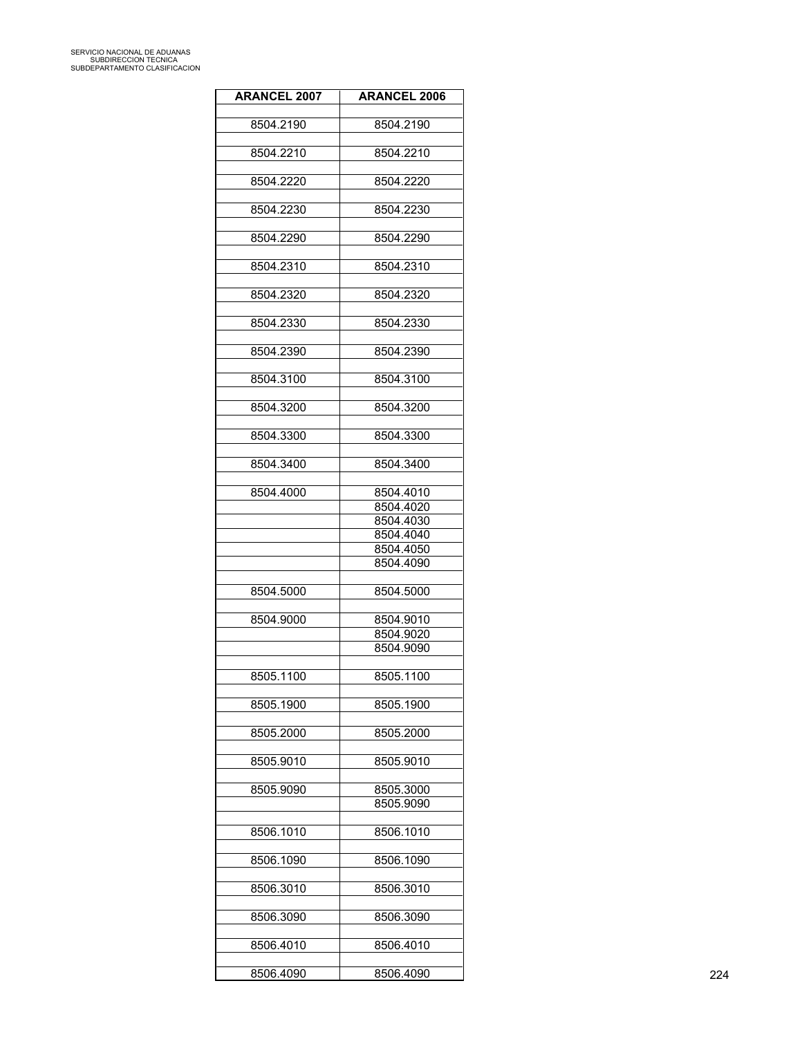| <b>ARANCEL 2007</b> | <b>ARANCEL 2006</b> |
|---------------------|---------------------|
|                     |                     |
| 8504.2190           | 8504.2190           |
| 8504.2210           | 8504.2210           |
|                     |                     |
| 8504.2220           | 8504.2220           |
|                     |                     |
| 8504.2230           | 8504.2230           |
|                     |                     |
| 8504.2290           | 8504.2290           |
|                     |                     |
| 8504.2310           | 8504.2310           |
|                     |                     |
| 8504.2320           | 8504.2320           |
| 8504.2330           | 8504.2330           |
|                     |                     |
| 8504.2390           | 8504.2390           |
|                     |                     |
| 8504.3100           | 8504.3100           |
|                     |                     |
| 8504.3200           | 8504.3200           |
|                     |                     |
| 8504.3300           | 8504.3300           |
|                     |                     |
| 8504.3400           | 8504.3400           |
|                     |                     |
| 8504.4000           | 8504.4010           |
|                     | 8504.4020           |
|                     | 8504.4030           |
|                     | 8504.4040           |
|                     | 8504.4050           |
|                     |                     |
|                     | 8504.4090           |
| 8504.5000           | 8504.5000           |
|                     |                     |
|                     |                     |
| 8504.9000           | 8504.9010           |
|                     | 8504.9020           |
|                     | 8504.9090           |
|                     |                     |
| 8505.1100           | 8505.1100           |
| 8505.1900           |                     |
|                     | 8505.1900           |
| 8505.2000           | 8505.2000           |
|                     |                     |
|                     |                     |
| 8505.9010           | 8505.9010           |
|                     |                     |
| 8505.9090           | 8505.3000           |
|                     | 8505.9090           |
|                     |                     |
| 8506.1010           | 8506.1010           |
|                     |                     |
| 8506.1090           | 8506.1090           |
| 8506.3010           | 8506.3010           |
|                     |                     |
| 8506.3090           | 8506.3090           |
|                     |                     |
| 8506.4010           | 8506.4010           |
|                     |                     |
| 8506.4090           | 8506.4090           |
|                     |                     |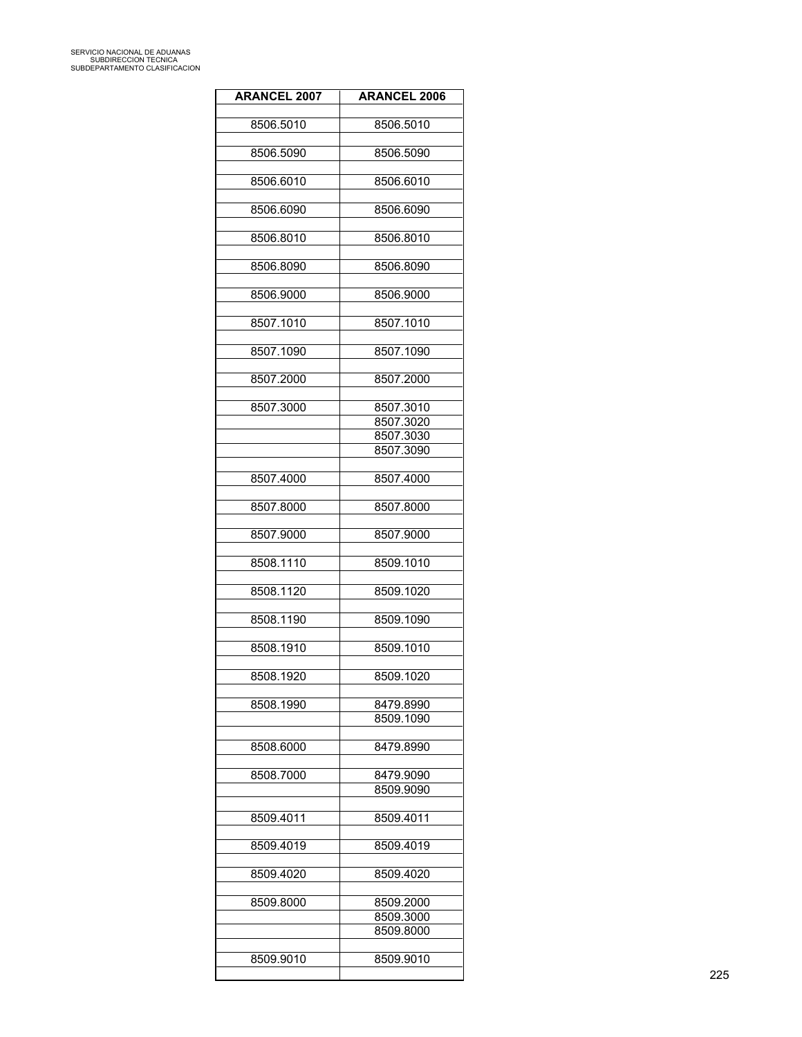| <b>ARANCEL 2007</b> | <b>ARANCEL 2006</b> |
|---------------------|---------------------|
|                     |                     |
| 8506.5010           | 8506.5010           |
|                     |                     |
| 8506.5090           | 8506.5090           |
|                     |                     |
| 8506.6010           | 8506.6010           |
|                     |                     |
| 8506.6090           | 8506.6090           |
|                     |                     |
| 8506.8010           | 8506.8010           |
| 8506.8090           |                     |
|                     | 8506.8090           |
| 8506.9000           | 8506.9000           |
|                     |                     |
| 8507.1010           | 8507.1010           |
|                     |                     |
| 8507.1090           | 8507.1090           |
|                     |                     |
| 8507.2000           | 8507.2000           |
|                     |                     |
| 8507.3000           | 8507.3010           |
|                     | 8507.3020           |
|                     | 8507.3030           |
|                     | 8507.3090           |
|                     |                     |
| 8507.4000           | 8507.4000           |
|                     |                     |
| 8507.8000           | 8507.8000           |
|                     |                     |
| 8507.9000           | 8507.9000           |
| 8508.1110           | 8509.1010           |
|                     |                     |
| 8508.1120           | 8509.1020           |
|                     |                     |
| 8508.1190           | 8509.1090           |
|                     |                     |
| 8508.1910           | 8509.1010           |
|                     |                     |
| 8508.1920           | 8509.1020           |
|                     |                     |
| 8508.1990           | 8479.8990           |
|                     | 8509.1090           |
|                     |                     |
| 8508.6000           | 8479.8990           |
| 8508.7000           | 8479.9090           |
|                     | 8509.9090           |
|                     |                     |
| 8509.4011           | 8509.4011           |
|                     |                     |
| 8509.4019           | 8509.4019           |
|                     |                     |
| 8509.4020           | 8509.4020           |
|                     |                     |
| 8509.8000           | 8509.2000           |
|                     | 8509.3000           |
|                     | 8509.8000           |
|                     |                     |
| 8509.9010           | 8509.9010           |
|                     |                     |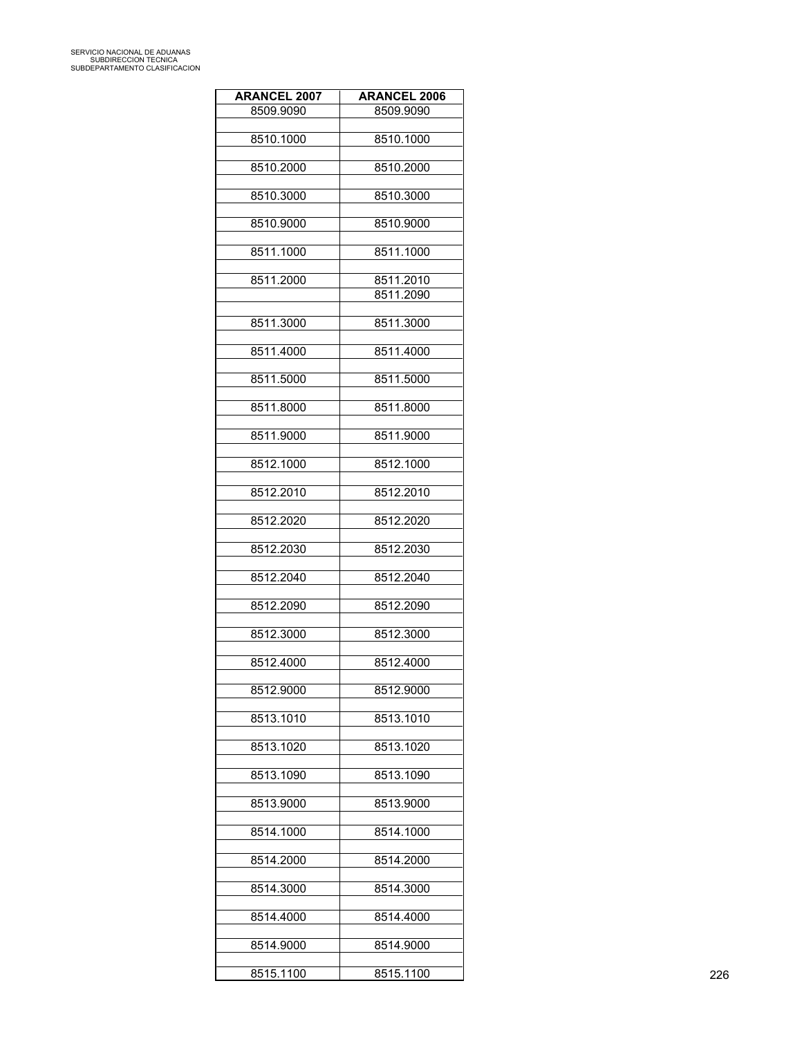| <b>ARANCEL 2007</b> | <b>ARANCEL 2006</b>    |
|---------------------|------------------------|
| 8509.9090           | 8509.9090              |
| 8510.1000           | 8510.1000              |
| 8510.2000           | 8510.2000              |
| 8510.3000           | 8510.3000              |
|                     |                        |
| 8510.9000           | 8510.9000              |
| 8511.1000           | 8511.1000              |
| 8511.2000           | 8511.2010<br>8511.2090 |
|                     |                        |
| 8511.3000           | 8511.3000              |
| 8511.4000           | 8511.4000              |
| 8511.5000           | 8511.5000              |
| 8511.8000           | 8511.8000              |
| 8511.9000           | 8511.9000              |
|                     |                        |
| 8512.1000           | 8512.1000              |
| 8512.2010           | 8512.2010              |
| 8512.2020           | 8512.2020              |
| 8512.2030           | 8512.2030              |
| 8512.2040           | 8512.2040              |
|                     |                        |
| 8512.2090           | 8512.2090              |
| 8512.3000           | 8512.3000              |
| 8512.4000           | 8512.4000              |
| 8512.9000           | 8512.9000              |
| 8513.1010           | 8513.1010              |
|                     |                        |
| 8513.1020           | 8513.1020              |
| 8513.1090           | 8513.1090              |
| 8513.9000           | 8513.9000              |
| 8514.1000           | 8514.1000              |
| 8514.2000           | 8514.2000              |
| 8514.3000           | 8514.3000              |
|                     |                        |
| 8514.4000           | 8514.4000              |
| 8514.9000           | 8514.9000              |
| 8515.1100           | 8515.1100              |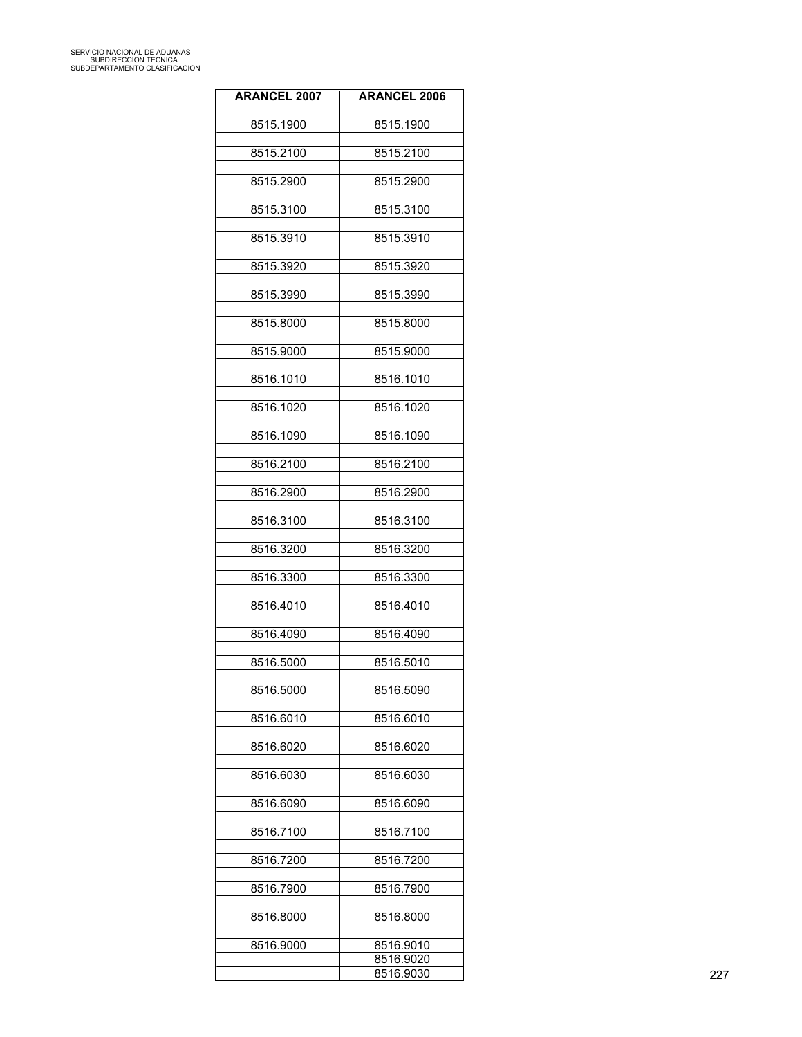| <b>ARANCEL 2007</b> | <b>ARANCEL 2006</b> |
|---------------------|---------------------|
| 8515.1900           | 8515.1900           |
|                     |                     |
| 8515.2100           | 8515.2100           |
| 8515.2900           | 8515.2900           |
|                     |                     |
| 8515.3100           | 8515.3100           |
| 8515.3910           | 8515.3910           |
| 8515.3920           | 8515.3920           |
|                     |                     |
| 8515.3990           | 8515.3990           |
| 8515.8000           | 8515.8000           |
|                     |                     |
| 8515.9000           | 8515.9000           |
| 8516.1010           | 8516.1010           |
| 8516.1020           | 8516.1020           |
|                     |                     |
| 8516.1090           | 8516.1090           |
| 8516.2100           | 8516.2100           |
|                     |                     |
| 8516.2900           | 8516.2900           |
| 8516.3100           | 8516.3100           |
|                     |                     |
| 8516.3200           | 8516.3200           |
| 8516.3300           | 8516.3300           |
| 8516.4010           | 8516.4010           |
|                     |                     |
| 8516.4090           | 8516.4090           |
| 8516.5000           | 8516.5010           |
|                     |                     |
| 8516.5000           | 8516.5090           |
| 8516.6010           | 8516.6010           |
|                     |                     |
| 8516.6020           | 8516.6020           |
| 8516.6030           | 8516.6030           |
| 8516.6090           | 8516.6090           |
|                     |                     |
| 8516.7100           | 8516.7100           |
| 8516.7200           | 8516.7200           |
|                     |                     |
| 8516.7900           | 8516.7900           |
| 8516.8000           | 8516.8000           |
| 8516.9000           | 8516.9010           |
|                     | 8516.9020           |
|                     | 8516.9030           |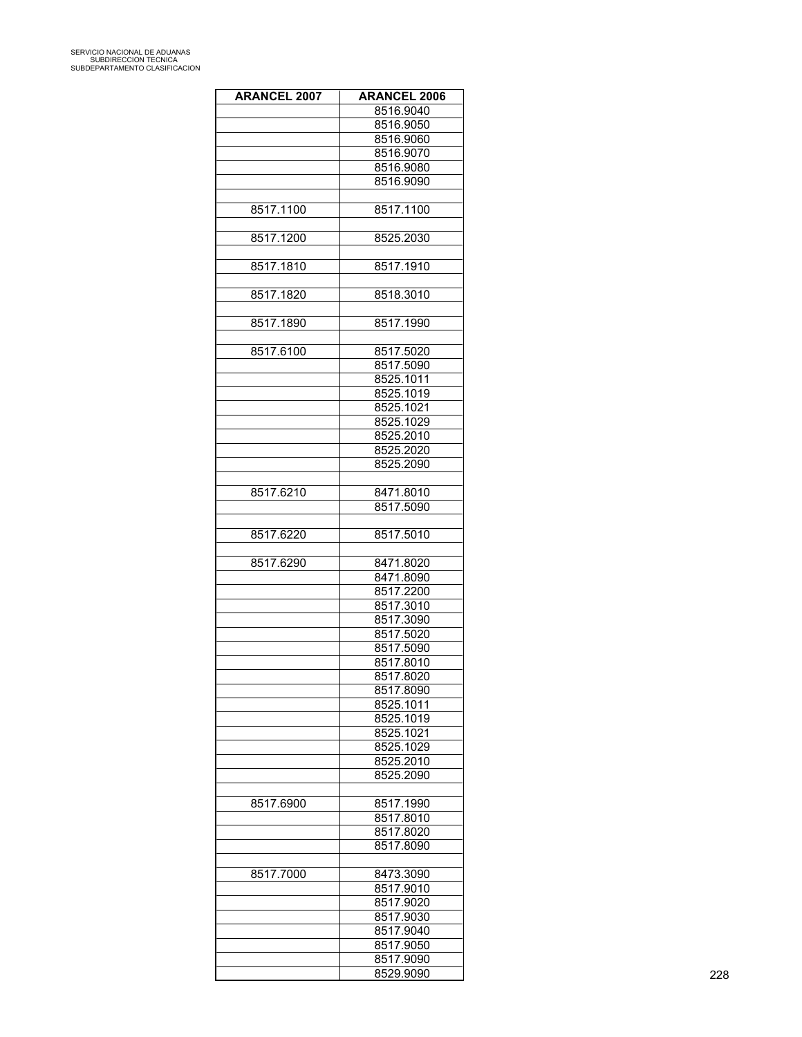| <b>ARANCEL 2007</b> | <b>ARANCEL 2006</b> |
|---------------------|---------------------|
|                     | 8516.9040           |
|                     | 8516.9050           |
|                     | 8516.9060           |
|                     | 8516.9070           |
|                     | 8516.9080           |
|                     | 8516.9090           |
|                     |                     |
| 8517.1100           | 8517.1100           |
|                     |                     |
| 8517.1200           | 8525.2030           |
|                     |                     |
| 8517.1810           | 8517.1910           |
|                     |                     |
| 8517.1820           | 8518.3010           |
|                     |                     |
| 8517.1890           | 8517.1990           |
|                     |                     |
| 8517.6100           | 8517.5020           |
|                     | 8517.5090           |
|                     | 8525.1011           |
|                     |                     |
|                     | 8525.1019           |
|                     | 8525.1021           |
|                     | 8525.1029           |
|                     | 8525.2010           |
|                     | 8525.2020           |
|                     | 8525.2090           |
|                     |                     |
| 8517.6210           | 8471.8010           |
|                     | 8517.5090           |
|                     |                     |
| 8517.6220           | 8517.5010           |
|                     |                     |
| 8517.6290           | 8471.8020           |
|                     | 8471.8090           |
|                     | 8517.2200           |
|                     | 8517.3010           |
|                     | 8517.3090           |
|                     | 8517.5020           |
|                     | 8517.5090           |
|                     | 8517.8010           |
|                     | 8517.8020           |
|                     | 8517.8090           |
|                     | 8525.1011           |
|                     | 8525.1019           |
|                     | 8525.1021           |
|                     | 8525.1029           |
|                     | 8525.2010           |
|                     |                     |
|                     | 8525.2090           |
|                     |                     |
| 8517.6900           | 8517.1990           |
|                     | 8517.8010           |
|                     | 8517.8020           |
|                     | 8517.8090           |
|                     |                     |
| 8517.7000           | 8473.3090           |
|                     | 8517.9010           |
|                     | 8517.9020           |
|                     | 8517.9030           |
|                     | 8517.9040           |
|                     | 8517.9050           |
|                     | 8517.9090           |
|                     | 8529.9090           |
|                     |                     |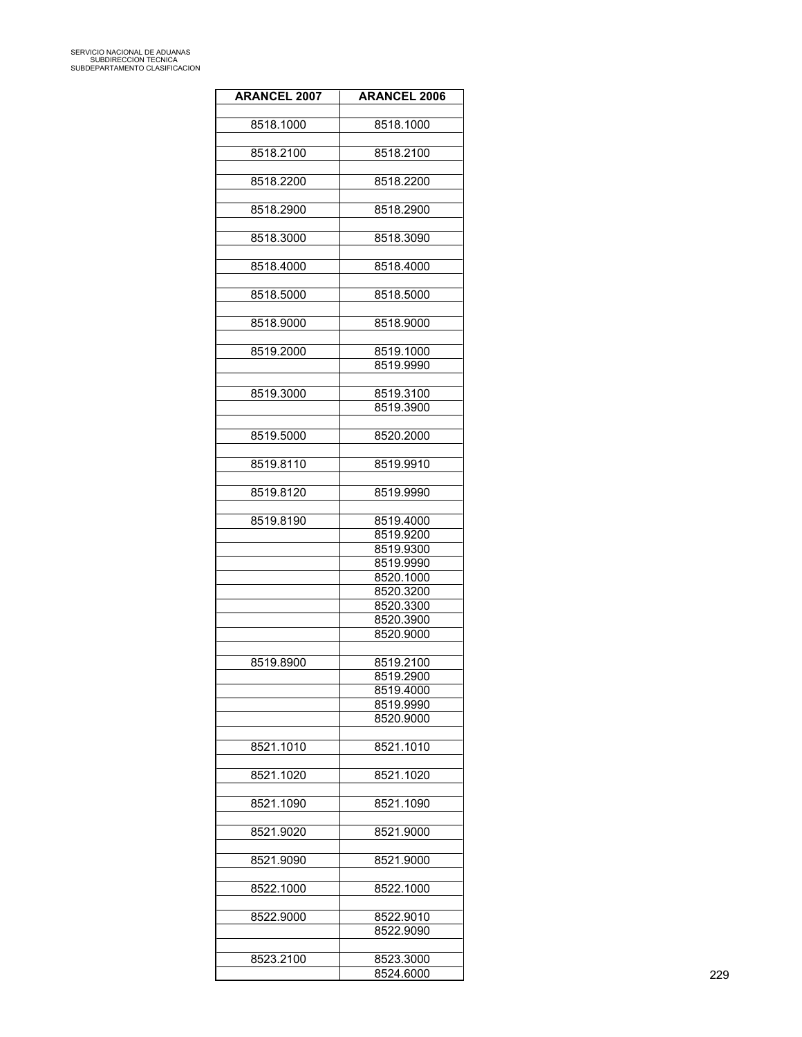| <b>ARANCEL 2007</b> | <b>ARANCEL 2006</b> |
|---------------------|---------------------|
|                     |                     |
| 8518.1000           | 8518.1000           |
|                     |                     |
| 8518.2100           | 8518.2100           |
| 8518.2200           | 8518.2200           |
|                     |                     |
| 8518.2900           | 8518.2900           |
|                     |                     |
| 8518.3000           | 8518.3090           |
|                     |                     |
| 8518.4000           | 8518.4000           |
|                     |                     |
| 8518.5000           | 8518.5000           |
|                     |                     |
| 8518.9000           | 8518.9000           |
|                     |                     |
| 8519.2000           | 8519.1000           |
|                     | 8519.9990           |
|                     |                     |
| 8519.3000           | 8519.3100           |
|                     | 8519.3900           |
|                     |                     |
| 8519.5000           | 8520.2000           |
|                     |                     |
| 8519.8110           | 8519.9910           |
|                     |                     |
| 8519.8120           | 8519.9990           |
|                     |                     |
| 8519.8190           | 8519.4000           |
|                     | 8519.9200           |
|                     | 8519.9300           |
|                     | 8519.9990           |
|                     | 8520.1000           |
|                     | 8520.3200           |
|                     | 8520.3300           |
|                     | 8520.3900           |
|                     | 8520.9000           |
|                     |                     |
| 8519.8900           | 8519.2100           |
|                     | 8519.2900           |
|                     | 8519.4000           |
|                     | 8519.9990           |
|                     | 8520.9000           |
|                     |                     |
| 8521.1010           | 8521.1010           |
|                     |                     |
| 8521.1020           | 8521.1020           |
|                     |                     |
| 8521.1090           | 8521.1090           |
|                     |                     |
| 8521.9020           | 8521.9000           |
|                     |                     |
| 8521.9090           | 8521.9000           |
|                     |                     |
| 8522.1000           | 8522.1000           |
|                     |                     |
| 8522.9000           | 8522.9010           |
|                     | 8522.9090           |
|                     |                     |
| 8523.2100           | 8523.3000           |
|                     | 8524.6000           |
|                     |                     |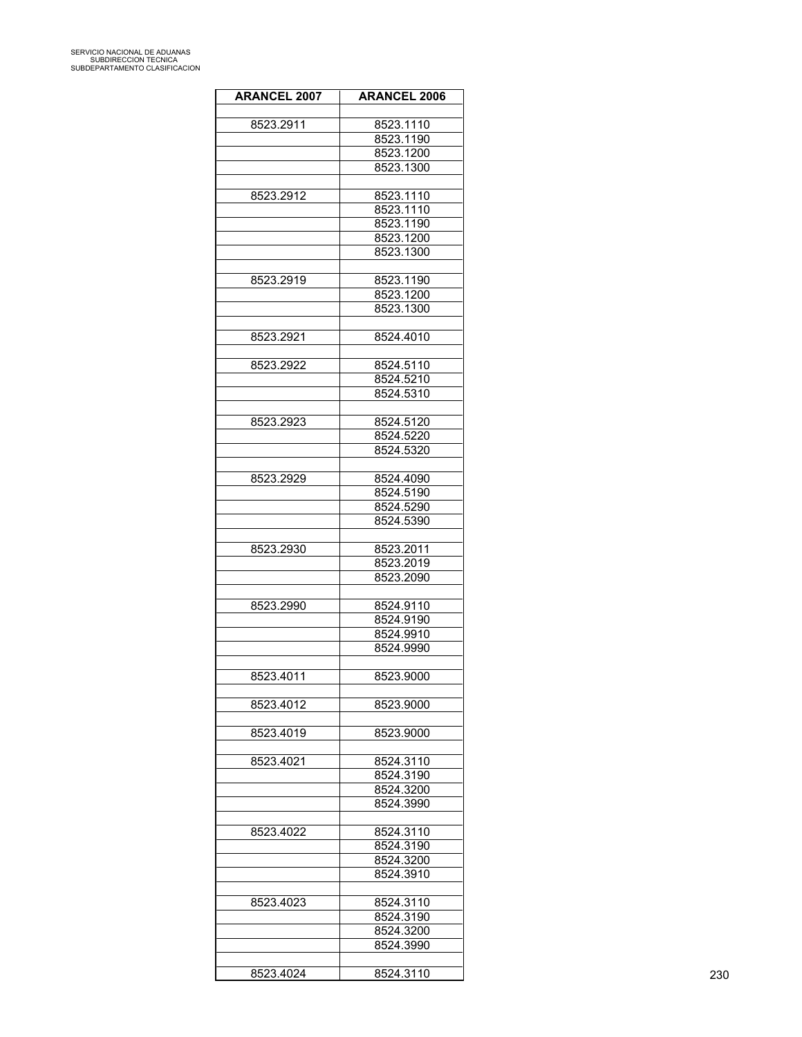| <b>ARANCEL 2007</b> | <b>ARANCEL 2006</b> |
|---------------------|---------------------|
|                     |                     |
| 8523.2911           | 8523.1110           |
|                     | 8523.1190           |
|                     | 8523.1200           |
|                     | 8523.1300           |
|                     |                     |
| 8523.2912           | 8523.1110           |
|                     | 8523.1110           |
|                     | 8523.1190           |
|                     | 8523.1200           |
|                     | 8523.1300           |
|                     |                     |
|                     |                     |
| 8523.2919           | 8523.1190           |
|                     | 8523.1200           |
|                     | 8523.1300           |
|                     |                     |
| 8523.2921           | 8524.4010           |
|                     |                     |
| 8523.2922           | 8524.5110           |
|                     | 8524.5210           |
|                     | 8524.5310           |
|                     |                     |
|                     |                     |
| 8523.2923           | 8524.5120           |
|                     | 8524.5220           |
|                     | 8524.5320           |
|                     |                     |
| 8523.2929           | 8524.4090           |
|                     | 8524.5190           |
|                     | 8524.5290           |
|                     | 8524.5390           |
|                     |                     |
|                     |                     |
| 8523.2930           | 8523.2011           |
|                     | 8523.2019           |
|                     | 8523.2090           |
|                     |                     |
| 8523.2990           | 8524.9110           |
|                     | 8524.9190           |
|                     | 8524.9910           |
|                     |                     |
|                     | 8524.9990           |
|                     |                     |
| 8523.4011           | 8523.9000           |
|                     |                     |
| 8523.4012           | 8523.9000           |
|                     |                     |
| 8523.4019           | 8523.9000           |
|                     |                     |
|                     |                     |
| 8523.4021           | 8524.3110           |
|                     | 8524.3190           |
|                     | 8524.3200           |
|                     | 8524.3990           |
|                     |                     |
| 8523.4022           | 8524.3110           |
|                     | 8524.3190           |
|                     |                     |
|                     | 8524.3200           |
|                     | 8524.3910           |
|                     |                     |
| 8523.4023           | 8524.3110           |
|                     | 8524.3190           |
|                     | 8524.3200           |
|                     | 8524.3990           |
|                     |                     |
|                     |                     |
| 8523.4024           | 8524.3110           |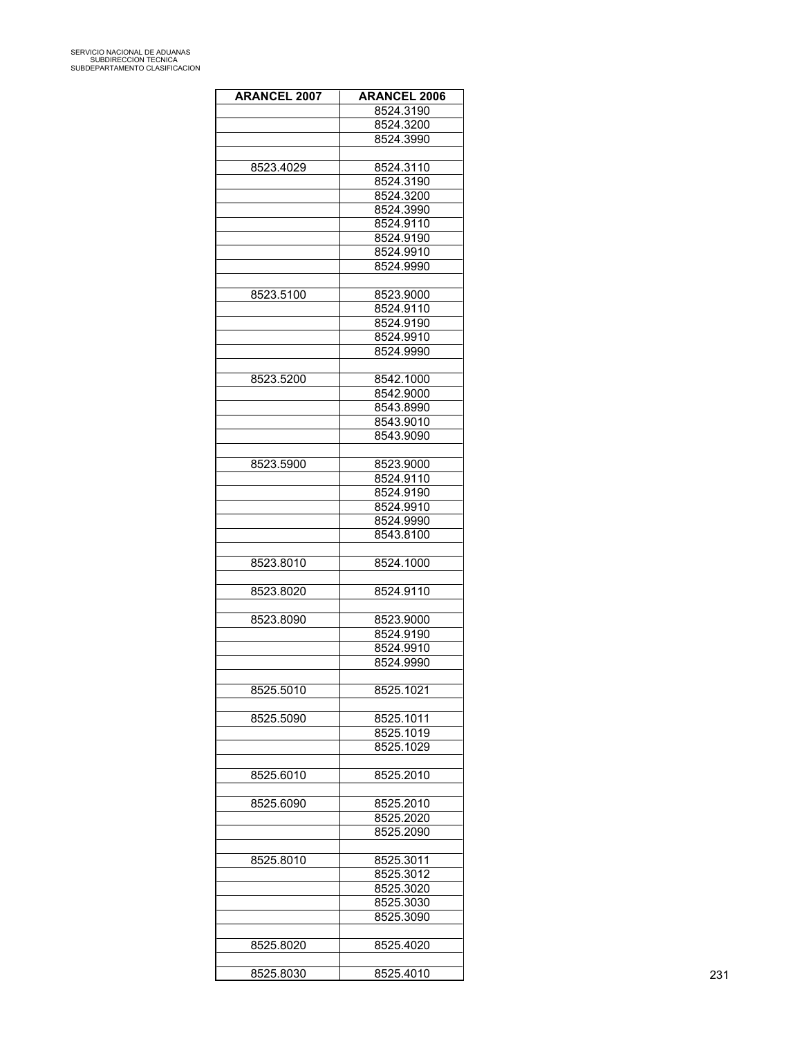| <b>ARANCEL 2007</b> | <b>ARANCEL 2006</b> |
|---------------------|---------------------|
|                     | 8524.3190           |
|                     | 8524.3200           |
|                     | 8524.3990           |
|                     |                     |
| 8523.4029           | 8524.3110           |
|                     | 8524.3190           |
|                     | 8524.3200           |
|                     | 8524.3990           |
|                     | 8524.9110           |
|                     |                     |
|                     | 8524.9190           |
|                     | 8524.9910           |
|                     | 8524.9990           |
|                     |                     |
| 8523.5100           | 8523.9000           |
|                     | 8524.9110           |
|                     | 8524.9190           |
|                     | 8524.9910           |
|                     | 8524.9990           |
|                     |                     |
|                     |                     |
| 8523.5200           | 8542.1000           |
|                     | 8542.9000           |
|                     | 8543.8990           |
|                     | 8543.9010           |
|                     | 8543.9090           |
|                     |                     |
| 8523.5900           | 8523.9000           |
|                     | 8524.9110           |
|                     |                     |
|                     | 8524.9190           |
|                     | 8524.9910           |
|                     | 8524.9990           |
|                     | 8543.8100           |
|                     |                     |
| 8523.8010           | 8524.1000           |
|                     |                     |
| 8523.8020           | 8524.9110           |
|                     |                     |
|                     |                     |
| 8523.8090           | 8523.9000           |
|                     | 8524.9190           |
|                     | 8524.9910           |
|                     | 8524.9990           |
|                     |                     |
| 8525.5010           | 8525.1021           |
|                     |                     |
|                     |                     |
| 8525.5090           | 8525.1011           |
|                     | 8525.1019           |
|                     | 8525.1029           |
|                     |                     |
| 8525.6010           | 8525.2010           |
|                     |                     |
|                     | 8525.2010           |
| 8525.6090           |                     |
|                     | 8525.2020           |
|                     | 8525.2090           |
|                     |                     |
| 8525.8010           | 8525.3011           |
|                     | 8525.3012           |
|                     | 8525.3020           |
|                     | 8525.3030           |
|                     |                     |
|                     | 8525.3090           |
|                     |                     |
| 8525.8020           | 8525.4020           |
|                     |                     |
| 8525.8030           | 8525.4010           |
|                     |                     |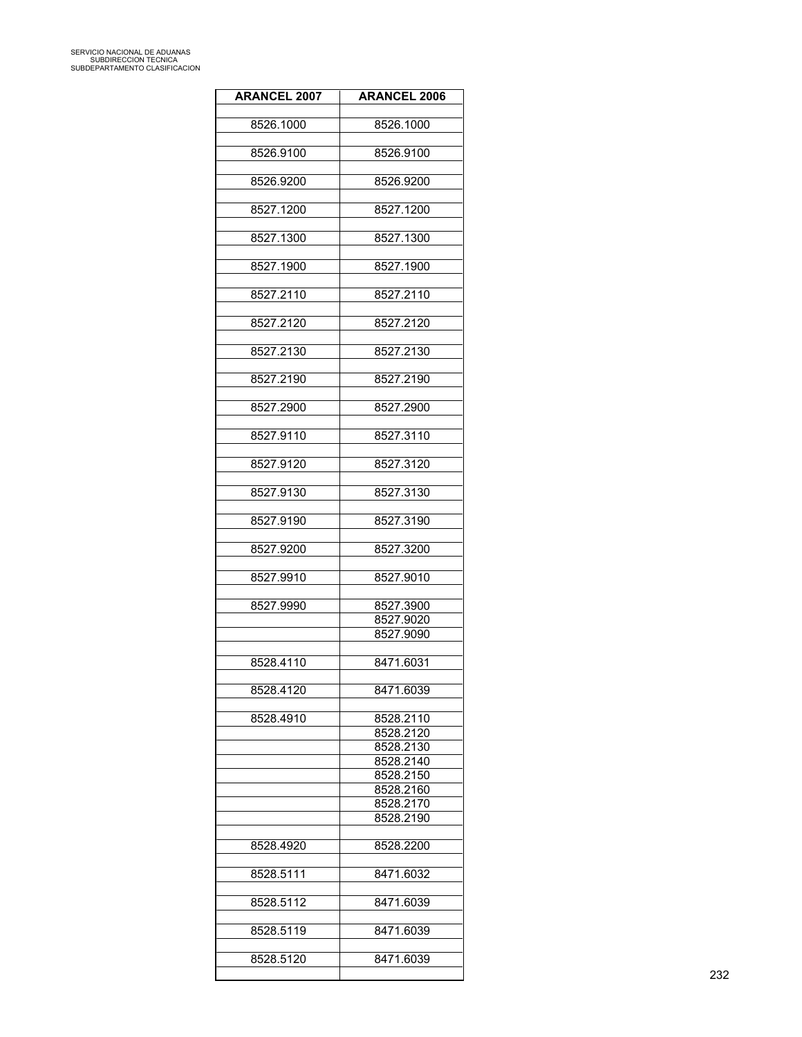| <b>ARANCEL 2007</b> | <b>ARANCEL 2006</b>    |
|---------------------|------------------------|
|                     |                        |
| 8526.1000           | 8526.1000              |
|                     |                        |
| 8526.9100           | 8526.9100              |
|                     |                        |
| 8526.9200           | 8526.9200              |
|                     |                        |
| 8527.1200           | 8527.1200              |
|                     |                        |
| 8527.1300           | 8527.1300              |
|                     |                        |
| 8527.1900           | 8527.1900              |
|                     |                        |
| 8527.2110           | 8527.2110              |
| 8527.2120           |                        |
|                     | 8527.2120              |
| 8527.2130           | 8527.2130              |
|                     |                        |
| 8527.2190           | 8527.2190              |
|                     |                        |
| 8527.2900           | 8527.2900              |
|                     |                        |
| 8527.9110           | 8527.3110              |
|                     |                        |
| 8527.9120           | 8527.3120              |
|                     |                        |
| 8527.9130           | 8527.3130              |
|                     |                        |
| 8527.9190           | 8527.3190              |
|                     |                        |
| 8527.9200           | 8527.3200              |
|                     |                        |
| 8527.9910           | 8527.9010              |
|                     |                        |
| 8527.9990           | 8527.3900              |
|                     | 8527.9020              |
|                     | 8527.9090              |
|                     |                        |
| 8528.4110           | 8471.6031              |
|                     |                        |
| 8528.4120           | 8471.6039              |
|                     |                        |
| 8528.4910           | 8528.2110              |
|                     | 8528.2120<br>8528.2130 |
|                     | 8528.2140              |
|                     | 8528.2150              |
|                     | 8528.2160              |
|                     | 8528.2170              |
|                     | 8528.2190              |
|                     |                        |
| 8528.4920           | 8528.2200              |
|                     |                        |
| 8528.5111           | 8471.6032              |
|                     |                        |
| 8528.5112           | 8471.6039              |
|                     |                        |
| 8528.5119           | 8471.6039              |
|                     |                        |
| 8528.5120           | 8471.6039              |
|                     |                        |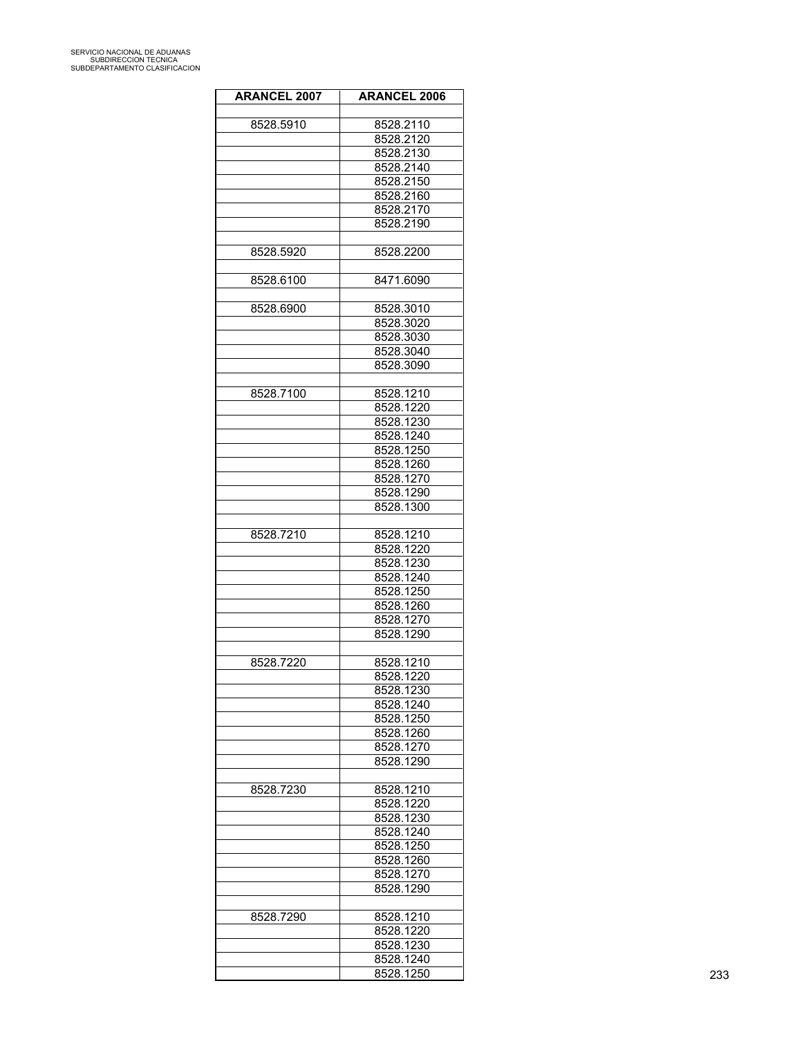| <b>ARANCEL 2007</b> | <b>ARANCEL 2006</b> |
|---------------------|---------------------|
|                     |                     |
| 8528.5910           | 8528.2110           |
|                     | 8528.2120           |
|                     | 8528.2130           |
|                     | 8528.2140           |
|                     | 8528.2150           |
|                     | 8528.2160           |
|                     |                     |
|                     | 8528.2170           |
|                     | 8528.2190           |
|                     |                     |
| 8528.5920           | 8528.2200           |
|                     |                     |
| 8528.6100           | 8471.6090           |
|                     |                     |
| 8528.6900           | 8528.3010           |
|                     | 8528.3020           |
|                     |                     |
|                     | 8528.3030           |
|                     | 8528.3040           |
|                     | 8528.3090           |
|                     |                     |
| 8528.7100           | 8528.1210           |
|                     | 8528.1220           |
|                     | 8528.1230           |
|                     |                     |
|                     | 8528.1240           |
|                     | 8528.1250           |
|                     | 8528.1260           |
|                     | 8528.1270           |
|                     | 8528.1290           |
|                     | 8528.1300           |
|                     |                     |
| 8528.7210           | 8528.1210           |
|                     |                     |
|                     | 8528.1220           |
|                     | 8528.1230           |
|                     | 8528.1240           |
|                     | 8528.1250           |
|                     | 8528.1260           |
|                     | 8528.1270           |
|                     | 8528.1290           |
|                     |                     |
|                     |                     |
| 8528.7220           | 8528.1210           |
|                     | 8528.1220           |
|                     | 8528.1230           |
|                     | 8528.1240           |
|                     | 8528.1250           |
|                     |                     |
|                     | 8528.1260           |
|                     | 8528.1270           |
|                     | 8528.1290           |
|                     |                     |
| 8528.7230           | 8528.1210           |
|                     | 8528.1220           |
|                     | 8528.1230           |
|                     |                     |
|                     | 8528.1240           |
|                     | 8528.1250           |
|                     | 8528.1260           |
|                     | 8528.1270           |
|                     | 8528.1290           |
|                     |                     |
| 8528.7290           | 8528.1210           |
|                     | 8528.1220           |
|                     |                     |
|                     | 8528.1230           |
|                     | 8528.1240           |
|                     | 8528.1250           |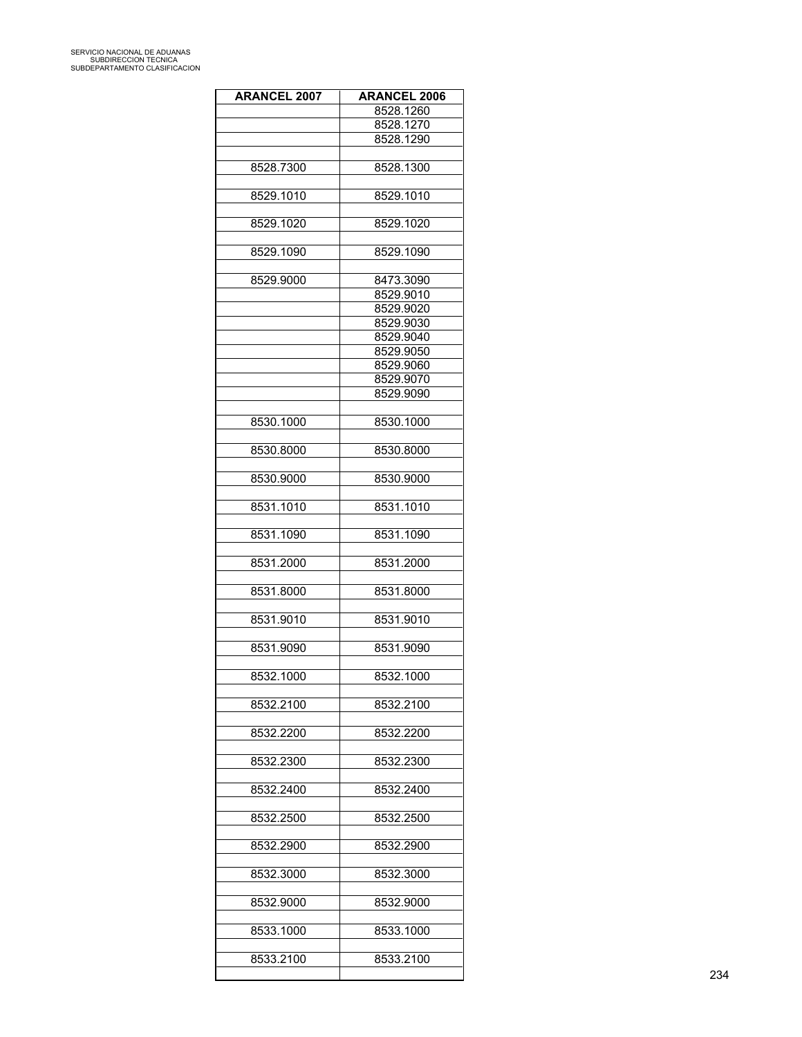| <b>ARANCEL 2007</b> | <b>ARANCEL 2006</b>    |
|---------------------|------------------------|
|                     | 8528.1260              |
|                     | 8528.1270              |
|                     | 8528.1290              |
|                     |                        |
| 8528.7300           | 8528.1300              |
|                     |                        |
| 8529.1010           | 8529.1010              |
|                     |                        |
| 8529.1020           | 8529.1020              |
|                     |                        |
| 8529.1090           | 8529.1090              |
|                     |                        |
| 8529.9000           | 8473.3090              |
|                     | 8529.9010<br>8529.9020 |
|                     | 8529.9030              |
|                     | 8529.9040              |
|                     | 8529.9050              |
|                     | 8529.9060              |
|                     | 8529.9070              |
|                     | 8529.9090              |
|                     |                        |
| 8530.1000           | 8530.1000              |
|                     |                        |
| 8530.8000           | 8530.8000              |
|                     |                        |
| 8530.9000           | 8530.9000              |
|                     |                        |
| 8531.1010           | 8531.1010              |
|                     |                        |
| 8531.1090           | 8531.1090              |
|                     |                        |
| 8531.2000           | 8531.2000              |
| 8531.8000           | 8531.8000              |
|                     |                        |
| 8531.9010           | 8531.9010              |
|                     |                        |
| 8531.9090           | 8531.9090              |
|                     |                        |
| 8532.1000           | 8532.1000              |
|                     |                        |
| 8532.2100           | 8532.2100              |
|                     |                        |
| 8532.2200           | 8532.2200              |
|                     |                        |
| 8532.2300           | 8532.2300              |
|                     |                        |
| 8532.2400           | 8532.2400              |
| 8532.2500           | 8532.2500              |
|                     |                        |
| 8532.2900           | 8532.2900              |
|                     |                        |
| 8532.3000           | 8532.3000              |
|                     |                        |
| 8532.9000           | 8532.9000              |
|                     |                        |
| 8533.1000           | 8533.1000              |
|                     |                        |
| 8533.2100           | 8533.2100              |
|                     |                        |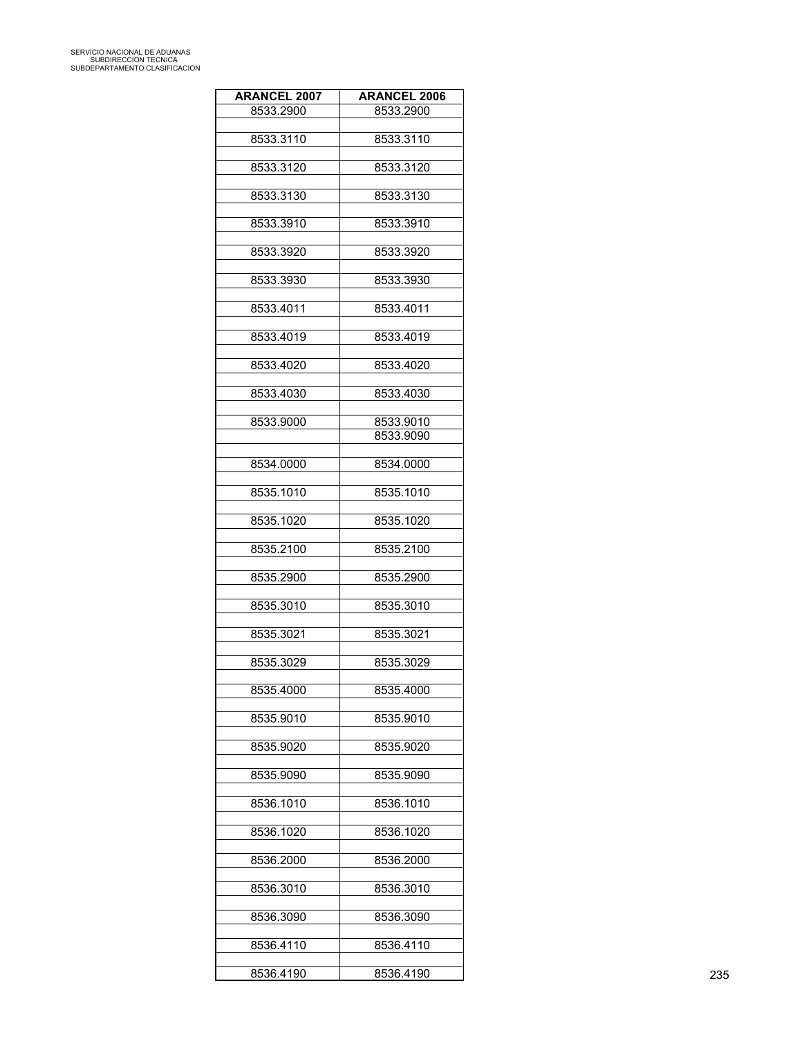| <b>ARANCEL 2007</b> | <b>ARANCEL 2006</b> |
|---------------------|---------------------|
| 8533.2900           | 8533.2900           |
| 8533.3110           | 8533.3110           |
|                     |                     |
| 8533.3120           | 8533.3120           |
| 8533.3130           | 8533.3130           |
| 8533.3910           | 8533.3910           |
|                     |                     |
| 8533.3920           | 8533.3920           |
| 8533.3930           | 8533.3930           |
| 8533.4011           | 8533.4011           |
|                     |                     |
| 8533.4019           | 8533.4019           |
| 8533.4020           | 8533.4020           |
| 8533.4030           | 8533.4030           |
|                     |                     |
| 8533.9000           | 8533.9010           |
|                     | 8533.9090           |
| 8534.0000           | 8534.0000           |
| 8535.1010           | 8535.1010           |
|                     |                     |
| 8535.1020           | 8535.1020           |
| 8535.2100           | 8535.2100           |
| 8535.2900           | 8535.2900           |
|                     |                     |
| 8535.3010           | 8535.3010           |
| 8535.3021           | 8535.3021           |
| 8535.3029           | 8535.3029           |
|                     |                     |
| 8535.4000           | 8535.4000           |
| 8535.9010           | 8535.9010           |
|                     |                     |
| 8535.9020           | 8535.9020           |
| 8535.9090           | 8535.9090           |
| 8536.1010           | 8536.1010           |
|                     |                     |
| 8536.1020           | 8536.1020           |
| 8536.2000           | 8536.2000           |
| 8536.3010           | 8536.3010           |
|                     |                     |
| 8536.3090           | 8536.3090           |
| 8536.4110           | 8536.4110           |
|                     |                     |
| 8536.4190           | 8536.4190           |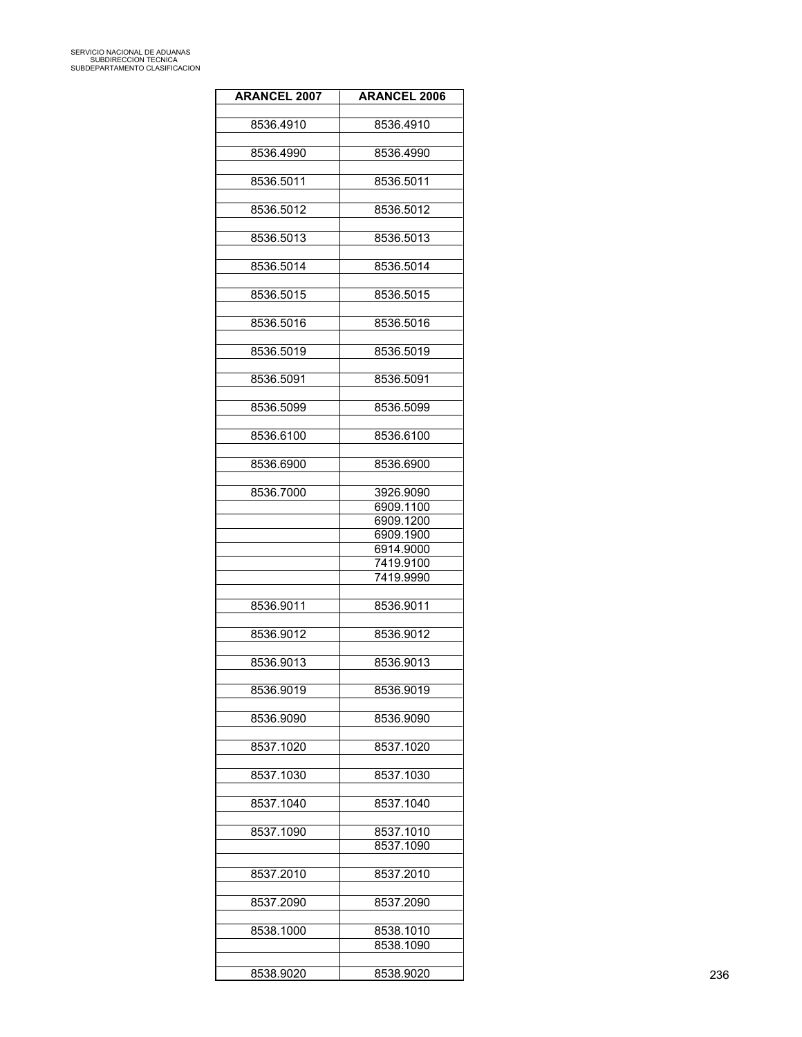| <b>ARANCEL 2007</b> | <b>ARANCEL 2006</b> |
|---------------------|---------------------|
|                     |                     |
| 8536.4910           | 8536.4910           |
| 8536.4990           | 8536.4990           |
|                     |                     |
| 8536.5011           | 8536.5011           |
|                     |                     |
| 8536.5012           | 8536.5012           |
|                     |                     |
| 8536.5013           | 8536.5013           |
|                     |                     |
| 8536.5014           | 8536.5014           |
|                     |                     |
| 8536.5015           | 8536.5015           |
|                     |                     |
| 8536.5016           | 8536.5016           |
| 8536.5019           | 8536.5019           |
|                     |                     |
| 8536.5091           | 8536.5091           |
|                     |                     |
| 8536.5099           | 8536.5099           |
|                     |                     |
| 8536.6100           | 8536.6100           |
|                     |                     |
| 8536.6900           | 8536.6900           |
|                     |                     |
| 8536.7000           | 3926.9090           |
|                     | 6909.1100           |
|                     | 6909.1200           |
|                     | 6909.1900           |
|                     | 6914.9000           |
|                     | 7419.9100           |
|                     | 7419.9990           |
|                     |                     |
| 8536.9011           | 8536.9011           |
|                     |                     |
| 8536.9012           | 8536.9012           |
|                     |                     |
| 8536.9013           | 8536.9013           |
|                     |                     |
| 8536.9019           | 8536.9019           |
|                     |                     |
| 8536.9090           | 8536.9090           |
|                     |                     |
| 8537.1020           | 8537.1020           |
| 8537.1030           | 8537.1030           |
|                     |                     |
| 8537.1040           | 8537.1040           |
|                     |                     |
| 8537.1090           | 8537.1010           |
|                     | 8537.1090           |
|                     |                     |
| 8537.2010           | 8537.2010           |
|                     |                     |
| 8537.2090           | 8537.2090           |
|                     |                     |
| 8538.1000           | 8538.1010           |
|                     | 8538.1090           |
|                     |                     |
| 8538.9020           | 8538.9020           |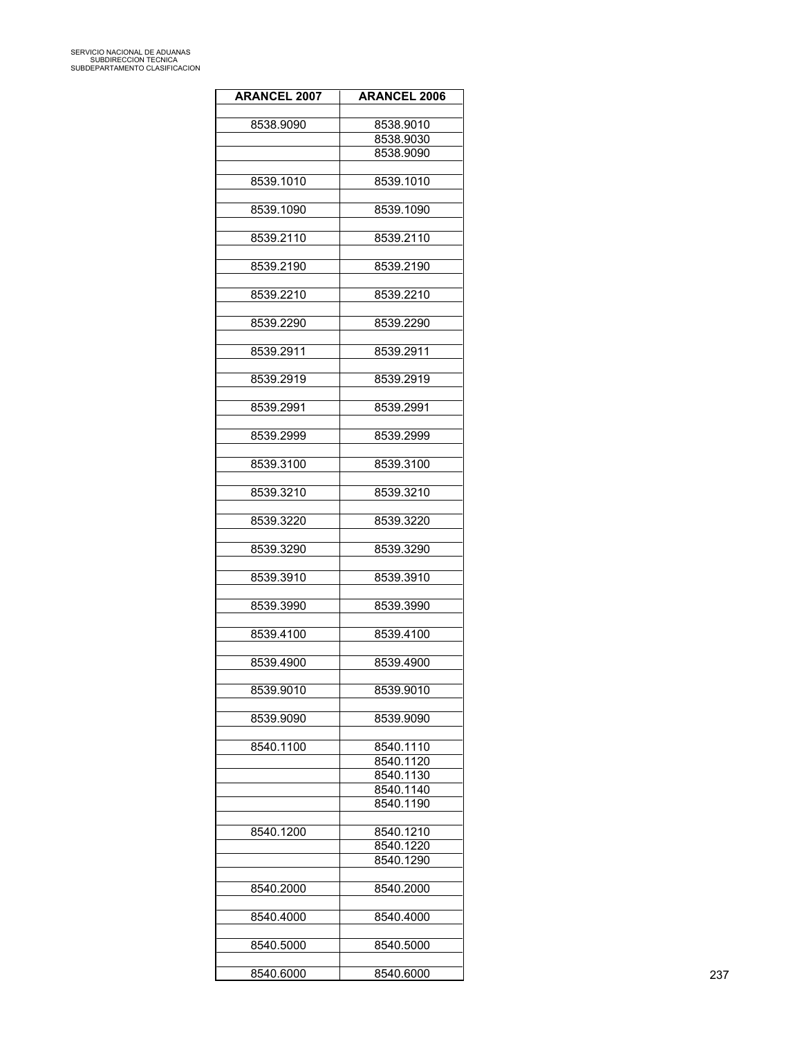| <b>ARANCEL 2007</b> | <b>ARANCEL 2006</b> |
|---------------------|---------------------|
|                     |                     |
| 8538.9090           | 8538.9010           |
|                     | 8538.9030           |
|                     | 8538.9090           |
| 8539.1010           | 8539.1010           |
|                     |                     |
| 8539.1090           | 8539.1090           |
|                     |                     |
| 8539.2110           | 8539.2110           |
|                     |                     |
| 8539.2190           | 8539.2190           |
|                     |                     |
| 8539.2210           | 8539.2210           |
|                     |                     |
| 8539.2290           | 8539.2290           |
|                     |                     |
| 8539.2911           | 8539.2911           |
|                     |                     |
| 8539.2919           | 8539.2919           |
|                     |                     |
| 8539.2991           | 8539.2991           |
| 8539.2999           | 8539.2999           |
|                     |                     |
| 8539.3100           | 8539.3100           |
|                     |                     |
| 8539.3210           | 8539.3210           |
|                     |                     |
| 8539.3220           | 8539.3220           |
|                     |                     |
| 8539.3290           | 8539.3290           |
|                     |                     |
| 8539.3910           | 8539.3910           |
|                     |                     |
| 8539.3990           | 8539.3990           |
|                     |                     |
| 8539.4100           | 8539.4100           |
|                     |                     |
| 8539.4900           | 8539.4900           |
|                     |                     |
| 8539.9010           | 8539.9010           |
|                     |                     |
| 8539.9090           | 8539.9090           |
|                     |                     |
| 8540.1100           | 8540.1110           |
|                     | 8540.1120           |
|                     | 8540.1130           |
|                     | 8540.1140           |
|                     | 8540.1190           |
|                     |                     |
| 8540.1200           | 8540.1210           |
|                     | 8540.1220           |
|                     | 8540.1290           |
|                     |                     |
| 8540.2000           | 8540.2000           |
|                     |                     |
| 8540.4000           | 8540.4000           |
|                     |                     |
| 8540.5000           | 8540.5000           |
|                     |                     |
| 8540.6000           | 8540.6000           |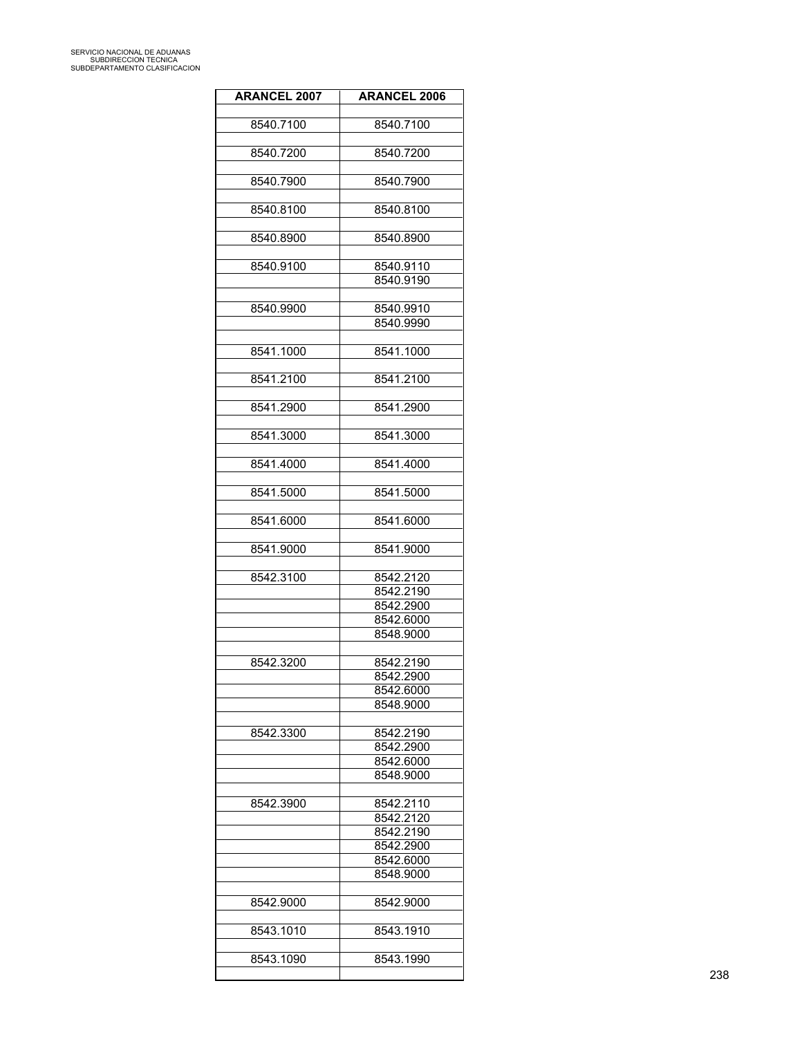| <b>ARANCEL 2007</b> | <b>ARANCEL 2006</b>    |
|---------------------|------------------------|
|                     |                        |
| 8540.7100           | 8540.7100              |
|                     |                        |
| 8540.7200           | 8540.7200              |
| 8540.7900           | 8540.7900              |
|                     |                        |
| 8540.8100           | 8540.8100              |
|                     |                        |
| 8540.8900           | 8540.8900              |
| 8540.9100           |                        |
|                     | 8540.9110<br>8540.9190 |
|                     |                        |
| 8540.9900           | 8540.9910              |
|                     | 8540.9990              |
|                     |                        |
| 8541.1000           | 8541.1000              |
|                     |                        |
| 8541.2100           | 8541.2100              |
|                     |                        |
| 8541.2900           | 8541.2900              |
|                     |                        |
| 8541.3000           | 8541.3000              |
|                     |                        |
| 8541.4000           | 8541.4000              |
|                     |                        |
| 8541.5000           | 8541.5000              |
|                     |                        |
| 8541.6000           | 8541.6000              |
|                     |                        |
| 8541.9000           | 8541.9000              |
|                     |                        |
| 8542.3100           | 8542.2120              |
|                     | 8542.2190              |
|                     | 8542.2900              |
|                     | 8542.6000              |
|                     | 8548.9000              |
|                     |                        |
| 8542.3200           | 8542.2190              |
|                     | 8542.2900              |
|                     | 8542.6000              |
|                     | 8548.9000              |
|                     |                        |
| 8542.3300           | 8542.2190              |
|                     | 8542.2900              |
|                     | 8542.6000              |
|                     | 8548.9000              |
|                     |                        |
| 8542.3900           | 8542.2110              |
|                     | 8542.2120              |
|                     | 8542.2190              |
|                     | 8542.2900              |
|                     | 8542.6000              |
|                     | 8548.9000              |
|                     |                        |
| 8542.9000           | 8542.9000              |
|                     |                        |
| 8543.1010           | 8543.1910              |
|                     |                        |
| 8543.1090           | 8543.1990              |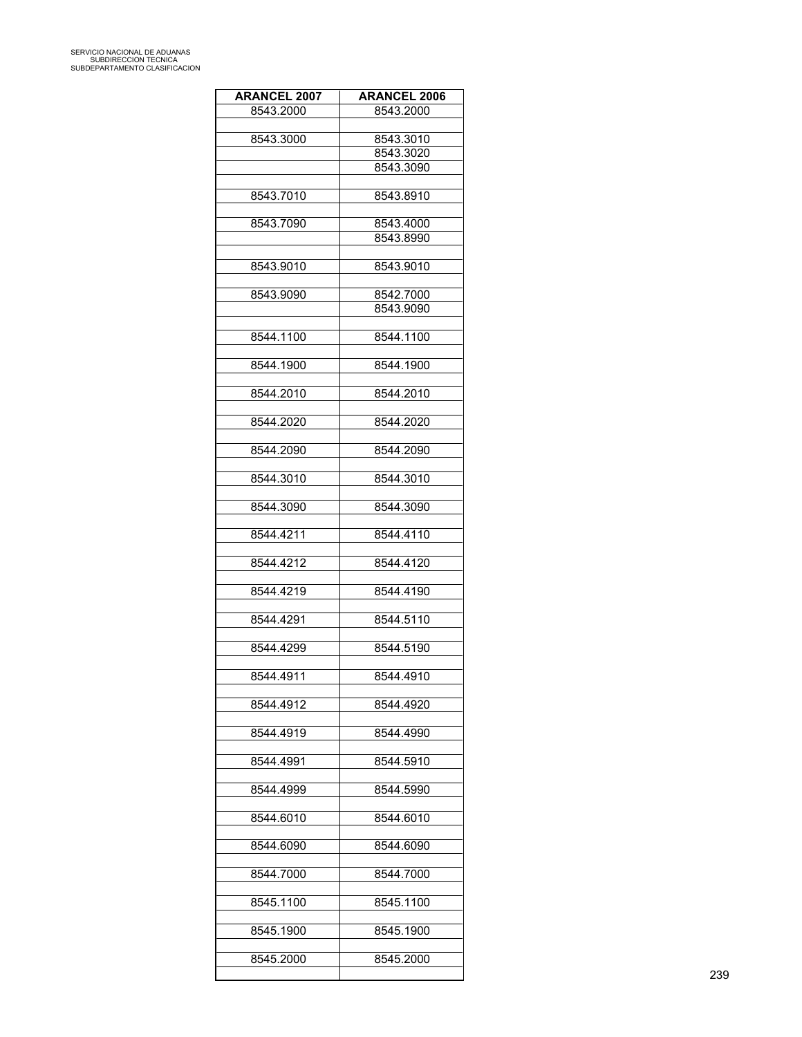| <b>ARANCEL 2007</b> | <b>ARANCEL 2006</b>    |
|---------------------|------------------------|
| 8543.2000           | 8543.2000              |
|                     |                        |
| 8543.3000           | 8543.3010<br>8543.3020 |
|                     | 8543.3090              |
|                     |                        |
| 8543.7010           | 8543.8910              |
| 8543.7090           | 8543.4000              |
|                     | 8543.8990              |
|                     |                        |
| 8543.9010           | 8543.9010              |
| 8543.9090           |                        |
|                     | 8542.7000<br>8543.9090 |
|                     |                        |
| 8544.1100           | 8544.1100              |
|                     |                        |
| 8544.1900           | 8544.1900              |
| 8544.2010           | 8544.2010              |
|                     |                        |
| 8544.2020           | 8544.2020              |
| 8544.2090           | 8544.2090              |
|                     |                        |
| 8544.3010           | 8544.3010              |
|                     |                        |
| 8544.3090           | 8544.3090              |
| 8544.4211           | 8544.4110              |
|                     |                        |
| 8544.4212           | 8544.4120              |
| 8544.4219           | 8544.4190              |
|                     |                        |
| 8544.4291           | 8544.5110              |
| 8544.4299           | 8544.5190              |
|                     |                        |
| 8544.4911           | 8544.4910              |
|                     |                        |
| 8544.4912           | 8544.4920              |
| 8544.4919           | 8544.4990              |
|                     |                        |
| 8544.4991           | 8544.5910              |
|                     |                        |
| 8544.4999           | 8544.5990              |
| 8544.6010           | 8544.6010              |
|                     |                        |
| 8544.6090           | 8544.6090              |
| 8544.7000           | 8544.7000              |
|                     |                        |
| 8545.1100           | 8545.1100              |
|                     |                        |
| 8545.1900           | 8545.1900              |
| 8545.2000           | 8545.2000              |
|                     |                        |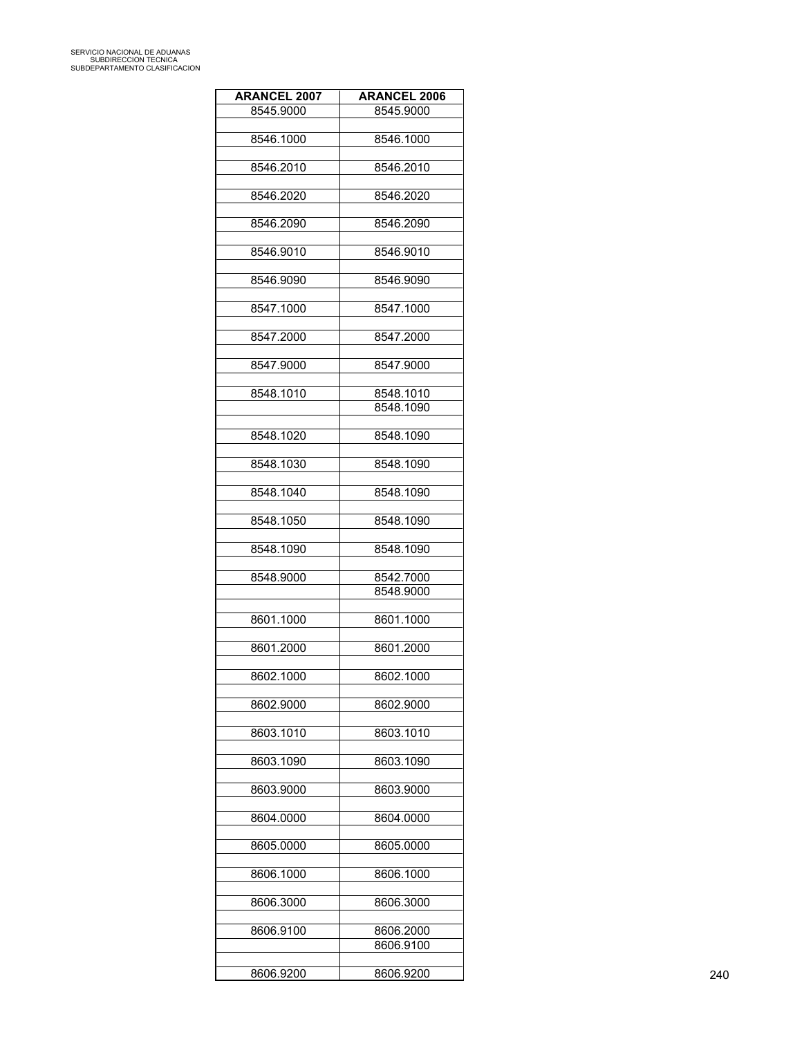| <b>ARANCEL 2007</b> | <b>ARANCEL 2006</b>    |
|---------------------|------------------------|
| 8545.9000           | 8545.9000              |
| 8546.1000           | 8546.1000              |
| 8546.2010           | 8546.2010              |
| 8546.2020           | 8546.2020              |
|                     |                        |
| 8546.2090           | 8546.2090              |
| 8546.9010           | 8546.9010              |
| 8546.9090           | 8546.9090              |
| 8547.1000           | 8547.1000              |
| 8547.2000           | 8547.2000              |
|                     |                        |
| 8547.9000           | 8547.9000              |
| 8548.1010           | 8548.1010<br>8548.1090 |
| 8548.1020           | 8548.1090              |
|                     |                        |
| 8548.1030           | 8548.1090              |
| 8548.1040           | 8548.1090              |
| 8548.1050           | 8548.1090              |
| 8548.1090           | 8548.1090              |
| 8548.9000           | 8542.7000              |
|                     | 8548.9000              |
| 8601.1000           | 8601.1000              |
|                     |                        |
| 8601.2000           | 8601.2000              |
| 8602.1000           | 8602.1000              |
| 8602.9000           | 8602.9000              |
| 8603.1010           | 8603.1010              |
| 8603.1090           | 8603.1090              |
|                     |                        |
| 8603.9000           | 8603.9000              |
| 8604.0000           | 8604.0000              |
| 8605.0000           | 8605.0000              |
| 8606.1000           | 8606.1000              |
| 8606.3000           | 8606.3000              |
|                     |                        |
| 8606.9100           | 8606.2000<br>8606.9100 |
| 8606.9200           | 8606.9200              |
|                     |                        |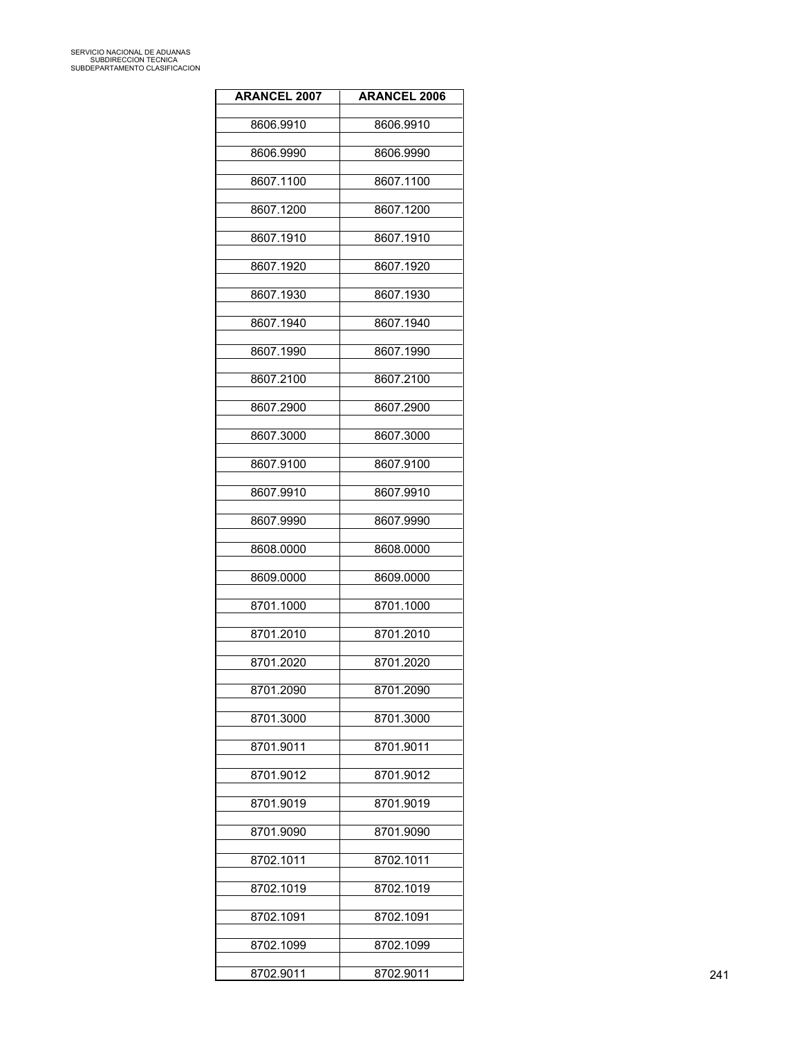| <b>ARANCEL 2007</b> | <b>ARANCEL 2006</b> |
|---------------------|---------------------|
| 8606.9910           | 8606.9910           |
| 8606.9990           | 8606.9990           |
| 8607.1100           | 8607.1100           |
| 8607.1200           | 8607.1200           |
| 8607.1910           | 8607.1910           |
|                     |                     |
| 8607.1920           | 8607.1920           |
| 8607.1930           | 8607.1930           |
| 8607.1940           | 8607.1940           |
| 8607.1990           | 8607.1990           |
| 8607.2100           | 8607.2100           |
| 8607.2900           | 8607.2900           |
| 8607.3000           | 8607.3000           |
| 8607.9100           | 8607.9100           |
| 8607.9910           | 8607.9910           |
| 8607.9990           | 8607.9990           |
| 8608.0000           | 8608.0000           |
| 8609.0000           | 8609.0000           |
|                     |                     |
| 8701.1000           | 8701.1000           |
| 8701.2010           | 8701.2010           |
| 8701.2020           | 8701.2020           |
| 8701.2090           | 8701.2090           |
| 8701.3000           | 8701.3000           |
| 8701.9011           | 8701.9011           |
| 8701.9012           | 8701.9012           |
| 8701.9019           | 8701.9019           |
| 8701.9090           | 8701.9090           |
| 8702.1011           | 8702.1011           |
| 8702.1019           | 8702.1019           |
|                     |                     |
| 8702.1091           | 8702.1091           |
| 8702.1099           | 8702.1099           |
| 8702.9011           | 8702.9011           |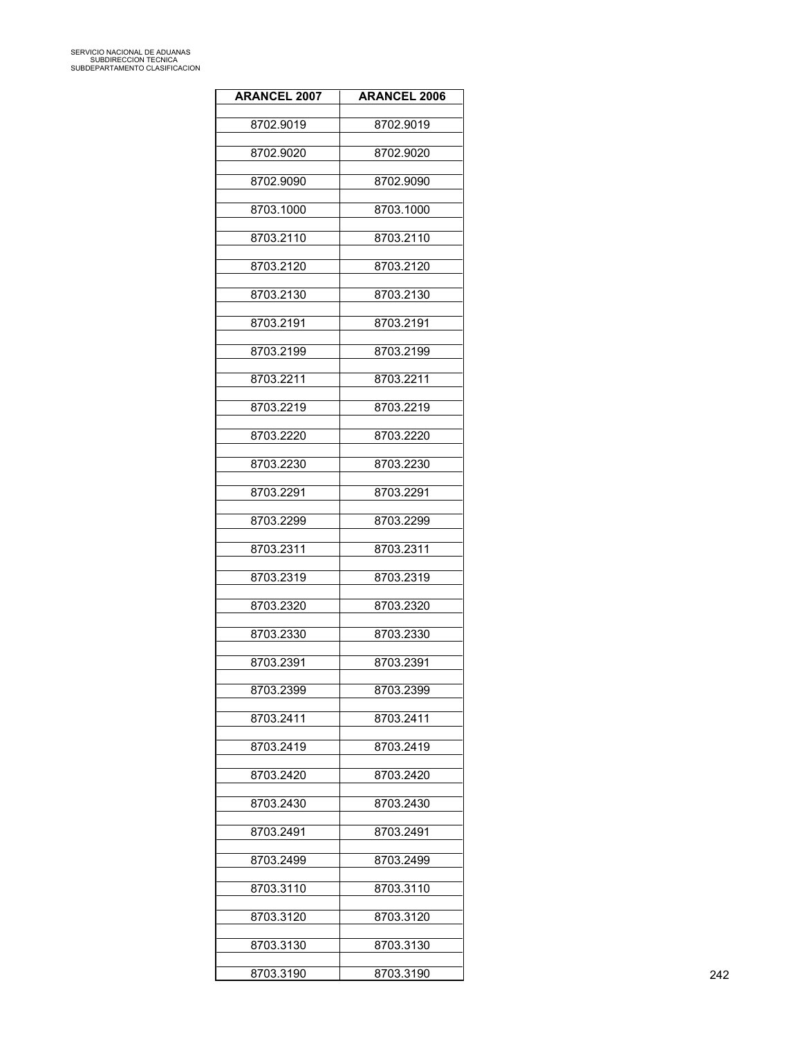| <b>ARANCEL 2007</b> | <b>ARANCEL 2006</b> |
|---------------------|---------------------|
| 8702.9019           | 8702.9019           |
| 8702.9020           | 8702.9020           |
|                     |                     |
| 8702.9090           | 8702.9090           |
| 8703.1000           | 8703.1000           |
| 8703.2110           | 8703.2110           |
| 8703.2120           | 8703.2120           |
| 8703.2130           | 8703.2130           |
| 8703.2191           | 8703.2191           |
| 8703.2199           | 8703.2199           |
| 8703.2211           | 8703.2211           |
| 8703.2219           | 8703.2219           |
| 8703.2220           | 8703.2220           |
| 8703.2230           | 8703.2230           |
| 8703.2291           | 8703.2291           |
|                     |                     |
| 8703.2299           | 8703.2299           |
| 8703.2311           | 8703.2311           |
| 8703.2319           | 8703.2319           |
| 8703.2320           | 8703.2320           |
| 8703.2330           | 8703.2330           |
| 8703.2391           | 8703.2391           |
| 8703.2399           | 8703.2399           |
| 8703.2411           | 8703.2411           |
| 8703.2419           | 8703.2419           |
| 8703.2420           | 8703.2420           |
| 8703.2430           | 8703.2430           |
|                     |                     |
| 8703.2491           | 8703.2491           |
| 8703.2499           | 8703.2499           |
| 8703.3110           | 8703.3110           |
| 8703.3120           | 8703.3120           |
| 8703.3130           | 8703.3130           |
| 8703.3190           | 8703.3190           |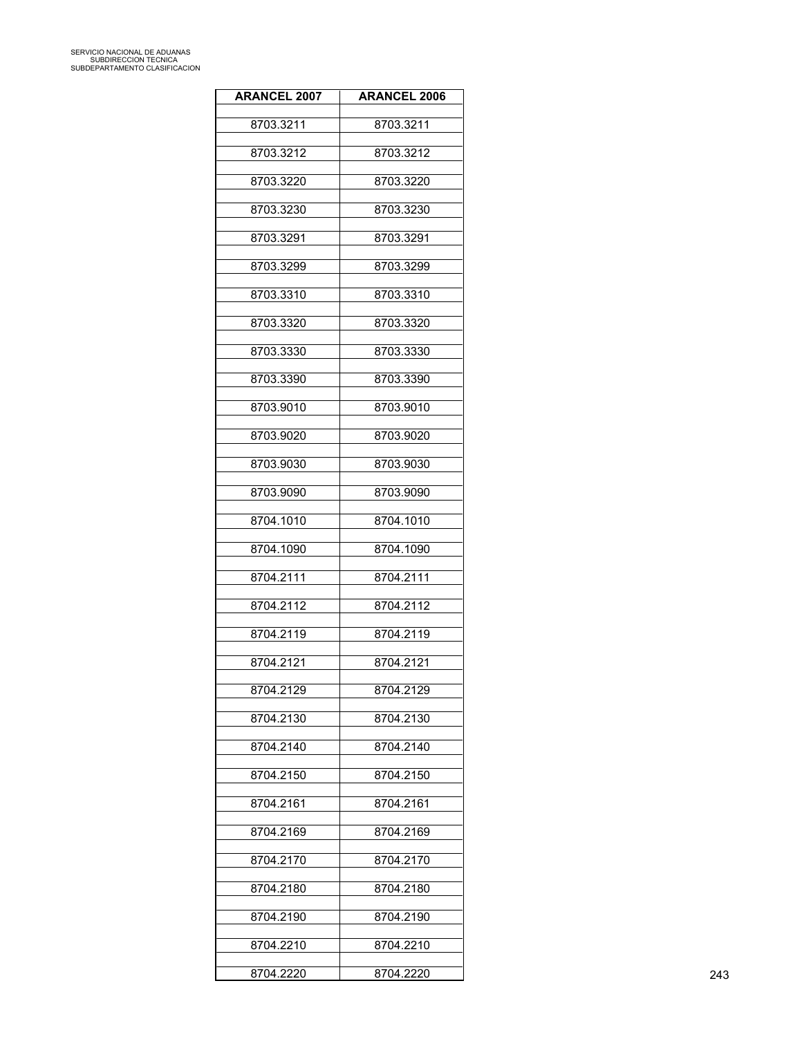| <b>ARANCEL 2007</b> | <b>ARANCEL 2006</b> |
|---------------------|---------------------|
| 8703.3211           | 8703.3211           |
| 8703.3212           | 8703.3212           |
|                     |                     |
| 8703.3220           | 8703.3220           |
| 8703.3230           | 8703.3230           |
| 8703.3291           | 8703.3291           |
| 8703.3299           | 8703.3299           |
| 8703.3310           | 8703.3310           |
| 8703.3320           | 8703.3320           |
| 8703.3330           | 8703.3330           |
| 8703.3390           | 8703.3390           |
| 8703.9010           | 8703.9010           |
| 8703.9020           | 8703.9020           |
| 8703.9030           | 8703.9030           |
| 8703.9090           | 8703.9090           |
| 8704.1010           | 8704.1010           |
| 8704.1090           | 8704.1090           |
| 8704.2111           | 8704.2111           |
|                     |                     |
| 8704.2112           | 8704.2112           |
| 8704.2119           | 8704.2119           |
| 8704.2121           | 8704.2121           |
| 8704.2129           | 8704.2129           |
| 8704.2130           | 8704.2130           |
| 8704.2140           | 8704.2140           |
| 8704.2150           | 8704.2150           |
| 8704.2161           | 8704.2161           |
| 8704.2169           | 8704.2169           |
| 8704.2170           | 8704.2170           |
| 8704.2180           | 8704.2180           |
| 8704.2190           | 8704.2190           |
|                     |                     |
| 8704.2210           | 8704.2210           |
| 8704.2220           | 8704.2220           |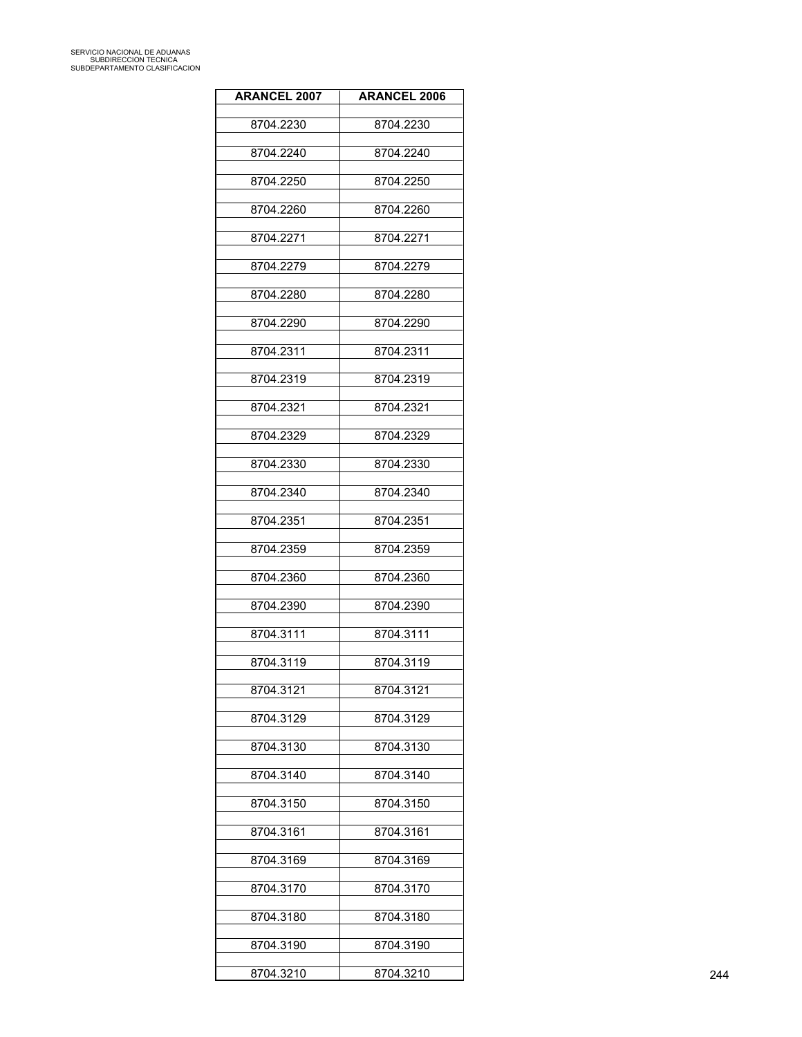| <b>ARANCEL 2007</b> | <b>ARANCEL 2006</b> |
|---------------------|---------------------|
| 8704.2230           | 8704.2230           |
| 8704.2240           | 8704.2240           |
|                     |                     |
| 8704.2250           | 8704.2250           |
| 8704.2260           | 8704.2260           |
| 8704.2271           | 8704.2271           |
| 8704.2279           | 8704.2279           |
| 8704.2280           | 8704.2280           |
| 8704.2290           | 8704.2290           |
| 8704.2311           | 8704.2311           |
| 8704.2319           | 8704.2319           |
| 8704.2321           | 8704.2321           |
| 8704.2329           | 8704.2329           |
| 8704.2330           | 8704.2330           |
| 8704.2340           | 8704.2340           |
|                     |                     |
| 8704.2351           | 8704.2351           |
| 8704.2359           | 8704.2359           |
| 8704.2360           | 8704.2360           |
| 8704.2390           | 8704.2390           |
| 8704.3111           | 8704.3111           |
| 8704.3119           | 8704.3119           |
| 8704.3121           | 8704.3121           |
| 8704.3129           | 8704.3129           |
| 8704.3130           | 8704.3130           |
| 8704.3140           | 8704.3140           |
| 8704.3150           | 8704.3150           |
|                     |                     |
| 8704.3161           | 8704.3161           |
| 8704.3169           | 8704.3169           |
| 8704.3170           | 8704.3170           |
| 8704.3180           | 8704.3180           |
| 8704.3190           | 8704.3190           |
| 8704.3210           | 8704.3210           |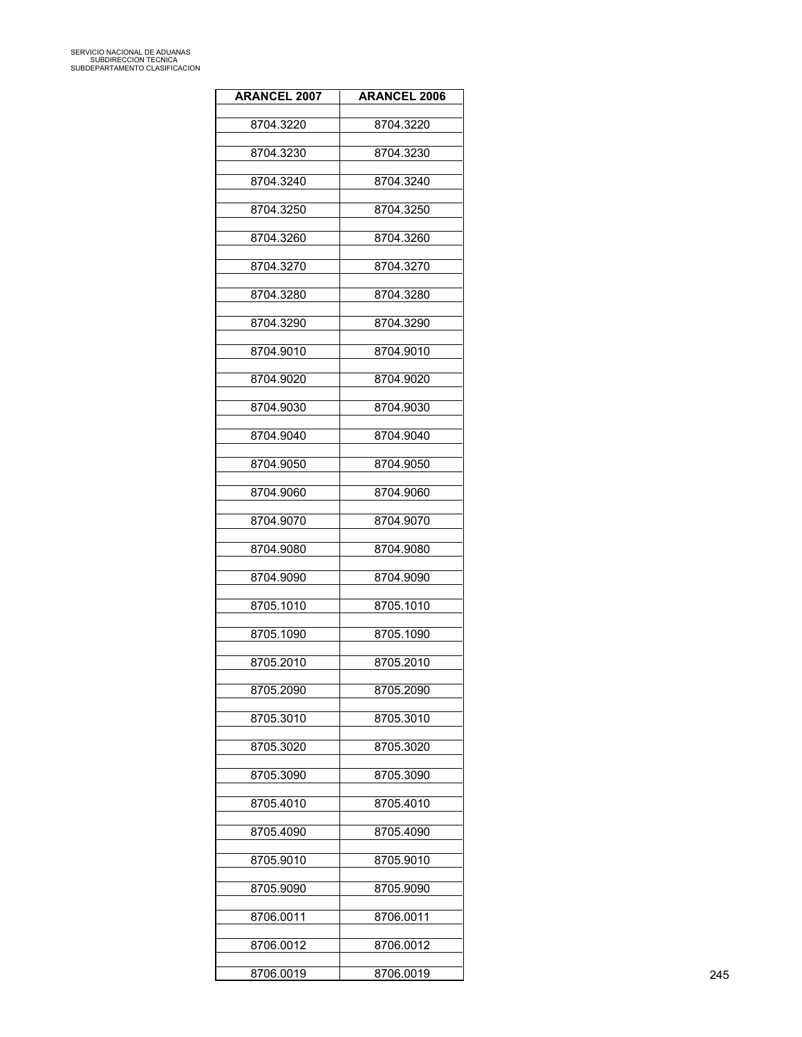| <b>ARANCEL 2007</b> | <b>ARANCEL 2006</b> |
|---------------------|---------------------|
| 8704.3220           | 8704.3220           |
| 8704.3230           | 8704.3230           |
| 8704.3240           | 8704.3240           |
|                     |                     |
| 8704.3250           | 8704.3250           |
| 8704.3260           | 8704.3260           |
| 8704.3270           | 8704.3270           |
| 8704.3280           | 8704.3280           |
| 8704.3290           | 8704.3290           |
| 8704.9010           | 8704.9010           |
| 8704.9020           | 8704.9020           |
| 8704.9030           | 8704.9030           |
| 8704.9040           | 8704.9040           |
| 8704.9050           | 8704.9050           |
| 8704.9060           | 8704.9060           |
| 8704.9070           | 8704.9070           |
|                     |                     |
| 8704.9080           | 8704.9080           |
| 8704.9090           | 8704.9090           |
| 8705.1010           | 8705.1010           |
| 8705.1090           | 8705.1090           |
| 8705.2010           | 8705.2010           |
| 8705.2090           | 8705.2090           |
| 8705.3010           | 8705.3010           |
| 8705.3020           | 8705.3020           |
| 8705.3090           | 8705.3090           |
| 8705.4010           | 8705.4010           |
|                     |                     |
| 8705.4090           | 8705.4090           |
| 8705.9010           | 8705.9010           |
| 8705.9090           | 8705.9090           |
| 8706.0011           | 8706.0011           |
| 8706.0012           | 8706.0012           |
| 8706.0019           | 8706.0019           |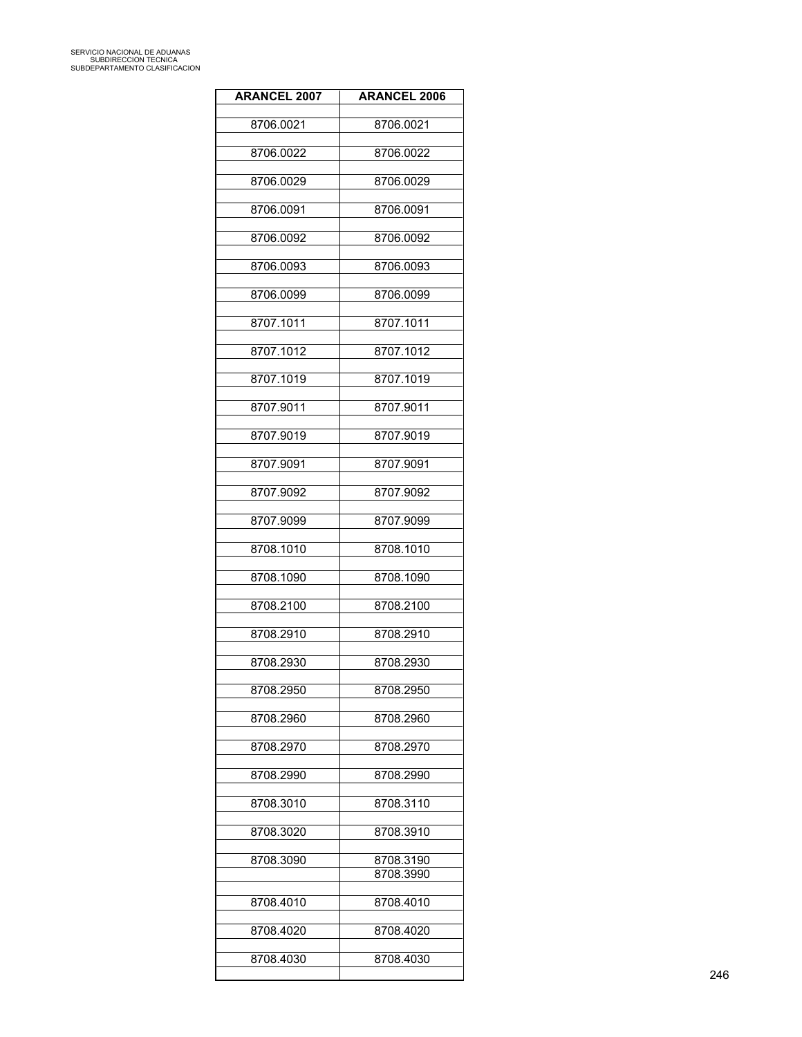| <b>ARANCEL 2007</b> | <b>ARANCEL 2006</b>    |
|---------------------|------------------------|
| 8706.0021           | 8706.0021              |
| 8706.0022           | 8706.0022              |
| 8706.0029           | 8706.0029              |
| 8706.0091           | 8706.0091              |
| 8706.0092           | 8706.0092              |
| 8706.0093           | 8706.0093              |
| 8706.0099           | 8706.0099              |
| 8707.1011           | 8707.1011              |
| 8707.1012           | 8707.1012              |
| 8707.1019           | 8707.1019              |
| 8707.9011           | 8707.9011              |
| 8707.9019           | 8707.9019              |
| 8707.9091           | 8707.9091              |
| 8707.9092           | 8707.9092              |
| 8707.9099           | 8707.9099              |
| 8708.1010           | 8708.1010              |
| 8708.1090           | 8708.1090              |
| 8708.2100           | 8708.2100              |
| 8708.2910           | 8708.2910              |
| 8708.2930           | 8708.2930              |
| 8708.2950           | 8708.2950              |
| 8708.2960           | 8708.2960              |
| 8708.2970           | 8708.2970              |
| 8708.2990           | 8708.2990              |
| 8708.3010           | 8708.3110              |
| 8708.3020           | 8708.3910              |
| 8708.3090           | 8708.3190<br>8708.3990 |
| 8708.4010           | 8708.4010              |
| 8708.4020           | 8708.4020              |
| 8708.4030           | 8708.4030              |
|                     |                        |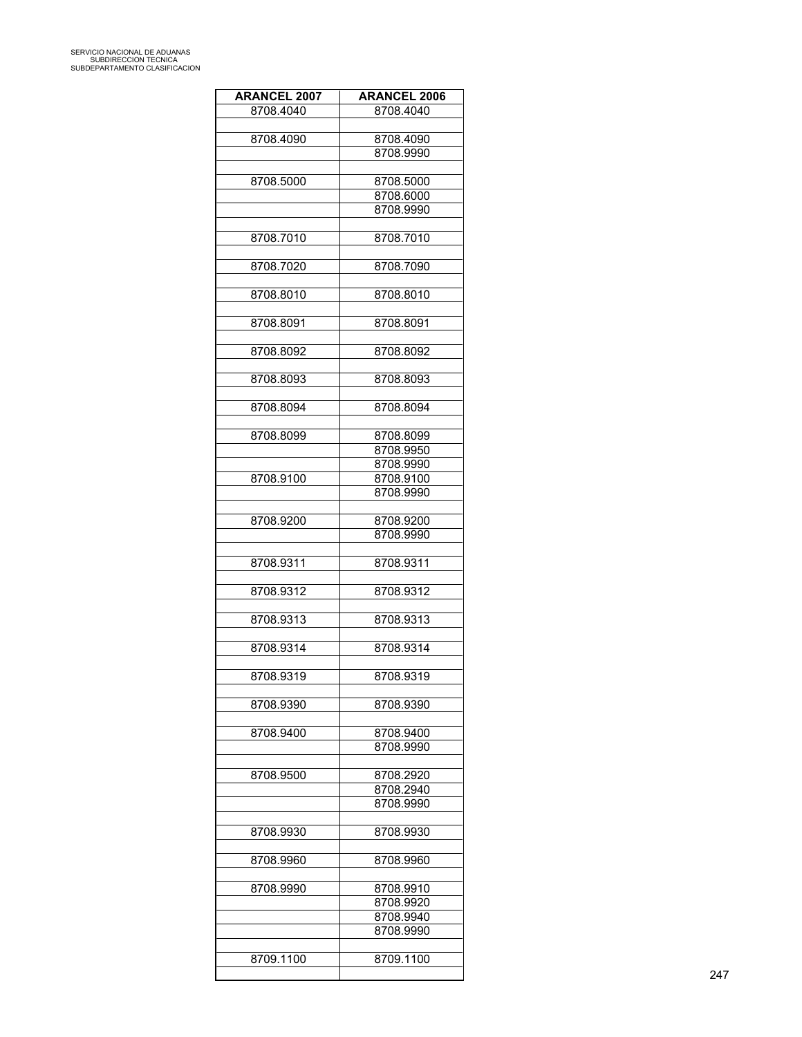| <b>ARANCEL 2007</b> | <b>ARANCEL 2006</b> |
|---------------------|---------------------|
| 8708.4040           | 8708.4040           |
|                     |                     |
| 8708.4090           | 8708.4090           |
|                     | 8708.9990           |
|                     |                     |
| 8708.5000           | 8708.5000           |
|                     | 8708.6000           |
|                     | 8708.9990           |
|                     |                     |
| 8708.7010           | 8708.7010           |
| 8708.7020           |                     |
|                     | 8708.7090           |
| 8708.8010           | 8708.8010           |
|                     |                     |
| 8708.8091           | 8708.8091           |
|                     |                     |
| 8708.8092           | 8708.8092           |
|                     |                     |
| 8708.8093           | 8708.8093           |
|                     |                     |
| 8708.8094           | 8708.8094           |
|                     |                     |
| 8708.8099           | 8708.8099           |
|                     | 8708.9950           |
|                     | 8708.9990           |
| 8708.9100           | 8708.9100           |
|                     | 8708.9990           |
|                     |                     |
| 8708.9200           | 8708.9200           |
|                     | 8708.9990           |
|                     |                     |
| 8708.9311           | 8708.9311           |
| 8708.9312           | 8708.9312           |
|                     |                     |
| 8708.9313           | 8708.9313           |
|                     |                     |
| 8708.9314           | 8708.9314           |
|                     |                     |
| 8708.9319           | 8708.9319           |
|                     |                     |
| 8708.9390           | 8708.9390           |
|                     |                     |
| 8708.9400           | 8708.9400           |
|                     | 8708.9990           |
|                     |                     |
| 8708.9500           | 8708.2920           |
|                     | 8708.2940           |
|                     | 8708.9990           |
| 8708.9930           | 8708.9930           |
|                     |                     |
| 8708.9960           | 8708.9960           |
|                     |                     |
| 8708.9990           | 8708.9910           |
|                     | 8708.9920           |
|                     | 8708.9940           |
|                     | 8708.9990           |
|                     |                     |
| 8709.1100           | 8709.1100           |
|                     |                     |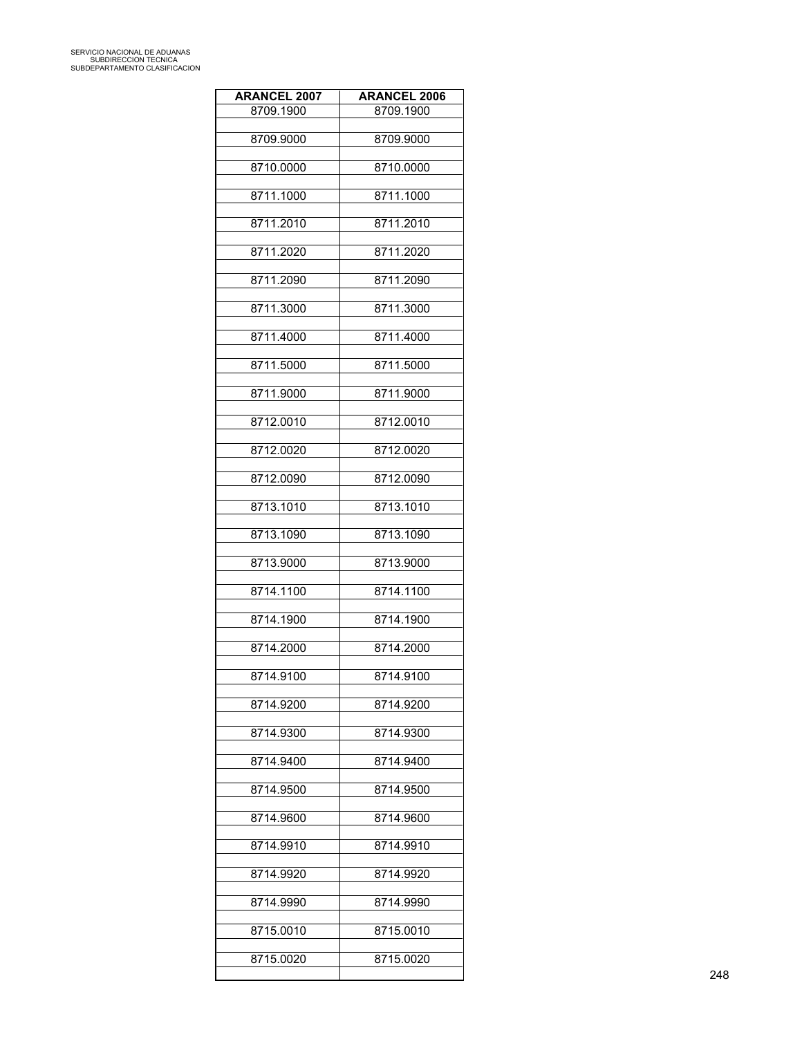| <b>ARANCEL 2007</b> | <b>ARANCEL 2006</b> |
|---------------------|---------------------|
| 8709.1900           | 8709.1900           |
| 8709.9000           | 8709.9000           |
| 8710.0000           | 8710.0000           |
| 8711.1000           | 8711.1000           |
| 8711.2010           | 8711.2010           |
| 8711.2020           | 8711.2020           |
| 8711.2090           | 8711.2090           |
| 8711.3000           | 8711.3000           |
| 8711.4000           | 8711.4000           |
| 8711.5000           | 8711.5000           |
| 8711.9000           | 8711.9000           |
| 8712.0010           | 8712.0010           |
| 8712.0020           | 8712.0020           |
| 8712.0090           | 8712.0090           |
| 8713.1010           | 8713.1010           |
| 8713.1090           | 8713.1090           |
| 8713.9000           | 8713.9000           |
| 8714.1100           | 8714.1100           |
| 8714.1900           | 8714.1900           |
| 8714.2000           | 8714.2000           |
| 8714.9100           | 8714.9100           |
| 8714.9200           | 8714.9200           |
| 8714.9300           | 8714.9300           |
| 8714.9400           | 8714.9400           |
| 8714.9500           | 8714.9500           |
| 8714.9600           | 8714.9600           |
| 8714.9910           | 8714.9910           |
| 8714.9920           | 8714.9920           |
| 8714.9990           | 8714.9990           |
| 8715.0010           | 8715.0010           |
| 8715.0020           | 8715.0020           |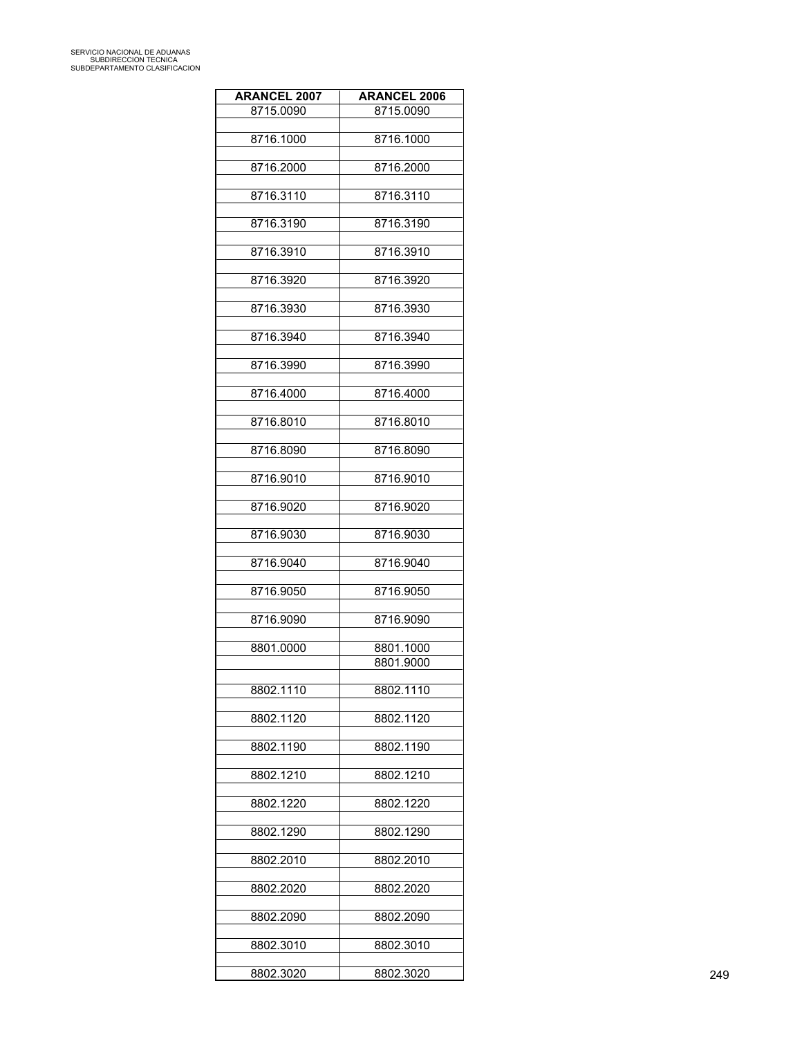| <b>ARANCEL 2007</b> | <b>ARANCEL 2006</b> |
|---------------------|---------------------|
| 8715.0090           | 8715.0090           |
| 8716.1000           | 8716.1000           |
|                     |                     |
| 8716.2000           | 8716.2000           |
| 8716.3110           | 8716.3110           |
| 8716.3190           | 8716.3190           |
|                     |                     |
| 8716.3910           | 8716.3910           |
| 8716.3920           | 8716.3920           |
| 8716.3930           | 8716.3930           |
|                     |                     |
| 8716.3940           | 8716.3940           |
| 8716.3990           | 8716.3990           |
|                     |                     |
| 8716.4000           | 8716.4000           |
| 8716.8010           | 8716.8010           |
| 8716.8090           | 8716.8090           |
|                     |                     |
| 8716.9010           | 8716.9010           |
| 8716.9020           | 8716.9020           |
|                     |                     |
| 8716.9030           | 8716.9030           |
| 8716.9040           | 8716.9040           |
| 8716.9050           | 8716.9050           |
|                     |                     |
| 8716.9090           | 8716.9090           |
| 8801.0000           | 8801.1000           |
|                     | 8801.9000           |
|                     |                     |
| 8802.1110           | 8802.1110           |
| 8802.1120           | 8802.1120           |
| 8802.1190           | 8802.1190           |
|                     |                     |
| 8802.1210           | 8802.1210           |
| 8802.1220           | 8802.1220           |
|                     |                     |
| 8802.1290           | 8802.1290           |
| 8802.2010           | 8802.2010           |
| 8802.2020           | 8802.2020           |
|                     |                     |
| 8802.2090           | 8802.2090           |
| 8802.3010           | 8802.3010           |
|                     |                     |
| 8802.3020           | 8802.3020           |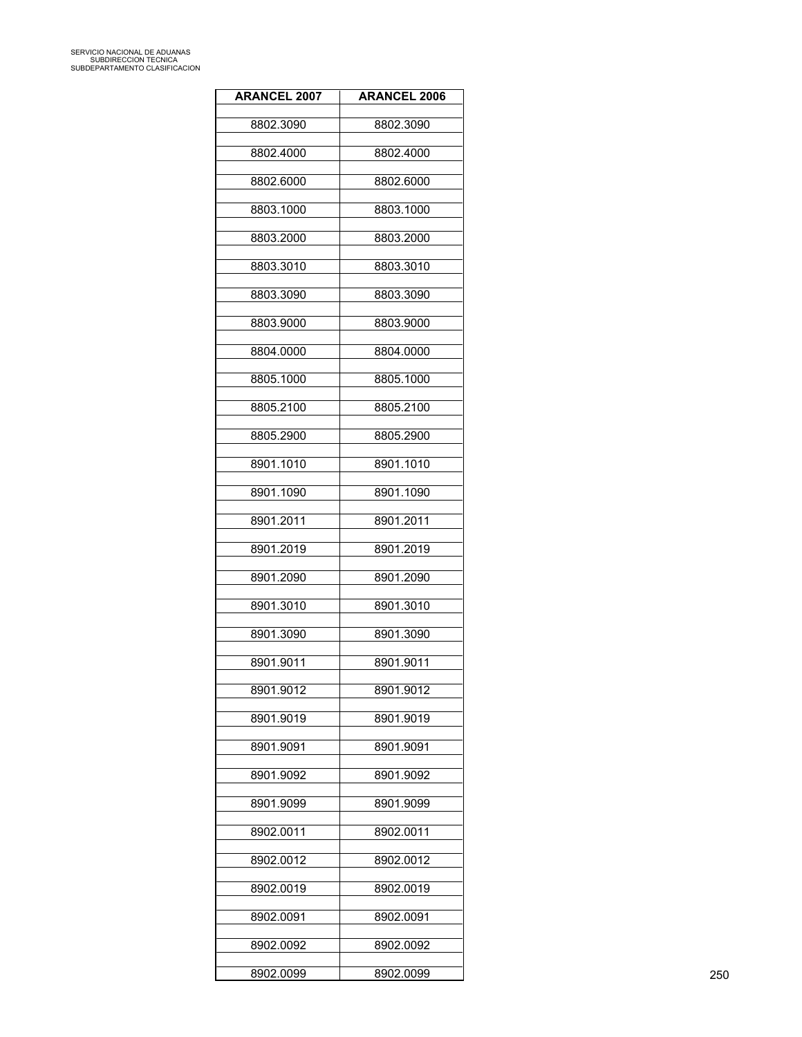| <b>ARANCEL 2007</b> | <b>ARANCEL 2006</b> |
|---------------------|---------------------|
| 8802.3090           | 8802.3090           |
| 8802.4000           | 8802.4000           |
| 8802.6000           | 8802.6000           |
|                     |                     |
| 8803.1000           | 8803.1000           |
| 8803.2000           | 8803.2000           |
| 8803.3010           | 8803.3010           |
| 8803.3090           | 8803.3090           |
| 8803.9000           | 8803.9000           |
| 8804.0000           | 8804.0000           |
| 8805.1000           | 8805.1000           |
| 8805.2100           | 8805.2100           |
| 8805.2900           | 8805.2900           |
| 8901.1010           | 8901.1010           |
| 8901.1090           | 8901.1090           |
| 8901.2011           | 8901.2011           |
|                     |                     |
| 8901.2019           | 8901.2019           |
| 8901.2090           | 8901.2090           |
| 8901.3010           | 8901.3010           |
| 8901.3090           | 8901.3090           |
| 8901.9011           | 8901.9011           |
| 8901.9012           | 8901.9012           |
| 8901.9019           | 8901.9019           |
| 8901.9091           | 8901.9091           |
| 8901.9092           | 8901.9092           |
| 8901.9099           | 8901.9099           |
| 8902.0011           | 8902.0011           |
|                     |                     |
| 8902.0012           | 8902.0012           |
| 8902.0019           | 8902.0019           |
| 8902.0091           | 8902.0091           |
| 8902.0092           | 8902.0092           |
| 8902.0099           | 8902.0099           |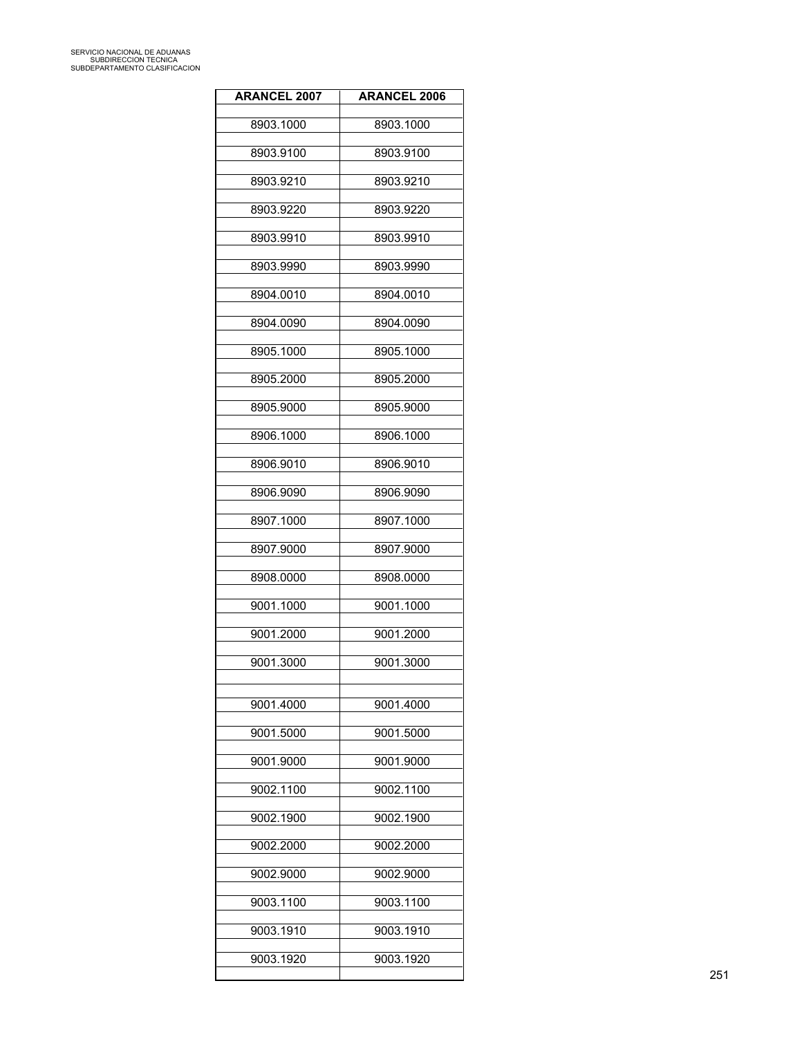| <b>ARANCEL 2007</b> | <b>ARANCEL 2006</b> |
|---------------------|---------------------|
| 8903.1000           | 8903.1000           |
| 8903.9100           | 8903.9100           |
| 8903.9210           | 8903.9210           |
| 8903.9220           | 8903.9220           |
| 8903.9910           | 8903.9910           |
| 8903.9990           | 8903.9990           |
| 8904.0010           | 8904.0010           |
| 8904.0090           | 8904.0090           |
| 8905.1000           | 8905.1000           |
| 8905.2000           | 8905.2000           |
| 8905.9000           | 8905.9000           |
| 8906.1000           | 8906.1000           |
| 8906.9010           | 8906.9010           |
| 8906.9090           | 8906.9090           |
| 8907.1000           | 8907.1000           |
| 8907.9000           | 8907.9000           |
| 8908.0000           | 8908.0000           |
| 9001.1000           | 9001.1000           |
| 9001.2000           | 9001.2000           |
| 9001.3000           | 9001.3000           |
| 9001.4000           | 9001.4000           |
| 9001.5000           | 9001.5000           |
| 9001.9000           | 9001.9000           |
| 9002.1100           | 9002.1100           |
| 9002.1900           | 9002.1900           |
| 9002.2000           | 9002.2000           |
| 9002.9000           | 9002.9000           |
| 9003.1100           | 9003.1100           |
| 9003.1910           | 9003.1910           |
| 9003.1920           | 9003.1920           |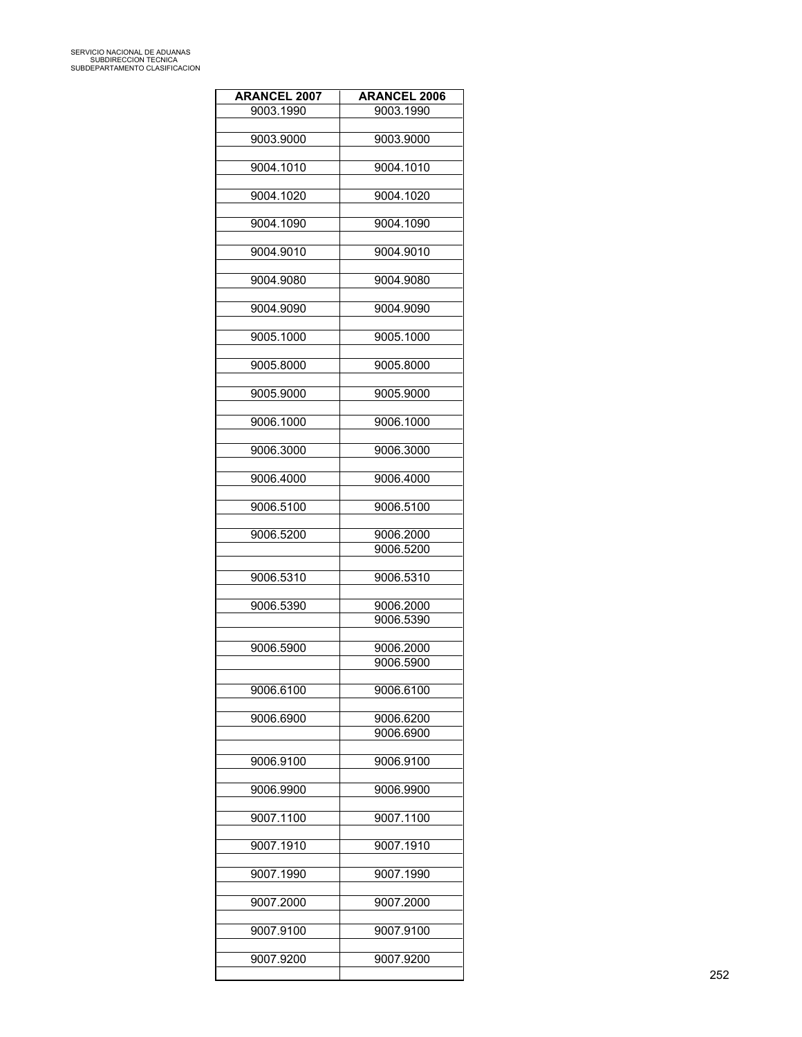| <b>ARANCEL 2007</b> | <b>ARANCEL 2006</b> |
|---------------------|---------------------|
| 9003.1990           | 9003.1990           |
| 9003.9000           | 9003.9000           |
|                     |                     |
| 9004.1010           | 9004.1010           |
| 9004.1020           | 9004.1020           |
| 9004.1090           | 9004.1090           |
| 9004.9010           | 9004.9010           |
| 9004.9080           | 9004.9080           |
| 9004.9090           | 9004.9090           |
| 9005.1000           | 9005.1000           |
| 9005.8000           | 9005.8000           |
| 9005.9000           | 9005.9000           |
| 9006.1000           | 9006.1000           |
| 9006.3000           | 9006.3000           |
| 9006.4000           | 9006.4000           |
| 9006.5100           | 9006.5100           |
| 9006.5200           | 9006.2000           |
|                     | 9006.5200           |
| 9006.5310           | 9006.5310           |
| 9006.5390           | 9006.2000           |
|                     | 9006.5390           |
| 9006.5900           | 9006.2000           |
|                     | 9006.5900           |
| 9006.6100           | 9006.6100           |
| 9006.6900           | 9006.6200           |
|                     | 9006.6900           |
| 9006.9100           | 9006.9100           |
| 9006.9900           | 9006.9900           |
| 9007.1100           | 9007.1100           |
| 9007.1910           | 9007.1910           |
| 9007.1990           | 9007.1990           |
| 9007.2000           | 9007.2000           |
| 9007.9100           | 9007.9100           |
| 9007.9200           | 9007.9200           |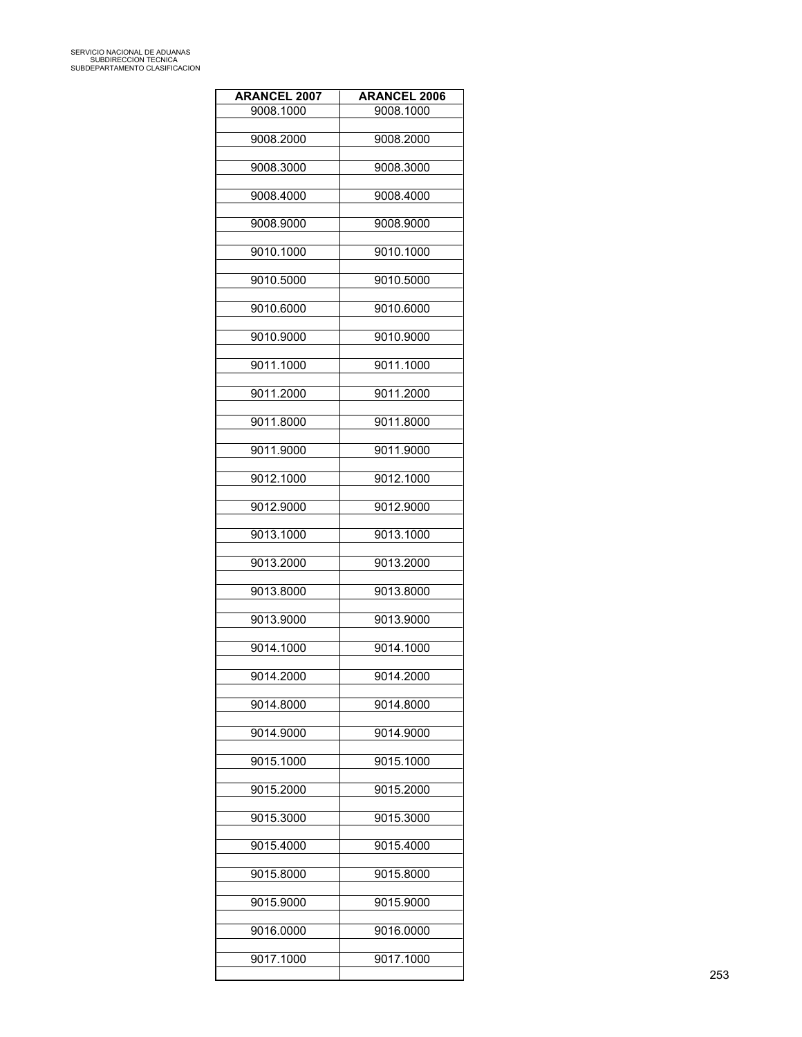| <b>ARANCEL 2007</b> | <b>ARANCEL 2006</b> |
|---------------------|---------------------|
| 9008.1000           | 9008.1000           |
| 9008.2000           | 9008.2000           |
| 9008.3000           | 9008.3000           |
| 9008.4000           | 9008.4000           |
| 9008.9000           | 9008.9000           |
| 9010.1000           | 9010.1000           |
| 9010.5000           | 9010.5000           |
|                     |                     |
| 9010.6000           | 9010.6000           |
| 9010.9000           | 9010.9000           |
| 9011.1000           | 9011.1000           |
| 9011.2000           | 9011.2000           |
| 9011.8000           | 9011.8000           |
| 9011.9000           | 9011.9000           |
| 9012.1000           | 9012.1000           |
| 9012.9000           | 9012.9000           |
| 9013.1000           | 9013.1000           |
| 9013.2000           | 9013.2000           |
| 9013.8000           | 9013.8000           |
| 9013.9000           | 9013.9000           |
| 9014.1000           | 9014.1000           |
| 9014.2000           | 9014.2000           |
| 9014.8000           | 9014.8000           |
| 9014.9000           | 9014.9000           |
| 9015.1000           | 9015.1000           |
| 9015.2000           | 9015.2000           |
| 9015.3000           | 9015.3000           |
| 9015.4000           | 9015.4000           |
| 9015.8000           | 9015.8000           |
| 9015.9000           | 9015.9000           |
| 9016.0000           | 9016.0000           |
| 9017.1000           | 9017.1000           |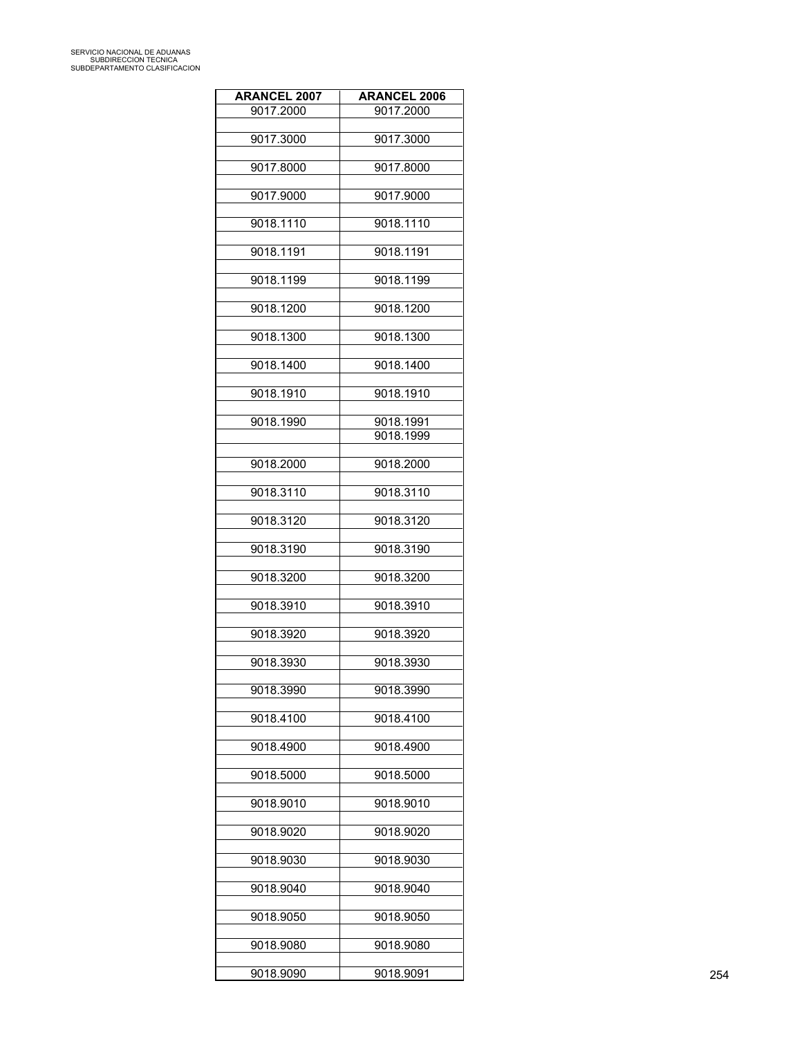| <b>ARANCEL 2007</b> | <b>ARANCEL 2006</b>    |
|---------------------|------------------------|
| 9017.2000           | 9017.2000              |
| 9017.3000           | 9017.3000              |
| 9017.8000           | 9017.8000              |
| 9017.9000           | 9017.9000              |
|                     |                        |
| 9018.1110           | 9018.1110              |
| 9018.1191           | 9018.1191              |
| 9018.1199           | 9018.1199              |
| 9018.1200           | 9018.1200              |
| 9018.1300           | 9018.1300              |
| 9018.1400           | 9018.1400              |
|                     |                        |
| 9018.1910           | 9018.1910              |
| 9018.1990           | 9018.1991<br>9018.1999 |
|                     |                        |
| 9018.2000           | 9018.2000              |
| 9018.3110           | 9018.3110              |
| 9018.3120           | 9018.3120              |
| 9018.3190           | 9018.3190              |
| 9018.3200           | 9018.3200              |
|                     |                        |
| 9018.3910           | 9018.3910              |
| 9018.3920           | 9018.3920              |
| 9018.3930           | 9018.3930              |
| 9018.3990           | 9018.3990              |
| 9018.4100           | 9018.4100              |
|                     |                        |
| 9018.4900           | 9018.4900              |
| 9018.5000           | 9018.5000              |
| 9018.9010           | 9018.9010              |
| 9018.9020           | 9018.9020              |
| 9018.9030           | 9018.9030              |
|                     |                        |
| 9018.9040           | 9018.9040              |
| 9018.9050           | 9018.9050              |
| 9018.9080           | 9018.9080              |
| 9018.9090           | 9018.9091              |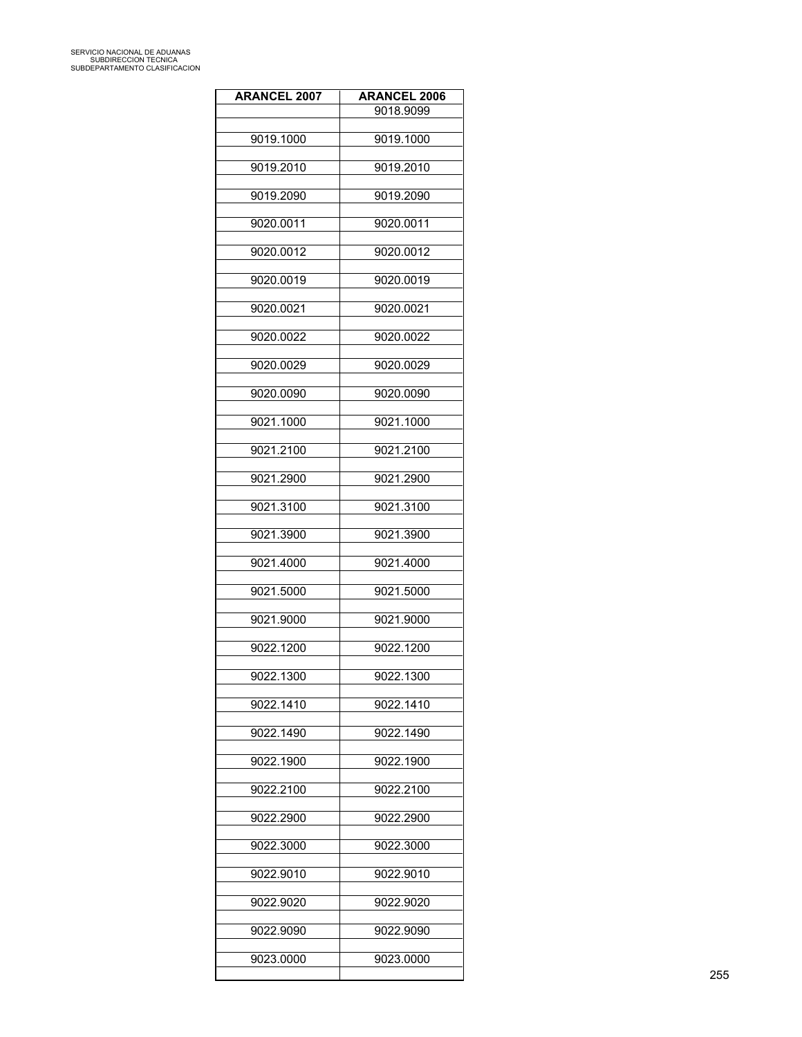| <b>ARANCEL 2007</b> | <b>ARANCEL 2006</b> |
|---------------------|---------------------|
|                     | 9018.9099           |
| 9019.1000           | 9019.1000           |
| 9019.2010           | 9019.2010           |
| 9019.2090           | 9019.2090           |
| 9020.0011           | 9020.0011           |
| 9020.0012           | 9020.0012           |
| 9020.0019           | 9020.0019           |
| 9020.0021           | 9020.0021           |
| 9020.0022           | 9020.0022           |
| 9020.0029           | 9020.0029           |
| 9020.0090           | 9020.0090           |
| 9021.1000           | 9021.1000           |
| 9021.2100           | 9021.2100           |
| 9021.2900           | 9021.2900           |
| 9021.3100           | 9021.3100           |
| 9021.3900           | 9021.3900           |
| 9021.4000           | 9021.4000           |
| 9021.5000           | 9021.5000           |
| 9021.9000           | 9021.9000           |
| 9022.1200           | 9022.1200           |
| 9022.1300           | 9022.1300           |
| 9022.1410           | 9022.1410           |
| 9022.1490           | 9022.1490           |
| 9022.1900           | 9022.1900           |
| 9022.2100           | 9022.2100           |
| 9022.2900           | 9022.2900           |
| 9022.3000           | 9022.3000           |
| 9022.9010           | 9022.9010           |
| 9022.9020           | 9022.9020           |
| 9022.9090           | 9022.9090           |
| 9023.0000           | 9023.0000           |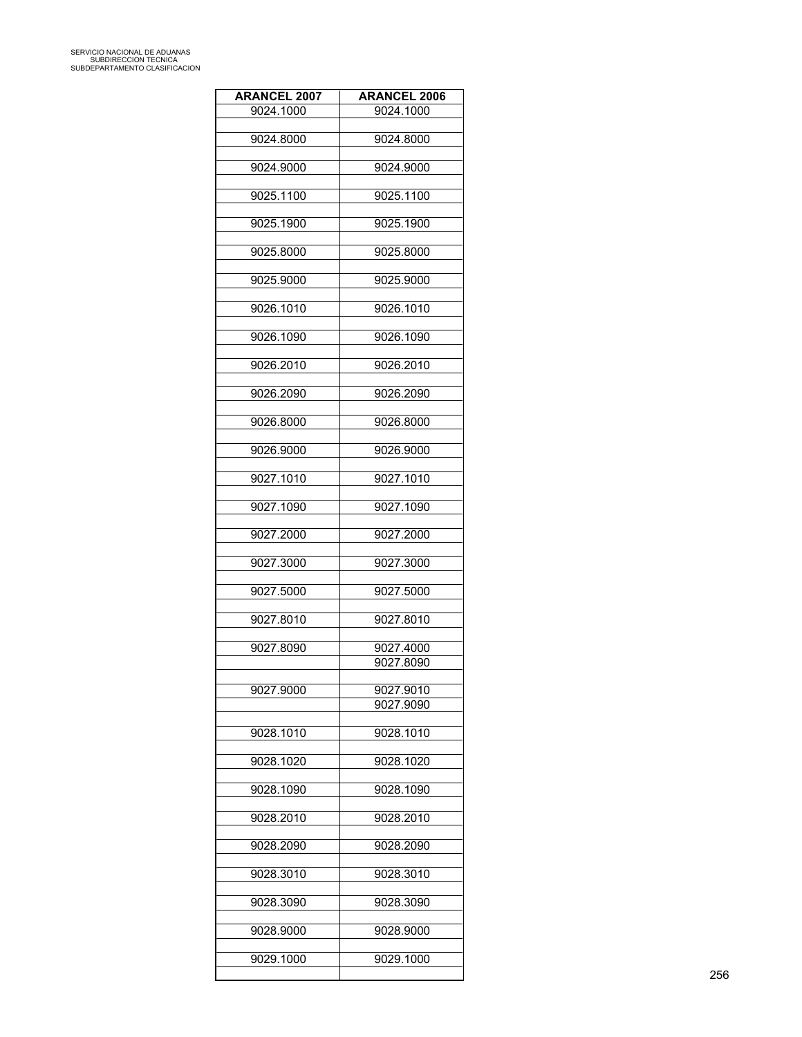| <b>ARANCEL 2007</b> | <b>ARANCEL 2006</b>    |
|---------------------|------------------------|
| 9024.1000           | 9024.1000              |
| 9024.8000           | 9024.8000              |
| 9024.9000           | 9024.9000              |
| 9025.1100           | 9025.1100              |
| 9025.1900           | 9025.1900              |
| 9025.8000           | 9025.8000              |
| 9025.9000           | 9025.9000              |
|                     |                        |
| 9026.1010           | 9026.1010              |
| 9026.1090           | 9026.1090              |
| 9026.2010           | 9026.2010              |
| 9026.2090           | 9026.2090              |
| 9026.8000           | 9026.8000              |
| 9026.9000           | 9026.9000              |
| 9027.1010           | 9027.1010              |
| 9027.1090           | 9027.1090              |
| 9027.2000           | 9027.2000              |
| 9027.3000           | 9027.3000              |
| 9027.5000           | 9027.5000              |
| 9027.8010           | 9027.8010              |
| 9027.8090           | 9027.4000              |
|                     | 9027.8090              |
| 9027.9000           | 9027.9010<br>9027.9090 |
|                     |                        |
| 9028.1010           | 9028.1010              |
| 9028.1020           | 9028.1020              |
| 9028.1090           | 9028.1090              |
| 9028.2010           | 9028.2010              |
| 9028.2090           | 9028.2090              |
| 9028.3010           | 9028.3010              |
| 9028.3090           | 9028.3090              |
| 9028.9000           | 9028.9000              |
| 9029.1000           | 9029.1000              |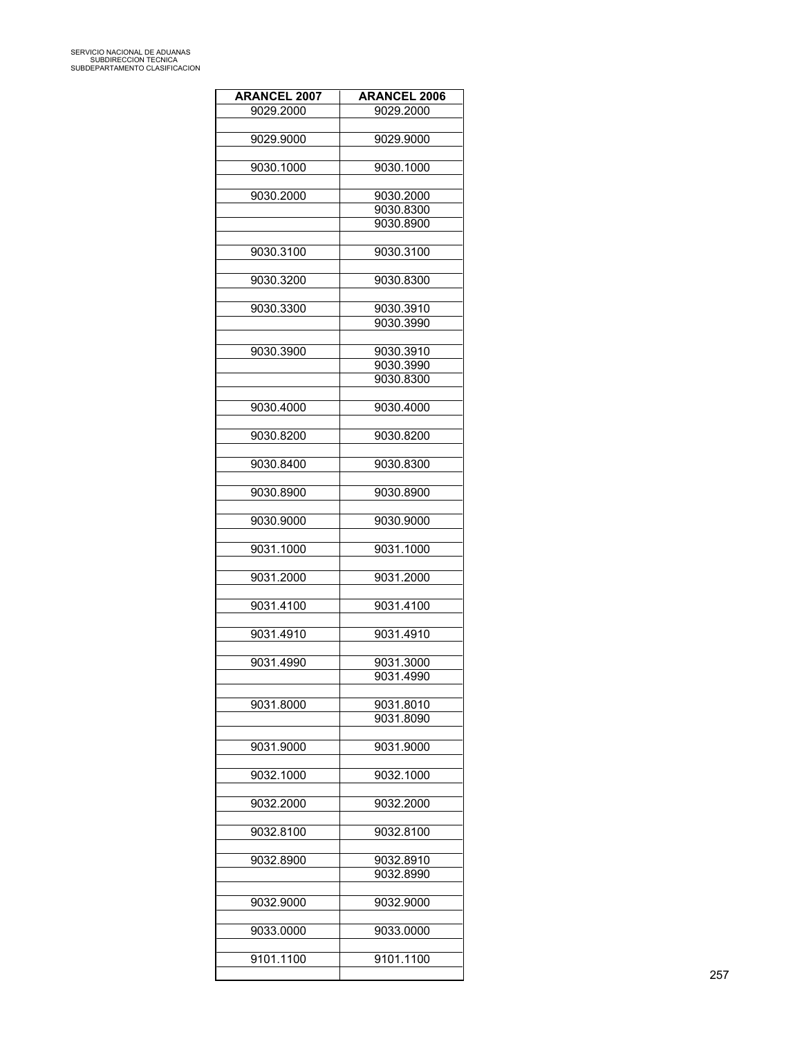| <b>ARANCEL 2007</b> | <b>ARANCEL 2006</b> |
|---------------------|---------------------|
| 9029.2000           | 9029.2000           |
|                     |                     |
| 9029.9000           | 9029.9000           |
| 9030.1000           | 9030.1000           |
|                     |                     |
| 9030.2000           | 9030.2000           |
|                     | 9030.8300           |
|                     | 9030.8900           |
| 9030.3100           | 9030.3100           |
|                     |                     |
| 9030.3200           | 9030.8300           |
| 9030.3300           | 9030.3910           |
|                     | 9030.3990           |
|                     |                     |
| 9030.3900           | 9030.3910           |
|                     | 9030.3990           |
|                     | 9030.8300           |
| 9030.4000           | 9030.4000           |
|                     |                     |
| 9030.8200           | 9030.8200           |
|                     |                     |
| 9030.8400           | 9030.8300           |
| 9030.8900           | 9030.8900           |
|                     |                     |
| 9030.9000           | 9030.9000           |
| 9031.1000           | 9031.1000           |
|                     |                     |
| 9031.2000           | 9031.2000           |
|                     |                     |
| 9031.4100           | 9031.4100           |
| 9031.4910           | 9031.4910           |
|                     |                     |
| 9031.4990           | 9031.3000           |
|                     | 9031.4990           |
| 9031.8000           | 9031.8010           |
|                     | 9031.8090           |
|                     |                     |
| 9031.9000           | 9031.9000           |
| 9032.1000           | 9032.1000           |
|                     |                     |
| 9032.2000           | 9032.2000           |
|                     |                     |
| 9032.8100           | 9032.8100           |
| 9032.8900           | 9032.8910           |
|                     | 9032.8990           |
|                     |                     |
| 9032.9000           | 9032.9000           |
| 9033.0000           | 9033.0000           |
|                     |                     |
| 9101.1100           | 9101.1100           |
|                     |                     |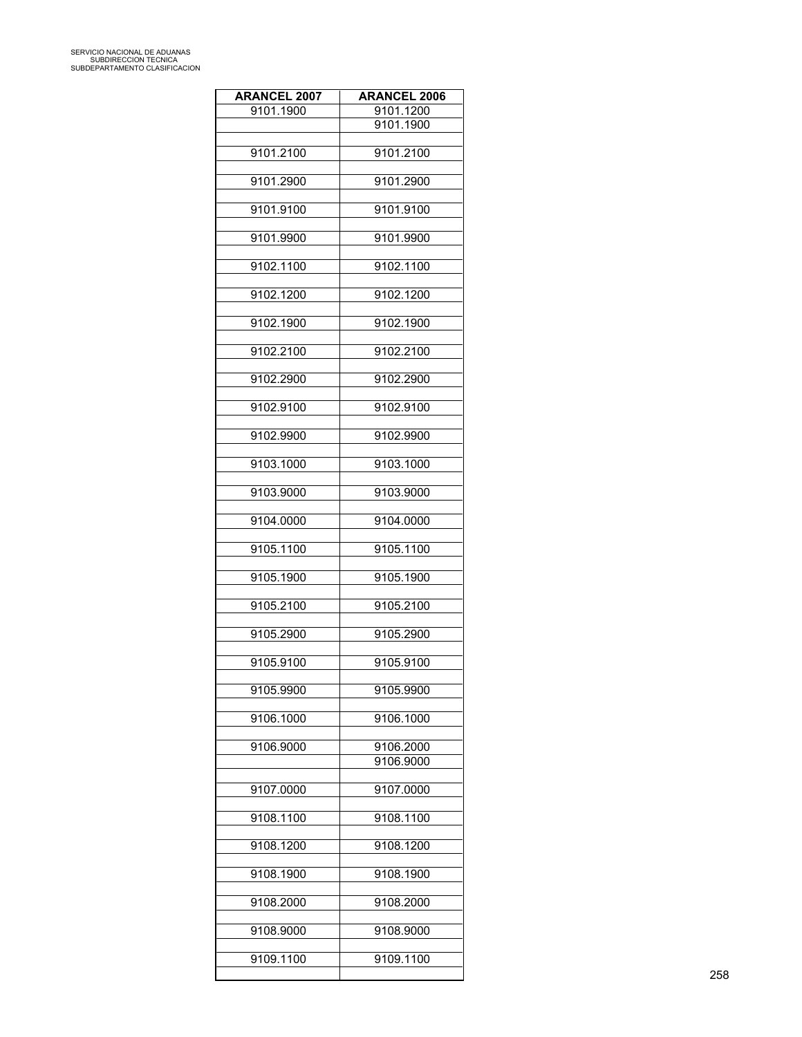| <b>ARANCEL 2007</b> | <b>ARANCEL 2006</b> |
|---------------------|---------------------|
| 9101.1900           | 9101.1200           |
|                     | 9101.1900           |
| 9101.2100           | 9101.2100           |
|                     |                     |
| 9101.2900           | 9101.2900           |
|                     |                     |
| 9101.9100           | 9101.9100           |
| 9101.9900           | 9101.9900           |
|                     |                     |
| 9102.1100           | 9102.1100           |
|                     |                     |
| 9102.1200           | 9102.1200           |
| 9102.1900           | 9102.1900           |
|                     |                     |
| 9102.2100           | 9102.2100           |
|                     |                     |
| 9102.2900           | 9102.2900           |
| 9102.9100           | 9102.9100           |
|                     |                     |
| 9102.9900           | 9102.9900           |
|                     |                     |
| 9103.1000           | 9103.1000           |
| 9103.9000           | 9103.9000           |
|                     |                     |
| 9104.0000           | 9104.0000           |
|                     |                     |
| 9105.1100           | 9105.1100           |
| 9105.1900           | 9105.1900           |
|                     |                     |
| 9105.2100           | 9105.2100           |
|                     |                     |
| 9105.2900           | 9105.2900           |
| 9105.9100           | 9105.9100           |
|                     |                     |
| 9105.9900           | 9105.9900           |
|                     |                     |
| 9106.1000           | 9106.1000           |
| 9106.9000           | 9106.2000           |
|                     | 9106.9000           |
|                     |                     |
| 9107.0000           | 9107.0000           |
| 9108.1100           | 9108.1100           |
|                     |                     |
| 9108.1200           | 9108.1200           |
|                     |                     |
| 9108.1900           | 9108.1900           |
| 9108.2000           | 9108.2000           |
|                     |                     |
| 9108.9000           | 9108.9000           |
|                     |                     |
| 9109.1100           | 9109.1100           |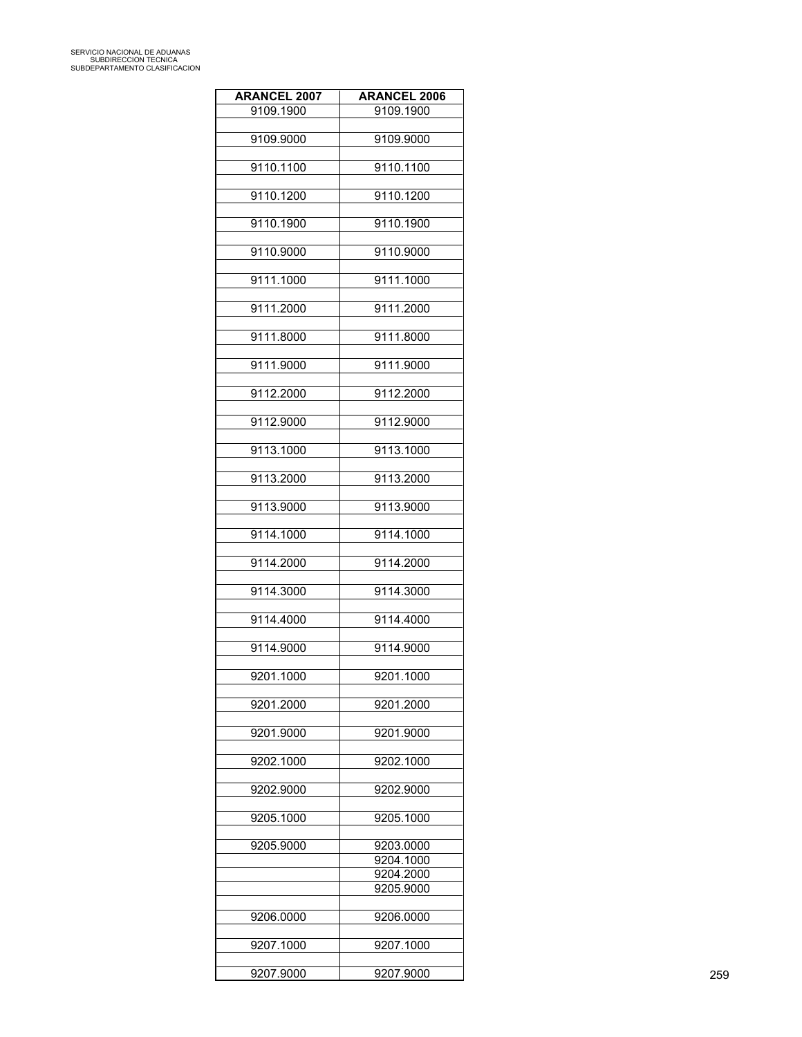| <b>ARANCEL 2007</b> | <b>ARANCEL 2006</b>    |
|---------------------|------------------------|
| 9109.1900           | 9109.1900              |
| 9109.9000           | 9109.9000              |
| 9110.1100           | 9110.1100              |
|                     |                        |
| 9110.1200           | 9110.1200              |
| 9110.1900           | 9110.1900              |
| 9110.9000           | 9110.9000              |
| 9111.1000           | 9111.1000              |
| 9111.2000           | 9111.2000              |
| 9111.8000           | 9111.8000              |
|                     |                        |
| 9111.9000           | 9111.9000              |
| 9112.2000           | 9112.2000              |
| 9112.9000           | 9112.9000              |
| 9113.1000           | 9113.1000              |
| 9113.2000           | 9113.2000              |
|                     |                        |
| 9113.9000           | 9113.9000              |
| 9114.1000           | 9114.1000              |
| 9114.2000           | 9114.2000              |
| 9114.3000           | 9114.3000              |
| 9114.4000           | 9114.4000              |
|                     |                        |
| 9114.9000           | 9114.9000              |
| 9201.1000           | 9201.1000              |
| 9201.2000           | 9201.2000              |
| 9201.9000           | 9201.9000              |
| 9202.1000           | 9202.1000              |
|                     |                        |
| 9202.9000           | 9202.9000              |
| 9205.1000           | 9205.1000              |
| 9205.9000           | 9203.0000              |
|                     | 9204.1000              |
|                     | 9204.2000<br>9205.9000 |
|                     |                        |
| 9206.0000           | 9206.0000              |
| 9207.1000           | 9207.1000              |
| 9207.9000           | 9207.9000              |
|                     |                        |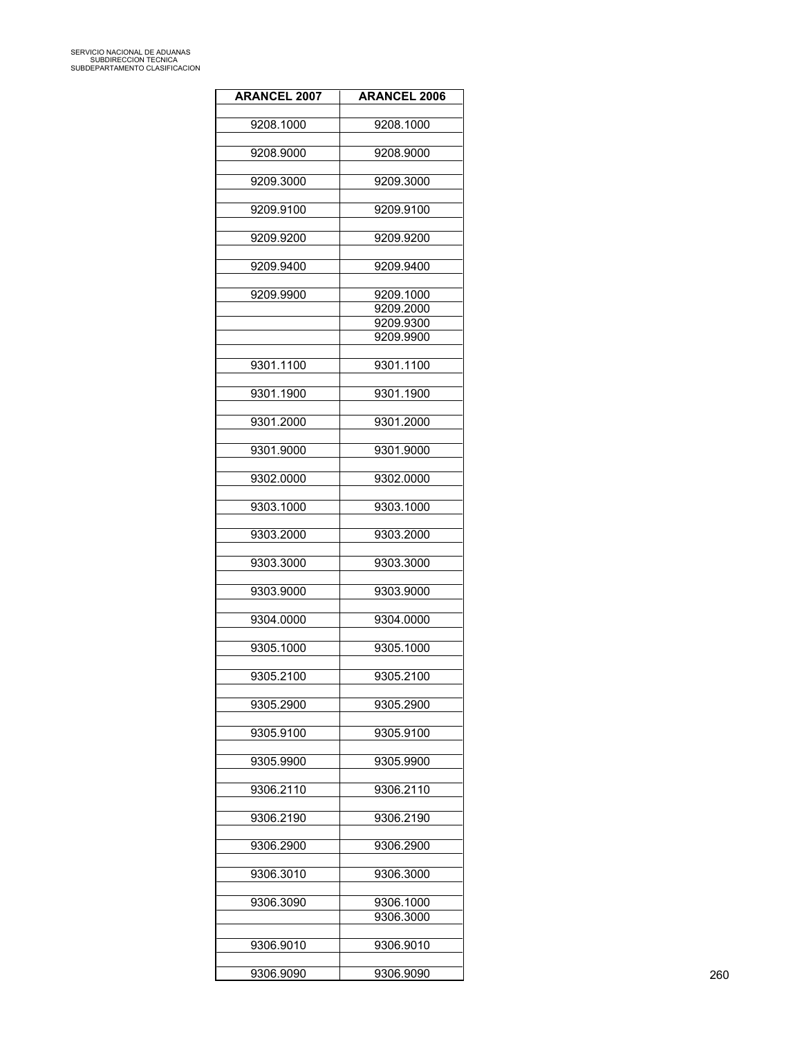| <b>ARANCEL 2007</b> | <b>ARANCEL 2006</b> |
|---------------------|---------------------|
|                     |                     |
| 9208.1000           | 9208.1000           |
|                     |                     |
| 9208.9000           | 9208.9000           |
|                     |                     |
| 9209.3000           | 9209.3000           |
|                     |                     |
| 9209.9100           | 9209.9100           |
|                     |                     |
| 9209.9200           | 9209.9200           |
|                     |                     |
| 9209.9400           | 9209.9400           |
|                     |                     |
| 9209.9900           | 9209.1000           |
|                     | 9209.2000           |
|                     | 9209.9300           |
|                     | 9209.9900           |
|                     |                     |
| 9301.1100           | 9301.1100           |
|                     |                     |
| 9301.1900           | 9301.1900           |
|                     |                     |
| 9301.2000           | 9301.2000           |
|                     |                     |
| 9301.9000           | 9301.9000           |
|                     |                     |
| 9302.0000           | 9302.0000           |
|                     |                     |
| 9303.1000           | 9303.1000           |
|                     |                     |
| 9303.2000           | 9303.2000           |
|                     |                     |
| 9303.3000           | 9303.3000           |
|                     |                     |
| 9303.9000           | 9303.9000           |
|                     |                     |
| 9304.0000           | 9304.0000           |
|                     |                     |
| 9305.1000           | 9305.1000           |
|                     |                     |
| 9305.2100           | 9305.2100           |
|                     |                     |
| 9305.2900           | 9305.2900           |
|                     |                     |
| 9305.9100           | 9305.9100           |
|                     |                     |
| 9305.9900           | 9305.9900           |
|                     |                     |
| 9306.2110           | 9306.2110           |
|                     |                     |
| 9306.2190           | 9306.2190           |
|                     |                     |
| 9306.2900           | 9306.2900           |
|                     |                     |
| 9306.3010           | 9306.3000           |
|                     |                     |
| 9306.3090           | 9306.1000           |
|                     | 9306.3000           |
|                     |                     |
| 9306.9010           | 9306.9010           |
|                     |                     |
| 9306.9090           | 9306.9090           |
|                     |                     |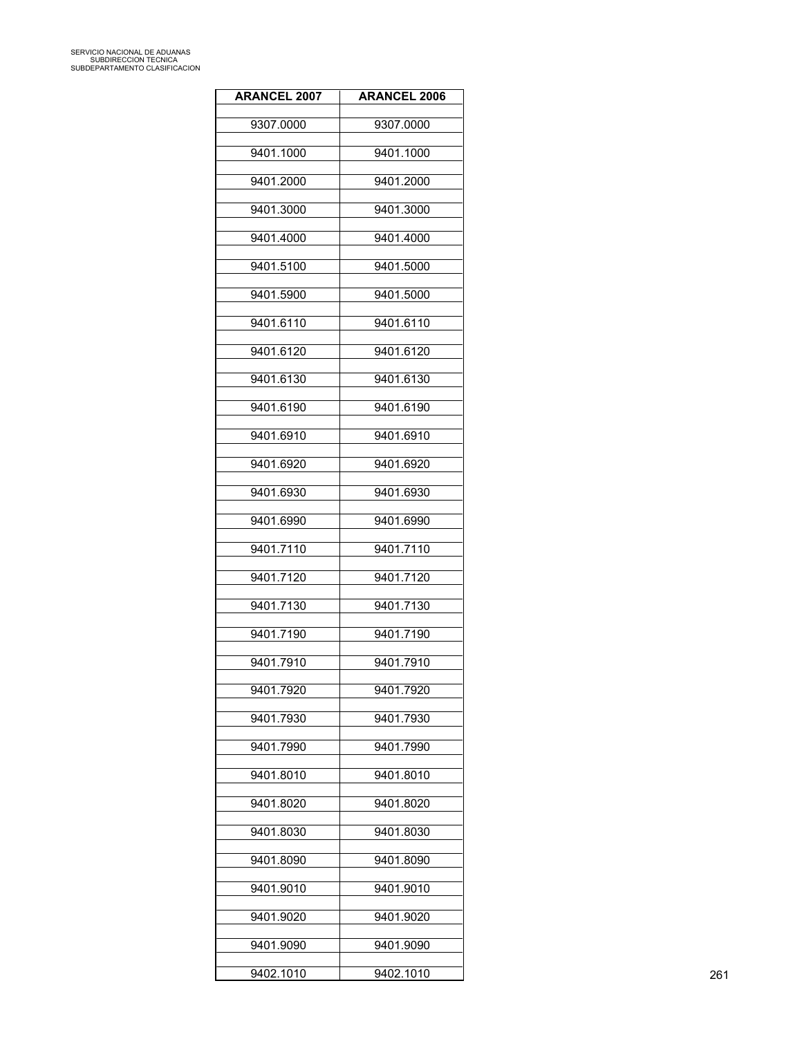| <b>ARANCEL 2007</b> | <b>ARANCEL 2006</b> |
|---------------------|---------------------|
| 9307.0000           | 9307.0000           |
| 9401.1000           | 9401.1000           |
|                     |                     |
| 9401.2000           | 9401.2000           |
| 9401.3000           | 9401.3000           |
| 9401.4000           | 9401.4000           |
| 9401.5100           | 9401.5000           |
| 9401.5900           | 9401.5000           |
| 9401.6110           | 9401.6110           |
| 9401.6120           | 9401.6120           |
| 9401.6130           | 9401.6130           |
| 9401.6190           | 9401.6190           |
| 9401.6910           | 9401.6910           |
| 9401.6920           | 9401.6920           |
| 9401.6930           | 9401.6930           |
| 9401.6990           | 9401.6990           |
|                     |                     |
| 9401.7110           | 9401.7110           |
| 9401.7120           | 9401.7120           |
| 9401.7130           | 9401.7130           |
| 9401.7190           | 9401.7190           |
| 9401.7910           | 9401.7910           |
| 9401.7920           | 9401.7920           |
| 9401.7930           | 9401.7930           |
| 9401.7990           | 9401.7990           |
| 9401.8010           | 9401.8010           |
| 9401.8020           | 9401.8020           |
|                     |                     |
| 9401.8030           | 9401.8030           |
| 9401.8090           | 9401.8090           |
| 9401.9010           | 9401.9010           |
| 9401.9020           | 9401.9020           |
| 9401.9090           | 9401.9090           |
| 9402.1010           | 9402.1010           |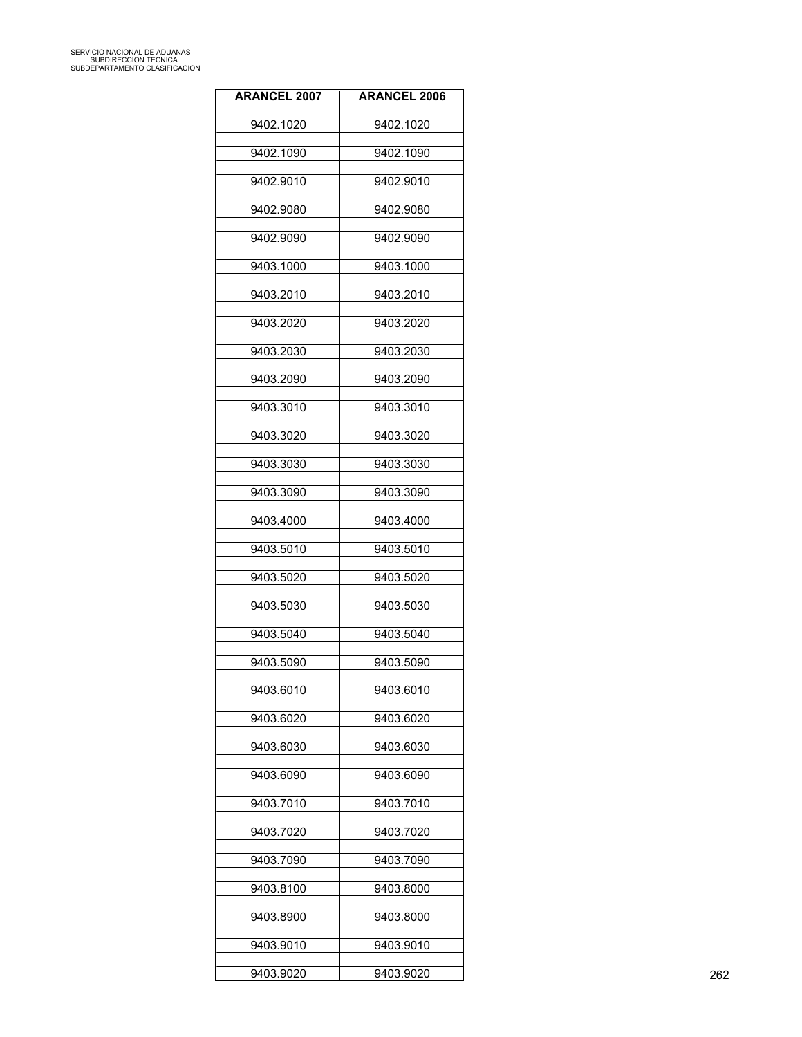| <b>ARANCEL 2007</b> | <b>ARANCEL 2006</b> |
|---------------------|---------------------|
| 9402.1020           | 9402.1020           |
| 9402.1090           | 9402.1090           |
|                     |                     |
| 9402.9010           | 9402.9010           |
| 9402.9080           | 9402.9080           |
| 9402.9090           | 9402.9090           |
| 9403.1000           | 9403.1000           |
| 9403.2010           | 9403.2010           |
| 9403.2020           | 9403.2020           |
| 9403.2030           | 9403.2030           |
| 9403.2090           | 9403.2090           |
| 9403.3010           | 9403.3010           |
| 9403.3020           | 9403.3020           |
| 9403.3030           | 9403.3030           |
|                     |                     |
| 9403.3090           | 9403.3090           |
| 9403.4000           | 9403.4000           |
| 9403.5010           | 9403.5010           |
| 9403.5020           | 9403.5020           |
| 9403.5030           | 9403.5030           |
| 9403.5040           | 9403.5040           |
| 9403.5090           | 9403.5090           |
| 9403.6010           | 9403.6010           |
| 9403.6020           | 9403.6020           |
| 9403.6030           | 9403.6030           |
| 9403.6090           | 9403.6090           |
| 9403.7010           | 9403.7010           |
|                     |                     |
| 9403.7020           | 9403.7020           |
| 9403.7090           | 9403.7090           |
| 9403.8100           | 9403.8000           |
| 9403.8900           | 9403.8000           |
| 9403.9010           | 9403.9010           |
| 9403.9020           | 9403.9020           |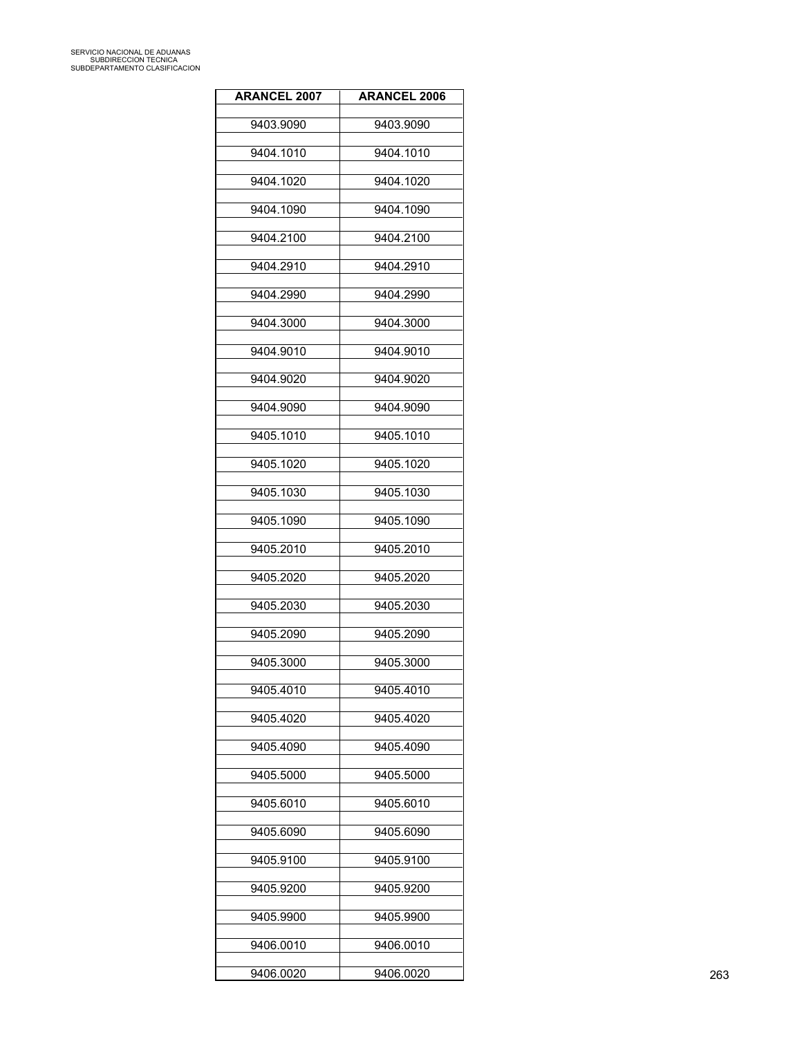| <b>ARANCEL 2007</b> | <b>ARANCEL 2006</b> |
|---------------------|---------------------|
| 9403.9090           | 9403.9090           |
| 9404.1010           | 9404.1010           |
|                     |                     |
| 9404.1020           | 9404.1020           |
| 9404.1090           | 9404.1090           |
| 9404.2100           | 9404.2100           |
| 9404.2910           | 9404.2910           |
| 9404.2990           | 9404.2990           |
| 9404.3000           | 9404.3000           |
| 9404.9010           | 9404.9010           |
| 9404.9020           | 9404.9020           |
| 9404.9090           | 9404.9090           |
| 9405.1010           | 9405.1010           |
| 9405.1020           | 9405.1020           |
|                     |                     |
| 9405.1030           | 9405.1030           |
| 9405.1090           | 9405.1090           |
| 9405.2010           | 9405.2010           |
| 9405.2020           | 9405.2020           |
| 9405.2030           | 9405.2030           |
| 9405.2090           | 9405.2090           |
| 9405.3000           | 9405.3000           |
| 9405.4010           | 9405.4010           |
| 9405.4020           | 9405.4020           |
| 9405.4090           | 9405.4090           |
| 9405.5000           | 9405.5000           |
|                     |                     |
| 9405.6010           | 9405.6010           |
| 9405.6090           | 9405.6090           |
| 9405.9100           | 9405.9100           |
| 9405.9200           | 9405.9200           |
| 9405.9900           | 9405.9900           |
| 9406.0010           | 9406.0010           |
| 9406.0020           | 9406.0020           |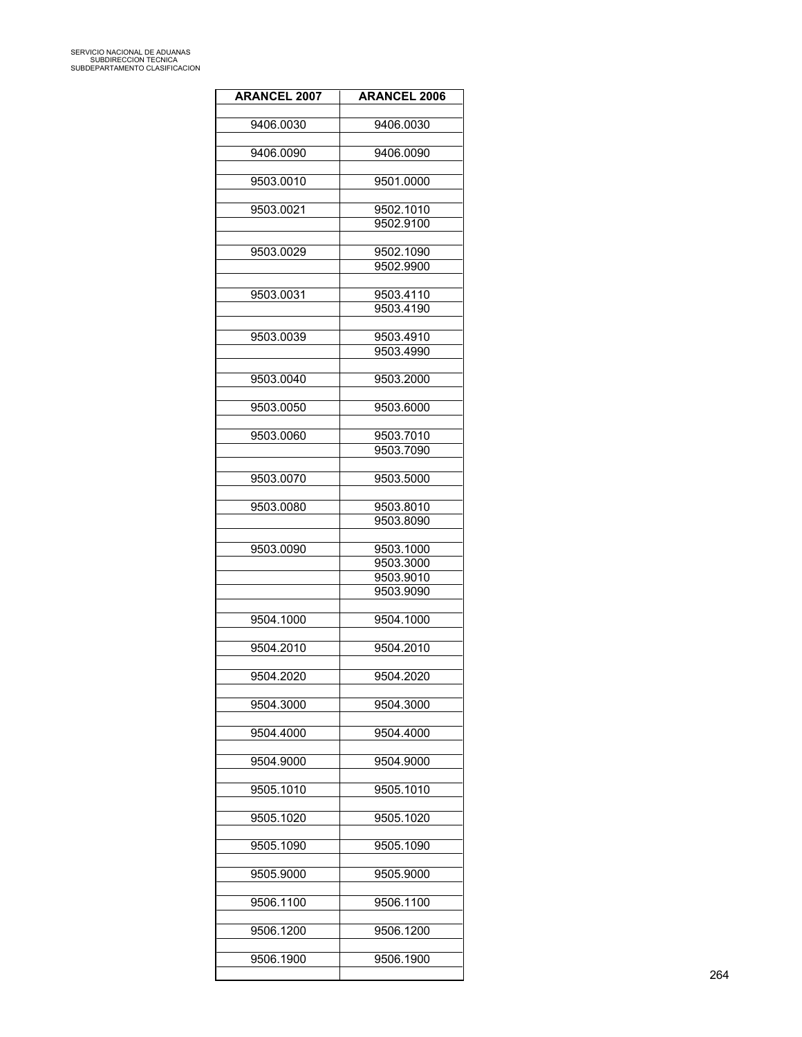| <b>ARANCEL 2007</b> | <b>ARANCEL 2006</b> |
|---------------------|---------------------|
|                     |                     |
| 9406.0030           | 9406.0030           |
|                     |                     |
| 9406.0090           | 9406.0090           |
| 9503.0010           | 9501.0000           |
|                     |                     |
| 9503.0021           | 9502.1010           |
|                     | 9502.9100           |
|                     |                     |
| 9503.0029           | 9502.1090           |
|                     | 9502.9900           |
| 9503.0031           | 9503.4110           |
|                     | 9503.4190           |
|                     |                     |
| 9503.0039           | 9503.4910           |
|                     | 9503.4990           |
|                     |                     |
| 9503.0040           | 9503.2000           |
| 9503.0050           | 9503.6000           |
|                     |                     |
| 9503.0060           | 9503.7010           |
|                     | 9503.7090           |
|                     |                     |
| 9503.0070           | 9503.5000           |
| 9503.0080           | 9503.8010           |
|                     | 9503.8090           |
|                     |                     |
| 9503.0090           | 9503.1000           |
|                     | 9503.3000           |
|                     | 9503.9010           |
|                     | 9503.9090           |
| 9504.1000           | 9504.1000           |
|                     |                     |
| 9504.2010           | 9504.2010           |
|                     |                     |
| 9504.2020           | 9504.2020           |
|                     |                     |
| 9504.3000           | 9504.3000           |
|                     | 9504.4000           |
| 9504.4000           |                     |
| 9504.9000           | 9504.9000           |
|                     |                     |
| 9505.1010           | 9505.1010           |
|                     |                     |
| 9505.1020           | 9505.1020           |
| 9505.1090           | 9505.1090           |
|                     |                     |
| 9505.9000           | 9505.9000           |
|                     |                     |
| 9506.1100           | 9506.1100           |
|                     |                     |
| 9506.1200           | 9506.1200           |
| 9506.1900           | 9506.1900           |
|                     |                     |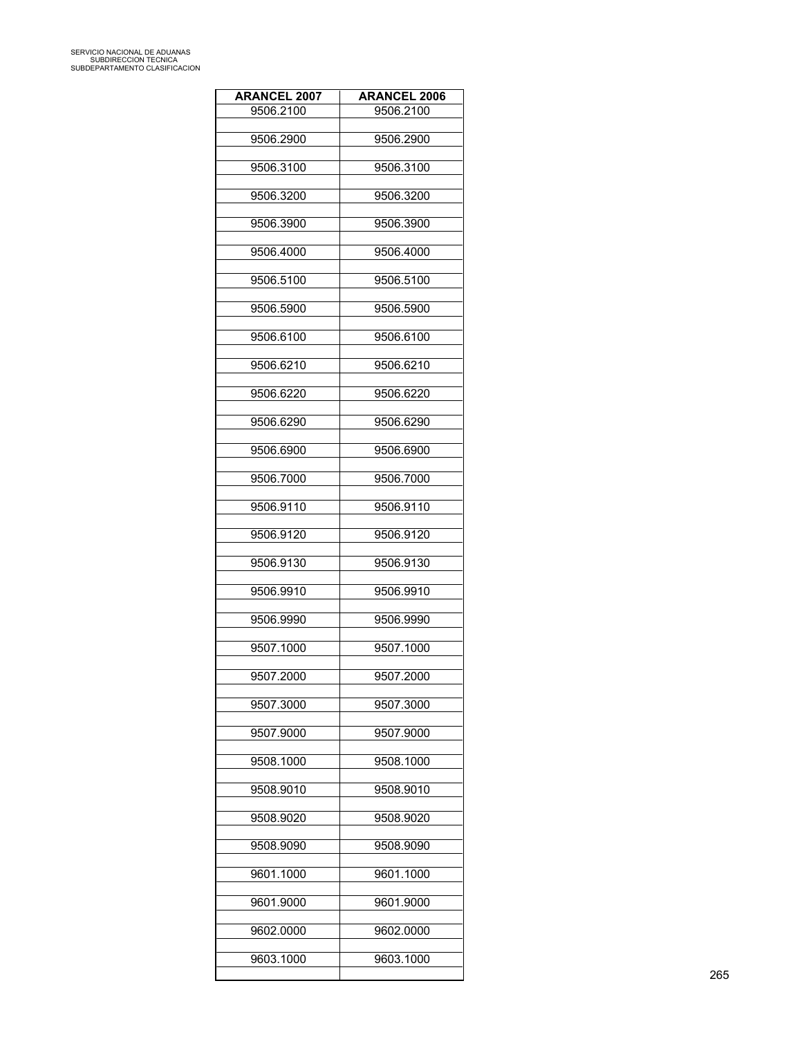| <b>ARANCEL 2007</b> | <b>ARANCEL 2006</b> |
|---------------------|---------------------|
| 9506.2100           | 9506.2100           |
|                     |                     |
| 9506.2900           | 9506.2900           |
| 9506.3100           | 9506.3100           |
|                     |                     |
| 9506.3200           | 9506.3200           |
|                     |                     |
| 9506.3900           | 9506.3900           |
| 9506.4000           | 9506.4000           |
|                     |                     |
| 9506.5100           | 9506.5100           |
|                     |                     |
| 9506.5900           | 9506.5900           |
| 9506.6100           | 9506.6100           |
|                     |                     |
| 9506.6210           | 9506.6210           |
|                     |                     |
| 9506.6220           | 9506.6220           |
| 9506.6290           | 9506.6290           |
|                     |                     |
| 9506.6900           | 9506.6900           |
|                     |                     |
| 9506.7000           | 9506.7000           |
|                     |                     |
| 9506.9110           | 9506.9110           |
| 9506.9120           | 9506.9120           |
|                     |                     |
| 9506.9130           | 9506.9130           |
|                     |                     |
| 9506.9910           | 9506.9910           |
| 9506.9990           | 9506.9990           |
|                     |                     |
| 9507.1000           | 9507.1000           |
|                     |                     |
| 9507.2000           | 9507.2000           |
| 9507.3000           | 9507.3000           |
|                     |                     |
| 9507.9000           | 9507.9000           |
|                     |                     |
| 9508.1000           | 9508.1000           |
| 9508.9010           | 9508.9010           |
|                     |                     |
| 9508.9020           | 9508.9020           |
|                     |                     |
| 9508.9090           | 9508.9090           |
| 9601.1000           | 9601.1000           |
|                     |                     |
| 9601.9000           | 9601.9000           |
|                     |                     |
| 9602.0000           | 9602.0000           |
|                     |                     |
| 9603.1000           | 9603.1000           |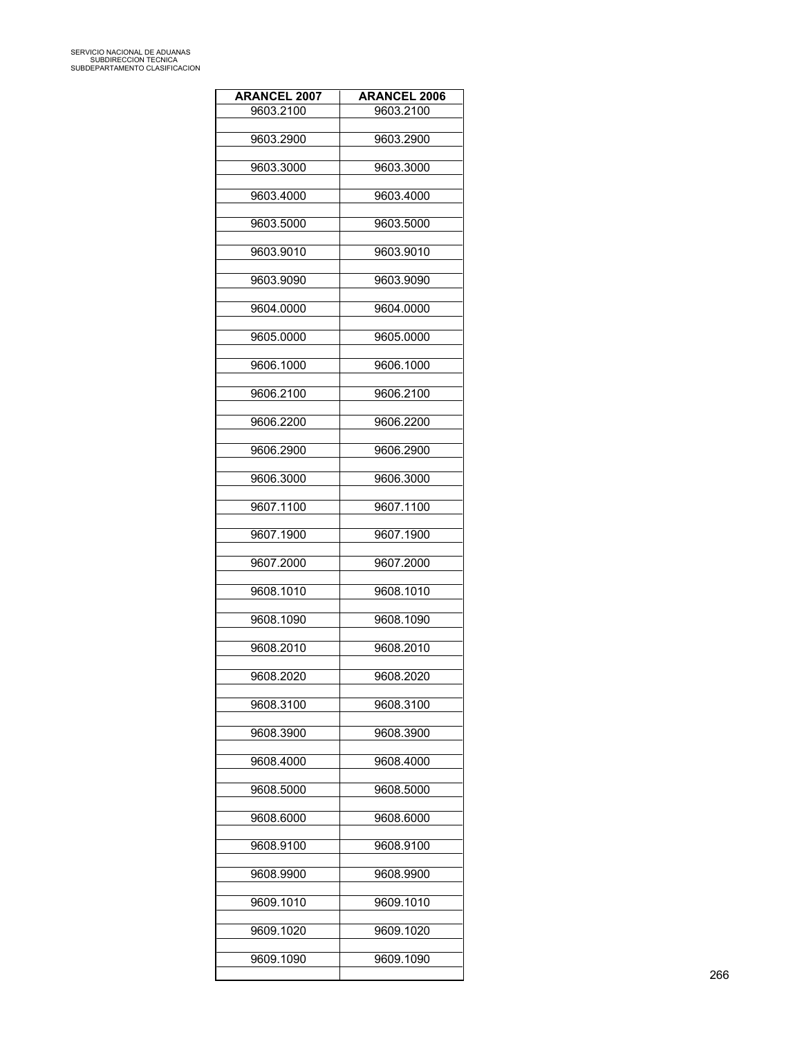| <b>ARANCEL 2007</b> | <b>ARANCEL 2006</b> |
|---------------------|---------------------|
| 9603.2100           | 9603.2100           |
| 9603.2900           | 9603.2900           |
| 9603.3000           | 9603.3000           |
|                     |                     |
| 9603.4000           | 9603.4000           |
| 9603.5000           | 9603.5000           |
| 9603.9010           | 9603.9010           |
| 9603.9090           | 9603.9090           |
| 9604.0000           | 9604.0000           |
| 9605.0000           | 9605.0000           |
| 9606.1000           | 9606.1000           |
|                     |                     |
| 9606.2100           | 9606.2100           |
| 9606.2200           | 9606.2200           |
| 9606.2900           | 9606.2900           |
| 9606.3000           | 9606.3000           |
| 9607.1100           | 9607.1100           |
| 9607.1900           | 9607.1900           |
| 9607.2000           | 9607.2000           |
| 9608.1010           | 9608.1010           |
| 9608.1090           | 9608.1090           |
| 9608.2010           | 9608.2010           |
| 9608.2020           | 9608.2020           |
| 9608.3100           | 9608.3100           |
| 9608.3900           | 9608.3900           |
| 9608.4000           | 9608.4000           |
| 9608.5000           | 9608.5000           |
| 9608.6000           | 9608.6000           |
| 9608.9100           | 9608.9100           |
| 9608.9900           | 9608.9900           |
| 9609.1010           | 9609.1010           |
| 9609.1020           | 9609.1020           |
| 9609.1090           | 9609.1090           |